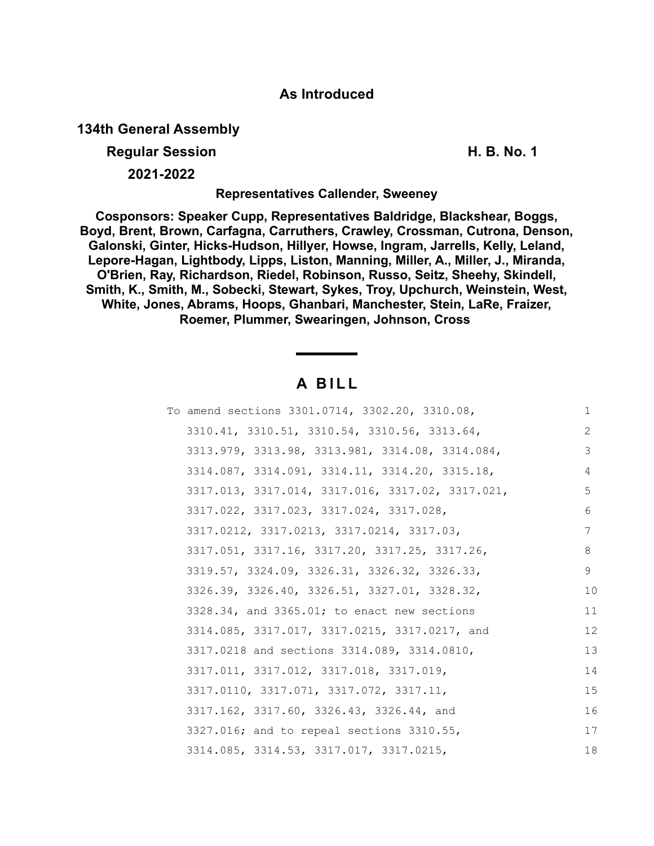# **As Introduced**

# **134th General Assembly**

# **Regular Session H. B. No. 1**

**2021-2022**

### **Representatives Callender, Sweeney**

**Cosponsors: Speaker Cupp, Representatives Baldridge, Blackshear, Boggs, Boyd, Brent, Brown, Carfagna, Carruthers, Crawley, Crossman, Cutrona, Denson, Galonski, Ginter, Hicks-Hudson, Hillyer, Howse, Ingram, Jarrells, Kelly, Leland, Lepore-Hagan, Lightbody, Lipps, Liston, Manning, Miller, A., Miller, J., Miranda, O'Brien, Ray, Richardson, Riedel, Robinson, Russo, Seitz, Sheehy, Skindell, Smith, K., Smith, M., Sobecki, Stewart, Sykes, Troy, Upchurch, Weinstein, West, White, Jones, Abrams, Hoops, Ghanbari, Manchester, Stein, LaRe, Fraizer, Roemer, Plummer, Swearingen, Johnson, Cross** 

# **A B I L L**

| To amend sections 3301.0714, 3302.20, 3310.08,   | 1  |
|--------------------------------------------------|----|
| 3310.41, 3310.51, 3310.54, 3310.56, 3313.64,     | 2  |
| 3313.979, 3313.98, 3313.981, 3314.08, 3314.084,  | 3  |
| 3314.087, 3314.091, 3314.11, 3314.20, 3315.18,   | 4  |
| 3317.013, 3317.014, 3317.016, 3317.02, 3317.021, | 5  |
| 3317.022, 3317.023, 3317.024, 3317.028,          | 6  |
| 3317.0212, 3317.0213, 3317.0214, 3317.03,        | 7  |
| 3317.051, 3317.16, 3317.20, 3317.25, 3317.26,    | 8  |
| 3319.57, 3324.09, 3326.31, 3326.32, 3326.33,     | 9  |
| 3326.39, 3326.40, 3326.51, 3327.01, 3328.32,     | 10 |
| 3328.34, and 3365.01; to enact new sections      | 11 |
| 3314.085, 3317.017, 3317.0215, 3317.0217, and    | 12 |
| 3317.0218 and sections 3314.089, 3314.0810,      | 13 |
| 3317.011, 3317.012, 3317.018, 3317.019,          | 14 |
| 3317.0110, 3317.071, 3317.072, 3317.11,          | 15 |
| 3317.162, 3317.60, 3326.43, 3326.44, and         | 16 |
| 3327.016; and to repeal sections 3310.55,        | 17 |
| 3314.085, 3314.53, 3317.017, 3317.0215,          | 18 |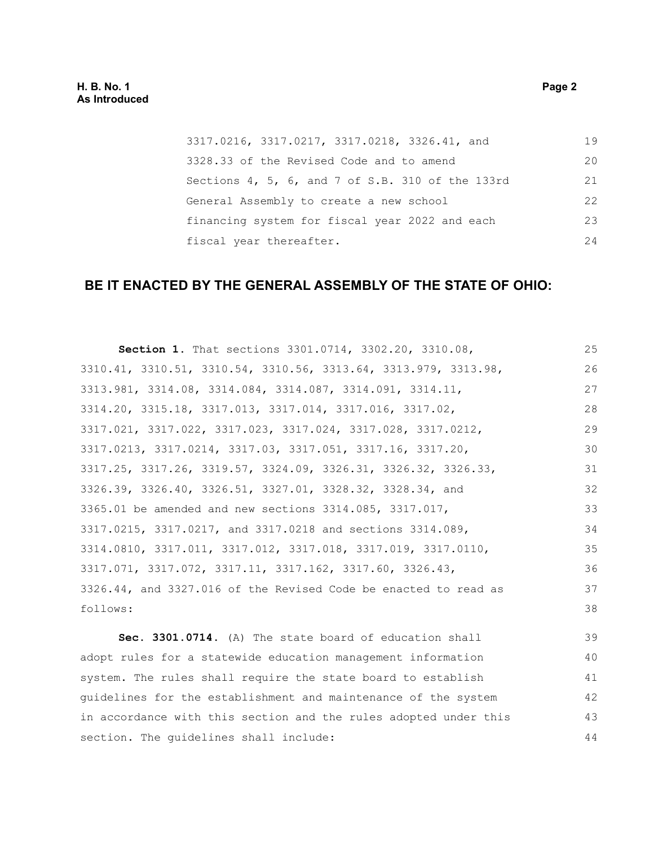3317.0216, 3317.0217, 3317.0218, 3326.41, and 3328.33 of the Revised Code and to amend Sections 4, 5, 6, and 7 of S.B. 310 of the 133rd General Assembly to create a new school financing system for fiscal year 2022 and each fiscal year thereafter. 19 20 21 22 23 24

# **BE IT ENACTED BY THE GENERAL ASSEMBLY OF THE STATE OF OHIO:**

| Section 1. That sections 3301.0714, 3302.20, 3310.08,           | 25 |
|-----------------------------------------------------------------|----|
| 3310.41, 3310.51, 3310.54, 3310.56, 3313.64, 3313.979, 3313.98, | 26 |
| 3313.981, 3314.08, 3314.084, 3314.087, 3314.091, 3314.11,       | 27 |
| 3314.20, 3315.18, 3317.013, 3317.014, 3317.016, 3317.02,        | 28 |
| 3317.021, 3317.022, 3317.023, 3317.024, 3317.028, 3317.0212,    | 29 |
| 3317.0213, 3317.0214, 3317.03, 3317.051, 3317.16, 3317.20,      | 30 |
| 3317.25, 3317.26, 3319.57, 3324.09, 3326.31, 3326.32, 3326.33,  | 31 |
| 3326.39, 3326.40, 3326.51, 3327.01, 3328.32, 3328.34, and       | 32 |
| 3365.01 be amended and new sections 3314.085, 3317.017,         | 33 |
| 3317.0215, 3317.0217, and 3317.0218 and sections 3314.089,      | 34 |
| 3314.0810, 3317.011, 3317.012, 3317.018, 3317.019, 3317.0110,   | 35 |
| 3317.071, 3317.072, 3317.11, 3317.162, 3317.60, 3326.43,        | 36 |
| 3326.44, and 3327.016 of the Revised Code be enacted to read as | 37 |
| follows:                                                        | 38 |
|                                                                 |    |

**Sec. 3301.0714.** (A) The state board of education shall adopt rules for a statewide education management information system. The rules shall require the state board to establish guidelines for the establishment and maintenance of the system in accordance with this section and the rules adopted under this section. The guidelines shall include: 39 40 41 42 43 44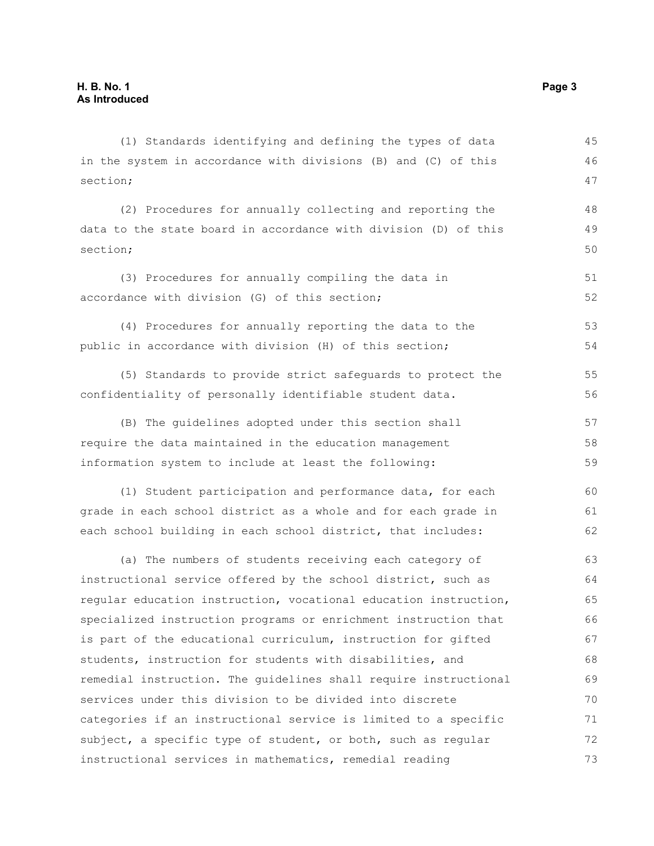in the system in accordance with divisions (B) and (C) of this section; (2) Procedures for annually collecting and reporting the data to the state board in accordance with division (D) of this section; (3) Procedures for annually compiling the data in accordance with division (G) of this section; (4) Procedures for annually reporting the data to the public in accordance with division (H) of this section; (5) Standards to provide strict safeguards to protect the confidentiality of personally identifiable student data. (B) The guidelines adopted under this section shall require the data maintained in the education management information system to include at least the following: (1) Student participation and performance data, for each grade in each school district as a whole and for each grade in each school building in each school district, that includes: (a) The numbers of students receiving each category of instructional service offered by the school district, such as regular education instruction, vocational education instruction, specialized instruction programs or enrichment instruction that is part of the educational curriculum, instruction for gifted students, instruction for students with disabilities, and remedial instruction. The guidelines shall require instructional services under this division to be divided into discrete categories if an instructional service is limited to a specific subject, a specific type of student, or both, such as regular instructional services in mathematics, remedial reading 46 47 48 49 50 51 52 53 54 55 56 57 58 59  $60$ 61 62 63 64 65 66 67 68 69 70 71 72 73

(1) Standards identifying and defining the types of data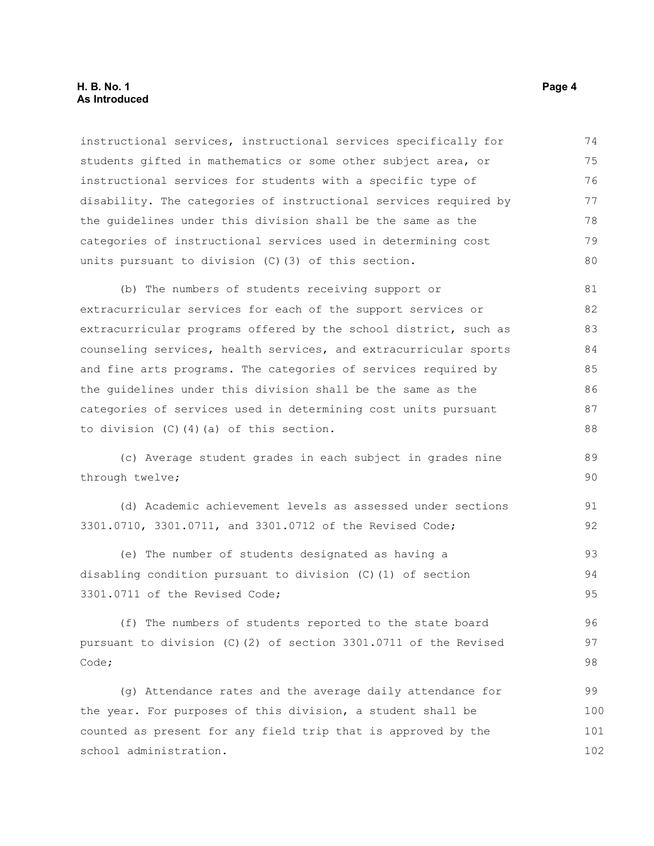#### **H. B. No. 1 Page 4 As Introduced**

instructional services, instructional services specifically for students gifted in mathematics or some other subject area, or instructional services for students with a specific type of disability. The categories of instructional services required by the guidelines under this division shall be the same as the categories of instructional services used in determining cost units pursuant to division (C)(3) of this section. 74 75 76 77 78 79 80

(b) The numbers of students receiving support or extracurricular services for each of the support services or extracurricular programs offered by the school district, such as counseling services, health services, and extracurricular sports and fine arts programs. The categories of services required by the guidelines under this division shall be the same as the categories of services used in determining cost units pursuant to division (C)(4)(a) of this section. 81 82 83 84 85 86 87 88

(c) Average student grades in each subject in grades nine through twelve;

(d) Academic achievement levels as assessed under sections 3301.0710, 3301.0711, and 3301.0712 of the Revised Code;

(e) The number of students designated as having a disabling condition pursuant to division (C)(1) of section 3301.0711 of the Revised Code; 93 94 95

(f) The numbers of students reported to the state board pursuant to division (C)(2) of section 3301.0711 of the Revised Code;

(g) Attendance rates and the average daily attendance for the year. For purposes of this division, a student shall be counted as present for any field trip that is approved by the school administration. 99 100 101 102

89 90

91 92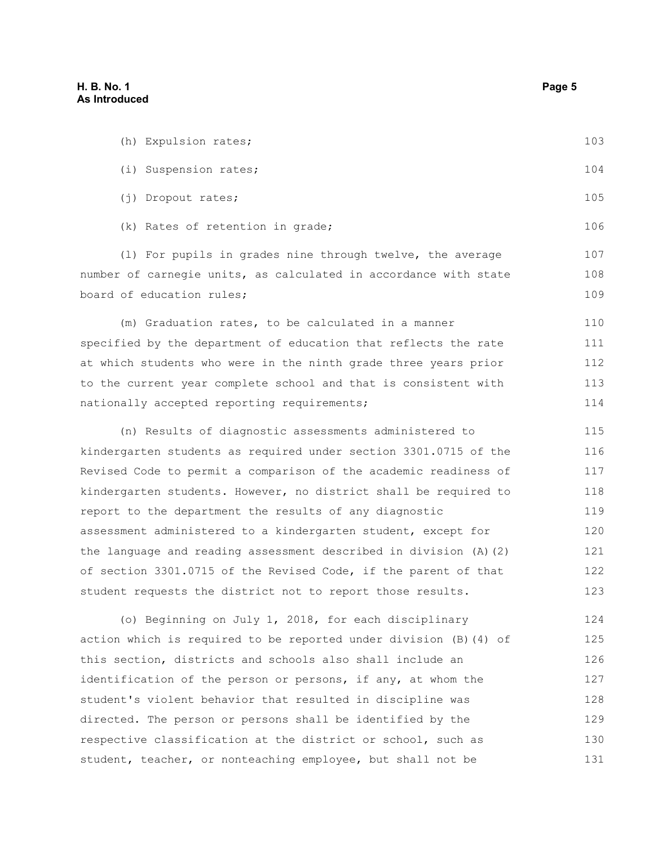| (h) Expulsion rates;                                                  | 103 |
|-----------------------------------------------------------------------|-----|
| (i) Suspension rates;                                                 | 104 |
| (j) Dropout rates;                                                    | 105 |
| (k) Rates of retention in grade;                                      | 106 |
| (1) For pupils in grades nine through twelve, the average             | 107 |
| number of carnegie units, as calculated in accordance with state      | 108 |
| board of education rules;                                             | 109 |
| (m) Graduation rates, to be calculated in a manner                    | 110 |
| specified by the department of education that reflects the rate       | 111 |
| at which students who were in the ninth grade three years prior       | 112 |
| to the current year complete school and that is consistent with       | 113 |
| nationally accepted reporting requirements;                           | 114 |
| (n) Results of diagnostic assessments administered to                 | 115 |
| kindergarten students as required under section 3301.0715 of the      | 116 |
| Revised Code to permit a comparison of the academic readiness of      | 117 |
| kindergarten students. However, no district shall be required to      | 118 |
| report to the department the results of any diagnostic                | 119 |
| assessment administered to a kindergarten student, except for         | 120 |
| the language and reading assessment described in division $(A)$ $(2)$ | 121 |
| of section 3301.0715 of the Revised Code, if the parent of that       | 122 |
| student requests the district not to report those results.            | 123 |
|                                                                       |     |

(o) Beginning on July 1, 2018, for each disciplinary action which is required to be reported under division (B)(4) of this section, districts and schools also shall include an identification of the person or persons, if any, at whom the student's violent behavior that resulted in discipline was directed. The person or persons shall be identified by the respective classification at the district or school, such as student, teacher, or nonteaching employee, but shall not be 124 125 126 127 128 129 130 131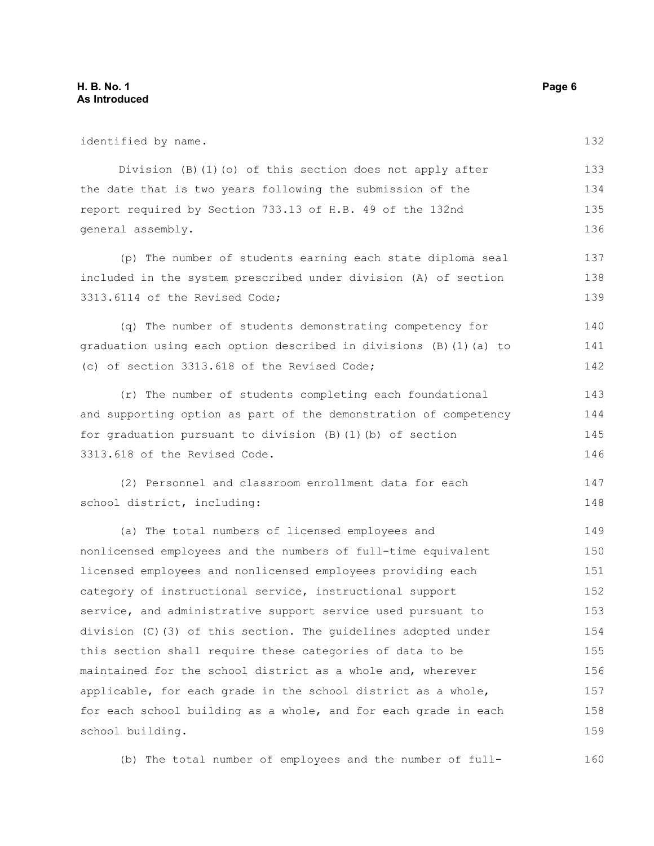#### **H. B. No. 1 Page 6 As Introduced**

identified by name. Division (B)(1)(o) of this section does not apply after the date that is two years following the submission of the report required by Section 733.13 of H.B. 49 of the 132nd general assembly. (p) The number of students earning each state diploma seal included in the system prescribed under division (A) of section 3313.6114 of the Revised Code; (q) The number of students demonstrating competency for graduation using each option described in divisions (B)(1)(a) to (c) of section 3313.618 of the Revised Code; (r) The number of students completing each foundational and supporting option as part of the demonstration of competency for graduation pursuant to division (B)(1)(b) of section 3313.618 of the Revised Code. (2) Personnel and classroom enrollment data for each school district, including: (a) The total numbers of licensed employees and nonlicensed employees and the numbers of full-time equivalent licensed employees and nonlicensed employees providing each category of instructional service, instructional support service, and administrative support service used pursuant to division (C)(3) of this section. The guidelines adopted under this section shall require these categories of data to be maintained for the school district as a whole and, wherever applicable, for each grade in the school district as a whole, for each school building as a whole, and for each grade in each school building. 132 133 134 135 136 137 138 139 140 141 142 143 144 145 146 147 148 149 150 151 152 153 154 155 156 157 158 159

(b) The total number of employees and the number of full-160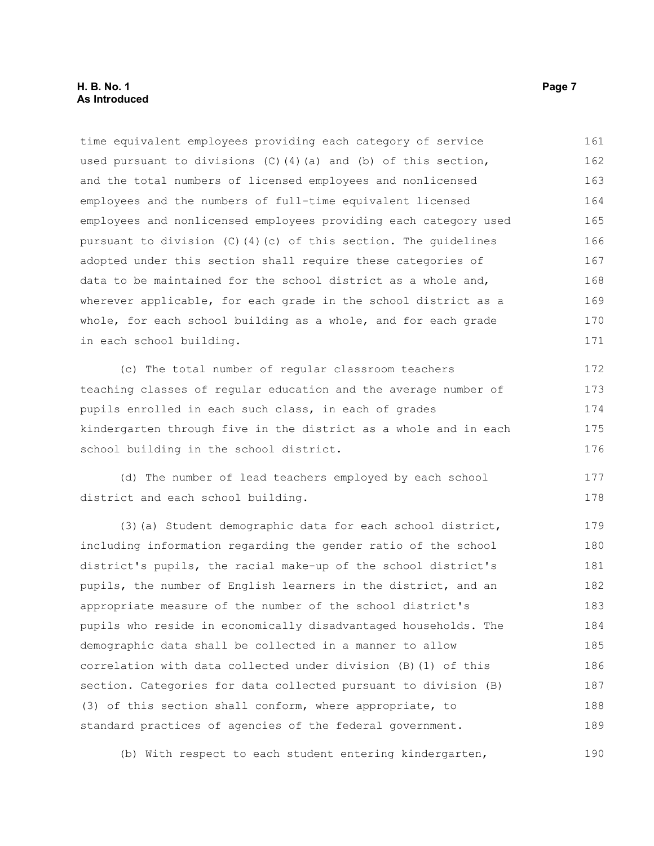#### **H. B. No. 1 Page 7 As Introduced**

time equivalent employees providing each category of service used pursuant to divisions  $(C)$  (4)(a) and (b) of this section, and the total numbers of licensed employees and nonlicensed employees and the numbers of full-time equivalent licensed employees and nonlicensed employees providing each category used pursuant to division (C)(4)(c) of this section. The guidelines adopted under this section shall require these categories of data to be maintained for the school district as a whole and, wherever applicable, for each grade in the school district as a whole, for each school building as a whole, and for each grade in each school building. 161 162 163 164 165 166 167 168 169 170 171

(c) The total number of regular classroom teachers teaching classes of regular education and the average number of pupils enrolled in each such class, in each of grades kindergarten through five in the district as a whole and in each school building in the school district. 172 173 174 175 176

(d) The number of lead teachers employed by each school district and each school building. 177 178

(3)(a) Student demographic data for each school district, including information regarding the gender ratio of the school district's pupils, the racial make-up of the school district's pupils, the number of English learners in the district, and an appropriate measure of the number of the school district's pupils who reside in economically disadvantaged households. The demographic data shall be collected in a manner to allow correlation with data collected under division (B)(1) of this section. Categories for data collected pursuant to division (B) (3) of this section shall conform, where appropriate, to standard practices of agencies of the federal government. 179 180 181 182 183 184 185 186 187 188 189

(b) With respect to each student entering kindergarten, 190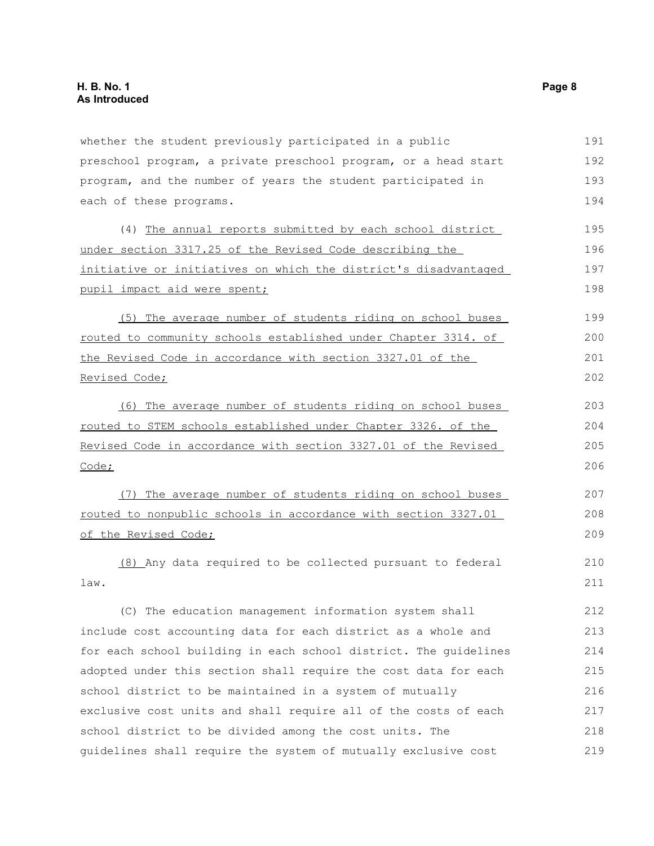whether the student previously participated in a public preschool program, a private preschool program, or a head start program, and the number of years the student participated in each of these programs. (4) The annual reports submitted by each school district under section 3317.25 of the Revised Code describing the initiative or initiatives on which the district's disadvantaged pupil impact aid were spent; (5) The average number of students riding on school buses routed to community schools established under Chapter 3314. of the Revised Code in accordance with section 3327.01 of the Revised Code; (6) The average number of students riding on school buses routed to STEM schools established under Chapter 3326. of the Revised Code in accordance with section 3327.01 of the Revised Code; (7) The average number of students riding on school buses routed to nonpublic schools in accordance with section 3327.01 of the Revised Code; (8) Any data required to be collected pursuant to federal law. (C) The education management information system shall include cost accounting data for each district as a whole and for each school building in each school district. The guidelines adopted under this section shall require the cost data for each school district to be maintained in a system of mutually exclusive cost units and shall require all of the costs of each school district to be divided among the cost units. The guidelines shall require the system of mutually exclusive cost 191 192 193 194 195 196 197 198 199 200 201 202 203 204 205 206 207 208 209 210 211 212 213 214 215 216 217 218 219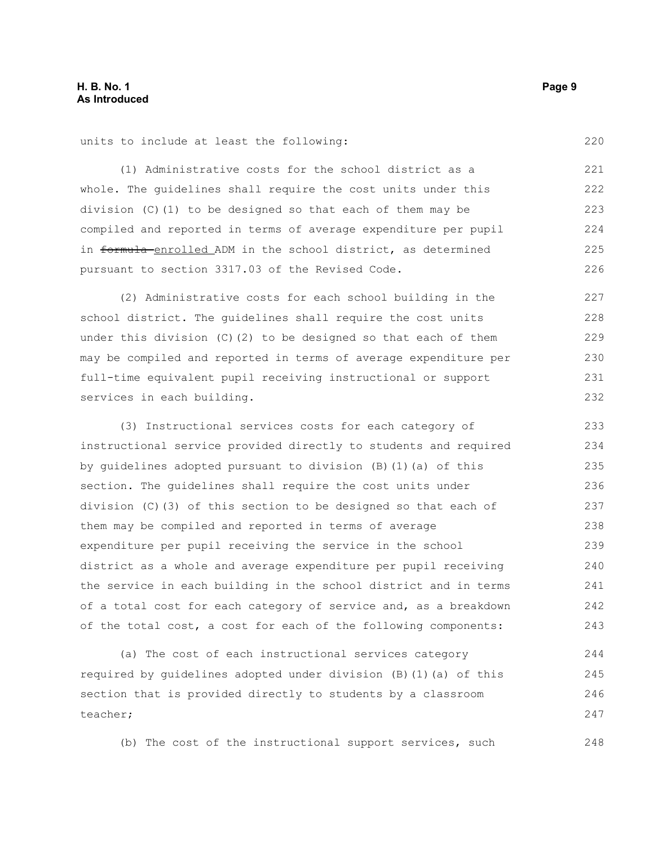units to include at least the following:

(1) Administrative costs for the school district as a whole. The guidelines shall require the cost units under this division (C)(1) to be designed so that each of them may be compiled and reported in terms of average expenditure per pupil in formula enrolled ADM in the school district, as determined pursuant to section 3317.03 of the Revised Code. 221 222 223 224 225 226

(2) Administrative costs for each school building in the school district. The guidelines shall require the cost units under this division (C)(2) to be designed so that each of them may be compiled and reported in terms of average expenditure per full-time equivalent pupil receiving instructional or support services in each building.

(3) Instructional services costs for each category of instructional service provided directly to students and required by guidelines adopted pursuant to division (B)(1)(a) of this section. The guidelines shall require the cost units under division (C)(3) of this section to be designed so that each of them may be compiled and reported in terms of average expenditure per pupil receiving the service in the school district as a whole and average expenditure per pupil receiving the service in each building in the school district and in terms of a total cost for each category of service and, as a breakdown of the total cost, a cost for each of the following components: 233 234 235 236 237 238 239 240 241 242 243

(a) The cost of each instructional services category required by guidelines adopted under division (B)(1)(a) of this section that is provided directly to students by a classroom teacher; 244 245 246 247

(b) The cost of the instructional support services, such

220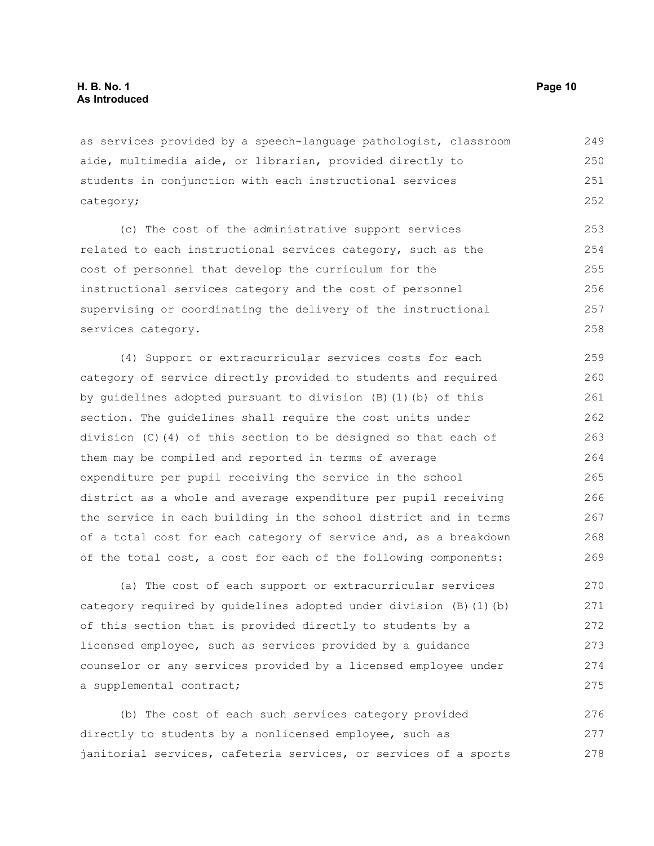as services provided by a speech-language pathologist, classroom aide, multimedia aide, or librarian, provided directly to students in conjunction with each instructional services category; 249 250 251 252

(c) The cost of the administrative support services related to each instructional services category, such as the cost of personnel that develop the curriculum for the instructional services category and the cost of personnel supervising or coordinating the delivery of the instructional services category. 253 254 255 256 257 258

(4) Support or extracurricular services costs for each category of service directly provided to students and required by guidelines adopted pursuant to division (B)(1)(b) of this section. The guidelines shall require the cost units under division (C)(4) of this section to be designed so that each of them may be compiled and reported in terms of average expenditure per pupil receiving the service in the school district as a whole and average expenditure per pupil receiving the service in each building in the school district and in terms of a total cost for each category of service and, as a breakdown of the total cost, a cost for each of the following components: 259 260 261 262 263 264 265 266 267 268 269

(a) The cost of each support or extracurricular services category required by guidelines adopted under division (B)(1)(b) of this section that is provided directly to students by a licensed employee, such as services provided by a guidance counselor or any services provided by a licensed employee under a supplemental contract; 270 271 272 273 274 275

(b) The cost of each such services category provided directly to students by a nonlicensed employee, such as janitorial services, cafeteria services, or services of a sports 276 277 278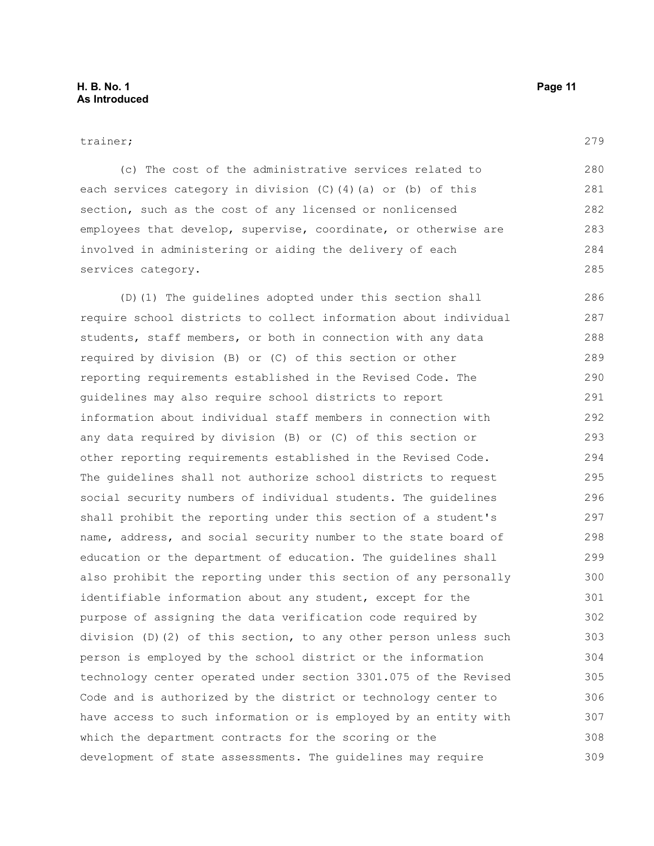279

| services category.                                               | 285 |
|------------------------------------------------------------------|-----|
| (D) (1) The quidelines adopted under this section shall          | 286 |
| require school districts to collect information about individual | 287 |
| students, staff members, or both in connection with any data     | 288 |
| required by division (B) or (C) of this section or other         | 289 |
| reporting requirements established in the Revised Code. The      | 290 |
| quidelines may also require school districts to report           | 291 |
| information about individual staff members in connection with    | 292 |
| any data required by division (B) or (C) of this section or      | 293 |
| other reporting requirements established in the Revised Code.    | 294 |
| The quidelines shall not authorize school districts to request   | 295 |
| social security numbers of individual students. The guidelines   | 296 |
| shall prohibit the reporting under this section of a student's   | 297 |
| name, address, and social security number to the state board of  | 298 |
| education or the department of education. The quidelines shall   | 299 |
| also prohibit the reporting under this section of any personally | 300 |
| identifiable information about any student, except for the       | 301 |
| purpose of assigning the data verification code required by      | 302 |
| division (D)(2) of this section, to any other person unless such | 303 |
| person is employed by the school district or the information     | 304 |
| technology center operated under section 3301.075 of the Revised | 305 |
| Code and is authorized by the district or technology center to   | 306 |
| have access to such information or is employed by an entity with | 307 |
| which the department contracts for the scoring or the            | 308 |
| development of state assessments. The guidelines may require     | 309 |

(c) The cost of the administrative services related to

employees that develop, supervise, coordinate, or otherwise are

each services category in division (C)(4)(a) or (b) of this

section, such as the cost of any licensed or nonlicensed

involved in administering or aiding the delivery of each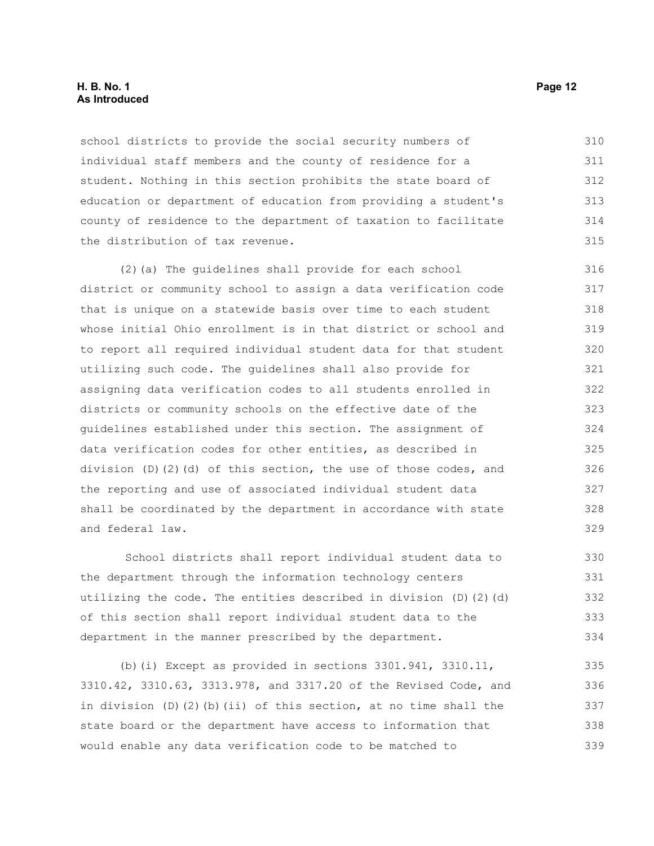#### **H. B. No. 1 Page 12 As Introduced**

school districts to provide the social security numbers of individual staff members and the county of residence for a student. Nothing in this section prohibits the state board of education or department of education from providing a student's county of residence to the department of taxation to facilitate the distribution of tax revenue. 310 311 312 313 314 315

(2)(a) The guidelines shall provide for each school district or community school to assign a data verification code that is unique on a statewide basis over time to each student whose initial Ohio enrollment is in that district or school and to report all required individual student data for that student utilizing such code. The guidelines shall also provide for assigning data verification codes to all students enrolled in districts or community schools on the effective date of the guidelines established under this section. The assignment of data verification codes for other entities, as described in division (D)(2)(d) of this section, the use of those codes, and the reporting and use of associated individual student data shall be coordinated by the department in accordance with state and federal law. 316 317 318 319 320 321 322 323 324 325 326 327 328 329

School districts shall report individual student data to the department through the information technology centers utilizing the code. The entities described in division (D)(2)(d) of this section shall report individual student data to the department in the manner prescribed by the department.

(b)(i) Except as provided in sections  $3301.941$ ,  $3310.11$ , 3310.42, 3310.63, 3313.978, and 3317.20 of the Revised Code, and in division  $(D)$   $(2)$   $(b)$   $(ii)$  of this section, at no time shall the state board or the department have access to information that would enable any data verification code to be matched to 335 336 337 338 339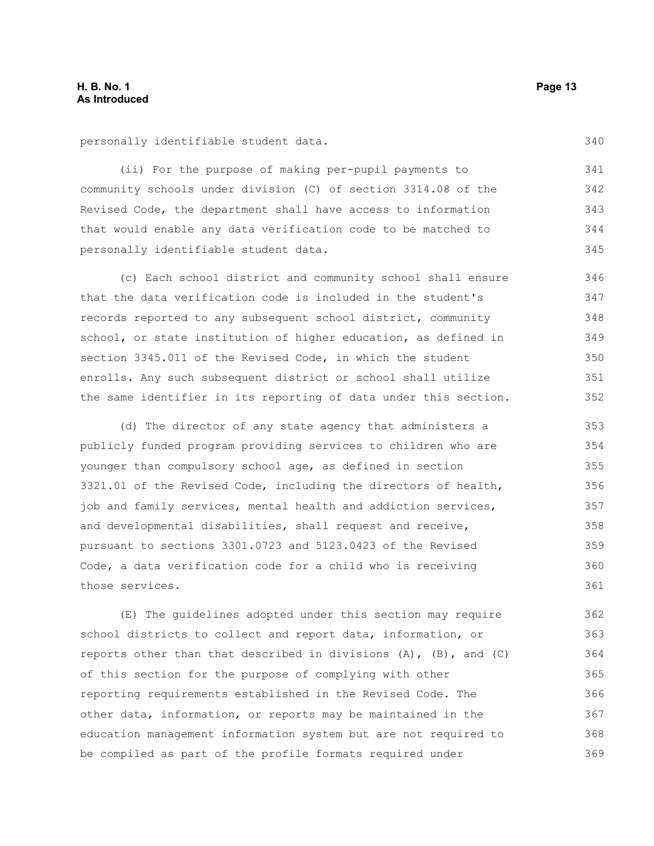personally identifiable student data.

(ii) For the purpose of making per-pupil payments to community schools under division (C) of section 3314.08 of the Revised Code, the department shall have access to information that would enable any data verification code to be matched to personally identifiable student data.

(c) Each school district and community school shall ensure that the data verification code is included in the student's records reported to any subsequent school district, community school, or state institution of higher education, as defined in section 3345.011 of the Revised Code, in which the student enrolls. Any such subsequent district or school shall utilize the same identifier in its reporting of data under this section. 346 347 348 349 350 351 352

(d) The director of any state agency that administers a publicly funded program providing services to children who are younger than compulsory school age, as defined in section 3321.01 of the Revised Code, including the directors of health, job and family services, mental health and addiction services, and developmental disabilities, shall request and receive, pursuant to sections 3301.0723 and 5123.0423 of the Revised Code, a data verification code for a child who is receiving those services. 353 354 355 356 357 358 359 360 361

(E) The guidelines adopted under this section may require school districts to collect and report data, information, or reports other than that described in divisions (A), (B), and (C) of this section for the purpose of complying with other reporting requirements established in the Revised Code. The other data, information, or reports may be maintained in the education management information system but are not required to be compiled as part of the profile formats required under 362 363 364 365 366 367 368 369

340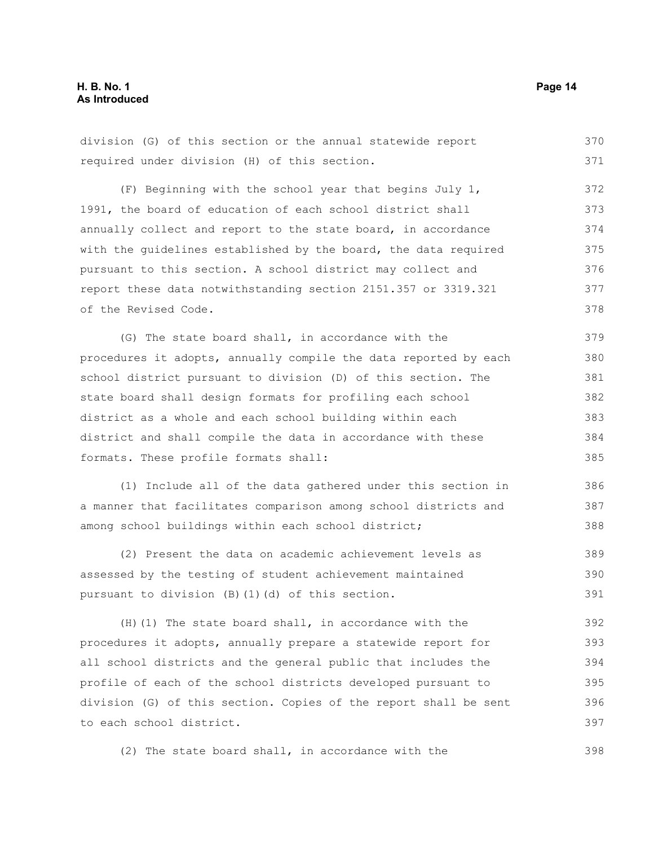division (G) of this section or the annual statewide report required under division (H) of this section. 370 371

(F) Beginning with the school year that begins July 1, 1991, the board of education of each school district shall annually collect and report to the state board, in accordance with the guidelines established by the board, the data required pursuant to this section. A school district may collect and report these data notwithstanding section 2151.357 or 3319.321 of the Revised Code. 372 373 374 375 376 377 378

(G) The state board shall, in accordance with the procedures it adopts, annually compile the data reported by each school district pursuant to division (D) of this section. The state board shall design formats for profiling each school district as a whole and each school building within each district and shall compile the data in accordance with these formats. These profile formats shall: 379 380 381 382 383 384 385

(1) Include all of the data gathered under this section in a manner that facilitates comparison among school districts and among school buildings within each school district;

(2) Present the data on academic achievement levels as assessed by the testing of student achievement maintained pursuant to division (B)(1)(d) of this section. 389 390 391

(H)(1) The state board shall, in accordance with the procedures it adopts, annually prepare a statewide report for all school districts and the general public that includes the profile of each of the school districts developed pursuant to division (G) of this section. Copies of the report shall be sent to each school district. 392 393 394 395 396 397

(2) The state board shall, in accordance with the

386 387 388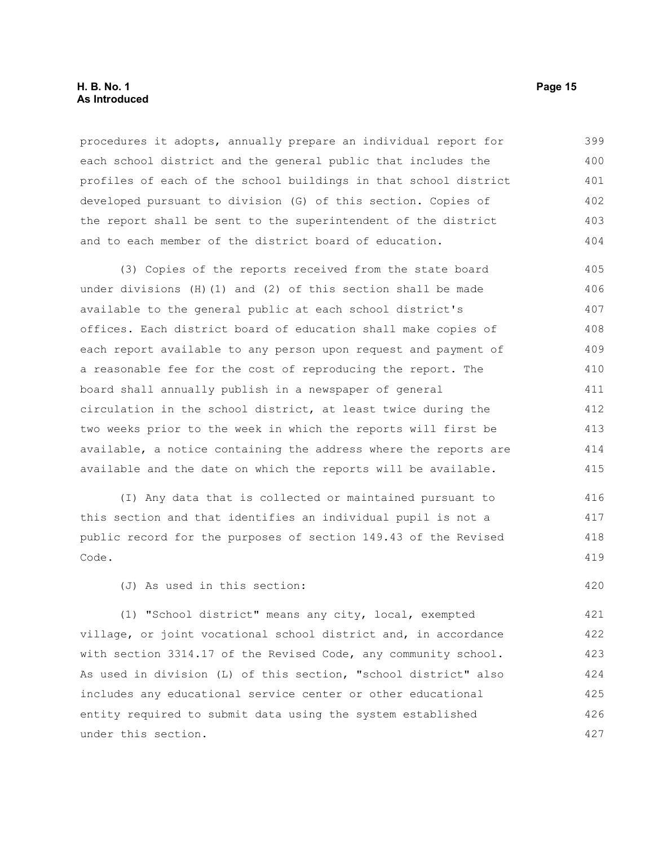#### **H. B. No. 1 Page 15 As Introduced**

procedures it adopts, annually prepare an individual report for each school district and the general public that includes the profiles of each of the school buildings in that school district developed pursuant to division (G) of this section. Copies of the report shall be sent to the superintendent of the district and to each member of the district board of education. 399 400 401 402 403 404

(3) Copies of the reports received from the state board under divisions (H)(1) and (2) of this section shall be made available to the general public at each school district's offices. Each district board of education shall make copies of each report available to any person upon request and payment of a reasonable fee for the cost of reproducing the report. The board shall annually publish in a newspaper of general circulation in the school district, at least twice during the two weeks prior to the week in which the reports will first be available, a notice containing the address where the reports are available and the date on which the reports will be available. 405 406 407 408 409 410 411 412 413 414 415

(I) Any data that is collected or maintained pursuant to this section and that identifies an individual pupil is not a public record for the purposes of section 149.43 of the Revised Code. 416 417 418 419

(J) As used in this section:

(1) "School district" means any city, local, exempted village, or joint vocational school district and, in accordance with section 3314.17 of the Revised Code, any community school. As used in division (L) of this section, "school district" also includes any educational service center or other educational entity required to submit data using the system established under this section. 421 422 423 424 425 426 427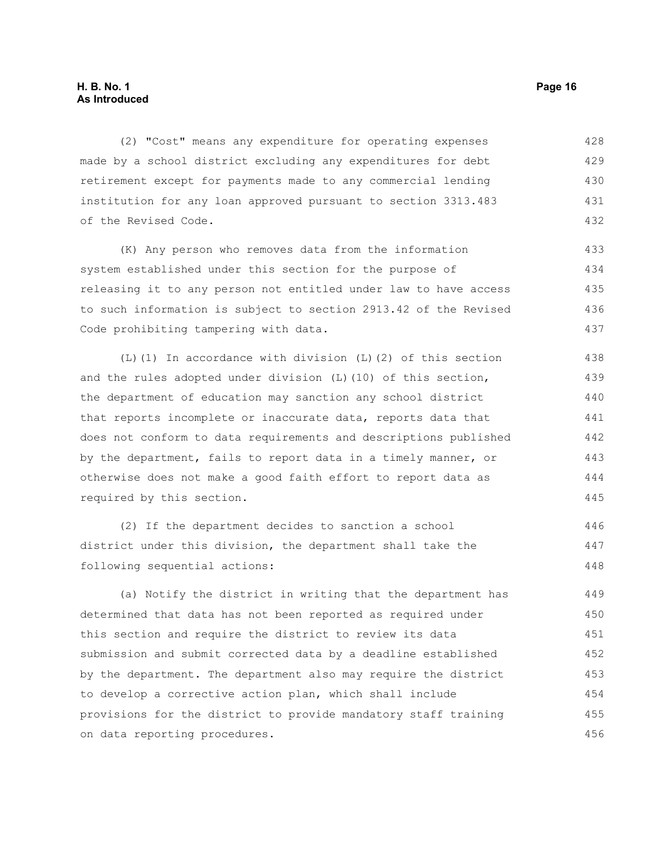#### **H. B. No. 1 Page 16 As Introduced**

(2) "Cost" means any expenditure for operating expenses made by a school district excluding any expenditures for debt retirement except for payments made to any commercial lending institution for any loan approved pursuant to section 3313.483 of the Revised Code. 428 429 430 431 432

(K) Any person who removes data from the information system established under this section for the purpose of releasing it to any person not entitled under law to have access to such information is subject to section 2913.42 of the Revised Code prohibiting tampering with data. 433 434 435 436 437

(L)(1) In accordance with division (L)(2) of this section and the rules adopted under division  $(L)$  (10) of this section, the department of education may sanction any school district that reports incomplete or inaccurate data, reports data that does not conform to data requirements and descriptions published by the department, fails to report data in a timely manner, or otherwise does not make a good faith effort to report data as required by this section. 438 439 440 441 442 443 444 445

(2) If the department decides to sanction a school district under this division, the department shall take the following sequential actions:

(a) Notify the district in writing that the department has determined that data has not been reported as required under this section and require the district to review its data submission and submit corrected data by a deadline established by the department. The department also may require the district to develop a corrective action plan, which shall include provisions for the district to provide mandatory staff training on data reporting procedures. 449 450 451 452 453 454 455 456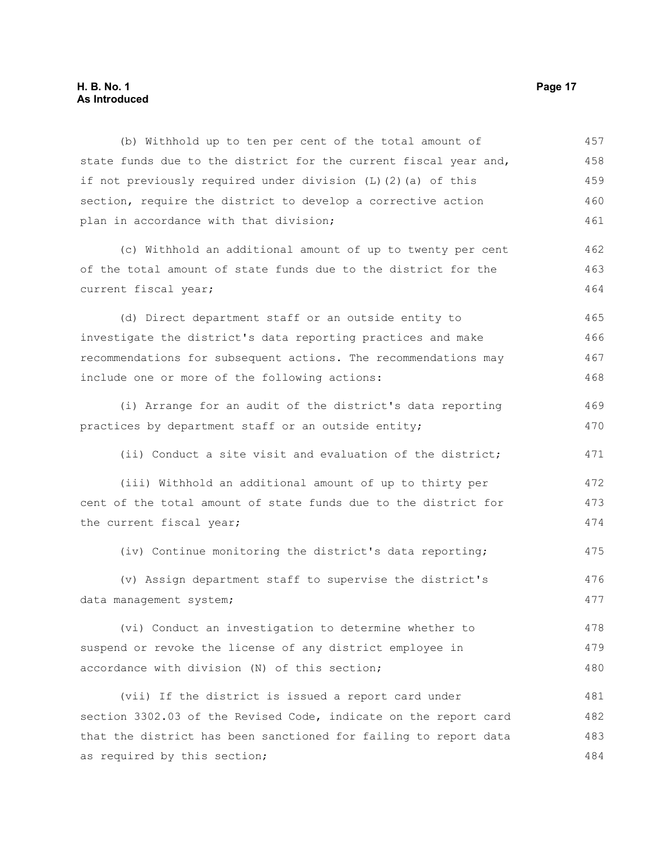## **H. B. No. 1 Page 17 As Introduced**

| (b) Withhold up to ten per cent of the total amount of           | 457 |
|------------------------------------------------------------------|-----|
| state funds due to the district for the current fiscal year and, | 458 |
| if not previously required under division (L) (2) (a) of this    | 459 |
| section, require the district to develop a corrective action     | 460 |
| plan in accordance with that division;                           | 461 |
| (c) Withhold an additional amount of up to twenty per cent       | 462 |
| of the total amount of state funds due to the district for the   | 463 |
| current fiscal year;                                             | 464 |
| (d) Direct department staff or an outside entity to              | 465 |
| investigate the district's data reporting practices and make     | 466 |
| recommendations for subsequent actions. The recommendations may  | 467 |
| include one or more of the following actions:                    | 468 |
| (i) Arrange for an audit of the district's data reporting        | 469 |
| practices by department staff or an outside entity;              | 470 |
| (ii) Conduct a site visit and evaluation of the district;        | 471 |
| (iii) Withhold an additional amount of up to thirty per          | 472 |
| cent of the total amount of state funds due to the district for  | 473 |
| the current fiscal year;                                         | 474 |
| (iv) Continue monitoring the district's data reporting;          | 475 |
| (v) Assign department staff to supervise the district's          | 476 |
| data management system;                                          | 477 |
| (vi) Conduct an investigation to determine whether to            | 478 |
| suspend or revoke the license of any district employee in        | 479 |
| accordance with division (N) of this section;                    | 480 |
| (vii) If the district is issued a report card under              | 481 |
| section 3302.03 of the Revised Code, indicate on the report card | 482 |
| that the district has been sanctioned for failing to report data | 483 |
| as required by this section;                                     | 484 |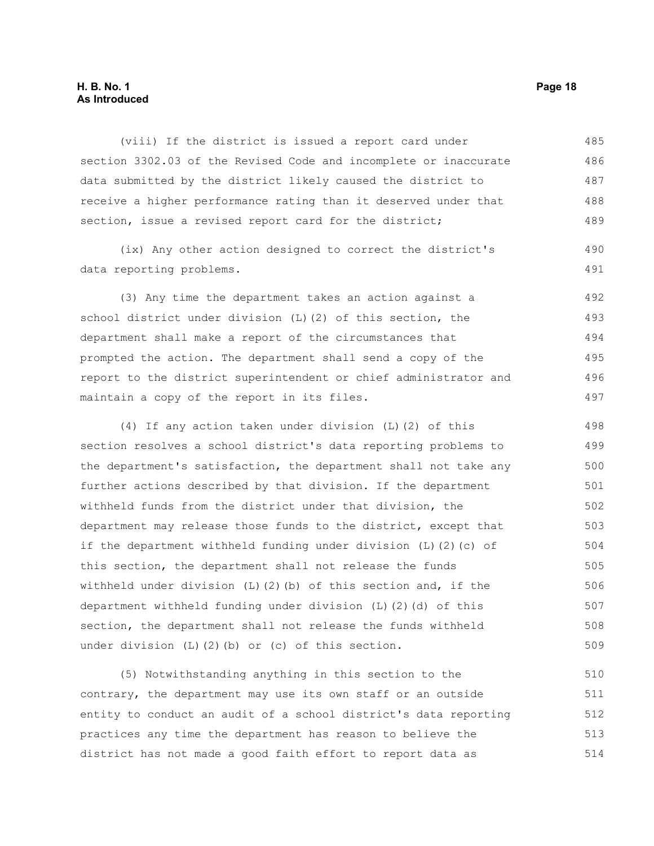#### **H. B. No. 1 Page 18 As Introduced**

(viii) If the district is issued a report card under section 3302.03 of the Revised Code and incomplete or inaccurate data submitted by the district likely caused the district to receive a higher performance rating than it deserved under that section, issue a revised report card for the district; 485 486 487 488 489

(ix) Any other action designed to correct the district's data reporting problems.

(3) Any time the department takes an action against a school district under division (L)(2) of this section, the department shall make a report of the circumstances that prompted the action. The department shall send a copy of the report to the district superintendent or chief administrator and maintain a copy of the report in its files. 492 493 494 495 496 497

(4) If any action taken under division (L)(2) of this section resolves a school district's data reporting problems to the department's satisfaction, the department shall not take any further actions described by that division. If the department withheld funds from the district under that division, the department may release those funds to the district, except that if the department withheld funding under division (L)(2)(c) of this section, the department shall not release the funds withheld under division (L)(2)(b) of this section and, if the department withheld funding under division (L)(2)(d) of this section, the department shall not release the funds withheld under division (L)(2)(b) or (c) of this section. 498 499 500 501 502 503 504 505 506 507 508 509

(5) Notwithstanding anything in this section to the contrary, the department may use its own staff or an outside entity to conduct an audit of a school district's data reporting practices any time the department has reason to believe the district has not made a good faith effort to report data as 510 511 512 513 514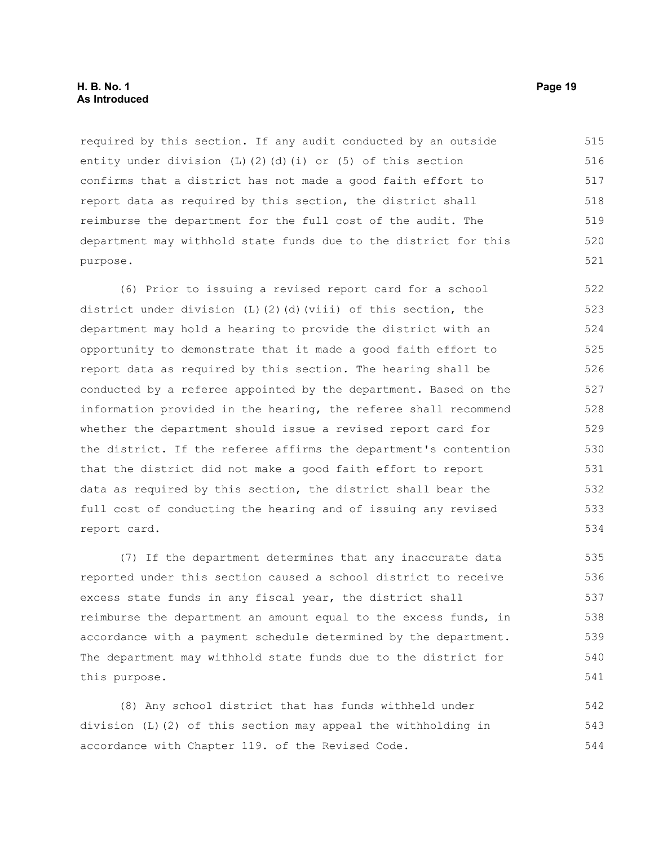#### **H. B. No. 1 Page 19 As Introduced**

required by this section. If any audit conducted by an outside entity under division  $(L)$   $(2)$   $(d)$   $(i)$  or  $(5)$  of this section confirms that a district has not made a good faith effort to report data as required by this section, the district shall reimburse the department for the full cost of the audit. The department may withhold state funds due to the district for this purpose. 515 516 517 518 519 520 521

(6) Prior to issuing a revised report card for a school district under division  $(L)$  (2)(d)(viii) of this section, the department may hold a hearing to provide the district with an opportunity to demonstrate that it made a good faith effort to report data as required by this section. The hearing shall be conducted by a referee appointed by the department. Based on the information provided in the hearing, the referee shall recommend whether the department should issue a revised report card for the district. If the referee affirms the department's contention that the district did not make a good faith effort to report data as required by this section, the district shall bear the full cost of conducting the hearing and of issuing any revised report card. 522 523 524 525 526 527 528 529 530 531 532 533 534

(7) If the department determines that any inaccurate data reported under this section caused a school district to receive excess state funds in any fiscal year, the district shall reimburse the department an amount equal to the excess funds, in accordance with a payment schedule determined by the department. The department may withhold state funds due to the district for this purpose.

(8) Any school district that has funds withheld under division (L)(2) of this section may appeal the withholding in accordance with Chapter 119. of the Revised Code. 542 543 544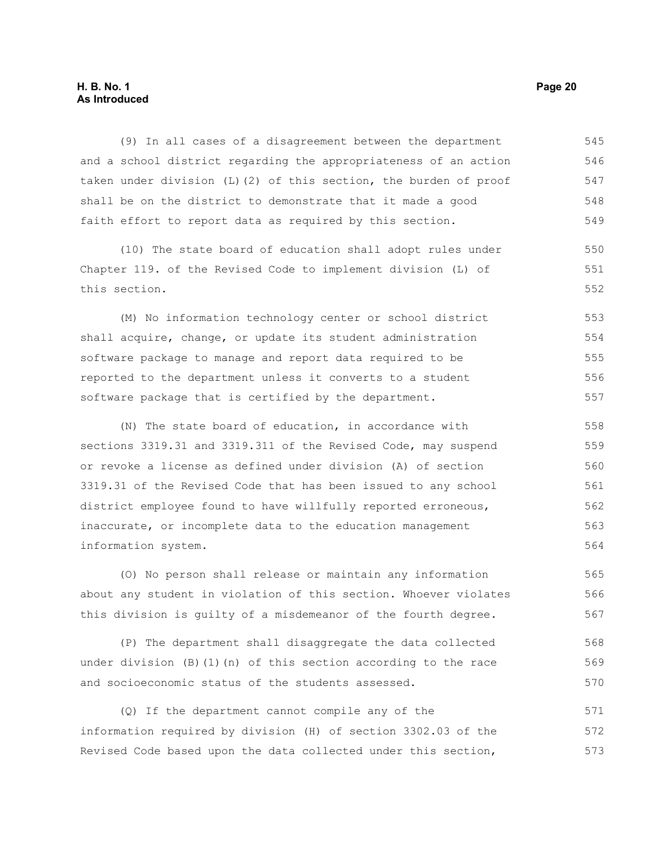#### **H. B. No. 1 Page 20 As Introduced**

(9) In all cases of a disagreement between the department and a school district regarding the appropriateness of an action taken under division (L)(2) of this section, the burden of proof shall be on the district to demonstrate that it made a good faith effort to report data as required by this section. 545 546 547 548 549

(10) The state board of education shall adopt rules under Chapter 119. of the Revised Code to implement division (L) of this section.

(M) No information technology center or school district shall acquire, change, or update its student administration software package to manage and report data required to be reported to the department unless it converts to a student software package that is certified by the department. 553 554 555 556 557

(N) The state board of education, in accordance with sections 3319.31 and 3319.311 of the Revised Code, may suspend or revoke a license as defined under division (A) of section 3319.31 of the Revised Code that has been issued to any school district employee found to have willfully reported erroneous, inaccurate, or incomplete data to the education management information system.

(O) No person shall release or maintain any information about any student in violation of this section. Whoever violates this division is guilty of a misdemeanor of the fourth degree. 565 566 567

(P) The department shall disaggregate the data collected under division  $(B)(1)(n)$  of this section according to the race and socioeconomic status of the students assessed. 568 569 570

(Q) If the department cannot compile any of the information required by division (H) of section 3302.03 of the Revised Code based upon the data collected under this section, 571 572 573

550 551 552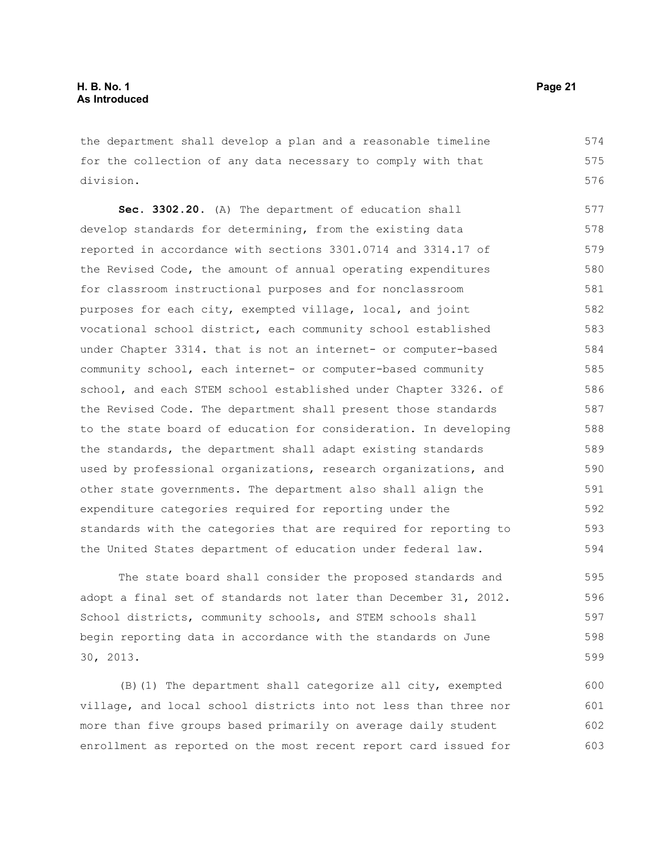the department shall develop a plan and a reasonable timeline for the collection of any data necessary to comply with that division. 574 575 576

**Sec. 3302.20.** (A) The department of education shall develop standards for determining, from the existing data reported in accordance with sections 3301.0714 and 3314.17 of the Revised Code, the amount of annual operating expenditures for classroom instructional purposes and for nonclassroom purposes for each city, exempted village, local, and joint vocational school district, each community school established under Chapter 3314. that is not an internet- or computer-based community school, each internet- or computer-based community school, and each STEM school established under Chapter 3326. of the Revised Code. The department shall present those standards to the state board of education for consideration. In developing the standards, the department shall adapt existing standards used by professional organizations, research organizations, and other state governments. The department also shall align the expenditure categories required for reporting under the standards with the categories that are required for reporting to the United States department of education under federal law. 577 578 579 580 581 582 583 584 585 586 587 588 589 590 591 592 593 594

The state board shall consider the proposed standards and adopt a final set of standards not later than December 31, 2012. School districts, community schools, and STEM schools shall begin reporting data in accordance with the standards on June 30, 2013.

(B)(1) The department shall categorize all city, exempted village, and local school districts into not less than three nor more than five groups based primarily on average daily student enrollment as reported on the most recent report card issued for 600 601 602 603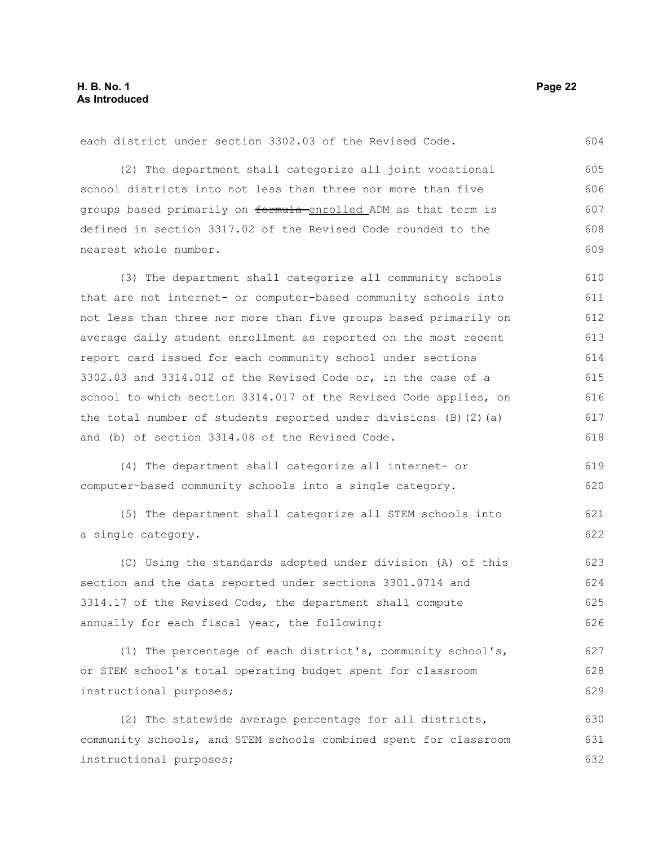(2) The department shall categorize all joint vocational school districts into not less than three nor more than five groups based primarily on formula enrolled ADM as that term is defined in section 3317.02 of the Revised Code rounded to the nearest whole number. (3) The department shall categorize all community schools that are not internet- or computer-based community schools into not less than three nor more than five groups based primarily on average daily student enrollment as reported on the most recent report card issued for each community school under sections 3302.03 and 3314.012 of the Revised Code or, in the case of a school to which section 3314.017 of the Revised Code applies, on the total number of students reported under divisions  $(B)$   $(2)$   $(a)$ and (b) of section 3314.08 of the Revised Code. (4) The department shall categorize all internet- or computer-based community schools into a single category. (5) The department shall categorize all STEM schools into a single category. 605 606 607 608 609 610 611 612 613 614 615 616 617 618 619 620 621 622

each district under section 3302.03 of the Revised Code.

(C) Using the standards adopted under division (A) of this section and the data reported under sections 3301.0714 and 3314.17 of the Revised Code, the department shall compute annually for each fiscal year, the following: 623 624 625 626

(1) The percentage of each district's, community school's, or STEM school's total operating budget spent for classroom instructional purposes; 627 628 629

(2) The statewide average percentage for all districts, community schools, and STEM schools combined spent for classroom instructional purposes; 630 631 632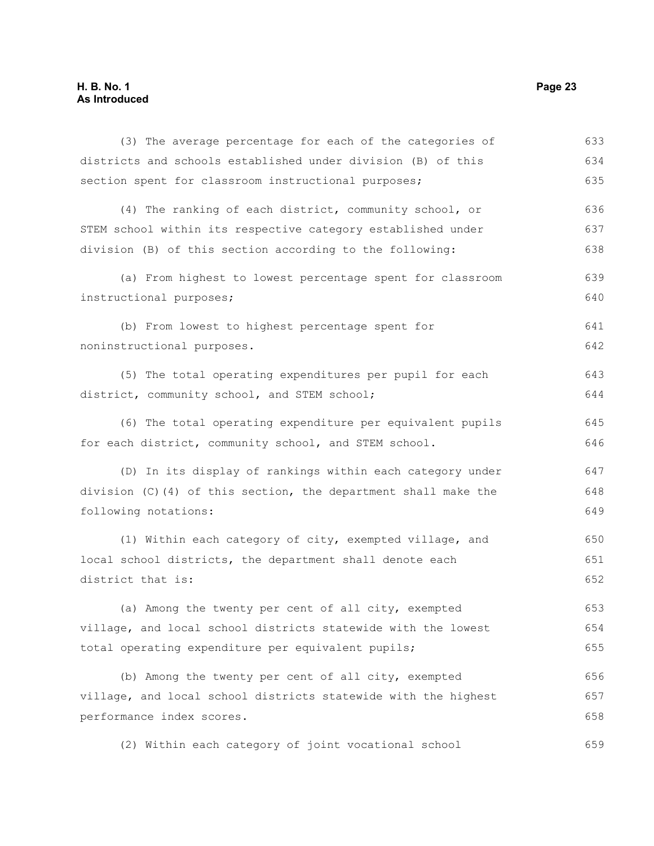## **H. B. No. 1 Page 23 As Introduced**

| (3) The average percentage for each of the categories of       | 633 |
|----------------------------------------------------------------|-----|
| districts and schools established under division (B) of this   | 634 |
| section spent for classroom instructional purposes;            | 635 |
| (4) The ranking of each district, community school, or         | 636 |
| STEM school within its respective category established under   | 637 |
| division (B) of this section according to the following:       | 638 |
| (a) From highest to lowest percentage spent for classroom      | 639 |
| instructional purposes;                                        | 640 |
| (b) From lowest to highest percentage spent for                | 641 |
| noninstructional purposes.                                     | 642 |
| (5) The total operating expenditures per pupil for each        | 643 |
| district, community school, and STEM school;                   | 644 |
| (6) The total operating expenditure per equivalent pupils      | 645 |
| for each district, community school, and STEM school.          | 646 |
| (D) In its display of rankings within each category under      | 647 |
| division (C)(4) of this section, the department shall make the | 648 |
| following notations:                                           | 649 |
| (1) Within each category of city, exempted village, and        | 650 |
| local school districts, the department shall denote each       | 651 |
| district that is:                                              | 652 |
| (a) Among the twenty per cent of all city, exempted            | 653 |
| village, and local school districts statewide with the lowest  | 654 |
| total operating expenditure per equivalent pupils;             | 655 |
| (b) Among the twenty per cent of all city, exempted            | 656 |
| village, and local school districts statewide with the highest | 657 |
| performance index scores.                                      | 658 |
| (2) Within each category of joint vocational school            | 659 |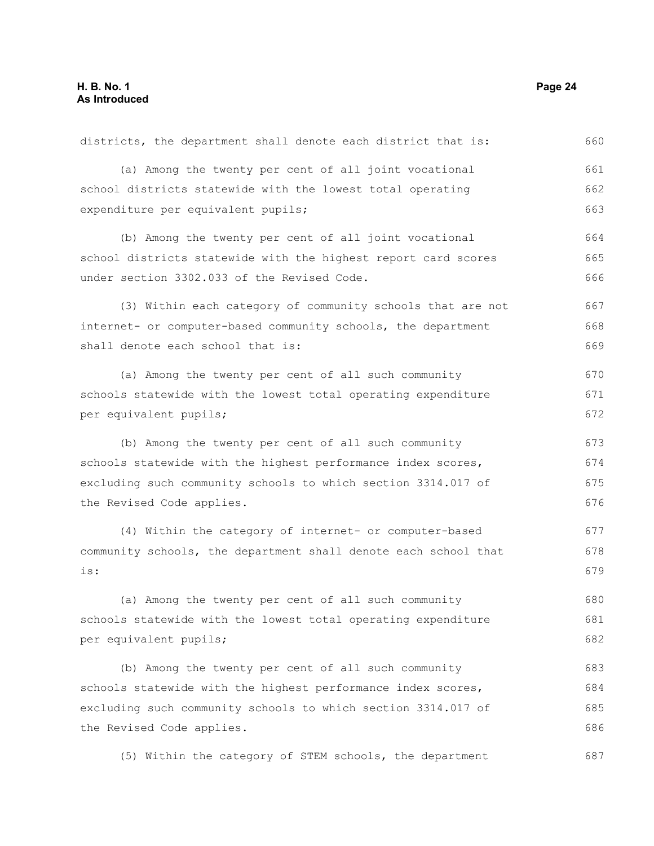| districts, the department shall denote each district that is:   | 660 |
|-----------------------------------------------------------------|-----|
| (a) Among the twenty per cent of all joint vocational           | 661 |
| school districts statewide with the lowest total operating      | 662 |
| expenditure per equivalent pupils;                              | 663 |
| (b) Among the twenty per cent of all joint vocational           | 664 |
| school districts statewide with the highest report card scores  | 665 |
| under section 3302.033 of the Revised Code.                     | 666 |
| (3) Within each category of community schools that are not      | 667 |
| internet- or computer-based community schools, the department   | 668 |
| shall denote each school that is:                               | 669 |
| (a) Among the twenty per cent of all such community             | 670 |
| schools statewide with the lowest total operating expenditure   | 671 |
| per equivalent pupils;                                          | 672 |
| (b) Among the twenty per cent of all such community             | 673 |
| schools statewide with the highest performance index scores,    |     |
| excluding such community schools to which section 3314.017 of   |     |
| the Revised Code applies.                                       | 676 |
| (4) Within the category of internet- or computer-based          | 677 |
| community schools, the department shall denote each school that | 678 |
| is:                                                             | 679 |
| (a) Among the twenty per cent of all such community             | 680 |
| schools statewide with the lowest total operating expenditure   | 681 |
| per equivalent pupils;                                          | 682 |
| (b) Among the twenty per cent of all such community             | 683 |
| schools statewide with the highest performance index scores,    | 684 |
| excluding such community schools to which section 3314.017 of   | 685 |
| the Revised Code applies.                                       | 686 |
| (5) Within the category of STEM schools, the department         | 687 |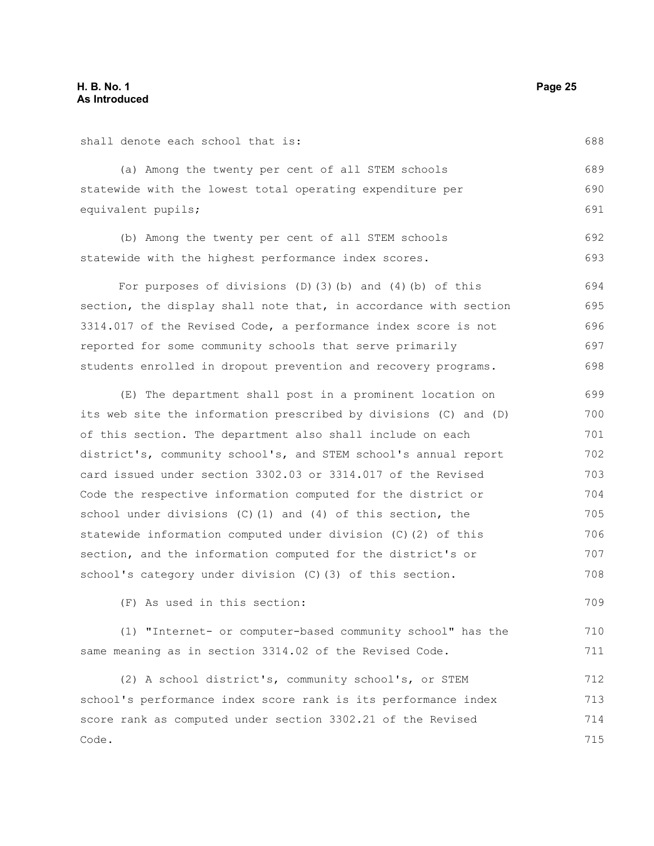shall denote each school that is:

(a) Among the twenty per cent of all STEM schools statewide with the lowest total operating expenditure per equivalent pupils; 689 690 691

(b) Among the twenty per cent of all STEM schools statewide with the highest performance index scores. 692 693

For purposes of divisions  $(D)$   $(3)$   $(b)$  and  $(4)$   $(b)$  of this section, the display shall note that, in accordance with section 3314.017 of the Revised Code, a performance index score is not reported for some community schools that serve primarily students enrolled in dropout prevention and recovery programs. 694 695 696 697 698

(E) The department shall post in a prominent location on its web site the information prescribed by divisions (C) and (D) of this section. The department also shall include on each district's, community school's, and STEM school's annual report card issued under section 3302.03 or 3314.017 of the Revised Code the respective information computed for the district or school under divisions (C)(1) and (4) of this section, the statewide information computed under division (C)(2) of this section, and the information computed for the district's or school's category under division (C)(3) of this section. 699 700 701 702 703 704 705 706 707 708

(F) As used in this section:

(1) "Internet- or computer-based community school" has the same meaning as in section 3314.02 of the Revised Code. 710 711

(2) A school district's, community school's, or STEM school's performance index score rank is its performance index score rank as computed under section 3302.21 of the Revised Code. 712 713 714 715

688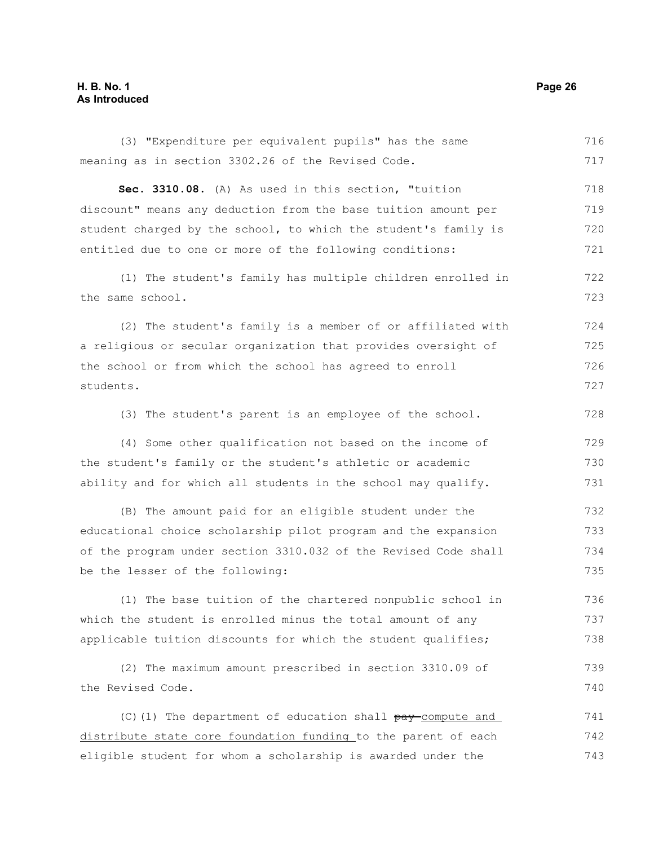#### **H. B. No. 1 Page 26 As Introduced**

(3) "Expenditure per equivalent pupils" has the same meaning as in section 3302.26 of the Revised Code. **Sec. 3310.08.** (A) As used in this section, "tuition discount" means any deduction from the base tuition amount per student charged by the school, to which the student's family is entitled due to one or more of the following conditions: (1) The student's family has multiple children enrolled in the same school. (2) The student's family is a member of or affiliated with a religious or secular organization that provides oversight of the school or from which the school has agreed to enroll students. (3) The student's parent is an employee of the school. (4) Some other qualification not based on the income of the student's family or the student's athletic or academic ability and for which all students in the school may qualify. (B) The amount paid for an eligible student under the educational choice scholarship pilot program and the expansion of the program under section 3310.032 of the Revised Code shall be the lesser of the following: (1) The base tuition of the chartered nonpublic school in which the student is enrolled minus the total amount of any applicable tuition discounts for which the student qualifies; (2) The maximum amount prescribed in section 3310.09 of the Revised Code. (C)(1) The department of education shall  $pay$ -compute and distribute state core foundation funding to the parent of each 716 717 718 719 720 721 722 723 724 725 726 727 728 729 730 731 732 733 734 735 736 737 738 739 740 741 742

eligible student for whom a scholarship is awarded under the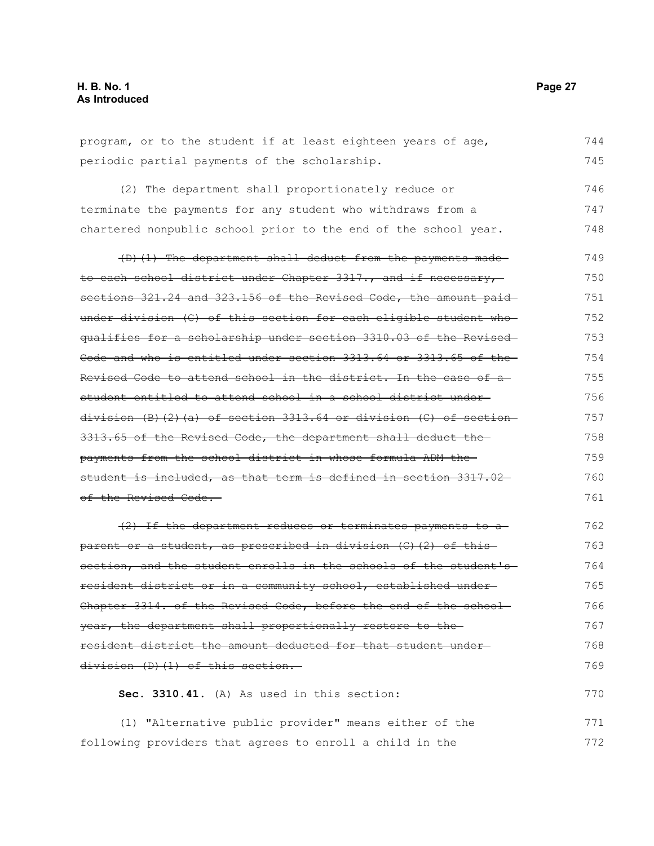| periodic partial payments of the scholarship.                                | 745 |
|------------------------------------------------------------------------------|-----|
| (2) The department shall proportionately reduce or                           | 746 |
| terminate the payments for any student who withdraws from a                  | 747 |
| chartered nonpublic school prior to the end of the school year.              | 748 |
| (D) (1) The department shall deduct from the payments made-                  | 749 |
| to each school district under Chapter 3317., and if necessary,               | 750 |
| sections 321.24 and 323.156 of the Revised Code, the amount paid             | 751 |
| under division (C) of this section for each eligible student who-            | 752 |
| qualifies for a scholarship under section 3310.03 of the Revised-            | 753 |
| Code and who is entitled under section 3313.64 or 3313.65 of the-            | 754 |
| <del>Revised Code to attend school in the district. In the case of a-</del>  | 755 |
| <u>student entitled to attend school in a school district under-</u>         | 756 |
| <del>division (B)(2)(a) of section 3313.64 or division (C) of section-</del> | 757 |
| 3313.65 of the Revised Code, the department shall deduct the                 | 758 |
| payments from the school district in whose formula ADM the-                  | 759 |
| student is included, as that term is defined in section 3317.02-             | 760 |
| of the Revised Code.—                                                        | 761 |
| (2) If the department reduces or terminates payments to a                    | 762 |
| <del>parent or a student, as prescribed in division (C)(2) of this</del>     | 763 |
| section, and the student enrolls in the schools of the student's             | 764 |
| resident district or in a community school, established under-               | 765 |
| Chapter 3314. of the Revised Code, before the end of the school-             | 766 |
| year, the department shall proportionally restore to the                     | 767 |
| resident district the amount deducted for that student under-                | 768 |
| division (D)(1) of this section.                                             | 769 |
| Sec. 3310.41. (A) As used in this section:                                   | 770 |
| (1) "Alternative public provider" means either of the                        | 771 |

program, or to the student if at least eighteen years of age, 744

following providers that agrees to enroll a child in the 772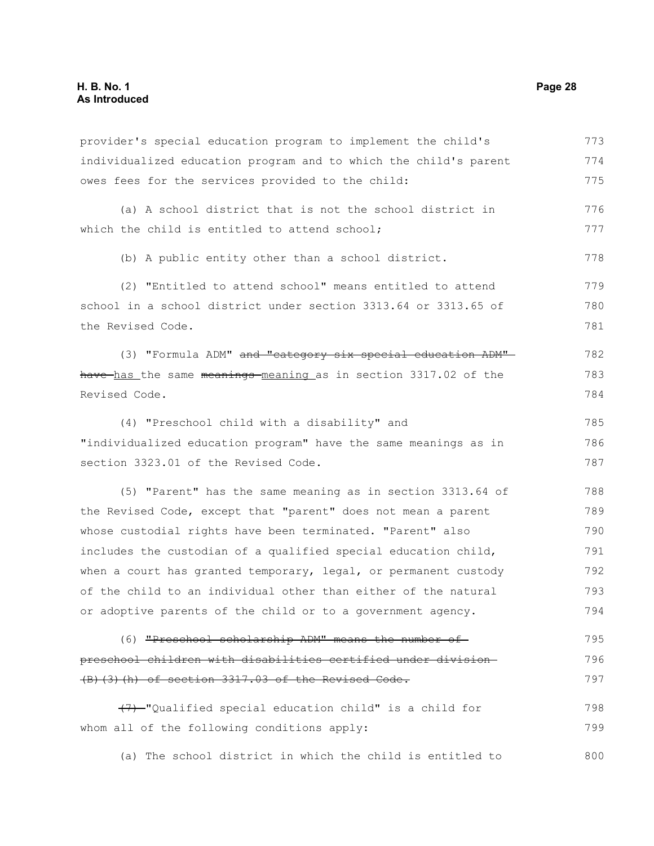provider's special education program to implement the child's individualized education program and to which the child's parent owes fees for the services provided to the child: (a) A school district that is not the school district in which the child is entitled to attend school; (b) A public entity other than a school district. (2) "Entitled to attend school" means entitled to attend school in a school district under section 3313.64 or 3313.65 of the Revised Code. (3) "Formula ADM" and "category six special education ADM"have has the same meanings meaning as in section 3317.02 of the Revised Code. (4) "Preschool child with a disability" and "individualized education program" have the same meanings as in section 3323.01 of the Revised Code. (5) "Parent" has the same meaning as in section 3313.64 of the Revised Code, except that "parent" does not mean a parent whose custodial rights have been terminated. "Parent" also includes the custodian of a qualified special education child, when a court has granted temporary, legal, or permanent custody of the child to an individual other than either of the natural or adoptive parents of the child or to a government agency. (6) "Preschool scholarship ADM" means the number of preschool children with disabilities certified under division (B)(3)(h) of section 3317.03 of the Revised Code. (7) "Qualified special education child" is a child for whom all of the following conditions apply: (a) The school district in which the child is entitled to 773 774 775 776 777 778 779 780 781 782 783 784 785 786 787 788 789 790 791 792 793 794 795 796 797 798 799 800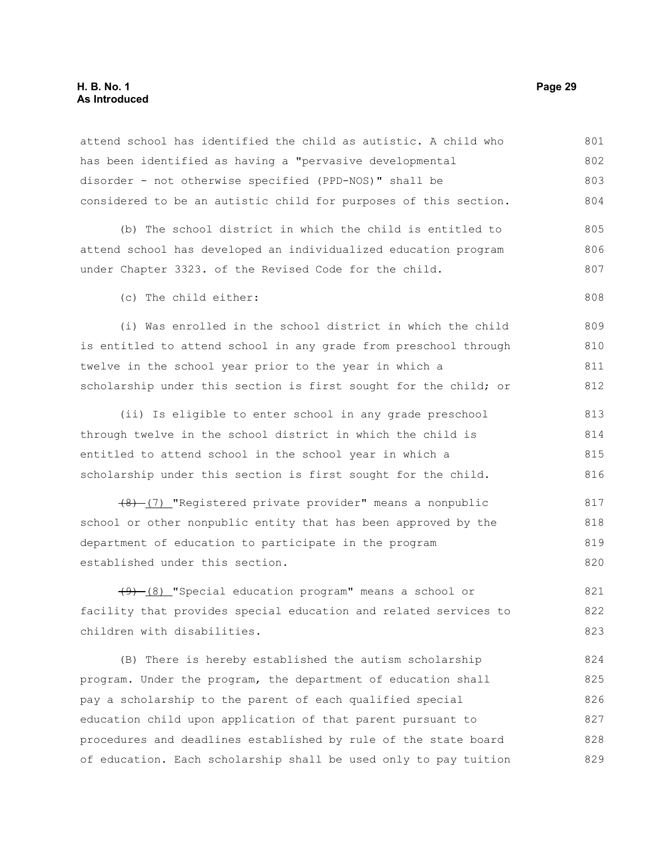#### **H. B. No. 1 Page 29 As Introduced**

attend school has identified the child as autistic. A child who has been identified as having a "pervasive developmental disorder - not otherwise specified (PPD-NOS)" shall be considered to be an autistic child for purposes of this section. 801 802 803 804

(b) The school district in which the child is entitled to attend school has developed an individualized education program under Chapter 3323. of the Revised Code for the child. 805 806 807

(c) The child either:

(i) Was enrolled in the school district in which the child is entitled to attend school in any grade from preschool through twelve in the school year prior to the year in which a scholarship under this section is first sought for the child; or 809 810 811 812

(ii) Is eligible to enter school in any grade preschool through twelve in the school district in which the child is entitled to attend school in the school year in which a scholarship under this section is first sought for the child. 813 814 815 816

(8) (7) "Registered private provider" means a nonpublic school or other nonpublic entity that has been approved by the department of education to participate in the program established under this section. 817 818 819 820

(9) (8) "Special education program" means a school or facility that provides special education and related services to children with disabilities. 821 822 823

(B) There is hereby established the autism scholarship program. Under the program, the department of education shall pay a scholarship to the parent of each qualified special education child upon application of that parent pursuant to procedures and deadlines established by rule of the state board of education. Each scholarship shall be used only to pay tuition 824 825 826 827 828 829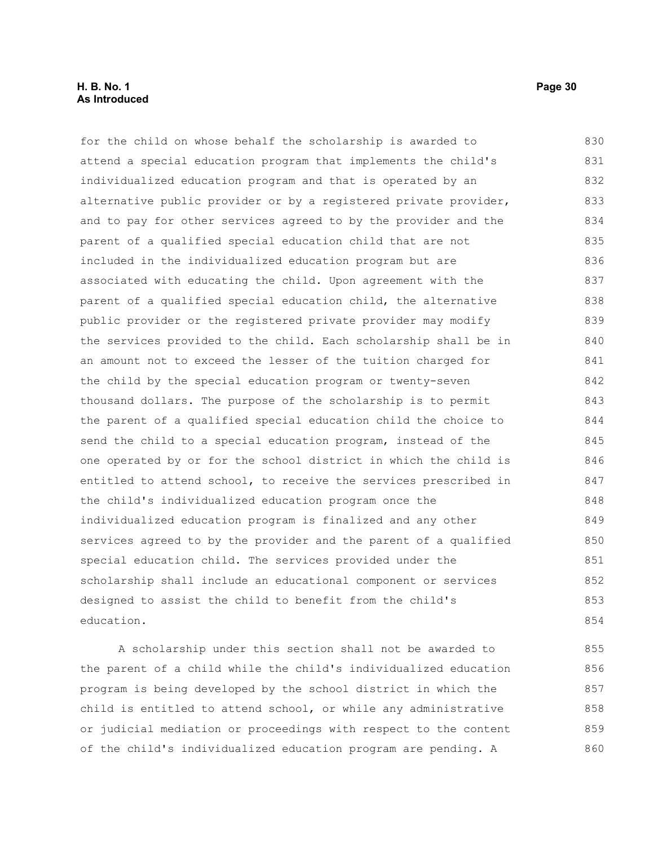#### **H. B. No. 1 Page 30 As Introduced**

for the child on whose behalf the scholarship is awarded to attend a special education program that implements the child's individualized education program and that is operated by an alternative public provider or by a registered private provider, and to pay for other services agreed to by the provider and the parent of a qualified special education child that are not included in the individualized education program but are associated with educating the child. Upon agreement with the parent of a qualified special education child, the alternative public provider or the registered private provider may modify the services provided to the child. Each scholarship shall be in an amount not to exceed the lesser of the tuition charged for the child by the special education program or twenty-seven thousand dollars. The purpose of the scholarship is to permit the parent of a qualified special education child the choice to send the child to a special education program, instead of the one operated by or for the school district in which the child is entitled to attend school, to receive the services prescribed in the child's individualized education program once the individualized education program is finalized and any other services agreed to by the provider and the parent of a qualified special education child. The services provided under the scholarship shall include an educational component or services designed to assist the child to benefit from the child's education. 830 831 832 833 834 835 836 837 838 839 840 841 842 843 844 845 846 847 848 849 850 851 852 853 854

A scholarship under this section shall not be awarded to the parent of a child while the child's individualized education program is being developed by the school district in which the child is entitled to attend school, or while any administrative or judicial mediation or proceedings with respect to the content of the child's individualized education program are pending. A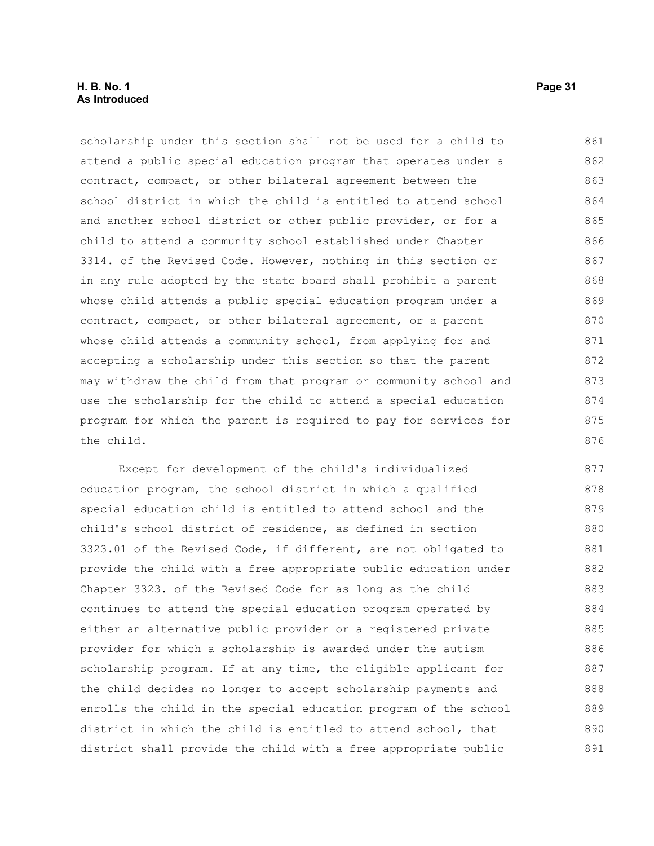#### **H. B. No. 1 Page 31 As Introduced**

scholarship under this section shall not be used for a child to attend a public special education program that operates under a contract, compact, or other bilateral agreement between the school district in which the child is entitled to attend school and another school district or other public provider, or for a child to attend a community school established under Chapter 3314. of the Revised Code. However, nothing in this section or in any rule adopted by the state board shall prohibit a parent whose child attends a public special education program under a contract, compact, or other bilateral agreement, or a parent whose child attends a community school, from applying for and accepting a scholarship under this section so that the parent may withdraw the child from that program or community school and use the scholarship for the child to attend a special education program for which the parent is required to pay for services for the child. 861 862 863 864 865 866 867 868 869 870 871 872 873 874 875 876

Except for development of the child's individualized education program, the school district in which a qualified special education child is entitled to attend school and the child's school district of residence, as defined in section 3323.01 of the Revised Code, if different, are not obligated to provide the child with a free appropriate public education under Chapter 3323. of the Revised Code for as long as the child continues to attend the special education program operated by either an alternative public provider or a registered private provider for which a scholarship is awarded under the autism scholarship program. If at any time, the eligible applicant for the child decides no longer to accept scholarship payments and enrolls the child in the special education program of the school district in which the child is entitled to attend school, that district shall provide the child with a free appropriate public 877 878 879 880 881 882 883 884 885 886 887 888 889 890 891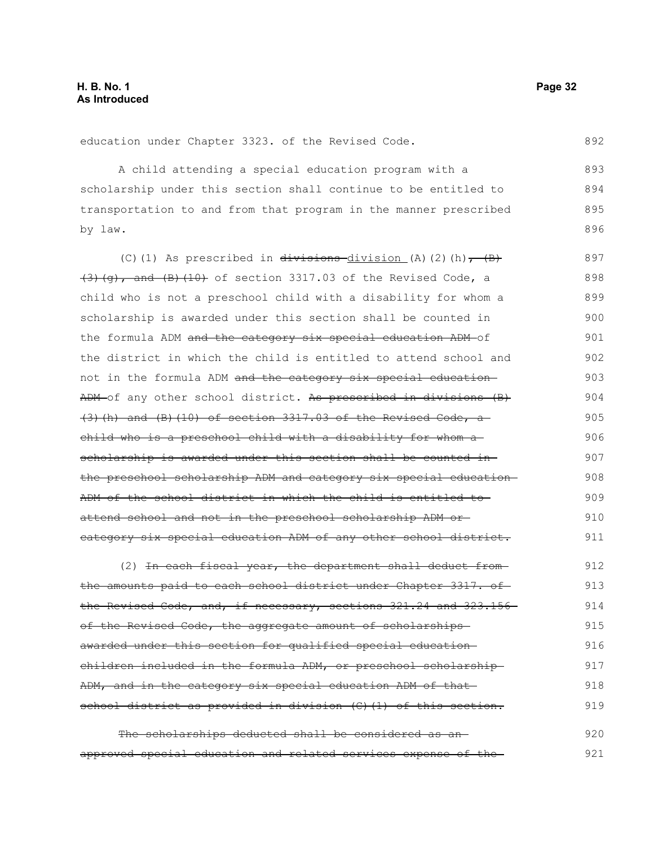education under Chapter 3323. of the Revised Code.

A child attending a special education program with a scholarship under this section shall continue to be entitled to transportation to and from that program in the manner prescribed by law. 893 894 895 896

(C)(1) As prescribed in  $\overline{divisions}$  division (A)(2)(h),  $\overline{B}$ )  $(3)$   $(g)$ , and  $(B)$   $(10)$  of section 3317.03 of the Revised Code, a child who is not a preschool child with a disability for whom a scholarship is awarded under this section shall be counted in the formula ADM and the category six special education ADM of the district in which the child is entitled to attend school and not in the formula ADM and the category six special education ADM of any other school district. As prescribed in divisions (B)  $(3)$  (h) and (B)(10) of section 3317.03 of the Revised Code, a child who is a preschool child with a disability for whom a scholarship is awarded under this section shall be counted inthe preschool scholarship ADM and category six special education ADM of the school district in which the child is entitled to attend school and not in the preschool scholarship ADM or category six special education ADM of any other school district. 897 898 899 900 901 902 903 904 905 906 907 908 909 910 911

(2) In each fiscal year, the department shall deduct fromthe amounts paid to each school district under Chapter 3317. of the Revised Code, and, if necessary, sections 321.24 and 323.156 of the Revised Code, the aggregate amount of scholarshipsawarded under this section for qualified special education children included in the formula ADM, or preschool scholarship ADM, and in the category six special education ADM of that school district as provided in division (C)(1) of this section. 912 913 914 915 916 917 918 919

The scholarships deducted shall be considered as anapproved special education and related services expense of the 920 921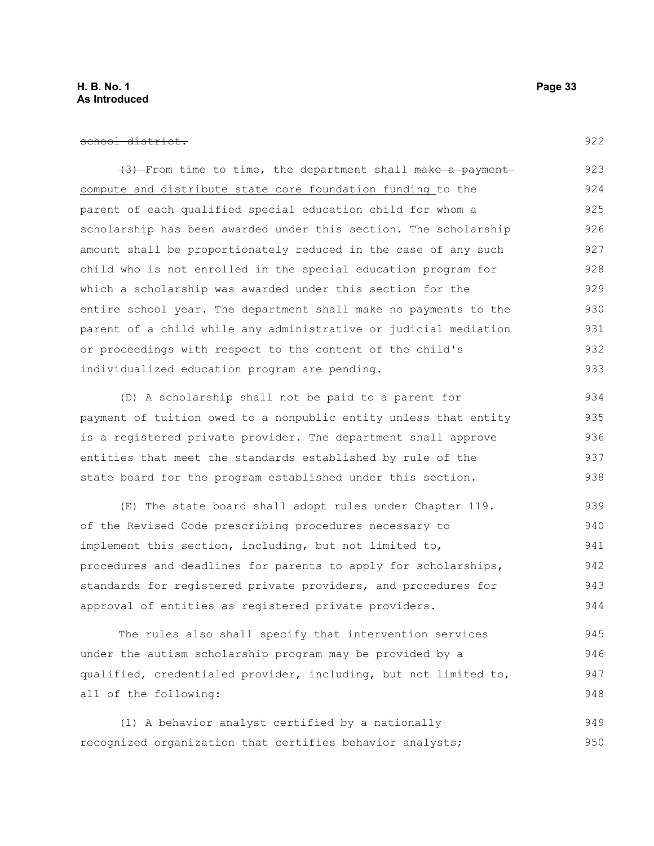#### **H. B. No. 1 Page 33 As Introduced**

#### school district.

(3) From time to time, the department shall make a payment compute and distribute state core foundation funding to the parent of each qualified special education child for whom a scholarship has been awarded under this section. The scholarship amount shall be proportionately reduced in the case of any such child who is not enrolled in the special education program for which a scholarship was awarded under this section for the entire school year. The department shall make no payments to the parent of a child while any administrative or judicial mediation or proceedings with respect to the content of the child's individualized education program are pending. 923 924 925 926 927 928 929 930 931 932 933

(D) A scholarship shall not be paid to a parent for payment of tuition owed to a nonpublic entity unless that entity is a registered private provider. The department shall approve entities that meet the standards established by rule of the state board for the program established under this section. 934 935 936 937 938

(E) The state board shall adopt rules under Chapter 119. of the Revised Code prescribing procedures necessary to implement this section, including, but not limited to, procedures and deadlines for parents to apply for scholarships, standards for registered private providers, and procedures for approval of entities as registered private providers. 939 940 941 942 943 944

The rules also shall specify that intervention services under the autism scholarship program may be provided by a qualified, credentialed provider, including, but not limited to, all of the following: 945 946 947 948

(1) A behavior analyst certified by a nationally recognized organization that certifies behavior analysts; 949 950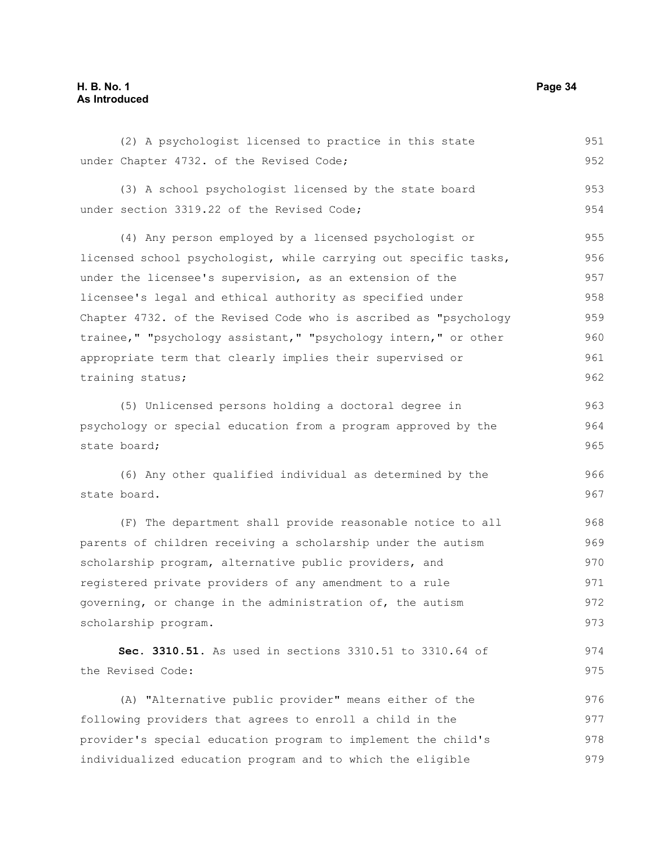#### **H. B. No. 1 Page 34 As Introduced**

(2) A psychologist licensed to practice in this state under Chapter 4732. of the Revised Code; (3) A school psychologist licensed by the state board under section 3319.22 of the Revised Code; (4) Any person employed by a licensed psychologist or licensed school psychologist, while carrying out specific tasks, under the licensee's supervision, as an extension of the licensee's legal and ethical authority as specified under Chapter 4732. of the Revised Code who is ascribed as "psychology trainee," "psychology assistant," "psychology intern," or other appropriate term that clearly implies their supervised or training status; (5) Unlicensed persons holding a doctoral degree in psychology or special education from a program approved by the state board; (6) Any other qualified individual as determined by the state board. (F) The department shall provide reasonable notice to all parents of children receiving a scholarship under the autism scholarship program, alternative public providers, and registered private providers of any amendment to a rule governing, or change in the administration of, the autism scholarship program. **Sec. 3310.51.** As used in sections 3310.51 to 3310.64 of the Revised Code: (A) "Alternative public provider" means either of the following providers that agrees to enroll a child in the provider's special education program to implement the child's individualized education program and to which the eligible 951 952 953 954 955 956 957 958 959 960 961 962 963 964 965 966 967 968 969 970 971 972 973 974 975 976 977 978 979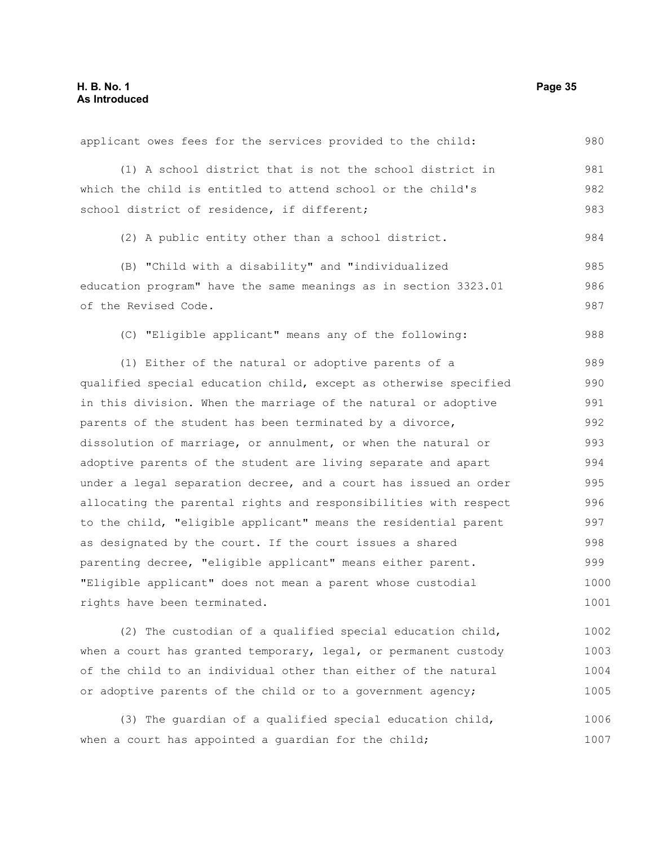| applicant owes fees for the services provided to the child:                                                     | 980  |
|-----------------------------------------------------------------------------------------------------------------|------|
| (1) A school district that is not the school district in                                                        | 981  |
| which the child is entitled to attend school or the child's                                                     | 982  |
| school district of residence, if different;                                                                     | 983  |
| (2) A public entity other than a school district.                                                               | 984  |
| (B) "Child with a disability" and "individualized                                                               | 985  |
| education program" have the same meanings as in section 3323.01                                                 | 986  |
| of the Revised Code.                                                                                            | 987  |
| (C) "Eligible applicant" means any of the following:                                                            | 988  |
| (1) Either of the natural or adoptive parents of a                                                              | 989  |
| qualified special education child, except as otherwise specified                                                | 990  |
| in this division. When the marriage of the natural or adoptive                                                  |      |
| parents of the student has been terminated by a divorce,                                                        |      |
| dissolution of marriage, or annulment, or when the natural or                                                   |      |
| adoptive parents of the student are living separate and apart                                                   |      |
| under a legal separation decree, and a court has issued an order                                                | 995  |
| allocating the parental rights and responsibilities with respect                                                | 996  |
| to the child, "eligible applicant" means the residential parent                                                 | 997  |
| as designated by the court. If the court issues a shared                                                        | 998  |
| parenting decree, "eligible applicant" means either parent.                                                     | 999  |
| "Eligible applicant" does not mean a parent whose custodial                                                     | 1000 |
| rights have been terminated.                                                                                    | 1001 |
| (2) The custodian of a qualified special education child,                                                       | 1002 |
| the contract of the contract of the contract of the contract of the contract of the contract of the contract of | 1000 |

when a court has granted temporary, legal, or permanent custody of the child to an individual other than either of the natural or adoptive parents of the child or to a government agency; 1003 1004 1005

(3) The guardian of a qualified special education child, when a court has appointed a guardian for the child; 1006 1007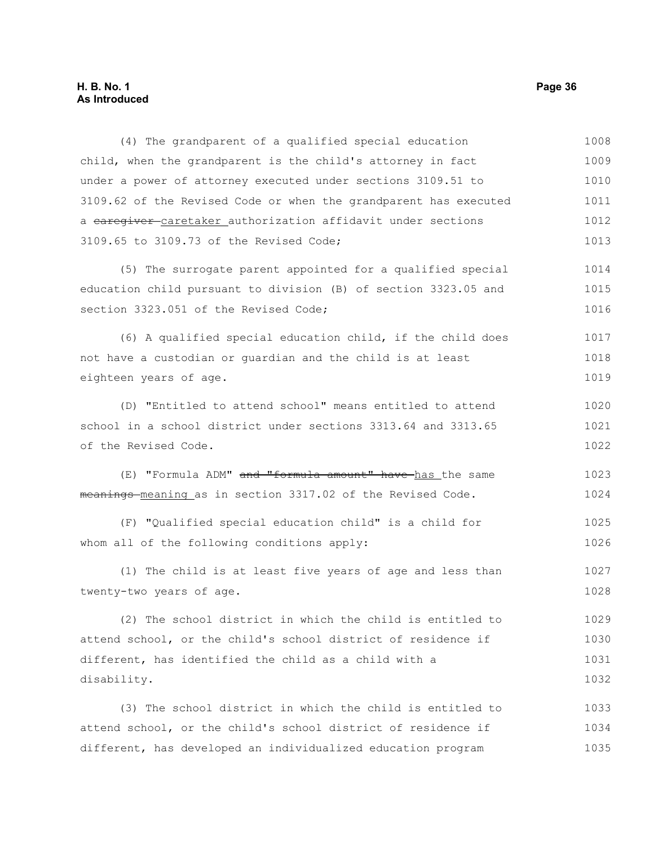## **H. B. No. 1 Page 36 As Introduced**

| (4) The grandparent of a qualified special education             | 1008 |
|------------------------------------------------------------------|------|
| child, when the grandparent is the child's attorney in fact      | 1009 |
| under a power of attorney executed under sections 3109.51 to     | 1010 |
| 3109.62 of the Revised Code or when the grandparent has executed | 1011 |
| a earegiver caretaker authorization affidavit under sections     | 1012 |
| 3109.65 to 3109.73 of the Revised Code;                          | 1013 |
| (5) The surrogate parent appointed for a qualified special       | 1014 |
| education child pursuant to division (B) of section 3323.05 and  | 1015 |
| section 3323.051 of the Revised Code;                            | 1016 |
| (6) A qualified special education child, if the child does       | 1017 |
| not have a custodian or guardian and the child is at least       | 1018 |
| eighteen years of age.                                           | 1019 |
| (D) "Entitled to attend school" means entitled to attend         | 1020 |
| school in a school district under sections 3313.64 and 3313.65   | 1021 |
| of the Revised Code.                                             | 1022 |
| (E) "Formula ADM" and "formula amount" have has the same         | 1023 |
| meanings meaning as in section 3317.02 of the Revised Code.      | 1024 |
| (F) "Qualified special education child" is a child for           | 1025 |
| whom all of the following conditions apply:                      | 1026 |
| (1) The child is at least five years of age and less than        | 1027 |
| twenty-two years of age.                                         | 1028 |
| (2) The school district in which the child is entitled to        | 1029 |
| attend school, or the child's school district of residence if    | 1030 |
| different, has identified the child as a child with a            | 1031 |
| disability.                                                      | 1032 |
| (3) The school district in which the child is entitled to        | 1033 |
| attend school, or the child's school district of residence if    | 1034 |
| different, has developed an individualized education program     | 1035 |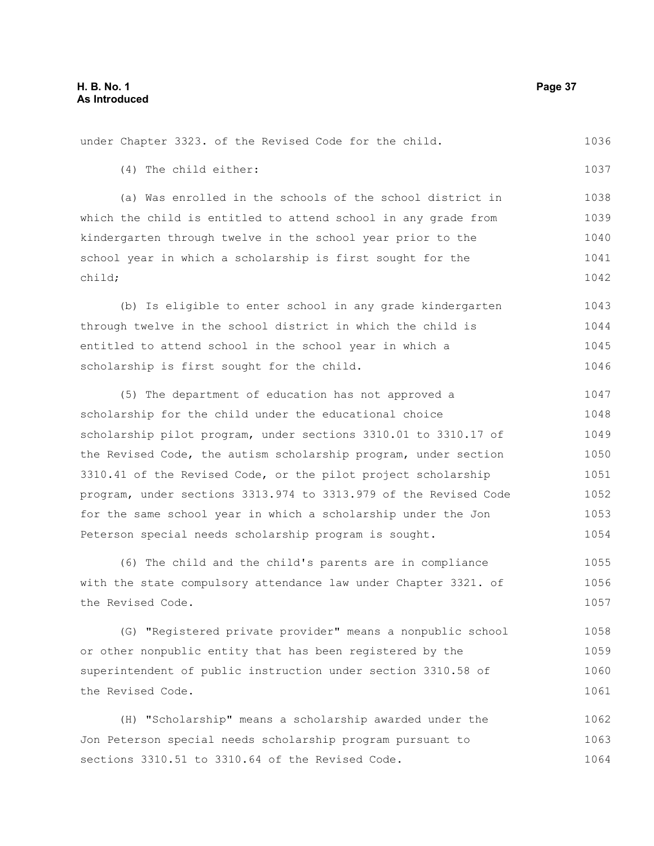|                       |  | under Chapter 3323. of the Revised Code for the child. |  |  | 1036 |
|-----------------------|--|--------------------------------------------------------|--|--|------|
| (4) The child either: |  |                                                        |  |  | 1037 |

(a) Was enrolled in the schools of the school district in which the child is entitled to attend school in any grade from kindergarten through twelve in the school year prior to the school year in which a scholarship is first sought for the child; 1038 1039 1040 1041 1042

(b) Is eligible to enter school in any grade kindergarten through twelve in the school district in which the child is entitled to attend school in the school year in which a scholarship is first sought for the child. 1043 1044 1045 1046

(5) The department of education has not approved a scholarship for the child under the educational choice scholarship pilot program, under sections 3310.01 to 3310.17 of the Revised Code, the autism scholarship program, under section 3310.41 of the Revised Code, or the pilot project scholarship program, under sections 3313.974 to 3313.979 of the Revised Code for the same school year in which a scholarship under the Jon Peterson special needs scholarship program is sought. 1047 1048 1049 1050 1051 1052 1053 1054

(6) The child and the child's parents are in compliance with the state compulsory attendance law under Chapter 3321. of the Revised Code. 1055 1056 1057

(G) "Registered private provider" means a nonpublic school or other nonpublic entity that has been registered by the superintendent of public instruction under section 3310.58 of the Revised Code. 1058 1059 1060 1061

(H) "Scholarship" means a scholarship awarded under the Jon Peterson special needs scholarship program pursuant to sections 3310.51 to 3310.64 of the Revised Code. 1062 1063 1064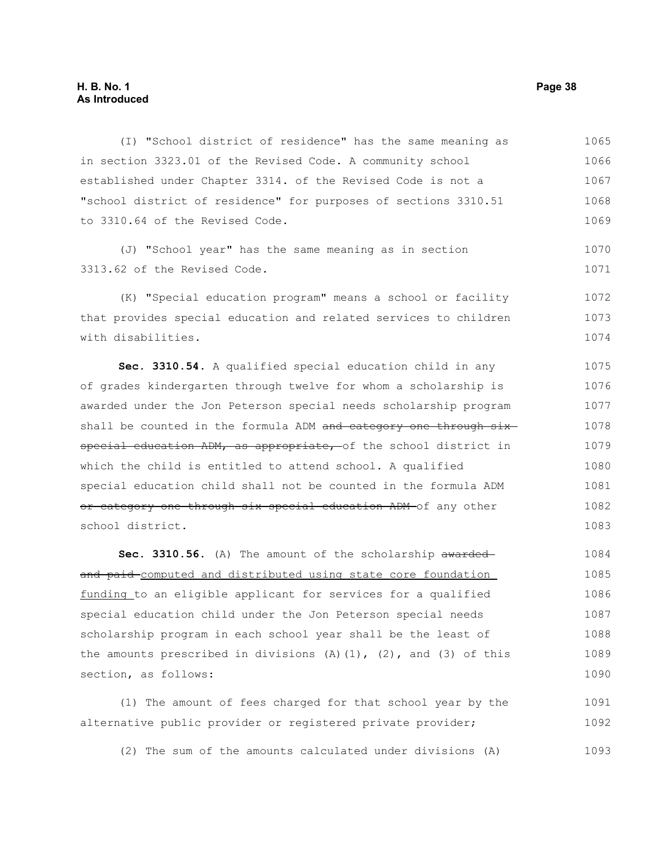# **H. B. No. 1 Page 38 As Introduced**

(I) "School district of residence" has the same meaning as in section 3323.01 of the Revised Code. A community school established under Chapter 3314. of the Revised Code is not a "school district of residence" for purposes of sections 3310.51 to 3310.64 of the Revised Code. 1065 1066 1067 1068 1069

(J) "School year" has the same meaning as in section 3313.62 of the Revised Code. 1070 1071

(K) "Special education program" means a school or facility that provides special education and related services to children with disabilities. 1072 1073 1074

**Sec. 3310.54.** A qualified special education child in any of grades kindergarten through twelve for whom a scholarship is awarded under the Jon Peterson special needs scholarship program shall be counted in the formula ADM and category one through sixspecial education ADM, as appropriate, of the school district in which the child is entitled to attend school. A qualified special education child shall not be counted in the formula ADM or category one through six special education ADM of any other school district. 1075 1076 1077 1078 1079 1080 1081 1082 1083

Sec. 3310.56. (A) The amount of the scholarship awarded and paid computed and distributed using state core foundation funding to an eligible applicant for services for a qualified special education child under the Jon Peterson special needs scholarship program in each school year shall be the least of the amounts prescribed in divisions  $(A)$   $(1)$ ,  $(2)$ , and  $(3)$  of this section, as follows: 1084 1085 1086 1087 1088 1089 1090

(1) The amount of fees charged for that school year by the alternative public provider or registered private provider; 1091 1092

(2) The sum of the amounts calculated under divisions (A) 1093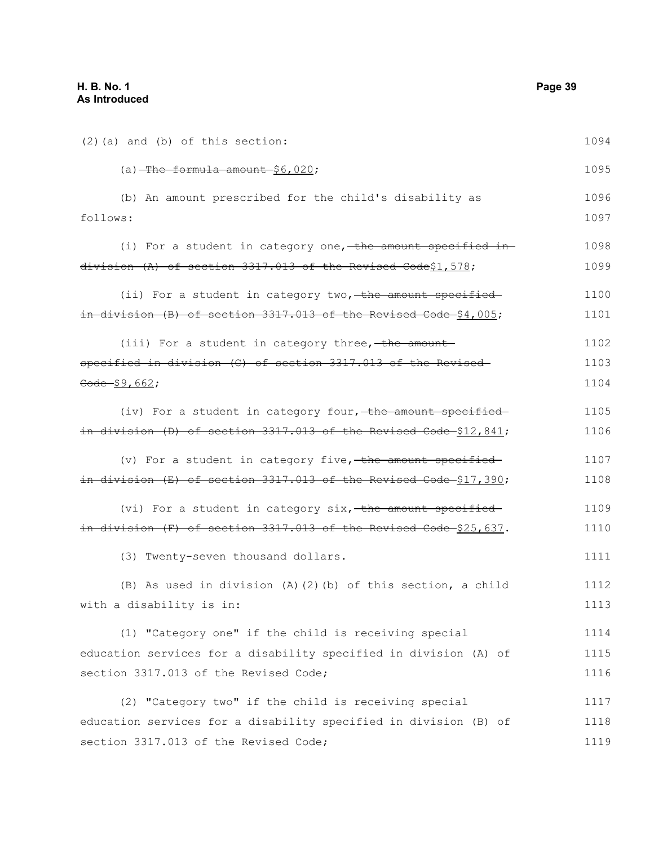(2)(a) and (b) of this section:  $(a)$ -The formula amount-\$6,020; (b) An amount prescribed for the child's disability as follows: (i) For a student in category one, the amount specified indivision (A) of section 3317.013 of the Revised Code\$1,578; (ii) For a student in category two, the amount specified in division (B) of section 3317.013 of the Revised Code \$4,005; (iii) For a student in category three,  $-$ the amountspecified in division (C) of section 3317.013 of the Revised  $\frac{60}{60} - $9,662;$ (iv) For a student in category four, the amount specified in division (D) of section  $3317.013$  of the Revised Code  $$12,841;$ (v) For a student in category five, the amount specified in division (E) of section 3317.013 of the Revised Code \$17,390; (vi) For a student in category six, the amount specifiedin division  $(F)$  of section 3317.013 of the Revised Code  $$25,637$ . (3) Twenty-seven thousand dollars. (B) As used in division (A)(2)(b) of this section, a child with a disability is in: (1) "Category one" if the child is receiving special education services for a disability specified in division (A) of section 3317.013 of the Revised Code; (2) "Category two" if the child is receiving special education services for a disability specified in division (B) of section 3317.013 of the Revised Code; 1094 1095 1096 1097 1098 1099 1100 1101 1102 1103 1104 1105 1106 1107 1108 1109 1110 1111 1112 1113 1114 1115 1116 1117 1118 1119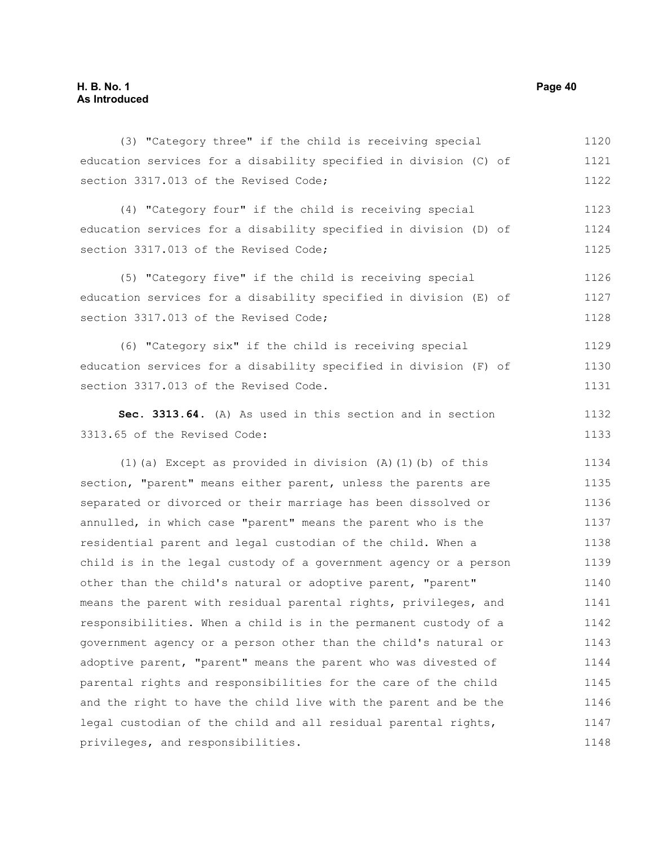# **H. B. No. 1 Page 40 As Introduced**

(3) "Category three" if the child is receiving special education services for a disability specified in division (C) of section 3317.013 of the Revised Code; (4) "Category four" if the child is receiving special education services for a disability specified in division (D) of section 3317.013 of the Revised Code: (5) "Category five" if the child is receiving special education services for a disability specified in division (E) of section 3317.013 of the Revised Code; (6) "Category six" if the child is receiving special education services for a disability specified in division (F) of section 3317.013 of the Revised Code. **Sec. 3313.64.** (A) As used in this section and in section 3313.65 of the Revised Code: (1)(a) Except as provided in division (A)(1)(b) of this section, "parent" means either parent, unless the parents are separated or divorced or their marriage has been dissolved or annulled, in which case "parent" means the parent who is the residential parent and legal custodian of the child. When a child is in the legal custody of a government agency or a person other than the child's natural or adoptive parent, "parent" means the parent with residual parental rights, privileges, and responsibilities. When a child is in the permanent custody of a government agency or a person other than the child's natural or adoptive parent, "parent" means the parent who was divested of parental rights and responsibilities for the care of the child and the right to have the child live with the parent and be the legal custodian of the child and all residual parental rights, privileges, and responsibilities. 1120 1121 1122 1123 1124 1125 1126 1127 1128 1129 1130 1131 1132 1133 1134 1135 1136 1137 1138 1139 1140 1141 1142 1143 1144 1145 1146 1147 1148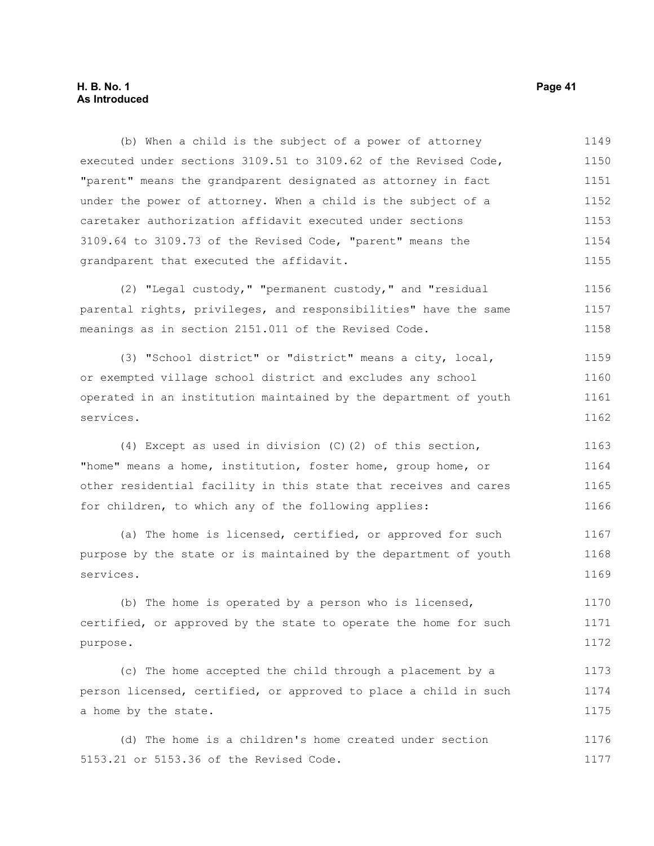## **H. B. No. 1 Page 41 As Introduced**

(b) When a child is the subject of a power of attorney executed under sections 3109.51 to 3109.62 of the Revised Code, "parent" means the grandparent designated as attorney in fact under the power of attorney. When a child is the subject of a caretaker authorization affidavit executed under sections 3109.64 to 3109.73 of the Revised Code, "parent" means the grandparent that executed the affidavit. 1149 1150 1151 1152 1153 1154 1155

(2) "Legal custody," "permanent custody," and "residual parental rights, privileges, and responsibilities" have the same meanings as in section 2151.011 of the Revised Code. 1156 1157 1158

(3) "School district" or "district" means a city, local, or exempted village school district and excludes any school operated in an institution maintained by the department of youth services. 1159 1160 1161 1162

(4) Except as used in division (C)(2) of this section, "home" means a home, institution, foster home, group home, or other residential facility in this state that receives and cares for children, to which any of the following applies: 1163 1164 1165 1166

(a) The home is licensed, certified, or approved for such purpose by the state or is maintained by the department of youth services. 1167 1168 1169

(b) The home is operated by a person who is licensed, certified, or approved by the state to operate the home for such purpose. 1170 1171 1172

(c) The home accepted the child through a placement by a person licensed, certified, or approved to place a child in such a home by the state. 1173 1174 1175

(d) The home is a children's home created under section 5153.21 or 5153.36 of the Revised Code. 1176 1177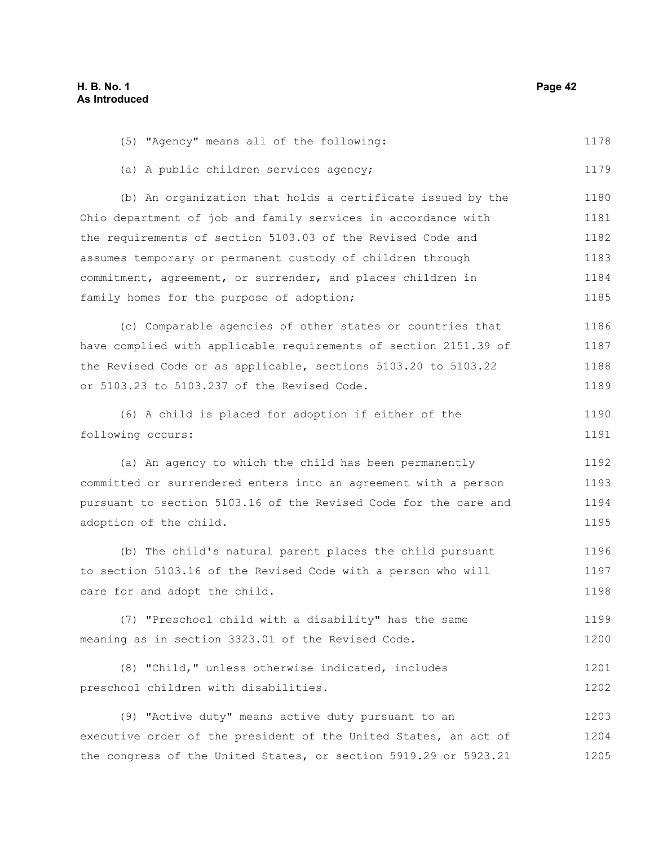| (5) "Agency" means all of the following:                         | 1178 |
|------------------------------------------------------------------|------|
| (a) A public children services agency;                           | 1179 |
| (b) An organization that holds a certificate issued by the       | 1180 |
| Ohio department of job and family services in accordance with    | 1181 |
| the requirements of section 5103.03 of the Revised Code and      | 1182 |
| assumes temporary or permanent custody of children through       | 1183 |
| commitment, agreement, or surrender, and places children in      | 1184 |
| family homes for the purpose of adoption;                        | 1185 |
| (c) Comparable agencies of other states or countries that        | 1186 |
| have complied with applicable requirements of section 2151.39 of | 1187 |
| the Revised Code or as applicable, sections 5103.20 to 5103.22   | 1188 |
| or 5103.23 to 5103.237 of the Revised Code.                      | 1189 |
| (6) A child is placed for adoption if either of the              | 1190 |
| following occurs:                                                | 1191 |
| (a) An agency to which the child has been permanently            | 1192 |
| committed or surrendered enters into an agreement with a person  | 1193 |
| pursuant to section 5103.16 of the Revised Code for the care and | 1194 |
| adoption of the child.                                           | 1195 |
| (b) The child's natural parent places the child pursuant         | 1196 |
| to section 5103.16 of the Revised Code with a person who will    | 1197 |
| care for and adopt the child.                                    | 1198 |
| (7) "Preschool child with a disability" has the same             | 1199 |
| meaning as in section 3323.01 of the Revised Code.               | 1200 |
| (8) "Child," unless otherwise indicated, includes                | 1201 |
| preschool children with disabilities.                            | 1202 |
| (9) "Active duty" means active duty pursuant to an               | 1203 |
| executive order of the president of the United States, an act of | 1204 |
| the congress of the United States, or section 5919.29 or 5923.21 | 1205 |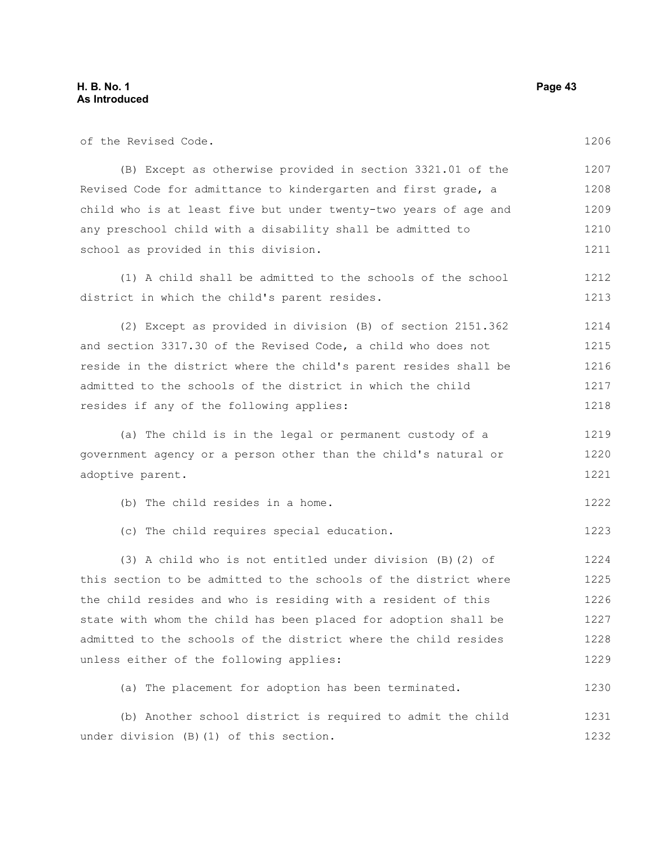of the Revised Code.

| (B) Except as otherwise provided in section 3321.01 of the       | 1207 |
|------------------------------------------------------------------|------|
| Revised Code for admittance to kindergarten and first grade, a   | 1208 |
| child who is at least five but under twenty-two years of age and | 1209 |
| any preschool child with a disability shall be admitted to       | 1210 |
| school as provided in this division.                             | 1211 |
| (1) A child shall be admitted to the schools of the school       | 1212 |
| district in which the child's parent resides.                    | 1213 |
| (2) Except as provided in division (B) of section 2151.362       | 1214 |
| and section 3317.30 of the Revised Code, a child who does not    | 1215 |
| reside in the district where the child's parent resides shall be | 1216 |
| admitted to the schools of the district in which the child       | 1217 |
| resides if any of the following applies:                         | 1218 |
| (a) The child is in the legal or permanent custody of a          | 1219 |
| government agency or a person other than the child's natural or  | 1220 |
| adoptive parent.                                                 | 1221 |
| (b) The child resides in a home.                                 | 1222 |
| (c) The child requires special education.                        | 1223 |
| (3) A child who is not entitled under division (B) (2) of        | 1224 |
| this section to be admitted to the schools of the district where | 1225 |
| the child resides and who is residing with a resident of this    | 1226 |
| state with whom the child has been placed for adoption shall be  | 1227 |
| admitted to the schools of the district where the child resides  | 1228 |
| unless either of the following applies:                          | 1229 |
| (a) The placement for adoption has been terminated.              | 1230 |
| (b) Another school district is required to admit the child       | 1231 |
| under division (B) (1) of this section.                          | 1232 |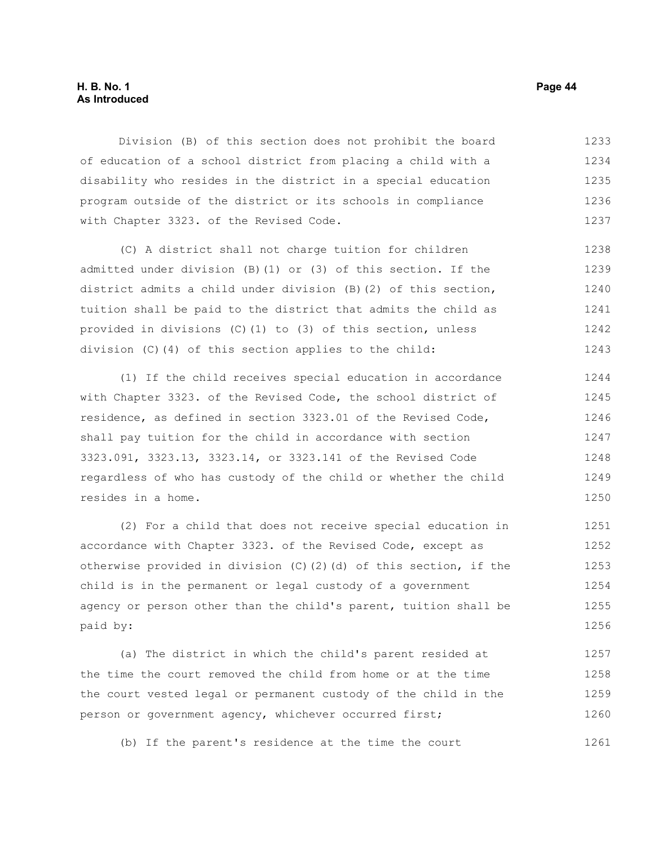## **H. B. No. 1 Page 44 As Introduced**

Division (B) of this section does not prohibit the board of education of a school district from placing a child with a disability who resides in the district in a special education program outside of the district or its schools in compliance with Chapter 3323. of the Revised Code. 1233 1234 1235 1236 1237

(C) A district shall not charge tuition for children admitted under division (B)(1) or (3) of this section. If the district admits a child under division (B)(2) of this section, tuition shall be paid to the district that admits the child as provided in divisions (C)(1) to (3) of this section, unless division (C)(4) of this section applies to the child: 1238 1239 1240 1241 1242 1243

(1) If the child receives special education in accordance with Chapter 3323. of the Revised Code, the school district of residence, as defined in section 3323.01 of the Revised Code, shall pay tuition for the child in accordance with section 3323.091, 3323.13, 3323.14, or 3323.141 of the Revised Code regardless of who has custody of the child or whether the child resides in a home. 1244 1245 1246 1247 1248 1249 1250

(2) For a child that does not receive special education in accordance with Chapter 3323. of the Revised Code, except as otherwise provided in division (C)(2)(d) of this section, if the child is in the permanent or legal custody of a government agency or person other than the child's parent, tuition shall be paid by: 1251 1252 1253 1254 1255 1256

(a) The district in which the child's parent resided at the time the court removed the child from home or at the time the court vested legal or permanent custody of the child in the person or government agency, whichever occurred first; 1257 1258 1259 1260

(b) If the parent's residence at the time the court 1261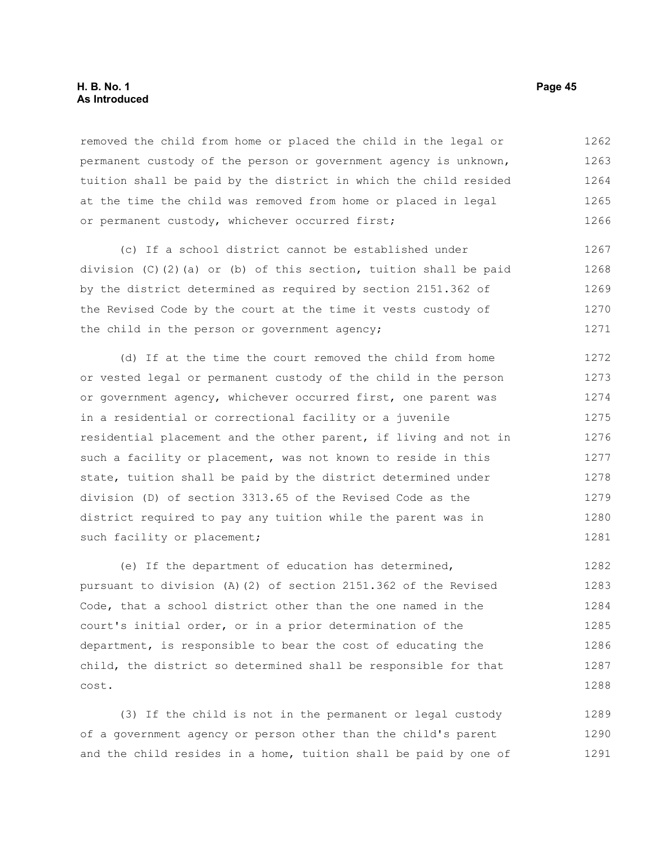removed the child from home or placed the child in the legal or permanent custody of the person or government agency is unknown, tuition shall be paid by the district in which the child resided at the time the child was removed from home or placed in legal or permanent custody, whichever occurred first; 1262 1263 1264 1265 1266

(c) If a school district cannot be established under division (C)(2)(a) or (b) of this section, tuition shall be paid by the district determined as required by section 2151.362 of the Revised Code by the court at the time it vests custody of the child in the person or government agency; 1267 1268 1269 1270 1271

(d) If at the time the court removed the child from home or vested legal or permanent custody of the child in the person or government agency, whichever occurred first, one parent was in a residential or correctional facility or a juvenile residential placement and the other parent, if living and not in such a facility or placement, was not known to reside in this state, tuition shall be paid by the district determined under division (D) of section 3313.65 of the Revised Code as the district required to pay any tuition while the parent was in such facility or placement; 1272 1273 1274 1275 1276 1277 1278 1279 1280 1281

(e) If the department of education has determined, pursuant to division (A)(2) of section 2151.362 of the Revised Code, that a school district other than the one named in the court's initial order, or in a prior determination of the department, is responsible to bear the cost of educating the child, the district so determined shall be responsible for that cost. 1282 1283 1284 1285 1286 1287 1288

(3) If the child is not in the permanent or legal custody of a government agency or person other than the child's parent and the child resides in a home, tuition shall be paid by one of 1289 1290 1291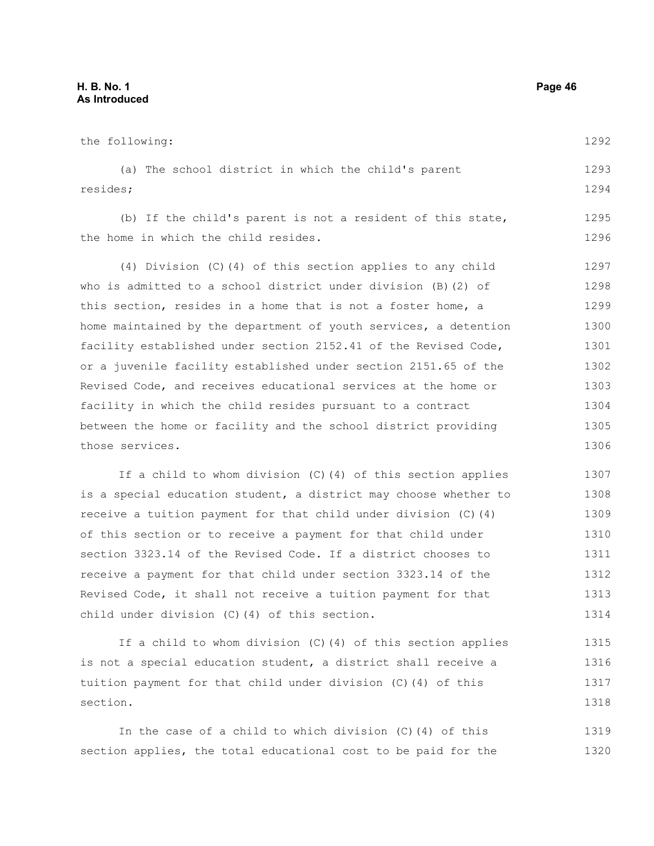the following: (a) The school district in which the child's parent resides; (b) If the child's parent is not a resident of this state, the home in which the child resides. (4) Division (C)(4) of this section applies to any child who is admitted to a school district under division (B)(2) of this section, resides in a home that is not a foster home, a home maintained by the department of youth services, a detention facility established under section 2152.41 of the Revised Code, or a juvenile facility established under section 2151.65 of the Revised Code, and receives educational services at the home or facility in which the child resides pursuant to a contract between the home or facility and the school district providing those services. If a child to whom division (C)(4) of this section applies is a special education student, a district may choose whether to receive a tuition payment for that child under division (C)(4) of this section or to receive a payment for that child under section 3323.14 of the Revised Code. If a district chooses to 1292 1293 1294 1295 1296 1297 1298 1299 1300 1301 1302 1303 1304 1305 1306 1307 1308 1309 1310 1311

receive a payment for that child under section 3323.14 of the Revised Code, it shall not receive a tuition payment for that child under division (C)(4) of this section. 1312 1313 1314

If a child to whom division (C)(4) of this section applies is not a special education student, a district shall receive a tuition payment for that child under division (C)(4) of this section. 1315 1316 1317 1318

In the case of a child to which division (C)(4) of this section applies, the total educational cost to be paid for the 1319 1320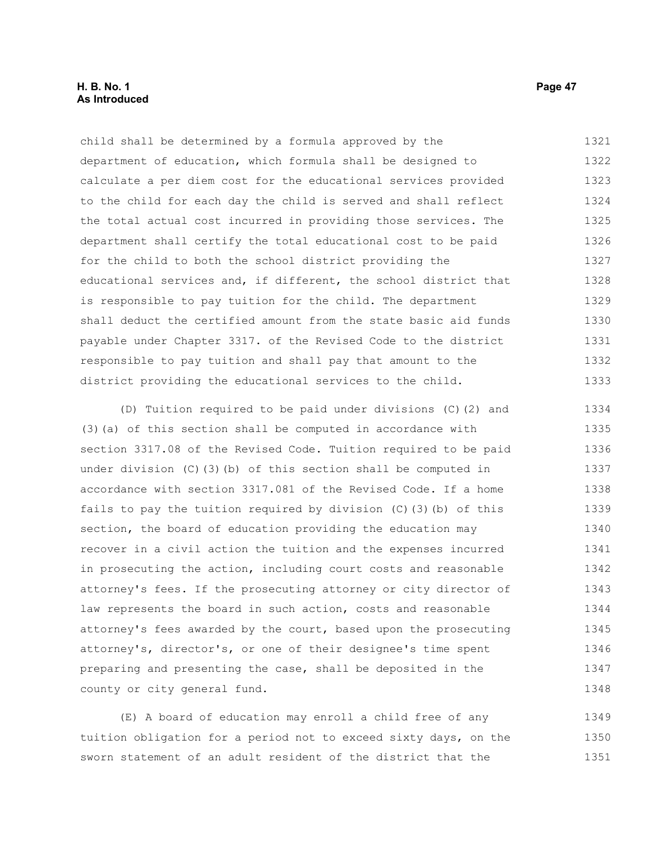## **H. B. No. 1 Page 47 As Introduced**

child shall be determined by a formula approved by the department of education, which formula shall be designed to calculate a per diem cost for the educational services provided to the child for each day the child is served and shall reflect the total actual cost incurred in providing those services. The department shall certify the total educational cost to be paid for the child to both the school district providing the educational services and, if different, the school district that is responsible to pay tuition for the child. The department shall deduct the certified amount from the state basic aid funds payable under Chapter 3317. of the Revised Code to the district responsible to pay tuition and shall pay that amount to the district providing the educational services to the child. 1321 1322 1323 1324 1325 1326 1327 1328 1329 1330 1331 1332 1333

(D) Tuition required to be paid under divisions (C)(2) and (3)(a) of this section shall be computed in accordance with section 3317.08 of the Revised Code. Tuition required to be paid under division (C)(3)(b) of this section shall be computed in accordance with section 3317.081 of the Revised Code. If a home fails to pay the tuition required by division  $(C)$  (3)(b) of this section, the board of education providing the education may recover in a civil action the tuition and the expenses incurred in prosecuting the action, including court costs and reasonable attorney's fees. If the prosecuting attorney or city director of law represents the board in such action, costs and reasonable attorney's fees awarded by the court, based upon the prosecuting attorney's, director's, or one of their designee's time spent preparing and presenting the case, shall be deposited in the county or city general fund. 1334 1335 1336 1337 1338 1339 1340 1341 1342 1343 1344 1345 1346 1347 1348

(E) A board of education may enroll a child free of any tuition obligation for a period not to exceed sixty days, on the sworn statement of an adult resident of the district that the 1349 1350 1351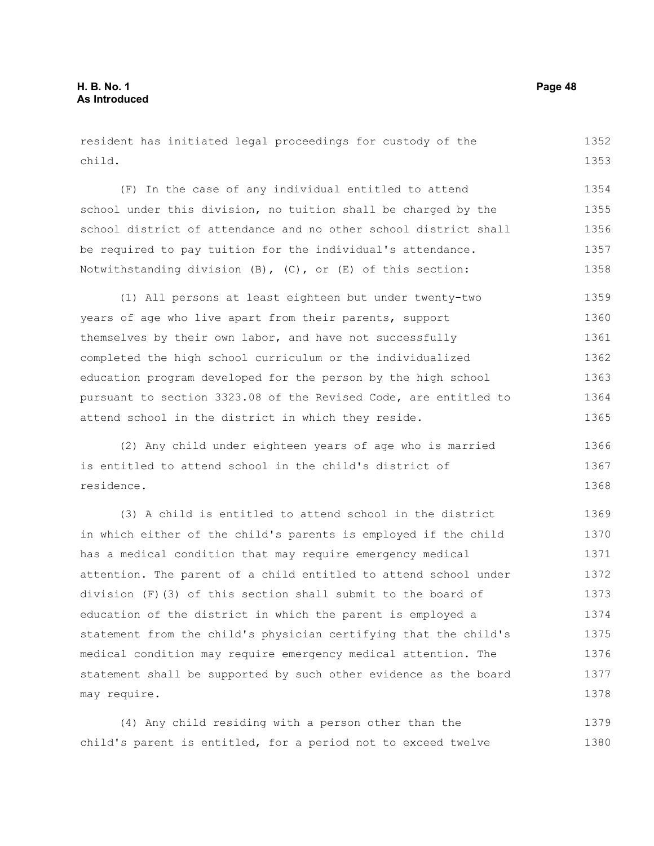resident has initiated legal proceedings for custody of the child. 1352 1353

(F) In the case of any individual entitled to attend school under this division, no tuition shall be charged by the school district of attendance and no other school district shall be required to pay tuition for the individual's attendance. Notwithstanding division (B), (C), or (E) of this section: 1354 1355 1356 1357 1358

(1) All persons at least eighteen but under twenty-two years of age who live apart from their parents, support themselves by their own labor, and have not successfully completed the high school curriculum or the individualized education program developed for the person by the high school pursuant to section 3323.08 of the Revised Code, are entitled to attend school in the district in which they reside. 1359 1360 1361 1362 1363 1364 1365

(2) Any child under eighteen years of age who is married is entitled to attend school in the child's district of residence. 1366 1367 1368

(3) A child is entitled to attend school in the district in which either of the child's parents is employed if the child has a medical condition that may require emergency medical attention. The parent of a child entitled to attend school under division (F)(3) of this section shall submit to the board of education of the district in which the parent is employed a statement from the child's physician certifying that the child's medical condition may require emergency medical attention. The statement shall be supported by such other evidence as the board may require. 1369 1370 1371 1372 1373 1374 1375 1376 1377 1378

(4) Any child residing with a person other than the child's parent is entitled, for a period not to exceed twelve 1379 1380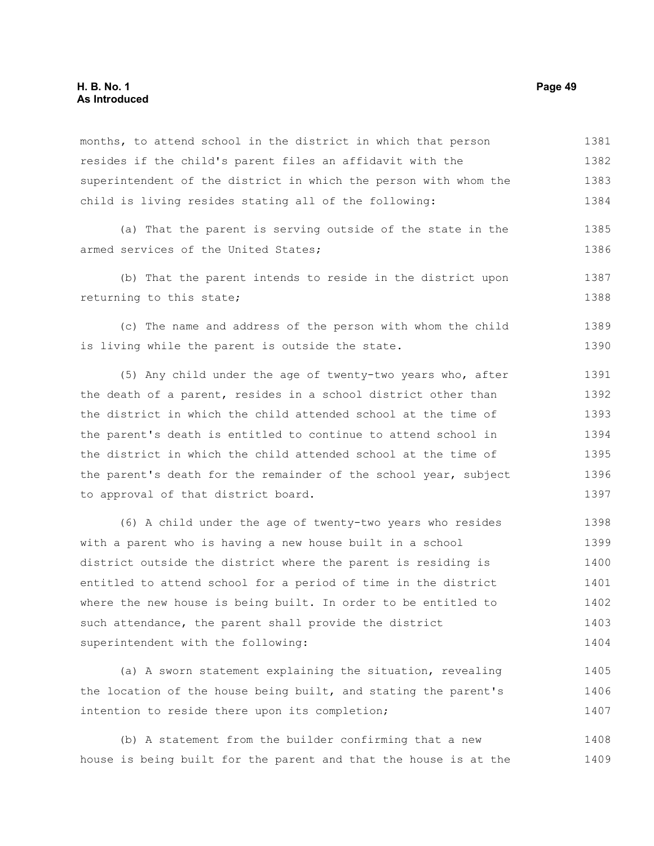## **H. B. No. 1 Page 49 As Introduced**

months, to attend school in the district in which that person resides if the child's parent files an affidavit with the superintendent of the district in which the person with whom the child is living resides stating all of the following: 1381 1382 1383 1384

(a) That the parent is serving outside of the state in the armed services of the United States; 1385 1386

(b) That the parent intends to reside in the district upon returning to this state; 1387 1388

(c) The name and address of the person with whom the child is living while the parent is outside the state. 1389 1390

(5) Any child under the age of twenty-two years who, after the death of a parent, resides in a school district other than the district in which the child attended school at the time of the parent's death is entitled to continue to attend school in the district in which the child attended school at the time of the parent's death for the remainder of the school year, subject to approval of that district board. 1391 1392 1393 1394 1395 1396 1397

(6) A child under the age of twenty-two years who resides with a parent who is having a new house built in a school district outside the district where the parent is residing is entitled to attend school for a period of time in the district where the new house is being built. In order to be entitled to such attendance, the parent shall provide the district superintendent with the following: 1398 1399 1400 1401 1402 1403 1404

(a) A sworn statement explaining the situation, revealing the location of the house being built, and stating the parent's intention to reside there upon its completion; 1405 1406 1407

(b) A statement from the builder confirming that a new house is being built for the parent and that the house is at the 1408 1409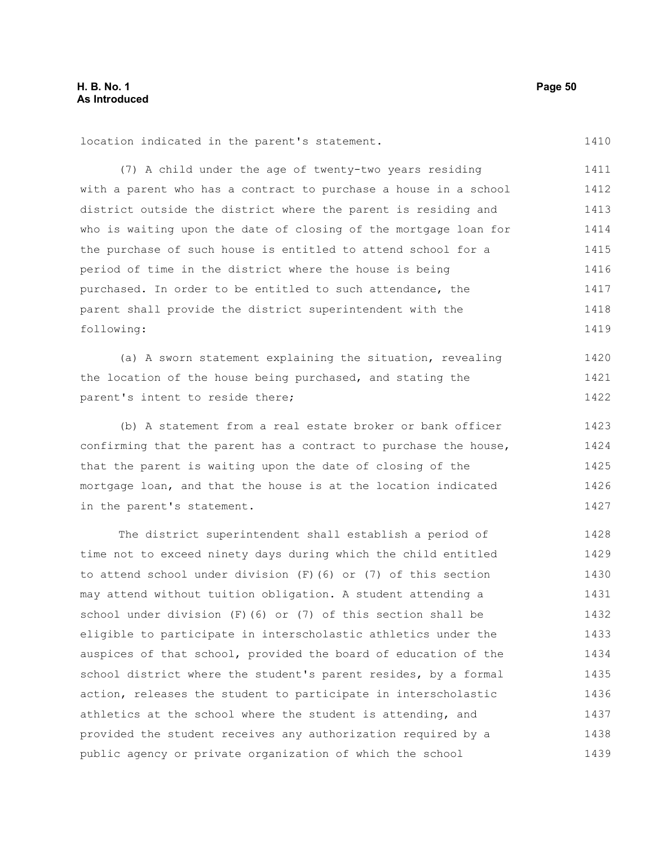1410

location indicated in the parent's statement.

(7) A child under the age of twenty-two years residing with a parent who has a contract to purchase a house in a school district outside the district where the parent is residing and who is waiting upon the date of closing of the mortgage loan for the purchase of such house is entitled to attend school for a period of time in the district where the house is being purchased. In order to be entitled to such attendance, the parent shall provide the district superintendent with the following: 1411 1412 1413 1414 1415 1416 1417 1418 1419

(a) A sworn statement explaining the situation, revealing the location of the house being purchased, and stating the parent's intent to reside there; 1420 1421 1422

(b) A statement from a real estate broker or bank officer confirming that the parent has a contract to purchase the house, that the parent is waiting upon the date of closing of the mortgage loan, and that the house is at the location indicated in the parent's statement. 1423 1424 1425 1426 1427

The district superintendent shall establish a period of time not to exceed ninety days during which the child entitled to attend school under division (F)(6) or (7) of this section may attend without tuition obligation. A student attending a school under division (F)(6) or (7) of this section shall be eligible to participate in interscholastic athletics under the auspices of that school, provided the board of education of the school district where the student's parent resides, by a formal action, releases the student to participate in interscholastic athletics at the school where the student is attending, and provided the student receives any authorization required by a public agency or private organization of which the school 1428 1429 1430 1431 1432 1433 1434 1435 1436 1437 1438 1439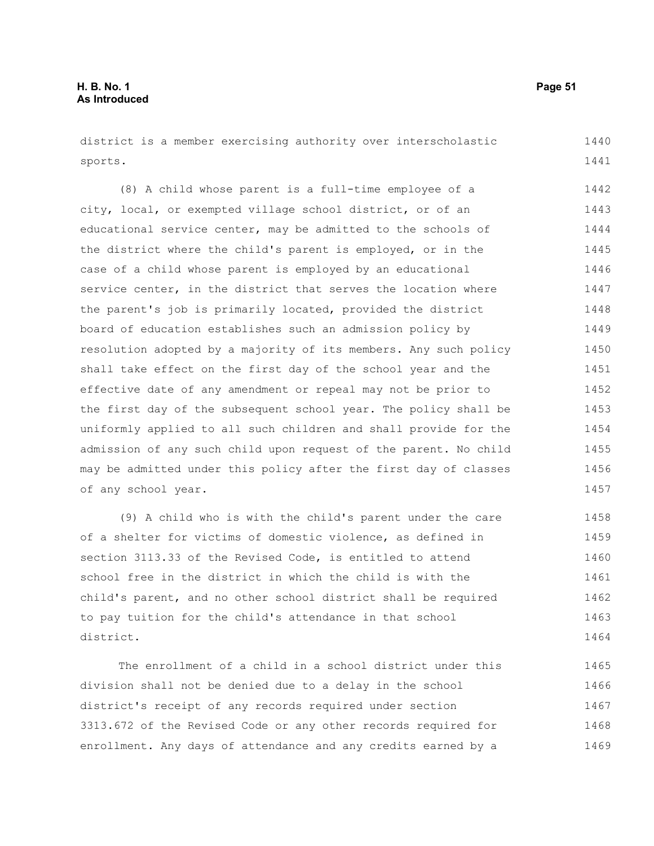district is a member exercising authority over interscholastic sports. 1440 1441

(8) A child whose parent is a full-time employee of a city, local, or exempted village school district, or of an educational service center, may be admitted to the schools of the district where the child's parent is employed, or in the case of a child whose parent is employed by an educational service center, in the district that serves the location where the parent's job is primarily located, provided the district board of education establishes such an admission policy by resolution adopted by a majority of its members. Any such policy shall take effect on the first day of the school year and the effective date of any amendment or repeal may not be prior to the first day of the subsequent school year. The policy shall be uniformly applied to all such children and shall provide for the admission of any such child upon request of the parent. No child may be admitted under this policy after the first day of classes of any school year. 1442 1443 1444 1445 1446 1447 1448 1449 1450 1451 1452 1453 1454 1455 1456 1457

(9) A child who is with the child's parent under the care of a shelter for victims of domestic violence, as defined in section 3113.33 of the Revised Code, is entitled to attend school free in the district in which the child is with the child's parent, and no other school district shall be required to pay tuition for the child's attendance in that school district. 1458 1459 1460 1461 1462 1463 1464

The enrollment of a child in a school district under this division shall not be denied due to a delay in the school district's receipt of any records required under section 3313.672 of the Revised Code or any other records required for enrollment. Any days of attendance and any credits earned by a 1465 1466 1467 1468 1469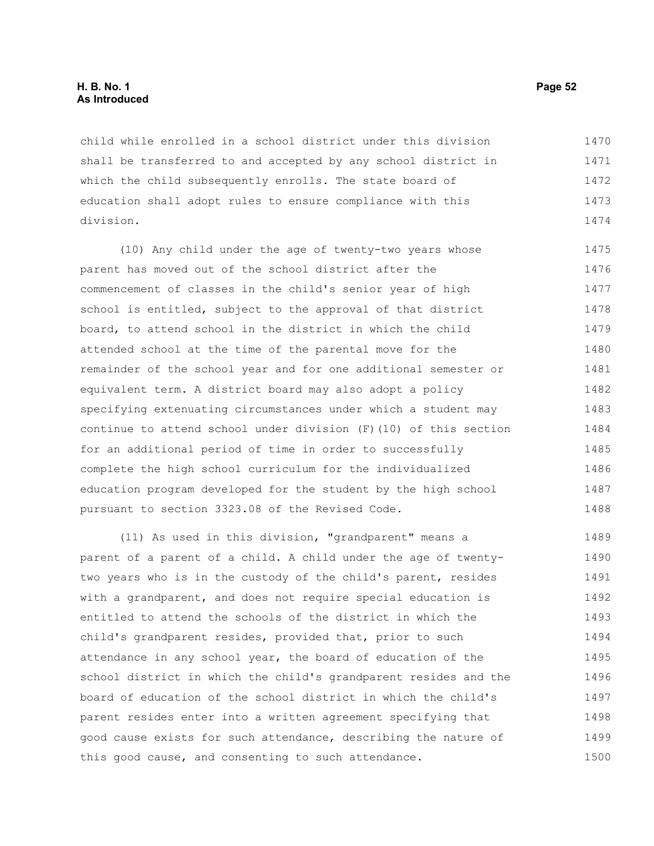## **H. B. No. 1 Page 52 As Introduced**

child while enrolled in a school district under this division shall be transferred to and accepted by any school district in which the child subsequently enrolls. The state board of education shall adopt rules to ensure compliance with this division. 1470 1471 1472 1473 1474

(10) Any child under the age of twenty-two years whose parent has moved out of the school district after the commencement of classes in the child's senior year of high school is entitled, subject to the approval of that district board, to attend school in the district in which the child attended school at the time of the parental move for the remainder of the school year and for one additional semester or equivalent term. A district board may also adopt a policy specifying extenuating circumstances under which a student may continue to attend school under division (F)(10) of this section for an additional period of time in order to successfully complete the high school curriculum for the individualized education program developed for the student by the high school pursuant to section 3323.08 of the Revised Code. 1475 1476 1477 1478 1479 1480 1481 1482 1483 1484 1485 1486 1487 1488

(11) As used in this division, "grandparent" means a parent of a parent of a child. A child under the age of twentytwo years who is in the custody of the child's parent, resides with a grandparent, and does not require special education is entitled to attend the schools of the district in which the child's grandparent resides, provided that, prior to such attendance in any school year, the board of education of the school district in which the child's grandparent resides and the board of education of the school district in which the child's parent resides enter into a written agreement specifying that good cause exists for such attendance, describing the nature of this good cause, and consenting to such attendance. 1489 1490 1491 1492 1493 1494 1495 1496 1497 1498 1499 1500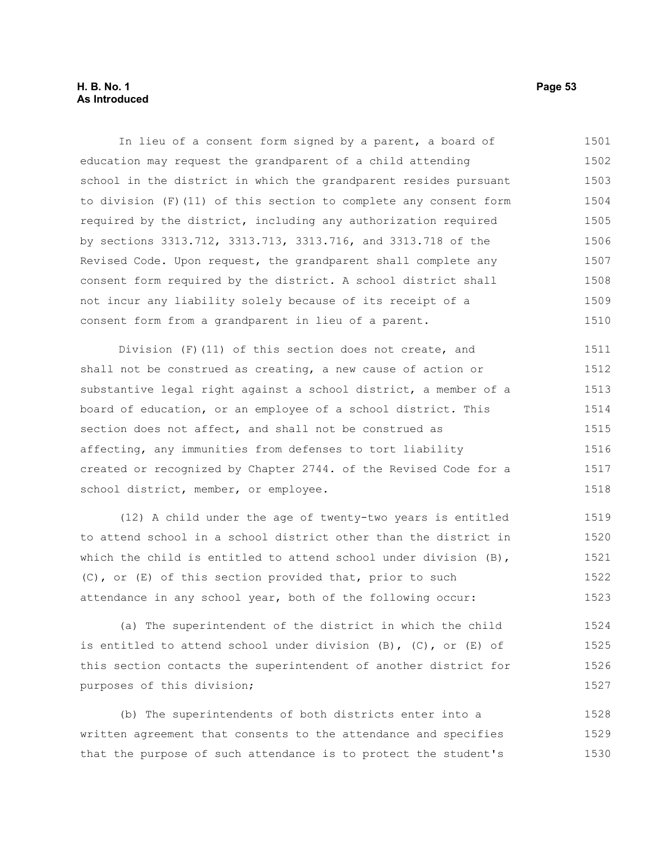## **H. B. No. 1 Page 53 As Introduced**

In lieu of a consent form signed by a parent, a board of education may request the grandparent of a child attending school in the district in which the grandparent resides pursuant to division (F)(11) of this section to complete any consent form required by the district, including any authorization required by sections 3313.712, 3313.713, 3313.716, and 3313.718 of the Revised Code. Upon request, the grandparent shall complete any consent form required by the district. A school district shall not incur any liability solely because of its receipt of a consent form from a grandparent in lieu of a parent. 1501 1502 1503 1504 1505 1506 1507 1508 1509 1510

Division (F)(11) of this section does not create, and shall not be construed as creating, a new cause of action or substantive legal right against a school district, a member of a board of education, or an employee of a school district. This section does not affect, and shall not be construed as affecting, any immunities from defenses to tort liability created or recognized by Chapter 2744. of the Revised Code for a school district, member, or employee. 1511 1512 1513 1514 1515 1516 1517 1518

(12) A child under the age of twenty-two years is entitled to attend school in a school district other than the district in which the child is entitled to attend school under division (B), (C), or (E) of this section provided that, prior to such attendance in any school year, both of the following occur: 1519 1520 1521 1522 1523

(a) The superintendent of the district in which the child is entitled to attend school under division  $(B)$ ,  $(C)$ , or  $(E)$  of this section contacts the superintendent of another district for purposes of this division; 1524 1525 1526 1527

(b) The superintendents of both districts enter into a written agreement that consents to the attendance and specifies that the purpose of such attendance is to protect the student's 1528 1529 1530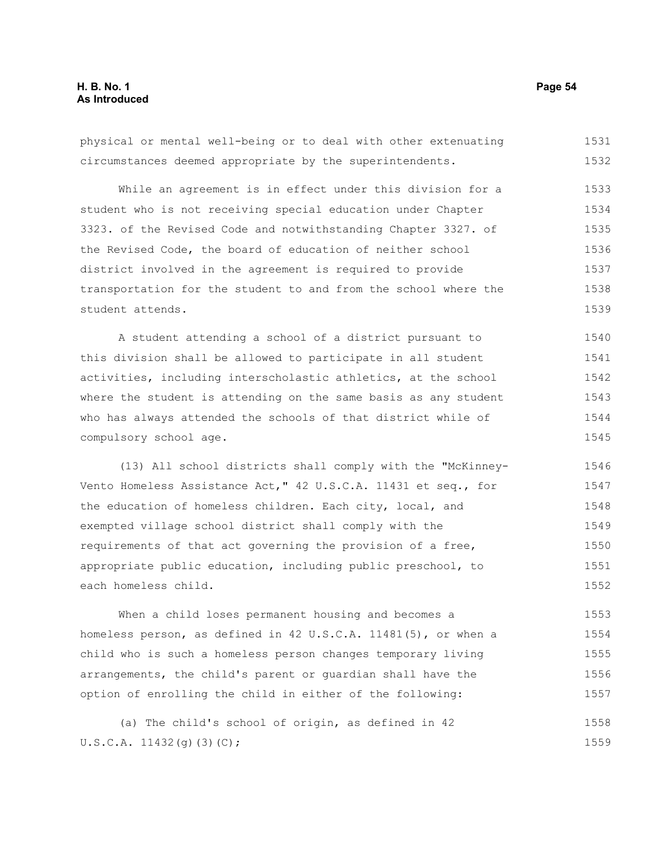# **H. B. No. 1 Page 54 As Introduced**

physical or mental well-being or to deal with other extenuating circumstances deemed appropriate by the superintendents. While an agreement is in effect under this division for a student who is not receiving special education under Chapter 3323. of the Revised Code and notwithstanding Chapter 3327. of the Revised Code, the board of education of neither school district involved in the agreement is required to provide transportation for the student to and from the school where the student attends. A student attending a school of a district pursuant to this division shall be allowed to participate in all student activities, including interscholastic athletics, at the school where the student is attending on the same basis as any student who has always attended the schools of that district while of compulsory school age. (13) All school districts shall comply with the "McKinney-Vento Homeless Assistance Act," 42 U.S.C.A. 11431 et seq., for the education of homeless children. Each city, local, and exempted village school district shall comply with the requirements of that act governing the provision of a free, appropriate public education, including public preschool, to each homeless child. When a child loses permanent housing and becomes a homeless person, as defined in 42 U.S.C.A. 11481(5), or when a child who is such a homeless person changes temporary living arrangements, the child's parent or guardian shall have the option of enrolling the child in either of the following: 1531 1532 1533 1534 1535 1536 1537 1538 1539 1540 1541 1542 1543 1544 1545 1546 1547 1548 1549 1550 1551 1552 1553 1554 1555 1556 1557

(a) The child's school of origin, as defined in 42 U.S.C.A. 11432(g)(3)(C); 1558 1559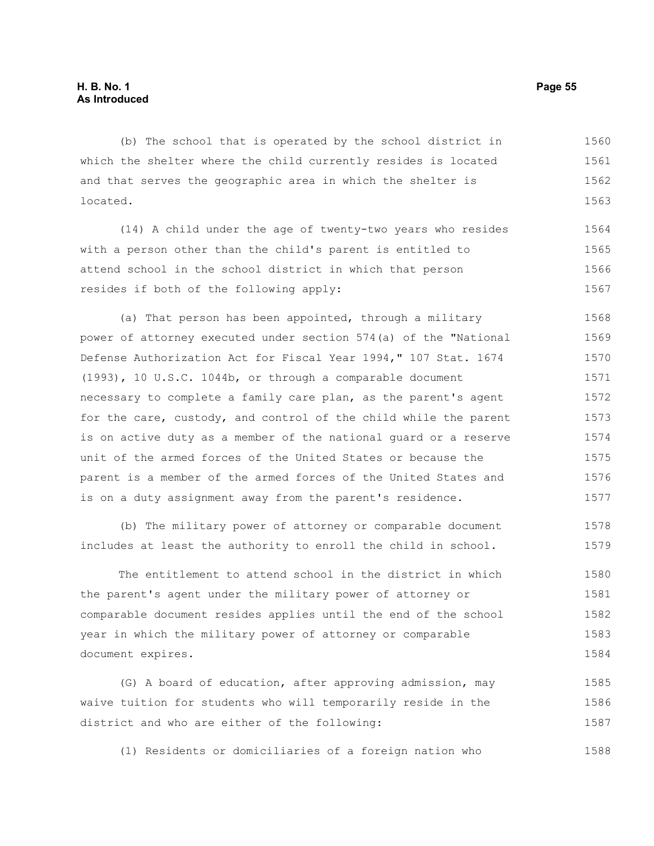(b) The school that is operated by the school district in which the shelter where the child currently resides is located and that serves the geographic area in which the shelter is located. 1560 1561 1562 1563

(14) A child under the age of twenty-two years who resides with a person other than the child's parent is entitled to attend school in the school district in which that person resides if both of the following apply: 1564 1565 1566 1567

(a) That person has been appointed, through a military power of attorney executed under section 574(a) of the "National Defense Authorization Act for Fiscal Year 1994," 107 Stat. 1674 (1993), 10 U.S.C. 1044b, or through a comparable document necessary to complete a family care plan, as the parent's agent for the care, custody, and control of the child while the parent is on active duty as a member of the national guard or a reserve unit of the armed forces of the United States or because the parent is a member of the armed forces of the United States and is on a duty assignment away from the parent's residence. 1568 1569 1570 1571 1572 1573 1574 1575 1576 1577

(b) The military power of attorney or comparable document includes at least the authority to enroll the child in school. 1578 1579

The entitlement to attend school in the district in which the parent's agent under the military power of attorney or comparable document resides applies until the end of the school year in which the military power of attorney or comparable document expires. 1580 1581 1582 1583 1584

(G) A board of education, after approving admission, may waive tuition for students who will temporarily reside in the district and who are either of the following: 1585 1586 1587

(1) Residents or domiciliaries of a foreign nation who 1588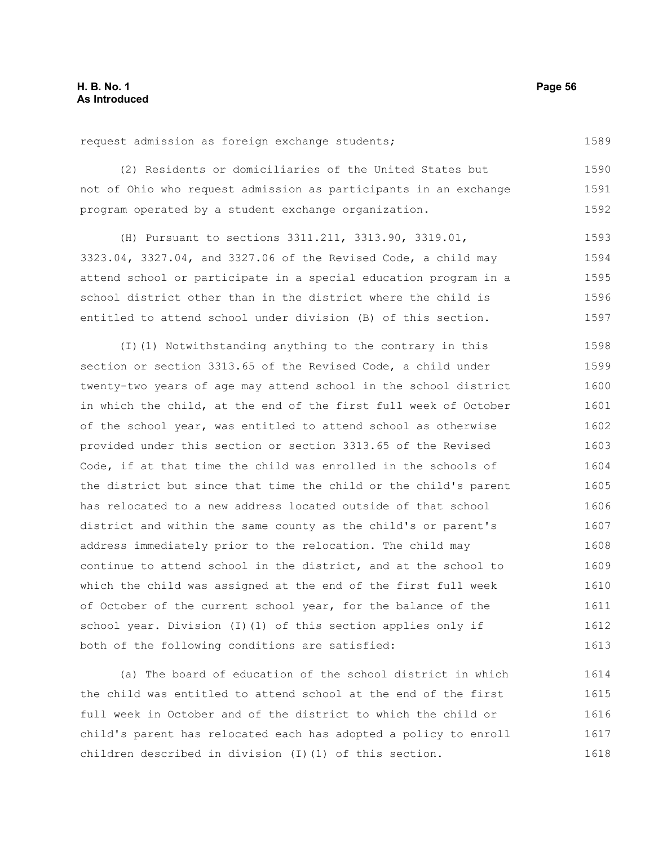request admission as foreign exchange students;

(2) Residents or domiciliaries of the United States but not of Ohio who request admission as participants in an exchange program operated by a student exchange organization. 1590 1591 1592

(H) Pursuant to sections 3311.211, 3313.90, 3319.01, 3323.04, 3327.04, and 3327.06 of the Revised Code, a child may attend school or participate in a special education program in a school district other than in the district where the child is entitled to attend school under division (B) of this section. 1593 1594 1595 1596 1597

(I)(1) Notwithstanding anything to the contrary in this section or section 3313.65 of the Revised Code, a child under twenty-two years of age may attend school in the school district in which the child, at the end of the first full week of October of the school year, was entitled to attend school as otherwise provided under this section or section 3313.65 of the Revised Code, if at that time the child was enrolled in the schools of the district but since that time the child or the child's parent has relocated to a new address located outside of that school district and within the same county as the child's or parent's address immediately prior to the relocation. The child may continue to attend school in the district, and at the school to which the child was assigned at the end of the first full week of October of the current school year, for the balance of the school year. Division (I)(1) of this section applies only if both of the following conditions are satisfied: 1598 1599 1600 1601 1602 1603 1604 1605 1606 1607 1608 1609 1610 1611 1612 1613

(a) The board of education of the school district in which the child was entitled to attend school at the end of the first full week in October and of the district to which the child or child's parent has relocated each has adopted a policy to enroll children described in division (I)(1) of this section. 1614 1615 1616 1617 1618

1589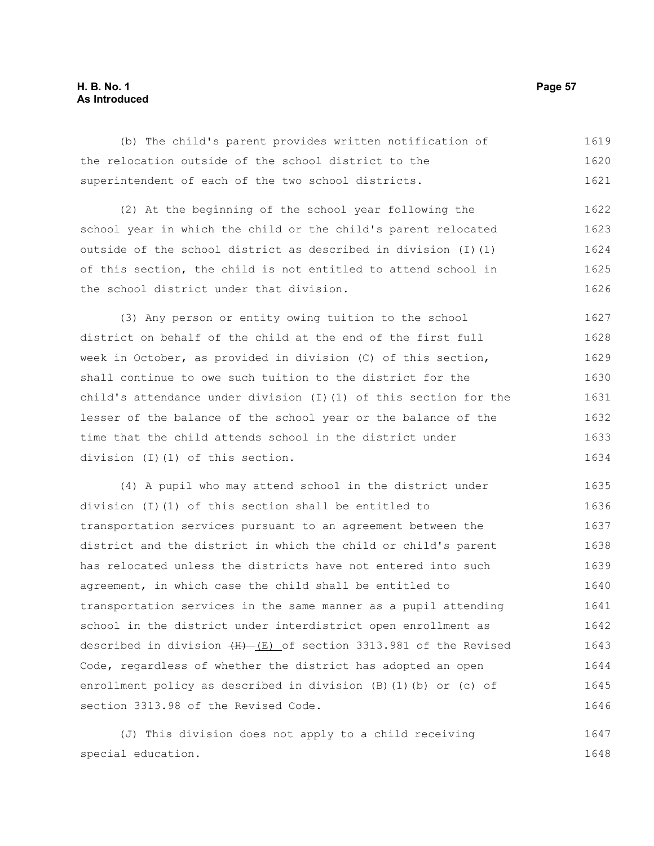## **H. B. No. 1 Page 57 As Introduced**

(b) The child's parent provides written notification of the relocation outside of the school district to the superintendent of each of the two school districts. (2) At the beginning of the school year following the school year in which the child or the child's parent relocated outside of the school district as described in division (I)(1) of this section, the child is not entitled to attend school in the school district under that division. (3) Any person or entity owing tuition to the school district on behalf of the child at the end of the first full week in October, as provided in division (C) of this section, shall continue to owe such tuition to the district for the child's attendance under division (I)(1) of this section for the lesser of the balance of the school year or the balance of the time that the child attends school in the district under division (I)(1) of this section. (4) A pupil who may attend school in the district under division (I)(1) of this section shall be entitled to transportation services pursuant to an agreement between the district and the district in which the child or child's parent has relocated unless the districts have not entered into such agreement, in which case the child shall be entitled to transportation services in the same manner as a pupil attending school in the district under interdistrict open enrollment as described in division  $(H)$  (E) of section 3313.981 of the Revised Code, regardless of whether the district has adopted an open enrollment policy as described in division (B)(1)(b) or (c) of section 3313.98 of the Revised Code. 1619 1620 1621 1622 1623 1624 1625 1626 1627 1628 1629 1630 1631 1632 1633 1634 1635 1636 1637 1638 1639 1640 1641 1642 1643 1644 1645 1646

(J) This division does not apply to a child receiving special education. 1647 1648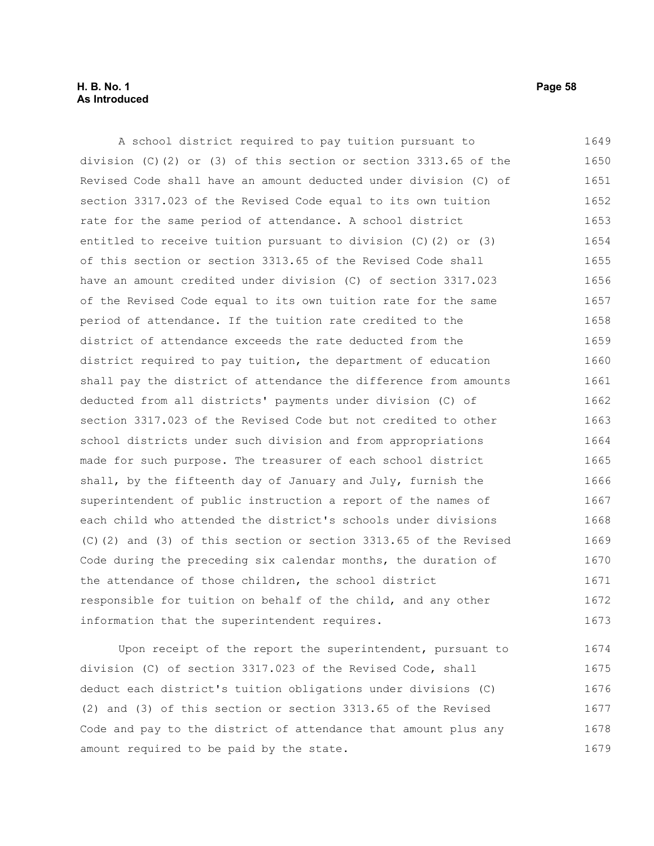#### **H. B. No. 1 Page 58 As Introduced**

A school district required to pay tuition pursuant to division (C)(2) or (3) of this section or section 3313.65 of the Revised Code shall have an amount deducted under division (C) of section 3317.023 of the Revised Code equal to its own tuition rate for the same period of attendance. A school district entitled to receive tuition pursuant to division (C)(2) or (3) of this section or section 3313.65 of the Revised Code shall have an amount credited under division (C) of section 3317.023 of the Revised Code equal to its own tuition rate for the same period of attendance. If the tuition rate credited to the district of attendance exceeds the rate deducted from the district required to pay tuition, the department of education shall pay the district of attendance the difference from amounts deducted from all districts' payments under division (C) of section 3317.023 of the Revised Code but not credited to other school districts under such division and from appropriations made for such purpose. The treasurer of each school district shall, by the fifteenth day of January and July, furnish the superintendent of public instruction a report of the names of each child who attended the district's schools under divisions (C)(2) and (3) of this section or section 3313.65 of the Revised Code during the preceding six calendar months, the duration of the attendance of those children, the school district responsible for tuition on behalf of the child, and any other information that the superintendent requires. 1649 1650 1651 1652 1653 1654 1655 1656 1657 1658 1659 1660 1661 1662 1663 1664 1665 1666 1667 1668 1669 1670 1671 1672 1673

Upon receipt of the report the superintendent, pursuant to division (C) of section 3317.023 of the Revised Code, shall deduct each district's tuition obligations under divisions (C) (2) and (3) of this section or section 3313.65 of the Revised Code and pay to the district of attendance that amount plus any amount required to be paid by the state. 1674 1675 1676 1677 1678 1679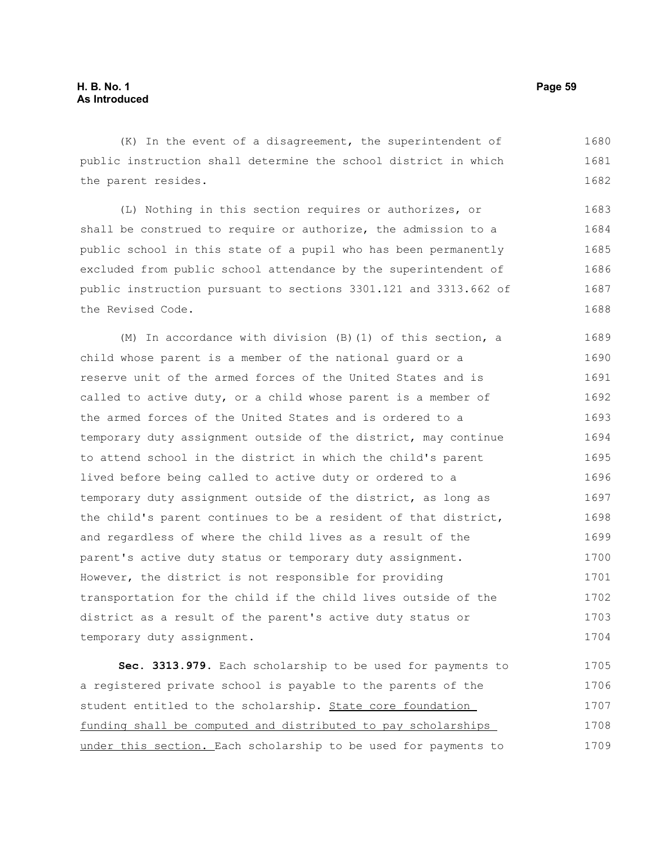(K) In the event of a disagreement, the superintendent of public instruction shall determine the school district in which the parent resides. 1680 1681 1682

(L) Nothing in this section requires or authorizes, or shall be construed to require or authorize, the admission to a public school in this state of a pupil who has been permanently excluded from public school attendance by the superintendent of public instruction pursuant to sections 3301.121 and 3313.662 of the Revised Code. 1683 1684 1685 1686 1687 1688

(M) In accordance with division (B)(1) of this section, a child whose parent is a member of the national guard or a reserve unit of the armed forces of the United States and is called to active duty, or a child whose parent is a member of the armed forces of the United States and is ordered to a temporary duty assignment outside of the district, may continue to attend school in the district in which the child's parent lived before being called to active duty or ordered to a temporary duty assignment outside of the district, as long as the child's parent continues to be a resident of that district, and regardless of where the child lives as a result of the parent's active duty status or temporary duty assignment. However, the district is not responsible for providing transportation for the child if the child lives outside of the district as a result of the parent's active duty status or temporary duty assignment. 1689 1690 1691 1692 1693 1694 1695 1696 1697 1698 1699 1700 1701 1702 1703 1704

**Sec. 3313.979.** Each scholarship to be used for payments to a registered private school is payable to the parents of the student entitled to the scholarship. State core foundation funding shall be computed and distributed to pay scholarships under this section. Each scholarship to be used for payments to 1705 1706 1707 1708 1709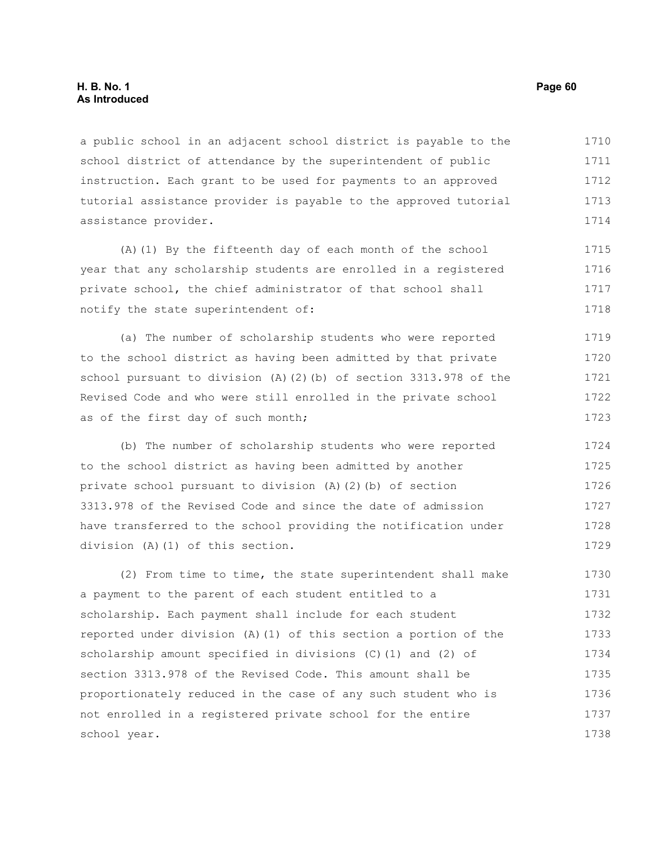## **H. B. No. 1 Page 60 As Introduced**

a public school in an adjacent school district is payable to the school district of attendance by the superintendent of public instruction. Each grant to be used for payments to an approved tutorial assistance provider is payable to the approved tutorial assistance provider. 1710 1711 1712 1713 1714

(A)(1) By the fifteenth day of each month of the school year that any scholarship students are enrolled in a registered private school, the chief administrator of that school shall notify the state superintendent of: 1715 1716 1717 1718

(a) The number of scholarship students who were reported to the school district as having been admitted by that private school pursuant to division (A)(2)(b) of section 3313.978 of the Revised Code and who were still enrolled in the private school as of the first day of such month; 1719 1720 1721 1722 1723

(b) The number of scholarship students who were reported to the school district as having been admitted by another private school pursuant to division (A)(2)(b) of section 3313.978 of the Revised Code and since the date of admission have transferred to the school providing the notification under division (A)(1) of this section. 1724 1725 1726 1727 1728 1729

(2) From time to time, the state superintendent shall make a payment to the parent of each student entitled to a scholarship. Each payment shall include for each student reported under division (A)(1) of this section a portion of the scholarship amount specified in divisions (C)(1) and (2) of section 3313.978 of the Revised Code. This amount shall be proportionately reduced in the case of any such student who is not enrolled in a registered private school for the entire school year. 1730 1731 1732 1733 1734 1735 1736 1737 1738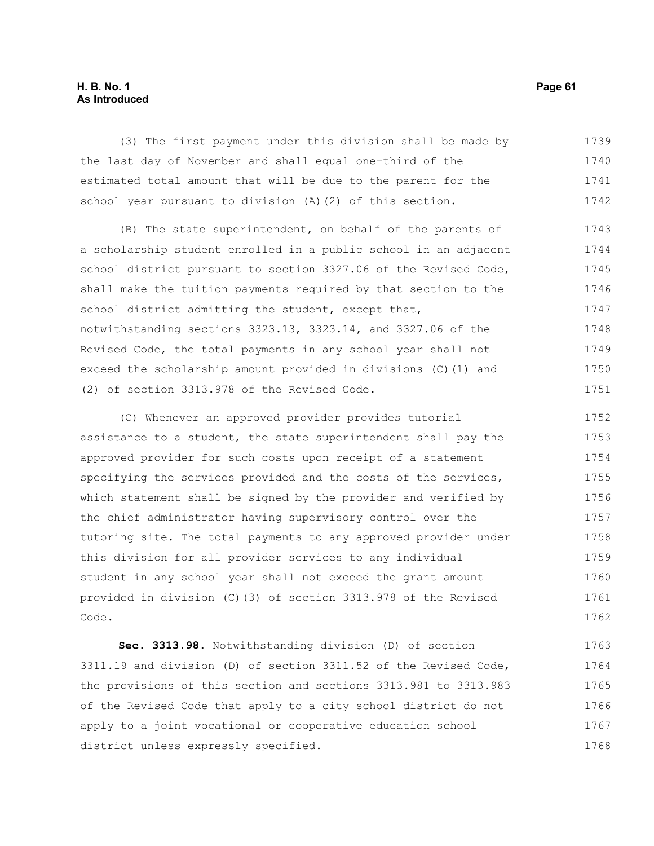## **H. B. No. 1 Page 61 As Introduced**

(3) The first payment under this division shall be made by the last day of November and shall equal one-third of the estimated total amount that will be due to the parent for the school year pursuant to division (A)(2) of this section. (B) The state superintendent, on behalf of the parents of a scholarship student enrolled in a public school in an adjacent school district pursuant to section 3327.06 of the Revised Code, shall make the tuition payments required by that section to the school district admitting the student, except that, notwithstanding sections 3323.13, 3323.14, and 3327.06 of the Revised Code, the total payments in any school year shall not exceed the scholarship amount provided in divisions (C)(1) and (2) of section 3313.978 of the Revised Code. (C) Whenever an approved provider provides tutorial assistance to a student, the state superintendent shall pay the 1739 1740 1741 1742 1743 1744 1745 1746 1747 1748 1749 1750 1751 1752 1753 1754

approved provider for such costs upon receipt of a statement specifying the services provided and the costs of the services, which statement shall be signed by the provider and verified by the chief administrator having supervisory control over the tutoring site. The total payments to any approved provider under this division for all provider services to any individual student in any school year shall not exceed the grant amount provided in division (C)(3) of section 3313.978 of the Revised Code. 1755 1756 1757 1758 1759 1760 1761 1762

**Sec. 3313.98.** Notwithstanding division (D) of section 3311.19 and division (D) of section 3311.52 of the Revised Code, the provisions of this section and sections 3313.981 to 3313.983 of the Revised Code that apply to a city school district do not apply to a joint vocational or cooperative education school district unless expressly specified. 1763 1764 1765 1766 1767 1768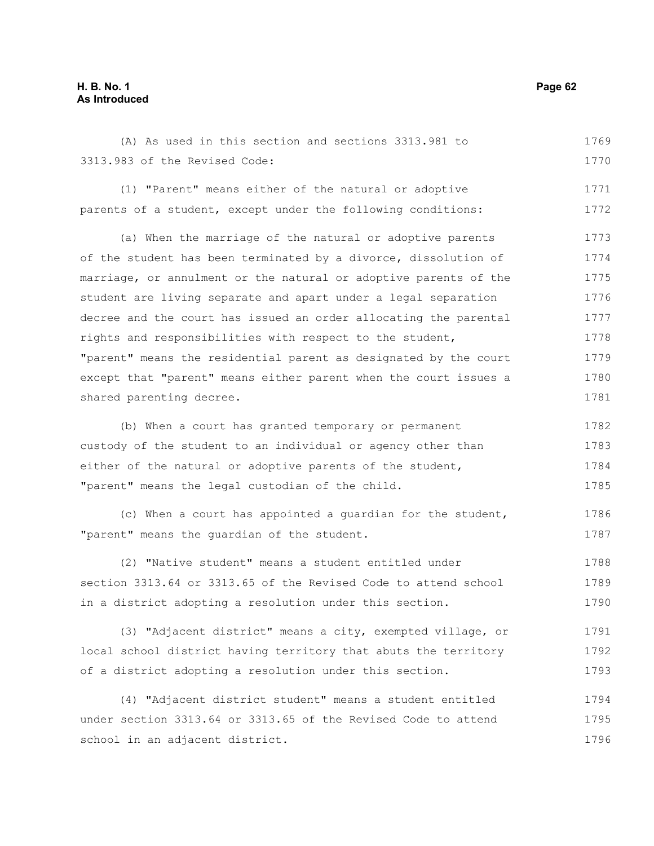# **H. B. No. 1 Page 62 As Introduced**

(A) As used in this section and sections 3313.981 to 3313.983 of the Revised Code: 1769 1770

(1) "Parent" means either of the natural or adoptive parents of a student, except under the following conditions: 1771 1772

(a) When the marriage of the natural or adoptive parents of the student has been terminated by a divorce, dissolution of marriage, or annulment or the natural or adoptive parents of the student are living separate and apart under a legal separation decree and the court has issued an order allocating the parental rights and responsibilities with respect to the student, "parent" means the residential parent as designated by the court except that "parent" means either parent when the court issues a shared parenting decree. 1773 1774 1775 1776 1777 1778 1779 1780 1781

(b) When a court has granted temporary or permanent custody of the student to an individual or agency other than either of the natural or adoptive parents of the student, "parent" means the legal custodian of the child. 1782 1783 1784 1785

(c) When a court has appointed a guardian for the student, "parent" means the guardian of the student. 1786 1787

(2) "Native student" means a student entitled under section 3313.64 or 3313.65 of the Revised Code to attend school in a district adopting a resolution under this section. 1788 1789 1790

(3) "Adjacent district" means a city, exempted village, or local school district having territory that abuts the territory of a district adopting a resolution under this section. 1791 1792 1793

(4) "Adjacent district student" means a student entitled under section 3313.64 or 3313.65 of the Revised Code to attend school in an adjacent district. 1794 1795 1796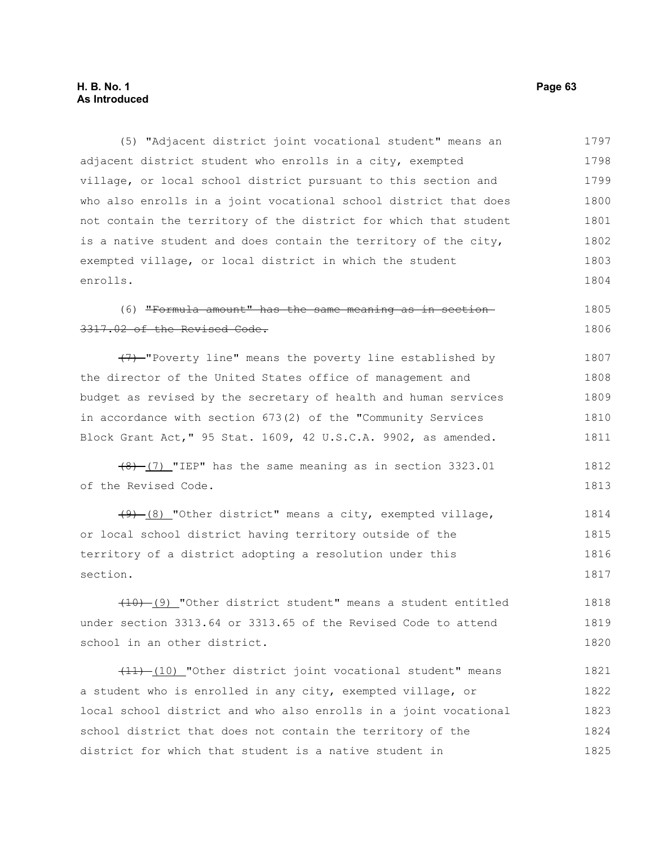# **H. B. No. 1 Page 63 As Introduced**

(5) "Adjacent district joint vocational student" means an adjacent district student who enrolls in a city, exempted village, or local school district pursuant to this section and who also enrolls in a joint vocational school district that does not contain the territory of the district for which that student is a native student and does contain the territory of the city, exempted village, or local district in which the student enrolls. 1797 1798 1799 1800 1801 1802 1803 1804

#### (6) "Formula amount" has the same meaning as in section 3317.02 of the Revised Code. 1805 1806

(7) "Poverty line" means the poverty line established by the director of the United States office of management and budget as revised by the secretary of health and human services in accordance with section 673(2) of the "Community Services Block Grant Act," 95 Stat. 1609, 42 U.S.C.A. 9902, as amended. 1807 1808 1809 1810 1811

 $(8)$  (7) "IEP" has the same meaning as in section 3323.01 of the Revised Code. 1812 1813

(9) (8) "Other district" means a city, exempted village, or local school district having territory outside of the territory of a district adopting a resolution under this section. 1814 1815 1816 1817

 $(10)$  (9) "Other district student" means a student entitled under section 3313.64 or 3313.65 of the Revised Code to attend school in an other district. 1818 1819 1820

 $(11)$  (10) "Other district joint vocational student" means a student who is enrolled in any city, exempted village, or local school district and who also enrolls in a joint vocational school district that does not contain the territory of the district for which that student is a native student in 1821 1822 1823 1824 1825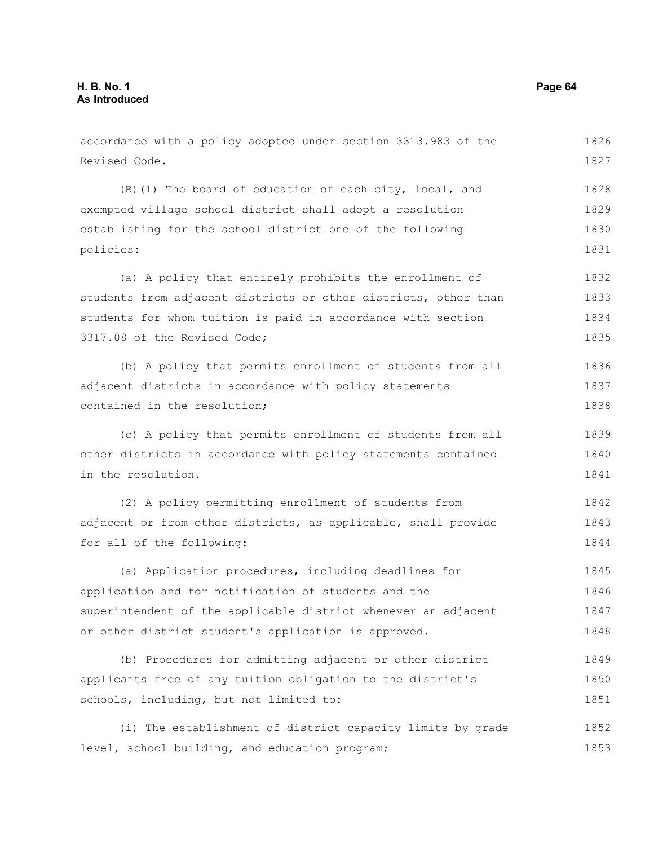accordance with a policy adopted under section 3313.983 of the Revised Code. (B)(1) The board of education of each city, local, and exempted village school district shall adopt a resolution establishing for the school district one of the following policies: (a) A policy that entirely prohibits the enrollment of students from adjacent districts or other districts, other than students for whom tuition is paid in accordance with section 3317.08 of the Revised Code; (b) A policy that permits enrollment of students from all adjacent districts in accordance with policy statements contained in the resolution; (c) A policy that permits enrollment of students from all other districts in accordance with policy statements contained in the resolution. (2) A policy permitting enrollment of students from adjacent or from other districts, as applicable, shall provide for all of the following: (a) Application procedures, including deadlines for application and for notification of students and the superintendent of the applicable district whenever an adjacent or other district student's application is approved. (b) Procedures for admitting adjacent or other district applicants free of any tuition obligation to the district's 1826 1827 1828 1829 1830 1831 1832 1833 1834 1835 1836 1837 1838 1839 1840 1841 1842 1843 1844 1845 1846 1847 1848 1849 1850

(i) The establishment of district capacity limits by grade level, school building, and education program; 1852 1853

schools, including, but not limited to:

1851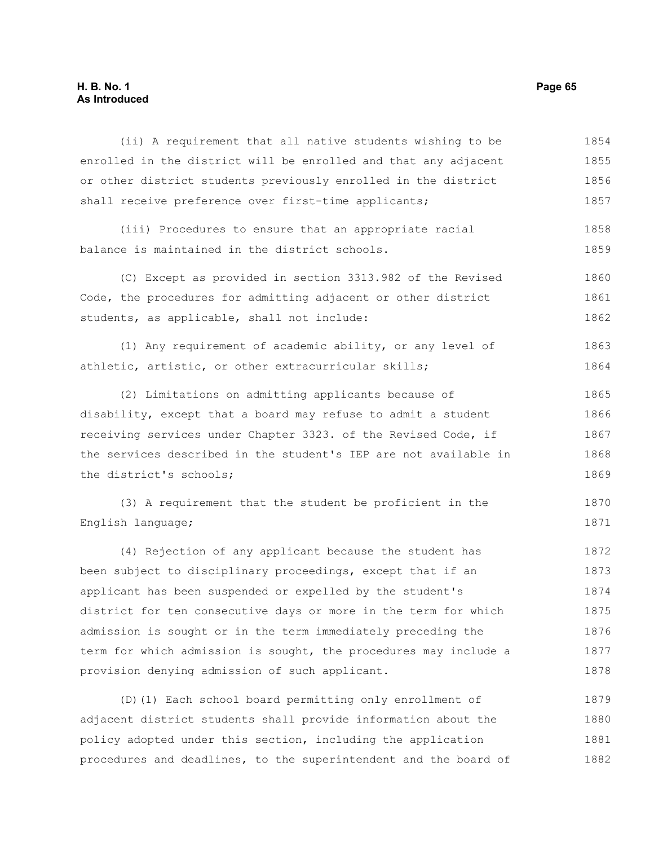## **H. B. No. 1 Page 65 As Introduced**

(ii) A requirement that all native students wishing to be enrolled in the district will be enrolled and that any adjacent or other district students previously enrolled in the district shall receive preference over first-time applicants; (iii) Procedures to ensure that an appropriate racial balance is maintained in the district schools. (C) Except as provided in section 3313.982 of the Revised Code, the procedures for admitting adjacent or other district students, as applicable, shall not include: (1) Any requirement of academic ability, or any level of athletic, artistic, or other extracurricular skills; (2) Limitations on admitting applicants because of disability, except that a board may refuse to admit a student receiving services under Chapter 3323. of the Revised Code, if the services described in the student's IEP are not available in the district's schools; (3) A requirement that the student be proficient in the English language; (4) Rejection of any applicant because the student has been subject to disciplinary proceedings, except that if an applicant has been suspended or expelled by the student's district for ten consecutive days or more in the term for which admission is sought or in the term immediately preceding the term for which admission is sought, the procedures may include a provision denying admission of such applicant. (D)(1) Each school board permitting only enrollment of 1854 1855 1856 1857 1858 1859 1860 1861 1862 1863 1864 1865 1866 1867 1868 1869 1870 1871 1872 1873 1874 1875 1876 1877 1878 1879

adjacent district students shall provide information about the policy adopted under this section, including the application procedures and deadlines, to the superintendent and the board of 1880 1881 1882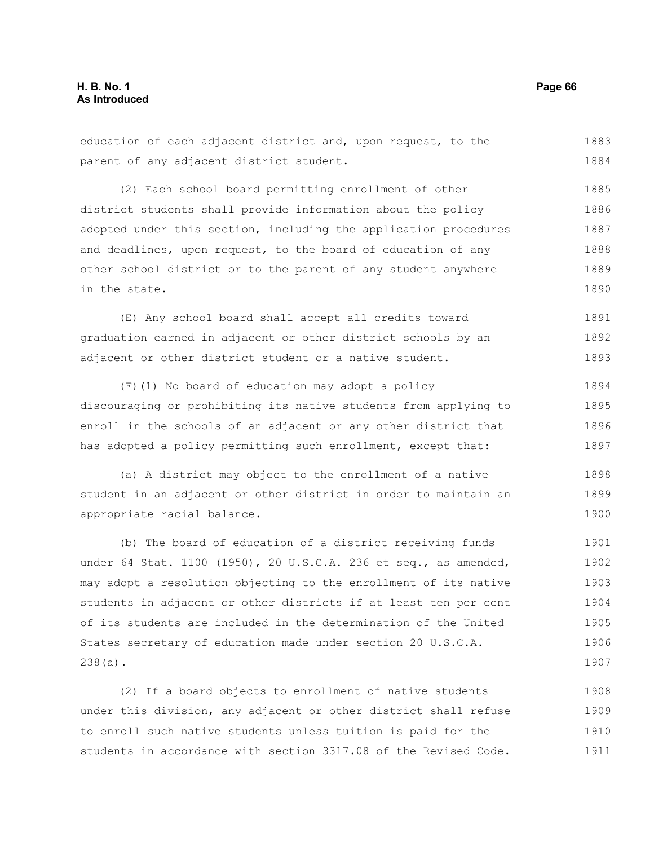#### education of each adjacent district and, upon request, to the parent of any adjacent district student. (2) Each school board permitting enrollment of other district students shall provide information about the policy adopted under this section, including the application procedures and deadlines, upon request, to the board of education of any other school district or to the parent of any student anywhere in the state. (E) Any school board shall accept all credits toward graduation earned in adjacent or other district schools by an adjacent or other district student or a native student. (F)(1) No board of education may adopt a policy discouraging or prohibiting its native students from applying to enroll in the schools of an adjacent or any other district that has adopted a policy permitting such enrollment, except that: (a) A district may object to the enrollment of a native student in an adjacent or other district in order to maintain an appropriate racial balance. (b) The board of education of a district receiving funds under 64 Stat. 1100 (1950), 20 U.S.C.A. 236 et seq., as amended, may adopt a resolution objecting to the enrollment of its native students in adjacent or other districts if at least ten per cent of its students are included in the determination of the United States secretary of education made under section 20 U.S.C.A. 238(a). (2) If a board objects to enrollment of native students 1883 1884 1885 1886 1887 1888 1889 1890 1891 1892 1893 1894 1895 1896 1897 1898 1899 1900 1901 1902 1903 1904 1905 1906 1907 1908

under this division, any adjacent or other district shall refuse to enroll such native students unless tuition is paid for the students in accordance with section 3317.08 of the Revised Code. 1909 1910 1911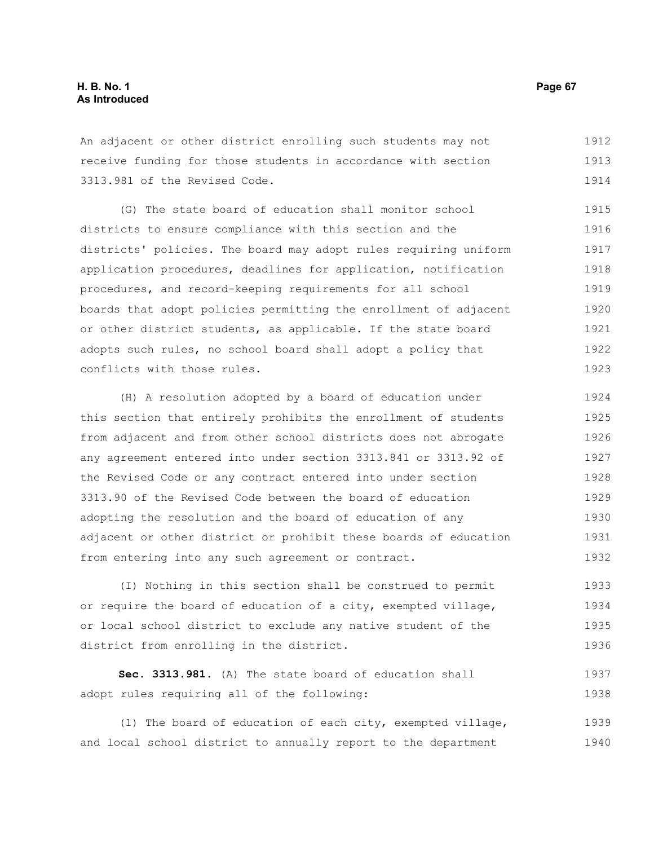An adjacent or other district enrolling such students may not receive funding for those students in accordance with section 3313.981 of the Revised Code. 1912 1913 1914

(G) The state board of education shall monitor school districts to ensure compliance with this section and the districts' policies. The board may adopt rules requiring uniform application procedures, deadlines for application, notification procedures, and record-keeping requirements for all school boards that adopt policies permitting the enrollment of adjacent or other district students, as applicable. If the state board adopts such rules, no school board shall adopt a policy that conflicts with those rules. 1915 1916 1917 1918 1919 1920 1921 1922 1923

(H) A resolution adopted by a board of education under this section that entirely prohibits the enrollment of students from adjacent and from other school districts does not abrogate any agreement entered into under section 3313.841 or 3313.92 of the Revised Code or any contract entered into under section 3313.90 of the Revised Code between the board of education adopting the resolution and the board of education of any adjacent or other district or prohibit these boards of education from entering into any such agreement or contract. 1924 1925 1926 1927 1928 1929 1930 1931 1932

(I) Nothing in this section shall be construed to permit or require the board of education of a city, exempted village, or local school district to exclude any native student of the district from enrolling in the district. 1933 1934 1935 1936

```
Sec. 3313.981. (A) The state board of education shall
adopt rules requiring all of the following:
                                                                           1937
                                                                           1938
```
(1) The board of education of each city, exempted village, and local school district to annually report to the department 1939 1940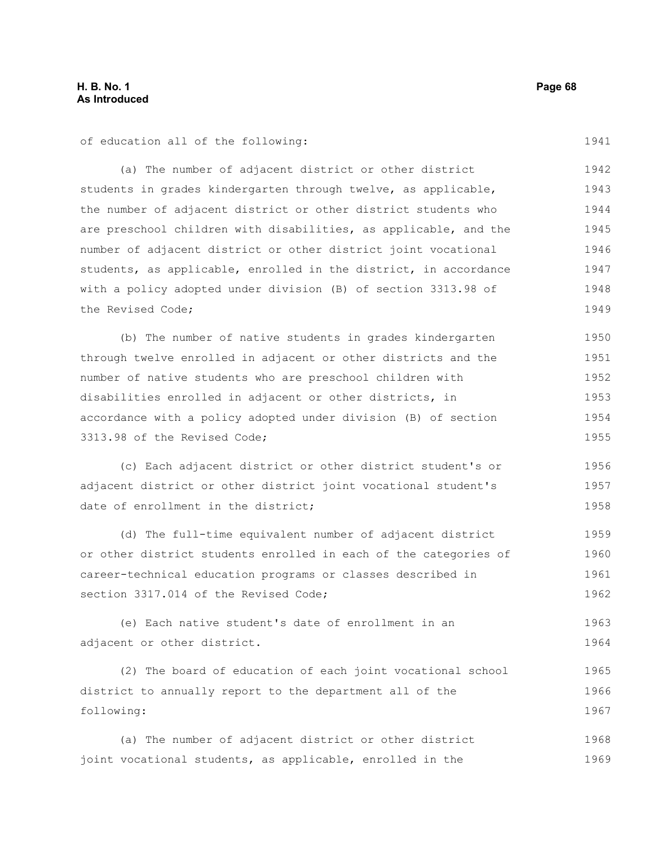of education all of the following:

(a) The number of adjacent district or other district students in grades kindergarten through twelve, as applicable, the number of adjacent district or other district students who are preschool children with disabilities, as applicable, and the number of adjacent district or other district joint vocational students, as applicable, enrolled in the district, in accordance with a policy adopted under division (B) of section 3313.98 of the Revised Code; 1942 1943 1944 1945 1946 1947 1948 1949

(b) The number of native students in grades kindergarten through twelve enrolled in adjacent or other districts and the number of native students who are preschool children with disabilities enrolled in adjacent or other districts, in accordance with a policy adopted under division (B) of section 3313.98 of the Revised Code; 1950 1951 1952 1953 1954 1955

(c) Each adjacent district or other district student's or adjacent district or other district joint vocational student's date of enrollment in the district; 1956 1957 1958

(d) The full-time equivalent number of adjacent district or other district students enrolled in each of the categories of career-technical education programs or classes described in section 3317.014 of the Revised Code; 1959 1960 1961 1962

(e) Each native student's date of enrollment in an adjacent or other district. 1963 1964

(2) The board of education of each joint vocational school district to annually report to the department all of the following: 1965 1966 1967

(a) The number of adjacent district or other district joint vocational students, as applicable, enrolled in the 1968 1969

1941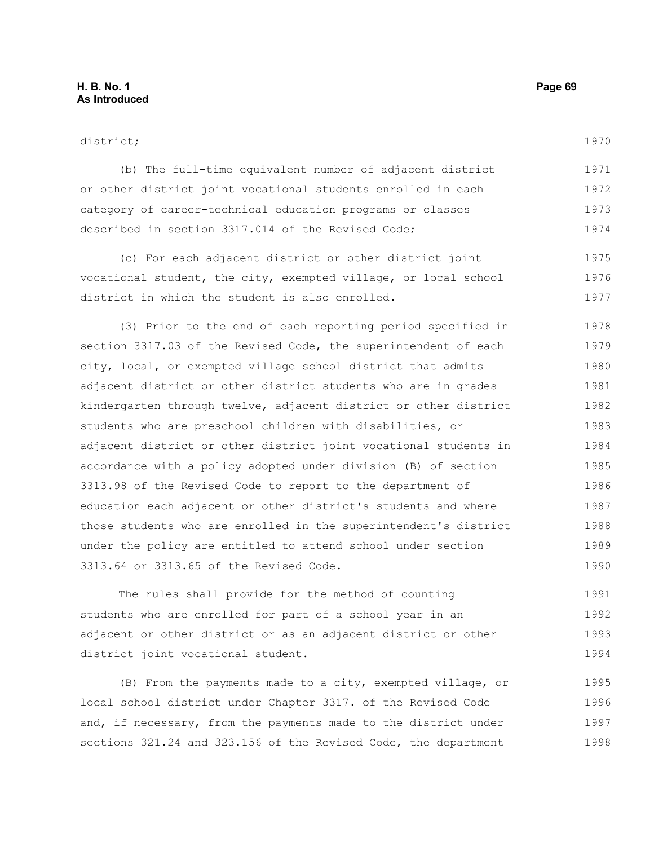#### district;

1970

| (b) The full-time equivalent number of adjacent district     | 1971 |
|--------------------------------------------------------------|------|
| or other district joint vocational students enrolled in each | 1972 |
| category of career-technical education programs or classes   | 1973 |
| described in section 3317.014 of the Revised Code;           | 1974 |

(c) For each adjacent district or other district joint vocational student, the city, exempted village, or local school district in which the student is also enrolled. 1975 1976 1977

(3) Prior to the end of each reporting period specified in section 3317.03 of the Revised Code, the superintendent of each city, local, or exempted village school district that admits adjacent district or other district students who are in grades kindergarten through twelve, adjacent district or other district students who are preschool children with disabilities, or adjacent district or other district joint vocational students in accordance with a policy adopted under division (B) of section 3313.98 of the Revised Code to report to the department of education each adjacent or other district's students and where those students who are enrolled in the superintendent's district under the policy are entitled to attend school under section 3313.64 or 3313.65 of the Revised Code. 1978 1979 1980 1981 1982 1983 1984 1985 1986 1987 1988 1989 1990

The rules shall provide for the method of counting students who are enrolled for part of a school year in an adjacent or other district or as an adjacent district or other district joint vocational student. 1991 1992 1993 1994

(B) From the payments made to a city, exempted village, or local school district under Chapter 3317. of the Revised Code and, if necessary, from the payments made to the district under sections 321.24 and 323.156 of the Revised Code, the department 1995 1996 1997 1998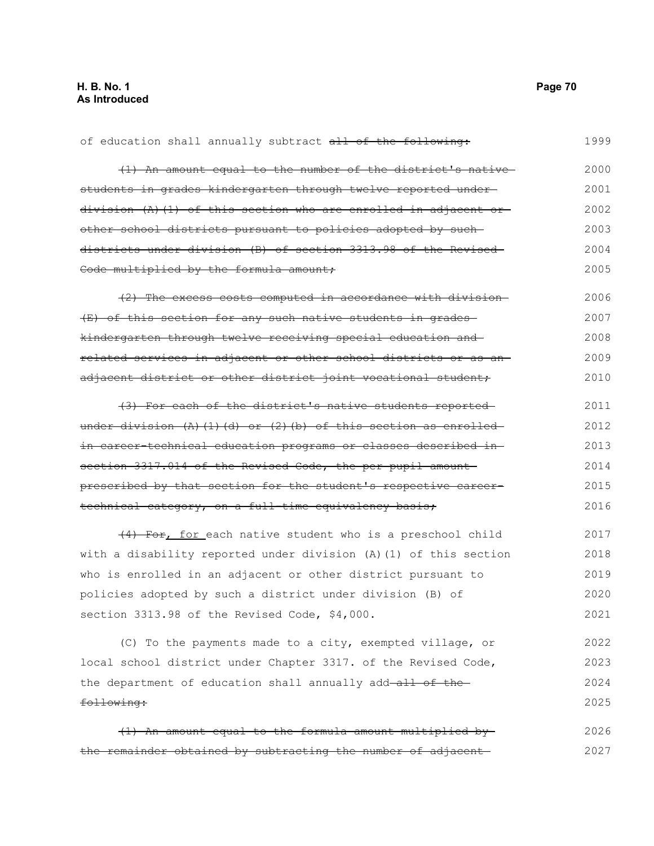following:

of education shall annually subtract all of the following: (1) An amount equal to the number of the district's native students in grades kindergarten through twelve reported under division (A)(1) of this section who are enrolled in adjacent or other school districts pursuant to policies adopted by such districts under division (B) of section 3313.98 of the Revised Code multiplied by the formula amount; (2) The excess costs computed in accordance with division (E) of this section for any such native students in grades kindergarten through twelve receiving special education and related services in adjacent or other school districts or as an adjacent district or other district joint vocational student, (3) For each of the district's native students reported under division  $(A)$  (1)(d) or (2)(b) of this section as enrolled in career-technical education programs or classes described in section 3317.014 of the Revised Code, the per pupil amountprescribed by that section for the student's respective careertechnical category, on a full-time equivalency basis; (4) For, for each native student who is a preschool child with a disability reported under division (A)(1) of this section who is enrolled in an adjacent or other district pursuant to policies adopted by such a district under division (B) of section 3313.98 of the Revised Code, \$4,000. (C) To the payments made to a city, exempted village, or local school district under Chapter 3317. of the Revised Code, the department of education shall annually add-all of the-1999 2000 2001 2002 2003 2004 2005 2006 2007 2008 2009 2010 2011 2012 2013 2014 2015 2016 2017 2018 2019 2020 2021 2022 2023 2024

|  | (1) An amount equal to the formula amount multiplied by      | 2026 |
|--|--------------------------------------------------------------|------|
|  | the remainder obtained by subtracting the number of adjacent | 2027 |

2025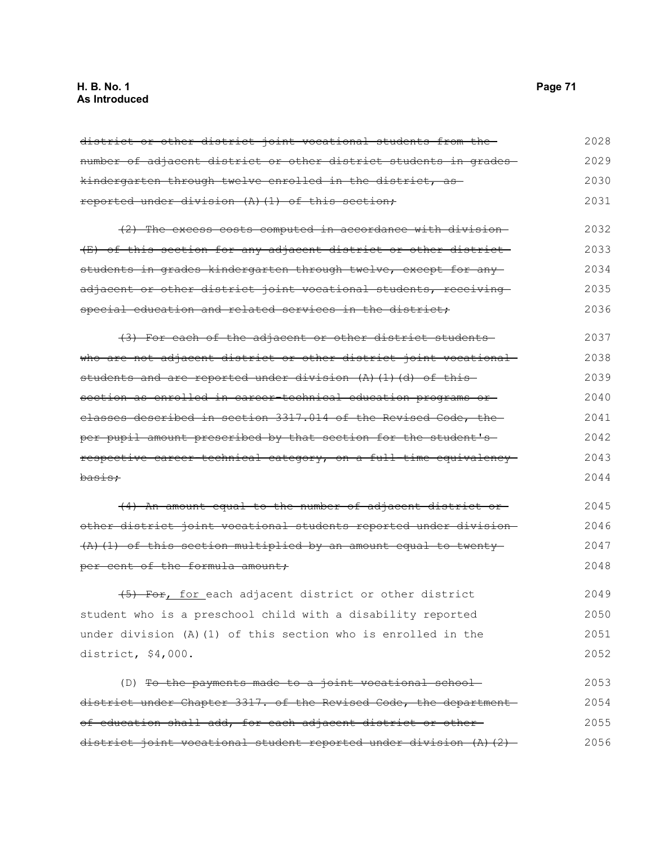district or other district joint vocational students from the number of adjacent district or other district students in grades kindergarten through twelve enrolled in the district, as reported under division (A)(1) of this section; (2) The excess costs computed in accordance with division (E) of this section for any adjacent district or other district students in grades kindergarten through twelve, except for any adjacent or other district joint vocational students, receivingspecial education and related services in the district; (3) For each of the adjacent or other district students who are not adjacent district or other district joint vocational students and are reported under division  $(A)$   $(1)$   $(d)$  of this section as enrolled in career-technical education programs or classes described in section 3317.014 of the Revised Code, the per pupil amount prescribed by that section for the student's respective career-technical category, on a full-time equivalency basis; (4) An amount equal to the number of adjacent district or other district joint vocational students reported under division (A)(1) of this section multiplied by an amount equal to twenty per cent of the formula amount; (5) For, for each adjacent district or other district student who is a preschool child with a disability reported under division (A)(1) of this section who is enrolled in the district, \$4,000. (D) To the payments made to a joint vocational schooldistrict under Chapter 3317. of the Revised Code, the department 2028 2029 2030 2031 2032 2033 2034 2035 2036 2037 2038 2039 2040 2041 2042 2043 2044 2045 2046 2047 2048 2049 2050 2051 2052 2053 2054

of education shall add, for each adjacent district or other district joint vocational student reported under division (A)(2)-2055 2056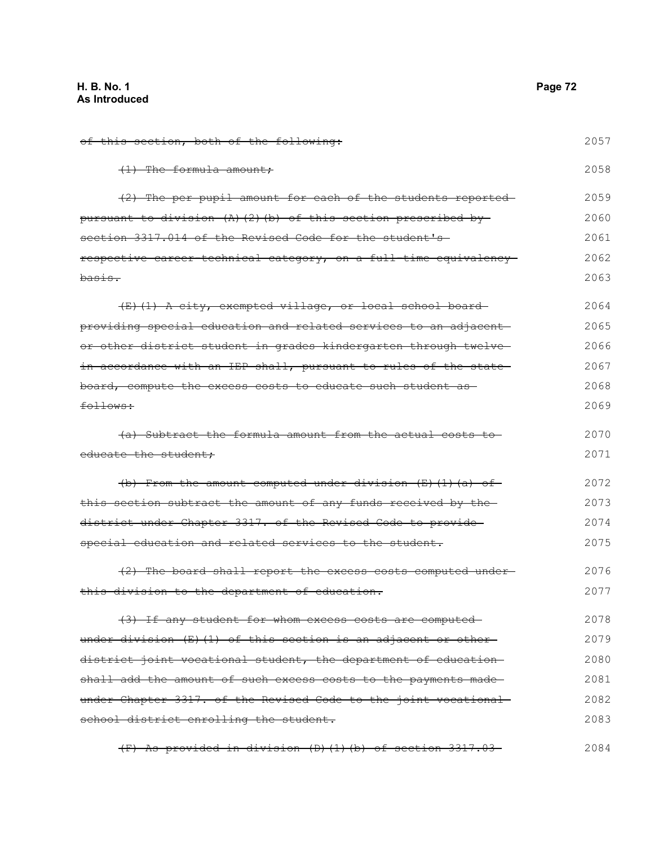| of this section, both of the following:                            | 2057 |
|--------------------------------------------------------------------|------|
| $(1)$ The formula amount;                                          | 2058 |
| (2) The per pupil amount for each of the students reported-        | 2059 |
| pursuant to division $(A)$ $(2)$ (b) of this section prescribed by | 2060 |
| section 3317.014 of the Revised Code for the student's             | 2061 |
| respective career-technical category, on a full-time equivalency-  | 2062 |
| basis.                                                             | 2063 |
| (E)(1) A city, exempted village, or local school board-            | 2064 |
| providing special education and related services to an adjacent-   | 2065 |
| or other district student in grades kindergarten through twelve-   | 2066 |
| in accordance with an IEP shall, pursuant to rules of the state-   | 2067 |
| board, compute the excess costs to educate such student as         | 2068 |
| follows:                                                           | 2069 |
| (a) Subtract the formula amount from the actual costs to           | 2070 |
| educate the student;                                               | 2071 |
| $(b)$ From the amount computed under division (E)(1)(a) of         | 2072 |
| this section subtract the amount of any funds received by the-     | 2073 |
| district under Chapter 3317. of the Revised Code to provide-       | 2074 |
| special education and related services to the student.             | 2075 |
| (2) The board shall report the excess costs computed under-        | 2076 |
| this division to the department of education.                      | 2077 |
| (3) If any student for whom excess costs are computed-             | 2078 |
| under division (E)(1) of this section is an adjacent or other-     | 2079 |
| district joint vocational student, the department of education-    | 2080 |
| shall add the amount of such excess costs to the payments made-    | 2081 |
| under Chapter 3317. of the Revised Code to the joint vocational    | 2082 |
| school district enrolling the student.                             | 2083 |
| (F) As provided in division (D)(1)(b) of section 3317.03           | 2084 |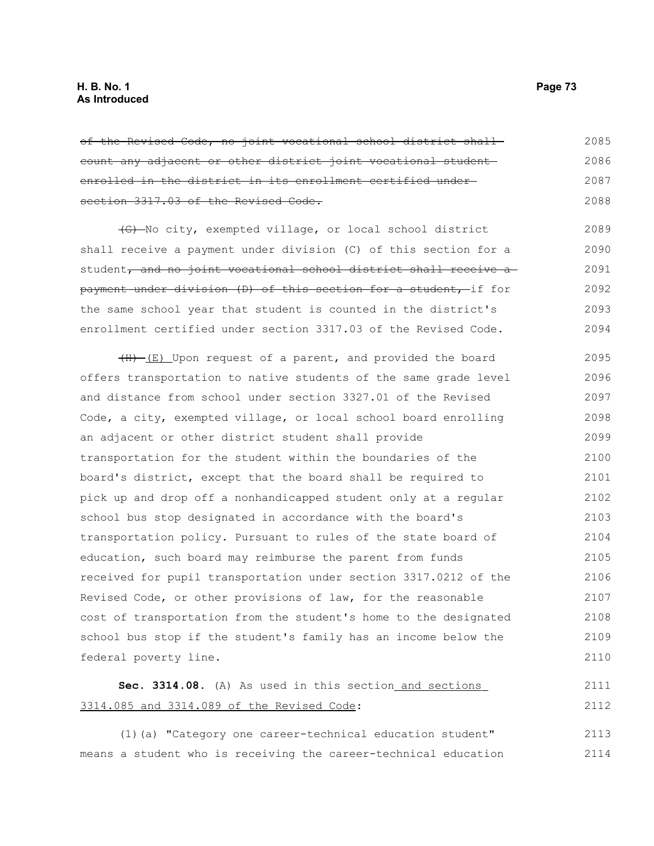of the Revised Code, no joint vocational school district shall count any adjacent or other district joint vocational student enrolled in the district in its enrollment certified under section 3317.03 of the Revised Code. 2085 2086 2087 2088

(G) No city, exempted village, or local school district shall receive a payment under division (C) of this section for a student, and no joint vocational school district shall receive a payment under division (D) of this section for a student, if for the same school year that student is counted in the district's enrollment certified under section 3317.03 of the Revised Code. 2089 2090 2091 2092 2093 2094

(H) (E) Upon request of a parent, and provided the board offers transportation to native students of the same grade level and distance from school under section 3327.01 of the Revised Code, a city, exempted village, or local school board enrolling an adjacent or other district student shall provide transportation for the student within the boundaries of the board's district, except that the board shall be required to pick up and drop off a nonhandicapped student only at a regular school bus stop designated in accordance with the board's transportation policy. Pursuant to rules of the state board of education, such board may reimburse the parent from funds received for pupil transportation under section 3317.0212 of the Revised Code, or other provisions of law, for the reasonable cost of transportation from the student's home to the designated school bus stop if the student's family has an income below the federal poverty line. 2095 2096 2097 2098 2099 2100 2101 2102 2103 2104 2105 2106 2107 2108 2109 2110

#### Sec. 3314.08. (A) As used in this section and sections 3314.085 and 3314.089 of the Revised Code: 2111 2112

(1)(a) "Category one career-technical education student" means a student who is receiving the career-technical education 2113 2114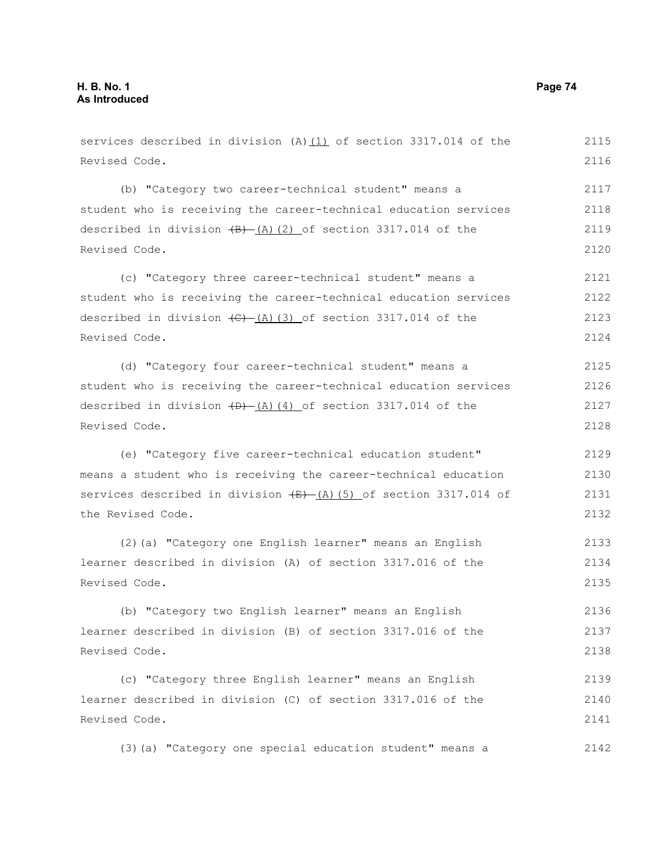services described in division (A) $(1)$  of section 3317.014 of the Revised Code. (b) "Category two career-technical student" means a student who is receiving the career-technical education services described in division  $(B) - (A)(2)$  of section 3317.014 of the Revised Code. (c) "Category three career-technical student" means a student who is receiving the career-technical education services described in division  $\left(\frac{C}{A}\right)$  (3) of section 3317.014 of the Revised Code. (d) "Category four career-technical student" means a student who is receiving the career-technical education services described in division  $(D)$   $(A)$  (4) of section 3317.014 of the Revised Code. (e) "Category five career-technical education student" means a student who is receiving the career-technical education services described in division  $\overline{(E)}$  (A)(5) of section 3317.014 of the Revised Code. (2)(a) "Category one English learner" means an English learner described in division (A) of section 3317.016 of the Revised Code. (b) "Category two English learner" means an English learner described in division (B) of section 3317.016 of the Revised Code. (c) "Category three English learner" means an English learner described in division (C) of section 3317.016 of the Revised Code. 2115 2116 2117 2118 2119 2120 2121 2122 2123 2124 2125 2126 2127 2128 2129 2130 2131 2132 2133 2134 2135 2136 2137 2138 2139 2140 2141

(3)(a) "Category one special education student" means a 2142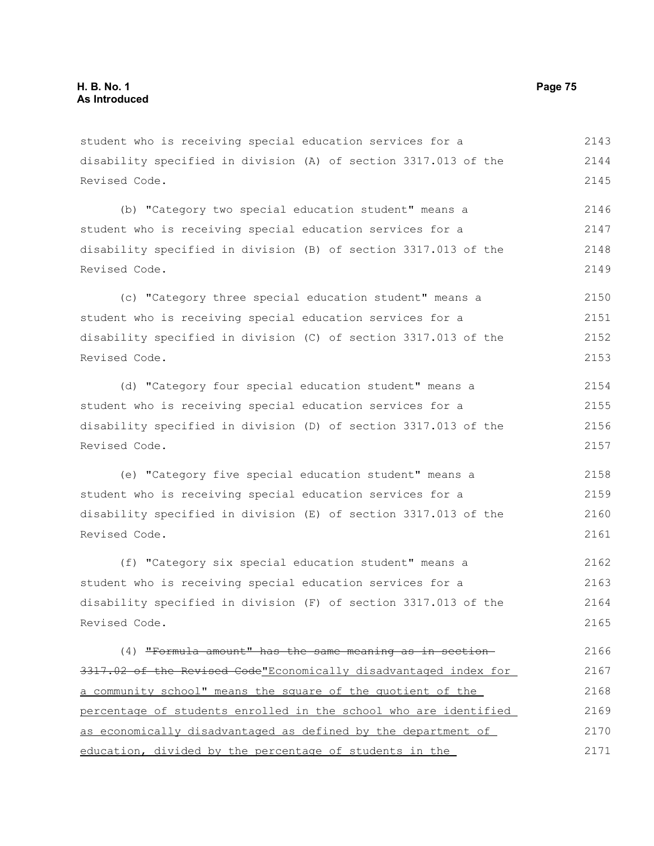student who is receiving special education services for a disability specified in division (A) of section 3317.013 of the Revised Code. 2143 2144 2145

(b) "Category two special education student" means a student who is receiving special education services for a disability specified in division (B) of section 3317.013 of the Revised Code. 2146 2147 2148 2149

(c) "Category three special education student" means a student who is receiving special education services for a disability specified in division (C) of section 3317.013 of the Revised Code. 2150 2151 2152 2153

(d) "Category four special education student" means a student who is receiving special education services for a disability specified in division (D) of section 3317.013 of the Revised Code. 2154 2155 2156 2157

(e) "Category five special education student" means a student who is receiving special education services for a disability specified in division (E) of section 3317.013 of the Revised Code. 2158 2159 2160 2161

(f) "Category six special education student" means a student who is receiving special education services for a disability specified in division (F) of section 3317.013 of the Revised Code. 2162 2163 2164 2165

(4) "Formula amount" has the same meaning as in section 3317.02 of the Revised Code"Economically disadvantaged index for a community school" means the square of the quotient of the percentage of students enrolled in the school who are identified as economically disadvantaged as defined by the department of education, divided by the percentage of students in the 2166 2167 2168 2169 2170 2171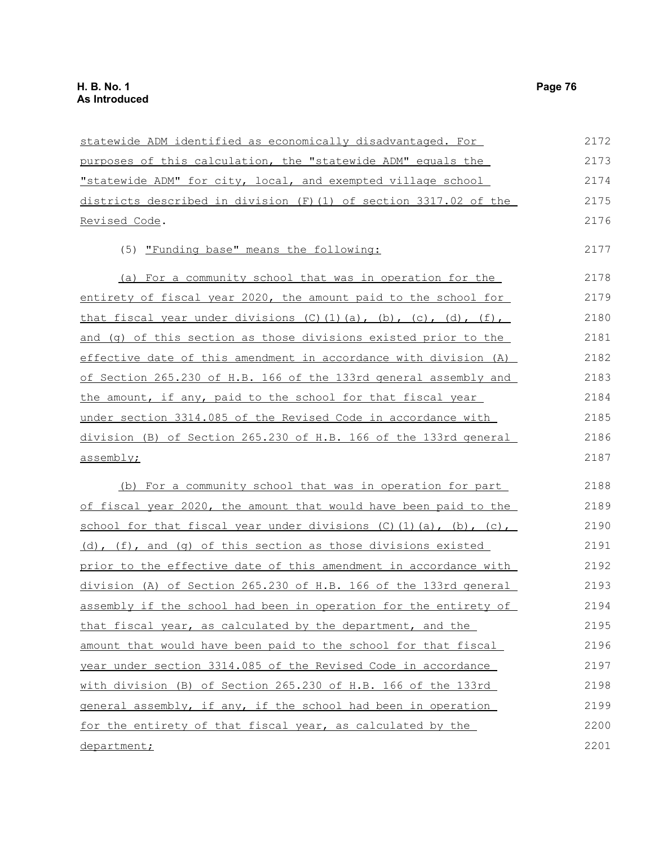| statewide ADM identified as economically disadvantaged. For                          | 2172 |
|--------------------------------------------------------------------------------------|------|
| purposes of this calculation, the "statewide ADM" equals the                         | 2173 |
| "statewide ADM" for city, local, and exempted village school                         | 2174 |
| districts described in division (F)(1) of section 3317.02 of the                     | 2175 |
| Revised Code.                                                                        | 2176 |
| (5) "Funding base" means the following:                                              | 2177 |
| (a) For a community school that was in operation for the                             | 2178 |
| entirety of fiscal year 2020, the amount paid to the school for                      | 2179 |
| that fiscal year under divisions $(C)$ $(1)$ $(a)$ , $(b)$ , $(c)$ , $(d)$ , $(f)$ , | 2180 |
| and (q) of this section as those divisions existed prior to the                      | 2181 |
| effective date of this amendment in accordance with division (A)                     | 2182 |
| of Section 265.230 of H.B. 166 of the 133rd general assembly and                     | 2183 |
| the amount, if any, paid to the school for that fiscal year                          | 2184 |
| under section 3314.085 of the Revised Code in accordance with                        | 2185 |
| division (B) of Section 265.230 of H.B. 166 of the 133rd general                     | 2186 |
| assembly;                                                                            | 2187 |
| (b) For a community school that was in operation for part                            | 2188 |
| of fiscal year 2020, the amount that would have been paid to the                     | 2189 |
| school for that fiscal year under divisions $(C)$ $(1)$ $(a)$ , $(b)$ , $(c)$ ,      | 2190 |
| (d), (f), and (q) of this section as those divisions existed                         | 2191 |
| prior to the effective date of this amendment in accordance with                     | 2192 |
| division (A) of Section 265.230 of H.B. 166 of the 133rd general                     | 2193 |
| assembly if the school had been in operation for the entirety of                     | 2194 |
| that fiscal year, as calculated by the department, and the                           | 2195 |
| amount that would have been paid to the school for that fiscal                       | 2196 |
| year under section 3314.085 of the Revised Code in accordance                        | 2197 |
| with division (B) of Section 265.230 of H.B. 166 of the 133rd                        | 2198 |
| general assembly, if any, if the school had been in operation                        | 2199 |
| for the entirety of that fiscal year, as calculated by the                           | 2200 |
| department;                                                                          | 2201 |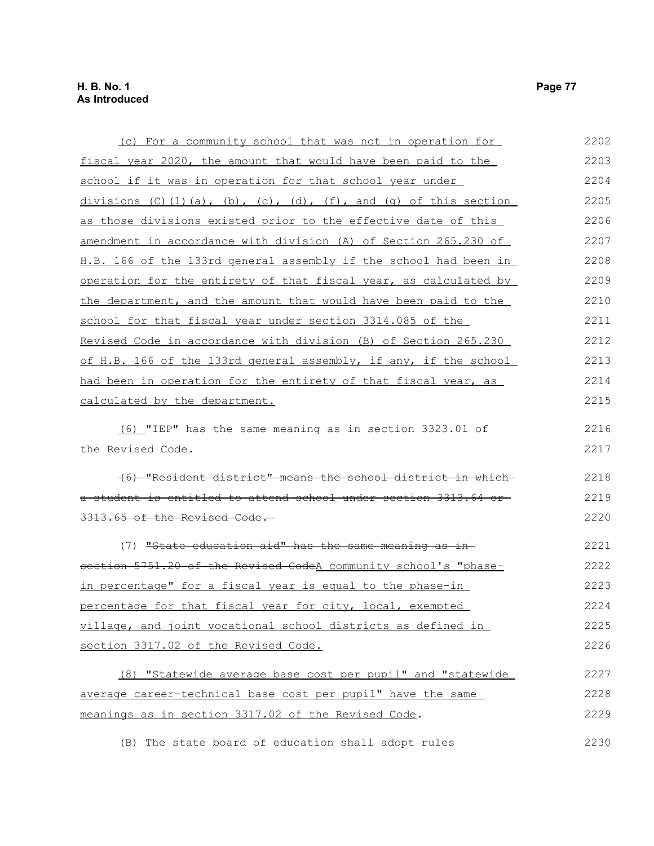| (c) For a community school that was not in operation for                            | 2202 |
|-------------------------------------------------------------------------------------|------|
| fiscal year 2020, the amount that would have been paid to the                       | 2203 |
| school if it was in operation for that school year under                            | 2204 |
| divisions $(C) (1) (a)$ , $(b)$ , $(c)$ , $(d)$ , $(f)$ , and $(q)$ of this section | 2205 |
| as those divisions existed prior to the effective date of this                      | 2206 |
| amendment in accordance with division (A) of Section 265.230 of                     | 2207 |
| H.B. 166 of the 133rd general assembly if the school had been in                    | 2208 |
| operation for the entirety of that fiscal year, as calculated by                    | 2209 |
| the department, and the amount that would have been paid to the                     | 2210 |
| school for that fiscal year under section 3314.085 of the                           | 2211 |
| Revised Code in accordance with division (B) of Section 265.230                     | 2212 |
| of H.B. 166 of the 133rd general assembly, if any, if the school                    | 2213 |
| had been in operation for the entirety of that fiscal year, as                      | 2214 |
| calculated by the department.                                                       | 2215 |
| (6) "IEP" has the same meaning as in section 3323.01 of                             | 2216 |
| the Revised Code.                                                                   | 2217 |
| (6) "Resident district" means the school district in which-                         | 2218 |
| a student is entitled to attend school under section 3313.64 or-                    | 2219 |
| 3313.65 of the Revised Code.                                                        | 2220 |
| (7) "State education aid" has the same meaning as in-                               | 2221 |
| section 5751.20 of the Revised CodeA community school's "phase-                     | 2222 |
| in percentage" for a fiscal year is equal to the phase-in                           | 2223 |
| percentage for that fiscal year for city, local, exempted                           | 2224 |
| village, and joint vocational school districts as defined in                        | 2225 |
| section 3317.02 of the Revised Code.                                                | 2226 |
| (8) "Statewide average base cost per pupil" and "statewide                          | 2227 |
| average career-technical base cost per pupil" have the same                         | 2228 |
| meanings as in section 3317.02 of the Revised Code.                                 | 2229 |
| (B) The state board of education shall adopt rules                                  | 2230 |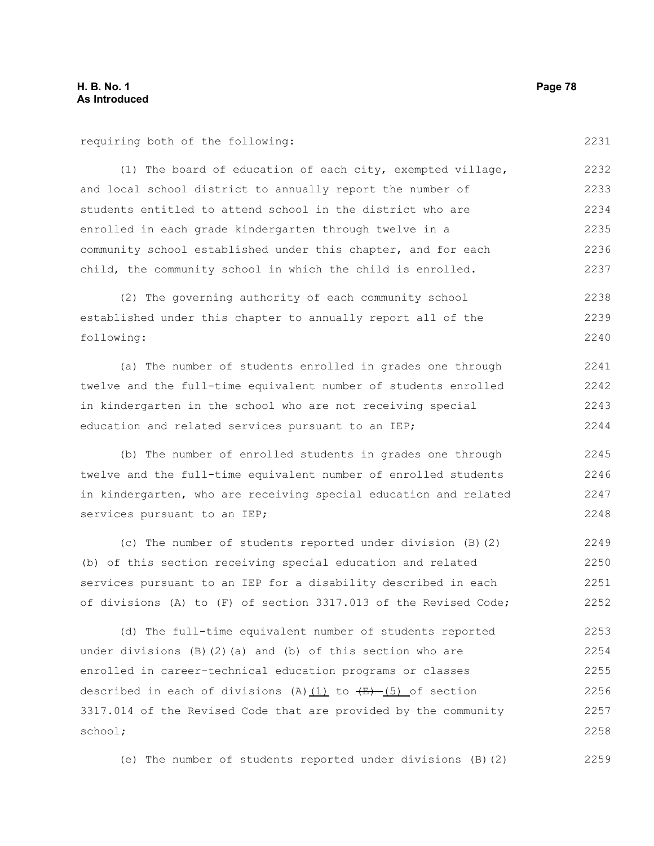requiring both of the following:

(1) The board of education of each city, exempted village, and local school district to annually report the number of students entitled to attend school in the district who are enrolled in each grade kindergarten through twelve in a community school established under this chapter, and for each child, the community school in which the child is enrolled. 2232 2233 2234 2235 2236 2237

(2) The governing authority of each community school established under this chapter to annually report all of the following: 2238 2239 2240

(a) The number of students enrolled in grades one through twelve and the full-time equivalent number of students enrolled in kindergarten in the school who are not receiving special education and related services pursuant to an IEP; 2241 2242 2243 2244

(b) The number of enrolled students in grades one through twelve and the full-time equivalent number of enrolled students in kindergarten, who are receiving special education and related services pursuant to an IEP; 2245 2246 2247 2248

(c) The number of students reported under division (B)(2) (b) of this section receiving special education and related services pursuant to an IEP for a disability described in each of divisions (A) to (F) of section 3317.013 of the Revised Code; 2249 2250 2251 2252

(d) The full-time equivalent number of students reported under divisions  $(B)$   $(2)$   $(a)$  and  $(b)$  of this section who are enrolled in career-technical education programs or classes described in each of divisions (A) $(1)$  to  $\overline{(E)}$  (5) of section 3317.014 of the Revised Code that are provided by the community school; 2253 2254 2255 2256 2257 2258

(e) The number of students reported under divisions (B)(2) 2259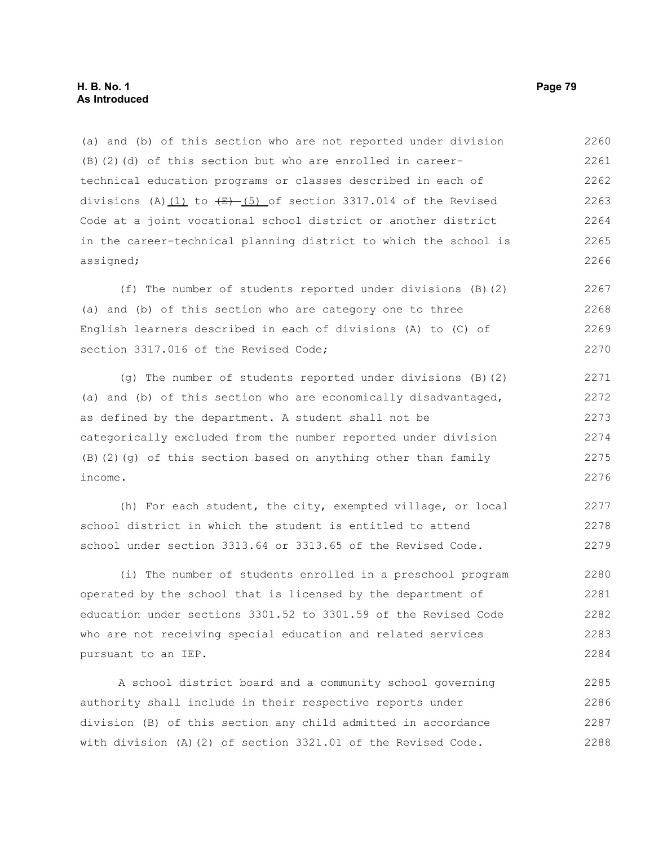(a) and (b) of this section who are not reported under division (B)(2)(d) of this section but who are enrolled in careertechnical education programs or classes described in each of divisions (A) $(1)$  to  $\left(\frac{E}{E}\right)$  of section 3317.014 of the Revised Code at a joint vocational school district or another district in the career-technical planning district to which the school is assigned; 2260 2261 2262 2263 2264 2265 2266

(f) The number of students reported under divisions (B)(2) (a) and (b) of this section who are category one to three English learners described in each of divisions (A) to (C) of section 3317.016 of the Revised Code; 2267 2268 2269 2270

(g) The number of students reported under divisions (B)(2) (a) and (b) of this section who are economically disadvantaged, as defined by the department. A student shall not be categorically excluded from the number reported under division (B)(2)(g) of this section based on anything other than family income. 2271 2272 2273 2274 2275 2276

(h) For each student, the city, exempted village, or local school district in which the student is entitled to attend school under section 3313.64 or 3313.65 of the Revised Code. 2277 2278 2279

(i) The number of students enrolled in a preschool program operated by the school that is licensed by the department of education under sections 3301.52 to 3301.59 of the Revised Code who are not receiving special education and related services pursuant to an IEP. 2280 2281 2282 2283 2284

A school district board and a community school governing authority shall include in their respective reports under division (B) of this section any child admitted in accordance with division (A)(2) of section 3321.01 of the Revised Code. 2285 2286 2287 2288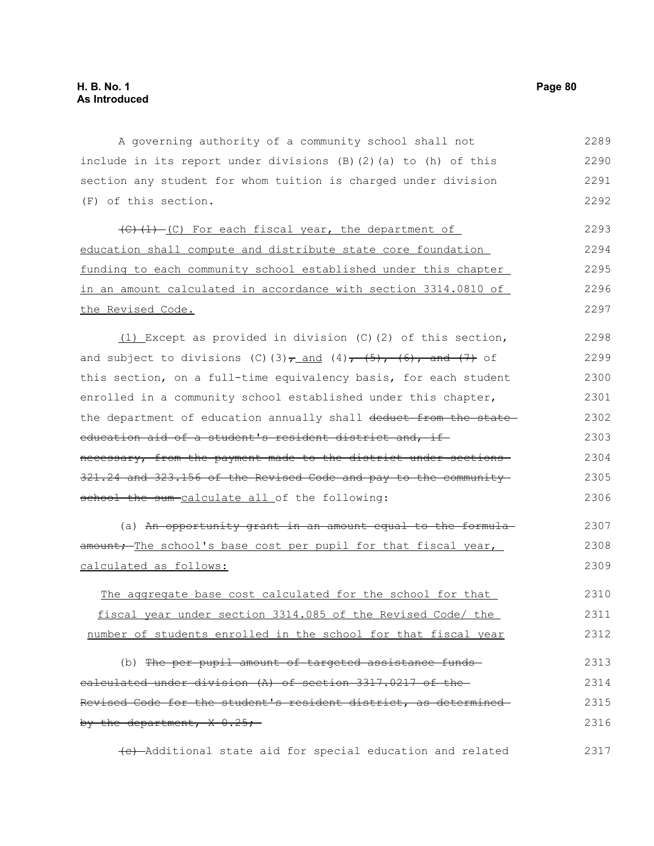A governing authority of a community school shall not include in its report under divisions (B)(2)(a) to (h) of this section any student for whom tuition is charged under division (F) of this section. 2289 2290 2291 2292

(C)(1)-(C) For each fiscal year, the department of education shall compute and distribute state core foundation funding to each community school established under this chapter in an amount calculated in accordance with section 3314.0810 of the Revised Code. 2293 2294 2295 2296 2297

(1) Except as provided in division (C)(2) of this section, and subject to divisions (C)(3) $\tau$  and (4), (5), (6), and (7) of this section, on a full-time equivalency basis, for each student enrolled in a community school established under this chapter, the department of education annually shall deduct from the stateeducation aid of a student's resident district and, if necessary, from the payment made to the district under sections 321.24 and 323.156 of the Revised Code and pay to the community school the sum-calculate all of the following: 2298 2299 2300 2301 2302 2303 2304 2305 2306

(a) An opportunity grant in an amount equal to the formulaamount; The school's base cost per pupil for that fiscal year, calculated as follows: 2307 2308 2309

The aggregate base cost calculated for the school for that fiscal year under section 3314.085 of the Revised Code/ the number of students enrolled in the school for that fiscal year 2310 2311 2312

(b) The per pupil amount of targeted assistance fundscalculated under division (A) of section 3317.0217 of the Revised Code for the student's resident district, as determined by the department,  $X = 0.25$ ; 2313 2314 2315 2316

(c) Additional state aid for special education and related 2317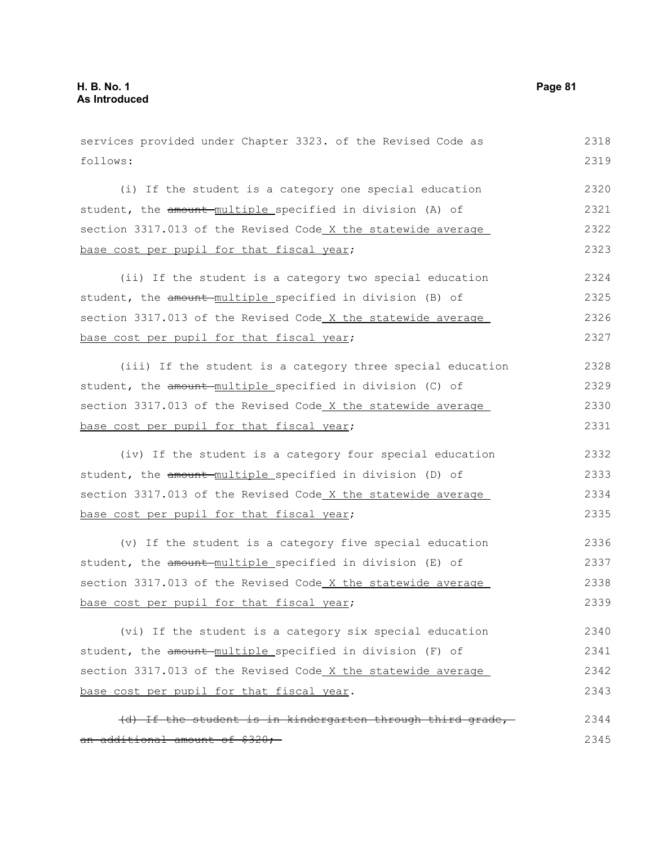an additional amount of \$320;

services provided under Chapter 3323. of the Revised Code as follows: (i) If the student is a category one special education student, the amount-multiple specified in division (A) of section 3317.013 of the Revised Code X the statewide average base cost per pupil for that fiscal year; (ii) If the student is a category two special education student, the amount multiple specified in division (B) of section 3317.013 of the Revised Code X the statewide average base cost per pupil for that fiscal year; (iii) If the student is a category three special education student, the amount multiple specified in division (C) of section 3317.013 of the Revised Code X the statewide average base cost per pupil for that fiscal year; (iv) If the student is a category four special education student, the amount multiple specified in division (D) of section 3317.013 of the Revised Code X the statewide average base cost per pupil for that fiscal year; (v) If the student is a category five special education student, the amount multiple specified in division (E) of section 3317.013 of the Revised Code X the statewide average base cost per pupil for that fiscal year; (vi) If the student is a category six special education student, the amount multiple specified in division (F) of section 3317.013 of the Revised Code X the statewide average base cost per pupil for that fiscal year. (d) If the student is in kindergarten through third grade, 2318 2319 2320 2321 2322 2323 2324 2325 2326 2327 2328 2329 2330 2331 2332 2333 2334 2335 2336 2337 2338 2339 2340 2341 2342 2343 2344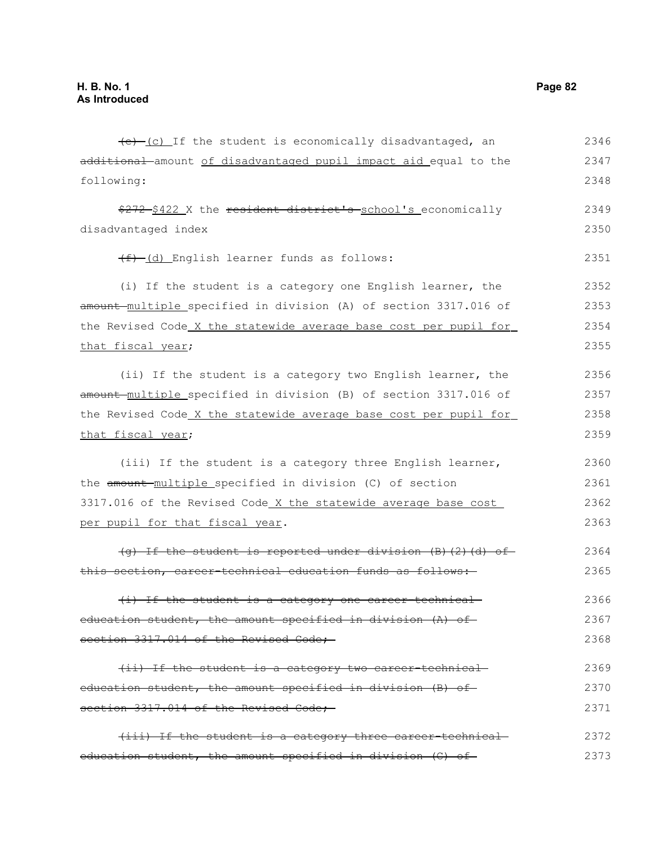$(e)$  (c) If the student is economically disadvantaged, an additional amount of disadvantaged pupil impact aid equal to the following: \$272 \$422 X the resident district's school's economically disadvantaged index (f) (d) English learner funds as follows: (i) If the student is a category one English learner, the amount multiple specified in division (A) of section 3317.016 of the Revised Code X the statewide average base cost per pupil for that fiscal year; (ii) If the student is a category two English learner, the amount multiple specified in division (B) of section 3317.016 of the Revised Code X the statewide average base cost per pupil for that fiscal year; (iii) If the student is a category three English learner, the amount multiple specified in division (C) of section 3317.016 of the Revised Code X the statewide average base cost per pupil for that fiscal year. (g) If the student is reported under division (B)(2)(d) of this section, career-technical education funds as follows: (i) If the student is a category one career-technical education student, the amount specified in division (A) of section 3317.014 of the Revised Code; (ii) If the student is a category two career-technical education student, the amount specified in division (B) of section 3317.014 of the Revised Code; (iii) If the student is a category three career-technical education student, the amount specified in division (C) of 2346 2347 2348 2349 2350 2351 2352 2353 2354 2355 2356 2357 2358 2359 2360 2361 2362 2363 2364 2365 2366 2367 2368 2369 2370 2371 2372 2373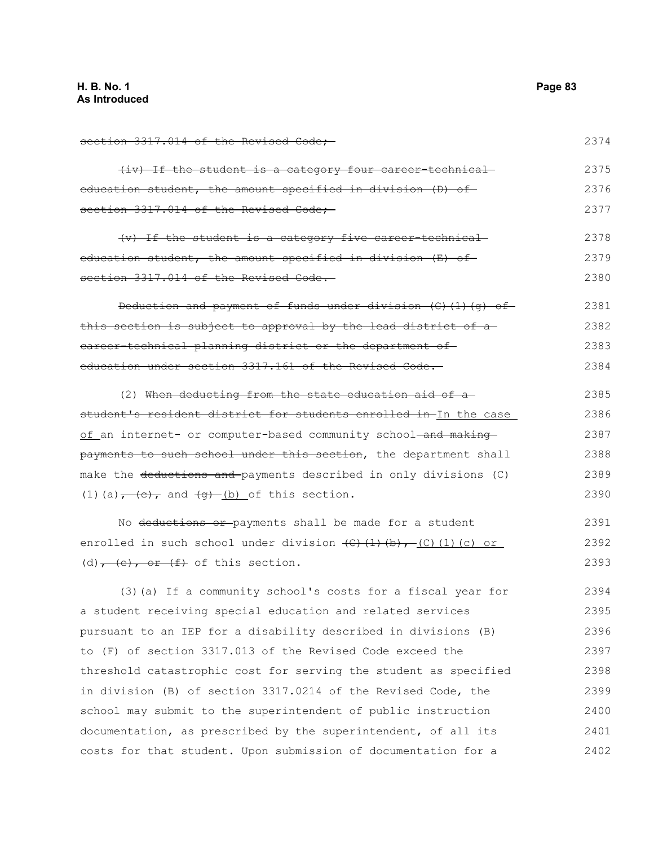2374

section 3317.014 of the Revised Code;

| (iv) If the student is a category four career-technical     | 2375 |
|-------------------------------------------------------------|------|
| education student, the amount specified in division (D) of- | 2376 |
| section 3317.014 of the Revised Code;                       | 2377 |

(v) If the student is a category five career-technical education student, the amount specified in division (E) of section 3317.014 of the Revised Code. 2378 2379 2380

Deduction and payment of funds under division (C)(1)(g) of this section is subject to approval by the lead district of a career-technical planning district or the department of education under section 3317.161 of the Revised Code. 2381 2382 2383 2384

(2) When deducting from the state education aid of a student's resident district for students enrolled in In the case of an internet- or computer-based community school-and makingpayments to such school under this section, the department shall make the deductions and payments described in only divisions (C) (1)(a) $\frac{1}{1 + (c)}$  and  $\frac{1}{2}$  (b) of this section. 2385 2386 2387 2388 2389 2390

No deductions or payments shall be made for a student enrolled in such school under division  $\left(\frac{C}{t}\right)\left(\frac{1}{b}\right)$ , (C)(1)(c) or (d) $,$  (e), or (f) of this section. 2391 2392 2393

(3)(a) If a community school's costs for a fiscal year for a student receiving special education and related services pursuant to an IEP for a disability described in divisions (B) to (F) of section 3317.013 of the Revised Code exceed the threshold catastrophic cost for serving the student as specified in division (B) of section 3317.0214 of the Revised Code, the school may submit to the superintendent of public instruction documentation, as prescribed by the superintendent, of all its costs for that student. Upon submission of documentation for a 2394 2395 2396 2397 2398 2399 2400 2401 2402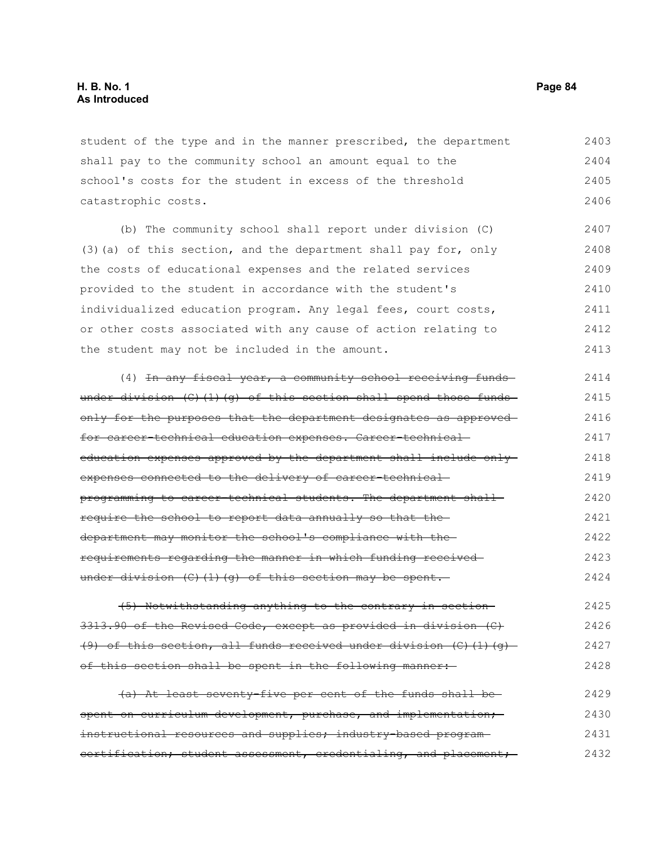student of the type and in the manner prescribed, the department shall pay to the community school an amount equal to the school's costs for the student in excess of the threshold catastrophic costs. 2403 2404 2405 2406

(b) The community school shall report under division (C) (3)(a) of this section, and the department shall pay for, only the costs of educational expenses and the related services provided to the student in accordance with the student's individualized education program. Any legal fees, court costs, or other costs associated with any cause of action relating to the student may not be included in the amount. 2407 2408 2409 2410 2411 2412 2413

(4) In any fiscal year, a community school receiving fundsunder division (C)(1)(g) of this section shall spend those funds only for the purposes that the department designates as approved for career-technical education expenses. Career-technical education expenses approved by the department shall include only expenses connected to the delivery of career-technicalprogramming to career-technical students. The department shall require the school to report data annually so that the department may monitor the school's compliance with the requirements regarding the manner in which funding received under division  $(C)$  (1)(q) of this section may be spent. 2414 2415 2416 2417 2418 2419 2420 2421 2422 2423 2424

(5) Notwithstanding anything to the contrary in section 3313.90 of the Revised Code, except as provided in division (C) (9) of this section, all funds received under division  $(C)$  (1)(g) of this section shall be spent in the following manner: 2425 2426 2427 2428

(a) At least seventy-five per cent of the funds shall be spent on curriculum development, purchase, and implementation; instructional resources and supplies; industry-based programcertification; student assessment, credentialing, and placement; 2429 2430 2431 2432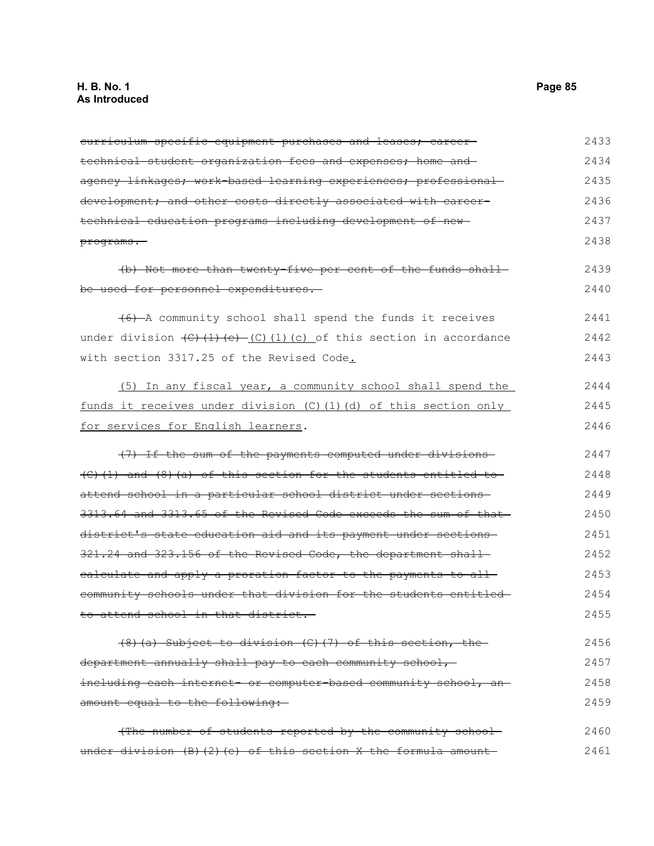| curriculum specific equipment purchases and leases; career-                               | 2433 |
|-------------------------------------------------------------------------------------------|------|
| technical student organization fees and expenses; home and-                               | 2434 |
| agency linkages; work-based learning experiences; professional-                           | 2435 |
| development; and other costs directly associated with career-                             | 2436 |
| technical education programs including development of new-                                | 2437 |
| programs.                                                                                 | 2438 |
| (b) Not more than twenty five per cent of the funds shall-                                | 2439 |
| be used for personnel expenditures.                                                       | 2440 |
| (6) A community school shall spend the funds it receives                                  | 2441 |
| under division $\left(\frac{C}{1}(1)(e) - (C)(1)(c)\right)$ of this section in accordance | 2442 |
| with section 3317.25 of the Revised Code.                                                 | 2443 |
| (5) In any fiscal year, a community school shall spend the                                | 2444 |
| funds it receives under division (C) (1) (d) of this section only                         | 2445 |
| for services for English learners.                                                        | 2446 |
| (7) If the sum of the payments computed under divisions                                   | 2447 |
| $(C)$ (1) and (8) (a) of this section for the students entitled to                        | 2448 |
| attend school in a particular school district under sections                              | 2449 |
| 3313.64 and 3313.65 of the Revised Code exceeds the sum of that                           | 2450 |
| district's state education aid and its payment under sections-                            | 2451 |
| 321.24 and 323.156 of the Revised Code, the department shall                              | 2452 |
| ealculate and apply a proration factor to the payments to all-                            | 2453 |
| community schools under that division for the students entitled-                          | 2454 |
| to attend school in that district.                                                        | 2455 |
| (8) (a) Subject to division (C) (7) of this section, the                                  | 2456 |
| department annually shall pay to each community school,                                   | 2457 |
| including each internet or computer based community school, an-                           | 2458 |
| amount equal to the following:                                                            | 2459 |
| (The number of students reported by the community school-                                 | 2460 |
| under division $(B)$ $(2)$ $(e)$ of this section X the formula amount                     | 2461 |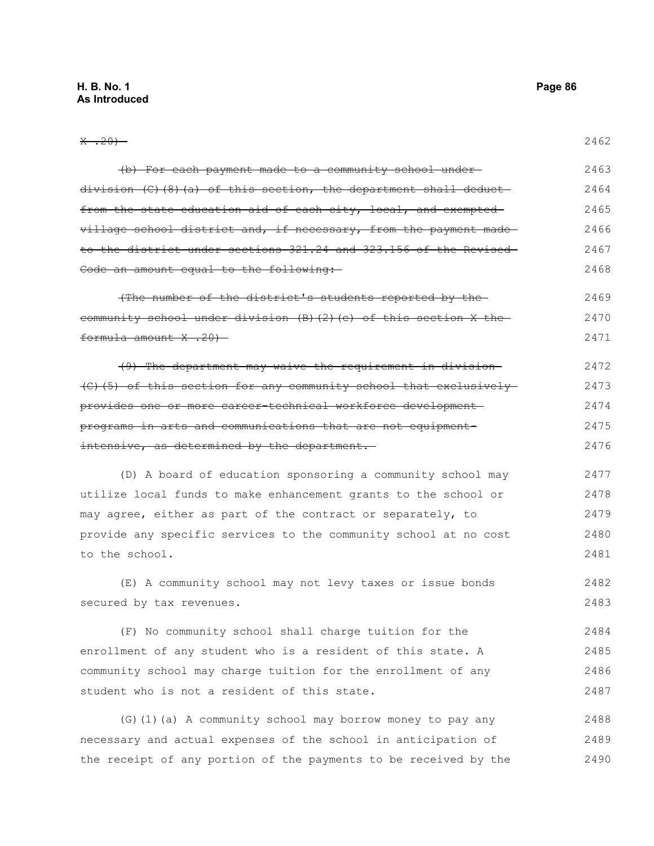| $\frac{1}{20}$ $\frac{1}{20}$ $\frac{1}{20}$                             | 2462 |
|--------------------------------------------------------------------------|------|
| (b) For each payment made to a community school under-                   | 2463 |
| division $(C)$ $(8)$ $(a)$ of this section, the department shall deduct- | 2464 |
| from the state education aid of each city, local, and exempted           | 2465 |
| village school district and, if necessary, from the payment made         | 2466 |
| to the district under sections 321.24 and 323.156 of the Revised-        | 2467 |
| Code an amount equal to the following:                                   | 2468 |
| (The number of the district's students reported by the                   | 2469 |
| community school under division (B) (2) (e) of this section X the-       | 2470 |
| formula amount X .20)                                                    | 2471 |
| (9) The department may waive the requirement in division-                | 2472 |
| (C)(5) of this section for any community school that exclusively         | 2473 |
| provides one or more career-technical workforce development-             | 2474 |
| programs in arts and communications that are not equipment-              | 2475 |
| intensive, as determined by the department.                              | 2476 |
| (D) A board of education sponsoring a community school may               | 2477 |
| utilize local funds to make enhancement grants to the school or          | 2478 |
| may agree, either as part of the contract or separately, to              | 2479 |
| provide any specific services to the community school at no cost         | 2480 |
| to the school.                                                           | 2481 |

(E) A community school may not levy taxes or issue bonds secured by tax revenues. 2482 2483

(F) No community school shall charge tuition for the enrollment of any student who is a resident of this state. A community school may charge tuition for the enrollment of any student who is not a resident of this state. 2484 2485 2486 2487

(G)(1)(a) A community school may borrow money to pay any necessary and actual expenses of the school in anticipation of the receipt of any portion of the payments to be received by the 2488 2489 2490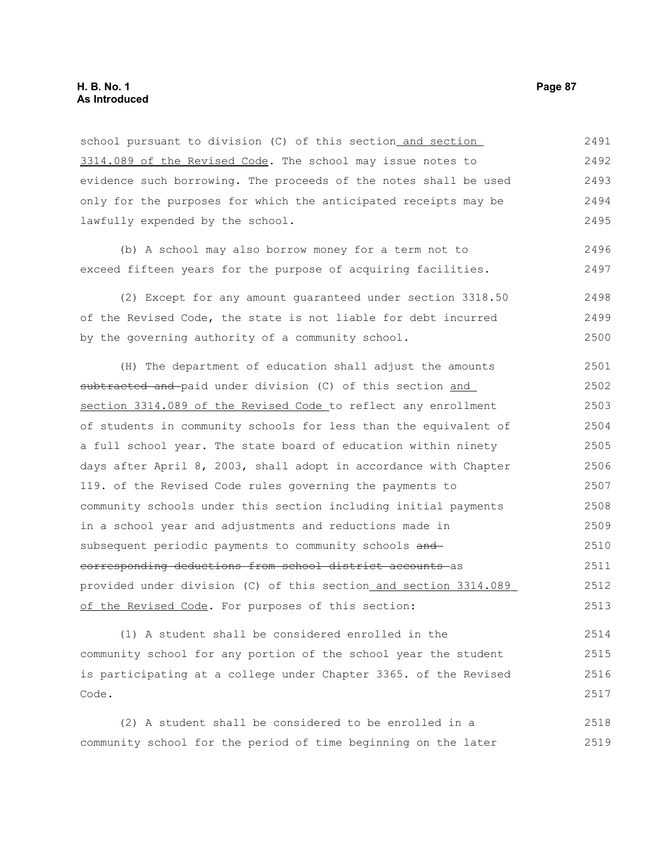school pursuant to division (C) of this section and section 3314.089 of the Revised Code. The school may issue notes to evidence such borrowing. The proceeds of the notes shall be used only for the purposes for which the anticipated receipts may be lawfully expended by the school. 2491 2492 2493 2494 2495

(b) A school may also borrow money for a term not to exceed fifteen years for the purpose of acquiring facilities. 2496 2497

(2) Except for any amount guaranteed under section 3318.50 of the Revised Code, the state is not liable for debt incurred by the governing authority of a community school. 2498 2499 2500

(H) The department of education shall adjust the amounts subtracted and paid under division (C) of this section and section 3314.089 of the Revised Code to reflect any enrollment of students in community schools for less than the equivalent of a full school year. The state board of education within ninety days after April 8, 2003, shall adopt in accordance with Chapter 119. of the Revised Code rules governing the payments to community schools under this section including initial payments in a school year and adjustments and reductions made in subsequent periodic payments to community schools andcorresponding deductions from school district accounts as provided under division (C) of this section and section 3314.089 of the Revised Code. For purposes of this section: 2501 2502 2503 2504 2505 2506 2507 2508 2509 2510 2511 2512 2513

(1) A student shall be considered enrolled in the community school for any portion of the school year the student is participating at a college under Chapter 3365. of the Revised Code. 2514 2515 2516 2517

(2) A student shall be considered to be enrolled in a community school for the period of time beginning on the later 2518 2519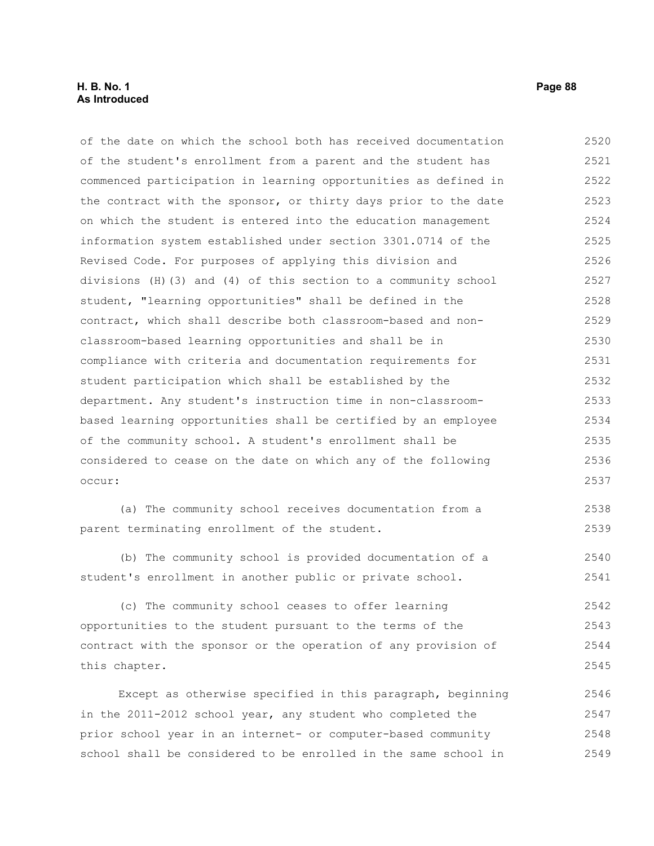# **H. B. No. 1 Page 88 As Introduced**

of the date on which the school both has received documentation of the student's enrollment from a parent and the student has commenced participation in learning opportunities as defined in the contract with the sponsor, or thirty days prior to the date on which the student is entered into the education management information system established under section 3301.0714 of the Revised Code. For purposes of applying this division and divisions (H)(3) and (4) of this section to a community school student, "learning opportunities" shall be defined in the contract, which shall describe both classroom-based and nonclassroom-based learning opportunities and shall be in compliance with criteria and documentation requirements for student participation which shall be established by the department. Any student's instruction time in non-classroombased learning opportunities shall be certified by an employee of the community school. A student's enrollment shall be considered to cease on the date on which any of the following occur: 2520 2521 2522 2523 2524 2525 2526 2527 2528 2529 2530 2531 2532 2533 2534 2535 2536 2537

(a) The community school receives documentation from a parent terminating enrollment of the student. 2538 2539

(b) The community school is provided documentation of a student's enrollment in another public or private school. 2540 2541

(c) The community school ceases to offer learning opportunities to the student pursuant to the terms of the contract with the sponsor or the operation of any provision of this chapter. 2542 2543 2544 2545

Except as otherwise specified in this paragraph, beginning in the 2011-2012 school year, any student who completed the prior school year in an internet- or computer-based community school shall be considered to be enrolled in the same school in 2546 2547 2548 2549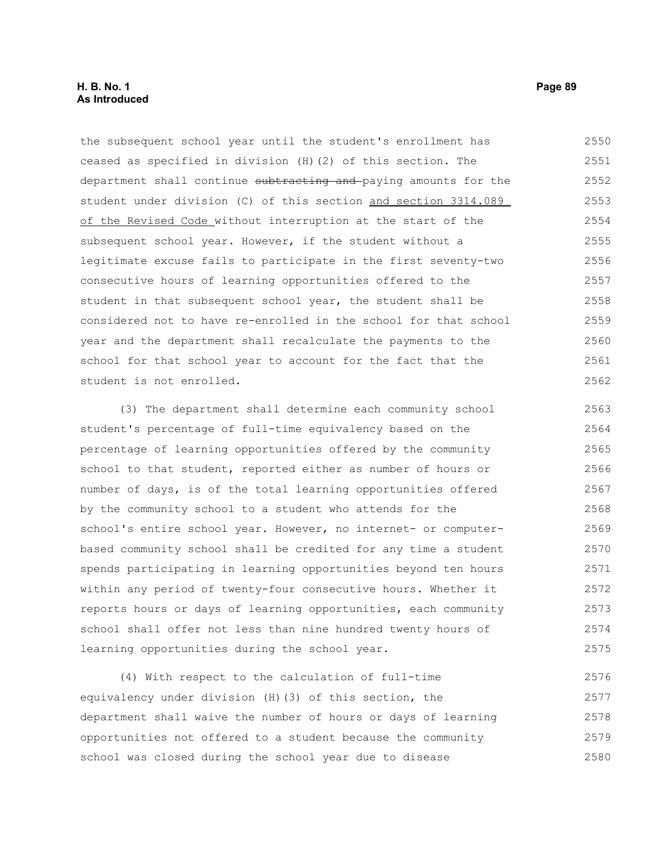#### **H. B. No. 1 Page 89 As Introduced**

the subsequent school year until the student's enrollment has ceased as specified in division (H)(2) of this section. The department shall continue subtracting and paying amounts for the student under division (C) of this section and section 3314.089 of the Revised Code without interruption at the start of the subsequent school year. However, if the student without a legitimate excuse fails to participate in the first seventy-two consecutive hours of learning opportunities offered to the student in that subsequent school year, the student shall be considered not to have re-enrolled in the school for that school year and the department shall recalculate the payments to the school for that school year to account for the fact that the student is not enrolled. 2550 2551 2552 2553 2554 2555 2556 2557 2558 2559 2560 2561 2562

(3) The department shall determine each community school student's percentage of full-time equivalency based on the percentage of learning opportunities offered by the community school to that student, reported either as number of hours or number of days, is of the total learning opportunities offered by the community school to a student who attends for the school's entire school year. However, no internet- or computerbased community school shall be credited for any time a student spends participating in learning opportunities beyond ten hours within any period of twenty-four consecutive hours. Whether it reports hours or days of learning opportunities, each community school shall offer not less than nine hundred twenty hours of learning opportunities during the school year. 2563 2564 2565 2566 2567 2568 2569 2570 2571 2572 2573 2574 2575

(4) With respect to the calculation of full-time equivalency under division (H)(3) of this section, the department shall waive the number of hours or days of learning opportunities not offered to a student because the community school was closed during the school year due to disease 2576 2577 2578 2579 2580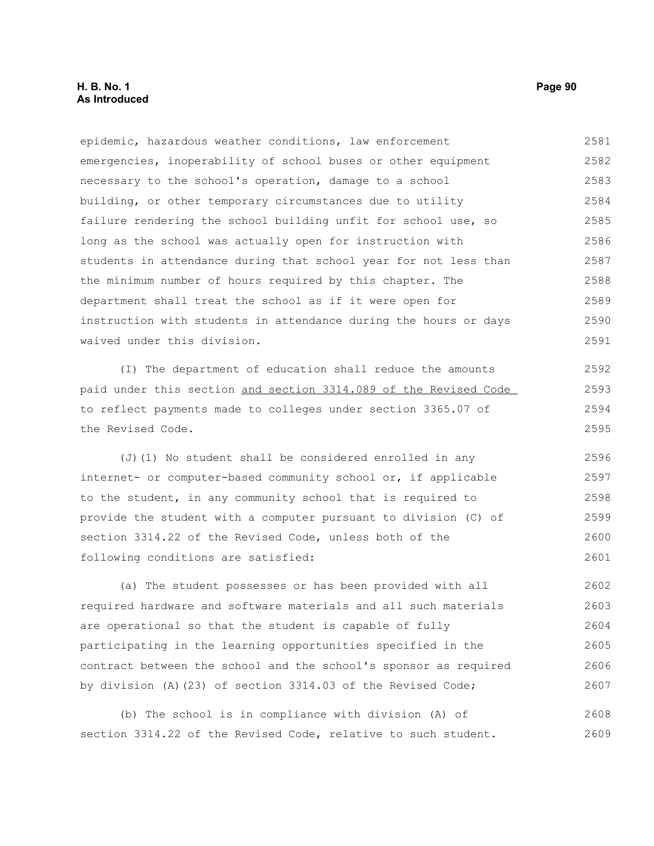#### **H. B. No. 1 Page 90 As Introduced**

epidemic, hazardous weather conditions, law enforcement emergencies, inoperability of school buses or other equipment necessary to the school's operation, damage to a school building, or other temporary circumstances due to utility failure rendering the school building unfit for school use, so long as the school was actually open for instruction with students in attendance during that school year for not less than the minimum number of hours required by this chapter. The department shall treat the school as if it were open for instruction with students in attendance during the hours or days waived under this division. 2581 2582 2583 2584 2585 2586 2587 2588 2589 2590 2591

(I) The department of education shall reduce the amounts paid under this section and section 3314.089 of the Revised Code to reflect payments made to colleges under section 3365.07 of the Revised Code.

(J)(1) No student shall be considered enrolled in any internet- or computer-based community school or, if applicable to the student, in any community school that is required to provide the student with a computer pursuant to division (C) of section 3314.22 of the Revised Code, unless both of the following conditions are satisfied: 2596 2597 2598 2599 2600 2601

(a) The student possesses or has been provided with all required hardware and software materials and all such materials are operational so that the student is capable of fully participating in the learning opportunities specified in the contract between the school and the school's sponsor as required by division (A)(23) of section 3314.03 of the Revised Code; 2602 2603 2604 2605 2606 2607

(b) The school is in compliance with division (A) of section 3314.22 of the Revised Code, relative to such student. 2608 2609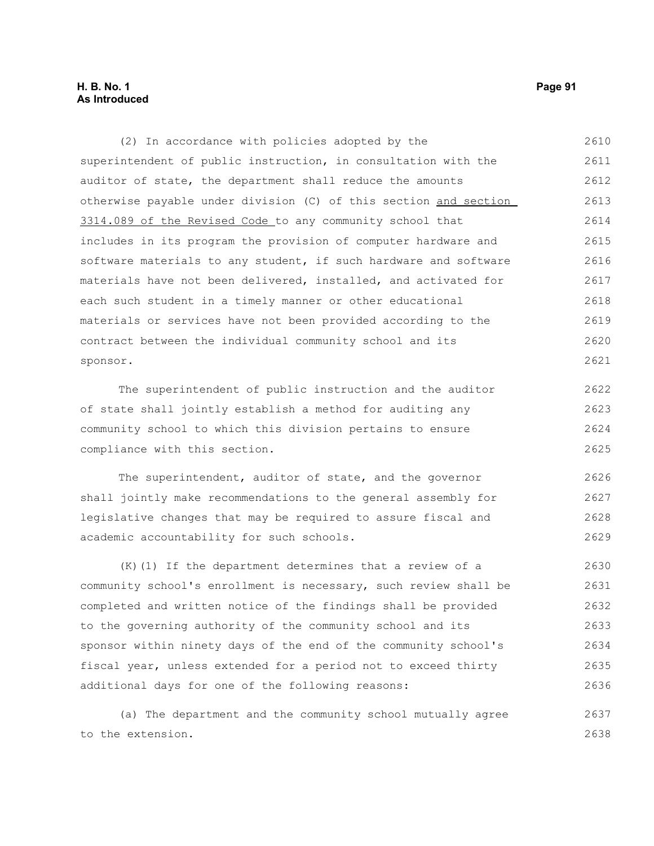# **H. B. No. 1 Page 91 As Introduced**

(2) In accordance with policies adopted by the superintendent of public instruction, in consultation with the auditor of state, the department shall reduce the amounts otherwise payable under division (C) of this section and section 3314.089 of the Revised Code to any community school that includes in its program the provision of computer hardware and software materials to any student, if such hardware and software materials have not been delivered, installed, and activated for each such student in a timely manner or other educational materials or services have not been provided according to the contract between the individual community school and its sponsor. The superintendent of public instruction and the auditor of state shall jointly establish a method for auditing any community school to which this division pertains to ensure compliance with this section. The superintendent, auditor of state, and the governor shall jointly make recommendations to the general assembly for legislative changes that may be required to assure fiscal and academic accountability for such schools. (K)(1) If the department determines that a review of a 2610 2611 2612 2613 2614 2615 2616 2617 2618 2619 2620 2621 2622 2623 2624 2625 2626 2627 2628 2629 2630 2631

community school's enrollment is necessary, such review shall be completed and written notice of the findings shall be provided to the governing authority of the community school and its sponsor within ninety days of the end of the community school's fiscal year, unless extended for a period not to exceed thirty additional days for one of the following reasons: 2632 2633 2634 2635 2636

(a) The department and the community school mutually agree to the extension. 2637 2638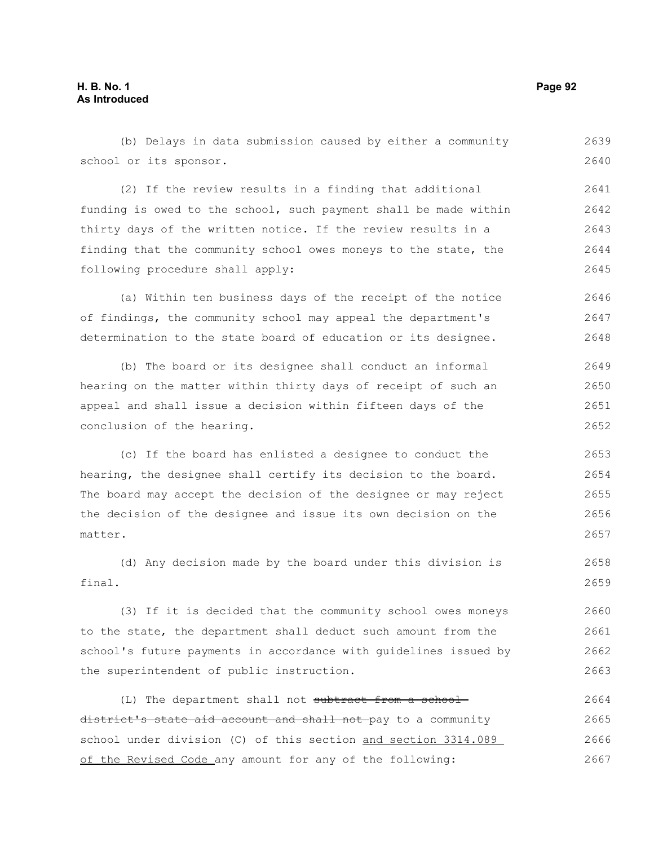# **H. B. No. 1 Page 92 As Introduced**

(b) Delays in data submission caused by either a community school or its sponsor. 2639 2640

(2) If the review results in a finding that additional funding is owed to the school, such payment shall be made within thirty days of the written notice. If the review results in a finding that the community school owes moneys to the state, the following procedure shall apply: 2641 2642 2643 2644 2645

(a) Within ten business days of the receipt of the notice of findings, the community school may appeal the department's determination to the state board of education or its designee. 2646 2647 2648

(b) The board or its designee shall conduct an informal hearing on the matter within thirty days of receipt of such an appeal and shall issue a decision within fifteen days of the conclusion of the hearing. 2649 2650 2651 2652

(c) If the board has enlisted a designee to conduct the hearing, the designee shall certify its decision to the board. The board may accept the decision of the designee or may reject the decision of the designee and issue its own decision on the matter. 2653 2654 2655

(d) Any decision made by the board under this division is final. 2658 2659

(3) If it is decided that the community school owes moneys to the state, the department shall deduct such amount from the school's future payments in accordance with guidelines issued by the superintendent of public instruction. 2660 2661 2662 2663

(L) The department shall not subtract from a schooldistrict's state aid account and shall not pay to a community school under division (C) of this section and section 3314.089 of the Revised Code any amount for any of the following: 2664 2665 2666 2667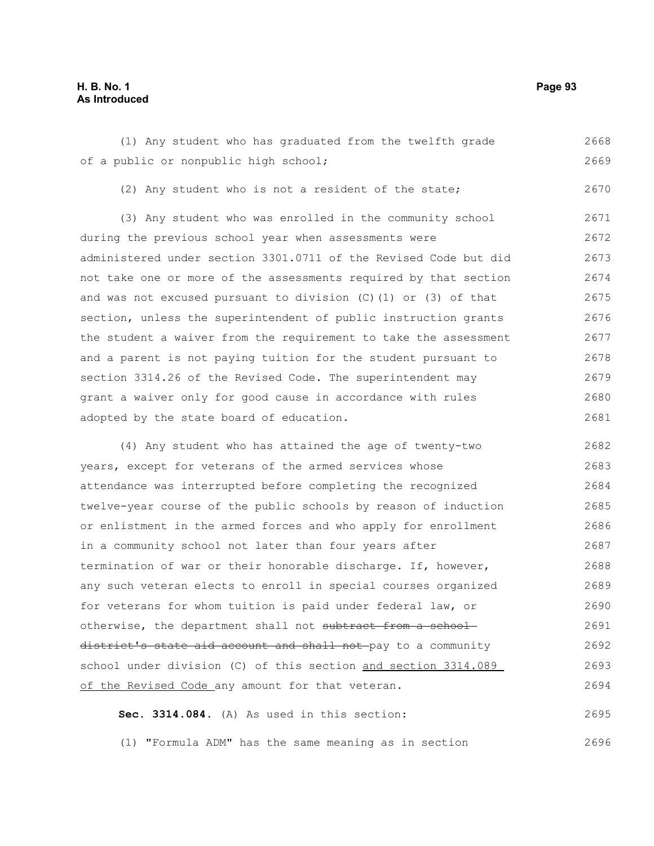# **H. B. No. 1 Page 93 As Introduced**

(1) Any student who has graduated from the twelfth grade of a public or nonpublic high school; 2668 2669

(2) Any student who is not a resident of the state;

(3) Any student who was enrolled in the community school during the previous school year when assessments were administered under section 3301.0711 of the Revised Code but did not take one or more of the assessments required by that section and was not excused pursuant to division (C)(1) or (3) of that section, unless the superintendent of public instruction grants the student a waiver from the requirement to take the assessment and a parent is not paying tuition for the student pursuant to section 3314.26 of the Revised Code. The superintendent may grant a waiver only for good cause in accordance with rules adopted by the state board of education. 2671 2672 2673 2674 2675 2676 2677 2678 2679 2680 2681

(4) Any student who has attained the age of twenty-two years, except for veterans of the armed services whose attendance was interrupted before completing the recognized twelve-year course of the public schools by reason of induction or enlistment in the armed forces and who apply for enrollment in a community school not later than four years after termination of war or their honorable discharge. If, however, any such veteran elects to enroll in special courses organized for veterans for whom tuition is paid under federal law, or otherwise, the department shall not subtract from a schooldistrict's state aid account and shall not pay to a community school under division (C) of this section and section 3314.089 of the Revised Code any amount for that veteran. 2682 2683 2684 2685 2686 2687 2688 2689 2690 2691 2692 2693 2694

**Sec. 3314.084.** (A) As used in this section: 2695

(1) "Formula ADM" has the same meaning as in section

2670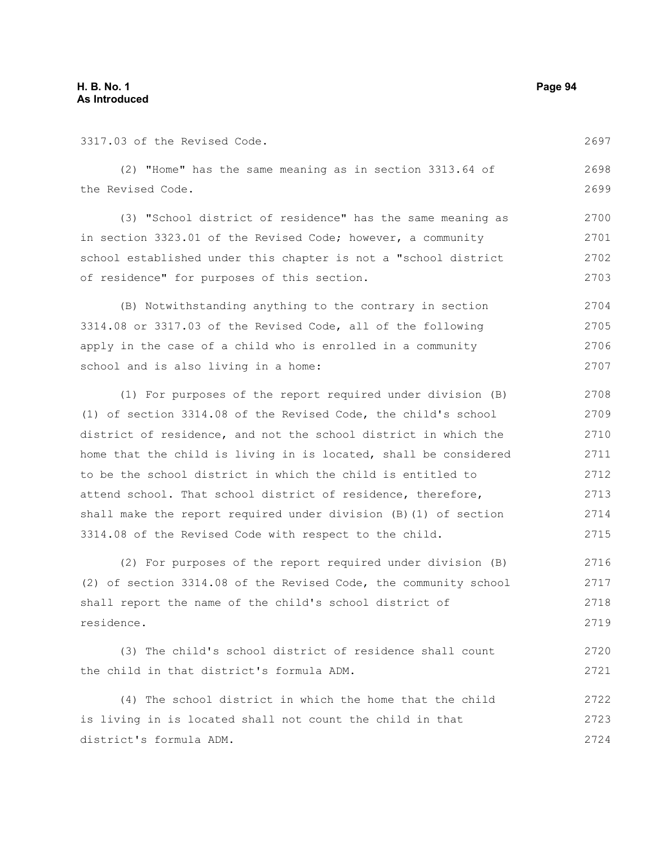3317.03 of the Revised Code.

2697

|  |                   |  | (2) "Home" has the same meaning as in section 3313.64 of |  |  | 2698 |
|--|-------------------|--|----------------------------------------------------------|--|--|------|
|  | the Revised Code. |  |                                                          |  |  | 2699 |

(3) "School district of residence" has the same meaning as in section 3323.01 of the Revised Code; however, a community school established under this chapter is not a "school district of residence" for purposes of this section. 2700 2701 2702 2703

(B) Notwithstanding anything to the contrary in section 3314.08 or 3317.03 of the Revised Code, all of the following apply in the case of a child who is enrolled in a community school and is also living in a home: 2704 2705 2706 2707

(1) For purposes of the report required under division (B) (1) of section 3314.08 of the Revised Code, the child's school district of residence, and not the school district in which the home that the child is living in is located, shall be considered to be the school district in which the child is entitled to attend school. That school district of residence, therefore, shall make the report required under division (B)(1) of section 3314.08 of the Revised Code with respect to the child. 2708 2709 2710 2711 2712 2713 2714 2715

(2) For purposes of the report required under division (B) (2) of section 3314.08 of the Revised Code, the community school shall report the name of the child's school district of residence. 2716 2717 2718 2719

(3) The child's school district of residence shall count the child in that district's formula ADM. 2720 2721

(4) The school district in which the home that the child is living in is located shall not count the child in that district's formula ADM. 2722 2723 2724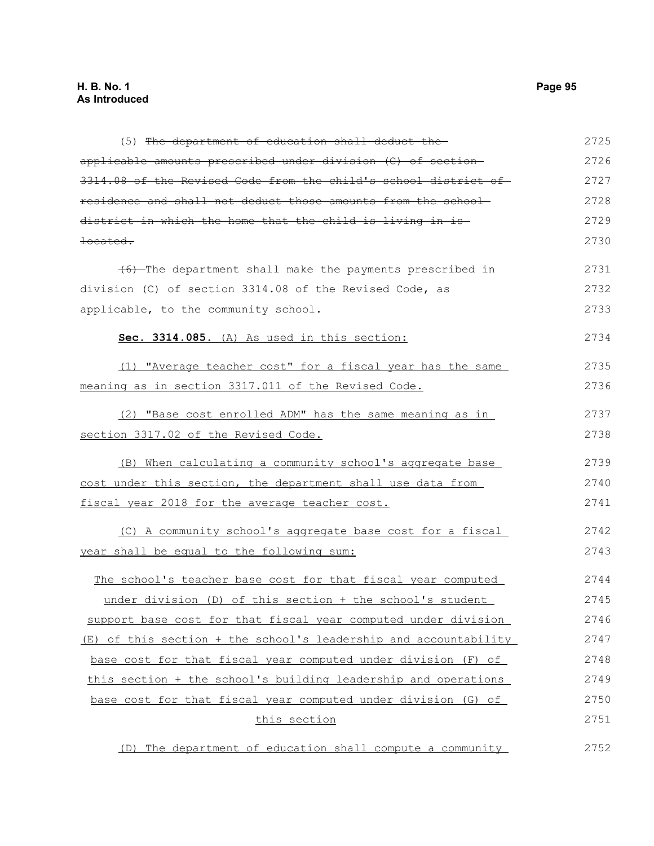| (5) The department of education shall deduct the-                | 2725 |
|------------------------------------------------------------------|------|
| applicable amounts prescribed under division (C) of section-     | 2726 |
| 3314.08 of the Revised Code from the child's school district of- | 2727 |
| residence and shall not deduct those amounts from the school-    | 2728 |
| district in which the home that the child is living in is-       | 2729 |
| <del>located.</del>                                              | 2730 |
| $(6)$ -The department shall make the payments prescribed in      | 2731 |
| division (C) of section 3314.08 of the Revised Code, as          | 2732 |
| applicable, to the community school.                             | 2733 |
| Sec. 3314.085. (A) As used in this section:                      | 2734 |
| (1) "Average teacher cost" for a fiscal year has the same        | 2735 |
| meaning as in section 3317.011 of the Revised Code.              | 2736 |
| (2) "Base cost enrolled ADM" has the same meaning as in          | 2737 |
| section 3317.02 of the Revised Code.                             | 2738 |
| (B) When calculating a community school's aggregate base         | 2739 |
| cost under this section, the department shall use data from      | 2740 |
| fiscal year 2018 for the average teacher cost.                   | 2741 |
| (C) A community school's aggregate base cost for a fiscal        | 2742 |
| year shall be equal to the following sum:                        | 2743 |
| The school's teacher base cost for that fiscal year computed     | 2744 |
| under division (D) of this section + the school's student        | 2745 |
| support base cost for that fiscal year computed under division   | 2746 |
| (E) of this section + the school's leadership and accountability | 2747 |
| base cost for that fiscal year computed under division (F) of    | 2748 |
| this section + the school's building leadership and operations   | 2749 |
| base cost for that fiscal year computed under division (G) of    | 2750 |
| this section                                                     | 2751 |
| (D) The department of education shall compute a community        | 2752 |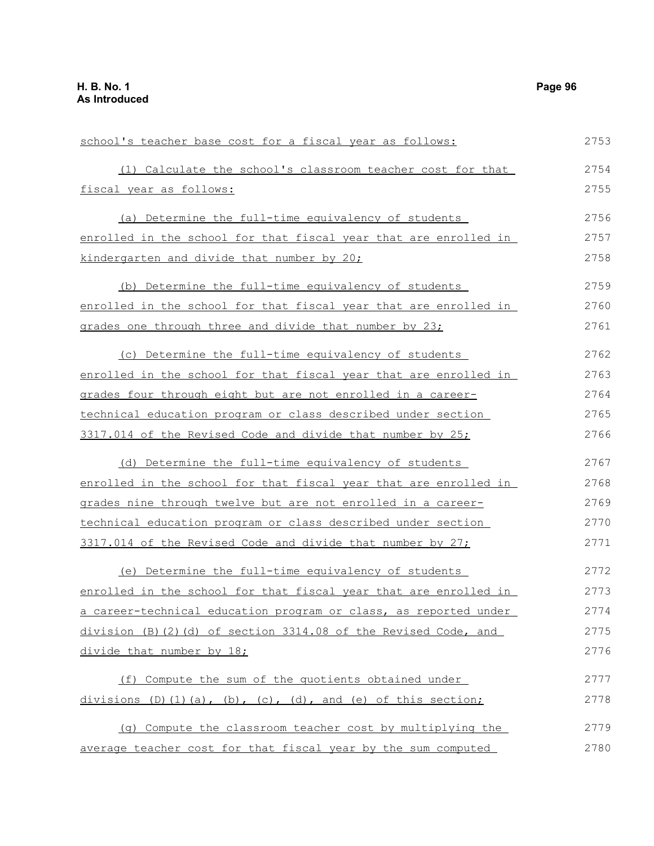| school's teacher base cost for a fiscal year as follows:                     | 2753 |
|------------------------------------------------------------------------------|------|
| (1) Calculate the school's classroom teacher cost for that                   | 2754 |
| fiscal year as follows:                                                      | 2755 |
| (a) Determine the full-time equivalency of students                          | 2756 |
| enrolled in the school for that fiscal year that are enrolled in             | 2757 |
| kindergarten and divide that number by 20;                                   | 2758 |
| (b) Determine the full-time equivalency of students                          | 2759 |
| enrolled in the school for that fiscal year that are enrolled in             | 2760 |
| grades one through three and divide that number by 23;                       | 2761 |
| (c) Determine the full-time equivalency of students                          | 2762 |
| enrolled in the school for that fiscal year that are enrolled in             | 2763 |
| grades four through eight but are not enrolled in a career-                  | 2764 |
| technical education program or class described under section                 | 2765 |
| 3317.014 of the Revised Code and divide that number by 25;                   | 2766 |
| (d) Determine the full-time equivalency of students                          | 2767 |
| enrolled in the school for that fiscal year that are enrolled in             | 2768 |
| grades nine through twelve but are not enrolled in a career-                 | 2769 |
| technical education program or class described under section                 | 2770 |
| 3317.014 of the Revised Code and divide that number by 27;                   | 2771 |
| (e) Determine the full-time equivalency of students                          | 2772 |
| enrolled in the school for that fiscal year that are enrolled in             | 2773 |
| a career-technical education program or class, as reported under             | 2774 |
| division (B) (2) (d) of section 3314.08 of the Revised Code, and             | 2775 |
| divide that number by 18;                                                    | 2776 |
| (f) Compute the sum of the quotients obtained under                          | 2777 |
| divisions $(D) (1) (a)$ , $(b)$ , $(c)$ , $(d)$ , and $(e)$ of this section; | 2778 |
| (q) Compute the classroom teacher cost by multiplying the                    | 2779 |
| average teacher cost for that fiscal year by the sum computed                | 2780 |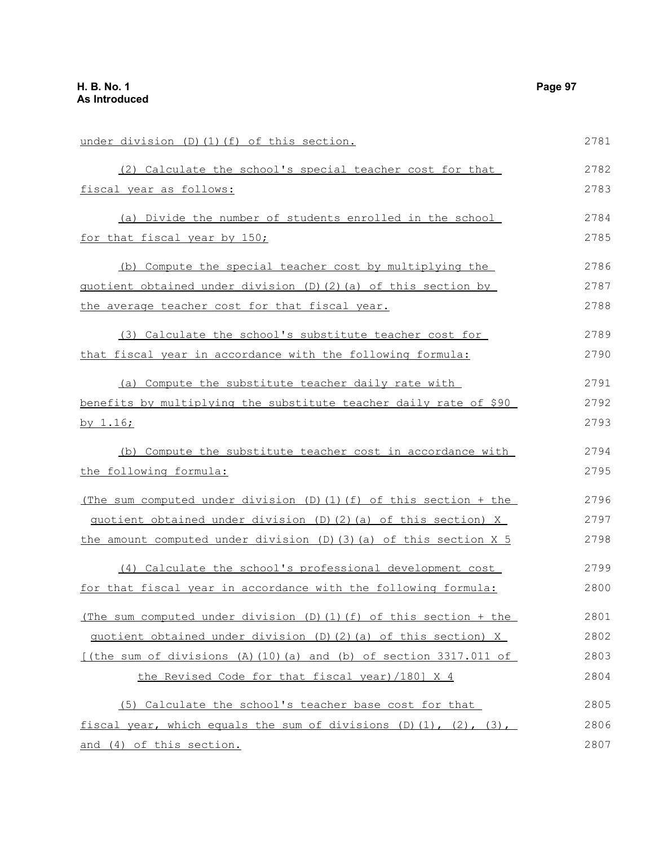under division (D)(1)(f) of this section. (2) Calculate the school's special teacher cost for that fiscal year as follows: (a) Divide the number of students enrolled in the school for that fiscal year by 150; (b) Compute the special teacher cost by multiplying the quotient obtained under division (D)(2)(a) of this section by the average teacher cost for that fiscal year. (3) Calculate the school's substitute teacher cost for that fiscal year in accordance with the following formula: (a) Compute the substitute teacher daily rate with benefits by multiplying the substitute teacher daily rate of \$90 by 1.16; (b) Compute the substitute teacher cost in accordance with the following formula: (The sum computed under division (D)(1)(f) of this section + the quotient obtained under division (D)(2)(a) of this section) X the amount computed under division (D)(3)(a) of this section X 5 (4) Calculate the school's professional development cost for that fiscal year in accordance with the following formula: (The sum computed under division (D)(1)(f) of this section + the quotient obtained under division (D)(2)(a) of this section) X [(the sum of divisions  $(A)$  (10)(a) and (b) of section 3317.011 of the Revised Code for that fiscal year)/180] X 4 (5) Calculate the school's teacher base cost for that fiscal year, which equals the sum of divisions  $(D)$   $(1)$ ,  $(2)$ ,  $(3)$ , and (4) of this section. 2781 2782 2783 2784 2785 2786 2787 2788 2789 2790 2791 2792 2793 2794 2795 2796 2797 2798 2799 2800 2801 2802 2803 2804 2805 2806 2807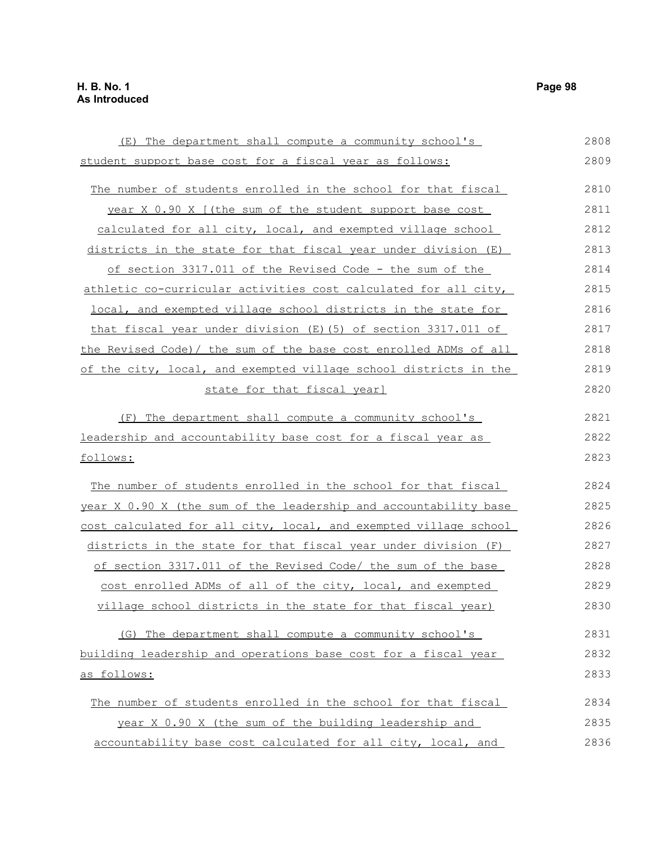(E) The department shall compute a community school's student support base cost for a fiscal year as follows: The number of students enrolled in the school for that fiscal year X 0.90 X [(the sum of the student support base cost calculated for all city, local, and exempted village school districts in the state for that fiscal year under division (E) of section 3317.011 of the Revised Code - the sum of the athletic co-curricular activities cost calculated for all city, local, and exempted village school districts in the state for that fiscal year under division (E)(5) of section 3317.011 of the Revised Code)/ the sum of the base cost enrolled ADMs of all of the city, local, and exempted village school districts in the state for that fiscal year] (F) The department shall compute a community school's leadership and accountability base cost for a fiscal year as follows: The number of students enrolled in the school for that fiscal year X 0.90 X (the sum of the leadership and accountability base cost calculated for all city, local, and exempted village school districts in the state for that fiscal year under division (F) of section 3317.011 of the Revised Code/ the sum of the base cost enrolled ADMs of all of the city, local, and exempted village school districts in the state for that fiscal year) (G) The department shall compute a community school's building leadership and operations base cost for a fiscal year as follows: The number of students enrolled in the school for that fiscal year X 0.90 X (the sum of the building leadership and accountability base cost calculated for all city, local, and 2808 2809 2810 2811 2812 2813 2814 2815 2816 2817 2818 2819 2820 2821 2822 2823 2824 2825 2826 2827 2828 2829 2830 2831 2832 2833 2834 2835 2836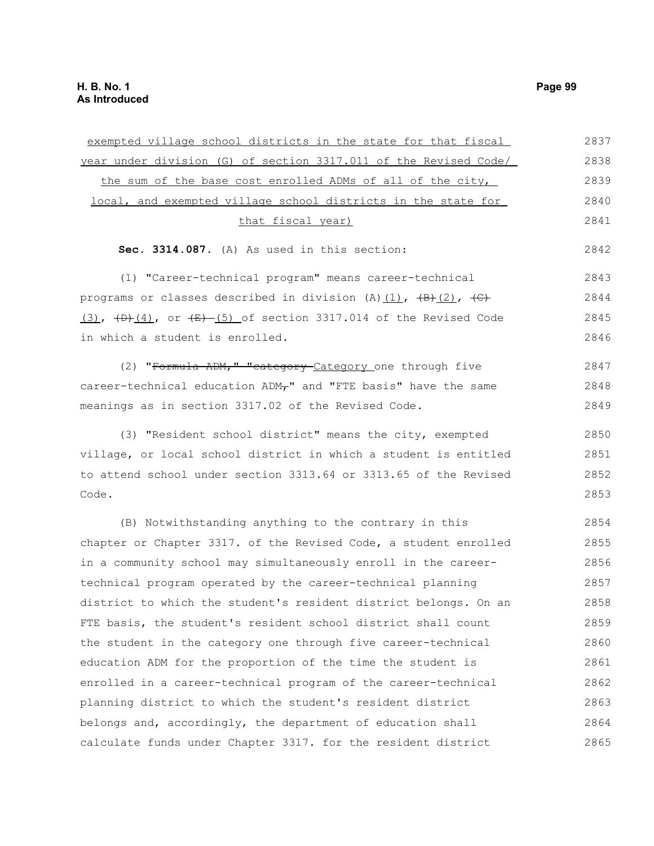| exempted village school districts in the state for that fiscal                 | 2837 |
|--------------------------------------------------------------------------------|------|
| year under division (G) of section 3317.011 of the Revised Code/               | 2838 |
| the sum of the base cost enrolled ADMs of all of the city,                     | 2839 |
| local, and exempted village school districts in the state for                  | 2840 |
| that fiscal year)                                                              | 2841 |
| Sec. 3314.087. (A) As used in this section:                                    | 2842 |
| (1) "Career-technical program" means career-technical                          | 2843 |
| programs or classes described in division (A) $(1)$ , $(B)$ $(2)$ , $(C)$      | 2844 |
| $(3)$ , $(+b)$ $(4)$ , or $(+b)$ $(5)$ of section 3317.014 of the Revised Code | 2845 |
| in which a student is enrolled.                                                | 2846 |
| (2) "Formula ADM," "category Category one through five                         | 2847 |
| career-technical education ADM <sub>T</sub> " and "FTE basis" have the same    | 2848 |
| meanings as in section 3317.02 of the Revised Code.                            | 2849 |
| (3) "Resident school district" means the city, exempted                        | 2850 |
| village, or local school district in which a student is entitled               | 2851 |
| to attend school under section 3313.64 or 3313.65 of the Revised               | 2852 |
| Code.                                                                          | 2853 |
| (B) Notwithstanding anything to the contrary in this                           | 2854 |
| chapter or Chapter 3317. of the Revised Code, a student enrolled               | 2855 |
| in a community school may simultaneously enroll in the career-                 | 2856 |
| technical program operated by the career-technical planning                    | 2857 |
| district to which the student's resident district belongs. On an               | 2858 |
| FTE basis, the student's resident school district shall count                  | 2859 |
| the student in the category one through five career-technical                  | 2860 |
| education ADM for the proportion of the time the student is                    | 2861 |
| enrolled in a career-technical program of the career-technical                 | 2862 |
| planning district to which the student's resident district                     | 2863 |
| belongs and, accordingly, the department of education shall                    | 2864 |
| calculate funds under Chapter 3317. for the resident district                  | 2865 |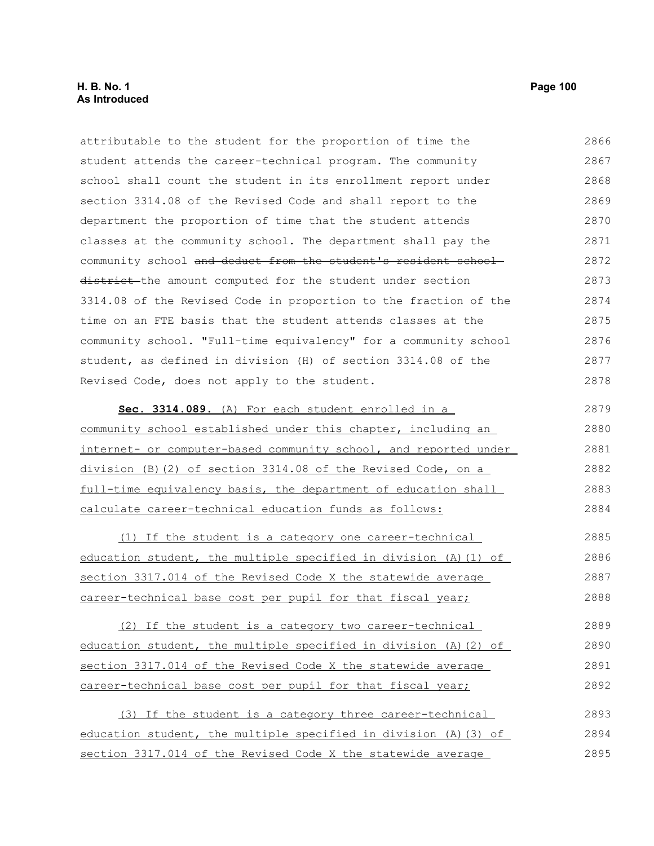# **H. B. No. 1 Page 100 As Introduced**

attributable to the student for the proportion of time the student attends the career-technical program. The community school shall count the student in its enrollment report under section 3314.08 of the Revised Code and shall report to the department the proportion of time that the student attends classes at the community school. The department shall pay the community school and deduct from the student's resident schooldistrict-the amount computed for the student under section 3314.08 of the Revised Code in proportion to the fraction of the time on an FTE basis that the student attends classes at the community school. "Full-time equivalency" for a community school student, as defined in division (H) of section 3314.08 of the Revised Code, does not apply to the student. **Sec. 3314.089.** (A) For each student enrolled in a community school established under this chapter, including an internet- or computer-based community school, and reported under division (B)(2) of section 3314.08 of the Revised Code, on a full-time equivalency basis, the department of education shall calculate career-technical education funds as follows: (1) If the student is a category one career-technical education student, the multiple specified in division (A)(1) of section 3317.014 of the Revised Code X the statewide average career-technical base cost per pupil for that fiscal year; (2) If the student is a category two career-technical education student, the multiple specified in division (A)(2) of section 3317.014 of the Revised Code X the statewide average career-technical base cost per pupil for that fiscal year; (3) If the student is a category three career-technical education student, the multiple specified in division (A)(3) of section 3317.014 of the Revised Code X the statewide average 2866 2867 2868 2869 2870 2871 2872 2873 2874 2875 2876 2877 2878 2879 2880 2881 2882 2883 2884 2885 2886 2887 2888 2889 2890 2891 2892 2893 2894 2895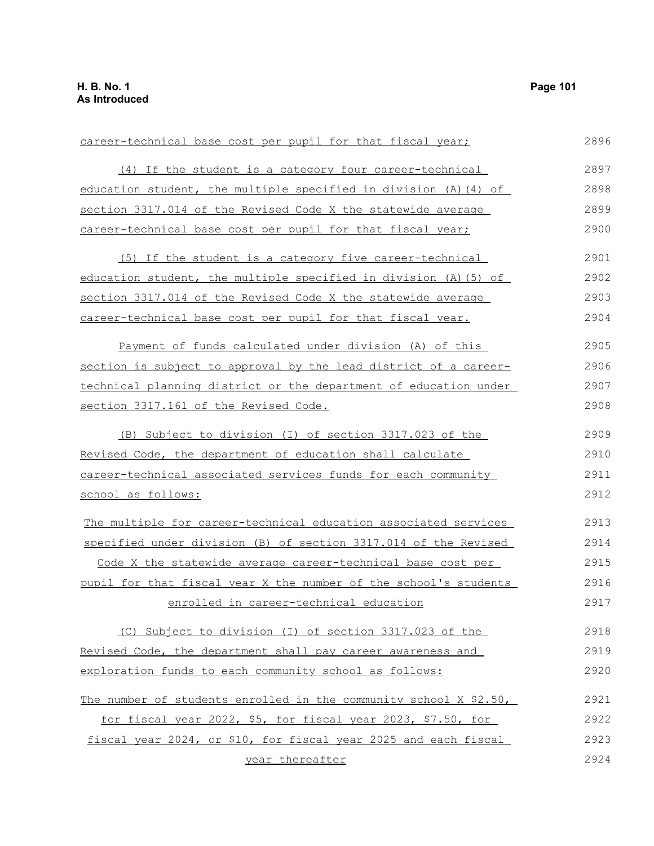| career-technical base cost per pupil for that fiscal year;        | 2896 |
|-------------------------------------------------------------------|------|
| (4) If the student is a category four career-technical            | 2897 |
| education student, the multiple specified in division (A) (4) of  | 2898 |
| section 3317.014 of the Revised Code X the statewide average      | 2899 |
| career-technical base cost per pupil for that fiscal year;        | 2900 |
| (5) If the student is a category five career-technical            | 2901 |
| education student, the multiple specified in division (A) (5) of  | 2902 |
| section 3317.014 of the Revised Code X the statewide average      | 2903 |
| career-technical base cost per pupil for that fiscal year.        | 2904 |
| Payment of funds calculated under division (A) of this            | 2905 |
| section is subject to approval by the lead district of a career-  | 2906 |
| technical planning district or the department of education under  | 2907 |
| section 3317.161 of the Revised Code.                             | 2908 |
| (B) Subject to division (I) of section 3317.023 of the            | 2909 |
| Revised Code, the department of education shall calculate         | 2910 |
| career-technical associated services funds for each community     |      |
| school as follows:                                                | 2912 |
| The multiple for career-technical education associated services   | 2913 |
| specified under division (B) of section 3317.014 of the Revised   | 2914 |
| Code X the statewide average career-technical base cost per       | 2915 |
| pupil for that fiscal year X the number of the school's students  | 2916 |
| enrolled in career-technical education                            | 2917 |
| (C) Subject to division (I) of section 3317.023 of the            | 2918 |
| Revised Code, the department shall pay career awareness and       | 2919 |
| exploration funds to each community school as follows:            | 2920 |
| The number of students enrolled in the community school X \$2.50, | 2921 |
| for fiscal year 2022, \$5, for fiscal year 2023, \$7.50, for      | 2922 |
| fiscal year 2024, or \$10, for fiscal year 2025 and each fiscal   | 2923 |
| year thereafter                                                   | 2924 |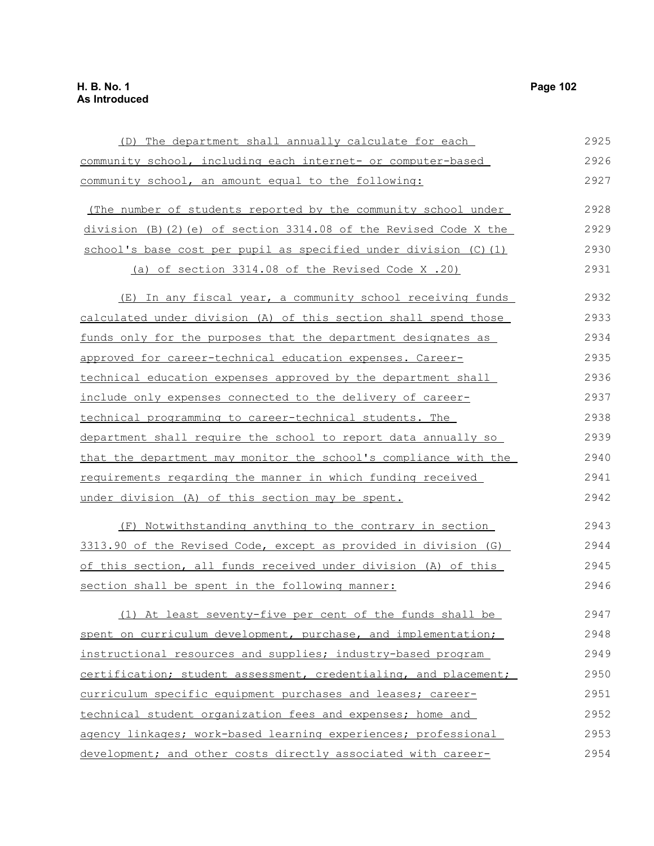(D) The department shall annually calculate for each community school, including each internet- or computer-based community school, an amount equal to the following: (The number of students reported by the community school under division (B)(2)(e) of section 3314.08 of the Revised Code X the school's base cost per pupil as specified under division (C)(1) (a) of section 3314.08 of the Revised Code X .20) (E) In any fiscal year, a community school receiving funds calculated under division (A) of this section shall spend those funds only for the purposes that the department designates as approved for career-technical education expenses. Careertechnical education expenses approved by the department shall include only expenses connected to the delivery of careertechnical programming to career-technical students. The department shall require the school to report data annually so that the department may monitor the school's compliance with the requirements regarding the manner in which funding received under division (A) of this section may be spent. (F) Notwithstanding anything to the contrary in section 3313.90 of the Revised Code, except as provided in division (G) of this section, all funds received under division (A) of this section shall be spent in the following manner: (1) At least seventy-five per cent of the funds shall be spent on curriculum development, purchase, and implementation; instructional resources and supplies; industry-based program certification; student assessment, credentialing, and placement; curriculum specific equipment purchases and leases; careertechnical student organization fees and expenses; home and agency linkages; work-based learning experiences; professional 2925 2926 2927 2928 2929 2930 2931 2932 2933 2934 2935 2936 2937 2938 2939 2940 2941 2942 2943 2944 2945 2946 2947 2948 2949 2950 2951 2952 2953

development; and other costs directly associated with career-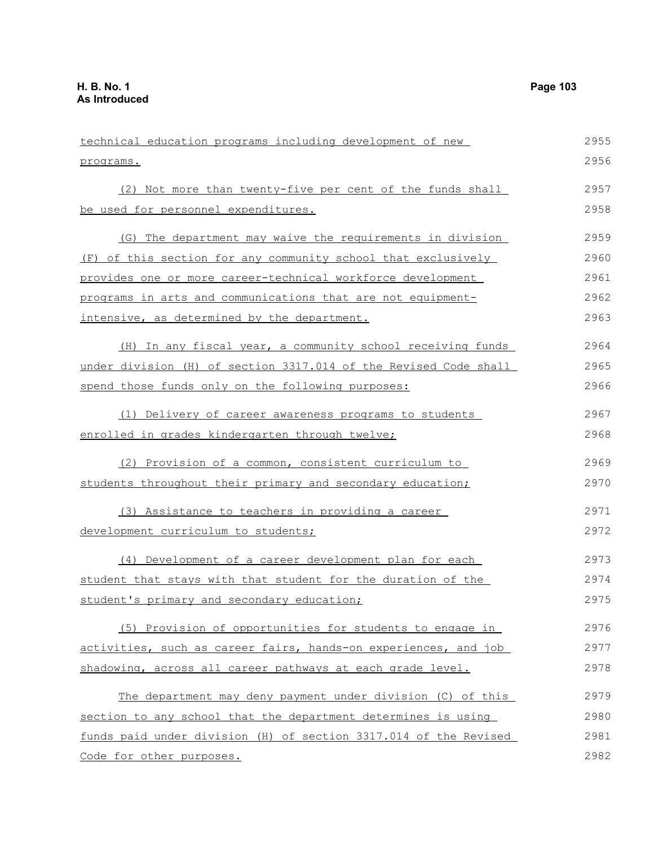| technical education programs including development of new        | 2955 |
|------------------------------------------------------------------|------|
| programs.                                                        | 2956 |
| (2) Not more than twenty-five per cent of the funds shall        | 2957 |
| be used for personnel expenditures.                              | 2958 |
| (G) The department may waive the requirements in division        | 2959 |
| (F) of this section for any community school that exclusively    | 2960 |
| provides one or more career-technical workforce development      | 2961 |
| programs in arts and communications that are not equipment-      | 2962 |
| intensive, as determined by the department.                      | 2963 |
| (H) In any fiscal year, a community school receiving funds       | 2964 |
| under division (H) of section 3317.014 of the Revised Code shall | 2965 |
| spend those funds only on the following purposes:                | 2966 |
| (1) Delivery of career awareness programs to students            | 2967 |
| enrolled in grades kindergarten through twelve;                  | 2968 |
| (2) Provision of a common, consistent curriculum to              | 2969 |
| students throughout their primary and secondary education;       | 2970 |
| (3) Assistance to teachers in providing a career                 | 2971 |
| development curriculum to students;                              | 2972 |
| (4) Development of a career development plan for each            | 2973 |
| student that stays with that student for the duration of the     | 2974 |
| student's primary and secondary education;                       | 2975 |
| (5) Provision of opportunities for students to engage in         | 2976 |
| activities, such as career fairs, hands-on experiences, and job  | 2977 |
| shadowing, across all career pathways at each grade level.       | 2978 |
| The department may deny payment under division (C) of this       | 2979 |
| section to any school that the department determines is using    | 2980 |
| funds paid under division (H) of section 3317.014 of the Revised | 2981 |
| Code for other purposes.                                         | 2982 |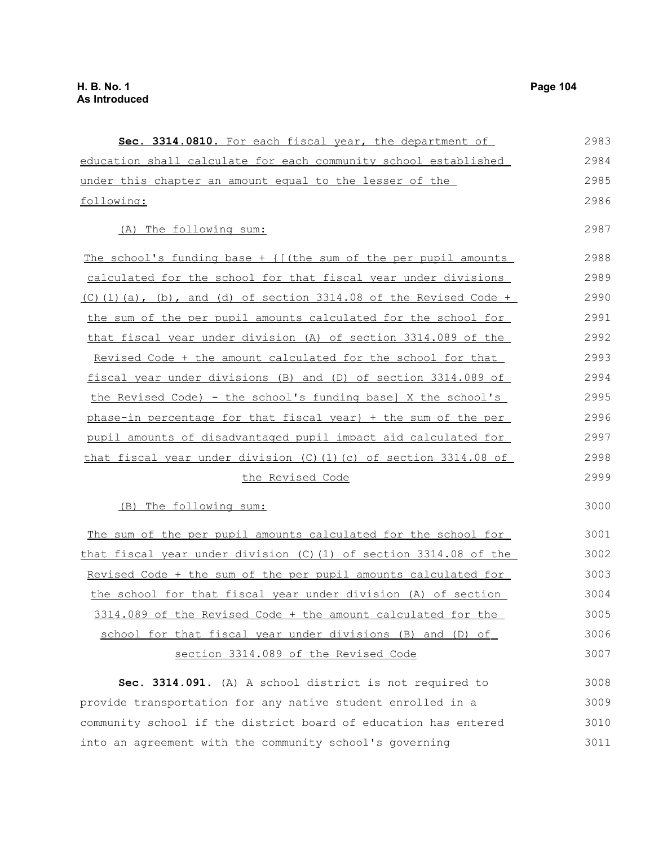Sec. 3314.0810. For each fiscal year, the department of education shall calculate for each community school established under this chapter an amount equal to the lesser of the following: (A) The following sum: The school's funding base  $+$  { $[$  (the sum of the per pupil amounts calculated for the school for that fiscal year under divisions  $(C)$ (1)(a), (b), and (d) of section 3314.08 of the Revised Code + the sum of the per pupil amounts calculated for the school for that fiscal year under division (A) of section 3314.089 of the Revised Code + the amount calculated for the school for that fiscal year under divisions (B) and (D) of section 3314.089 of the Revised Code) - the school's funding base] X the school's phase-in percentage for that fiscal year} + the sum of the per pupil amounts of disadvantaged pupil impact aid calculated for that fiscal year under division (C)(1)(c) of section 3314.08 of the Revised Code (B) The following sum: The sum of the per pupil amounts calculated for the school for that fiscal year under division (C)(1) of section 3314.08 of the Revised Code + the sum of the per pupil amounts calculated for the school for that fiscal year under division (A) of section 3314.089 of the Revised Code + the amount calculated for the school for that fiscal year under divisions (B) and (D) of section 3314.089 of the Revised Code **Sec. 3314.091.** (A) A school district is not required to provide transportation for any native student enrolled in a community school if the district board of education has entered 2983 2984 2985 2986 2987 2988 2989 2990 2991 2992 2993 2994 2995 2996 2997 2998 2999 3000 3001 3002 3003 3004 3005 3006 3007 3008 3009 3010

into an agreement with the community school's governing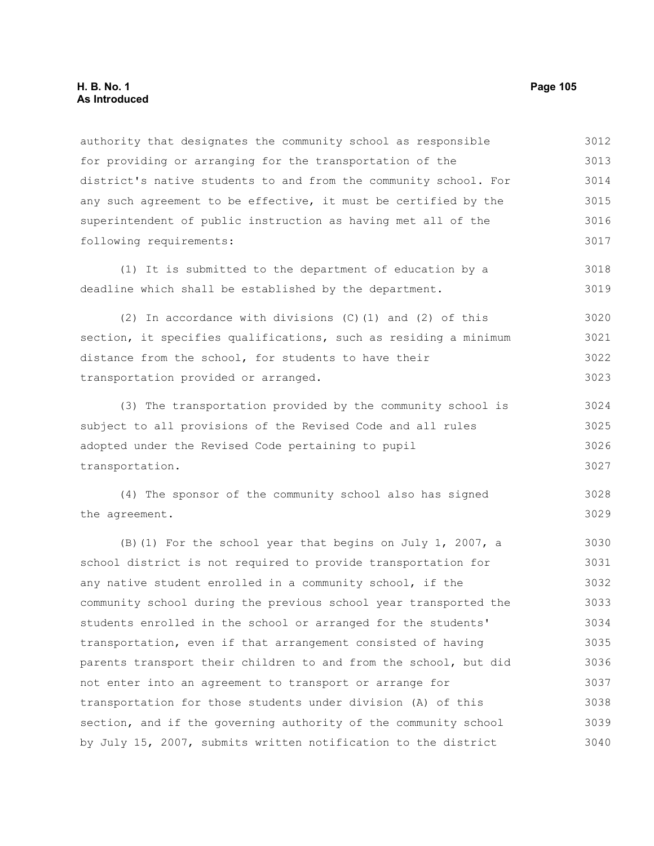authority that designates the community school as responsible for providing or arranging for the transportation of the district's native students to and from the community school. For any such agreement to be effective, it must be certified by the superintendent of public instruction as having met all of the following requirements: 3012 3013 3014 3015 3016 3017

(1) It is submitted to the department of education by a deadline which shall be established by the department. 3018 3019

(2) In accordance with divisions (C)(1) and (2) of this section, it specifies qualifications, such as residing a minimum distance from the school, for students to have their transportation provided or arranged. 3020 3021 3022 3023

(3) The transportation provided by the community school is subject to all provisions of the Revised Code and all rules adopted under the Revised Code pertaining to pupil transportation. 3024 3025 3026 3027

(4) The sponsor of the community school also has signed the agreement. 3028 3029

(B)(1) For the school year that begins on July 1, 2007, a school district is not required to provide transportation for any native student enrolled in a community school, if the community school during the previous school year transported the students enrolled in the school or arranged for the students' transportation, even if that arrangement consisted of having parents transport their children to and from the school, but did not enter into an agreement to transport or arrange for transportation for those students under division (A) of this section, and if the governing authority of the community school by July 15, 2007, submits written notification to the district 3030 3031 3032 3033 3034 3035 3036 3037 3038 3039 3040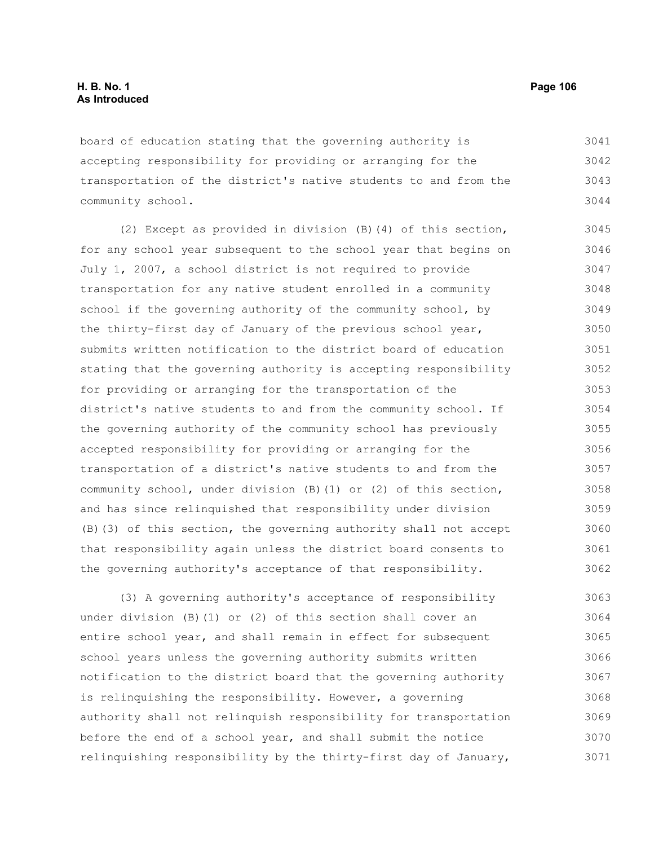board of education stating that the governing authority is accepting responsibility for providing or arranging for the transportation of the district's native students to and from the community school. 3041 3042 3043 3044

(2) Except as provided in division (B)(4) of this section, for any school year subsequent to the school year that begins on July 1, 2007, a school district is not required to provide transportation for any native student enrolled in a community school if the governing authority of the community school, by the thirty-first day of January of the previous school year, submits written notification to the district board of education stating that the governing authority is accepting responsibility for providing or arranging for the transportation of the district's native students to and from the community school. If the governing authority of the community school has previously accepted responsibility for providing or arranging for the transportation of a district's native students to and from the community school, under division (B)(1) or (2) of this section, and has since relinquished that responsibility under division (B)(3) of this section, the governing authority shall not accept that responsibility again unless the district board consents to the governing authority's acceptance of that responsibility. 3045 3046 3047 3048 3049 3050 3051 3052 3053 3054 3055 3056 3057 3058 3059 3060 3061 3062

(3) A governing authority's acceptance of responsibility under division (B)(1) or (2) of this section shall cover an entire school year, and shall remain in effect for subsequent school years unless the governing authority submits written notification to the district board that the governing authority is relinquishing the responsibility. However, a governing authority shall not relinquish responsibility for transportation before the end of a school year, and shall submit the notice relinquishing responsibility by the thirty-first day of January, 3063 3064 3065 3066 3067 3068 3069 3070 3071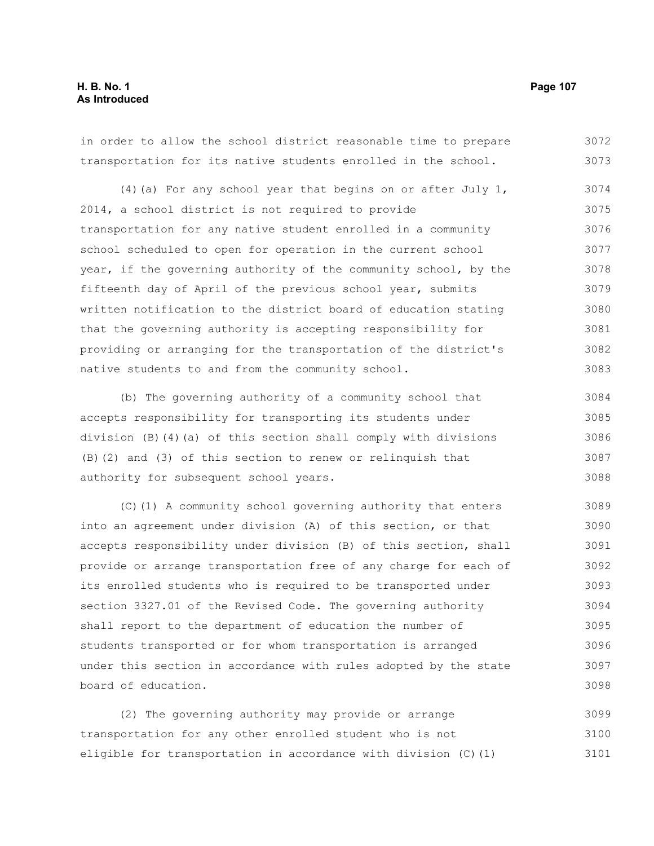# **H. B. No. 1 Page 107 As Introduced**

in order to allow the school district reasonable time to prepare transportation for its native students enrolled in the school. 3072 3073

(4)(a) For any school year that begins on or after July 1, 2014, a school district is not required to provide transportation for any native student enrolled in a community school scheduled to open for operation in the current school year, if the governing authority of the community school, by the fifteenth day of April of the previous school year, submits written notification to the district board of education stating that the governing authority is accepting responsibility for providing or arranging for the transportation of the district's native students to and from the community school. 3074 3075 3076 3077 3078 3079 3080 3081 3082 3083

(b) The governing authority of a community school that accepts responsibility for transporting its students under division (B)(4)(a) of this section shall comply with divisions (B)(2) and (3) of this section to renew or relinquish that authority for subsequent school years. 3084 3085 3086 3087 3088

(C)(1) A community school governing authority that enters into an agreement under division (A) of this section, or that accepts responsibility under division (B) of this section, shall provide or arrange transportation free of any charge for each of its enrolled students who is required to be transported under section 3327.01 of the Revised Code. The governing authority shall report to the department of education the number of students transported or for whom transportation is arranged under this section in accordance with rules adopted by the state board of education. 3089 3090 3091 3092 3093 3094 3095 3096 3097 3098

(2) The governing authority may provide or arrange transportation for any other enrolled student who is not eligible for transportation in accordance with division (C)(1) 3099 3100 3101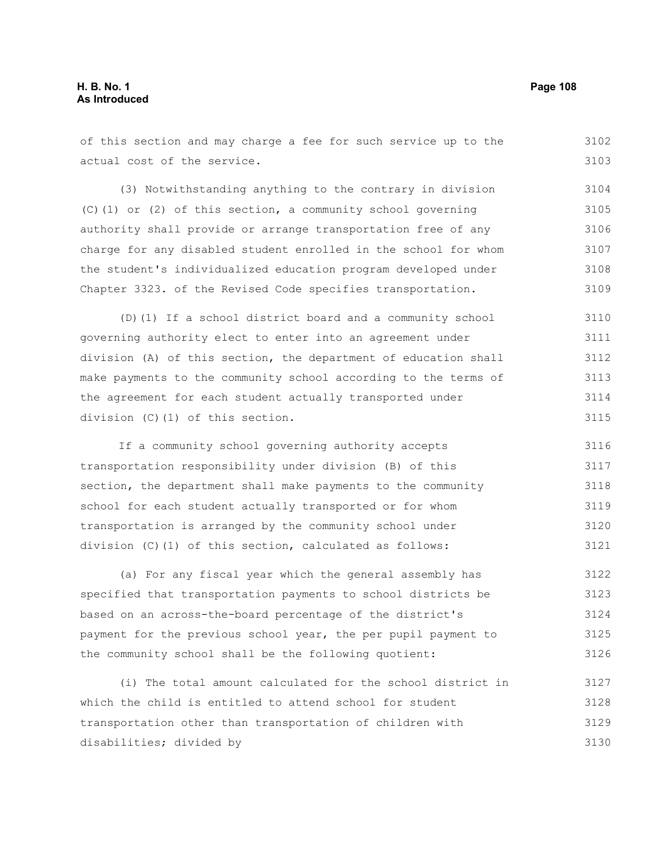#### of this section and may charge a fee for such service up to the actual cost of the service. (3) Notwithstanding anything to the contrary in division (C)(1) or (2) of this section, a community school governing authority shall provide or arrange transportation free of any charge for any disabled student enrolled in the school for whom the student's individualized education program developed under Chapter 3323. of the Revised Code specifies transportation. (D)(1) If a school district board and a community school governing authority elect to enter into an agreement under division (A) of this section, the department of education shall make payments to the community school according to the terms of the agreement for each student actually transported under division (C)(1) of this section. If a community school governing authority accepts transportation responsibility under division (B) of this section, the department shall make payments to the community school for each student actually transported or for whom transportation is arranged by the community school under division (C)(1) of this section, calculated as follows: (a) For any fiscal year which the general assembly has specified that transportation payments to school districts be based on an across-the-board percentage of the district's payment for the previous school year, the per pupil payment to the community school shall be the following quotient: (i) The total amount calculated for the school district in which the child is entitled to attend school for student 3102 3103 3104 3105 3106 3107 3108 3109 3110 3111 3112 3113 3114 3115 3116 3117 3118 3119 3120 3121 3122 3123 3124 3125 3126 3127 3128

transportation other than transportation of children with disabilities; divided by 3129 3130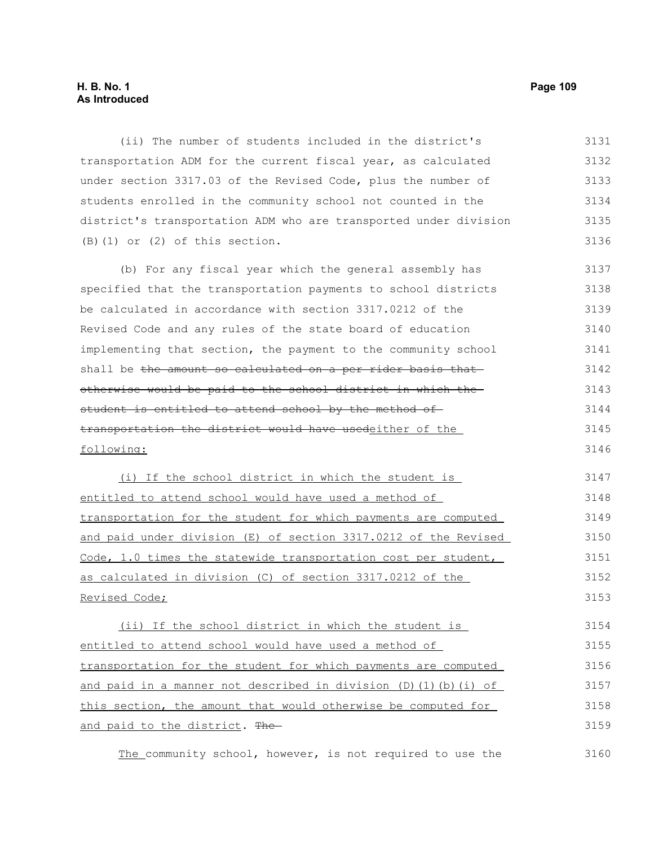# **H. B. No. 1 Page 109 As Introduced**

(ii) The number of students included in the district's transportation ADM for the current fiscal year, as calculated under section 3317.03 of the Revised Code, plus the number of students enrolled in the community school not counted in the district's transportation ADM who are transported under division (B)(1) or (2) of this section. 3131 3132 3133 3134 3135 3136

(b) For any fiscal year which the general assembly has specified that the transportation payments to school districts be calculated in accordance with section 3317.0212 of the Revised Code and any rules of the state board of education implementing that section, the payment to the community school shall be the amount so calculated on a per rider basis that otherwise would be paid to the school district in which the student is entitled to attend school by the method oftransportation the district would have usedeither of the following: 3137 3138 3139 3140 3141 3142 3143 3144 3145 3146

(i) If the school district in which the student is entitled to attend school would have used a method of transportation for the student for which payments are computed and paid under division (E) of section 3317.0212 of the Revised Code, 1.0 times the statewide transportation cost per student, as calculated in division (C) of section 3317.0212 of the Revised Code; 3147 3148 3149 3150 3151 3152 3153

(ii) If the school district in which the student is entitled to attend school would have used a method of transportation for the student for which payments are computed and paid in a manner not described in division (D)(1)(b)(i) of this section, the amount that would otherwise be computed for and paid to the district. The 3154 3155 3156 3157 3158 3159

The community school, however, is not required to use the 3160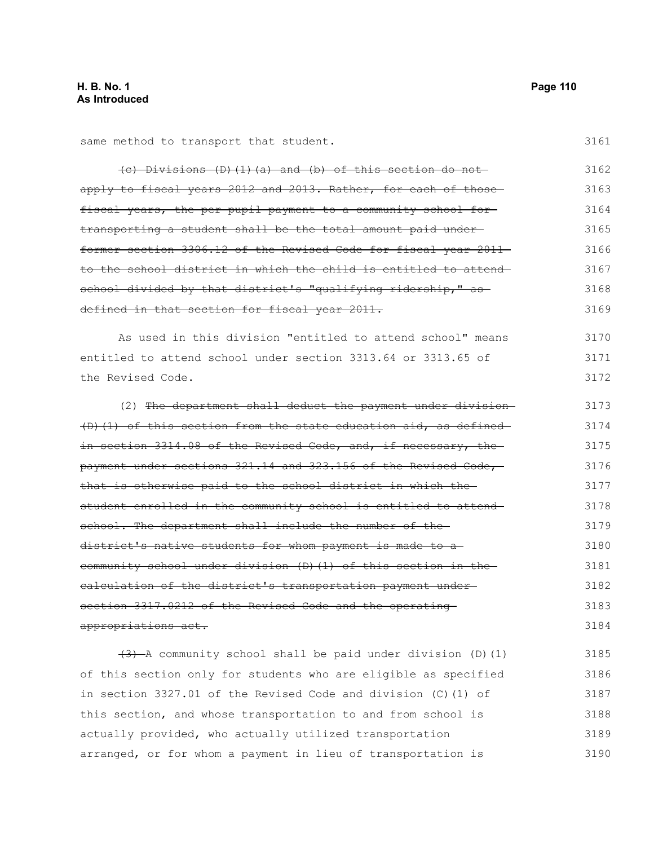3172

| same method to transport that student.                           | 3161 |
|------------------------------------------------------------------|------|
| $(e)$ Divisions (D)(1)(a) and (b) of this section do not         | 3162 |
| apply to fiscal years 2012 and 2013. Rather, for each of those-  | 3163 |
| fiscal years, the per pupil payment to a community school for-   | 3164 |
| transporting a student shall be the total amount paid under-     | 3165 |
| former section 3306.12 of the Revised Code for fiscal year 2011- | 3166 |
| to the school district in which the child is entitled to attend- | 3167 |
| school divided by that district's "qualifying ridership," as-    | 3168 |
| defined in that section for fiscal year 2011.                    | 3169 |
| As used in this division "entitled to attend school" means       | 3170 |
| entitled to attend school under section 3313.64 or 3313.65 of    | 3171 |

the Revised Code.

(2) The department shall deduct the payment under division (D)(1) of this section from the state education aid, as defined in section 3314.08 of the Revised Code, and, if necessary, the payment under sections 321.14 and 323.156 of the Revised Code, that is otherwise paid to the school district in which the student enrolled in the community school is entitled to attend school. The department shall include the number of thedistrict's native students for whom payment is made to a community school under division (D)(1) of this section in the calculation of the district's transportation payment under section 3317.0212 of the Revised Code and the operating appropriations act. 3173 3174 3175 3176 3177 3178 3179 3180 3181 3182 3183 3184

 $(3)$  A community school shall be paid under division (D)(1) of this section only for students who are eligible as specified in section 3327.01 of the Revised Code and division (C)(1) of this section, and whose transportation to and from school is actually provided, who actually utilized transportation arranged, or for whom a payment in lieu of transportation is 3185 3186 3187 3188 3189 3190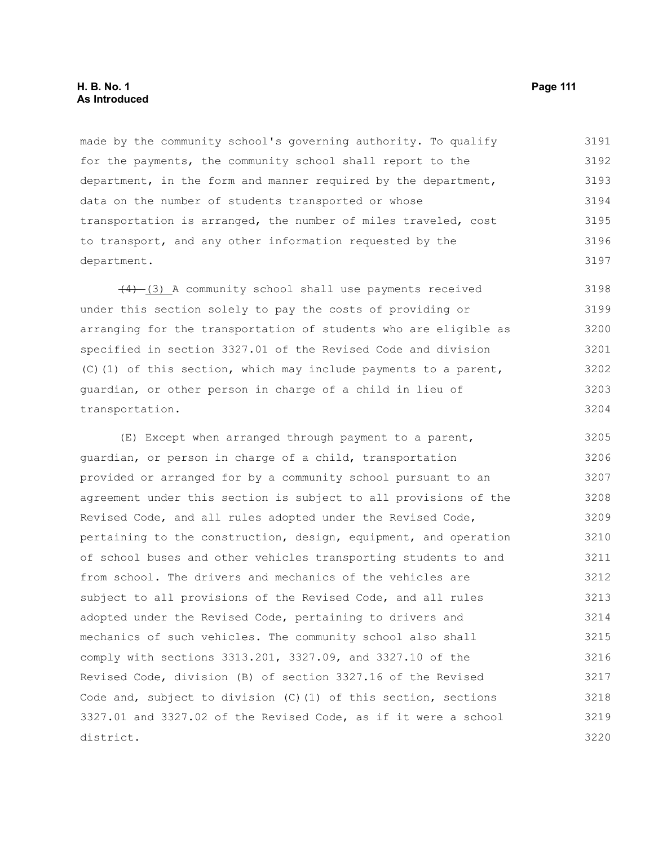made by the community school's governing authority. To qualify for the payments, the community school shall report to the department, in the form and manner required by the department, data on the number of students transported or whose transportation is arranged, the number of miles traveled, cost to transport, and any other information requested by the department. 3191 3192 3193 3194 3195 3196 3197

 $(4)$  (3) A community school shall use payments received under this section solely to pay the costs of providing or arranging for the transportation of students who are eligible as specified in section 3327.01 of the Revised Code and division (C)(1) of this section, which may include payments to a parent, guardian, or other person in charge of a child in lieu of transportation. 3198 3199 3200 3201 3202 3203 3204

(E) Except when arranged through payment to a parent, guardian, or person in charge of a child, transportation provided or arranged for by a community school pursuant to an agreement under this section is subject to all provisions of the Revised Code, and all rules adopted under the Revised Code, pertaining to the construction, design, equipment, and operation of school buses and other vehicles transporting students to and from school. The drivers and mechanics of the vehicles are subject to all provisions of the Revised Code, and all rules adopted under the Revised Code, pertaining to drivers and mechanics of such vehicles. The community school also shall comply with sections 3313.201, 3327.09, and 3327.10 of the Revised Code, division (B) of section 3327.16 of the Revised Code and, subject to division (C)(1) of this section, sections 3327.01 and 3327.02 of the Revised Code, as if it were a school district. 3205 3206 3207 3208 3209 3210 3211 3212 3213 3214 3215 3216 3217 3218 3219 3220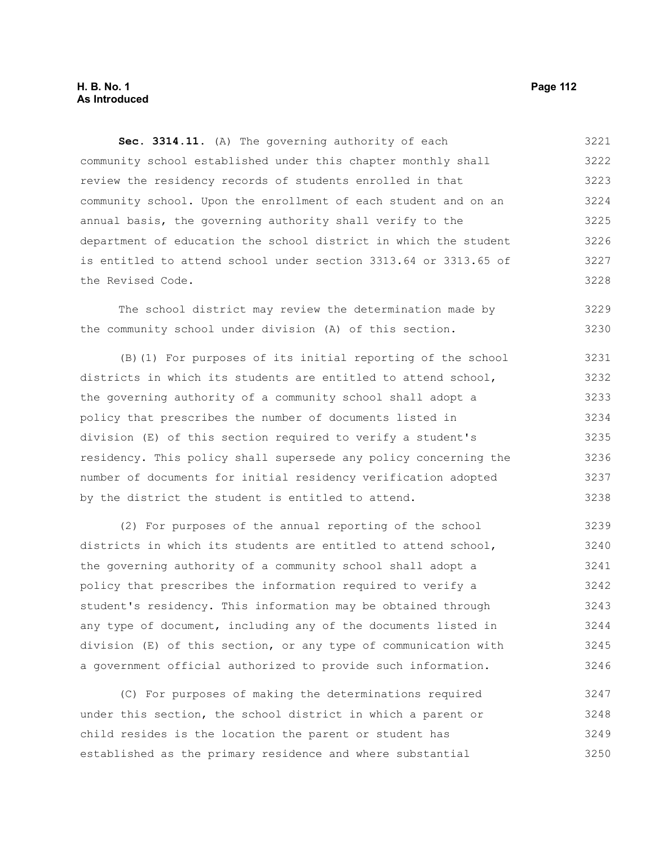# **H. B. No. 1 Page 112 As Introduced**

**Sec. 3314.11.** (A) The governing authority of each community school established under this chapter monthly shall review the residency records of students enrolled in that community school. Upon the enrollment of each student and on an annual basis, the governing authority shall verify to the department of education the school district in which the student is entitled to attend school under section 3313.64 or 3313.65 of the Revised Code. 3221 3222 3223 3224 3225 3226 3227 3228

The school district may review the determination made by the community school under division (A) of this section. 3229 3230

(B)(1) For purposes of its initial reporting of the school districts in which its students are entitled to attend school, the governing authority of a community school shall adopt a policy that prescribes the number of documents listed in division (E) of this section required to verify a student's residency. This policy shall supersede any policy concerning the number of documents for initial residency verification adopted by the district the student is entitled to attend. 3231 3232 3233 3234 3235 3236 3237 3238

(2) For purposes of the annual reporting of the school districts in which its students are entitled to attend school, the governing authority of a community school shall adopt a policy that prescribes the information required to verify a student's residency. This information may be obtained through any type of document, including any of the documents listed in division (E) of this section, or any type of communication with a government official authorized to provide such information. 3239 3240 3241 3242 3243 3244 3245 3246

(C) For purposes of making the determinations required under this section, the school district in which a parent or child resides is the location the parent or student has established as the primary residence and where substantial 3247 3248 3249 3250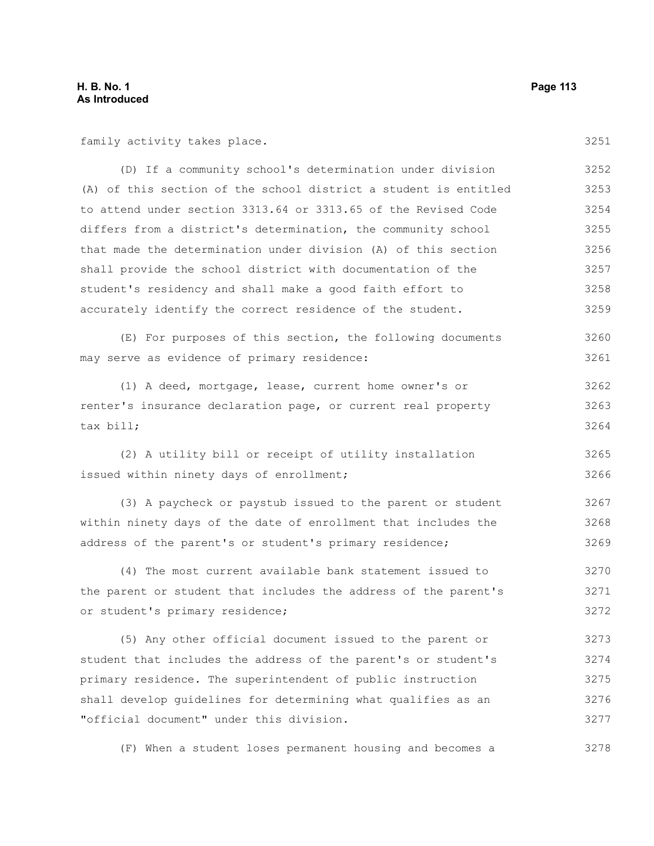family activity takes place.

(D) If a community school's determination under division (A) of this section of the school district a student is entitled to attend under section 3313.64 or 3313.65 of the Revised Code differs from a district's determination, the community school that made the determination under division (A) of this section shall provide the school district with documentation of the student's residency and shall make a good faith effort to accurately identify the correct residence of the student. 3252 3253 3254 3255 3256 3257 3258 3259

(E) For purposes of this section, the following documents may serve as evidence of primary residence: 3260 3261

(1) A deed, mortgage, lease, current home owner's or renter's insurance declaration page, or current real property tax bill; 3262 3263 3264

(2) A utility bill or receipt of utility installation issued within ninety days of enrollment; 3265 3266

(3) A paycheck or paystub issued to the parent or student within ninety days of the date of enrollment that includes the address of the parent's or student's primary residence; 3267 3268 3269

(4) The most current available bank statement issued to the parent or student that includes the address of the parent's or student's primary residence; 3270 3271 3272

(5) Any other official document issued to the parent or student that includes the address of the parent's or student's primary residence. The superintendent of public instruction shall develop guidelines for determining what qualifies as an "official document" under this division. 3273 3274 3275 3276 3277

(F) When a student loses permanent housing and becomes a 3278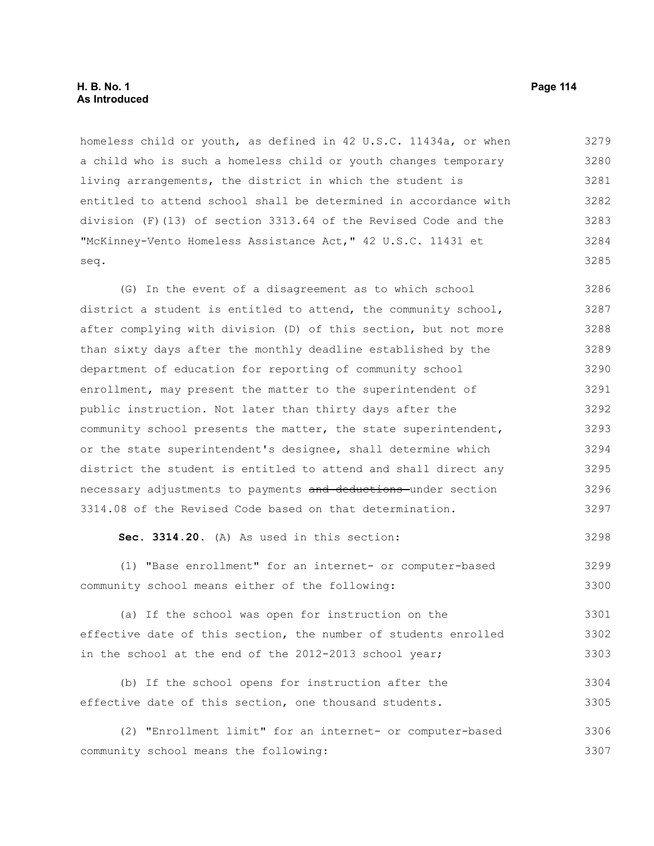homeless child or youth, as defined in 42 U.S.C. 11434a, or when a child who is such a homeless child or youth changes temporary living arrangements, the district in which the student is entitled to attend school shall be determined in accordance with division (F)(13) of section 3313.64 of the Revised Code and the "McKinney-Vento Homeless Assistance Act," 42 U.S.C. 11431 et seq. 3279 3280 3281 3282 3283 3284 3285

(G) In the event of a disagreement as to which school district a student is entitled to attend, the community school, after complying with division (D) of this section, but not more than sixty days after the monthly deadline established by the department of education for reporting of community school enrollment, may present the matter to the superintendent of public instruction. Not later than thirty days after the community school presents the matter, the state superintendent, or the state superintendent's designee, shall determine which district the student is entitled to attend and shall direct any necessary adjustments to payments and deductions under section 3314.08 of the Revised Code based on that determination. 3286 3287 3288 3289 3290 3291 3292 3293 3294 3295 3296 3297

#### **Sec. 3314.20.** (A) As used in this section: 3298

(1) "Base enrollment" for an internet- or computer-based community school means either of the following: 3299 3300

(a) If the school was open for instruction on the effective date of this section, the number of students enrolled in the school at the end of the 2012-2013 school year; 3301 3302 3303

(b) If the school opens for instruction after the effective date of this section, one thousand students. 3304 3305

(2) "Enrollment limit" for an internet- or computer-based community school means the following: 3306 3307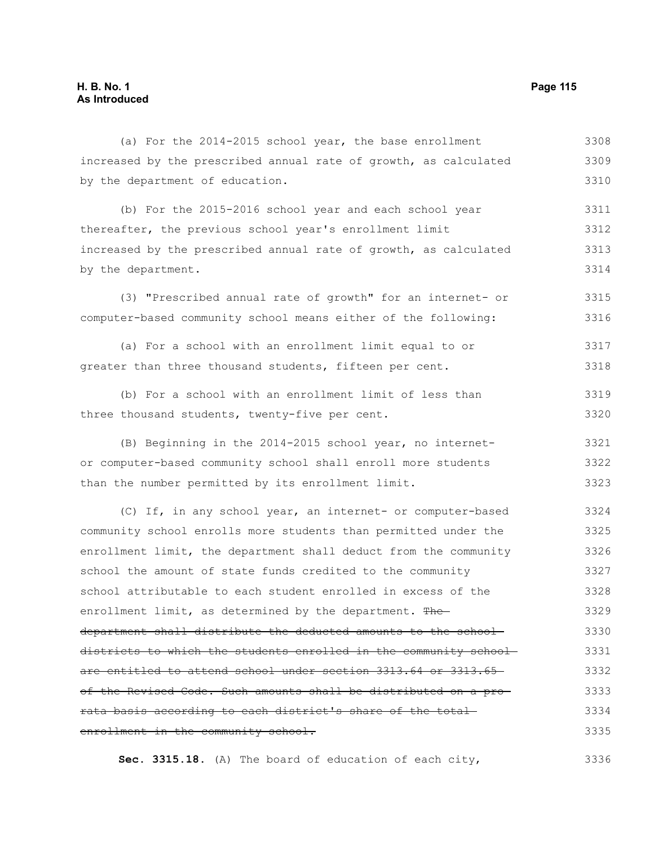### (a) For the 2014-2015 school year, the base enrollment increased by the prescribed annual rate of growth, as calculated by the department of education. (b) For the 2015-2016 school year and each school year thereafter, the previous school year's enrollment limit increased by the prescribed annual rate of growth, as calculated by the department. (3) "Prescribed annual rate of growth" for an internet- or computer-based community school means either of the following: (a) For a school with an enrollment limit equal to or greater than three thousand students, fifteen per cent. (b) For a school with an enrollment limit of less than three thousand students, twenty-five per cent. (B) Beginning in the 2014-2015 school year, no internetor computer-based community school shall enroll more students than the number permitted by its enrollment limit. (C) If, in any school year, an internet- or computer-based community school enrolls more students than permitted under the enrollment limit, the department shall deduct from the community school the amount of state funds credited to the community school attributable to each student enrolled in excess of the enrollment limit, as determined by the department. The department shall distribute the deducted amounts to the school districts to which the students enrolled in the community school are entitled to attend school under section 3313.64 or 3313.65 of the Revised Code. Such amounts shall be distributed on a pro rata basis according to each district's share of the total enrollment in the community school. 3308 3309 3310 3311 3312 3313 3314 3315 3316 3317 3318 3319 3320 3321 3322 3323 3324 3325 3326 3327 3328 3329 3330 3331 3332 3333 3334 3335

**Sec. 3315.18.** (A) The board of education of each city, 3336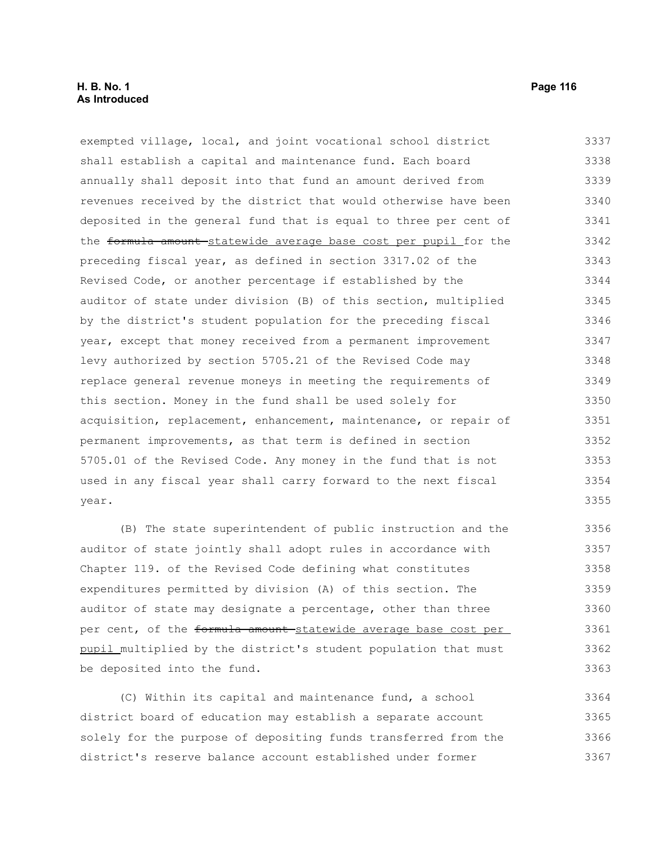exempted village, local, and joint vocational school district shall establish a capital and maintenance fund. Each board annually shall deposit into that fund an amount derived from revenues received by the district that would otherwise have been deposited in the general fund that is equal to three per cent of the formula amount statewide average base cost per pupil for the preceding fiscal year, as defined in section 3317.02 of the Revised Code, or another percentage if established by the auditor of state under division (B) of this section, multiplied by the district's student population for the preceding fiscal year, except that money received from a permanent improvement levy authorized by section 5705.21 of the Revised Code may replace general revenue moneys in meeting the requirements of this section. Money in the fund shall be used solely for acquisition, replacement, enhancement, maintenance, or repair of permanent improvements, as that term is defined in section 5705.01 of the Revised Code. Any money in the fund that is not used in any fiscal year shall carry forward to the next fiscal year. 3337 3338 3339 3340 3341 3342 3343 3344 3345 3346 3347 3348 3349 3350 3351 3352 3353 3354 3355

(B) The state superintendent of public instruction and the auditor of state jointly shall adopt rules in accordance with Chapter 119. of the Revised Code defining what constitutes expenditures permitted by division (A) of this section. The auditor of state may designate a percentage, other than three per cent, of the formula amount-statewide average base cost per pupil multiplied by the district's student population that must be deposited into the fund. 3356 3357 3358 3359 3360 3361 3362 3363

(C) Within its capital and maintenance fund, a school district board of education may establish a separate account solely for the purpose of depositing funds transferred from the district's reserve balance account established under former 3364 3365 3366 3367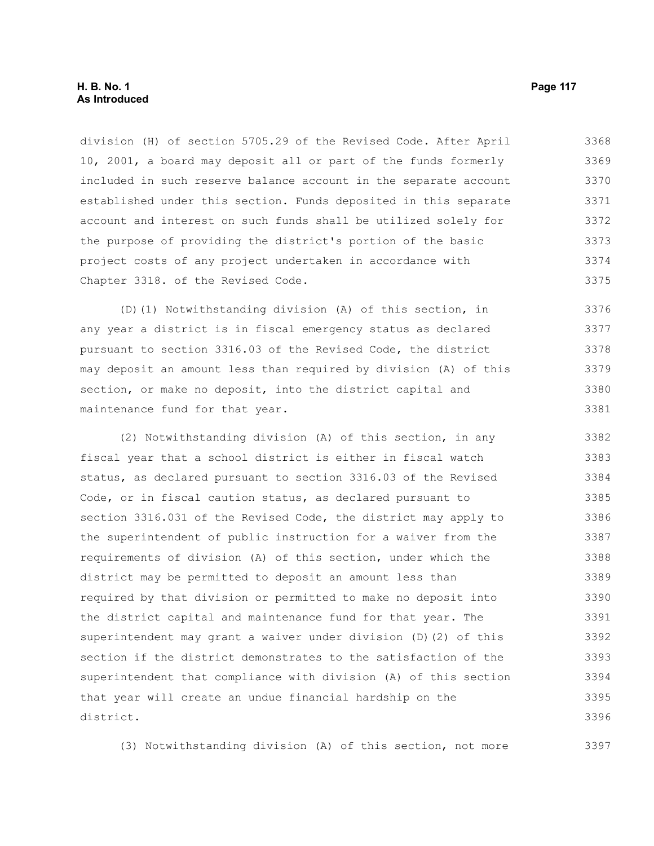division (H) of section 5705.29 of the Revised Code. After April 10, 2001, a board may deposit all or part of the funds formerly included in such reserve balance account in the separate account established under this section. Funds deposited in this separate account and interest on such funds shall be utilized solely for the purpose of providing the district's portion of the basic project costs of any project undertaken in accordance with Chapter 3318. of the Revised Code. 3368 3369 3370 3371 3372 3373 3374 3375

(D)(1) Notwithstanding division (A) of this section, in any year a district is in fiscal emergency status as declared pursuant to section 3316.03 of the Revised Code, the district may deposit an amount less than required by division (A) of this section, or make no deposit, into the district capital and maintenance fund for that year. 3376 3377 3378 3379 3380 3381

(2) Notwithstanding division (A) of this section, in any fiscal year that a school district is either in fiscal watch status, as declared pursuant to section 3316.03 of the Revised Code, or in fiscal caution status, as declared pursuant to section 3316.031 of the Revised Code, the district may apply to the superintendent of public instruction for a waiver from the requirements of division (A) of this section, under which the district may be permitted to deposit an amount less than required by that division or permitted to make no deposit into the district capital and maintenance fund for that year. The superintendent may grant a waiver under division (D)(2) of this section if the district demonstrates to the satisfaction of the superintendent that compliance with division (A) of this section that year will create an undue financial hardship on the district. 3382 3383 3384 3385 3386 3387 3388 3389 3390 3391 3392 3393 3394 3395 3396

(3) Notwithstanding division (A) of this section, not more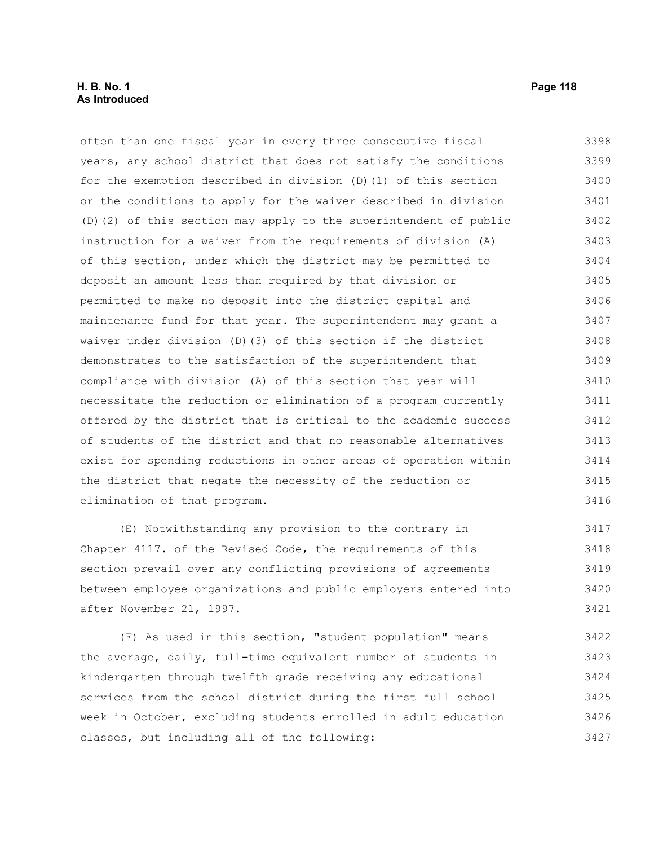often than one fiscal year in every three consecutive fiscal years, any school district that does not satisfy the conditions for the exemption described in division (D)(1) of this section or the conditions to apply for the waiver described in division (D)(2) of this section may apply to the superintendent of public instruction for a waiver from the requirements of division (A) of this section, under which the district may be permitted to deposit an amount less than required by that division or permitted to make no deposit into the district capital and maintenance fund for that year. The superintendent may grant a waiver under division (D)(3) of this section if the district demonstrates to the satisfaction of the superintendent that compliance with division (A) of this section that year will necessitate the reduction or elimination of a program currently offered by the district that is critical to the academic success of students of the district and that no reasonable alternatives exist for spending reductions in other areas of operation within the district that negate the necessity of the reduction or elimination of that program. 3398 3399 3400 3401 3402 3403 3404 3405 3406 3407 3408 3409 3410 3411 3412 3413 3414 3415 3416

(E) Notwithstanding any provision to the contrary in Chapter 4117. of the Revised Code, the requirements of this section prevail over any conflicting provisions of agreements between employee organizations and public employers entered into after November 21, 1997. 3417 3418 3419 3420 3421

(F) As used in this section, "student population" means the average, daily, full-time equivalent number of students in kindergarten through twelfth grade receiving any educational services from the school district during the first full school week in October, excluding students enrolled in adult education classes, but including all of the following: 3422 3423 3424 3425 3426 3427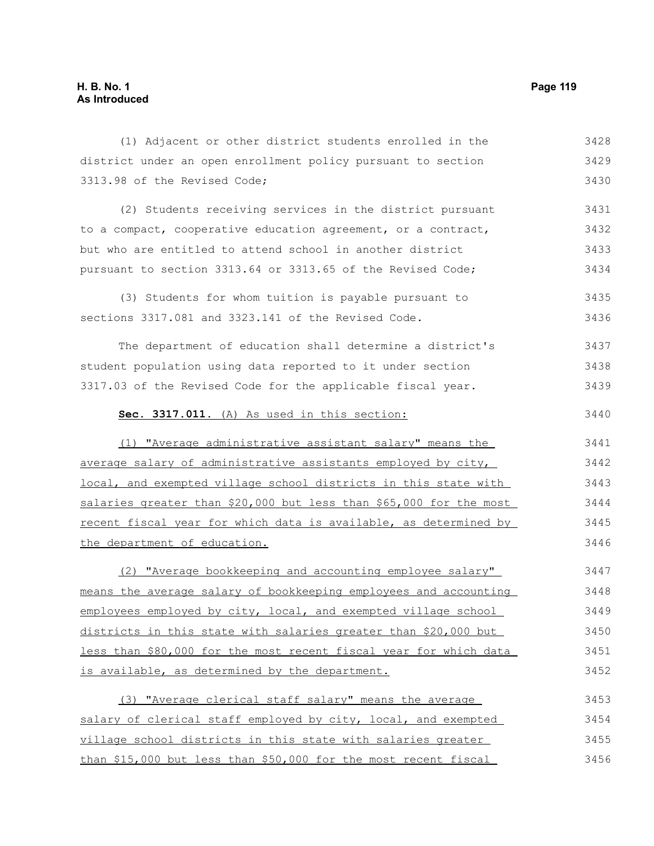| (1) Adjacent or other district students enrolled in the            | 3428 |
|--------------------------------------------------------------------|------|
| district under an open enrollment policy pursuant to section       | 3429 |
| 3313.98 of the Revised Code;                                       | 3430 |
| (2) Students receiving services in the district pursuant           | 3431 |
| to a compact, cooperative education agreement, or a contract,      | 3432 |
| but who are entitled to attend school in another district          | 3433 |
| pursuant to section 3313.64 or 3313.65 of the Revised Code;        | 3434 |
| (3) Students for whom tuition is payable pursuant to               | 3435 |
| sections 3317.081 and 3323.141 of the Revised Code.                | 3436 |
| The department of education shall determine a district's           | 3437 |
| student population using data reported to it under section         | 3438 |
| 3317.03 of the Revised Code for the applicable fiscal year.        | 3439 |
| Sec. 3317.011. (A) As used in this section:                        | 3440 |
| (1) "Average administrative assistant salary" means the            | 3441 |
| average salary of administrative assistants employed by city,      | 3442 |
| local, and exempted village school districts in this state with    | 3443 |
| salaries greater than \$20,000 but less than \$65,000 for the most | 3444 |
| recent fiscal year for which data is available, as determined by   | 3445 |
| the department of education.                                       | 3446 |
| (2) "Average bookkeeping and accounting employee salary"           | 3447 |
| means the average salary of bookkeeping employees and accounting   | 3448 |
| employees employed by city, local, and exempted village school     | 3449 |
| districts in this state with salaries greater than \$20,000 but    | 3450 |
| less than \$80,000 for the most recent fiscal year for which data  | 3451 |
| is available, as determined by the department.                     | 3452 |
| (3) "Average clerical staff salary" means the average              | 3453 |
| salary of clerical staff employed by city, local, and exempted     | 3454 |
| village school districts in this state with salaries greater       | 3455 |
| than \$15,000 but less than \$50,000 for the most recent fiscal    | 3456 |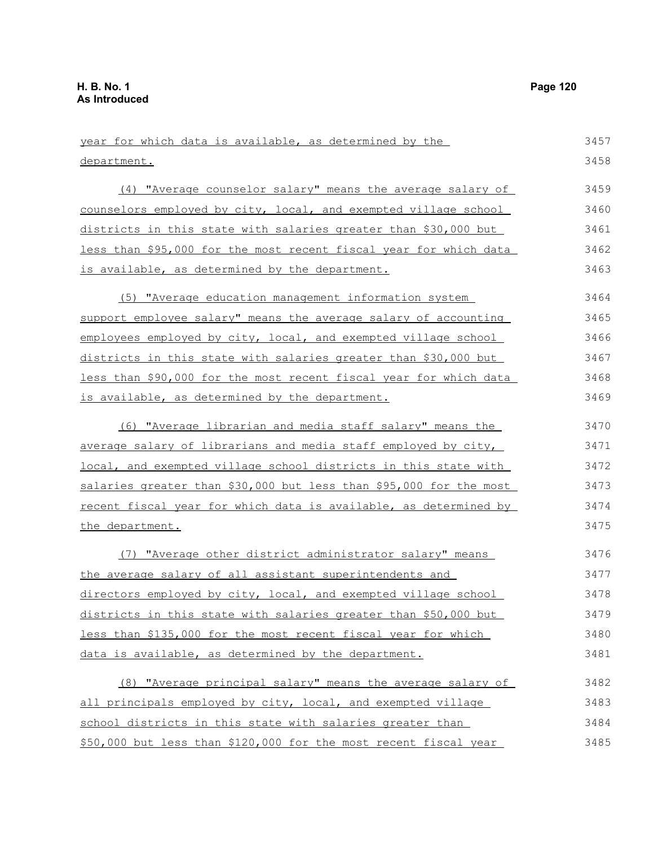| year for which data is available, as determined by the             | 3457 |
|--------------------------------------------------------------------|------|
| department.                                                        | 3458 |
| (4) "Average counselor salary" means the average salary of         | 3459 |
| counselors employed by city, local, and exempted village school    | 3460 |
| districts in this state with salaries greater than \$30,000 but    | 3461 |
| less than \$95,000 for the most recent fiscal year for which data  | 3462 |
| is available, as determined by the department.                     | 3463 |
| (5) "Average education management information system               | 3464 |
| support employee salary" means the average salary of accounting    | 3465 |
| employees employed by city, local, and exempted village school     | 3466 |
| districts in this state with salaries greater than \$30,000 but    | 3467 |
| less than \$90,000 for the most recent fiscal year for which data  | 3468 |
| is available, as determined by the department.                     | 3469 |
| (6) "Average librarian and media staff salary" means the           | 3470 |
| average salary of librarians and media staff employed by city,     | 3471 |
| local, and exempted village school districts in this state with    | 3472 |
| salaries greater than \$30,000 but less than \$95,000 for the most | 3473 |
| recent fiscal year for which data is available, as determined by   | 3474 |
| the department.                                                    | 3475 |
| (7) "Average other district administrator salary" means            | 3476 |
| the average salary of all assistant superintendents and            | 3477 |
| directors employed by city, local, and exempted village school     | 3478 |
| districts in this state with salaries greater than \$50,000 but    | 3479 |
| less than \$135,000 for the most recent fiscal year for which      | 3480 |
| data is available, as determined by the department.                | 3481 |
| (8) "Average principal salary" means the average salary of         | 3482 |
| all principals employed by city, local, and exempted village       | 3483 |
| school districts in this state with salaries greater than          | 3484 |
| \$50,000 but less than \$120,000 for the most recent fiscal year   | 3485 |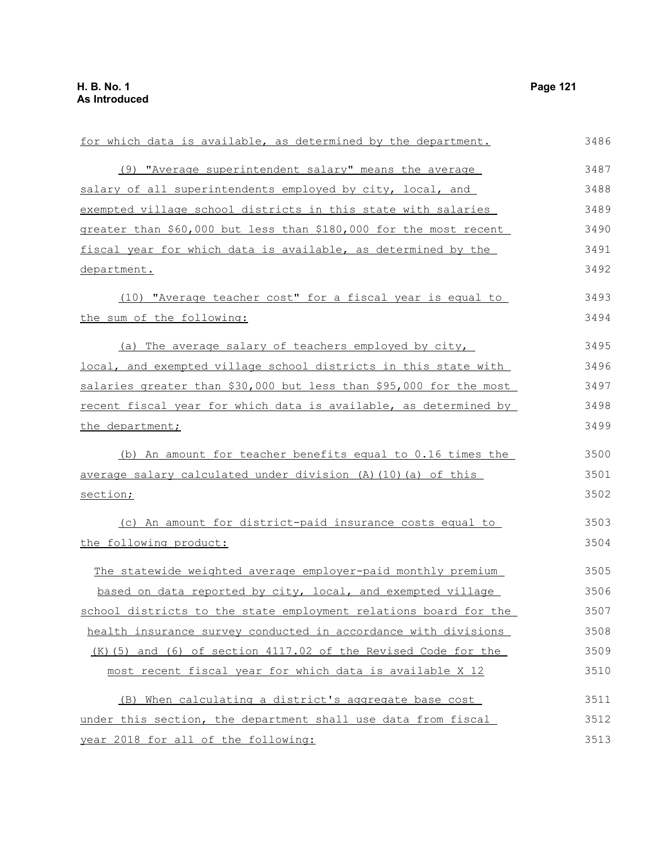| for which data is available, as determined by the department.      | 3486 |
|--------------------------------------------------------------------|------|
| (9) "Average superintendent salary" means the average              | 3487 |
| salary of all superintendents employed by city, local, and         | 3488 |
| exempted village school districts in this state with salaries      | 3489 |
| greater than \$60,000 but less than \$180,000 for the most recent  | 3490 |
| fiscal year for which data is available, as determined by the      | 3491 |
| department.                                                        | 3492 |
| (10) "Average teacher cost" for a fiscal year is equal to          | 3493 |
| the sum of the following:                                          | 3494 |
| (a) The average salary of teachers employed by city,               | 3495 |
| local, and exempted village school districts in this state with    | 3496 |
| salaries greater than \$30,000 but less than \$95,000 for the most | 3497 |
| recent fiscal year for which data is available, as determined by   | 3498 |
| the department;                                                    | 3499 |
| (b) An amount for teacher benefits equal to 0.16 times the         | 3500 |
| average salary calculated under division (A) (10) (a) of this      | 3501 |
| section;                                                           | 3502 |
| (c) An amount for district-paid insurance costs equal to           | 3503 |
| the following product:                                             | 3504 |
| The statewide weighted average employer-paid monthly premium       | 3505 |
| based on data reported by city, local, and exempted village        | 3506 |
| school districts to the state employment relations board for the   | 3507 |
| health insurance survey conducted in accordance with divisions     | 3508 |
| $(K)$ (5) and (6) of section 4117.02 of the Revised Code for the   | 3509 |
| most recent fiscal year for which data is available X 12           | 3510 |
| (B) When calculating a district's aggregate base cost              | 3511 |
| under this section, the department shall use data from fiscal      | 3512 |
| year 2018 for all of the following:                                | 3513 |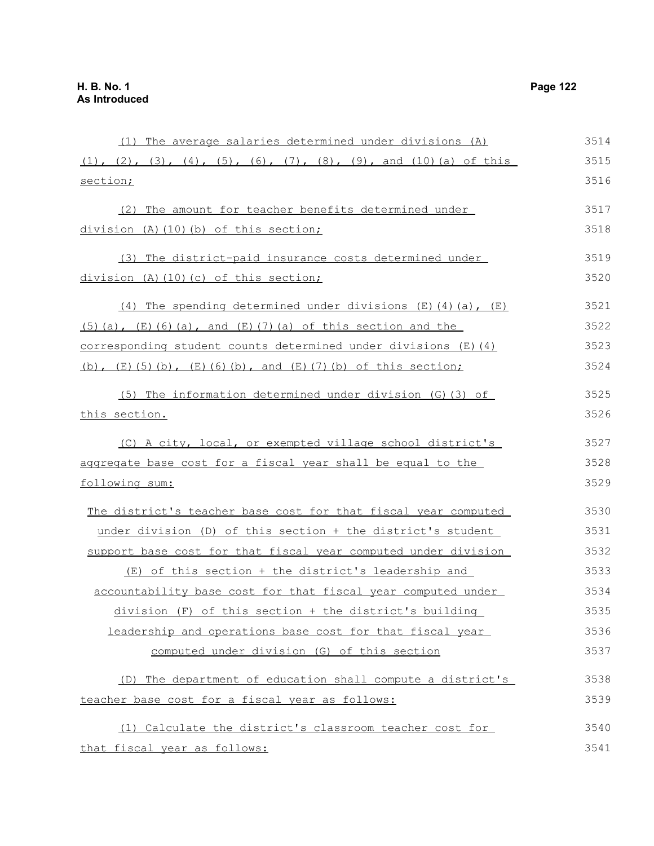(1) The average salaries determined under divisions (A)  $(1)$ ,  $(2)$ ,  $(3)$ ,  $(4)$ ,  $(5)$ ,  $(6)$ ,  $(7)$ ,  $(8)$ ,  $(9)$ , and  $(10)$  (a) of this section; (2) The amount for teacher benefits determined under division (A)(10)(b) of this section; (3) The district-paid insurance costs determined under division (A)(10)(c) of this section; (4) The spending determined under divisions  $(E)$  (4)(a),  $(E)$  $(5)(a)$ ,  $(E)(6)(a)$ , and  $(E)(7)(a)$  of this section and the corresponding student counts determined under divisions (E)(4) (b),  $(E)$ (5)(b),  $(E)$ (6)(b), and  $(E)$ (7)(b) of this section; (5) The information determined under division (G)(3) of this section. (C) A city, local, or exempted village school district's aggregate base cost for a fiscal year shall be equal to the following sum: The district's teacher base cost for that fiscal year computed under division (D) of this section + the district's student support base cost for that fiscal year computed under division (E) of this section + the district's leadership and accountability base cost for that fiscal year computed under division (F) of this section + the district's building leadership and operations base cost for that fiscal year computed under division (G) of this section (D) The department of education shall compute a district's teacher base cost for a fiscal year as follows: (1) Calculate the district's classroom teacher cost for that fiscal year as follows: 3514 3515 3516 3517 3518 3519 3520 3521 3522 3523 3524 3525 3526 3527 3528 3529 3530 3531 3532 3533 3534 3535 3536 3537 3538 3539 3540 3541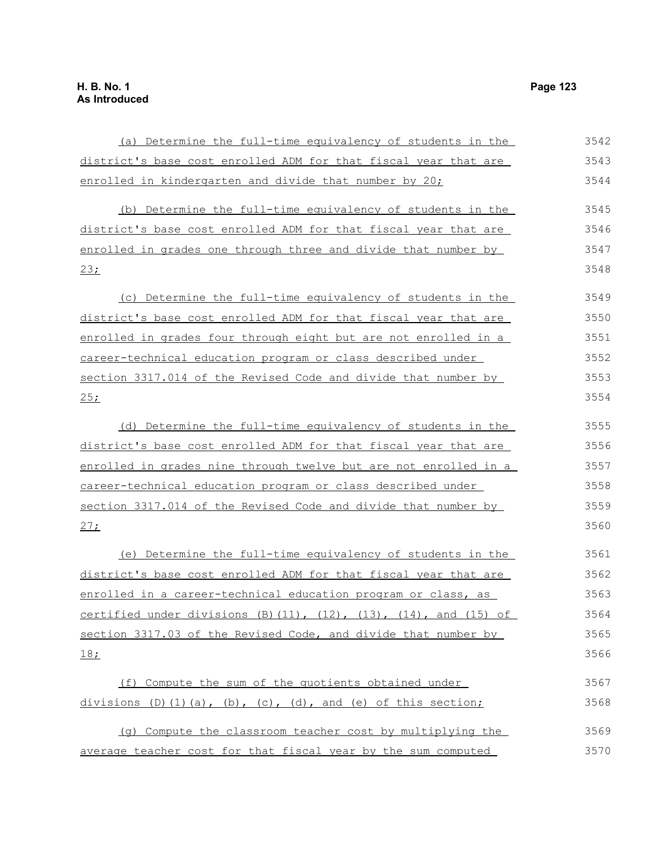(a) Determine the full-time equivalency of students in the district's base cost enrolled ADM for that fiscal year that are enrolled in kindergarten and divide that number by 20; (b) Determine the full-time equivalency of students in the district's base cost enrolled ADM for that fiscal year that are enrolled in grades one through three and divide that number by 23; (c) Determine the full-time equivalency of students in the district's base cost enrolled ADM for that fiscal year that are enrolled in grades four through eight but are not enrolled in a career-technical education program or class described under section 3317.014 of the Revised Code and divide that number by  $25;$ (d) Determine the full-time equivalency of students in the district's base cost enrolled ADM for that fiscal year that are enrolled in grades nine through twelve but are not enrolled in a career-technical education program or class described under section 3317.014 of the Revised Code and divide that number by 27; (e) Determine the full-time equivalency of students in the district's base cost enrolled ADM for that fiscal year that are enrolled in a career-technical education program or class, as certified under divisions  $(B)$  (11),  $(12)$ ,  $(13)$ ,  $(14)$ , and  $(15)$  of section 3317.03 of the Revised Code, and divide that number by 18; (f) Compute the sum of the quotients obtained under divisions  $(D)$   $(1)$   $(a)$ ,  $(b)$ ,  $(c)$ ,  $(d)$ , and  $(e)$  of this section; (g) Compute the classroom teacher cost by multiplying the average teacher cost for that fiscal year by the sum computed 3542 3543 3544 3545 3546 3547 3548 3549 3550 3551 3552 3553 3554 3555 3556 3557 3558 3559 3560 3561 3562 3563 3564 3565 3566 3567 3568 3569 3570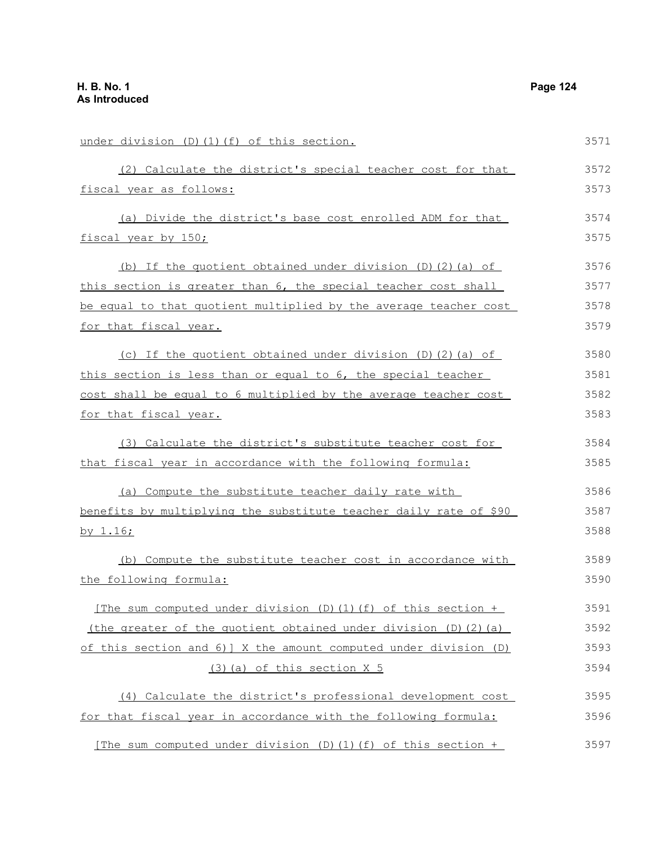under division (D)(1)(f) of this section. (2) Calculate the district's special teacher cost for that fiscal year as follows: (a) Divide the district's base cost enrolled ADM for that fiscal year by 150; (b) If the quotient obtained under division (D)(2)(a) of this section is greater than 6, the special teacher cost shall be equal to that quotient multiplied by the average teacher cost for that fiscal year. (c) If the quotient obtained under division (D)(2)(a) of this section is less than or equal to 6, the special teacher cost shall be equal to 6 multiplied by the average teacher cost for that fiscal year. (3) Calculate the district's substitute teacher cost for that fiscal year in accordance with the following formula: (a) Compute the substitute teacher daily rate with benefits by multiplying the substitute teacher daily rate of \$90 by 1.16; (b) Compute the substitute teacher cost in accordance with the following formula: [The sum computed under division (D)(1)(f) of this section + (the greater of the quotient obtained under division  $(D)$   $(2)$   $(a)$ of this section and 6)] X the amount computed under division (D) (3)(a) of this section X 5 (4) Calculate the district's professional development cost for that fiscal year in accordance with the following formula: 3571 3572 3573 3574 3575 3576 3577 3578 3579 3580 3581 3582 3583 3584 3585 3586 3587 3588 3589 3590 3591 3592 3593 3594 3595 3596

[The sum computed under division (D)(1)(f) of this section + 3597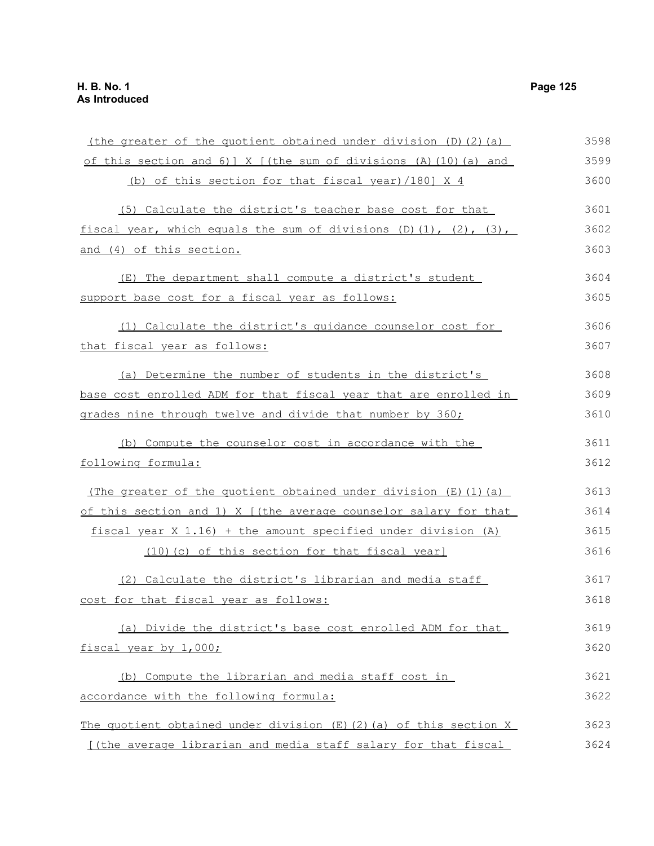| (the greater of the quotient obtained under division (D)(2)(a)                  | 3598 |
|---------------------------------------------------------------------------------|------|
| of this section and 6) $\vert$ X $\vert$ (the sum of divisions (A) (10) (a) and | 3599 |
| (b) of this section for that fiscal year)/180] X 4                              | 3600 |
| (5) Calculate the district's teacher base cost for that                         | 3601 |
| fiscal year, which equals the sum of divisions $(D)(1)$ , $(2)$ , $(3)$ ,       | 3602 |
| and (4) of this section.                                                        | 3603 |
| (E) The department shall compute a district's student                           | 3604 |
| support base cost for a fiscal year as follows:                                 | 3605 |
| (1) Calculate the district's quidance counselor cost for                        | 3606 |
| that fiscal year as follows:                                                    | 3607 |
| (a) Determine the number of students in the district's                          | 3608 |
| base cost enrolled ADM for that fiscal year that are enrolled in                | 3609 |
| grades nine through twelve and divide that number by 360;                       | 3610 |
| (b) Compute the counselor cost in accordance with the                           | 3611 |
| following formula:                                                              | 3612 |
| (The greater of the quotient obtained under division $(E)$ (1) (a)              | 3613 |
| of this section and 1) X ((the average counselor salary for that                | 3614 |
| fiscal year X 1.16) + the amount specified under division (A)                   | 3615 |
| (10) (c) of this section for that fiscal year]                                  | 3616 |
| (2) Calculate the district's librarian and media staff                          | 3617 |
| cost for that fiscal year as follows:                                           | 3618 |
| (a) Divide the district's base cost enrolled ADM for that                       | 3619 |
| fiscal year by 1,000;                                                           | 3620 |
| (b) Compute the librarian and media staff cost in                               | 3621 |
| accordance with the following formula:                                          | 3622 |
| The quotient obtained under division $(E)$ (2) (a) of this section X            | 3623 |
| [(the average librarian and media staff salary for that fiscal                  | 3624 |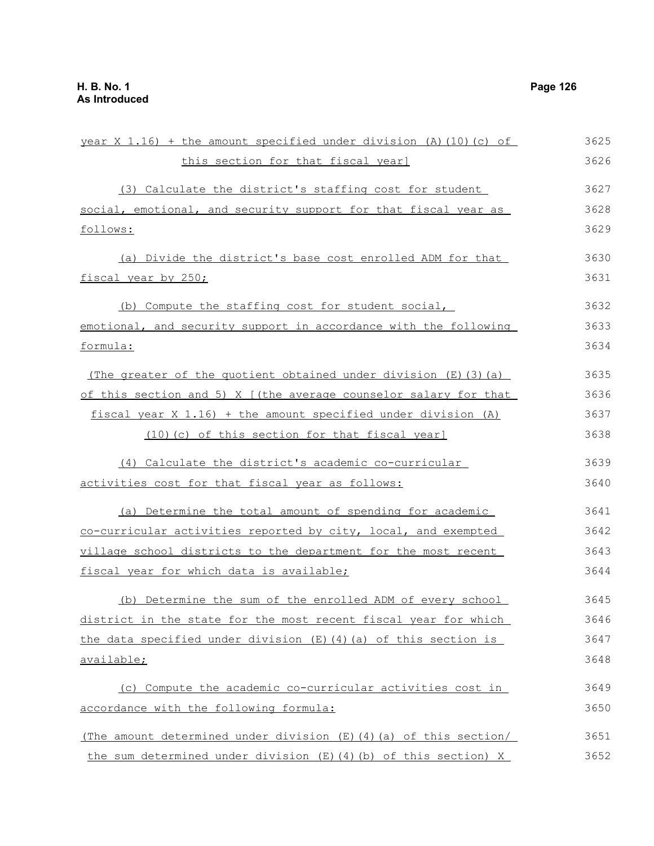| year X 1.16) + the amount specified under division (A) (10) (c) of | 3625 |
|--------------------------------------------------------------------|------|
| this section for that fiscal year]                                 | 3626 |
| (3) Calculate the district's staffing cost for student             | 3627 |
| social, emotional, and security support for that fiscal year as    | 3628 |
| follows:                                                           | 3629 |
| (a) Divide the district's base cost enrolled ADM for that          | 3630 |
| fiscal year by 250;                                                | 3631 |
| (b) Compute the staffing cost for student social,                  | 3632 |
| emotional, and security support in accordance with the following   | 3633 |
| formula:                                                           | 3634 |
| (The greater of the quotient obtained under division $(E)$ (3) (a) | 3635 |
| of this section and 5) X [(the average counselor salary for that   | 3636 |
| fiscal year $X$ 1.16) + the amount specified under division (A)    | 3637 |
| (10) (c) of this section for that fiscal year]                     | 3638 |
| (4) Calculate the district's academic co-curricular                | 3639 |
| activities cost for that fiscal year as follows:                   | 3640 |
| (a) Determine the total amount of spending for academic            | 3641 |
| co-curricular activities reported by city, local, and exempted     | 3642 |
| village school districts to the department for the most recent     | 3643 |
| fiscal year for which data is available;                           | 3644 |
| (b) Determine the sum of the enrolled ADM of every school          | 3645 |
| district in the state for the most recent fiscal year for which    | 3646 |
| the data specified under division $(E)$ (4) (a) of this section is | 3647 |
| available;                                                         | 3648 |
| (c) Compute the academic co-curricular activities cost in          | 3649 |
| accordance with the following formula:                             | 3650 |
| (The amount determined under division (E) (4) (a) of this section/ | 3651 |
| the sum determined under division $(E)$ (4) (b) of this section) X | 3652 |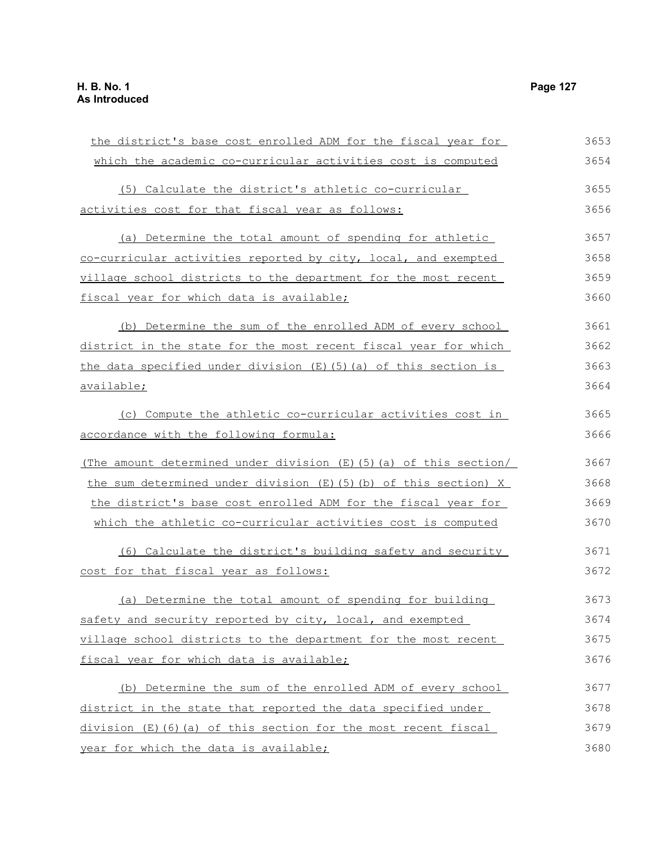the district's base cost enrolled ADM for the fiscal year for which the academic co-curricular activities cost is computed (5) Calculate the district's athletic co-curricular activities cost for that fiscal year as follows: (a) Determine the total amount of spending for athletic co-curricular activities reported by city, local, and exempted village school districts to the department for the most recent fiscal year for which data is available; (b) Determine the sum of the enrolled ADM of every school district in the state for the most recent fiscal year for which the data specified under division  $(E)$  (5)(a) of this section is available; (c) Compute the athletic co-curricular activities cost in accordance with the following formula: (The amount determined under division (E)(5)(a) of this section/ the sum determined under division (E)(5)(b) of this section) X the district's base cost enrolled ADM for the fiscal year for which the athletic co-curricular activities cost is computed (6) Calculate the district's building safety and security cost for that fiscal year as follows: (a) Determine the total amount of spending for building safety and security reported by city, local, and exempted village school districts to the department for the most recent fiscal year for which data is available; (b) Determine the sum of the enrolled ADM of every school district in the state that reported the data specified under division (E)(6)(a) of this section for the most recent fiscal 3653 3654 3655 3656 3657 3658 3659 3660 3661 3662 3663 3664 3665 3666 3667 3668 3669 3670 3671 3672 3673 3674 3675 3676 3677 3678 3679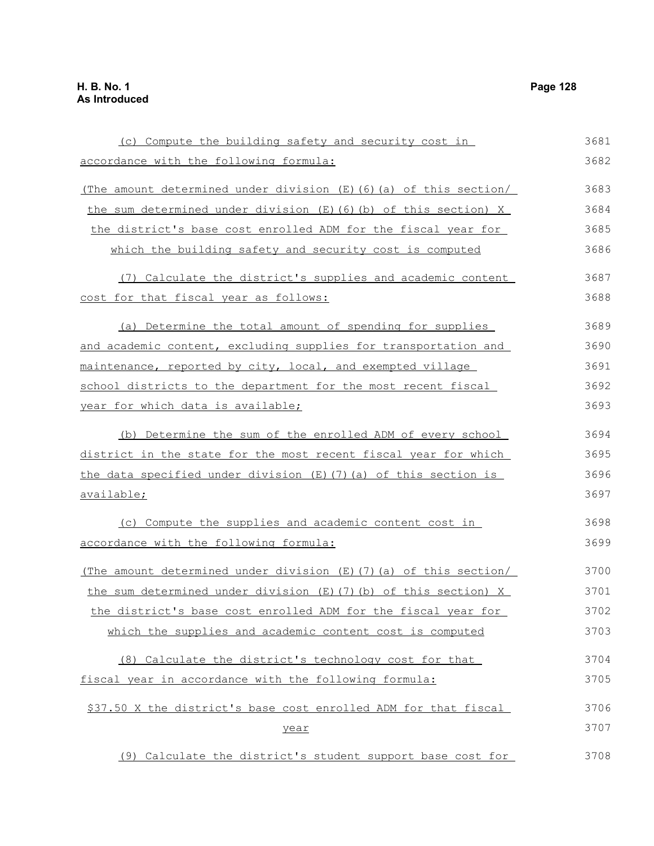(c) Compute the building safety and security cost in accordance with the following formula: (The amount determined under division  $(E)$  (6)(a) of this section/ the sum determined under division (E)(6)(b) of this section) X the district's base cost enrolled ADM for the fiscal year for which the building safety and security cost is computed (7) Calculate the district's supplies and academic content cost for that fiscal year as follows: (a) Determine the total amount of spending for supplies and academic content, excluding supplies for transportation and maintenance, reported by city, local, and exempted village school districts to the department for the most recent fiscal year for which data is available; (b) Determine the sum of the enrolled ADM of every school district in the state for the most recent fiscal year for which the data specified under division (E)(7)(a) of this section is available; (c) Compute the supplies and academic content cost in accordance with the following formula: (The amount determined under division (E)(7)(a) of this section/ the sum determined under division (E)(7)(b) of this section) X the district's base cost enrolled ADM for the fiscal year for which the supplies and academic content cost is computed (8) Calculate the district's technology cost for that fiscal year in accordance with the following formula: \$37.50 X the district's base cost enrolled ADM for that fiscal year 3681 3682 3683 3684 3685 3686 3687 3688 3689 3690 3691 3692 3693 3694 3695 3696 3697 3698 3699 3700 3701 3702 3703 3704 3705 3706 3707

(9) Calculate the district's student support base cost for 3708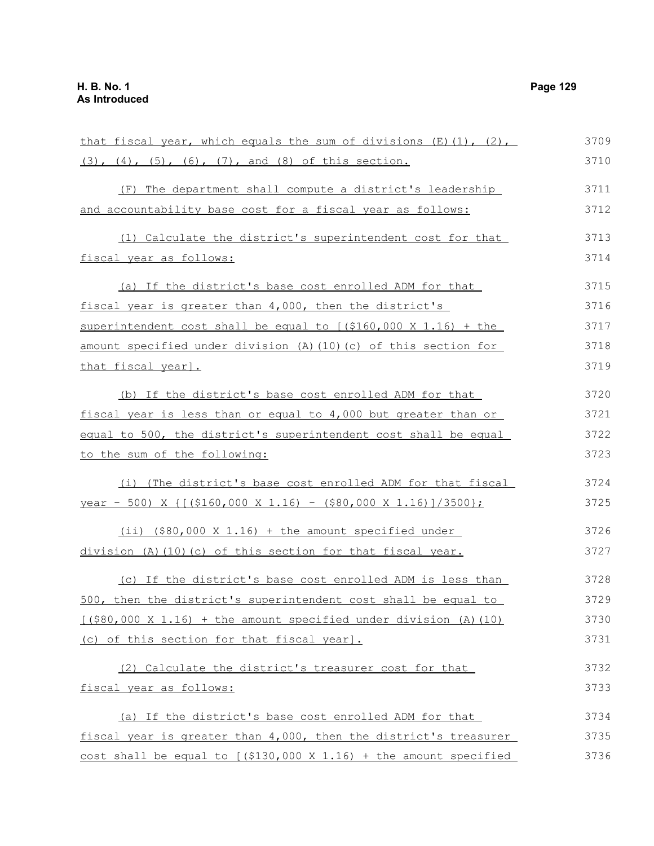that fiscal year, which equals the sum of divisions  $(E)$  (1), (2), (3), (4), (5), (6), (7), and (8) of this section. (F) The department shall compute a district's leadership and accountability base cost for a fiscal year as follows: (1) Calculate the district's superintendent cost for that fiscal year as follows: (a) If the district's base cost enrolled ADM for that fiscal year is greater than 4,000, then the district's superintendent cost shall be equal to  $(9160,000 \times 1.16)$  + the amount specified under division (A)(10)(c) of this section for that fiscal year]. (b) If the district's base cost enrolled ADM for that fiscal year is less than or equal to 4,000 but greater than or equal to 500, the district's superintendent cost shall be equal to the sum of the following: (i) (The district's base cost enrolled ADM for that fiscal year - 500) X  $\{[(\$160,000 \times 1.16) - (\$80,000 \times 1.16)]/3500\};$ (ii) (\$80,000 X 1.16) + the amount specified under division (A)(10)(c) of this section for that fiscal year. (c) If the district's base cost enrolled ADM is less than 500, then the district's superintendent cost shall be equal to  $[(\$80,000 \times 1.16) + \text{the amount specified under division (A)}(10)]$ (c) of this section for that fiscal year]. (2) Calculate the district's treasurer cost for that fiscal year as follows: (a) If the district's base cost enrolled ADM for that fiscal year is greater than 4,000, then the district's treasurer cost shall be equal to  $(5130,000 \times 1.16)$  + the amount specified 3709 3710 3711 3712 3713 3714 3715 3716 3717 3718 3719 3720 3721 3722 3723 3724 3725 3726 3727 3728 3729 3730 3731 3732 3733 3734 3735 3736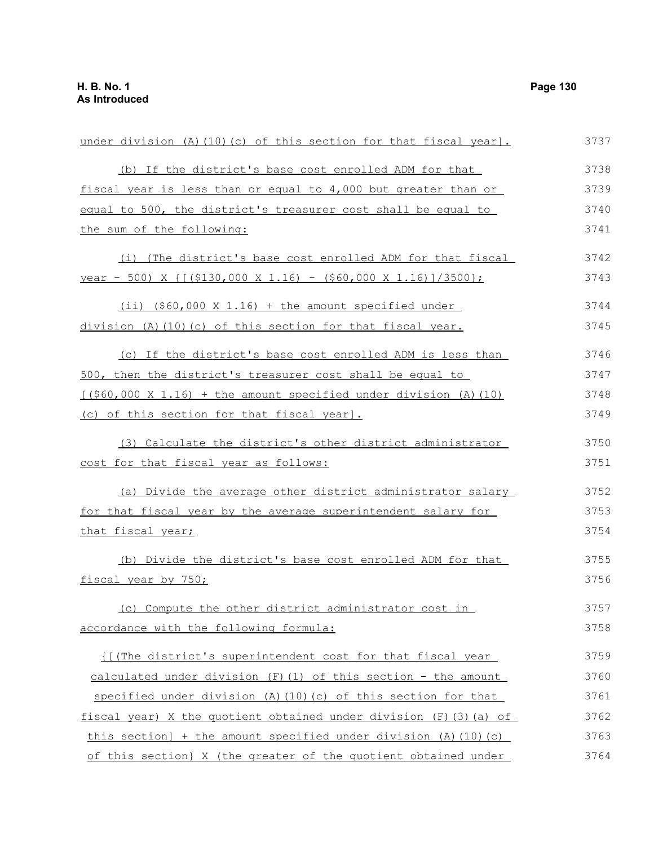| under division (A) (10) (c) of this section for that fiscal year].       | 3737 |
|--------------------------------------------------------------------------|------|
| (b) If the district's base cost enrolled ADM for that                    | 3738 |
| fiscal year is less than or equal to 4,000 but greater than or           | 3739 |
| equal to 500, the district's treasurer cost shall be equal to            | 3740 |
| the sum of the following:                                                | 3741 |
| (i) (The district's base cost enrolled ADM for that fiscal               | 3742 |
| <u>year - 500) X { [(\$130,000 X 1.16) - (\$60,000 X 1.16) ]/3500};</u>  | 3743 |
| $(i)$ $(\frac{560,000 \times 1.16}{1.16})$ + the amount specified under  | 3744 |
| division (A) (10) (c) of this section for that fiscal year.              | 3745 |
| (c) If the district's base cost enrolled ADM is less than                | 3746 |
| 500, then the district's treasurer cost shall be equal to                | 3747 |
| $[($60,000 \times 1.16) + the amount specified under division (A) (10)]$ | 3748 |
| (c) of this section for that fiscal year].                               | 3749 |
| (3) Calculate the district's other district administrator                | 3750 |
| cost for that fiscal year as follows:                                    | 3751 |
| (a) Divide the average other district administrator salary               | 3752 |
| for that fiscal year by the average superintendent salary for            | 3753 |
| that fiscal year;                                                        | 3754 |
| (b) Divide the district's base cost enrolled ADM for that                | 3755 |
| fiscal year by 750;                                                      | 3756 |
| (c) Compute the other district administrator cost in                     | 3757 |
| accordance with the following formula:                                   | 3758 |
| <u>II</u> (The district's superintendent cost for that fiscal year       | 3759 |
| calculated under division (F) (1) of this section - the amount           | 3760 |
| specified under division (A) $(10)$ (c) of this section for that         | 3761 |
| fiscal year) X the quotient obtained under division (F)(3)(a) of         | 3762 |
| this section] + the amount specified under division (A) $(10)$ (c)       | 3763 |
| of this section) X (the greater of the quotient obtained under           | 3764 |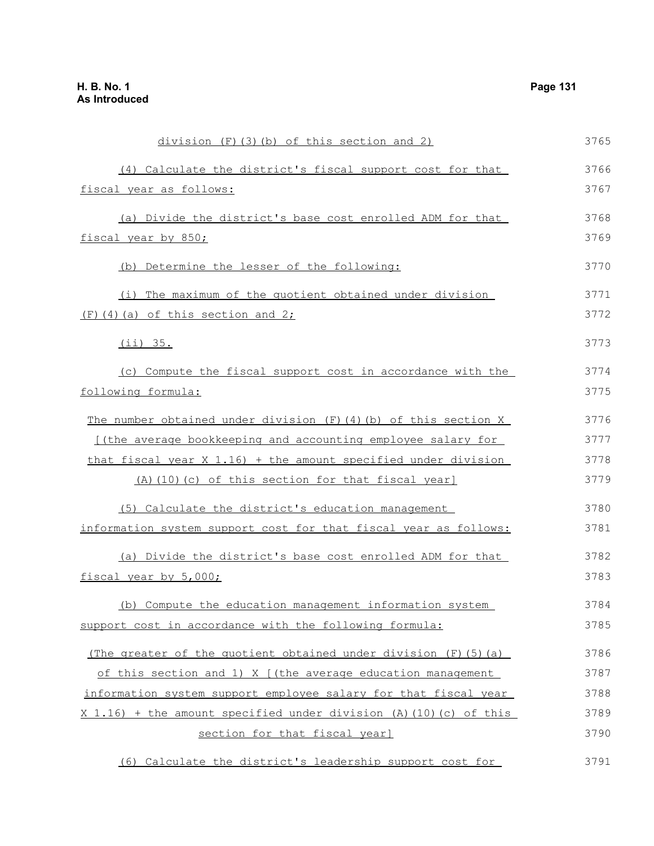| division (F) (3) (b) of this section and 2)                        | 3765 |
|--------------------------------------------------------------------|------|
| (4) Calculate the district's fiscal support cost for that          | 3766 |
| fiscal year as follows:                                            | 3767 |
| (a) Divide the district's base cost enrolled ADM for that          | 3768 |
| fiscal year by 850;                                                | 3769 |
| (b) Determine the lesser of the following:                         | 3770 |
| (i) The maximum of the quotient obtained under division            | 3771 |
| $(F)$ (4) (a) of this section and 2;                               | 3772 |
| (iii) 35.                                                          | 3773 |
| (c) Compute the fiscal support cost in accordance with the         | 3774 |
| following formula:                                                 | 3775 |
| The number obtained under division $(F)$ (4) (b) of this section X | 3776 |
| [(the average bookkeeping and accounting employee salary for       | 3777 |
| that fiscal year X 1.16) + the amount specified under division     | 3778 |
| (A) (10) (c) of this section for that fiscal year]                 | 3779 |
| (5) Calculate the district's education management                  | 3780 |
| information system support cost for that fiscal year as follows:   | 3781 |
| (a) Divide the district's base cost enrolled ADM for that          | 3782 |
| fiscal year by 5,000;                                              | 3783 |
| (b) Compute the education management information system            | 3784 |
| support cost in accordance with the following formula:             | 3785 |
| (The greater of the quotient obtained under division (F)(5)(a)     | 3786 |
| of this section and 1) X [(the average education management        | 3787 |
| information system support employee salary for that fiscal year    | 3788 |
| X 1.16) + the amount specified under division (A) (10) (c) of this | 3789 |
| section for that fiscal year]                                      | 3790 |
| (6) Calculate the district's leadership support cost for           | 3791 |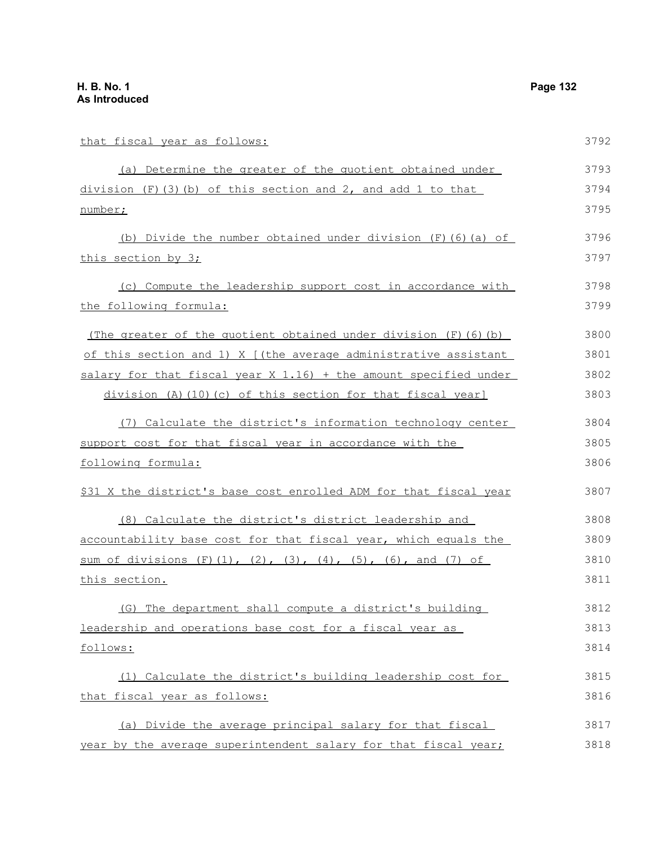number;

that fiscal year as follows: (a) Determine the greater of the quotient obtained under division  $(F)(3)$  (b) of this section and 2, and add 1 to that (b) Divide the number obtained under division (F)(6)(a) of this section by 3; (c) Compute the leadership support cost in accordance with the following formula: (The greater of the quotient obtained under division  $(F)$  (6)(b) of this section and 1) X [(the average administrative assistant salary for that fiscal year X 1.16) + the amount specified under division (A)(10)(c) of this section for that fiscal year] (7) Calculate the district's information technology center support cost for that fiscal year in accordance with the following formula: \$31 X the district's base cost enrolled ADM for that fiscal year 3792 3793 3794 3795 3796 3797 3798 3799 3800 3801 3802 3803 3804 3805 3806 3807

(8) Calculate the district's district leadership and accountability base cost for that fiscal year, which equals the sum of divisions  $(F)(1)$ ,  $(2)$ ,  $(3)$ ,  $(4)$ ,  $(5)$ ,  $(6)$ , and  $(7)$  of this section. 3808 3809 3810 3811

(G) The department shall compute a district's building leadership and operations base cost for a fiscal year as follows: 3812 3813 3814

(1) Calculate the district's building leadership cost for that fiscal year as follows: 3815 3816

(a) Divide the average principal salary for that fiscal year by the average superintendent salary for that fiscal year; 3817 3818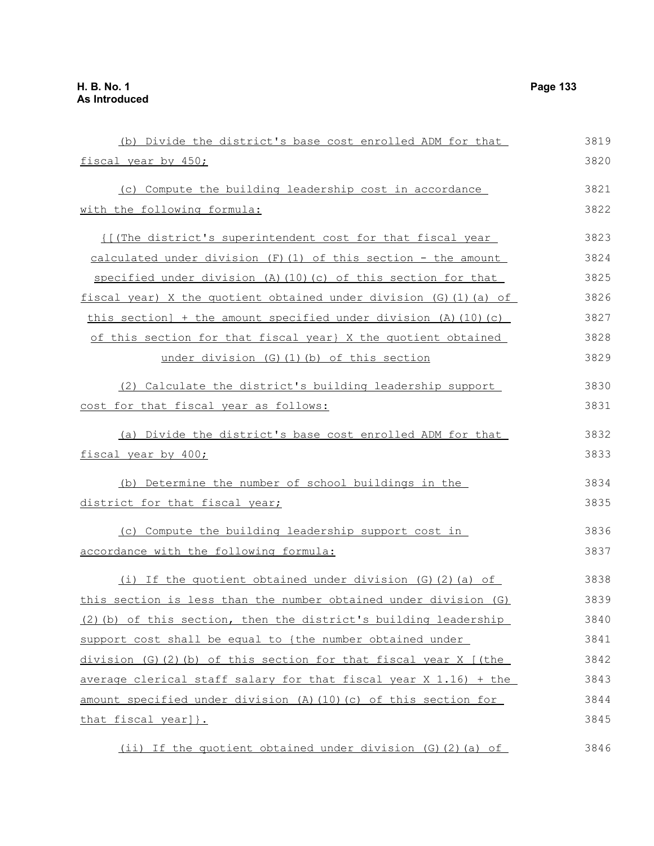| (b) Divide the district's base cost enrolled ADM for that           | 3819 |
|---------------------------------------------------------------------|------|
| fiscal year by 450;                                                 | 3820 |
| (c) Compute the building leadership cost in accordance              | 3821 |
| with the following formula:                                         | 3822 |
|                                                                     | 3823 |
| {[(The district's superintendent cost for that fiscal year          |      |
| calculated under division $(F)$ (1) of this section - the amount    | 3824 |
| specified under division (A) (10) (c) of this section for that      | 3825 |
| fiscal year) X the quotient obtained under division (G)(1)(a) of    | 3826 |
| this section] + the amount specified under division (A) $(10)$ (c)  | 3827 |
| of this section for that fiscal year} X the quotient obtained       | 3828 |
| under division (G) (1) (b) of this section                          | 3829 |
| (2) Calculate the district's building leadership support            | 3830 |
| cost for that fiscal year as follows:                               | 3831 |
| (a) Divide the district's base cost enrolled ADM for that           | 3832 |
| fiscal year by 400;                                                 | 3833 |
| (b) Determine the number of school buildings in the                 | 3834 |
| district for that fiscal year;                                      | 3835 |
| (c) Compute the building leadership support cost in                 | 3836 |
| accordance with the following formula:                              | 3837 |
| (i) If the quotient obtained under division $(G)$ $(2)$ $(a)$ of    | 3838 |
| this section is less than the number obtained under division (G)    | 3839 |
| (2) (b) of this section, then the district's building leadership    | 3840 |
| support cost shall be equal to {the number obtained under           | 3841 |
| division $(G) (2) (b)$ of this section for that fiscal year X [(the | 3842 |
| average clerical staff salary for that fiscal year X 1.16) + the    | 3843 |
| amount specified under division (A) (10) (c) of this section for    | 3844 |
| that fiscal year] }.                                                | 3845 |
| (ii) If the quotient obtained under division (G) (2) (a) of         | 3846 |
|                                                                     |      |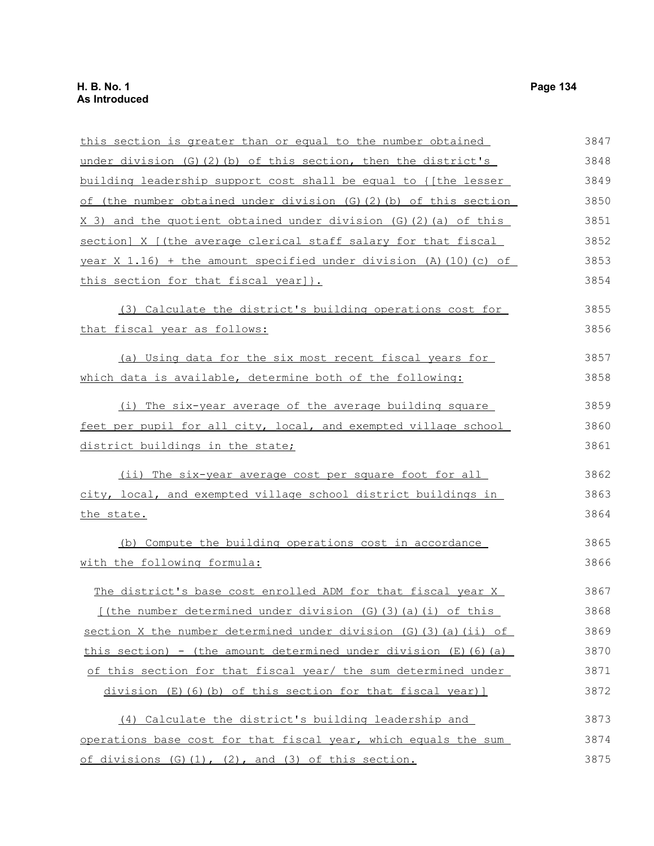| this section is greater than or equal to the number obtained                          | 3847 |
|---------------------------------------------------------------------------------------|------|
| under division $(G)$ $(2)$ $(b)$ of this section, then the district's                 | 3848 |
| building leadership support cost shall be equal to { [the lesser                      | 3849 |
| of (the number obtained under division $(G)(2)(b)$ of this section                    | 3850 |
| X 3) and the quotient obtained under division (G) (2) (a) of this                     | 3851 |
| section] X [(the average clerical staff salary for that fiscal                        | 3852 |
| year $X$ 1.16) + the amount specified under division (A) (10) (c) of                  | 3853 |
| this section for that fiscal year] }.                                                 | 3854 |
| (3) Calculate the district's building operations cost for                             | 3855 |
| that fiscal year as follows:                                                          | 3856 |
| (a) Using data for the six most recent fiscal years for                               | 3857 |
| which data is available, determine both of the following:                             | 3858 |
| (i) The six-year average of the average building square                               | 3859 |
| feet per pupil for all city, local, and exempted village school                       | 3860 |
| district buildings in the state;                                                      | 3861 |
| (ii) The six-year average cost per square foot for all                                | 3862 |
| city, local, and exempted village school district buildings in                        | 3863 |
| the state.                                                                            | 3864 |
| (b) Compute the building operations cost in accordance                                | 3865 |
| with the following formula:                                                           | 3866 |
| The district's base cost enrolled ADM for that fiscal year X                          | 3867 |
| [(the number determined under division (G) (3) (a) (i) of this                        | 3868 |
| section X the number determined under division (G) (3) (a) (ii) of                    | 3869 |
| <u>this section) - (the amount determined under division <math>(E)</math> (6) (a)</u> | 3870 |
| of this section for that fiscal year/ the sum determined under                        | 3871 |
| division (E)(6)(b) of this section for that fiscal year)]                             | 3872 |
| (4) Calculate the district's building leadership and                                  | 3873 |
| operations base cost for that fiscal year, which equals the sum                       | 3874 |
| of divisions (G)(1), (2), and (3) of this section.                                    | 3875 |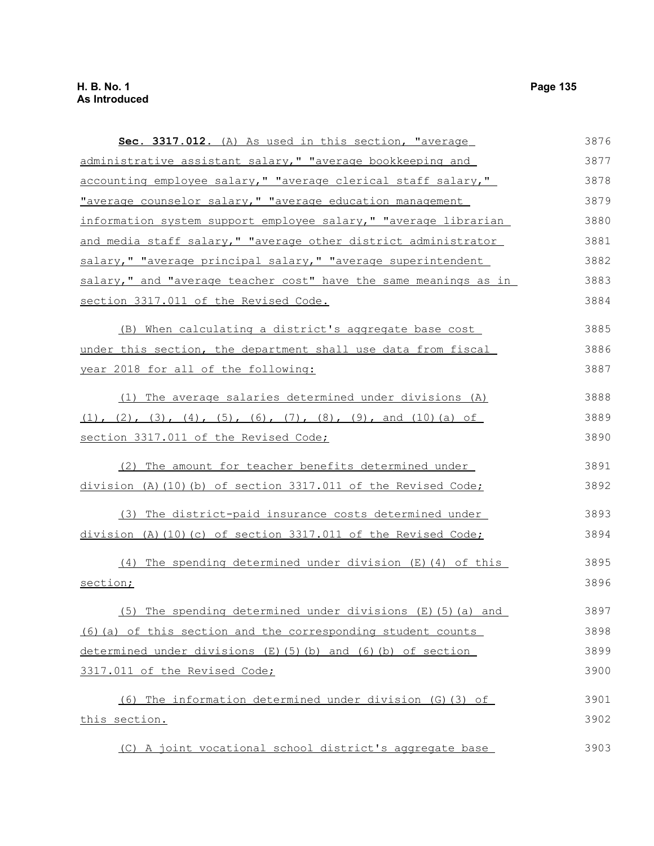**Sec. 3317.012.** (A) As used in this section, "average administrative assistant salary," "average bookkeeping and accounting employee salary," "average clerical staff salary," "average counselor salary," "average education management information system support employee salary," "average librarian and media staff salary," "average other district administrator salary," "average principal salary," "average superintendent salary," and "average teacher cost" have the same meanings as in section 3317.011 of the Revised Code. (B) When calculating a district's aggregate base cost under this section, the department shall use data from fiscal year 2018 for all of the following: (1) The average salaries determined under divisions (A)  $(1)$ ,  $(2)$ ,  $(3)$ ,  $(4)$ ,  $(5)$ ,  $(6)$ ,  $(7)$ ,  $(8)$ ,  $(9)$ , and  $(10)$   $(a)$  of section 3317.011 of the Revised Code; (2) The amount for teacher benefits determined under division (A)(10)(b) of section 3317.011 of the Revised Code; (3) The district-paid insurance costs determined under division (A)(10)(c) of section 3317.011 of the Revised Code; (4) The spending determined under division (E)(4) of this section; (5) The spending determined under divisions (E)(5)(a) and (6)(a) of this section and the corresponding student counts determined under divisions  $(E)(5)(b)$  and  $(6)(b)$  of section 3317.011 of the Revised Code; (6) The information determined under division (G)(3) of this section. (C) A joint vocational school district's aggregate base 3876 3877 3878 3879 3880 3881 3882 3883 3884 3885 3886 3887 3888 3889 3890 3891 3892 3893 3894 3895 3896 3897 3898 3899 3900 3901 3902 3903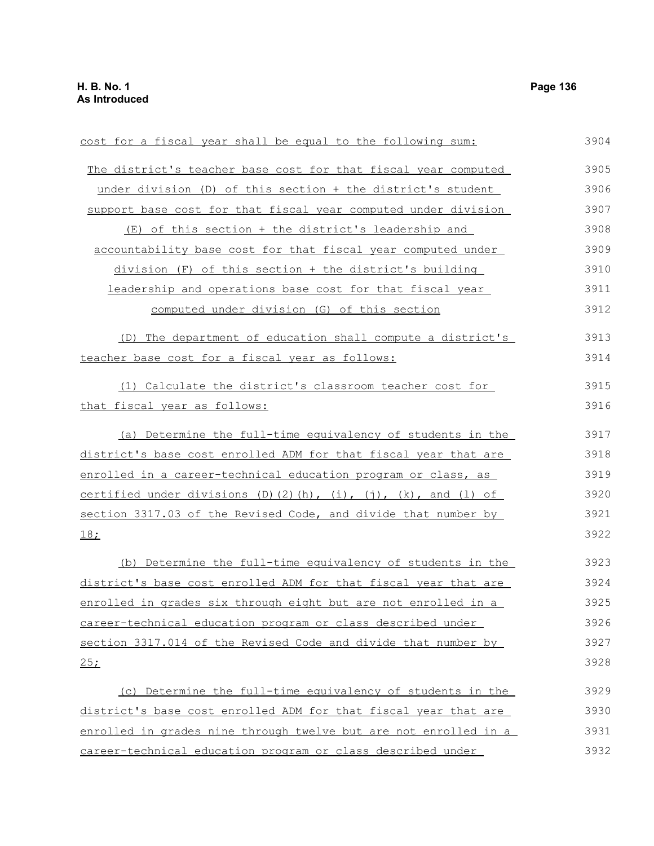cost for a fiscal year shall be equal to the following sum: The district's teacher base cost for that fiscal year computed under division (D) of this section + the district's student support base cost for that fiscal year computed under division (E) of this section + the district's leadership and accountability base cost for that fiscal year computed under division (F) of this section + the district's building leadership and operations base cost for that fiscal year computed under division (G) of this section (D) The department of education shall compute a district's teacher base cost for a fiscal year as follows: (1) Calculate the district's classroom teacher cost for that fiscal year as follows: (a) Determine the full-time equivalency of students in the district's base cost enrolled ADM for that fiscal year that are enrolled in a career-technical education program or class, as certified under divisions (D)(2)(h), (i), (j), (k), and (l) of section 3317.03 of the Revised Code, and divide that number by 18; (b) Determine the full-time equivalency of students in the district's base cost enrolled ADM for that fiscal year that are enrolled in grades six through eight but are not enrolled in a career-technical education program or class described under section 3317.014 of the Revised Code and divide that number by  $25:$ (c) Determine the full-time equivalency of students in the district's base cost enrolled ADM for that fiscal year that are enrolled in grades nine through twelve but are not enrolled in a career-technical education program or class described under 3904 3905 3906 3907 3908 3909 3910 3911 3912 3913 3914 3915 3916 3917 3918 3919 3920 3921 3922 3923 3924 3925 3926 3927 3928 3929 3930 3931 3932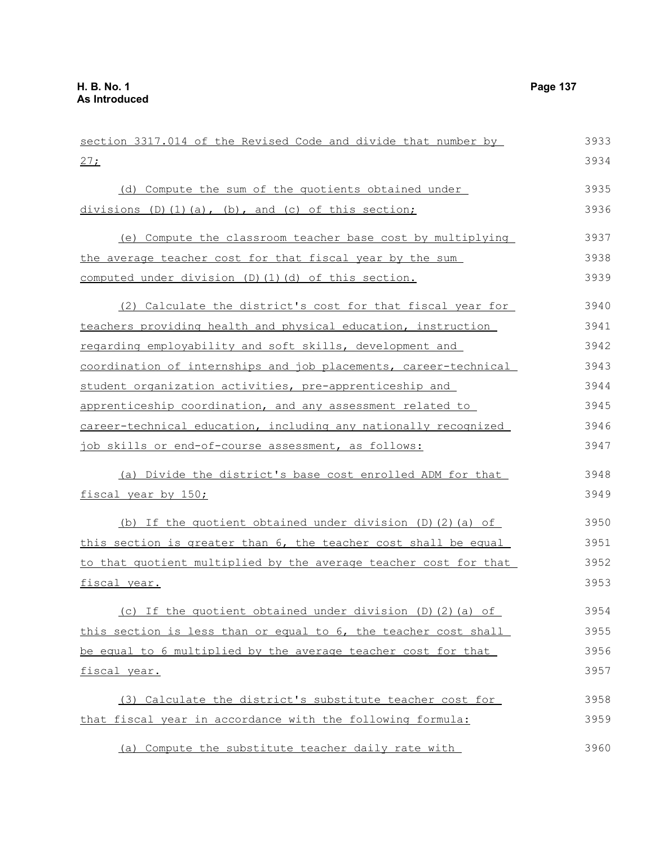| section 3317.014 of the Revised Code and divide that number by   | 3933 |
|------------------------------------------------------------------|------|
| 27:                                                              | 3934 |
| (d) Compute the sum of the quotients obtained under              | 3935 |
| divisions $(D)$ $(1)$ $(a)$ , $(b)$ , and $(c)$ of this section; | 3936 |
| (e) Compute the classroom teacher base cost by multiplying       | 3937 |
| the average teacher cost for that fiscal year by the sum         | 3938 |
| computed under division (D) (1) (d) of this section.             | 3939 |
| (2) Calculate the district's cost for that fiscal year for       | 3940 |
| teachers providing health and physical education, instruction    | 3941 |
| regarding employability and soft skills, development and         | 3942 |
| coordination of internships and job placements, career-technical | 3943 |
| student organization activities, pre-apprenticeship and          | 3944 |
| apprenticeship coordination, and any assessment related to       | 3945 |
| career-technical education, including any nationally recognized  | 3946 |
| job skills or end-of-course assessment, as follows:              | 3947 |
| (a) Divide the district's base cost enrolled ADM for that        | 3948 |
| fiscal year by 150;                                              | 3949 |
| (b) If the quotient obtained under division (D) (2) (a) of       | 3950 |
| this section is greater than 6, the teacher cost shall be equal  | 3951 |
| to that quotient multiplied by the average teacher cost for that | 3952 |
| fiscal year.                                                     | 3953 |
| (c) If the quotient obtained under division (D)(2)(a) of         | 3954 |
| this section is less than or equal to 6, the teacher cost shall  | 3955 |
| be equal to 6 multiplied by the average teacher cost for that    | 3956 |
| fiscal year.                                                     | 3957 |
| (3) Calculate the district's substitute teacher cost for         | 3958 |
| that fiscal year in accordance with the following formula:       | 3959 |
| (a) Compute the substitute teacher daily rate with               | 3960 |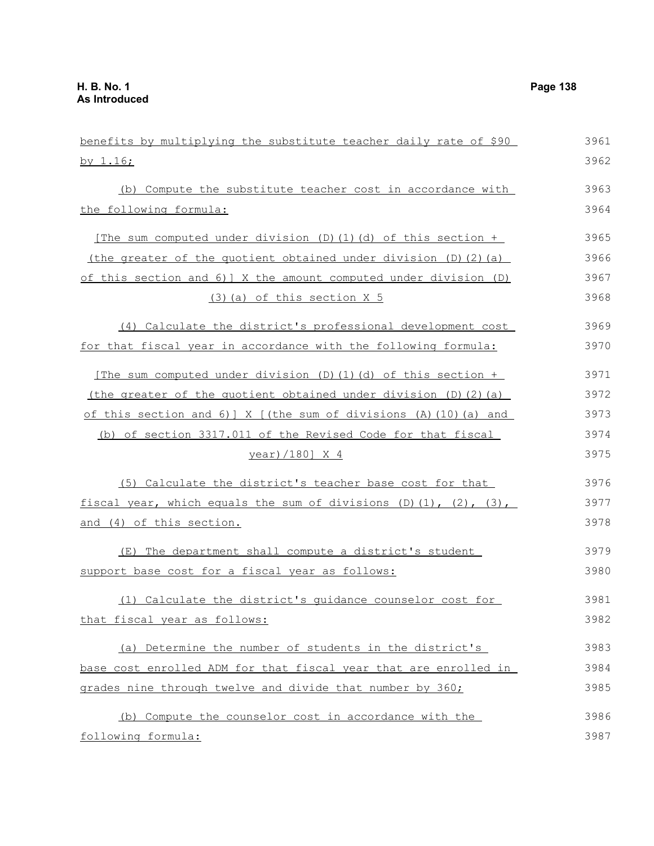| benefits by multiplying the substitute teacher daily rate of \$90               | 3961 |
|---------------------------------------------------------------------------------|------|
| by 1.16;                                                                        | 3962 |
| (b) Compute the substitute teacher cost in accordance with                      | 3963 |
| the following formula:                                                          | 3964 |
|                                                                                 |      |
| [The sum computed under division (D)(1)(d) of this section +                    | 3965 |
| (the greater of the quotient obtained under division $(D)$ $(2)$ $(a)$          | 3966 |
| of this section and 6) ] X the amount computed under division (D)               | 3967 |
| (3) (a) of this section X 5                                                     | 3968 |
| (4) Calculate the district's professional development cost                      | 3969 |
| for that fiscal year in accordance with the following formula:                  | 3970 |
| [The sum computed under division $(D) (1) (d)$ of this section +                | 3971 |
| (the greater of the quotient obtained under division (D)(2)(a)                  | 3972 |
| of this section and 6) $\vert$ X $\vert$ (the sum of divisions (A) (10) (a) and | 3973 |
| (b) of section 3317.011 of the Revised Code for that fiscal                     | 3974 |
| <u>year)/180] X 4</u>                                                           | 3975 |
| (5) Calculate the district's teacher base cost for that                         | 3976 |
| fiscal year, which equals the sum of divisions $(D)$ $(1)$ , $(2)$ , $(3)$ ,    | 3977 |
| and (4) of this section.                                                        | 3978 |
| (E) The department shall compute a district's student                           | 3979 |
| support base cost for a fiscal year as follows:                                 | 3980 |
| (1) Calculate the district's quidance counselor cost for                        | 3981 |
| that fiscal year as follows:                                                    | 3982 |
| (a) Determine the number of students in the district's                          | 3983 |
| base cost enrolled ADM for that fiscal year that are enrolled in                | 3984 |
| grades nine through twelve and divide that number by 360;                       | 3985 |
| (b) Compute the counselor cost in accordance with the                           | 3986 |
| following formula:                                                              | 3987 |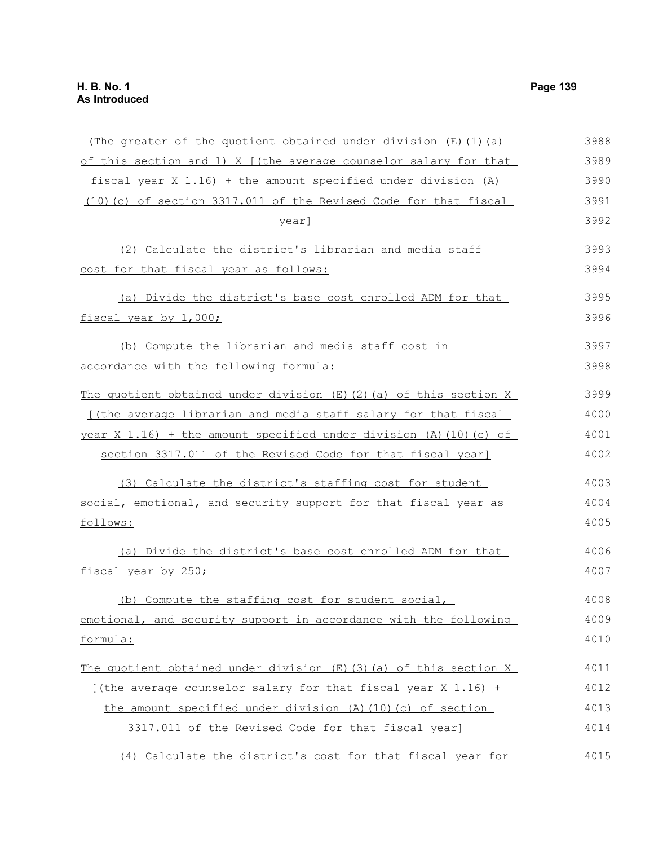## (The greater of the quotient obtained under division  $(E)$  (1)(a) of this section and 1) X [(the average counselor salary for that fiscal year X 1.16) + the amount specified under division (A) (10)(c) of section 3317.011 of the Revised Code for that fiscal year] (2) Calculate the district's librarian and media staff cost for that fiscal year as follows: (a) Divide the district's base cost enrolled ADM for that fiscal year by 1,000; (b) Compute the librarian and media staff cost in accordance with the following formula: The quotient obtained under division  $(E)$  (2)(a) of this section X [(the average librarian and media staff salary for that fiscal year X 1.16) + the amount specified under division (A)(10)(c) of section 3317.011 of the Revised Code for that fiscal year] (3) Calculate the district's staffing cost for student social, emotional, and security support for that fiscal year as follows: (a) Divide the district's base cost enrolled ADM for that fiscal year by 250; (b) Compute the staffing cost for student social, emotional, and security support in accordance with the following formula: The quotient obtained under division  $(E)$  (3)(a) of this section X [(the average counselor salary for that fiscal year  $X$  1.16) + the amount specified under division (A)(10)(c) of section 3317.011 of the Revised Code for that fiscal year] 3988 3989 3990 3991 3992 3993 3994 3995 3996 3997 3998 3999 4000 4001 4002 4003 4004 4005 4006 4007 4008 4009 4010 4011 4012 4013 4014

(4) Calculate the district's cost for that fiscal year for 4015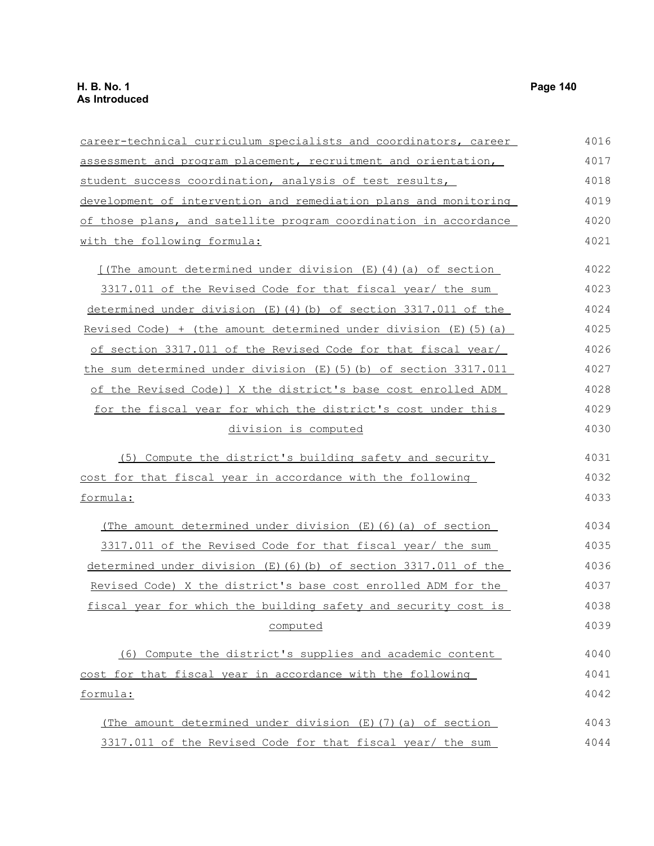| career-technical curriculum specialists and coordinators, career    | 4016 |
|---------------------------------------------------------------------|------|
| assessment and program placement, recruitment and orientation,      | 4017 |
| student success coordination, analysis of test results,             | 4018 |
| development of intervention and remediation plans and monitoring    | 4019 |
| of those plans, and satellite program coordination in accordance    | 4020 |
| with the following formula:                                         | 4021 |
| [(The amount determined under division (E)(4)(a) of section         | 4022 |
| 3317.011 of the Revised Code for that fiscal year/ the sum          | 4023 |
| determined under division (E)(4)(b) of section 3317.011 of the      | 4024 |
| Revised Code) + (the amount determined under division $(E)$ (5) (a) | 4025 |
| of section 3317.011 of the Revised Code for that fiscal year/       | 4026 |
| the sum determined under division $(E)$ (5) (b) of section 3317.011 | 4027 |
| of the Revised Code) ] X the district's base cost enrolled ADM      | 4028 |
| for the fiscal year for which the district's cost under this        | 4029 |
| division is computed                                                | 4030 |
| (5) Compute the district's building safety and security             | 4031 |
| cost for that fiscal year in accordance with the following          | 4032 |
| formula:                                                            | 4033 |
| (The amount determined under division $(E)$ (6) (a) of section      | 4034 |
| 3317.011 of the Revised Code for that fiscal year/ the sum          | 4035 |
| determined under division $(E)$ (6) (b) of section 3317.011 of the  | 4036 |
| Revised Code) X the district's base cost enrolled ADM for the       | 4037 |
| fiscal year for which the building safety and security cost is      | 4038 |
| computed                                                            | 4039 |
| (6) Compute the district's supplies and academic content            | 4040 |
| cost for that fiscal year in accordance with the following          | 4041 |
| formula:                                                            | 4042 |
| (The amount determined under division $(E)$ $(7)$ $(a)$ of section  | 4043 |
| 3317.011 of the Revised Code for that fiscal year/ the sum          | 4044 |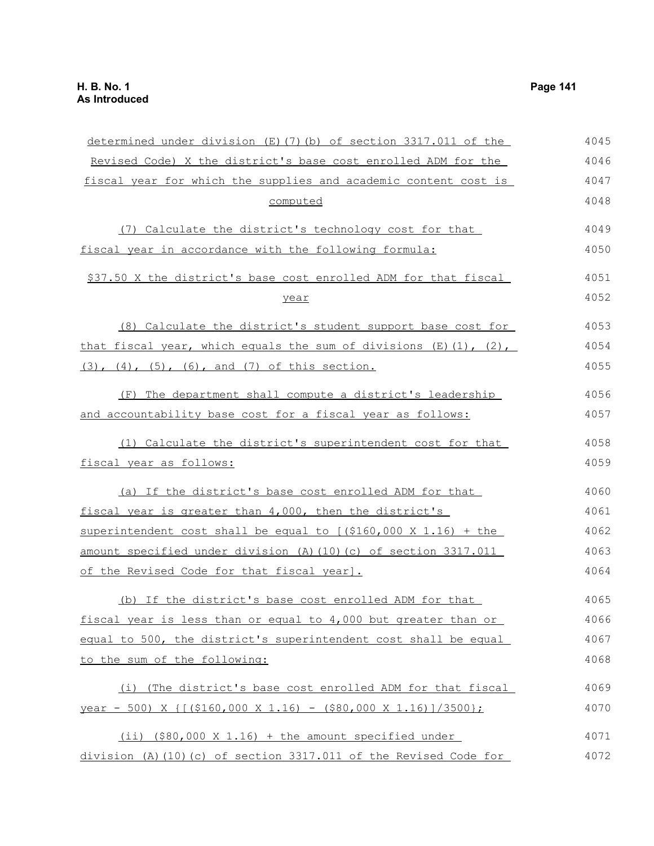| determined under division (E)(7)(b) of section 3317.011 of the          | 4045 |
|-------------------------------------------------------------------------|------|
| Revised Code) X the district's base cost enrolled ADM for the           | 4046 |
| fiscal year for which the supplies and academic content cost is         | 4047 |
| computed                                                                | 4048 |
| (7) Calculate the district's technology cost for that                   | 4049 |
| fiscal year in accordance with the following formula:                   | 4050 |
| \$37.50 X the district's base cost enrolled ADM for that fiscal         | 4051 |
| year                                                                    | 4052 |
| (8) Calculate the district's student support base cost for              | 4053 |
| that fiscal year, which equals the sum of divisions $(E) (1)$ , $(2)$ , | 4054 |
| $(3)$ , $(4)$ , $(5)$ , $(6)$ , and $(7)$ of this section.              | 4055 |
| (F) The department shall compute a district's leadership                | 4056 |
| and accountability base cost for a fiscal year as follows:              | 4057 |
| (1) Calculate the district's superintendent cost for that               | 4058 |
| fiscal year as follows:                                                 | 4059 |
| (a) If the district's base cost enrolled ADM for that                   | 4060 |
| fiscal year is greater than 4,000, then the district's                  | 4061 |
| superintendent cost shall be equal to $[(\$160,000 \times 1.16) + the]$ | 4062 |
| amount specified under division (A) (10) (c) of section 3317.011        | 4063 |
| of the Revised Code for that fiscal year].                              | 4064 |
| (b) If the district's base cost enrolled ADM for that                   | 4065 |
| fiscal year is less than or equal to 4,000 but greater than or          | 4066 |
| equal to 500, the district's superintendent cost shall be equal         | 4067 |
| to the sum of the following:                                            | 4068 |
| (i) (The district's base cost enrolled ADM for that fiscal              | 4069 |
| year - 500) X { $($ (\$160,000 X 1.16) - (\$80,000 X 1.16) $/$ (3500);  | 4070 |
| (ii) (\$80,000 X 1.16) + the amount specified under                     | 4071 |
| division (A) (10) (c) of section 3317.011 of the Revised Code for       | 4072 |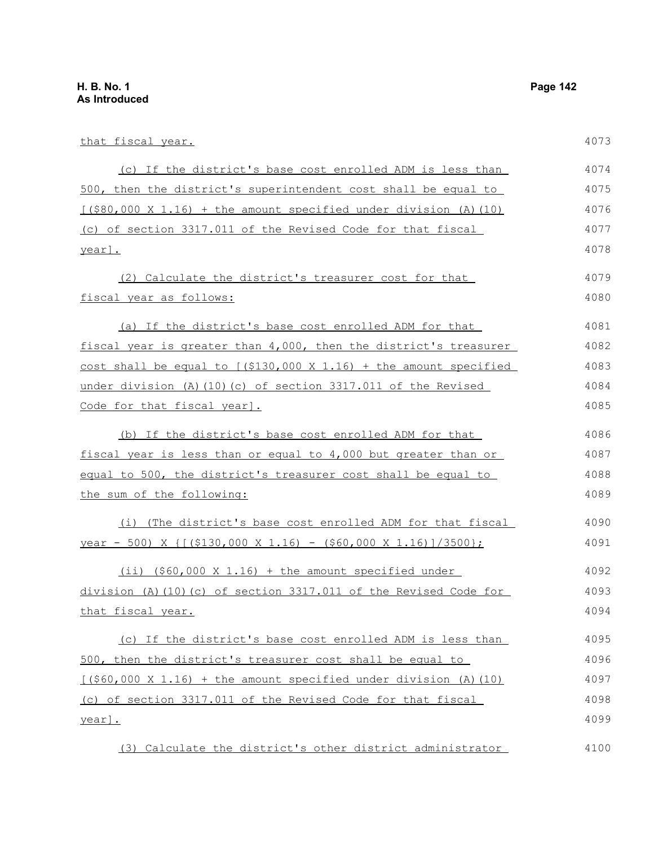year].

that fiscal year. (c) If the district's base cost enrolled ADM is less than 500, then the district's superintendent cost shall be equal to  $[($80,000 \times 1.16) + the amount specified under division (A)(10)]$ (c) of section 3317.011 of the Revised Code for that fiscal year]. (2) Calculate the district's treasurer cost for that fiscal year as follows: (a) If the district's base cost enrolled ADM for that fiscal year is greater than 4,000, then the district's treasurer cost shall be equal to  $(5130,000 \times 1.16)$  + the amount specified under division (A)(10)(c) of section 3317.011 of the Revised Code for that fiscal year]. (b) If the district's base cost enrolled ADM for that fiscal year is less than or equal to 4,000 but greater than or equal to 500, the district's treasurer cost shall be equal to the sum of the following: (i) (The district's base cost enrolled ADM for that fiscal year - 500) X  $\{[(\$130,000 \times 1.16) - (\$60,000 \times 1.16)]/3500\};$ (ii)  $(560,000 \times 1.16)$  + the amount specified under division (A)(10)(c) of section 3317.011 of the Revised Code for that fiscal year. (c) If the district's base cost enrolled ADM is less than 500, then the district's treasurer cost shall be equal to  $(660,000 \times 1.16)$  + the amount specified under division (A)(10) (c) of section 3317.011 of the Revised Code for that fiscal 4073 4074 4075 4076 4077 4078 4079 4080 4081 4082 4083 4084 4085 4086 4087 4088 4089 4090 4091 4092 4093 4094 4095 4096 4097 4098

(3) Calculate the district's other district administrator 4100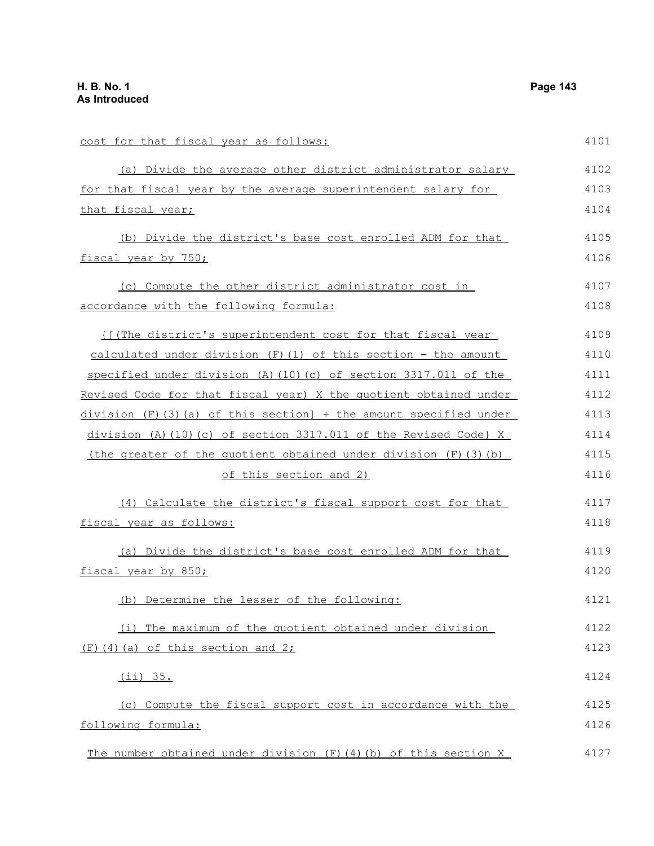cost for that fiscal year as follows: (a) Divide the average other district administrator salary for that fiscal year by the average superintendent salary for that fiscal year; (b) Divide the district's base cost enrolled ADM for that fiscal year by 750; (c) Compute the other district administrator cost in accordance with the following formula: {[(The district's superintendent cost for that fiscal year calculated under division  $(F)(1)$  of this section - the amount specified under division (A)(10)(c) of section 3317.011 of the Revised Code for that fiscal year) X the quotient obtained under division (F)(3)(a) of this section] + the amount specified under division (A)(10)(c) of section 3317.011 of the Revised Code} X (the greater of the quotient obtained under division (F)(3)(b) of this section and 2) (4) Calculate the district's fiscal support cost for that fiscal year as follows: (a) Divide the district's base cost enrolled ADM for that fiscal year by 850; (b) Determine the lesser of the following: (i) The maximum of the quotient obtained under division  $(F)$  (4)(a) of this section and 2; (ii) 35. (c) Compute the fiscal support cost in accordance with the following formula: The number obtained under division (F)(4)(b) of this section X 4101 4102 4103 4104 4105 4106 4107 4108 4109 4110 4111 4112 4113 4114 4115 4116 4117 4118 4119 4120 4121 4122 4123 4124 4125 4126 4127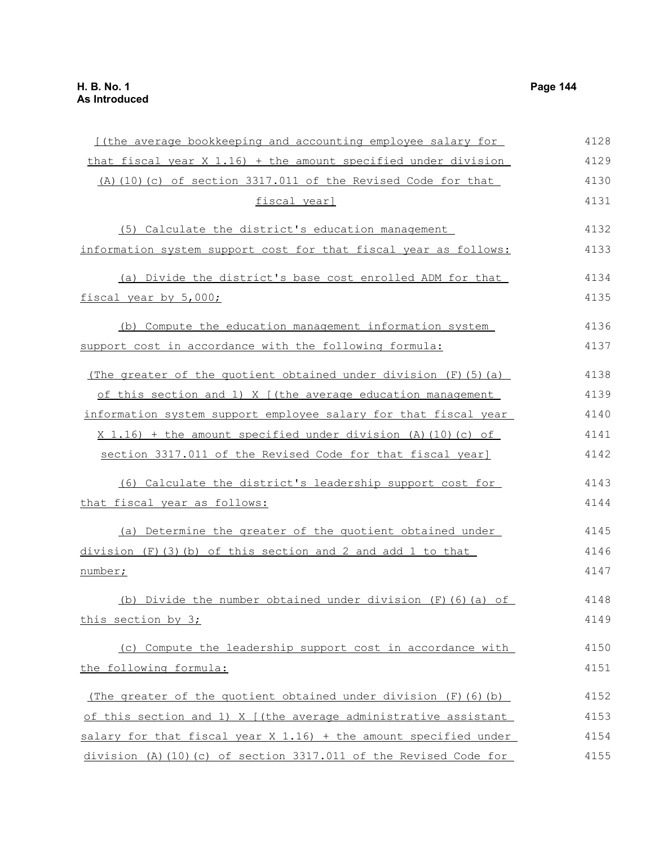| [(the average bookkeeping and accounting employee salary for       | 4128 |
|--------------------------------------------------------------------|------|
| $that$ fiscal year X 1.16) + the amount specified under division   | 4129 |
| (A) (10) (c) of section 3317.011 of the Revised Code for that      | 4130 |
| fiscal year]                                                       | 4131 |
| (5) Calculate the district's education management                  | 4132 |
| information system support cost for that fiscal year as follows:   | 4133 |
| (a) Divide the district's base cost enrolled ADM for that          | 4134 |
| fiscal year by 5,000;                                              | 4135 |
| (b) Compute the education management information system            | 4136 |
| support cost in accordance with the following formula:             | 4137 |
| (The greater of the quotient obtained under division $(F)$ (5) (a) | 4138 |
| of this section and 1) X [(the average education management        | 4139 |
| information system support employee salary for that fiscal year    | 4140 |
| $X$ 1.16) + the amount specified under division (A) (10) (c) of    | 4141 |
| section 3317.011 of the Revised Code for that fiscal year]         | 4142 |
| (6) Calculate the district's leadership support cost for           | 4143 |
| that fiscal year as follows:                                       | 4144 |
| (a) Determine the greater of the quotient obtained under           | 4145 |
| division (F) (3) (b) of this section and 2 and add 1 to that       | 4146 |
| number;                                                            | 4147 |
| (b) Divide the number obtained under division (F) (6) (a) of       | 4148 |
| this section by 3;                                                 | 4149 |
| (c) Compute the leadership support cost in accordance with         | 4150 |
| the following formula:                                             | 4151 |
| (The greater of the quotient obtained under division $(F)$ (6) (b) | 4152 |
| of this section and 1) X [(the average administrative assistant    | 4153 |
| salary for that fiscal year X 1.16) + the amount specified under   | 4154 |

division (A)(10)(c) of section 3317.011 of the Revised Code for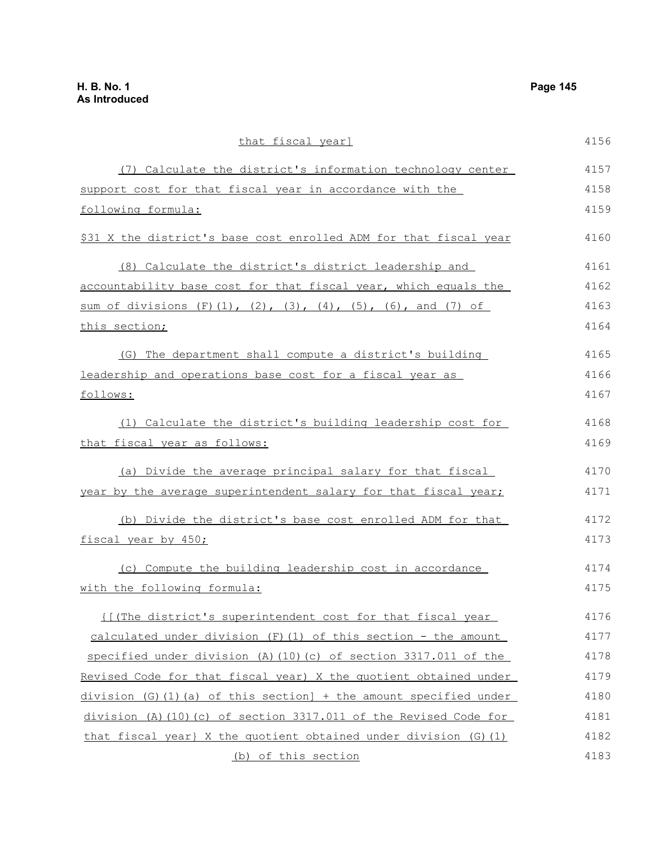that fiscal year] (7) Calculate the district's information technology center support cost for that fiscal year in accordance with the following formula: \$31 X the district's base cost enrolled ADM for that fiscal year (8) Calculate the district's district leadership and accountability base cost for that fiscal year, which equals the sum of divisions  $(F)(1)$ ,  $(2)$ ,  $(3)$ ,  $(4)$ ,  $(5)$ ,  $(6)$ , and  $(7)$  of this section; (G) The department shall compute a district's building leadership and operations base cost for a fiscal year as follows: (1) Calculate the district's building leadership cost for that fiscal year as follows: (a) Divide the average principal salary for that fiscal year by the average superintendent salary for that fiscal year; (b) Divide the district's base cost enrolled ADM for that fiscal year by 450; (c) Compute the building leadership cost in accordance with the following formula: {[(The district's superintendent cost for that fiscal year calculated under division  $(F)(1)$  of this section - the amount specified under division (A)(10)(c) of section 3317.011 of the Revised Code for that fiscal year) X the quotient obtained under division (G)(1)(a) of this section] + the amount specified under division (A)(10)(c) of section 3317.011 of the Revised Code for that fiscal year} X the quotient obtained under division (G)(1) 4156 4157 4158 4159 4160 4161 4162 4163 4164 4165 4166 4167 4168 4169 4170 4171 4172 4173 4174 4175 4176 4177 4178 4179 4180 4181 4182 4183

(b) of this section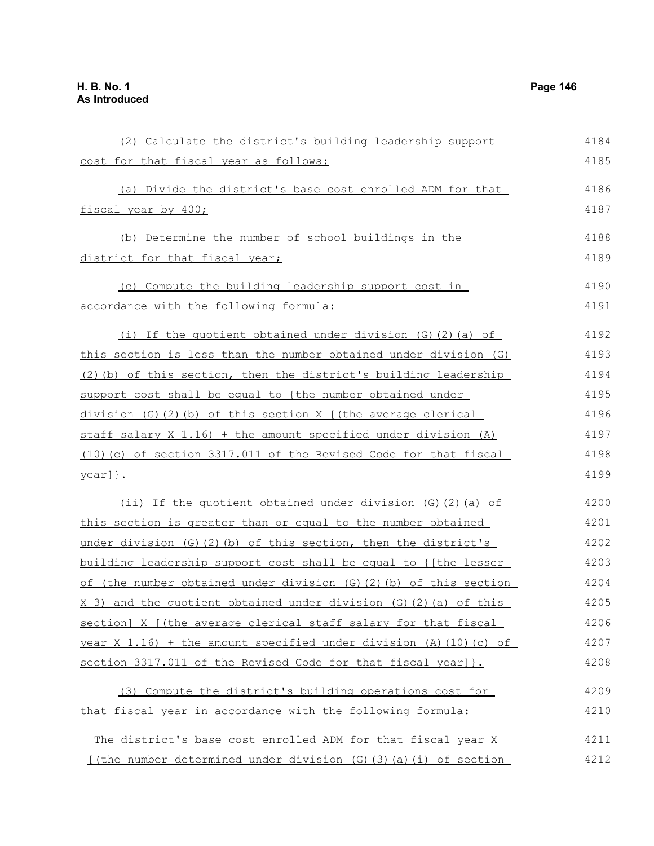(2) Calculate the district's building leadership support cost for that fiscal year as follows: (a) Divide the district's base cost enrolled ADM for that fiscal year by 400; (b) Determine the number of school buildings in the district for that fiscal year; (c) Compute the building leadership support cost in accordance with the following formula: (i) If the quotient obtained under division (G)(2)(a) of this section is less than the number obtained under division (G) (2)(b) of this section, then the district's building leadership support cost shall be equal to {the number obtained under division (G)(2)(b) of this section X [(the average clerical staff salary X 1.16) + the amount specified under division (A) (10)(c) of section 3317.011 of the Revised Code for that fiscal year]}. (ii) If the quotient obtained under division (G)(2)(a) of this section is greater than or equal to the number obtained under division  $(G)(2)(b)$  of this section, then the district's building leadership support cost shall be equal to {[the lesser of (the number obtained under division (G)(2)(b) of this section X 3) and the quotient obtained under division (G)(2)(a) of this section] X [(the average clerical staff salary for that fiscal year  $X$  1.16) + the amount specified under division (A)(10)(c) of section 3317.011 of the Revised Code for that fiscal year]}. (3) Compute the district's building operations cost for that fiscal year in accordance with the following formula: The district's base cost enrolled ADM for that fiscal year X [(the number determined under division (G)(3)(a)(i) of section 4184 4185 4186 4187 4188 4189 4190 4191 4192 4193 4194 4195 4196 4197 4198 4199 4200 4201 4202 4203 4204 4205 4206 4207 4208 4209 4210 4211 4212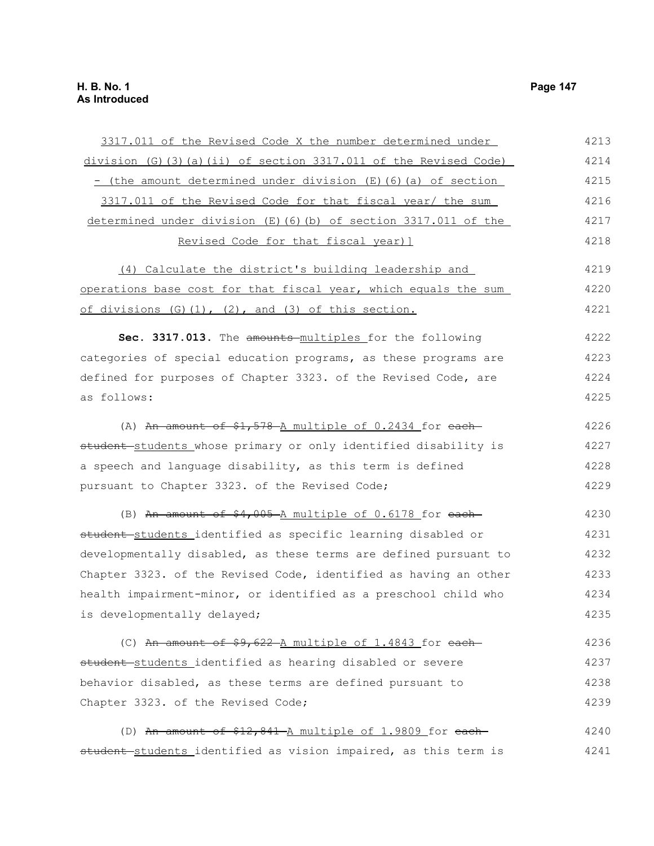| 3317.011 of the Revised Code X the number determined under        | 4213 |
|-------------------------------------------------------------------|------|
| $division$ (G)(3)(a)(ii) of section 3317.011 of the Revised Code) | 4214 |
| - (the amount determined under division (E) (6) (a) of section    | 4215 |
| 3317.011 of the Revised Code for that fiscal year/ the sum        | 4216 |
| determined under division (E) (6) (b) of section 3317.011 of the  | 4217 |
| Revised Code for that fiscal year) ]                              | 4218 |
| (4) Calculate the district's building leadership and              | 4219 |
| operations base cost for that fiscal year, which equals the sum   | 4220 |
| of divisions (G)(1), (2), and (3) of this section.                | 4221 |
| Sec. 3317.013. The amounts-multiples for the following            | 4222 |
| categories of special education programs, as these programs are   | 4223 |
| defined for purposes of Chapter 3323. of the Revised Code, are    | 4224 |
| as follows:                                                       | 4225 |
| (A) An amount of \$1,578 A multiple of 0.2434 for each-           | 4226 |
| student students whose primary or only identified disability is   | 4227 |
| a speech and language disability, as this term is defined         | 4228 |
| pursuant to Chapter 3323. of the Revised Code;                    | 4229 |
| (B) An amount of \$4,005 A multiple of 0.6178 for each-           | 4230 |
| student students identified as specific learning disabled or      | 4231 |
| developmentally disabled, as these terms are defined pursuant to  | 4232 |
| Chapter 3323. of the Revised Code, identified as having an other  | 4233 |
| health impairment-minor, or identified as a preschool child who   | 4234 |
| is developmentally delayed;                                       | 4235 |
| (C) An amount of $$9,622$ A multiple of 1.4843 for each           | 4236 |
| student-students identified as hearing disabled or severe         | 4237 |
| behavior disabled, as these terms are defined pursuant to         | 4238 |
| Chapter 3323. of the Revised Code;                                | 4239 |
| (D) An amount of \$12,841 A multiple of 1.9809 for each-          | 4240 |
| student students identified as vision impaired, as this term is   | 4241 |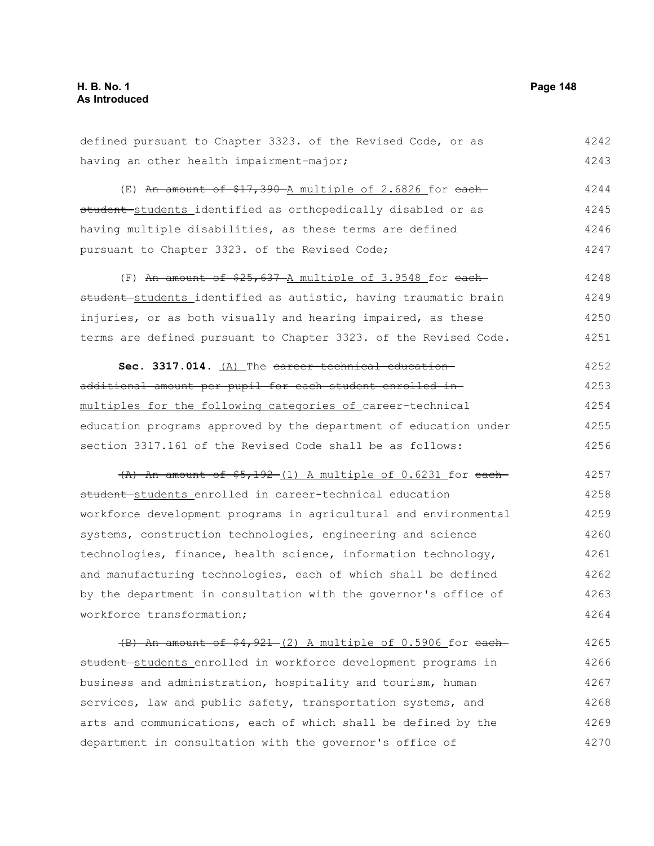4270

defined pursuant to Chapter 3323. of the Revised Code, or as having an other health impairment-major;  $(E)$  An amount of \$17,390 A multiple of 2.6826 for eachstudent students identified as orthopedically disabled or as having multiple disabilities, as these terms are defined pursuant to Chapter 3323. of the Revised Code; (F) An amount of  $$25,637$  A multiple of 3.9548 for eachstudent students identified as autistic, having traumatic brain injuries, or as both visually and hearing impaired, as these terms are defined pursuant to Chapter 3323. of the Revised Code. Sec. 3317.014. (A) The career-technical educationadditional amount per pupil for each student enrolled in multiples for the following categories of career-technical education programs approved by the department of education under section 3317.161 of the Revised Code shall be as follows:  $(A)$  An amount of  $$5,192-(1)$  A multiple of 0.6231 for eachstudent students enrolled in career-technical education workforce development programs in agricultural and environmental systems, construction technologies, engineering and science technologies, finance, health science, information technology, and manufacturing technologies, each of which shall be defined by the department in consultation with the governor's office of workforce transformation;  $(B)$  An amount of  $$4,921-(2)$  A multiple of 0.5906 for eachstudent students enrolled in workforce development programs in business and administration, hospitality and tourism, human services, law and public safety, transportation systems, and arts and communications, each of which shall be defined by the 4242 4243 4244 4245 4246 4247 4248 4249 4250 4251 4252 4253 4254 4255 4256 4257 4258 4259 4260 4261 4262 4263 4264 4265 4266 4267 4268 4269

department in consultation with the governor's office of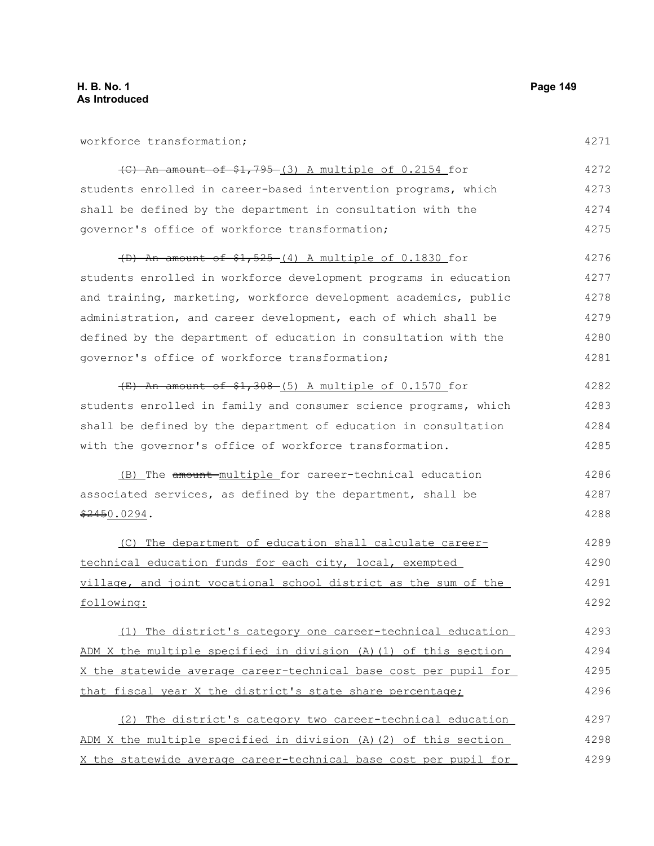| workforce transformation;                                        | 4271 |
|------------------------------------------------------------------|------|
| $\left($ C) An amount of \$1,795-(3) A multiple of 0.2154 for    | 4272 |
| students enrolled in career-based intervention programs, which   | 4273 |
| shall be defined by the department in consultation with the      | 4274 |
| governor's office of workforce transformation;                   | 4275 |
| (D) An amount of \$1,525-(4) A multiple of 0.1830 for            | 4276 |
| students enrolled in workforce development programs in education | 4277 |
| and training, marketing, workforce development academics, public | 4278 |
| administration, and career development, each of which shall be   | 4279 |
| defined by the department of education in consultation with the  | 4280 |
| governor's office of workforce transformation;                   | 4281 |
| $(E)$ An amount of \$1,308 (5) A multiple of 0.1570 for          | 4282 |
| students enrolled in family and consumer science programs, which | 4283 |
| shall be defined by the department of education in consultation  | 4284 |
| with the governor's office of workforce transformation.          | 4285 |
| (B) The amount-multiple for career-technical education           | 4286 |
| associated services, as defined by the department, shall be      | 4287 |
| <del>\$245</del> 0.0294.                                         | 4288 |
| (C) The department of education shall calculate career-          | 4289 |
| technical education funds for each city, local, exempted         | 4290 |
| village, and joint vocational school district as the sum of the  | 4291 |
| following:                                                       | 4292 |
| (1) The district's category one career-technical education       | 4293 |
| ADM X the multiple specified in division (A) (1) of this section | 4294 |
| X the statewide average career-technical base cost per pupil for | 4295 |
| that fiscal year X the district's state share percentage;        | 4296 |
| (2) The district's category two career-technical education       | 4297 |
| ADM X the multiple specified in division (A)(2) of this section  | 4298 |
| X the statewide average career-technical base cost per pupil for | 4299 |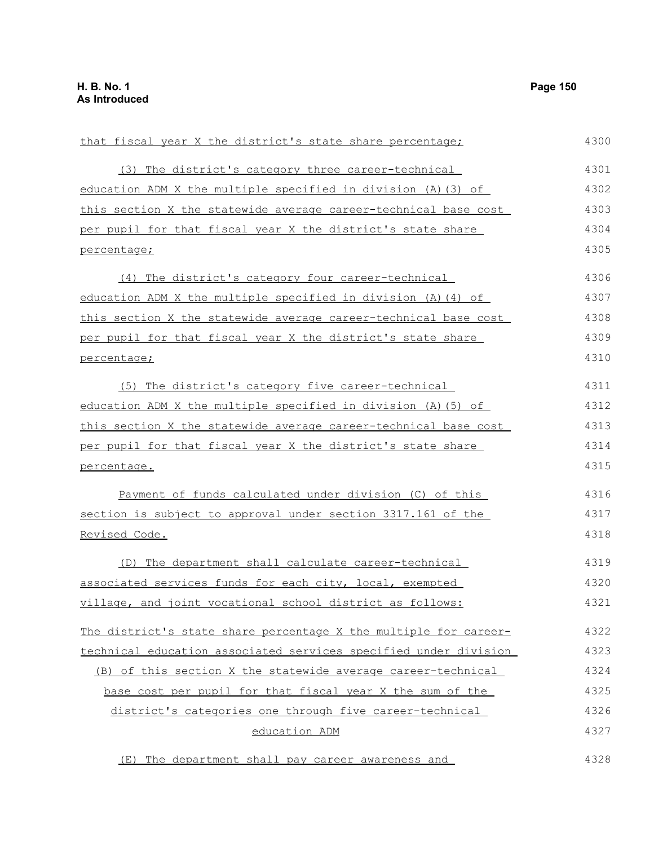| that fiscal year X the district's state share percentage;        | 4300 |
|------------------------------------------------------------------|------|
| (3) The district's category three career-technical               | 4301 |
| education ADM X the multiple specified in division (A) (3) of    | 4302 |
| this section X the statewide average career-technical base cost  | 4303 |
| per pupil for that fiscal year X the district's state share      | 4304 |
| percentage;                                                      | 4305 |
| (4) The district's category four career-technical                | 4306 |
| education ADM X the multiple specified in division (A) (4) of    | 4307 |
| this section X the statewide average career-technical base cost  | 4308 |
| per pupil for that fiscal year X the district's state share      | 4309 |
| percentage;                                                      | 4310 |
| (5) The district's category five career-technical                | 4311 |
| education ADM X the multiple specified in division (A) (5) of    | 4312 |
| this section X the statewide average career-technical base cost  | 4313 |
| per pupil for that fiscal year X the district's state share      | 4314 |
| percentage.                                                      | 4315 |
| Payment of funds calculated under division (C) of this           | 4316 |
| section is subject to approval under section 3317.161 of the     | 4317 |
| Revised Code.                                                    | 4318 |
| (D) The department shall calculate career-technical              | 4319 |
| associated services funds for each city, local, exempted         | 4320 |
| village, and joint vocational school district as follows:        | 4321 |
| The district's state share percentage X the multiple for career- | 4322 |
| technical education associated services specified under division | 4323 |
| (B) of this section X the statewide average career-technical     | 4324 |
| base cost per pupil for that fiscal year X the sum of the        | 4325 |
| district's categories one through five career-technical          | 4326 |
| education ADM                                                    | 4327 |

(E) The department shall pay career awareness and 4328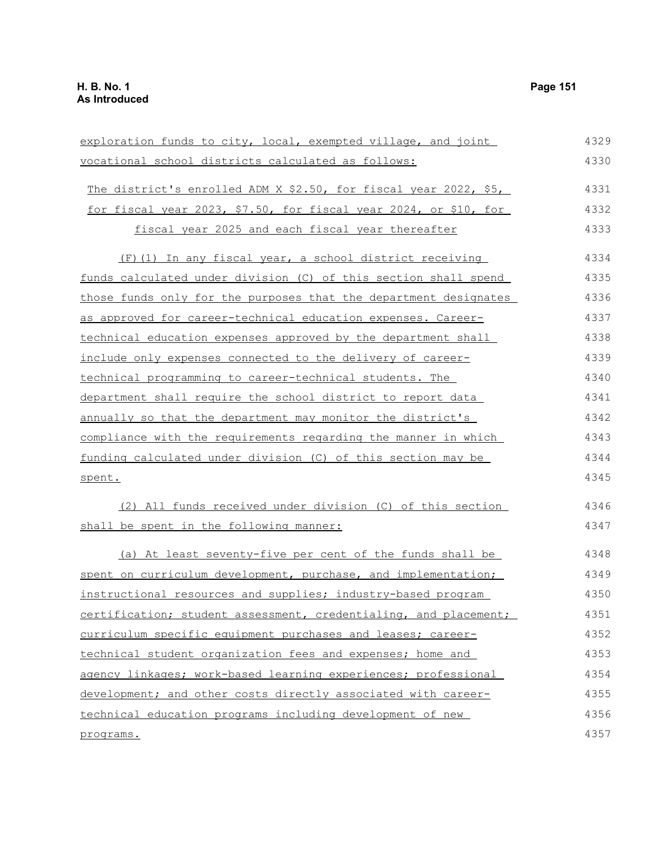| exploration funds to city, local, exempted village, and joint        | 4329 |
|----------------------------------------------------------------------|------|
| vocational school districts calculated as follows:                   | 4330 |
| The district's enrolled ADM X \$2.50, for fiscal year 2022, \$5,     | 4331 |
| for fiscal year 2023, \$7.50, for fiscal year 2024, or \$10, for     | 4332 |
| fiscal year 2025 and each fiscal year thereafter                     | 4333 |
| (F) (1) In any fiscal year, a school district receiving              | 4334 |
| funds calculated under division (C) of this section shall spend      | 4335 |
| those funds only for the purposes that the department designates     | 4336 |
| as approved for career-technical education expenses. Career-         | 4337 |
| <u>technical education expenses approved by the department shall</u> | 4338 |
| include only expenses connected to the delivery of career-           | 4339 |
| technical programming to career-technical students. The              | 4340 |
| department shall require the school district to report data          | 4341 |
| annually so that the department may monitor the district's           | 4342 |
| compliance with the requirements regarding the manner in which       | 4343 |
| funding calculated under division (C) of this section may be         | 4344 |
| spent.                                                               | 4345 |
| (2) All funds received under division (C) of this section            | 4346 |
| shall be spent in the following manner:                              | 4347 |
| (a) At least seventy-five per cent of the funds shall be             | 4348 |
| spent on curriculum development, purchase, and implementation;       | 4349 |
| instructional resources and supplies; industry-based program         | 4350 |
| certification; student assessment, credentialing, and placement;     | 4351 |
| curriculum specific equipment purchases and leases; career-          | 4352 |
| technical student organization fees and expenses; home and           | 4353 |
| agency linkages; work-based learning experiences; professional       | 4354 |
| development; and other costs directly associated with career-        | 4355 |
| technical education programs including development of new            | 4356 |
| programs.                                                            | 4357 |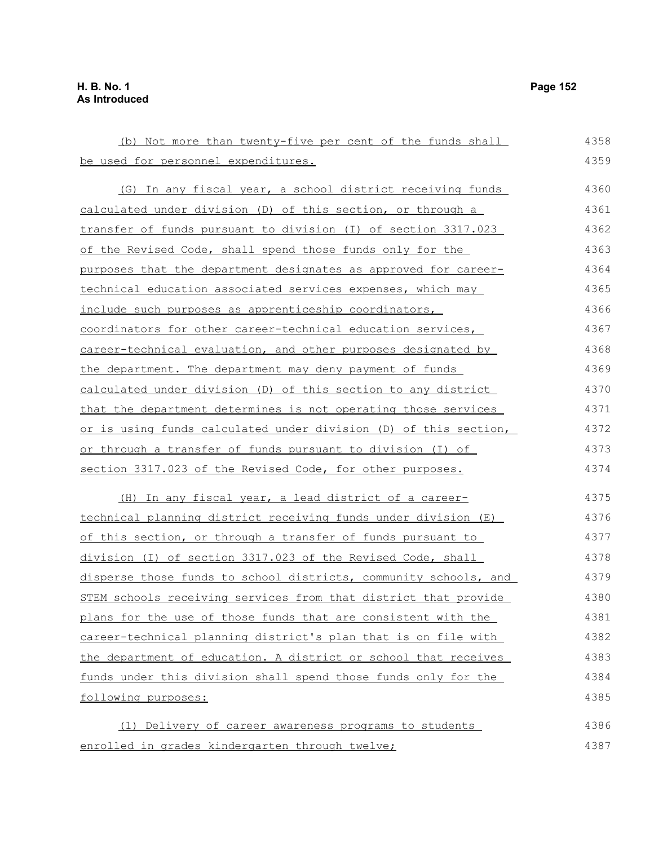| (b) Not more than twenty-five per cent of the funds shall        | 4358 |
|------------------------------------------------------------------|------|
| be used for personnel expenditures.                              | 4359 |
| (G) In any fiscal year, a school district receiving funds        | 4360 |
| calculated under division (D) of this section, or through a      | 4361 |
| transfer of funds pursuant to division (I) of section 3317.023   | 4362 |
| of the Revised Code, shall spend those funds only for the        | 4363 |
| purposes that the department designates as approved for career-  | 4364 |
| technical education associated services expenses, which may      | 4365 |
| include such purposes as apprenticeship coordinators,            | 4366 |
| coordinators for other career-technical education services,      | 4367 |
| career-technical evaluation, and other purposes designated by    | 4368 |
| the department. The department may deny payment of funds         | 4369 |
| calculated under division (D) of this section to any district    | 4370 |
| that the department determines is not operating those services   | 4371 |
| or is using funds calculated under division (D) of this section, | 4372 |
| or through a transfer of funds pursuant to division (I) of       | 4373 |
| section 3317.023 of the Revised Code, for other purposes.        | 4374 |
| (H) In any fiscal year, a lead district of a career-             | 4375 |
| technical planning district receiving funds under division (E)   | 4376 |
| of this section, or through a transfer of funds pursuant to      | 4377 |
| division (I) of section 3317.023 of the Revised Code, shall      | 4378 |
| disperse those funds to school districts, community schools, and | 4379 |
| STEM schools receiving services from that district that provide  | 4380 |
| plans for the use of those funds that are consistent with the    | 4381 |
| career-technical planning district's plan that is on file with   | 4382 |
| the department of education. A district or school that receives  | 4383 |
| funds under this division shall spend those funds only for the   | 4384 |
| following purposes:                                              | 4385 |
| (1) Delivery of career awareness programs to students            | 4386 |
| enrolled in grades kindergarten through twelve;                  | 4387 |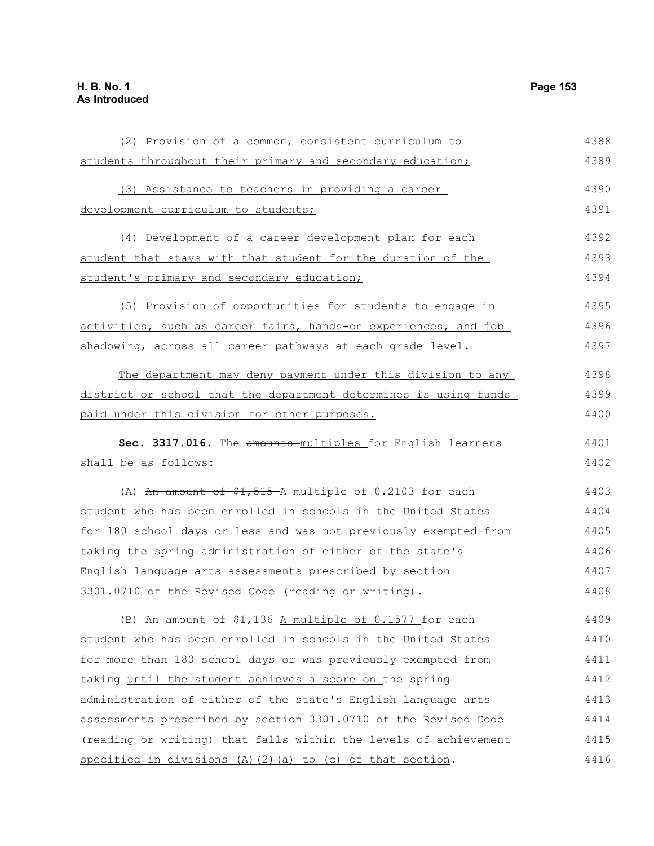students throughout their primary and secondary education; (3) Assistance to teachers in providing a career development curriculum to students; (4) Development of a career development plan for each student that stays with that student for the duration of the student's primary and secondary education; (5) Provision of opportunities for students to engage in activities, such as career fairs, hands-on experiences, and job shadowing, across all career pathways at each grade level. The department may deny payment under this division to any district or school that the department determines is using funds paid under this division for other purposes. Sec. 3317.016. The amounts multiples for English learners shall be as follows: (A) An amount of  $$1,515$ -A multiple of 0.2103 for each student who has been enrolled in schools in the United States for 180 school days or less and was not previously exempted from taking the spring administration of either of the state's English language arts assessments prescribed by section 3301.0710 of the Revised Code (reading or writing). (B) An amount of  $$1,136$  -A multiple of 0.1577 for each student who has been enrolled in schools in the United States for more than 180 school days or was previously exempted fromtaking until the student achieves a score on the spring administration of either of the state's English language arts assessments prescribed by section 3301.0710 of the Revised Code (reading or writing) that falls within the levels of achievement specified in divisions  $(A)$   $(2)$   $(a)$  to  $(c)$  of that section. 4389 4390 4391 4392 4393 4394 4395 4396 4397 4398 4399 4400 4401 4402 4403 4404 4405 4406 4407 4408 4409 4410 4411 4412 4413 4414 4415 4416

(2) Provision of a common, consistent curriculum to

4388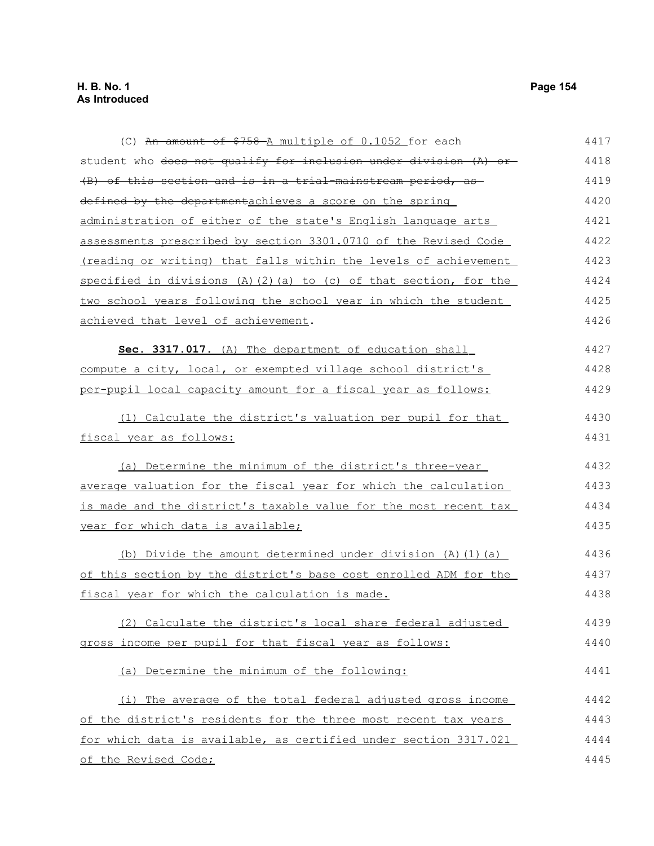(C) An amount of \$758 A multiple of 0.1052 for each student who <del>does not qualify for inclusion under division (A) or</del> (B) of this section and is in a trial-mainstream period, as defined by the departmentachieves a score on the spring administration of either of the state's English language arts assessments prescribed by section 3301.0710 of the Revised Code (reading or writing) that falls within the levels of achievement specified in divisions (A)(2)(a) to (c) of that section, for the two school years following the school year in which the student achieved that level of achievement. **Sec. 3317.017.** (A) The department of education shall compute a city, local, or exempted village school district's per-pupil local capacity amount for a fiscal year as follows: (1) Calculate the district's valuation per pupil for that fiscal year as follows: (a) Determine the minimum of the district's three-year average valuation for the fiscal year for which the calculation is made and the district's taxable value for the most recent tax year for which data is available; (b) Divide the amount determined under division  $(A)$   $(1)$   $(a)$ of this section by the district's base cost enrolled ADM for the fiscal year for which the calculation is made. (2) Calculate the district's local share federal adjusted gross income per pupil for that fiscal year as follows: (a) Determine the minimum of the following: (i) The average of the total federal adjusted gross income of the district's residents for the three most recent tax years for which data is available, as certified under section 3317.021 of the Revised Code; 4417 4418 4419 4420 4421 4422 4423 4424 4425 4426 4427 4428 4429 4430 4431 4432 4433 4434 4435 4436 4437 4438 4439 4440 4441 4442 4443 4444 4445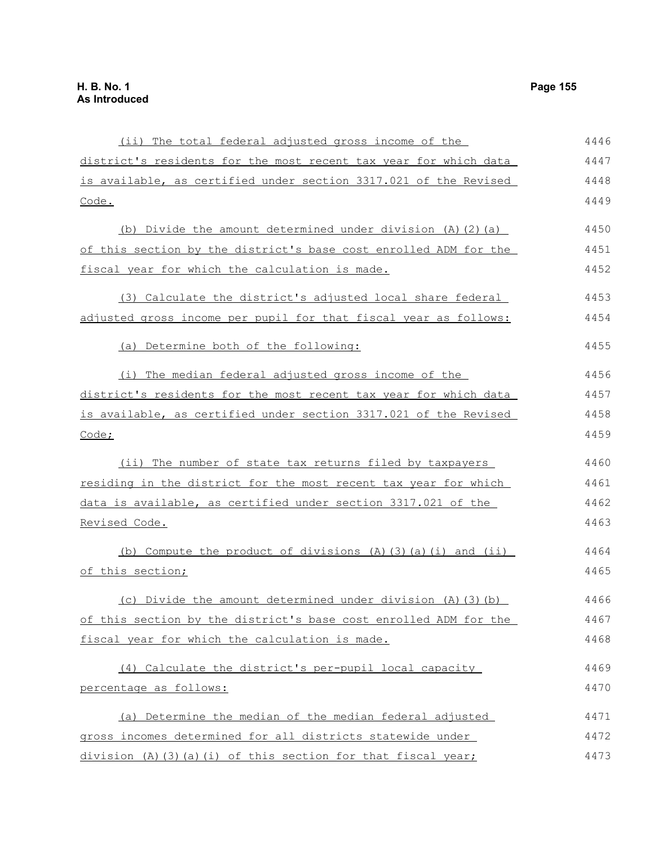(ii) The total federal adjusted gross income of the district's residents for the most recent tax year for which data is available, as certified under section 3317.021 of the Revised Code. (b) Divide the amount determined under division (A)(2)(a) of this section by the district's base cost enrolled ADM for the fiscal year for which the calculation is made. (3) Calculate the district's adjusted local share federal adjusted gross income per pupil for that fiscal year as follows: (a) Determine both of the following: (i) The median federal adjusted gross income of the district's residents for the most recent tax year for which data is available, as certified under section 3317.021 of the Revised Code; (ii) The number of state tax returns filed by taxpayers residing in the district for the most recent tax year for which data is available, as certified under section 3317.021 of the Revised Code. (b) Compute the product of divisions  $(A)$   $(3)$   $(a)$   $(i)$  and  $(ii)$ of this section; (c) Divide the amount determined under division (A)(3)(b) of this section by the district's base cost enrolled ADM for the fiscal year for which the calculation is made. (4) Calculate the district's per-pupil local capacity percentage as follows: (a) Determine the median of the median federal adjusted gross incomes determined for all districts statewide under division (A)(3)(a)(i) of this section for that fiscal year; 4446 4447 4448 4449 4450 4451 4452 4453 4454 4455 4456 4457 4458 4459 4460 4461 4462 4463 4464 4465 4466 4467 4468 4469 4470 4471 4472 4473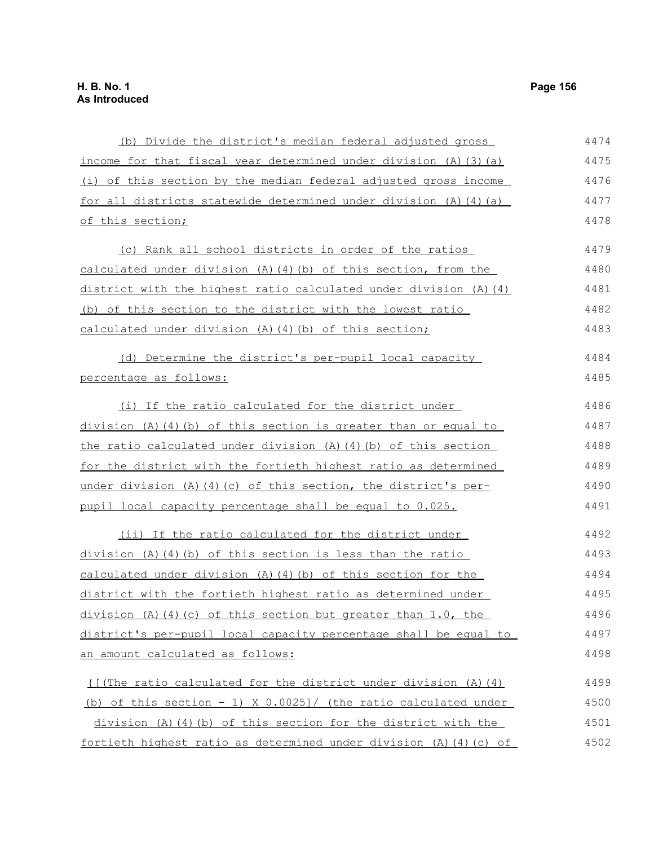| (b) Divide the district's median federal adjusted gross                 | 4474 |
|-------------------------------------------------------------------------|------|
| income for that fiscal year determined under division (A) (3) (a)       | 4475 |
| (i) of this section by the median federal adjusted gross income         | 4476 |
| for all districts statewide determined under division $(A)$ $(4)$ $(a)$ | 4477 |
| of this section;                                                        | 4478 |
| (c) Rank all school districts in order of the ratios                    | 4479 |
| calculated under division (A) (4) (b) of this section, from the         | 4480 |
| district with the highest ratio calculated under division (A) (4)       | 4481 |
| (b) of this section to the district with the lowest ratio               | 4482 |
| calculated under division (A) (4) (b) of this section;                  | 4483 |
| (d) Determine the district's per-pupil local capacity                   | 4484 |
| percentage as follows:                                                  | 4485 |
| (i) If the ratio calculated for the district under                      | 4486 |
| division (A)(4)(b) of this section is greater than or equal to          | 4487 |
| the ratio calculated under division $(A)$ $(4)$ $(b)$ of this section   | 4488 |
| for the district with the fortieth highest ratio as determined          | 4489 |
| under division (A)(4)(c) of this section, the district's per-           | 4490 |
| pupil local capacity percentage shall be equal to 0.025.                | 4491 |
| (ii) If the ratio calculated for the district under                     | 4492 |
| division (A)(4)(b) of this section is less than the ratio               | 4493 |
| calculated under division (A) (4) (b) of this section for the           | 4494 |
| district with the fortieth highest ratio as determined under            | 4495 |
| division (A) (4) (c) of this section but greater than 1.0, the          | 4496 |
| district's per-pupil local capacity percentage shall be equal to        | 4497 |
| an amount calculated as follows:                                        | 4498 |
| $\{$ (The ratio calculated for the district under division (A) (4)      | 4499 |
| (b) of this section - 1) X 0.0025]/ (the ratio calculated under         | 4500 |
| division (A)(4)(b) of this section for the district with the            | 4501 |
| fortieth highest ratio as determined under division (A)(4)(c) of        | 4502 |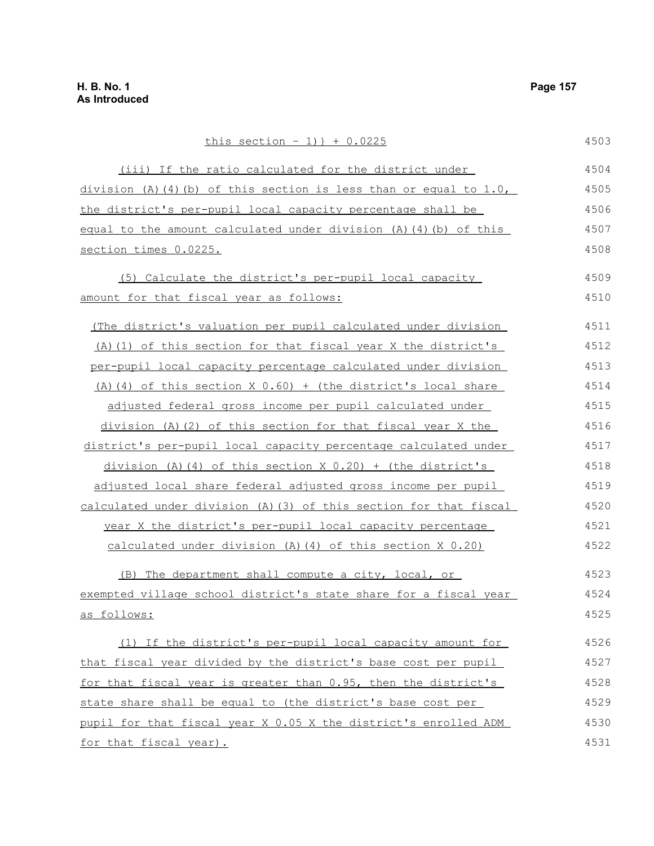this section  $-1$ ) } + 0.0225 (iii) If the ratio calculated for the district under division (A)(4)(b) of this section is less than or equal to  $1.0$ , the district's per-pupil local capacity percentage shall be equal to the amount calculated under division (A)(4)(b) of this section times 0.0225. (5) Calculate the district's per-pupil local capacity amount for that fiscal year as follows: (The district's valuation per pupil calculated under division (A)(1) of this section for that fiscal year X the district's per-pupil local capacity percentage calculated under division (A)(4) of this section X  $0.60$ ) + (the district's local share adjusted federal gross income per pupil calculated under division (A)(2) of this section for that fiscal year X the district's per-pupil local capacity percentage calculated under division (A)(4) of this section X  $0.20$ ) + (the district's adjusted local share federal adjusted gross income per pupil calculated under division (A)(3) of this section for that fiscal year X the district's per-pupil local capacity percentage calculated under division (A)(4) of this section X 0.20) (B) The department shall compute a city, local, or exempted village school district's state share for a fiscal year as follows: (1) If the district's per-pupil local capacity amount for that fiscal year divided by the district's base cost per pupil for that fiscal year is greater than 0.95, then the district's state share shall be equal to (the district's base cost per pupil for that fiscal year X 0.05 X the district's enrolled ADM for that fiscal year). 4503 4504 4505 4506 4507 4508 4509 4510 4511 4512 4513 4514 4515 4516 4517 4518 4519 4520 4521 4522 4523 4524 4525 4526 4527 4528 4529 4530 4531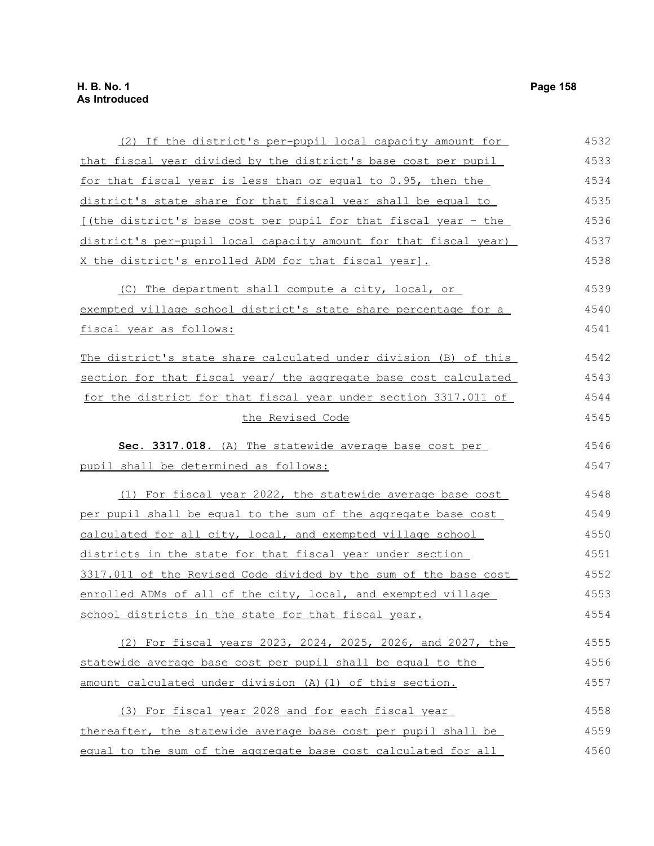# **H. B. No. 1 Page 158 As Introduced**

| (2) If the district's per-pupil local capacity amount for        | 4532 |
|------------------------------------------------------------------|------|
| that fiscal year divided by the district's base cost per pupil   | 4533 |
| for that fiscal year is less than or equal to 0.95, then the     | 4534 |
| district's state share for that fiscal year shall be equal to    | 4535 |
| [(the district's base cost per pupil for that fiscal year - the  | 4536 |
| district's per-pupil local capacity amount for that fiscal year) | 4537 |
| X the district's enrolled ADM for that fiscal year].             | 4538 |
| (C) The department shall compute a city, local, or               | 4539 |
| exempted village school district's state share percentage for a  | 4540 |
| fiscal year as follows:                                          | 4541 |
| The district's state share calculated under division (B) of this | 4542 |
| section for that fiscal year/ the aggregate base cost calculated | 4543 |
| for the district for that fiscal year under section 3317.011 of  | 4544 |
| the Revised Code                                                 | 4545 |
| Sec. 3317.018. (A) The statewide average base cost per           | 4546 |
| pupil shall be determined as follows:                            | 4547 |
| (1) For fiscal year 2022, the statewide average base cost        | 4548 |
| per pupil shall be equal to the sum of the aggregate base cost   | 4549 |
| calculated for all city, local, and exempted village school      | 4550 |
| districts in the state for that fiscal year under section        | 4551 |
| 3317.011 of the Revised Code divided by the sum of the base cost | 4552 |
| enrolled ADMs of all of the city, local, and exempted village    | 4553 |
| <u>school districts in the state for that fiscal year.</u>       | 4554 |
| (2) For fiscal years 2023, 2024, 2025, 2026, and 2027, the       | 4555 |
| statewide average base cost per pupil shall be equal to the      | 4556 |
| amount calculated under division (A) (1) of this section.        | 4557 |
| (3) For fiscal year 2028 and for each fiscal year                | 4558 |
| thereafter, the statewide average base cost per pupil shall be   | 4559 |
| equal to the sum of the aggregate base cost calculated for all   | 4560 |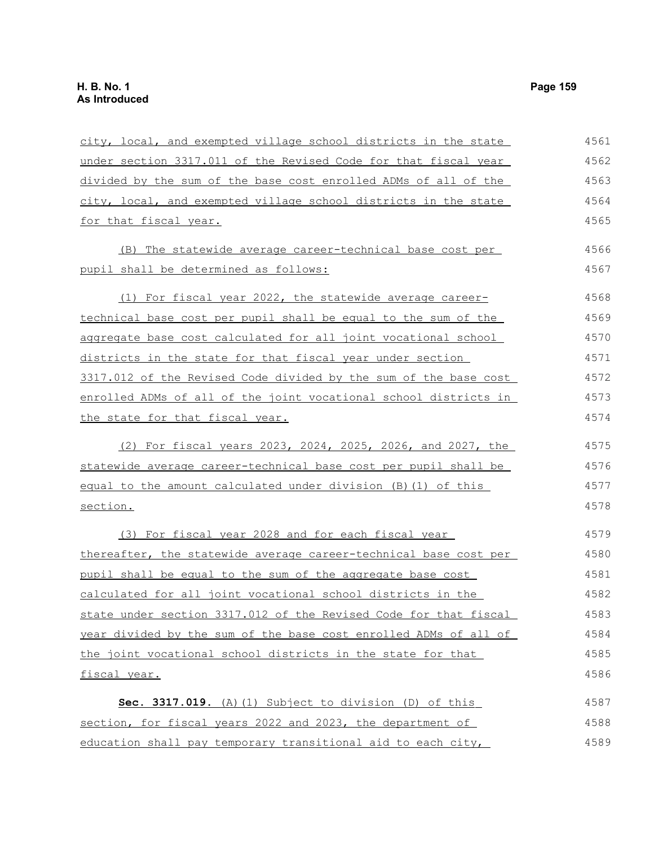| city, local, and exempted village school districts in the state  | 4561 |
|------------------------------------------------------------------|------|
| under section 3317.011 of the Revised Code for that fiscal year  | 4562 |
| divided by the sum of the base cost enrolled ADMs of all of the  | 4563 |
| city, local, and exempted village school districts in the state  | 4564 |
| for that fiscal year.                                            | 4565 |
| (B) The statewide average career-technical base cost per         | 4566 |
| pupil shall be determined as follows:                            | 4567 |
| (1) For fiscal year 2022, the statewide average career-          | 4568 |
| technical base cost per pupil shall be equal to the sum of the   | 4569 |
| aggregate base cost calculated for all joint vocational school   | 4570 |
| districts in the state for that fiscal year under section        | 4571 |
| 3317.012 of the Revised Code divided by the sum of the base cost | 4572 |
| enrolled ADMs of all of the joint vocational school districts in | 4573 |
| the state for that fiscal year.                                  | 4574 |
| (2) For fiscal years 2023, 2024, 2025, 2026, and 2027, the       | 4575 |
| statewide average career-technical base cost per pupil shall be  | 4576 |
| equal to the amount calculated under division (B) (1) of this    | 4577 |
| section.                                                         | 4578 |
| (3) For fiscal year 2028 and for each fiscal year                | 4579 |
| thereafter, the statewide average career-technical base cost per | 4580 |
| pupil shall be equal to the sum of the aggregate base cost       | 4581 |
| calculated for all joint vocational school districts in the      | 4582 |
| state under section 3317.012 of the Revised Code for that fiscal | 4583 |
| year divided by the sum of the base cost enrolled ADMs of all of | 4584 |
| the joint vocational school districts in the state for that      | 4585 |
| fiscal year.                                                     | 4586 |
| Sec. 3317.019. (A) (1) Subject to division (D) of this           | 4587 |
| section, for fiscal years 2022 and 2023, the department of       | 4588 |
| education shall pay temporary transitional aid to each city,     | 4589 |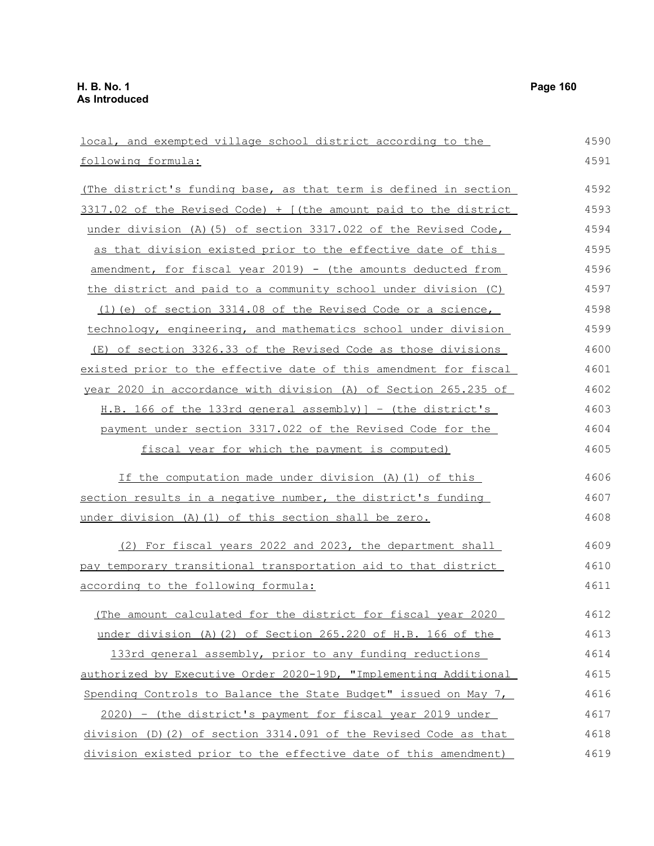| local, and exempted village school district according to the     | 4590 |
|------------------------------------------------------------------|------|
| following formula:                                               | 4591 |
| (The district's funding base, as that term is defined in section | 4592 |
| 3317.02 of the Revised Code) + [(the amount paid to the district | 4593 |
| under division (A) (5) of section 3317.022 of the Revised Code,  | 4594 |
| as that division existed prior to the effective date of this     | 4595 |
| amendment, for fiscal year 2019) - (the amounts deducted from    | 4596 |
| the district and paid to a community school under division (C)   | 4597 |
| (1) (e) of section 3314.08 of the Revised Code or a science,     | 4598 |
| technology, engineering, and mathematics school under division   | 4599 |
| (E) of section 3326.33 of the Revised Code as those divisions    | 4600 |
| existed prior to the effective date of this amendment for fiscal | 4601 |
| year 2020 in accordance with division (A) of Section 265.235 of  | 4602 |
| H.B. 166 of the 133rd general assembly) ] - (the district's      | 4603 |
| payment under section 3317.022 of the Revised Code for the       | 4604 |
| fiscal year for which the payment is computed)                   | 4605 |
| If the computation made under division (A) (1) of this           | 4606 |
| section results in a negative number, the district's funding     | 4607 |
| under division (A) (1) of this section shall be zero.            | 4608 |
| (2) For fiscal years 2022 and 2023, the department shall         | 4609 |
| pay temporary transitional transportation aid to that district   | 4610 |
| according to the following formula:                              | 4611 |
| (The amount calculated for the district for fiscal year 2020     | 4612 |
| under division (A) (2) of Section 265.220 of H.B. 166 of the     | 4613 |
| 133rd general assembly, prior to any funding reductions          | 4614 |
| authorized by Executive Order 2020-19D, "Implementing Additional | 4615 |
| Spending Controls to Balance the State Budget" issued on May 7,  | 4616 |
| 2020) - (the district's payment for fiscal year 2019 under       | 4617 |
| division (D) (2) of section 3314.091 of the Revised Code as that | 4618 |
| division existed prior to the effective date of this amendment)  | 4619 |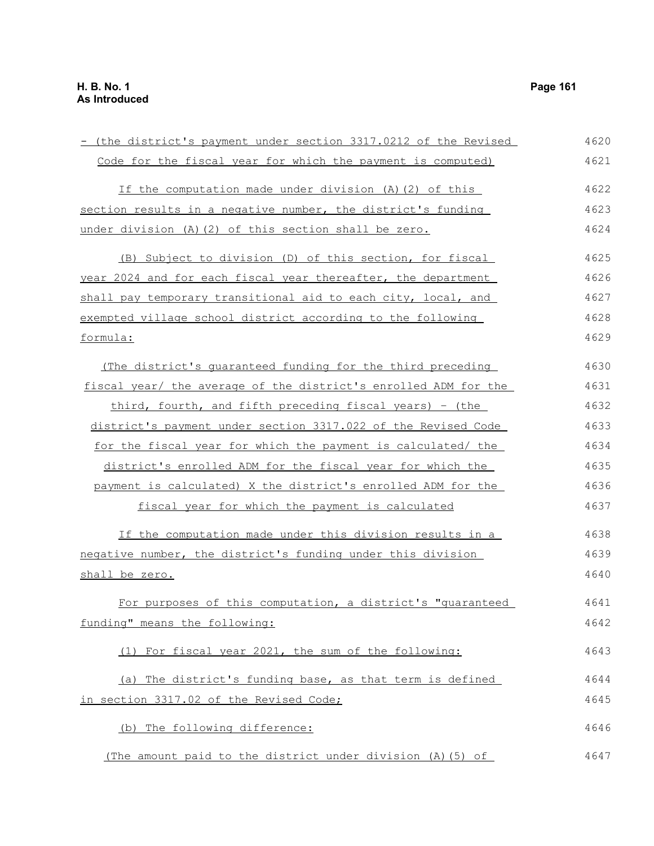| - (the district's payment under section 3317.0212 of the Revised | 4620 |
|------------------------------------------------------------------|------|
| Code for the fiscal year for which the payment is computed)      | 4621 |
| If the computation made under division (A)(2) of this            | 4622 |
| section results in a negative number, the district's funding     | 4623 |
| under division (A) (2) of this section shall be zero.            | 4624 |
| (B) Subject to division (D) of this section, for fiscal          | 4625 |
| year 2024 and for each fiscal year thereafter, the department    | 4626 |
| shall pay temporary transitional aid to each city, local, and    | 4627 |
| exempted village school district according to the following      | 4628 |
| formula:                                                         | 4629 |
| (The district's quaranteed funding for the third preceding       | 4630 |
| fiscal year/ the average of the district's enrolled ADM for the  | 4631 |
| third, fourth, and fifth preceding fiscal years) - (the          | 4632 |
| district's payment under section 3317.022 of the Revised Code    | 4633 |
| for the fiscal year for which the payment is calculated/ the     | 4634 |
| district's enrolled ADM for the fiscal year for which the        | 4635 |
| payment is calculated) X the district's enrolled ADM for the     | 4636 |
| fiscal year for which the payment is calculated                  | 4637 |
| If the computation made under this division results in a         | 4638 |
| negative number, the district's funding under this division      | 4639 |
| shall be zero.                                                   | 4640 |
| For purposes of this computation, a district's "quaranteed       | 4641 |
| funding" means the following:                                    | 4642 |
| (1) For fiscal year 2021, the sum of the following:              | 4643 |
| (a) The district's funding base, as that term is defined         | 4644 |
| in section 3317.02 of the Revised Code;                          | 4645 |
| (b) The following difference:                                    | 4646 |
| (The amount paid to the district under division (A) (5) of       | 4647 |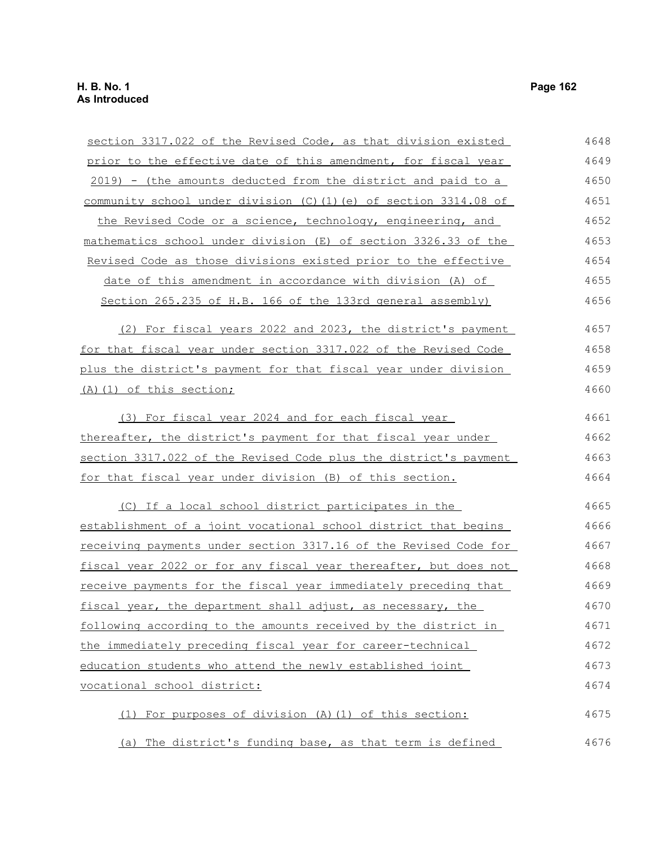section 3317.022 of the Revised Code, as that division existed prior to the effective date of this amendment, for fiscal year 2019) - (the amounts deducted from the district and paid to a community school under division (C)(1)(e) of section 3314.08 of the Revised Code or a science, technology, engineering, and mathematics school under division (E) of section 3326.33 of the Revised Code as those divisions existed prior to the effective date of this amendment in accordance with division (A) of Section 265.235 of H.B. 166 of the 133rd general assembly) (2) For fiscal years 2022 and 2023, the district's payment for that fiscal year under section 3317.022 of the Revised Code plus the district's payment for that fiscal year under division (A)(1) of this section; (3) For fiscal year 2024 and for each fiscal year thereafter, the district's payment for that fiscal year under section 3317.022 of the Revised Code plus the district's payment for that fiscal year under division (B) of this section. (C) If a local school district participates in the establishment of a joint vocational school district that begins receiving payments under section 3317.16 of the Revised Code for fiscal year 2022 or for any fiscal year thereafter, but does not receive payments for the fiscal year immediately preceding that fiscal year, the department shall adjust, as necessary, the following according to the amounts received by the district in the immediately preceding fiscal year for career-technical education students who attend the newly established joint vocational school district: (1) For purposes of division (A)(1) of this section: (a) The district's funding base, as that term is defined 4648 4649 4650 4651 4652 4653 4654 4655 4656 4657 4658 4659 4660 4661 4662 4663 4664 4665 4666 4667 4668 4669 4670 4671 4672 4673 4674 4675 4676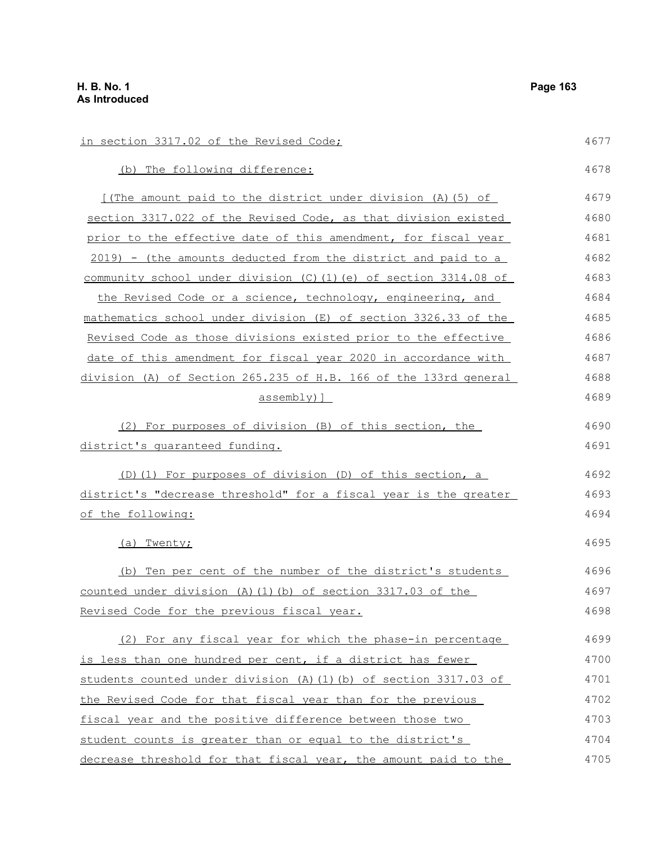in section 3317.02 of the Revised Code; (b) The following difference: [(The amount paid to the district under division (A)(5) of section 3317.022 of the Revised Code, as that division existed prior to the effective date of this amendment, for fiscal year 2019) - (the amounts deducted from the district and paid to a community school under division (C)(1)(e) of section 3314.08 of the Revised Code or a science, technology, engineering, and mathematics school under division (E) of section 3326.33 of the Revised Code as those divisions existed prior to the effective date of this amendment for fiscal year 2020 in accordance with division (A) of Section 265.235 of H.B. 166 of the 133rd general assembly)] (2) For purposes of division (B) of this section, the district's guaranteed funding. (D)(1) For purposes of division (D) of this section, a district's "decrease threshold" for a fiscal year is the greater of the following: (a) Twenty; (b) Ten per cent of the number of the district's students counted under division (A)(1)(b) of section 3317.03 of the Revised Code for the previous fiscal year. (2) For any fiscal year for which the phase-in percentage is less than one hundred per cent, if a district has fewer students counted under division (A)(1)(b) of section 3317.03 of the Revised Code for that fiscal year than for the previous fiscal year and the positive difference between those two student counts is greater than or equal to the district's 4677 4678 4679 4680 4681 4682 4683 4684 4685 4686 4687 4688 4689 4690 4691 4692 4693 4694 4695 4696 4697 4698 4699 4700 4701 4702 4703 4704

decrease threshold for that fiscal year, the amount paid to the 4705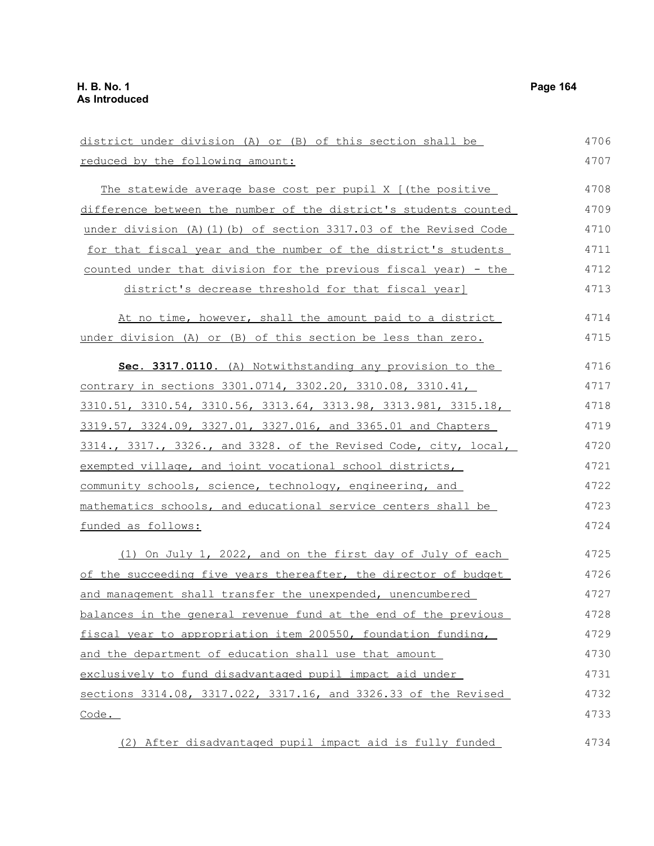| district under division (A) or (B) of this section shall be       | 4706 |
|-------------------------------------------------------------------|------|
| reduced by the following amount:                                  | 4707 |
| The statewide average base cost per pupil X [(the positive        | 4708 |
| difference between the number of the district's students counted  | 4709 |
| under division (A) (1) (b) of section 3317.03 of the Revised Code | 4710 |
| for that fiscal year and the number of the district's students    | 4711 |
| counted under that division for the previous fiscal year) - the   | 4712 |
| district's decrease threshold for that fiscal year]               | 4713 |
| At no time, however, shall the amount paid to a district          | 4714 |
| under division (A) or (B) of this section be less than zero.      | 4715 |
| Sec. 3317.0110. (A) Notwithstanding any provision to the          | 4716 |
| contrary in sections 3301.0714, 3302.20, 3310.08, 3310.41,        | 4717 |
| 3310.51, 3310.54, 3310.56, 3313.64, 3313.98, 3313.981, 3315.18,   | 4718 |
| 3319.57, 3324.09, 3327.01, 3327.016, and 3365.01 and Chapters     | 4719 |
| 3314., 3317., 3326., and 3328. of the Revised Code, city, local,  | 4720 |
| exempted village, and joint vocational school districts,          | 4721 |
| community schools, science, technology, engineering, and          | 4722 |
| mathematics schools, and educational service centers shall be     | 4723 |
| funded as follows:                                                | 4724 |
| (1) On July 1, 2022, and on the first day of July of each         | 4725 |
| of the succeeding five years thereafter, the director of budget   | 4726 |
| and management shall transfer the unexpended, unencumbered        | 4727 |
| balances in the general revenue fund at the end of the previous   | 4728 |
| fiscal year to appropriation item 200550, foundation funding,     | 4729 |
| and the department of education shall use that amount             | 4730 |
| exclusively to fund disadvantaged pupil impact aid under          | 4731 |
| sections 3314.08, 3317.022, 3317.16, and 3326.33 of the Revised   | 4732 |
| Code.                                                             | 4733 |
| (2) After disadvantaged pupil impact aid is fully funded          | 4734 |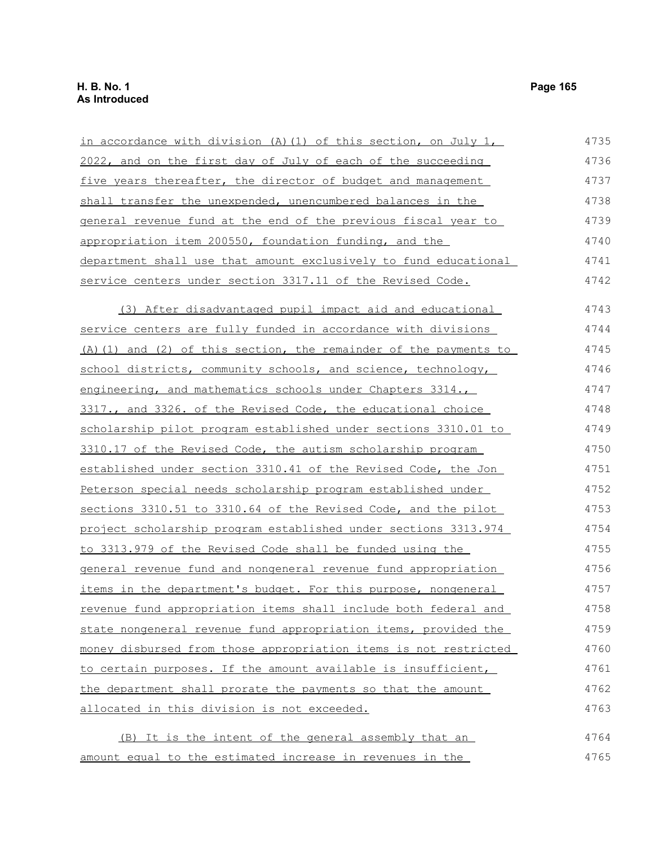| in accordance with division (A) (1) of this section, on July 1,       | 4735 |
|-----------------------------------------------------------------------|------|
| 2022, and on the first day of July of each of the succeeding          | 4736 |
| five years thereafter, the director of budget and management          | 4737 |
| shall transfer the unexpended, unencumbered balances in the           | 4738 |
| general revenue fund at the end of the previous fiscal year to        | 4739 |
| appropriation item 200550, foundation funding, and the                | 4740 |
| department shall use that amount exclusively to fund educational      | 4741 |
| service centers under section 3317.11 of the Revised Code.            | 4742 |
| (3) After disadvantaged pupil impact aid and educational              | 4743 |
| service centers are fully funded in accordance with divisions         | 4744 |
| (A) (1) and (2) of this section, the remainder of the payments to     | 4745 |
| school districts, community schools, and science, technology,         | 4746 |
| engineering, and mathematics schools under Chapters 3314.,            | 4747 |
| 3317., and 3326. of the Revised Code, the educational choice          | 4748 |
| scholarship pilot program established under sections 3310.01 to       | 4749 |
| 3310.17 of the Revised Code, the autism scholarship program           | 4750 |
| established under section 3310.41 of the Revised Code, the Jon        | 4751 |
| Peterson special needs scholarship program established under          | 4752 |
| sections 3310.51 to 3310.64 of the Revised Code, and the pilot        | 4753 |
| project scholarship program established under sections 3313.974       | 4754 |
| to 3313.979 of the Revised Code shall be funded using the             | 4755 |
| <u>general revenue fund and nongeneral revenue fund appropriation</u> | 4756 |
| <u>items in the department's budget. For this purpose, nongeneral</u> | 4757 |
| revenue fund appropriation items shall include both federal and       | 4758 |
| state nongeneral revenue fund appropriation items, provided the       | 4759 |
| money disbursed from those appropriation items is not restricted      | 4760 |
| to certain purposes. If the amount available is insufficient,         | 4761 |
| the department shall prorate the payments so that the amount          | 4762 |
| allocated in this division is not exceeded.                           | 4763 |
|                                                                       |      |

(B) It is the intent of the general assembly that an amount equal to the estimated increase in revenues in the 4764 4765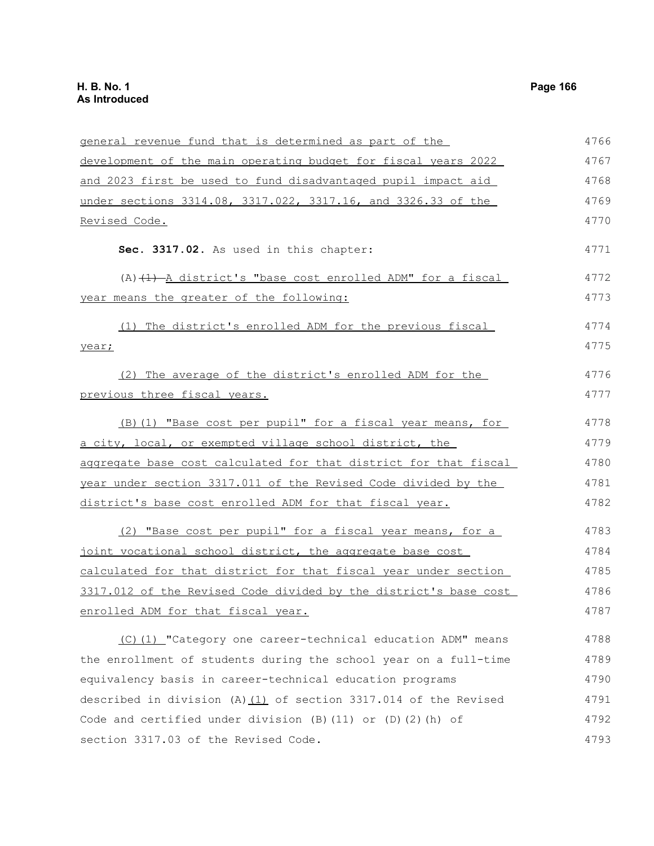| general revenue fund that is determined as part of the             | 4766 |
|--------------------------------------------------------------------|------|
| development of the main operating budget for fiscal years 2022     | 4767 |
| and 2023 first be used to fund disadvantaged pupil impact aid      | 4768 |
| under sections 3314.08, 3317.022, 3317.16, and 3326.33 of the      | 4769 |
| Revised Code.                                                      | 4770 |
| Sec. 3317.02. As used in this chapter:                             | 4771 |
| $(A)$ $(1)$ $(A)$ district's "base cost enrolled ADM" for a fiscal | 4772 |
| year means the greater of the following:                           | 4773 |
| (1) The district's enrolled ADM for the previous fiscal            | 4774 |
| year;                                                              | 4775 |
| (2) The average of the district's enrolled ADM for the             | 4776 |
| previous three fiscal years.                                       | 4777 |
| (B) (1) "Base cost per pupil" for a fiscal year means, for         | 4778 |
| a city, local, or exempted village school district, the            | 4779 |
| aggregate base cost calculated for that district for that fiscal   | 4780 |
| year under section 3317.011 of the Revised Code divided by the     | 4781 |
| district's base cost enrolled ADM for that fiscal year.            | 4782 |
| (2) "Base cost per pupil" for a fiscal year means, for a           | 4783 |
| joint vocational school district, the aggregate base cost          | 4784 |
| calculated for that district for that fiscal year under section    | 4785 |
| 3317.012 of the Revised Code divided by the district's base cost   | 4786 |
| enrolled ADM for that fiscal year.                                 | 4787 |
| (C)(1) "Category one career-technical education ADM" means         | 4788 |
| the enrollment of students during the school year on a full-time   | 4789 |
| equivalency basis in career-technical education programs           | 4790 |
| described in division (A) $(1)$ of section 3317.014 of the Revised | 4791 |
| Code and certified under division (B) (11) or (D) (2) (h) of       | 4792 |
| section 3317.03 of the Revised Code.                               | 4793 |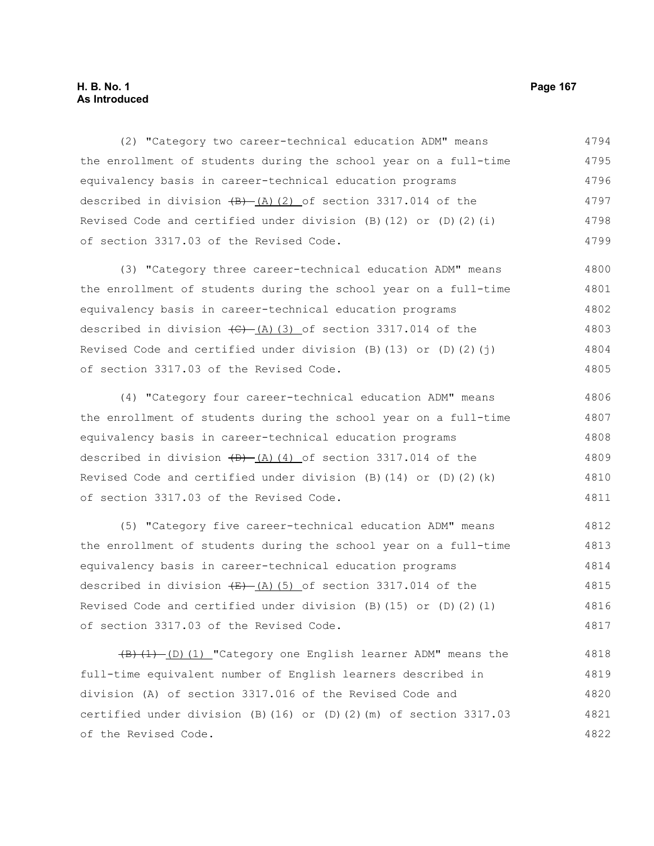### **H. B. No. 1 Page 167 As Introduced**

(2) "Category two career-technical education ADM" means the enrollment of students during the school year on a full-time equivalency basis in career-technical education programs described in division  $(H)$  (A)(2) of section 3317.014 of the Revised Code and certified under division  $(B)$  (12) or  $(D)$  (2)(i) of section 3317.03 of the Revised Code. 4794 4795 4796 4797 4798 4799

(3) "Category three career-technical education ADM" means the enrollment of students during the school year on a full-time equivalency basis in career-technical education programs described in division  $\left(\frac{C}{A}\right)$  (3) of section 3317.014 of the Revised Code and certified under division  $(B)$  (13) or  $(D)$  (2)(j) of section 3317.03 of the Revised Code. 4800 4801 4802 4803 4804 4805

(4) "Category four career-technical education ADM" means the enrollment of students during the school year on a full-time equivalency basis in career-technical education programs described in division  $(D)$   $(A)$  (4) of section 3317.014 of the Revised Code and certified under division (B)(14) or (D)(2)(k) of section 3317.03 of the Revised Code. 4806 4807 4808 4809 4810 4811

(5) "Category five career-technical education ADM" means the enrollment of students during the school year on a full-time equivalency basis in career-technical education programs described in division  $(E)$  (A)(5) of section 3317.014 of the Revised Code and certified under division  $(B)$  (15) or  $(D)$  (2)(1) of section 3317.03 of the Revised Code. 4812 4813 4814 4815 4816 4817

 $(B)$   $(1)$   $(D)$   $(1)$  "Category one English learner ADM" means the full-time equivalent number of English learners described in division (A) of section 3317.016 of the Revised Code and certified under division (B)(16) or (D)(2)(m) of section 3317.03 of the Revised Code. 4818 4819 4820 4821 4822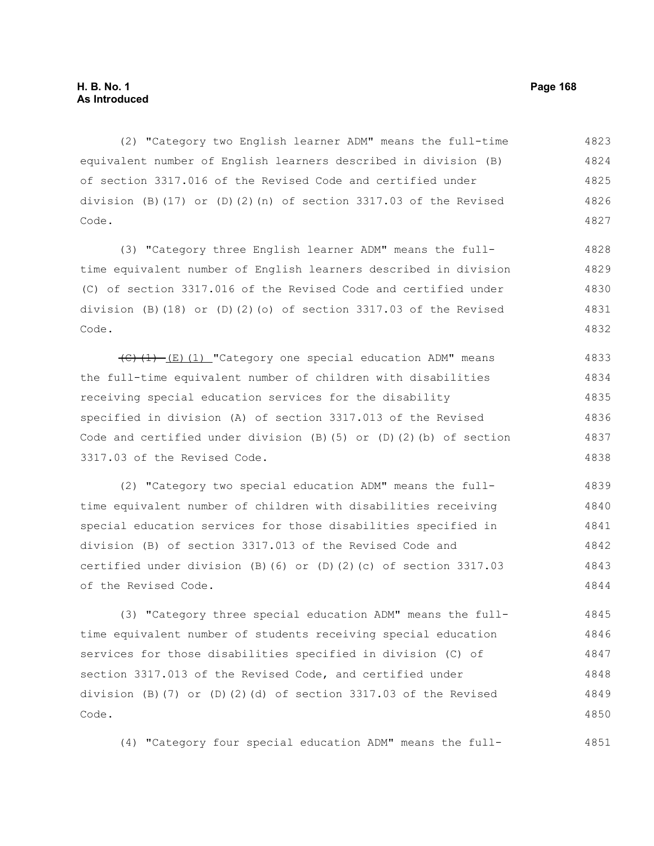(2) "Category two English learner ADM" means the full-time equivalent number of English learners described in division (B) of section 3317.016 of the Revised Code and certified under division (B)(17) or (D)(2)(n) of section  $3317.03$  of the Revised Code. 4823 4824 4825 4826 4827

(3) "Category three English learner ADM" means the fulltime equivalent number of English learners described in division (C) of section 3317.016 of the Revised Code and certified under division (B)(18) or (D)(2)(o) of section  $3317.03$  of the Revised Code. 4828 4829 4830 4831 4832

 $\overline{(C)(1) - (E)(1)}$  "Category one special education ADM" means the full-time equivalent number of children with disabilities receiving special education services for the disability specified in division (A) of section 3317.013 of the Revised Code and certified under division  $(B)$  (5) or  $(D)$  (2)(b) of section 3317.03 of the Revised Code. 4833 4834 4835 4836 4837 4838

(2) "Category two special education ADM" means the fulltime equivalent number of children with disabilities receiving special education services for those disabilities specified in division (B) of section 3317.013 of the Revised Code and certified under division (B)(6) or (D)(2)(c) of section 3317.03 of the Revised Code. 4839 4840 4841 4842 4843 4844

(3) "Category three special education ADM" means the fulltime equivalent number of students receiving special education services for those disabilities specified in division (C) of section 3317.013 of the Revised Code, and certified under division (B)(7) or (D)(2)(d) of section 3317.03 of the Revised Code. 4845 4846 4847 4848 4849 4850

(4) "Category four special education ADM" means the full-4851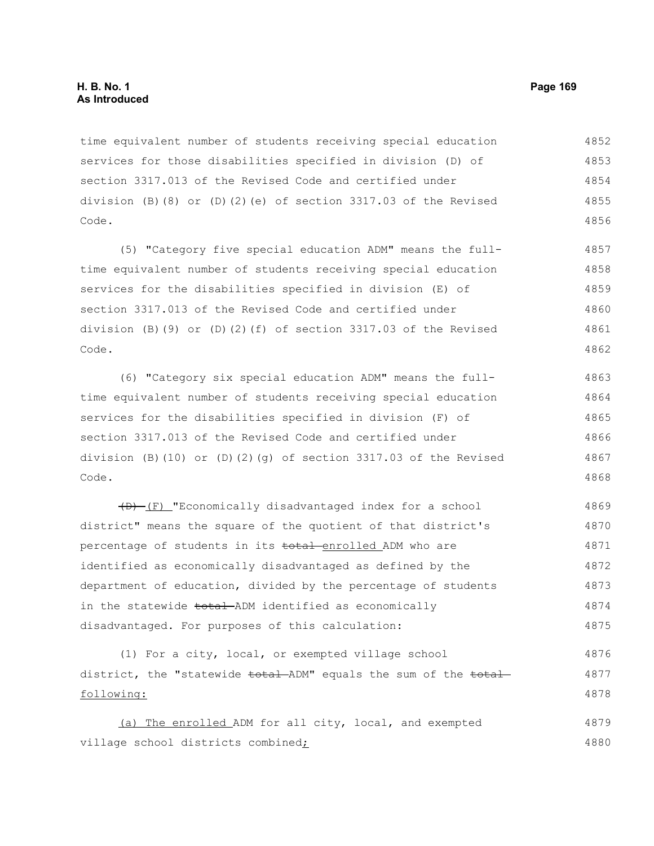time equivalent number of students receiving special education services for those disabilities specified in division (D) of section 3317.013 of the Revised Code and certified under division (B)(8) or (D)(2)(e) of section 3317.03 of the Revised Code. 4852 4853 4854 4855 4856

(5) "Category five special education ADM" means the fulltime equivalent number of students receiving special education services for the disabilities specified in division (E) of section 3317.013 of the Revised Code and certified under division (B)(9) or (D)(2)(f) of section 3317.03 of the Revised Code. 4857 4858 4859 4860 4861 4862

(6) "Category six special education ADM" means the fulltime equivalent number of students receiving special education services for the disabilities specified in division (F) of section 3317.013 of the Revised Code and certified under division (B)(10) or (D)(2)(q) of section 3317.03 of the Revised Code. 4863 4864 4865 4866 4867 4868

(D) (F) "Economically disadvantaged index for a school district" means the square of the quotient of that district's percentage of students in its total-enrolled ADM who are identified as economically disadvantaged as defined by the department of education, divided by the percentage of students in the statewide total ADM identified as economically disadvantaged. For purposes of this calculation: 4869 4870 4871 4872 4873 4874 4875

(1) For a city, local, or exempted village school district, the "statewide <del>total</del> ADM" equals the sum of the total following: 4876 4877 4878

(a) The enrolled ADM for all city, local, and exempted village school districts combined; 4879 4880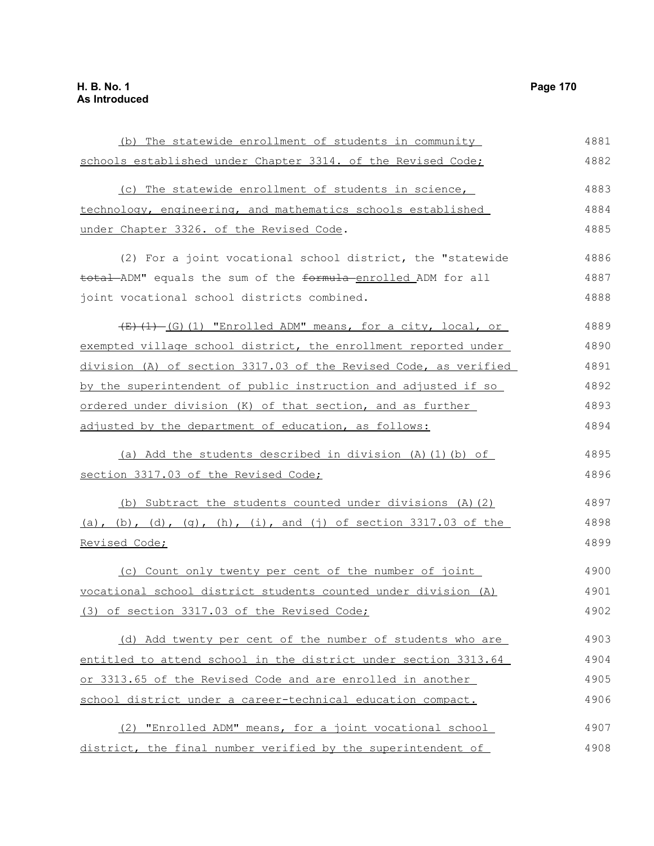(b) The statewide enrollment of students in community schools established under Chapter 3314. of the Revised Code; (c) The statewide enrollment of students in science, technology, engineering, and mathematics schools established under Chapter 3326. of the Revised Code. (2) For a joint vocational school district, the "statewide total ADM" equals the sum of the formula enrolled ADM for all joint vocational school districts combined.  $(E)$ (1) (G)(1) "Enrolled ADM" means, for a city, local, or exempted village school district, the enrollment reported under division (A) of section 3317.03 of the Revised Code, as verified by the superintendent of public instruction and adjusted if so ordered under division (K) of that section, and as further adjusted by the department of education, as follows: (a) Add the students described in division (A)(1)(b) of section 3317.03 of the Revised Code; (b) Subtract the students counted under divisions (A)(2) (a), (b), (d), (q), (h), (i), and (j) of section 3317.03 of the Revised Code; (c) Count only twenty per cent of the number of joint vocational school district students counted under division (A) (3) of section 3317.03 of the Revised Code; (d) Add twenty per cent of the number of students who are entitled to attend school in the district under section 3313.64 or 3313.65 of the Revised Code and are enrolled in another school district under a career-technical education compact. (2) "Enrolled ADM" means, for a joint vocational school district, the final number verified by the superintendent of 4881 4882 4883 4884 4885 4886 4887 4888 4889 4890 4891 4892 4893 4894 4895 4896 4897 4898 4899 4900 4901 4902 4903 4904 4905 4906 4907 4908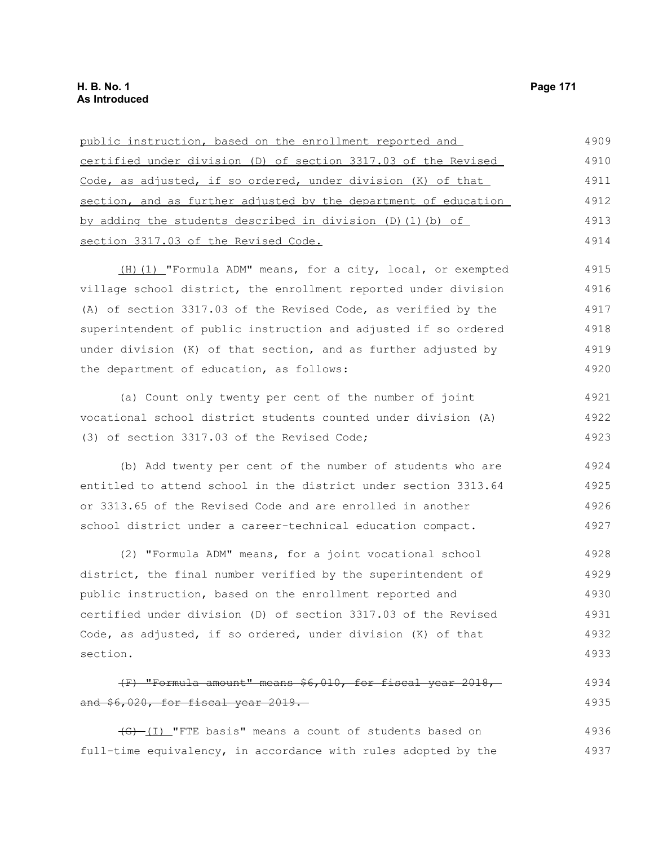| public instruction, based on the enrollment reported and          | 4909 |
|-------------------------------------------------------------------|------|
| certified under division (D) of section 3317.03 of the Revised    | 4910 |
| Code, as adjusted, if so ordered, under division (K) of that      | 4911 |
| section, and as further adjusted by the department of education   | 4912 |
| by adding the students described in division $(D)$ $(1)$ $(b)$ of | 4913 |
| section 3317.03 of the Revised Code.                              | 4914 |
| (H) (1) "Formula ADM" means, for a city, local, or exempted       | 4915 |
| village school district, the enrollment reported under division   | 4916 |
| (A) of section 3317.03 of the Revised Code, as verified by the    | 4917 |
| superintendent of public instruction and adjusted if so ordered   | 4918 |
| under division (K) of that section, and as further adjusted by    | 4919 |
| the department of education, as follows:                          | 4920 |
| (a) Count only twenty per cent of the number of joint             | 4921 |
| vocational school district students counted under division (A)    | 4922 |
| (3) of section 3317.03 of the Revised Code;                       | 4923 |
| (b) Add twenty per cent of the number of students who are         | 4924 |
| entitled to attend school in the district under section 3313.64   | 4925 |
| or 3313.65 of the Revised Code and are enrolled in another        | 4926 |
| school district under a career-technical education compact.       | 4927 |

(2) "Formula ADM" means, for a joint vocational school district, the final number verified by the superintendent of public instruction, based on the enrollment reported and certified under division (D) of section 3317.03 of the Revised Code, as adjusted, if so ordered, under division (K) of that section. 4928 4929 4930 4931 4932 4933

### (F) "Formula amount" means \$6,010, for fiscal year 2018, and \$6,020, for fiscal year 2019. 4934 4935

(G) (I) "FTE basis" means a count of students based on full-time equivalency, in accordance with rules adopted by the 4936 4937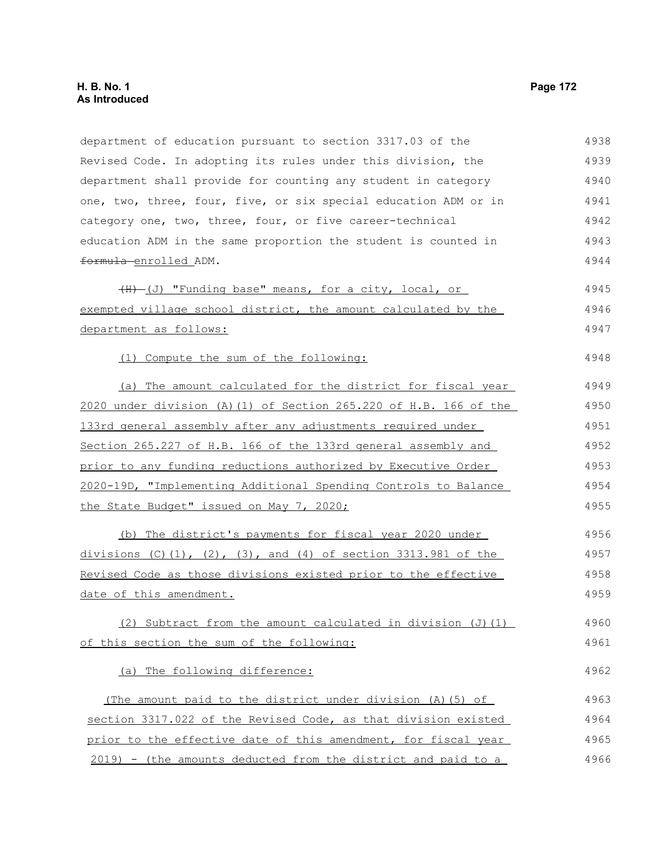department of education pursuant to section 3317.03 of the Revised Code. In adopting its rules under this division, the department shall provide for counting any student in category one, two, three, four, five, or six special education ADM or in category one, two, three, four, or five career-technical education ADM in the same proportion the student is counted in formula enrolled ADM.  $(H)$  (J) "Funding base" means, for a city, local, or exempted village school district, the amount calculated by the department as follows: (1) Compute the sum of the following: (a) The amount calculated for the district for fiscal year 2020 under division (A)(1) of Section 265.220 of H.B. 166 of the 133rd general assembly after any adjustments required under Section 265.227 of H.B. 166 of the 133rd general assembly and prior to any funding reductions authorized by Executive Order 2020-19D, "Implementing Additional Spending Controls to Balance the State Budget" issued on May 7, 2020; (b) The district's payments for fiscal year 2020 under divisions  $(C)$ (1), (2), (3), and (4) of section 3313.981 of the Revised Code as those divisions existed prior to the effective date of this amendment. (2) Subtract from the amount calculated in division  $(J)$  (1) of this section the sum of the following: (a) The following difference: (The amount paid to the district under division (A)(5) of section 3317.022 of the Revised Code, as that division existed prior to the effective date of this amendment, for fiscal year 2019) - (the amounts deducted from the district and paid to a 4938 4939 4940 4941 4942 4943 4944 4945 4946 4947 4948 4949 4950 4951 4952 4953 4954 4955 4956 4957 4958 4959 4960 4961 4962 4963 4964 4965 4966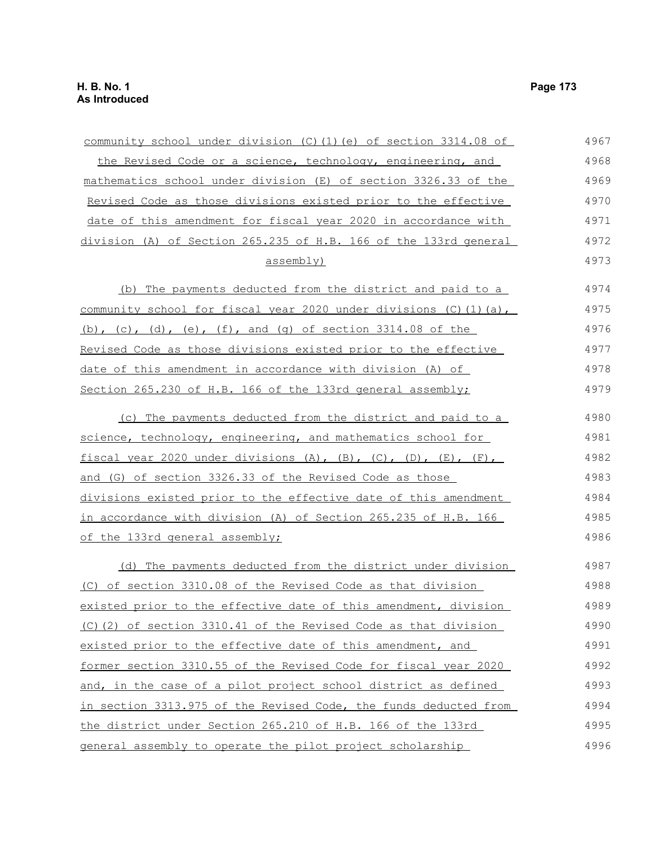| community school under division (C) (1) (e) of section 3314.08 of                | 4967 |
|----------------------------------------------------------------------------------|------|
| the Revised Code or a science, technology, engineering, and                      | 4968 |
| mathematics school under division (E) of section 3326.33 of the                  | 4969 |
| Revised Code as those divisions existed prior to the effective                   | 4970 |
| date of this amendment for fiscal year 2020 in accordance with                   | 4971 |
| division (A) of Section 265.235 of H.B. 166 of the 133rd general                 | 4972 |
| assembly)                                                                        | 4973 |
| (b) The payments deducted from the district and paid to a                        | 4974 |
| community school for fiscal year 2020 under divisions (C) (1) (a),               | 4975 |
| (b), (c), (d), (e), (f), and (g) of section $3314.08$ of the                     | 4976 |
| Revised Code as those divisions existed prior to the effective                   | 4977 |
| date of this amendment in accordance with division (A) of                        | 4978 |
| Section 265.230 of H.B. 166 of the 133rd general assembly;                       | 4979 |
| (c) The payments deducted from the district and paid to a                        | 4980 |
| science, technology, engineering, and mathematics school for                     | 4981 |
| fiscal year 2020 under divisions $(A)$ , $(B)$ , $(C)$ , $(D)$ , $(E)$ , $(F)$ , | 4982 |
| and (G) of section 3326.33 of the Revised Code as those                          | 4983 |
| divisions existed prior to the effective date of this amendment                  | 4984 |
| in accordance with division (A) of Section 265.235 of H.B. 166                   | 4985 |
| of the 133rd general assembly;                                                   | 4986 |
| (d) The payments deducted from the district under division                       | 4987 |
| (C) of section 3310.08 of the Revised Code as that division                      | 4988 |
| existed prior to the effective date of this amendment, division                  | 4989 |
| (C) (2) of section 3310.41 of the Revised Code as that division                  | 4990 |
| existed prior to the effective date of this amendment, and                       | 4991 |
| former section 3310.55 of the Revised Code for fiscal year 2020                  | 4992 |
| and, in the case of a pilot project school district as defined                   | 4993 |
| in section 3313.975 of the Revised Code, the funds deducted from                 | 4994 |
| the district under Section 265.210 of H.B. 166 of the 133rd                      | 4995 |
| general assembly to operate the pilot project scholarship                        | 4996 |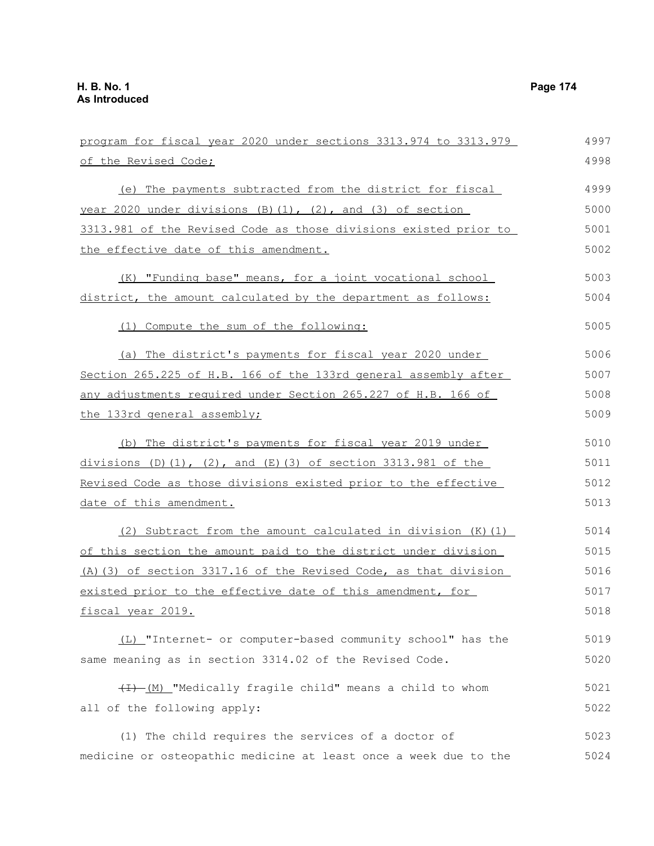| program for fiscal year 2020 under sections 3313.974 to 3313.979       | 4997 |
|------------------------------------------------------------------------|------|
| of the Revised Code;                                                   | 4998 |
| (e) The payments subtracted from the district for fiscal               | 4999 |
| year 2020 under divisions $(B)$ $(1)$ , $(2)$ , and $(3)$ of section   | 5000 |
| 3313.981 of the Revised Code as those divisions existed prior to       | 5001 |
| the effective date of this amendment.                                  | 5002 |
| (K) "Funding base" means, for a joint vocational school                | 5003 |
| district, the amount calculated by the department as follows:          | 5004 |
| (1) Compute the sum of the following:                                  | 5005 |
| (a) The district's payments for fiscal year 2020 under                 | 5006 |
| Section 265.225 of H.B. 166 of the 133rd general assembly after        | 5007 |
| any adjustments required under Section 265.227 of H.B. 166 of          | 5008 |
| the 133rd general assembly;                                            | 5009 |
| (b) The district's payments for fiscal year 2019 under                 | 5010 |
| $divisions (D) (1)$ , $(2)$ , and $(E) (3)$ of section 3313.981 of the | 5011 |
| Revised Code as those divisions existed prior to the effective         | 5012 |
| date of this amendment.                                                | 5013 |
| (2) Subtract from the amount calculated in division (K) (1)            | 5014 |
| of this section the amount paid to the district under division         | 5015 |
| (A) (3) of section 3317.16 of the Revised Code, as that division       | 5016 |
| existed prior to the effective date of this amendment, for             | 5017 |
| <u>fiscal year 2019.</u>                                               | 5018 |
| (L) "Internet- or computer-based community school" has the             | 5019 |
| same meaning as in section 3314.02 of the Revised Code.                | 5020 |
| (I) -(M) "Medically fragile child" means a child to whom               | 5021 |
| all of the following apply:                                            | 5022 |
| (1) The child requires the services of a doctor of                     | 5023 |
| medicine or osteopathic medicine at least once a week due to the       | 5024 |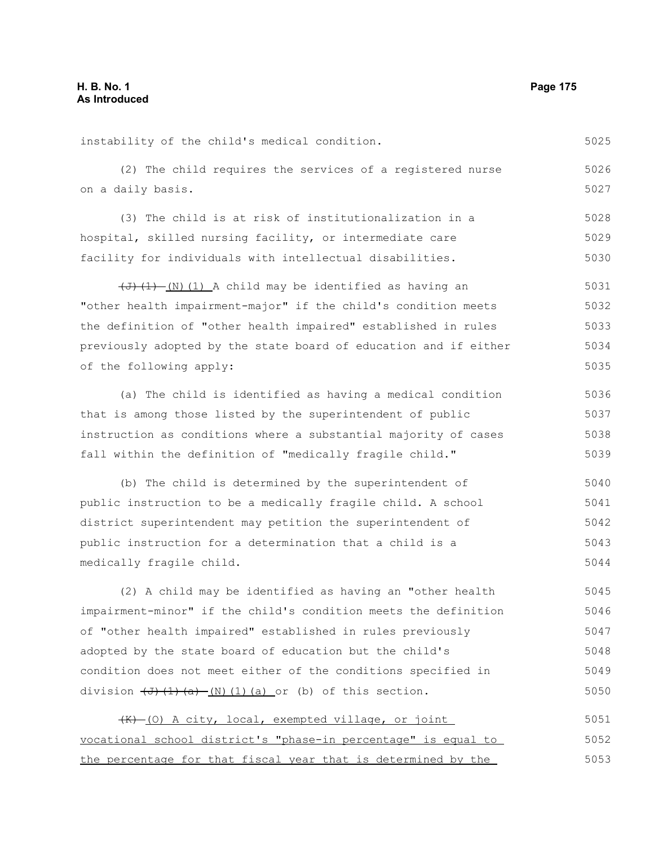instability of the child's medical condition. (2) The child requires the services of a registered nurse on a daily basis. (3) The child is at risk of institutionalization in a hospital, skilled nursing facility, or intermediate care 5025 5026 5027 5028 5029

facility for individuals with intellectual disabilities. 5030

 $(\overline{J} + (\overline{J}) \cdot (1)$  (1) A child may be identified as having an "other health impairment-major" if the child's condition meets the definition of "other health impaired" established in rules previously adopted by the state board of education and if either of the following apply: 5031 5032 5033 5034 5035

(a) The child is identified as having a medical condition that is among those listed by the superintendent of public instruction as conditions where a substantial majority of cases fall within the definition of "medically fragile child." 5036 5037 5038 5039

(b) The child is determined by the superintendent of public instruction to be a medically fragile child. A school district superintendent may petition the superintendent of public instruction for a determination that a child is a medically fragile child. 5040 5041 5042 5043 5044

(2) A child may be identified as having an "other health impairment-minor" if the child's condition meets the definition of "other health impaired" established in rules previously adopted by the state board of education but the child's condition does not meet either of the conditions specified in division  $\left(\frac{J}{J}\right)\left(\frac{1}{a}-\frac{N}{l}\right)$  (1)(a) or (b) of this section. 5045 5046 5047 5048 5049 5050

 $(K)$  (O) A city, local, exempted village, or joint vocational school district's "phase-in percentage" is equal to the percentage for that fiscal year that is determined by the 5051 5052 5053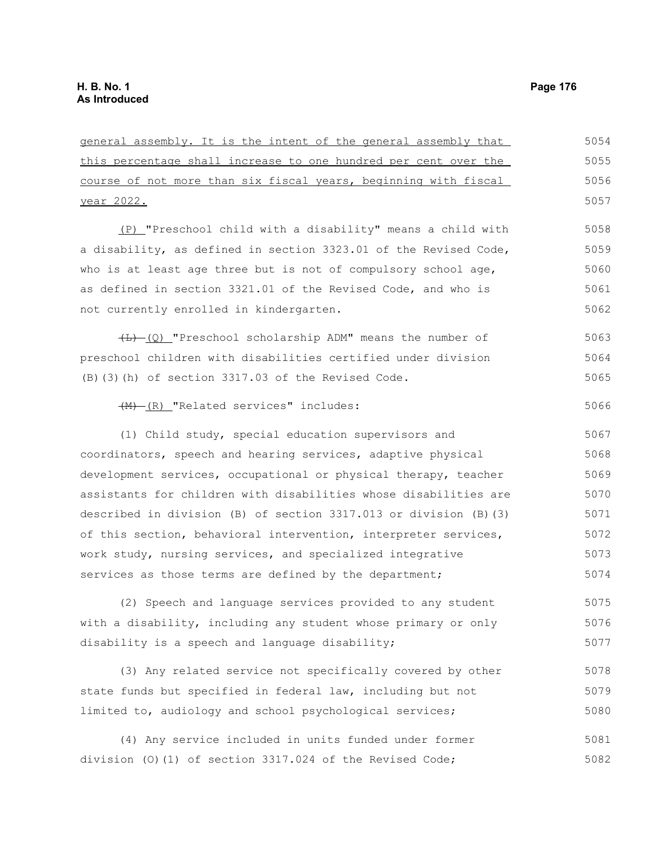general assembly. It is the intent of the general assembly that this percentage shall increase to one hundred per cent over the course of not more than six fiscal years, beginning with fiscal year 2022. (P) "Preschool child with a disability" means a child with a disability, as defined in section 3323.01 of the Revised Code, who is at least age three but is not of compulsory school age, as defined in section 3321.01 of the Revised Code, and who is not currently enrolled in kindergarten. (L) (Q) "Preschool scholarship ADM" means the number of preschool children with disabilities certified under division (B)(3)(h) of section 3317.03 of the Revised Code. (M) (R) "Related services" includes: (1) Child study, special education supervisors and coordinators, speech and hearing services, adaptive physical development services, occupational or physical therapy, teacher assistants for children with disabilities whose disabilities are described in division (B) of section 3317.013 or division (B)(3) of this section, behavioral intervention, interpreter services, work study, nursing services, and specialized integrative services as those terms are defined by the department; (2) Speech and language services provided to any student with a disability, including any student whose primary or only disability is a speech and language disability; (3) Any related service not specifically covered by other state funds but specified in federal law, including but not limited to, audiology and school psychological services; 5054 5055 5056 5057 5058 5059 5060 5061 5062 5063 5064 5065 5066 5067 5068 5069 5070 5071 5072 5073 5074 5075 5076 5077 5078 5079 5080 5081

(4) Any service included in units funded under former division (O)(1) of section 3317.024 of the Revised Code; 5082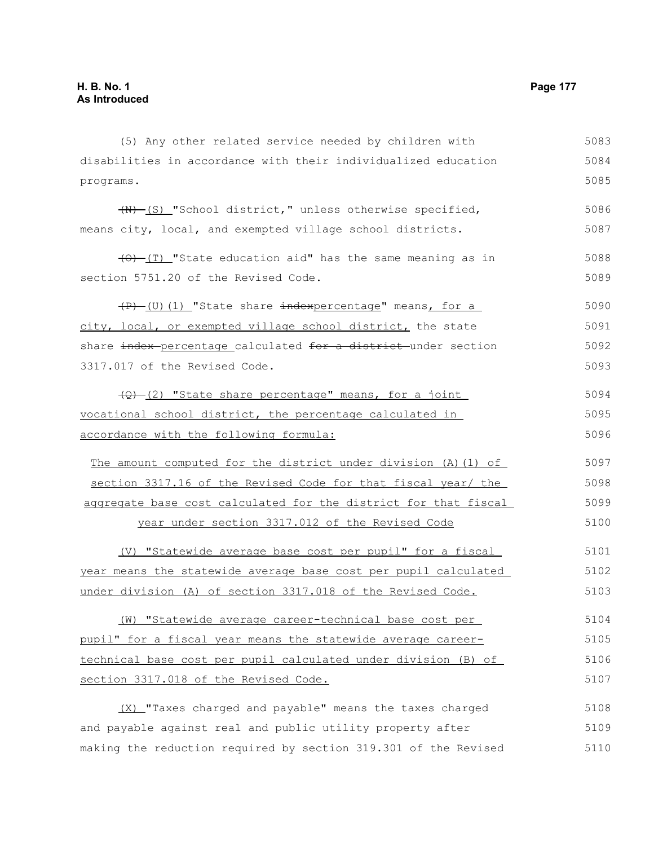(5) Any other related service needed by children with disabilities in accordance with their individualized education programs. (N) (S) "School district," unless otherwise specified, means city, local, and exempted village school districts.  $\overline{(0)}$  (T) "State education aid" has the same meaning as in section 5751.20 of the Revised Code. (P) (U)(1) "State share indexpercentage" means, for a city, local, or exempted village school district, the state share index percentage calculated for a district under section 3317.017 of the Revised Code. (Q) (2) "State share percentage" means, for a joint vocational school district, the percentage calculated in accordance with the following formula: The amount computed for the district under division (A)(1) of section 3317.16 of the Revised Code for that fiscal year/ the aggregate base cost calculated for the district for that fiscal year under section 3317.012 of the Revised Code (V) "Statewide average base cost per pupil" for a fiscal year means the statewide average base cost per pupil calculated under division (A) of section 3317.018 of the Revised Code. (W) "Statewide average career-technical base cost per pupil" for a fiscal year means the statewide average careertechnical base cost per pupil calculated under division (B) of section 3317.018 of the Revised Code. 5083 5084 5085 5086 5087 5088 5089 5090 5091 5092 5093 5094 5095 5096 5097 5098 5099 5100 5101 5102 5103 5104 5105 5106 5107

(X) "Taxes charged and payable" means the taxes charged and payable against real and public utility property after making the reduction required by section 319.301 of the Revised 5108 5109 5110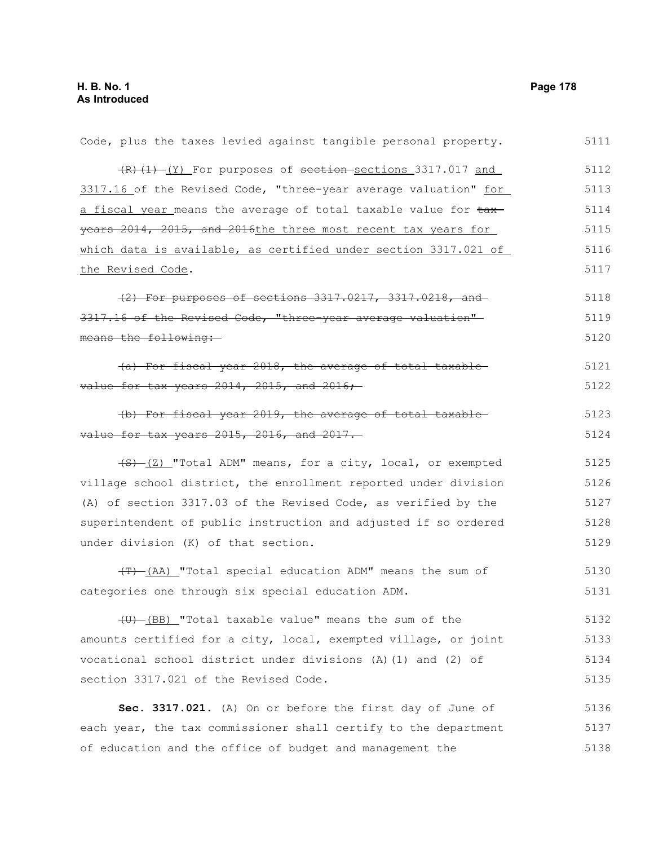| Code, plus the taxes levied against tangible personal property. | 5111 |
|-----------------------------------------------------------------|------|
| (R) (1) (Y) For purposes of section-sections 3317.017 and       | 5112 |
| 3317.16 of the Revised Code, "three-year average valuation" for | 5113 |
| a fiscal year means the average of total taxable value for tax- | 5114 |
| years 2014, 2015, and 2016the three most recent tax years for   | 5115 |
| which data is available, as certified under section 3317.021 of | 5116 |
| the Revised Code.                                               | 5117 |
| (2) For purposes of sections 3317.0217, 3317.0218, and          | 5118 |
| 3317.16 of the Revised Code, "three year average valuation"     | 5119 |
| means the following:                                            | 5120 |
| (a) For fiscal year 2018, the average of total taxable          | 5121 |
| value for tax years $2014$ , $2015$ , and $2016$ ;              | 5122 |
| (b) For fiscal year 2019, the average of total taxable-         | 5123 |
| value for tax years 2015, 2016, and 2017.                       | 5124 |
| $(5)$ $(2)$ "Total ADM" means, for a city, local, or exempted   | 5125 |
| village school district, the enrollment reported under division | 5126 |
| (A) of section 3317.03 of the Revised Code, as verified by the  | 5127 |
| superintendent of public instruction and adjusted if so ordered | 5128 |
| under division (K) of that section.                             | 5129 |
| (F) (AA) "Total special education ADM" means the sum of         | 5130 |
| categories one through six special education ADM.               | 5131 |
| (U) (BB) "Total taxable value" means the sum of the             | 5132 |
| amounts certified for a city, local, exempted village, or joint | 5133 |
| vocational school district under divisions (A)(1) and (2) of    | 5134 |
| section 3317.021 of the Revised Code.                           | 5135 |
| Sec. 3317.021. (A) On or before the first day of June of        | 5136 |
| each year, the tax commissioner shall certify to the department | 5137 |
| of education and the office of budget and management the        | 5138 |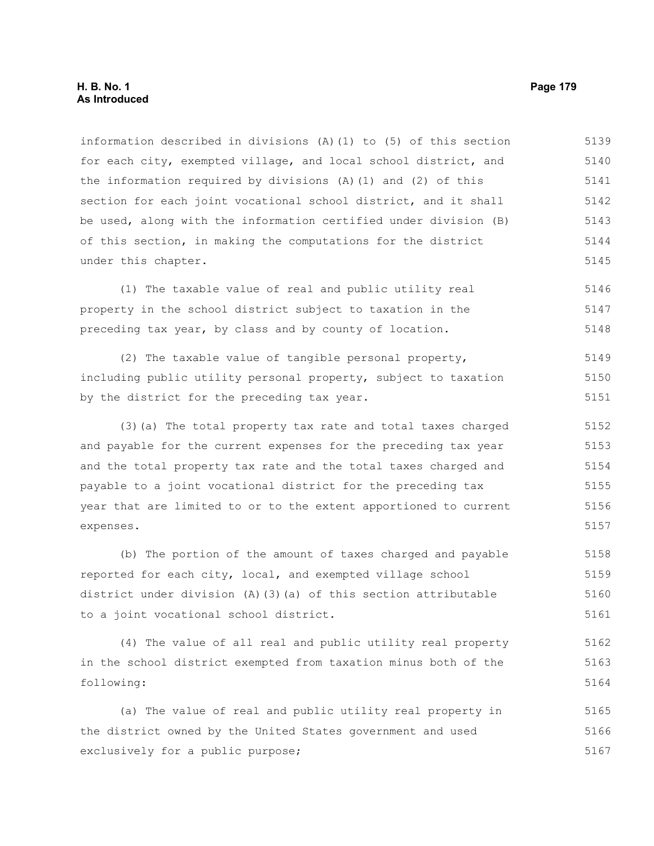information described in divisions (A)(1) to (5) of this section for each city, exempted village, and local school district, and the information required by divisions (A)(1) and (2) of this section for each joint vocational school district, and it shall be used, along with the information certified under division (B) of this section, in making the computations for the district under this chapter. 5139 5140 5141 5142 5143 5144 5145

(1) The taxable value of real and public utility real property in the school district subject to taxation in the preceding tax year, by class and by county of location. 5146 5147 5148

(2) The taxable value of tangible personal property, including public utility personal property, subject to taxation by the district for the preceding tax year. 5149 5150 5151

(3)(a) The total property tax rate and total taxes charged and payable for the current expenses for the preceding tax year and the total property tax rate and the total taxes charged and payable to a joint vocational district for the preceding tax year that are limited to or to the extent apportioned to current expenses. 5152 5153 5154 5155 5156 5157

(b) The portion of the amount of taxes charged and payable reported for each city, local, and exempted village school district under division (A)(3)(a) of this section attributable to a joint vocational school district. 5158 5159 5160 5161

(4) The value of all real and public utility real property in the school district exempted from taxation minus both of the following: 5162 5163 5164

(a) The value of real and public utility real property in the district owned by the United States government and used exclusively for a public purpose; 5165 5166 5167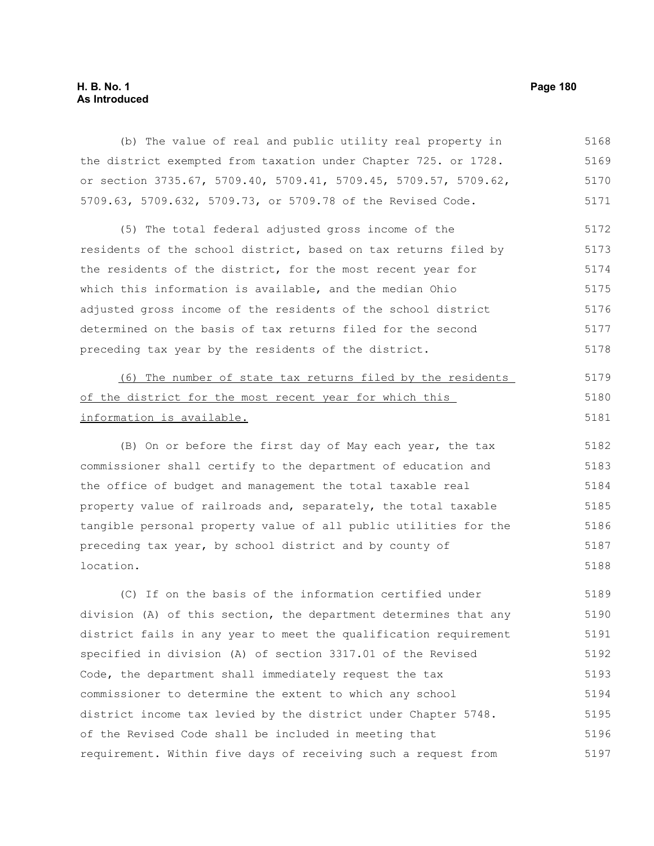## **H. B. No. 1 Page 180 As Introduced**

(b) The value of real and public utility real property in the district exempted from taxation under Chapter 725. or 1728. or section 3735.67, 5709.40, 5709.41, 5709.45, 5709.57, 5709.62, 5709.63, 5709.632, 5709.73, or 5709.78 of the Revised Code. 5168 5169 5170 5171

(5) The total federal adjusted gross income of the residents of the school district, based on tax returns filed by the residents of the district, for the most recent year for which this information is available, and the median Ohio adjusted gross income of the residents of the school district determined on the basis of tax returns filed for the second preceding tax year by the residents of the district. 5172 5173 5174 5175 5176 5177 5178

| (6) The number of state tax returns filed by the residents | 5179 |
|------------------------------------------------------------|------|
| of the district for the most recent year for which this    | 5180 |
| information is available.                                  | 5181 |

(B) On or before the first day of May each year, the tax commissioner shall certify to the department of education and the office of budget and management the total taxable real property value of railroads and, separately, the total taxable tangible personal property value of all public utilities for the preceding tax year, by school district and by county of location. 5182 5183 5184 5185 5186 5187 5188

(C) If on the basis of the information certified under division (A) of this section, the department determines that any district fails in any year to meet the qualification requirement specified in division (A) of section 3317.01 of the Revised Code, the department shall immediately request the tax commissioner to determine the extent to which any school district income tax levied by the district under Chapter 5748. of the Revised Code shall be included in meeting that requirement. Within five days of receiving such a request from 5189 5190 5191 5192 5193 5194 5195 5196 5197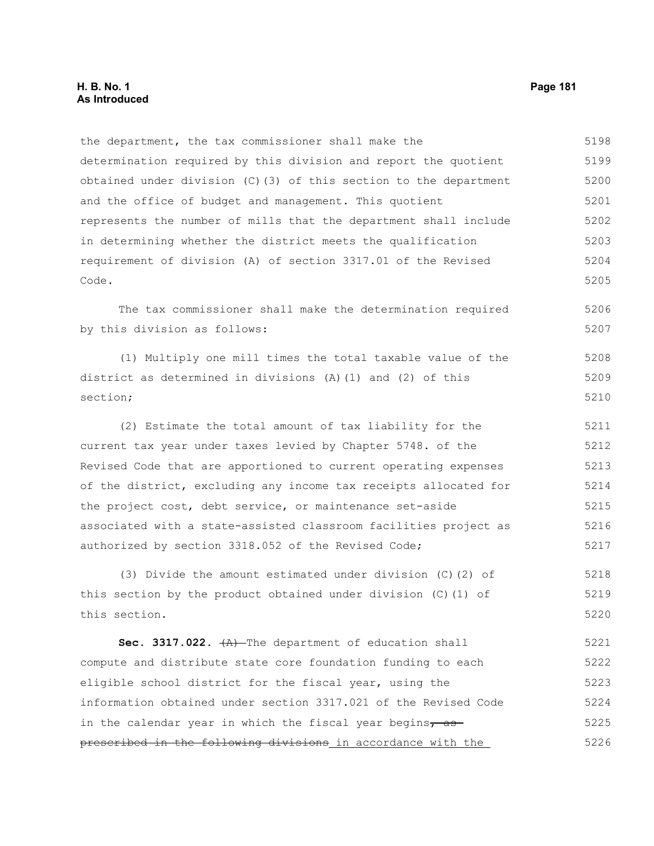the department, the tax commissioner shall make the determination required by this division and report the quotient obtained under division (C)(3) of this section to the department and the office of budget and management. This quotient represents the number of mills that the department shall include in determining whether the district meets the qualification requirement of division (A) of section 3317.01 of the Revised Code. 5198 5199 5200 5201 5202 5203 5204 5205

The tax commissioner shall make the determination required by this division as follows: 5206 5207

(1) Multiply one mill times the total taxable value of the district as determined in divisions (A)(1) and (2) of this section; 5208 5209 5210

(2) Estimate the total amount of tax liability for the current tax year under taxes levied by Chapter 5748. of the Revised Code that are apportioned to current operating expenses of the district, excluding any income tax receipts allocated for the project cost, debt service, or maintenance set-aside associated with a state-assisted classroom facilities project as authorized by section 3318.052 of the Revised Code; 5211 5212 5213 5214 5215 5216 5217

(3) Divide the amount estimated under division (C)(2) of this section by the product obtained under division (C)(1) of this section. 5218 5219 5220

Sec. 3317.022.  $(A)$ -The department of education shall compute and distribute state core foundation funding to each eligible school district for the fiscal year, using the information obtained under section 3317.021 of the Revised Code in the calendar year in which the fiscal year begins $\tau$  as prescribed in the following divisions in accordance with the 5221 5222 5223 5224 5225 5226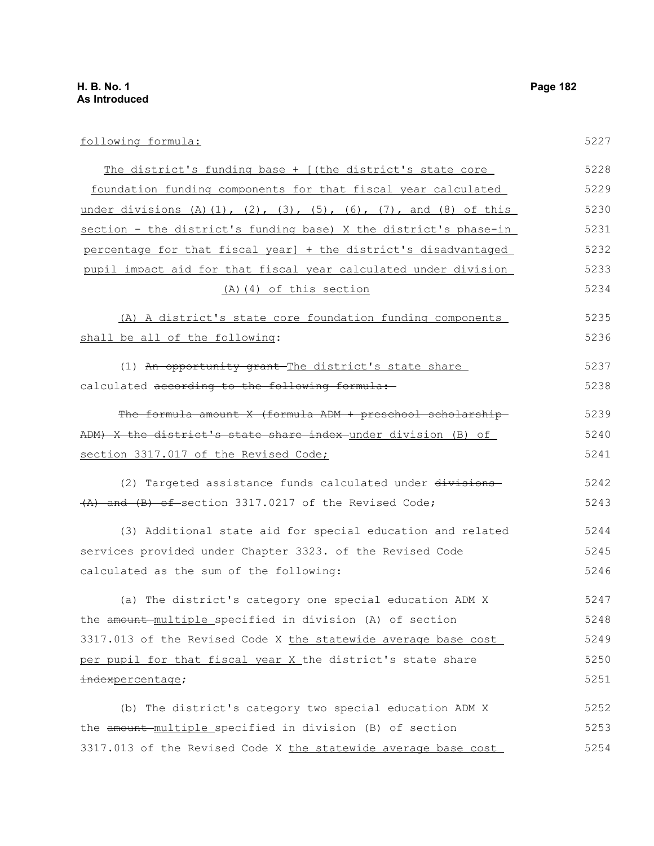| following formula:                                               | 5227 |
|------------------------------------------------------------------|------|
| The district's funding base + [(the district's state core        | 5228 |
| foundation funding components for that fiscal year calculated    | 5229 |
| under divisions (A)(1), (2), (3), (5), (6), (7), and (8) of this | 5230 |
| section - the district's funding base) X the district's phase-in | 5231 |
| percentage for that fiscal year] + the district's disadvantaged  | 5232 |
| pupil impact aid for that fiscal year calculated under division  | 5233 |
| (A) (4) of this section                                          | 5234 |
| (A) A district's state core foundation funding components        | 5235 |
| shall be all of the following:                                   | 5236 |
| (1) An opportunity grant The district's state share              | 5237 |
| calculated according to the following formula:                   | 5238 |
| The formula amount X (formula ADM + preschool scholarship-       | 5239 |
| ADM) X the district's state share index-under division (B) of    | 5240 |
| section 3317.017 of the Revised Code;                            | 5241 |
| (2) Targeted assistance funds calculated under divisions         | 5242 |
| (A) and (B) of section 3317.0217 of the Revised Code;            | 5243 |
| (3) Additional state aid for special education and related       | 5244 |
| services provided under Chapter 3323. of the Revised Code        | 5245 |
| calculated as the sum of the following:                          | 5246 |
| (a) The district's category one special education ADM X          | 5247 |
| the amount multiple specified in division (A) of section         | 5248 |
| 3317.013 of the Revised Code X the statewide average base cost   | 5249 |
| per pupil for that fiscal year X the district's state share      | 5250 |
| indexpercentage;                                                 | 5251 |
| (b) The district's category two special education ADM X          | 5252 |
| the amount multiple specified in division (B) of section         | 5253 |
| 3317.013 of the Revised Code X the statewide average base cost   | 5254 |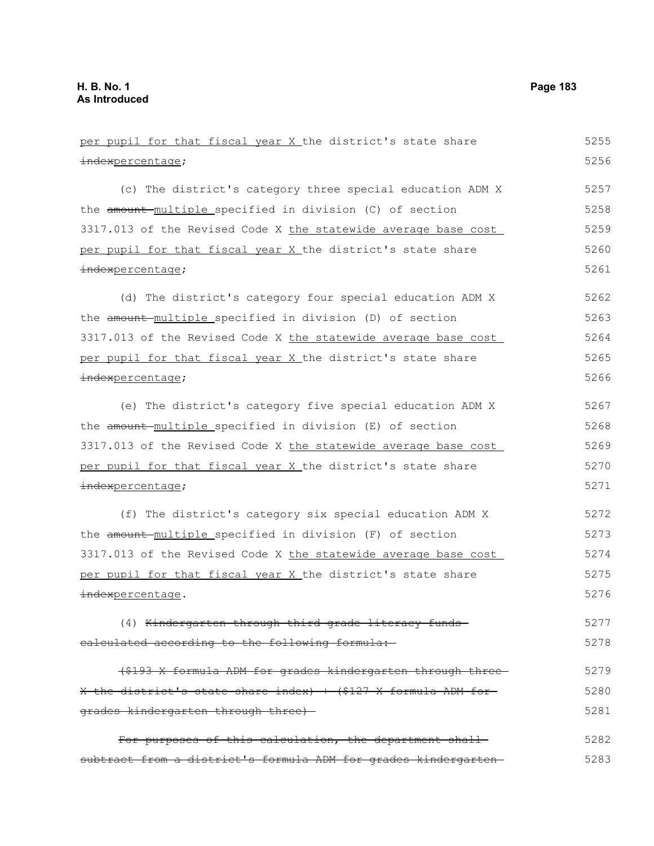| per pupil for that fiscal year X the district's state share     | 5255 |
|-----------------------------------------------------------------|------|
| indexpercentage;                                                | 5256 |
| (c) The district's category three special education ADM X       | 5257 |
| the amount multiple specified in division (C) of section        | 5258 |
| 3317.013 of the Revised Code X the statewide average base cost  | 5259 |
| per pupil for that fiscal year X the district's state share     | 5260 |
| indexpercentage;                                                | 5261 |
| (d) The district's category four special education ADM X        | 5262 |
| the amount-multiple specified in division (D) of section        | 5263 |
| 3317.013 of the Revised Code X the statewide average base cost  | 5264 |
| per pupil for that fiscal year X the district's state share     | 5265 |
| indexpercentage;                                                | 5266 |
| (e) The district's category five special education ADM X        | 5267 |
| the amount multiple specified in division (E) of section        | 5268 |
| 3317.013 of the Revised Code X the statewide average base cost  | 5269 |
| per pupil for that fiscal year X the district's state share     | 5270 |
| indexpercentage;                                                | 5271 |
| (f) The district's category six special education ADM X         | 5272 |
| the amount multiple specified in division (F) of section        | 5273 |
| 3317.013 of the Revised Code X the statewide average base cost  | 5274 |
| per pupil for that fiscal year X the district's state share     | 5275 |
| indexpercentage.                                                | 5276 |
| (4) Kindergarten through third grade literacy funds-            | 5277 |
| ealculated according to the following formula:                  | 5278 |
| (\$193 X formula ADM for grades kindergarten through three-     | 5279 |
| X the district's state share index) + (\$127 X formula ADM for- | 5280 |
| grades kindergarten through three)                              | 5281 |
| For purposes of this calculation, the department shall-         | 5282 |
| subtract from a district's formula ADM for grades kindergarten- | 5283 |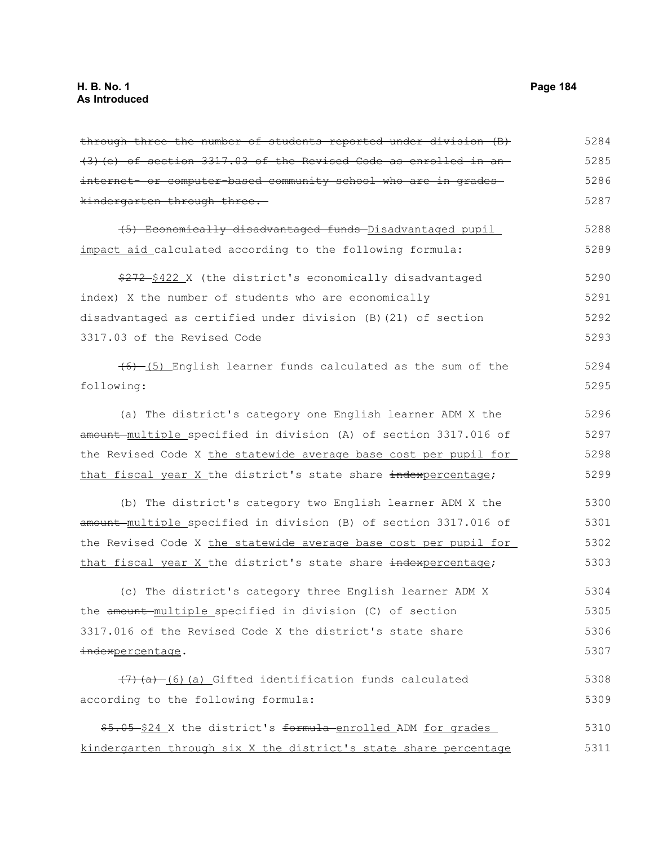| through three the number of students reported under division (B)  | 5284 |
|-------------------------------------------------------------------|------|
| (3) (e) of section 3317.03 of the Revised Code as enrolled in an- | 5285 |
| internet- or computer-based community school who are in grades-   | 5286 |
| kindergarten through three.                                       | 5287 |
| (5) Economically disadvantaged funds Disadvantaged pupil          | 5288 |
| impact aid calculated according to the following formula:         | 5289 |
| \$272-\$422 X (the district's economically disadvantaged          | 5290 |
| index) X the number of students who are economically              | 5291 |
| disadvantaged as certified under division (B) (21) of section     | 5292 |
| 3317.03 of the Revised Code                                       | 5293 |
| $(6)$ (5) English learner funds calculated as the sum of the      | 5294 |
| following:                                                        | 5295 |
| (a) The district's category one English learner ADM X the         | 5296 |
| amount-multiple specified in division (A) of section 3317.016 of  | 5297 |
| the Revised Code X the statewide average base cost per pupil for  | 5298 |
| that fiscal year X the district's state share indexpercentage;    | 5299 |
| (b) The district's category two English learner ADM X the         | 5300 |
| amount-multiple specified in division (B) of section 3317.016 of  | 5301 |
| the Revised Code X the statewide average base cost per pupil for  | 5302 |
| that fiscal year X the district's state share indexpercentage;    | 5303 |
| (c) The district's category three English learner ADM X           | 5304 |
| the amount multiple specified in division (C) of section          | 5305 |
| 3317.016 of the Revised Code X the district's state share         | 5306 |
| indexpercentage.                                                  | 5307 |
| $(7)$ (a) (6) (a) Gifted identification funds calculated          | 5308 |
| according to the following formula:                               | 5309 |
| \$5.05 \$24 X the district's formula-enrolled ADM for grades      | 5310 |
| kindergarten through six X the district's state share percentage  | 5311 |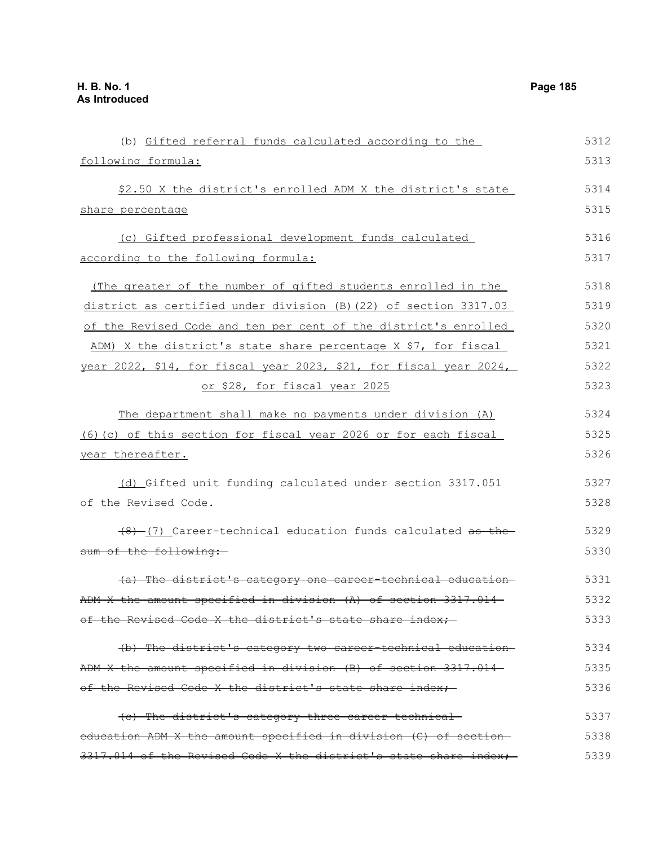(b) Gifted referral funds calculated according to the following formula: \$2.50 X the district's enrolled ADM X the district's state share percentage (c) Gifted professional development funds calculated according to the following formula: (The greater of the number of gifted students enrolled in the district as certified under division (B)(22) of section 3317.03 of the Revised Code and ten per cent of the district's enrolled ADM) X the district's state share percentage X \$7, for fiscal year 2022, \$14, for fiscal year 2023, \$21, for fiscal year 2024, or \$28, for fiscal year 2025 The department shall make no payments under division (A) (6)(c) of this section for fiscal year 2026 or for each fiscal year thereafter. (d) Gifted unit funding calculated under section 3317.051 of the Revised Code.  $(8)$  (7) Career-technical education funds calculated as the sum of the following: (a) The district's category one career-technical education ADM X the amount specified in division (A) of section 3317.014 of the Revised Code X the district's state share index; (b) The district's category two career-technical education ADM X the amount specified in division (B) of section 3317.014 of the Revised Code X the district's state share index;-(c) The district's category three career-technical education ADM X the amount specified in division (C) of section 5312 5313 5314 5315 5316 5317 5318 5319 5320 5321 5322 5323 5324 5325 5326 5327 5328 5329 5330 5331 5332 5333 5334 5335 5336 5337 5338

 $3317.014$  of the Revised Code X the district's state share index;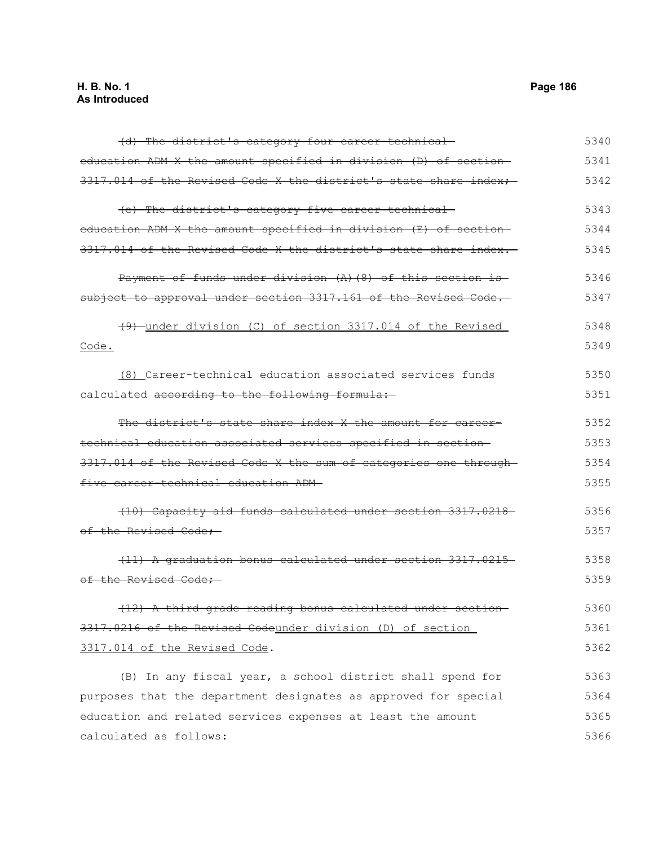| (d) The district's category four career-technical-                | 5340 |
|-------------------------------------------------------------------|------|
| education ADM X the amount specified in division (D) of section-  | 5341 |
| 3317.014 of the Revised Code X the district's state share index:  | 5342 |
| (e) The district's category five career-technical-                | 5343 |
| education ADM X the amount specified in division (E) of section-  | 5344 |
| 3317.014 of the Revised Code X the district's state share index.  | 5345 |
| Payment of funds under division (A) (8) of this section is-       | 5346 |
| subject to approval under section 3317.161 of the Revised Code.   | 5347 |
| (9) under division (C) of section 3317.014 of the Revised         | 5348 |
| Code.                                                             | 5349 |
| (8) Career-technical education associated services funds          | 5350 |
| calculated according to the following formula:                    | 5351 |
| The district's state share index X the amount for career-         | 5352 |
| technical education associated services specified in section-     | 5353 |
| 3317.014 of the Revised Code X the sum of categories one through- | 5354 |
| five career-technical education ADM-                              | 5355 |
| (10) Capacity aid funds calculated under section 3317.0218        | 5356 |
| of the Revised Code;                                              | 5357 |
| (11) A graduation bonus calculated under section 3317.0215        | 5358 |
| of the Revised Code;                                              | 5359 |
| .<br>(12) A third-grade reading bonus calculated under section-   | 5360 |
| 3317.0216 of the Revised Codeunder division (D) of section        | 5361 |
| 3317.014 of the Revised Code.                                     | 5362 |
| (B) In any fiscal year, a school district shall spend for         | 5363 |
| purposes that the department designates as approved for special   | 5364 |
| education and related services expenses at least the amount       | 5365 |
| calculated as follows:                                            | 5366 |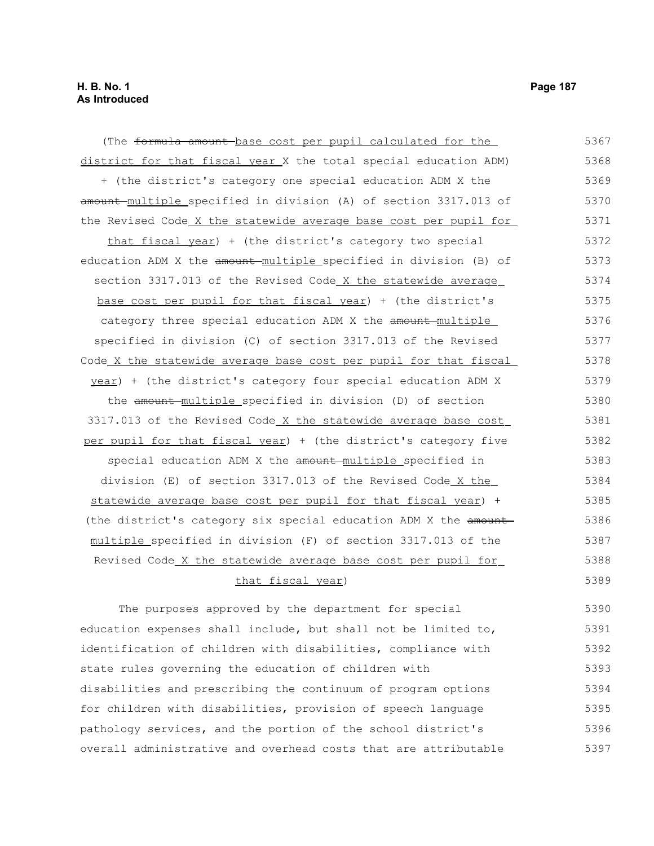(The formula amount base cost per pupil calculated for the district for that fiscal year X the total special education ADM) + (the district's category one special education ADM X the amount multiple specified in division (A) of section 3317.013 of the Revised Code X the statewide average base cost per pupil for that fiscal year) + (the district's category two special education ADM X the amount multiple specified in division (B) of section 3317.013 of the Revised Code X the statewide average base cost per pupil for that fiscal year) + (the district's category three special education ADM X the amount multiple specified in division (C) of section 3317.013 of the Revised Code X the statewide average base cost per pupil for that fiscal year) + (the district's category four special education ADM X the amount multiple specified in division (D) of section 3317.013 of the Revised Code X the statewide average base cost per pupil for that fiscal year) + (the district's category five special education ADM X the amount multiple specified in division (E) of section 3317.013 of the Revised Code X the statewide average base cost per pupil for that fiscal year) + (the district's category six special education ADM X the amount multiple specified in division (F) of section 3317.013 of the Revised Code X the statewide average base cost per pupil for that fiscal year) 5367 5368 5369 5370 5371 5372 5373 5374 5375 5376 5377 5378 5379 5380 5381 5382 5383 5384 5385 5386 5387 5388 5389

The purposes approved by the department for special education expenses shall include, but shall not be limited to, identification of children with disabilities, compliance with state rules governing the education of children with disabilities and prescribing the continuum of program options for children with disabilities, provision of speech language pathology services, and the portion of the school district's overall administrative and overhead costs that are attributable 5390 5391 5392 5393 5394 5395 5396 5397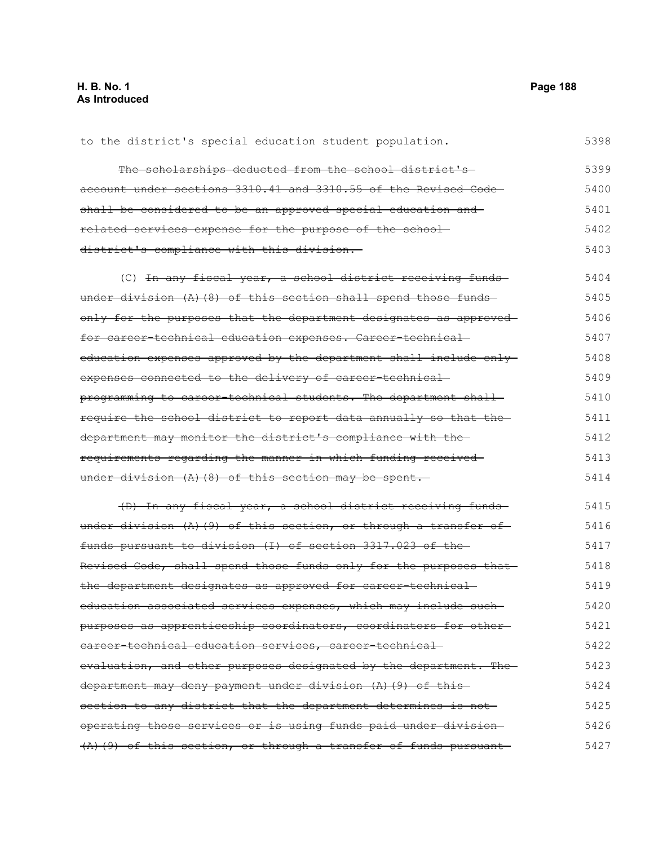| to the district's special education student population.            | 5398 |
|--------------------------------------------------------------------|------|
| The scholarships deducted from the school district's-              | 5399 |
| account under sections 3310.41 and 3310.55 of the Revised Code-    | 5400 |
| shall be considered to be an approved special education and        | 5401 |
| related services expense for the purpose of the school-            | 5402 |
| district's compliance with this division.                          | 5403 |
| (C) In any fiscal year, a school district receiving funds          | 5404 |
| under division (A) (8) of this section shall spend those funds     | 5405 |
| only for the purposes that the department designates as approved   | 5406 |
| for career-technical education expenses. Career-technical-         | 5407 |
| education expenses approved by the department shall include only-  | 5408 |
| expenses connected to the delivery of career-technical-            | 5409 |
| programming to career-technical students. The department shall-    | 5410 |
| require the school district to report data annually so that the    | 5411 |
| department may monitor the district's compliance with the-         | 5412 |
| requirements regarding the manner in which funding received        | 5413 |
| under division $(A)$ $(8)$ of this section may be spent.           | 5414 |
| (D) In any fiscal year, a school district receiving funds-         | 5415 |
| under division $(A)$ (9) of this section, or through a transfer of | 5416 |
| funds pursuant to division (I) of section 3317.023 of the-         | 5417 |
| Revised Code, shall spend those funds only for the purposes that   | 5418 |
| the department designates as approved for career-technical-        | 5419 |
| education associated services expenses, which may include such-    | 5420 |
| purposes as apprenticeship coordinators, coordinators for other-   | 5421 |
| eareer technical education services, career technical              | 5422 |
| evaluation, and other purposes designated by the department. The   | 5423 |
| department may deny payment under division (A) (9) of this-        | 5424 |
| section to any district that the department determines is not      | 5425 |
| operating those services or is using funds paid under division-    | 5426 |
| $(A)$ (9) of this section, or through a transfer of funds pursuant | 5427 |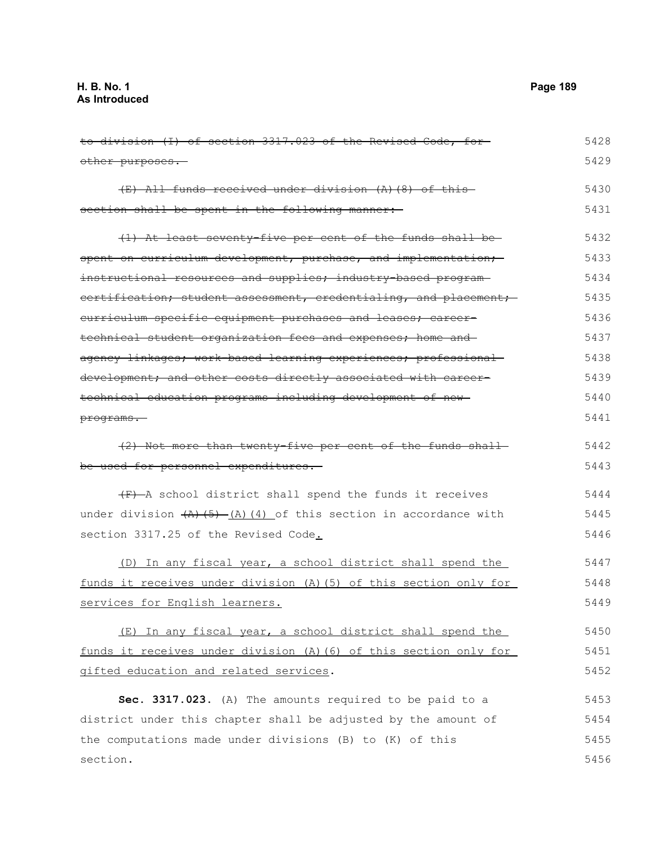to division (I) of section 3317.023 of the Revised Code, for other purposes. (E) All funds received under division (A)(8) of this section shall be spent in the following manner: (1) At least seventy-five per cent of the funds shall be spent on curriculum development, purchase, and implementation; instructional resources and supplies; industry-based programcertification; student assessment, credentialing, and placement; curriculum specific equipment purchases and leases; careertechnical student organization fees and expenses; home and agency linkages; work-based learning experiences; professionaldevelopment; and other costs directly associated with careertechnical education programs including development of new programs. (2) Not more than twenty-five per cent of the funds shall be used for personnel expenditures.  $(F)$  -A school district shall spend the funds it receives under division  $(A)$  (5) (A)(4) of this section in accordance with section 3317.25 of the Revised Code. (D) In any fiscal year, a school district shall spend the funds it receives under division (A)(5) of this section only for services for English learners. (E) In any fiscal year, a school district shall spend the funds it receives under division (A)(6) of this section only for gifted education and related services. **Sec. 3317.023.** (A) The amounts required to be paid to a district under this chapter shall be adjusted by the amount of the computations made under divisions (B) to (K) of this section. 5428 5429 5430 5431 5432 5433 5434 5435 5436 5437 5438 5439 5440 5441 5442 5443 5444 5445 5446 5447 5448 5449 5450 5451 5452 5453 5454 5455 5456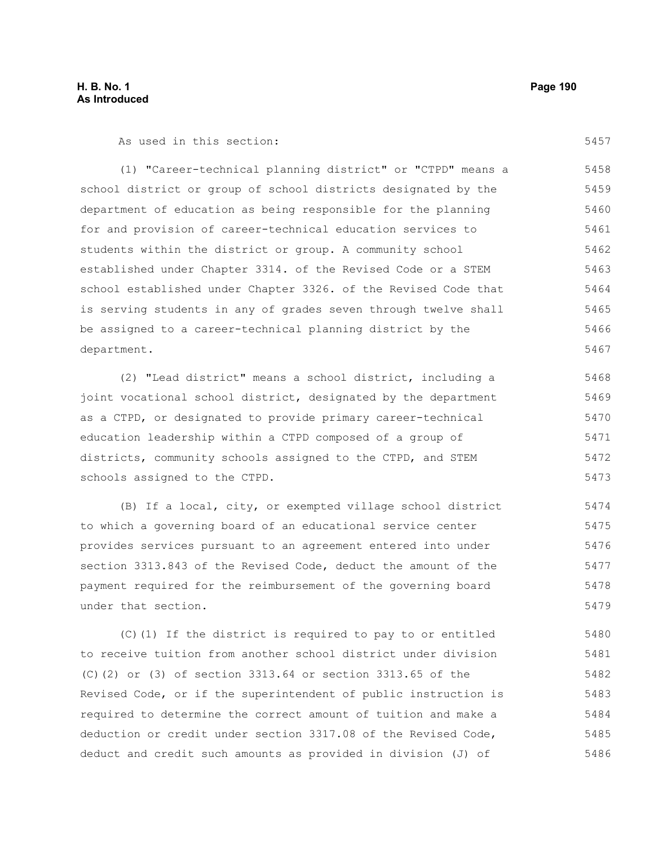As used in this section:

5457

(1) "Career-technical planning district" or "CTPD" means a school district or group of school districts designated by the department of education as being responsible for the planning for and provision of career-technical education services to students within the district or group. A community school established under Chapter 3314. of the Revised Code or a STEM school established under Chapter 3326. of the Revised Code that is serving students in any of grades seven through twelve shall be assigned to a career-technical planning district by the department. 5458 5459 5460 5461 5462 5463 5464 5465 5466 5467

(2) "Lead district" means a school district, including a joint vocational school district, designated by the department as a CTPD, or designated to provide primary career-technical education leadership within a CTPD composed of a group of districts, community schools assigned to the CTPD, and STEM schools assigned to the CTPD. 5468 5469 5470 5471 5472 5473

(B) If a local, city, or exempted village school district to which a governing board of an educational service center provides services pursuant to an agreement entered into under section 3313.843 of the Revised Code, deduct the amount of the payment required for the reimbursement of the governing board under that section. 5474 5475 5476 5477 5478 5479

(C)(1) If the district is required to pay to or entitled to receive tuition from another school district under division (C)(2) or (3) of section 3313.64 or section 3313.65 of the Revised Code, or if the superintendent of public instruction is required to determine the correct amount of tuition and make a deduction or credit under section 3317.08 of the Revised Code, deduct and credit such amounts as provided in division (J) of 5480 5481 5482 5483 5484 5485 5486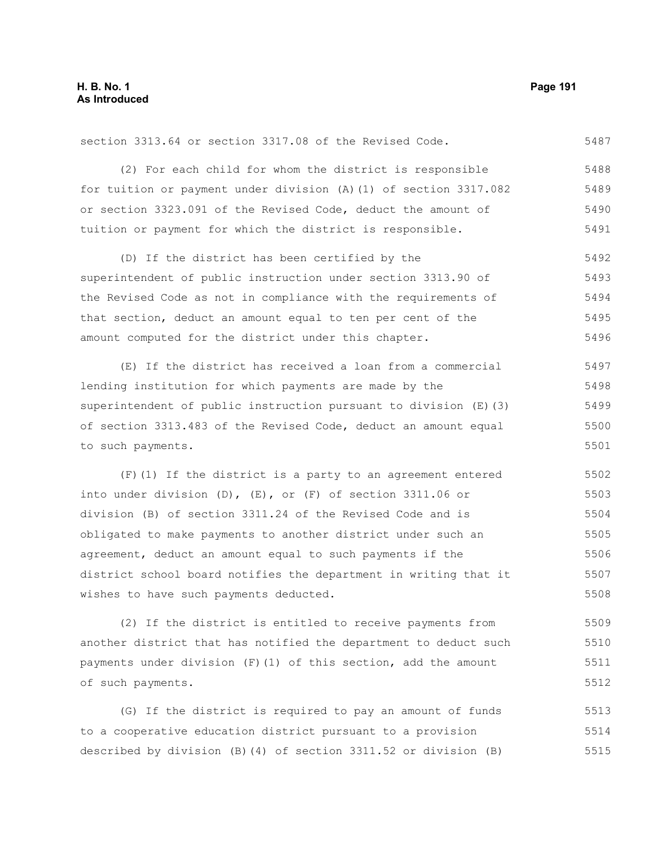5487

section 3313.64 or section 3317.08 of the Revised Code.

(2) For each child for whom the district is responsible for tuition or payment under division (A)(1) of section 3317.082 or section 3323.091 of the Revised Code, deduct the amount of tuition or payment for which the district is responsible. 5488 5489 5490 5491

(D) If the district has been certified by the superintendent of public instruction under section 3313.90 of the Revised Code as not in compliance with the requirements of that section, deduct an amount equal to ten per cent of the amount computed for the district under this chapter. 5492 5493 5494 5495 5496

(E) If the district has received a loan from a commercial lending institution for which payments are made by the superintendent of public instruction pursuant to division (E)(3) of section 3313.483 of the Revised Code, deduct an amount equal to such payments. 5497 5498 5499 5500 5501

(F)(1) If the district is a party to an agreement entered into under division (D), (E), or (F) of section 3311.06 or division (B) of section 3311.24 of the Revised Code and is obligated to make payments to another district under such an agreement, deduct an amount equal to such payments if the district school board notifies the department in writing that it wishes to have such payments deducted. 5502 5503 5504 5505 5506 5507 5508

(2) If the district is entitled to receive payments from another district that has notified the department to deduct such payments under division  $(F)(1)$  of this section, add the amount of such payments. 5509 5510 5511 5512

(G) If the district is required to pay an amount of funds to a cooperative education district pursuant to a provision described by division (B)(4) of section 3311.52 or division (B) 5513 5514 5515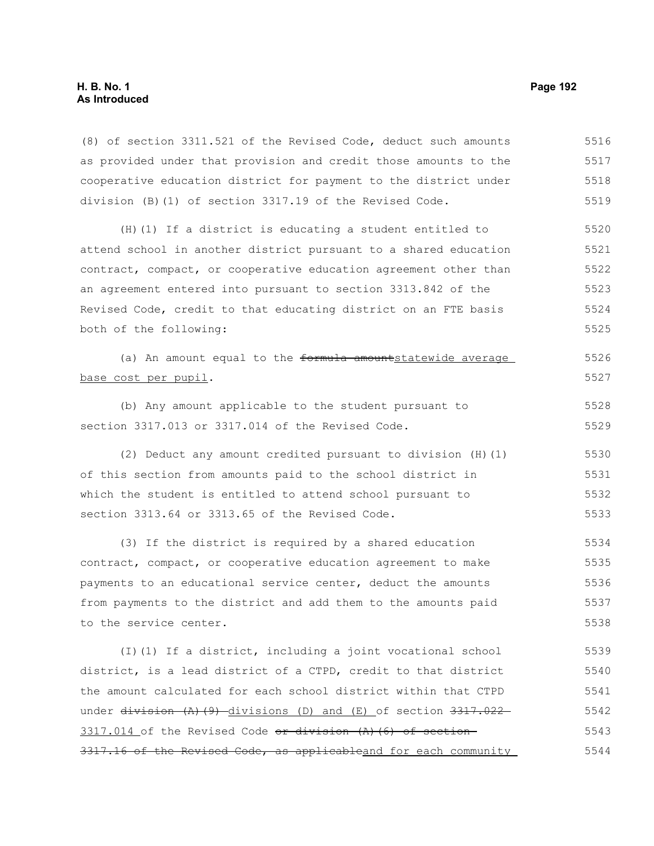(8) of section 3311.521 of the Revised Code, deduct such amounts as provided under that provision and credit those amounts to the cooperative education district for payment to the district under division (B)(1) of section 3317.19 of the Revised Code. 5516 5517 5518 5519

(H)(1) If a district is educating a student entitled to attend school in another district pursuant to a shared education contract, compact, or cooperative education agreement other than an agreement entered into pursuant to section 3313.842 of the Revised Code, credit to that educating district on an FTE basis both of the following: 5520 5521 5522 5523 5524 5525

(a) An amount equal to the formula amountstatewide average base cost per pupil. 5526 5527

(b) Any amount applicable to the student pursuant to section 3317.013 or 3317.014 of the Revised Code. 5528 5529

(2) Deduct any amount credited pursuant to division (H)(1) of this section from amounts paid to the school district in which the student is entitled to attend school pursuant to section 3313.64 or 3313.65 of the Revised Code. 5530 5531 5532 5533

(3) If the district is required by a shared education contract, compact, or cooperative education agreement to make payments to an educational service center, deduct the amounts from payments to the district and add them to the amounts paid to the service center. 5534 5535 5536 5537 5538

(I)(1) If a district, including a joint vocational school district, is a lead district of a CTPD, credit to that district the amount calculated for each school district within that CTPD under division (A)(9) divisions (D) and (E) of section 3317.022 3317.014 of the Revised Code  $\sigma$  division  $(A)$  (6) of section 3317.16 of the Revised Code, as applicableand for each community 5539 5540 5541 5542 5543 5544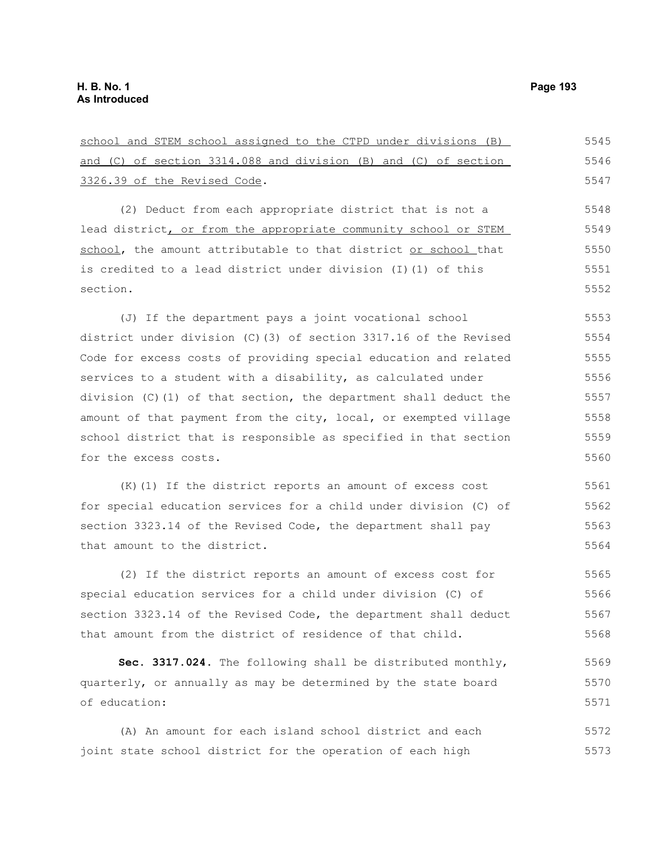school and STEM school assigned to the CTPD under divisions (B) and (C) of section 3314.088 and division (B) and (C) of section 3326.39 of the Revised Code. (2) Deduct from each appropriate district that is not a lead district, or from the appropriate community school or STEM school, the amount attributable to that district or school that is credited to a lead district under division (I)(1) of this section. (J) If the department pays a joint vocational school district under division (C)(3) of section 3317.16 of the Revised Code for excess costs of providing special education and related services to a student with a disability, as calculated under division (C)(1) of that section, the department shall deduct the amount of that payment from the city, local, or exempted village school district that is responsible as specified in that section for the excess costs. 5545 5546 5548 5549 5550 5551 5552 5553 5554 5555 5556 5557 5558 5559 5560

(K)(1) If the district reports an amount of excess cost for special education services for a child under division (C) of section 3323.14 of the Revised Code, the department shall pay that amount to the district. 5562 5563 5564

(2) If the district reports an amount of excess cost for special education services for a child under division (C) of section 3323.14 of the Revised Code, the department shall deduct that amount from the district of residence of that child. 5565 5566 5567 5568

**Sec. 3317.024.** The following shall be distributed monthly, quarterly, or annually as may be determined by the state board of education: 5569 5570 5571

(A) An amount for each island school district and each joint state school district for the operation of each high 5572 5573

5547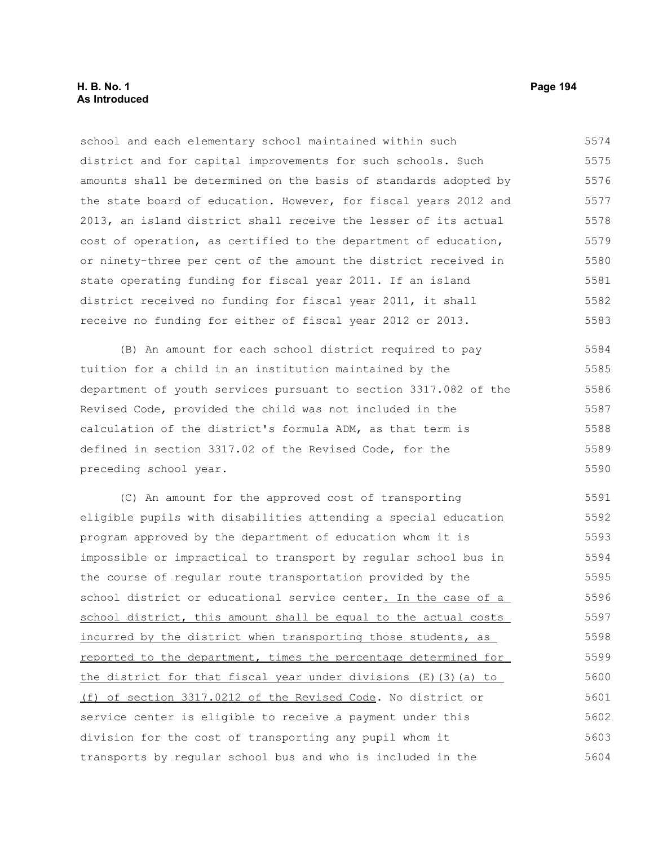school and each elementary school maintained within such district and for capital improvements for such schools. Such amounts shall be determined on the basis of standards adopted by the state board of education. However, for fiscal years 2012 and 2013, an island district shall receive the lesser of its actual cost of operation, as certified to the department of education, or ninety-three per cent of the amount the district received in state operating funding for fiscal year 2011. If an island district received no funding for fiscal year 2011, it shall receive no funding for either of fiscal year 2012 or 2013. 5574 5575 5576 5577 5578 5579 5580 5581 5582 5583

(B) An amount for each school district required to pay tuition for a child in an institution maintained by the department of youth services pursuant to section 3317.082 of the Revised Code, provided the child was not included in the calculation of the district's formula ADM, as that term is defined in section 3317.02 of the Revised Code, for the preceding school year. 5584 5585 5586 5587 5588 5589 5590

(C) An amount for the approved cost of transporting eligible pupils with disabilities attending a special education program approved by the department of education whom it is impossible or impractical to transport by regular school bus in the course of regular route transportation provided by the school district or educational service center. In the case of a school district, this amount shall be equal to the actual costs incurred by the district when transporting those students, as reported to the department, times the percentage determined for the district for that fiscal year under divisions (E)(3)(a) to (f) of section 3317.0212 of the Revised Code. No district or service center is eligible to receive a payment under this division for the cost of transporting any pupil whom it transports by regular school bus and who is included in the 5591 5592 5593 5594 5595 5596 5597 5598 5599 5600 5601 5602 5603 5604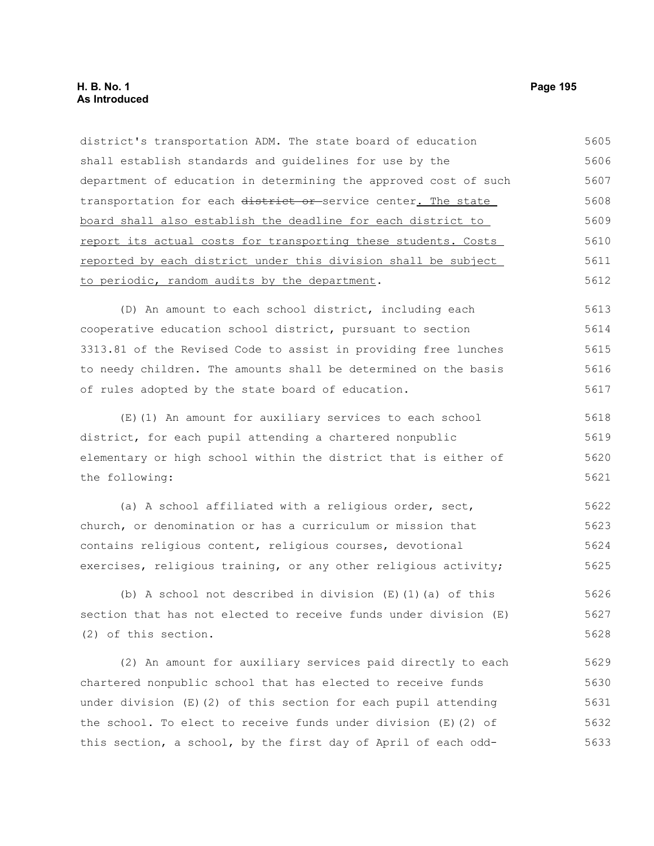# **H. B. No. 1 Page 195 As Introduced**

district's transportation ADM. The state board of education shall establish standards and guidelines for use by the department of education in determining the approved cost of such transportation for each district or service center. The state board shall also establish the deadline for each district to report its actual costs for transporting these students. Costs reported by each district under this division shall be subject to periodic, random audits by the department. (D) An amount to each school district, including each cooperative education school district, pursuant to section 3313.81 of the Revised Code to assist in providing free lunches to needy children. The amounts shall be determined on the basis of rules adopted by the state board of education. (E)(1) An amount for auxiliary services to each school district, for each pupil attending a chartered nonpublic elementary or high school within the district that is either of the following: (a) A school affiliated with a religious order, sect, church, or denomination or has a curriculum or mission that contains religious content, religious courses, devotional exercises, religious training, or any other religious activity; (b) A school not described in division (E)(1)(a) of this section that has not elected to receive funds under division (E) (2) of this section. (2) An amount for auxiliary services paid directly to each chartered nonpublic school that has elected to receive funds under division (E)(2) of this section for each pupil attending the school. To elect to receive funds under division (E)(2) of this section, a school, by the first day of April of each odd-5605 5606 5607 5608 5609 5610 5611 5612 5613 5614 5615 5616 5617 5618 5619 5620 5621 5622 5623 5624 5625 5626 5627 5628 5629 5630 5631 5632 5633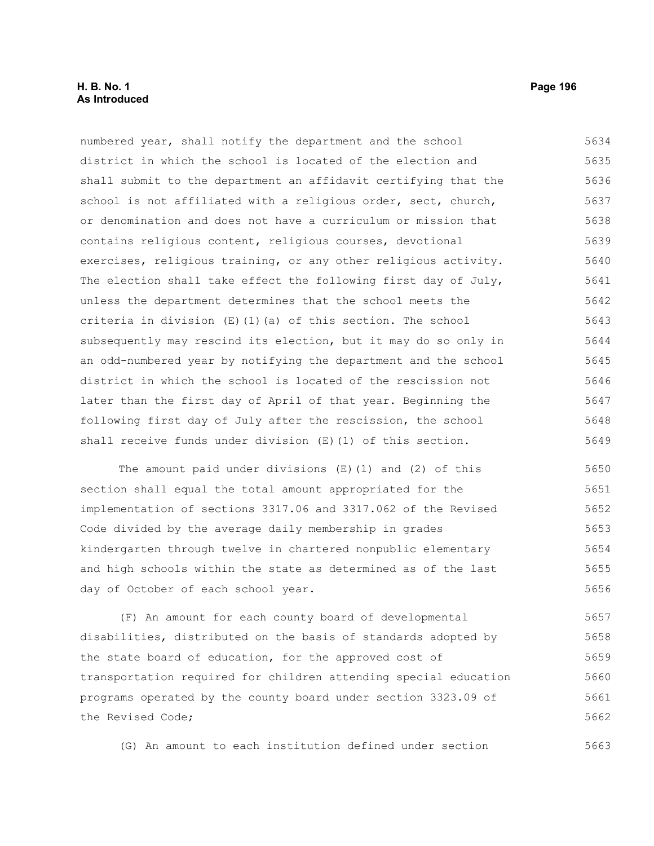# **H. B. No. 1 Page 196 As Introduced**

numbered year, shall notify the department and the school district in which the school is located of the election and shall submit to the department an affidavit certifying that the school is not affiliated with a religious order, sect, church, or denomination and does not have a curriculum or mission that contains religious content, religious courses, devotional exercises, religious training, or any other religious activity. The election shall take effect the following first day of July, unless the department determines that the school meets the criteria in division (E)(1)(a) of this section. The school subsequently may rescind its election, but it may do so only in an odd-numbered year by notifying the department and the school district in which the school is located of the rescission not later than the first day of April of that year. Beginning the following first day of July after the rescission, the school shall receive funds under division (E)(1) of this section. 5634 5635 5636 5637 5638 5639 5640 5641 5642 5643 5644 5645 5646 5647 5648 5649

The amount paid under divisions (E)(1) and (2) of this section shall equal the total amount appropriated for the implementation of sections 3317.06 and 3317.062 of the Revised Code divided by the average daily membership in grades kindergarten through twelve in chartered nonpublic elementary and high schools within the state as determined as of the last day of October of each school year. 5650 5651 5652 5653 5654 5655 5656

(F) An amount for each county board of developmental disabilities, distributed on the basis of standards adopted by the state board of education, for the approved cost of transportation required for children attending special education programs operated by the county board under section 3323.09 of the Revised Code; 5657 5658 5659 5660 5661 5662

(G) An amount to each institution defined under section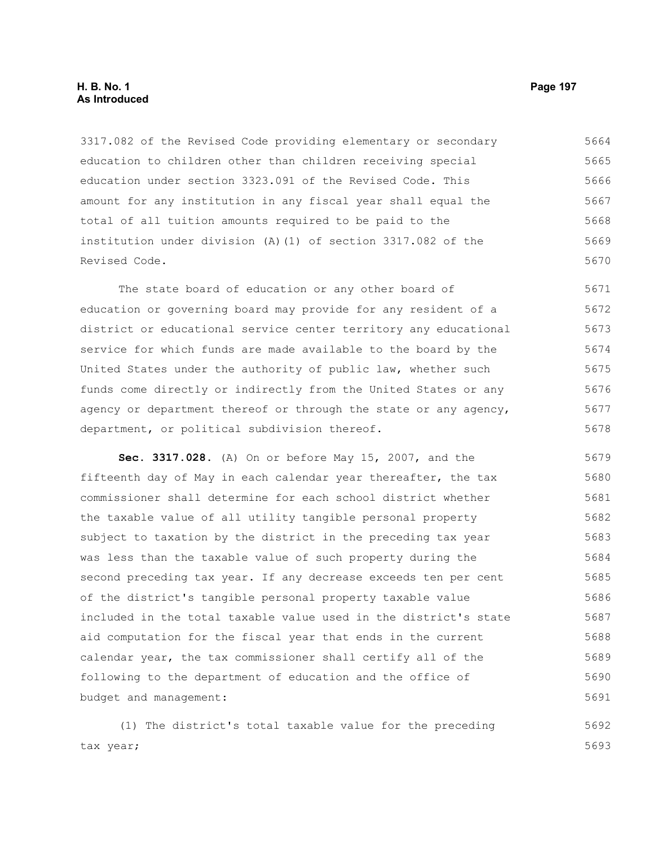# **H. B. No. 1 Page 197 As Introduced**

3317.082 of the Revised Code providing elementary or secondary education to children other than children receiving special education under section 3323.091 of the Revised Code. This amount for any institution in any fiscal year shall equal the total of all tuition amounts required to be paid to the institution under division (A)(1) of section 3317.082 of the Revised Code. 5664 5665 5666 5667 5668 5669 5670

The state board of education or any other board of education or governing board may provide for any resident of a district or educational service center territory any educational service for which funds are made available to the board by the United States under the authority of public law, whether such funds come directly or indirectly from the United States or any agency or department thereof or through the state or any agency, department, or political subdivision thereof. 5671 5672 5673 5674 5675 5676 5677 5678

**Sec. 3317.028.** (A) On or before May 15, 2007, and the fifteenth day of May in each calendar year thereafter, the tax commissioner shall determine for each school district whether the taxable value of all utility tangible personal property subject to taxation by the district in the preceding tax year was less than the taxable value of such property during the second preceding tax year. If any decrease exceeds ten per cent of the district's tangible personal property taxable value included in the total taxable value used in the district's state aid computation for the fiscal year that ends in the current calendar year, the tax commissioner shall certify all of the following to the department of education and the office of budget and management: 5679 5680 5681 5682 5683 5684 5685 5686 5687 5688 5689 5690 5691

(1) The district's total taxable value for the preceding tax year; 5692 5693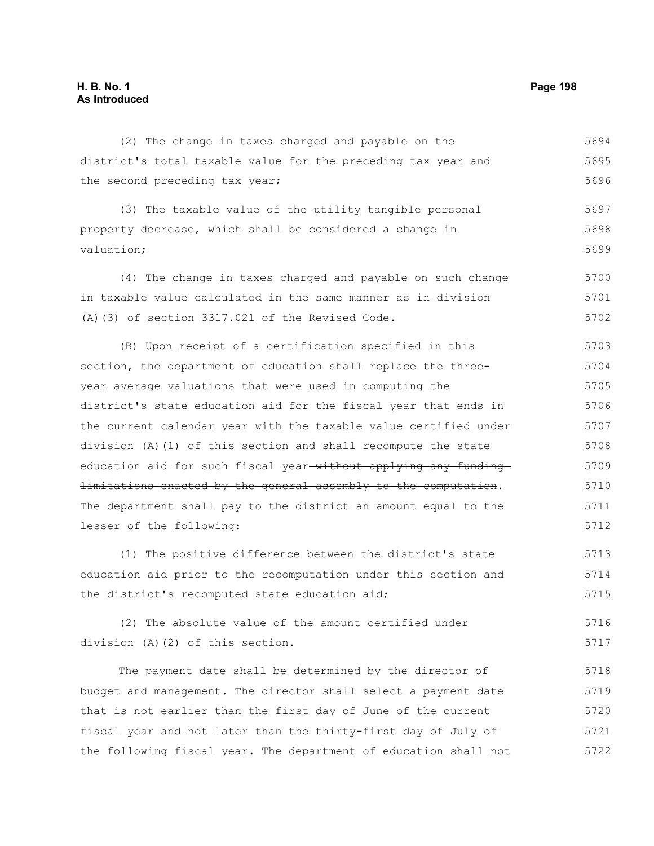#### (2) The change in taxes charged and payable on the district's total taxable value for the preceding tax year and the second preceding tax year; (3) The taxable value of the utility tangible personal property decrease, which shall be considered a change in valuation; (4) The change in taxes charged and payable on such change in taxable value calculated in the same manner as in division (A)(3) of section 3317.021 of the Revised Code. (B) Upon receipt of a certification specified in this section, the department of education shall replace the threeyear average valuations that were used in computing the district's state education aid for the fiscal year that ends in 5694 5695 5696 5697 5698 5699 5700 5701 5702 5703 5704 5705 5706

the current calendar year with the taxable value certified under division (A)(1) of this section and shall recompute the state education aid for such fiscal year-without applying any funding limitations enacted by the general assembly to the computation. The department shall pay to the district an amount equal to the lesser of the following: 5707 5708 5709 5710 5711 5712

(1) The positive difference between the district's state education aid prior to the recomputation under this section and the district's recomputed state education aid; 5713 5714 5715

(2) The absolute value of the amount certified under division (A)(2) of this section. 5716 5717

The payment date shall be determined by the director of budget and management. The director shall select a payment date that is not earlier than the first day of June of the current fiscal year and not later than the thirty-first day of July of the following fiscal year. The department of education shall not 5718 5719 5720 5721 5722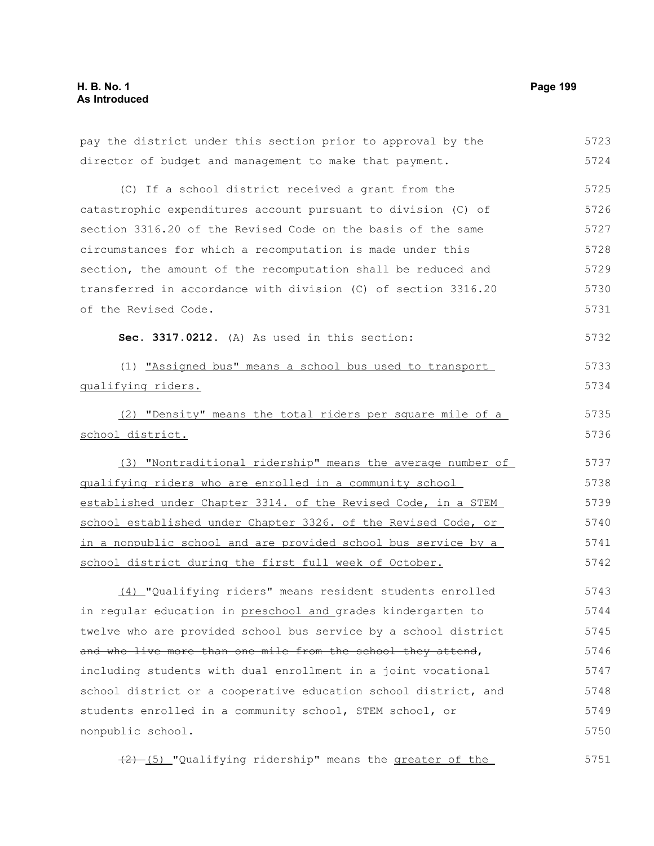| pay the district under this section prior to approval by the    | 5723 |
|-----------------------------------------------------------------|------|
| director of budget and management to make that payment.         | 5724 |
| (C) If a school district received a grant from the              | 5725 |
| catastrophic expenditures account pursuant to division (C) of   | 5726 |
| section 3316.20 of the Revised Code on the basis of the same    | 5727 |
| circumstances for which a recomputation is made under this      | 5728 |
| section, the amount of the recomputation shall be reduced and   | 5729 |
| transferred in accordance with division (C) of section 3316.20  | 5730 |
| of the Revised Code.                                            | 5731 |
| Sec. 3317.0212. (A) As used in this section:                    | 5732 |
| (1) "Assigned bus" means a school bus used to transport         | 5733 |
| qualifying riders.                                              | 5734 |
| (2) "Density" means the total riders per square mile of a       | 5735 |
| school district.                                                | 5736 |
| (3) "Nontraditional ridership" means the average number of      | 5737 |
| qualifying riders who are enrolled in a community school        | 5738 |
| established under Chapter 3314. of the Revised Code, in a STEM  | 5739 |
| school established under Chapter 3326. of the Revised Code, or  | 5740 |
| in a nonpublic school and are provided school bus service by a  | 5741 |
| school district during the first full week of October.          | 5742 |
| (4) "Qualifying riders" means resident students enrolled        | 5743 |
| in regular education in preschool and grades kindergarten to    | 5744 |
| twelve who are provided school bus service by a school district | 5745 |
| and who live more than one mile from the school they attend,    | 5746 |
| including students with dual enrollment in a joint vocational   | 5747 |
| school district or a cooperative education school district, and | 5748 |
| students enrolled in a community school, STEM school, or        | 5749 |
| nonpublic school.                                               | 5750 |

(2) (5) "Qualifying ridership" means the greater of the 5751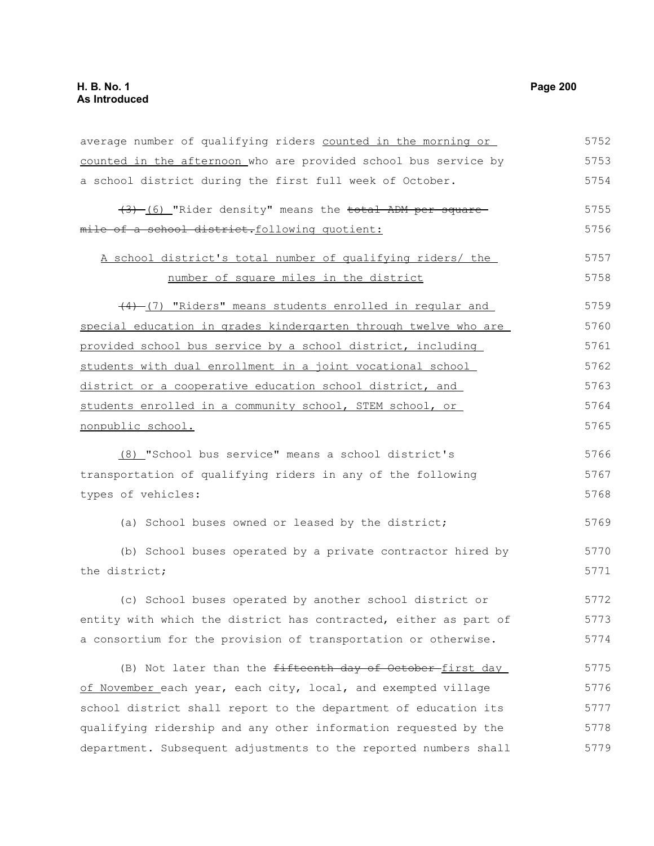average number of qualifying riders counted in the morning or counted in the afternoon who are provided school bus service by a school district during the first full week of October. (3) (6) "Rider density" means the total ADM per square mile of a school district.following quotient: A school district's total number of qualifying riders/ the number of square miles in the district (4) (7) "Riders" means students enrolled in regular and special education in grades kindergarten through twelve who are provided school bus service by a school district, including students with dual enrollment in a joint vocational school district or a cooperative education school district, and students enrolled in a community school, STEM school, or nonpublic school. (8) "School bus service" means a school district's transportation of qualifying riders in any of the following types of vehicles: (a) School buses owned or leased by the district; (b) School buses operated by a private contractor hired by the district; (c) School buses operated by another school district or entity with which the district has contracted, either as part of a consortium for the provision of transportation or otherwise. (B) Not later than the fifteenth day of October-first day 5752 5753 5754 5755 5756 5757 5758 5759 5760 5761 5762 5763 5764 5765 5766 5767 5768 5769 5770 5771 5772 5773 5774 5775

of November each year, each city, local, and exempted village school district shall report to the department of education its qualifying ridership and any other information requested by the department. Subsequent adjustments to the reported numbers shall 5776 5777 5778 5779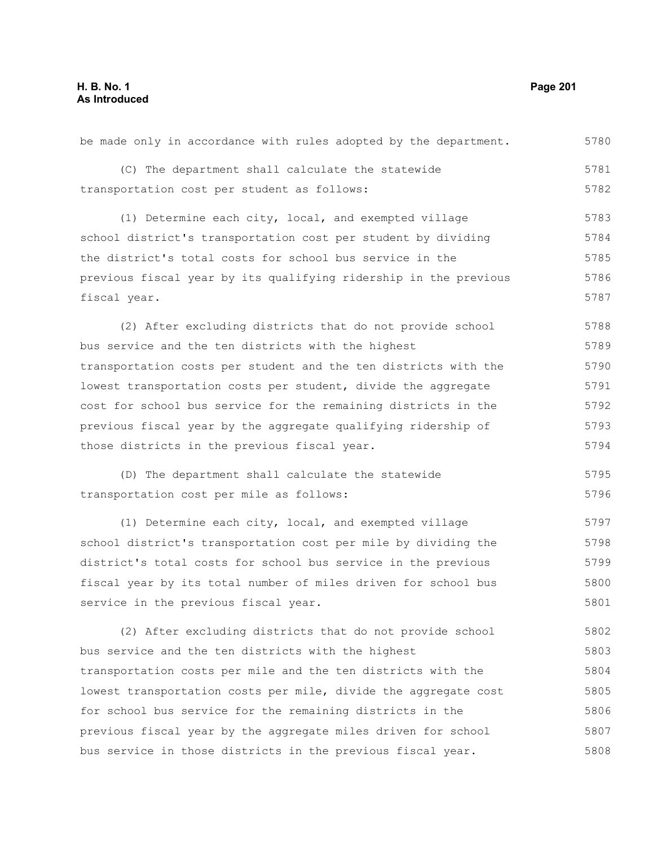(C) The department shall calculate the statewide transportation cost per student as follows: (1) Determine each city, local, and exempted village school district's transportation cost per student by dividing the district's total costs for school bus service in the previous fiscal year by its qualifying ridership in the previous fiscal year. (2) After excluding districts that do not provide school bus service and the ten districts with the highest transportation costs per student and the ten districts with the lowest transportation costs per student, divide the aggregate cost for school bus service for the remaining districts in the previous fiscal year by the aggregate qualifying ridership of those districts in the previous fiscal year. (D) The department shall calculate the statewide transportation cost per mile as follows: (1) Determine each city, local, and exempted village school district's transportation cost per mile by dividing the district's total costs for school bus service in the previous fiscal year by its total number of miles driven for school bus service in the previous fiscal year. (2) After excluding districts that do not provide school bus service and the ten districts with the highest transportation costs per mile and the ten districts with the lowest transportation costs per mile, divide the aggregate cost for school bus service for the remaining districts in the previous fiscal year by the aggregate miles driven for school 5781 5782 5783 5784 5785 5786 5787 5788 5789 5790 5791 5792 5793 5794 5795 5796 5797 5798 5799 5800 5801 5802 5803 5804 5805 5806 5807

bus service in those districts in the previous fiscal year.

be made only in accordance with rules adopted by the department.

5780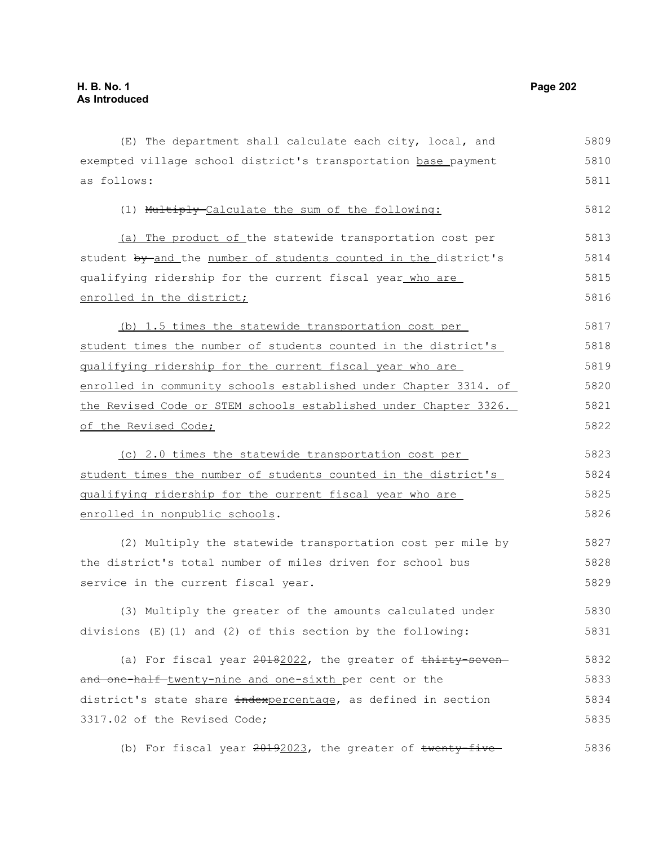(E) The department shall calculate each city, local, and exempted village school district's transportation base payment as follows: (1) Multiply Calculate the sum of the following: (a) The product of the statewide transportation cost per student by and the number of students counted in the district's qualifying ridership for the current fiscal year who are enrolled in the district; (b) 1.5 times the statewide transportation cost per student times the number of students counted in the district's qualifying ridership for the current fiscal year who are enrolled in community schools established under Chapter 3314. of the Revised Code or STEM schools established under Chapter 3326. of the Revised Code; (c) 2.0 times the statewide transportation cost per student times the number of students counted in the district's qualifying ridership for the current fiscal year who are enrolled in nonpublic schools. (2) Multiply the statewide transportation cost per mile by the district's total number of miles driven for school bus service in the current fiscal year. (3) Multiply the greater of the amounts calculated under divisions (E)(1) and (2) of this section by the following: (a) For fiscal year 20182022, the greater of thirty-sevenand one-half-twenty-nine and one-sixth per cent or the district's state share indexpercentage, as defined in section 3317.02 of the Revised Code; (b) For fiscal year  $20192023$ , the greater of twenty-five-5809 5810 5811 5812 5813 5814 5815 5816 5817 5818 5819 5820 5821 5822 5823 5824 5825 5826 5827 5828 5829 5830 5831 5832 5833 5834 5835 5836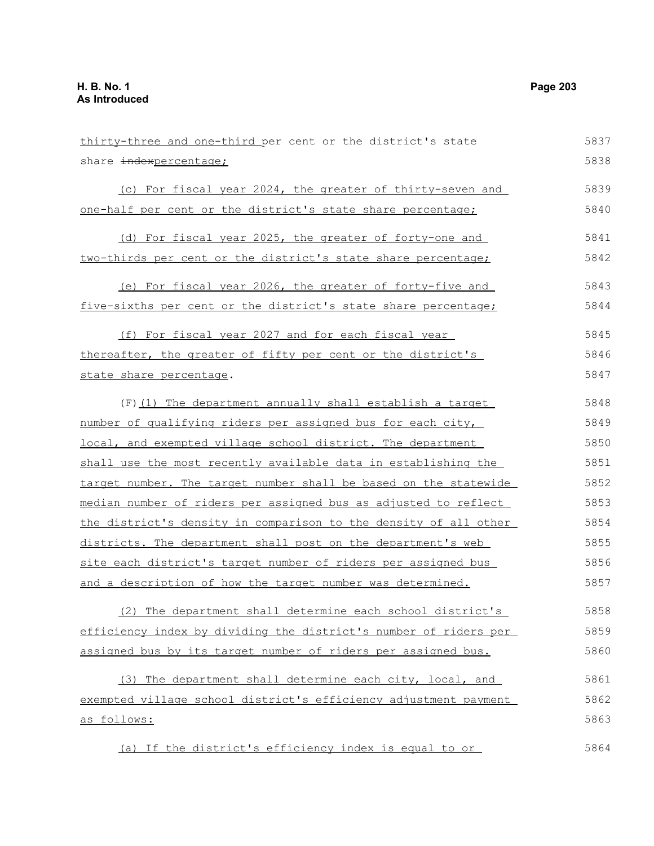| thirty-three and one-third per cent or the district's state      | 5837 |
|------------------------------------------------------------------|------|
| share indexpercentage;                                           | 5838 |
| (c) For fiscal year 2024, the greater of thirty-seven and        | 5839 |
| one-half per cent or the district's state share percentage;      | 5840 |
| (d) For fiscal year 2025, the greater of forty-one and           | 5841 |
| two-thirds per cent or the district's state share percentage;    | 5842 |
| (e) For fiscal year 2026, the greater of forty-five and          | 5843 |
| five-sixths per cent or the district's state share percentage;   | 5844 |
| (f) For fiscal year 2027 and for each fiscal year                | 5845 |
| thereafter, the greater of fifty per cent or the district's      | 5846 |
| state share percentage.                                          | 5847 |
| $(F)$ (1) The department annually shall establish a target       | 5848 |
| number of qualifying riders per assigned bus for each city,      | 5849 |
| local, and exempted village school district. The department      | 5850 |
| shall use the most recently available data in establishing the   | 5851 |
| target number. The target number shall be based on the statewide | 5852 |
| median number of riders per assigned bus as adjusted to reflect  | 5853 |
| the district's density in comparison to the density of all other | 5854 |
| districts. The department shall post on the department's web     | 5855 |
| site each district's target number of riders per assigned bus    | 5856 |
| and a description of how the target number was determined.       | 5857 |
| (2) The department shall determine each school district's        | 5858 |
| efficiency index by dividing the district's number of riders per | 5859 |
| assigned bus by its target number of riders per assigned bus.    | 5860 |
| (3) The department shall determine each city, local, and         | 5861 |
| exempted village school district's efficiency adjustment payment | 5862 |
| as follows:                                                      | 5863 |
| (a) If the district's efficiency index is equal to or            | 5864 |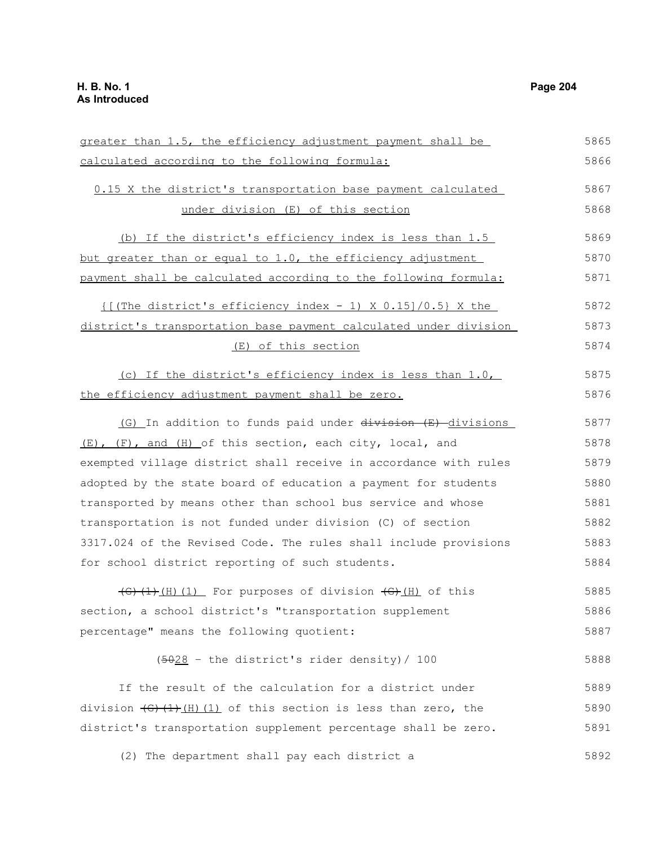greater than 1.5, the efficiency adjustment payment shall be calculated according to the following formula: 0.15 X the district's transportation base payment calculated under division (E) of this section (b) If the district's efficiency index is less than 1.5 but greater than or equal to 1.0, the efficiency adjustment payment shall be calculated according to the following formula:  $\{$  [(The district's efficiency index - 1) X 0.15]/0.5} X the district's transportation base payment calculated under division (E) of this section (c) If the district's efficiency index is less than 1.0, the efficiency adjustment payment shall be zero. (G) In addition to funds paid under division (E) divisions (E), (F), and (H) of this section, each city, local, and exempted village district shall receive in accordance with rules adopted by the state board of education a payment for students transported by means other than school bus service and whose transportation is not funded under division (C) of section 3317.024 of the Revised Code. The rules shall include provisions for school district reporting of such students.  $\overline{(G)(1)(H)(1)}$  For purposes of division  $\overline{(G)(H)}$  of this section, a school district's "transportation supplement percentage" means the following quotient: (5028 – the district's rider density)/ 100 If the result of the calculation for a district under division  $\left(\frac{G}{H}\right)(H)(1)$  of this section is less than zero, the district's transportation supplement percentage shall be zero. (2) The department shall pay each district a 5865 5866 5867 5868 5869 5870 5871 5872 5873 5874 5875 5876 5877 5878 5879 5880 5881 5882 5883 5884 5885 5886 5887 5888 5889 5890 5891 5892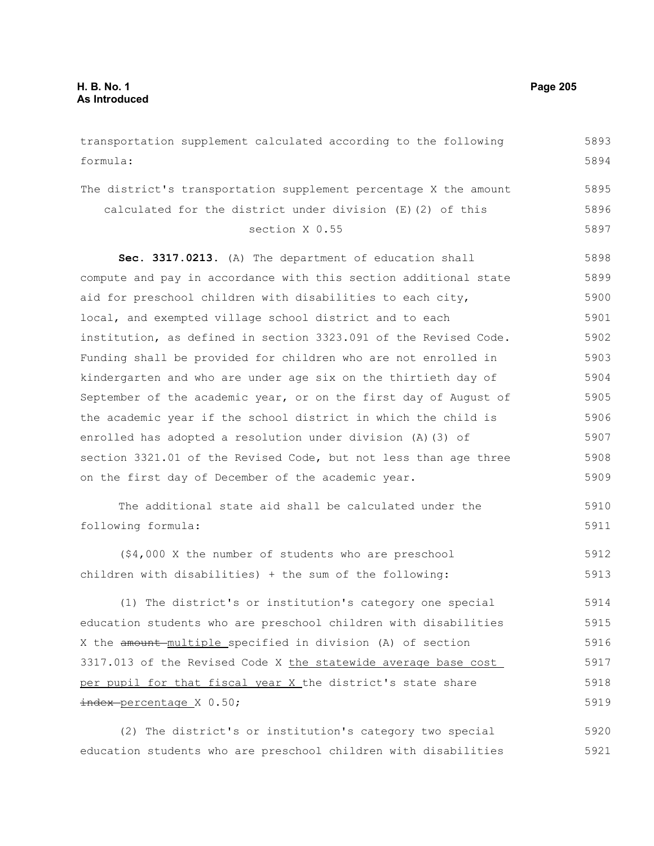transportation supplement calculated according to the following formula: The district's transportation supplement percentage X the amount calculated for the district under division (E)(2) of this section X 0.55 **Sec. 3317.0213.** (A) The department of education shall compute and pay in accordance with this section additional state aid for preschool children with disabilities to each city, local, and exempted village school district and to each institution, as defined in section 3323.091 of the Revised Code. Funding shall be provided for children who are not enrolled in kindergarten and who are under age six on the thirtieth day of September of the academic year, or on the first day of August of the academic year if the school district in which the child is enrolled has adopted a resolution under division (A)(3) of section 3321.01 of the Revised Code, but not less than age three on the first day of December of the academic year. The additional state aid shall be calculated under the following formula: (\$4,000 X the number of students who are preschool children with disabilities) + the sum of the following: (1) The district's or institution's category one special education students who are preschool children with disabilities X the amount multiple specified in division (A) of section 3317.013 of the Revised Code X the statewide average base cost per pupil for that fiscal year X the district's state share index-percentage X 0.50; 5893 5894 5895 5896 5897 5898 5899 5900 5901 5902 5903 5904 5905 5906 5907 5908 5909 5910 5911 5912 5913 5914 5915 5916 5917 5918 5919

(2) The district's or institution's category two special education students who are preschool children with disabilities 5920 5921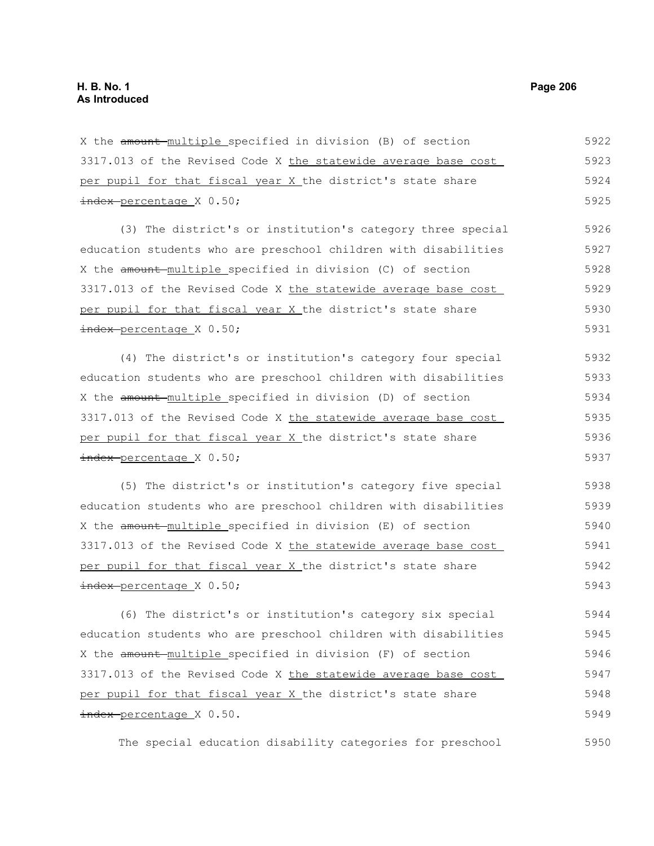X the amount multiple specified in division (B) of section 3317.013 of the Revised Code X the statewide average base cost per pupil for that fiscal year X the district's state share index percentage X 0.50; 5922 5923 5924 5925

(3) The district's or institution's category three special education students who are preschool children with disabilities X the amount multiple specified in division (C) of section 3317.013 of the Revised Code X the statewide average base cost per pupil for that fiscal year X the district's state share index-percentage X 0.50; 5926 5927 5928 5929 5930 5931

(4) The district's or institution's category four special education students who are preschool children with disabilities X the amount multiple specified in division (D) of section 3317.013 of the Revised Code X the statewide average base cost per pupil for that fiscal year X the district's state share index-percentage X 0.50; 5932 5933 5934 5935 5936 5937

(5) The district's or institution's category five special education students who are preschool children with disabilities X the amount multiple specified in division (E) of section 3317.013 of the Revised Code X the statewide average base cost per pupil for that fiscal year X the district's state share index percentage X 0.50; 5938 5939 5940 5941 5942 5943

(6) The district's or institution's category six special education students who are preschool children with disabilities X the amount multiple specified in division (F) of section 3317.013 of the Revised Code X the statewide average base cost per pupil for that fiscal year X the district's state share index-percentage X 0.50. 5944 5945 5946 5947 5948 5949

The special education disability categories for preschool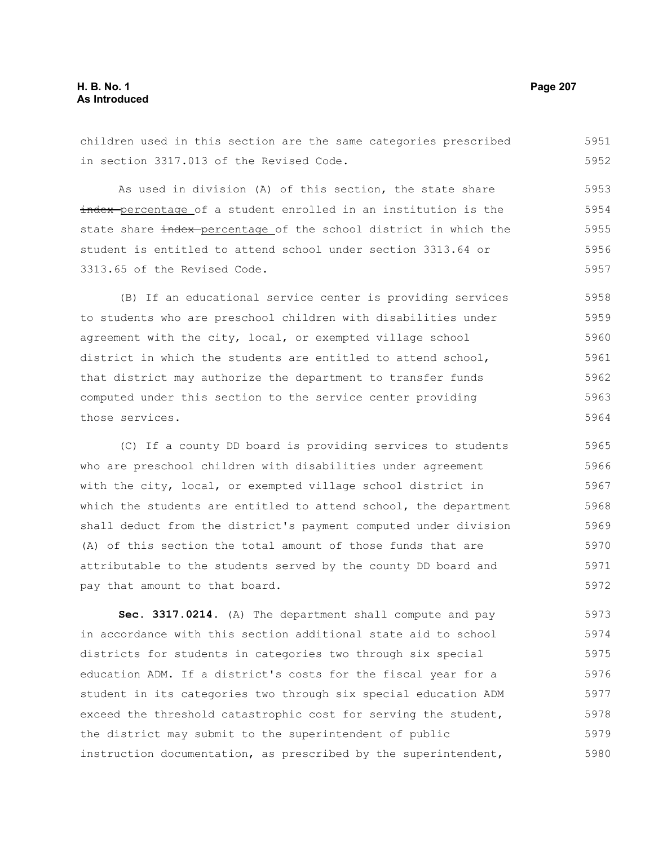children used in this section are the same categories prescribed in section 3317.013 of the Revised Code. 5951 5952

As used in division (A) of this section, the state share index-percentage of a student enrolled in an institution is the state share index-percentage of the school district in which the student is entitled to attend school under section 3313.64 or 3313.65 of the Revised Code. 5953 5954 5955 5956 5957

(B) If an educational service center is providing services to students who are preschool children with disabilities under agreement with the city, local, or exempted village school district in which the students are entitled to attend school, that district may authorize the department to transfer funds computed under this section to the service center providing those services. 5958 5959 5960 5961 5962 5963 5964

(C) If a county DD board is providing services to students who are preschool children with disabilities under agreement with the city, local, or exempted village school district in which the students are entitled to attend school, the department shall deduct from the district's payment computed under division (A) of this section the total amount of those funds that are attributable to the students served by the county DD board and pay that amount to that board. 5965 5966 5967 5968 5969 5970 5971 5972

**Sec. 3317.0214.** (A) The department shall compute and pay in accordance with this section additional state aid to school districts for students in categories two through six special education ADM. If a district's costs for the fiscal year for a student in its categories two through six special education ADM exceed the threshold catastrophic cost for serving the student, the district may submit to the superintendent of public instruction documentation, as prescribed by the superintendent, 5973 5974 5975 5976 5977 5978 5979 5980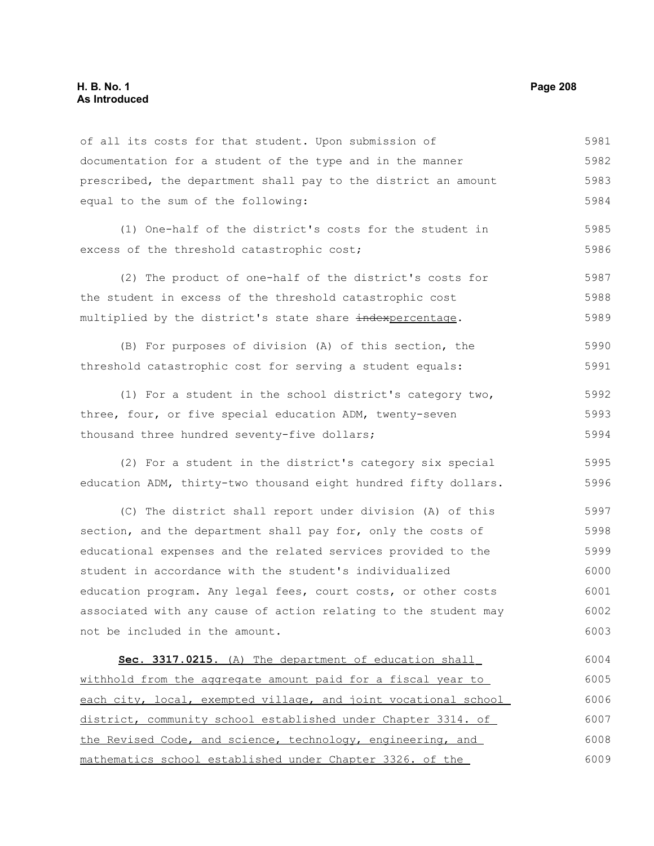### **H. B. No. 1 Page 208 As Introduced**

of all its costs for that student. Upon submission of documentation for a student of the type and in the manner prescribed, the department shall pay to the district an amount equal to the sum of the following: (1) One-half of the district's costs for the student in excess of the threshold catastrophic cost; (2) The product of one-half of the district's costs for the student in excess of the threshold catastrophic cost multiplied by the district's state share indexpercentage. (B) For purposes of division (A) of this section, the threshold catastrophic cost for serving a student equals: (1) For a student in the school district's category two, three, four, or five special education ADM, twenty-seven thousand three hundred seventy-five dollars; (2) For a student in the district's category six special education ADM, thirty-two thousand eight hundred fifty dollars. (C) The district shall report under division (A) of this section, and the department shall pay for, only the costs of educational expenses and the related services provided to the student in accordance with the student's individualized education program. Any legal fees, court costs, or other costs associated with any cause of action relating to the student may not be included in the amount. **Sec. 3317.0215.** (A) The department of education shall withhold from the aggregate amount paid for a fiscal year to each city, local, exempted village, and joint vocational school district, community school established under Chapter 3314. of the Revised Code, and science, technology, engineering, and mathematics school established under Chapter 3326. of the 5981 5982 5983 5984 5985 5986 5987 5988 5989 5990 5991 5992 5993 5994 5995 5996 5997 5998 5999 6000 6001 6002 6003 6004 6005 6006 6007 6008 6009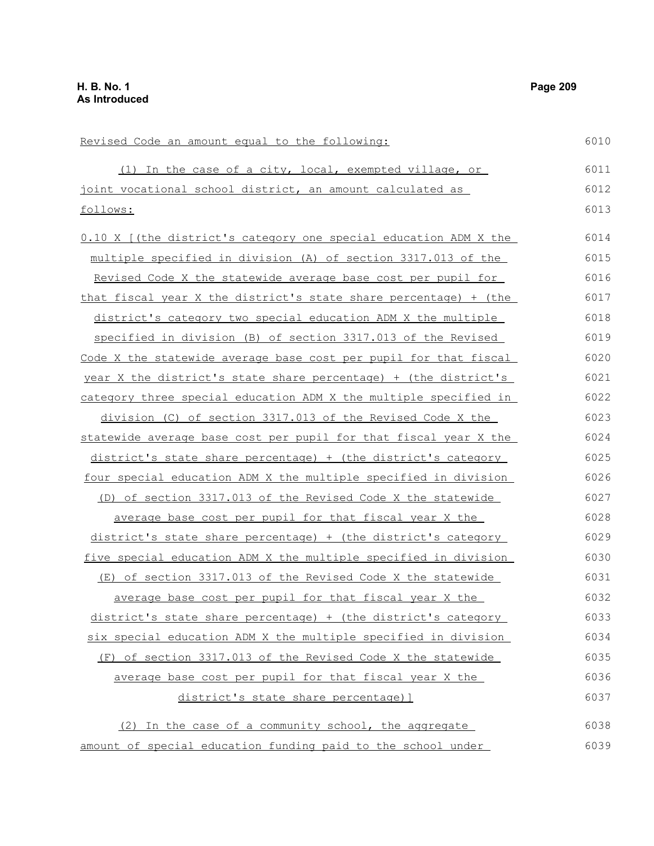Revised Code an amount equal to the following: (1) In the case of a city, local, exempted village, or joint vocational school district, an amount calculated as follows: 0.10 X [(the district's category one special education ADM X the multiple specified in division (A) of section 3317.013 of the Revised Code X the statewide average base cost per pupil for that fiscal year X the district's state share percentage) + (the district's category two special education ADM X the multiple specified in division (B) of section 3317.013 of the Revised Code X the statewide average base cost per pupil for that fiscal year X the district's state share percentage) + (the district's category three special education ADM X the multiple specified in division (C) of section 3317.013 of the Revised Code X the statewide average base cost per pupil for that fiscal year X the district's state share percentage) + (the district's category four special education ADM X the multiple specified in division (D) of section 3317.013 of the Revised Code X the statewide average base cost per pupil for that fiscal year X the district's state share percentage) + (the district's category five special education ADM X the multiple specified in division (E) of section 3317.013 of the Revised Code X the statewide average base cost per pupil for that fiscal year X the district's state share percentage) + (the district's category six special education ADM X the multiple specified in division (F) of section 3317.013 of the Revised Code X the statewide average base cost per pupil for that fiscal year X the district's state share percentage)] (2) In the case of a community school, the aggregate 6010 6011 6012 6013 6014 6015 6016 6017 6018 6019 6020 6021 6022 6023 6024 6025 6026 6027 6028 6029 6030 6031 6032 6033 6034 6035 6036 6037 6038

amount of special education funding paid to the school under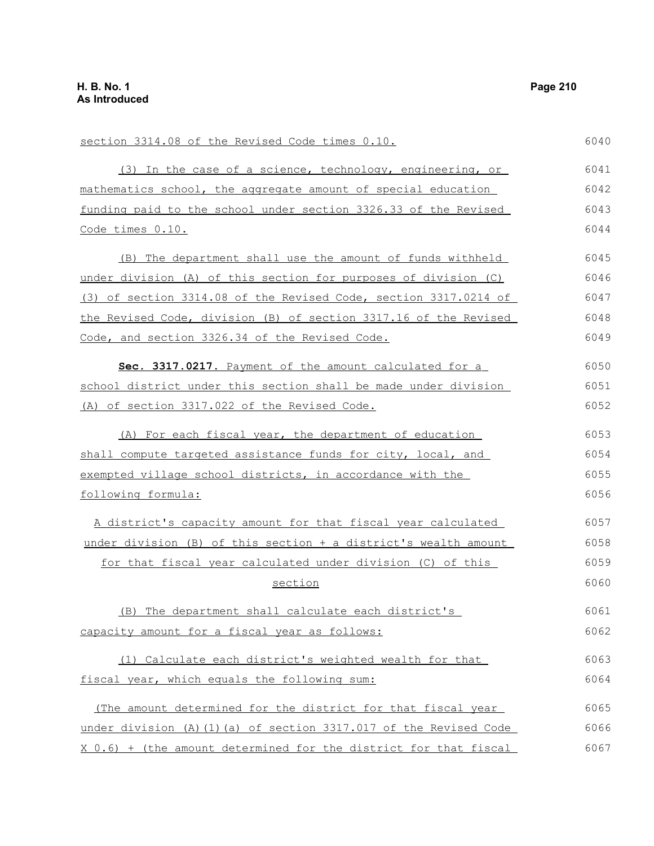| section 3314.08 of the Revised Code times 0.10.                    | 6040 |
|--------------------------------------------------------------------|------|
| (3) In the case of a science, technology, engineering, or          | 6041 |
| mathematics school, the aggregate amount of special education      | 6042 |
| funding paid to the school under section 3326.33 of the Revised    | 6043 |
| Code times 0.10.                                                   | 6044 |
| (B) The department shall use the amount of funds withheld          | 6045 |
| under division (A) of this section for purposes of division (C)    | 6046 |
| (3) of section 3314.08 of the Revised Code, section 3317.0214 of   | 6047 |
| the Revised Code, division (B) of section 3317.16 of the Revised   | 6048 |
| Code, and section 3326.34 of the Revised Code.                     | 6049 |
| Sec. 3317.0217. Payment of the amount calculated for a             | 6050 |
| school district under this section shall be made under division    | 6051 |
| (A) of section 3317.022 of the Revised Code.                       | 6052 |
| (A) For each fiscal year, the department of education              | 6053 |
| shall compute targeted assistance funds for city, local, and       | 6054 |
| exempted village school districts, in accordance with the          | 6055 |
| following formula:                                                 | 6056 |
| A district's capacity amount for that fiscal year calculated       | 6057 |
| under division (B) of this section + a district's wealth amount    | 6058 |
| for that fiscal year calculated under division (C) of this         | 6059 |
| section                                                            | 6060 |
| (B) The department shall calculate each district's                 | 6061 |
| capacity amount for a fiscal year as follows:                      | 6062 |
| (1) Calculate each district's weighted wealth for that             | 6063 |
| fiscal year, which equals the following sum:                       | 6064 |
| (The amount determined for the district for that fiscal year       | 6065 |
| under division (A) (1) (a) of section 3317.017 of the Revised Code | 6066 |
| X 0.6) + (the amount determined for the district for that fiscal   | 6067 |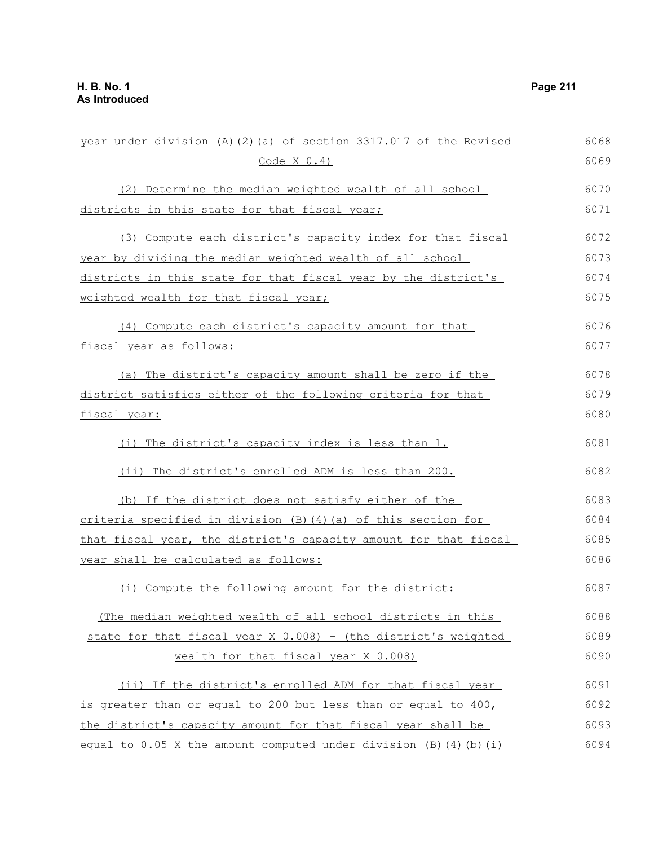| year under division (A) (2) (a) of section 3317.017 of the Revised   | 6068 |
|----------------------------------------------------------------------|------|
| Code X 0.4)                                                          | 6069 |
| (2) Determine the median weighted wealth of all school               | 6070 |
| districts in this state for that fiscal year;                        | 6071 |
| (3) Compute each district's capacity index for that fiscal           | 6072 |
| year by dividing the median weighted wealth of all school            | 6073 |
| districts in this state for that fiscal year by the district's       | 6074 |
| weighted wealth for that fiscal year;                                | 6075 |
| (4) Compute each district's capacity amount for that                 | 6076 |
| fiscal year as follows:                                              | 6077 |
| (a) The district's capacity amount shall be zero if the              | 6078 |
| district satisfies either of the following criteria for that         | 6079 |
| fiscal year:                                                         | 6080 |
| (i) The district's capacity index is less than 1.                    | 6081 |
| (ii) The district's enrolled ADM is less than 200.                   | 6082 |
| (b) If the district does not satisfy either of the                   | 6083 |
| <u>criteria specified in division (B)(4)(a) of this section for </u> | 6084 |
| that fiscal year, the district's capacity amount for that fiscal     | 6085 |
| <u>year shall be calculated as follows:</u>                          | 6086 |
| (i) Compute the following amount for the district:                   | 6087 |
| (The median weighted wealth of all school districts in this          | 6088 |
| state for that fiscal year X 0.008) - (the district's weighted       | 6089 |
| wealth for that fiscal year X 0.008)                                 | 6090 |
| (ii) If the district's enrolled ADM for that fiscal year             | 6091 |
| is greater than or equal to 200 but less than or equal to 400,       | 6092 |
| the district's capacity amount for that fiscal year shall be         | 6093 |
| equal to 0.05 X the amount computed under division (B) (4) (b) (i)   | 6094 |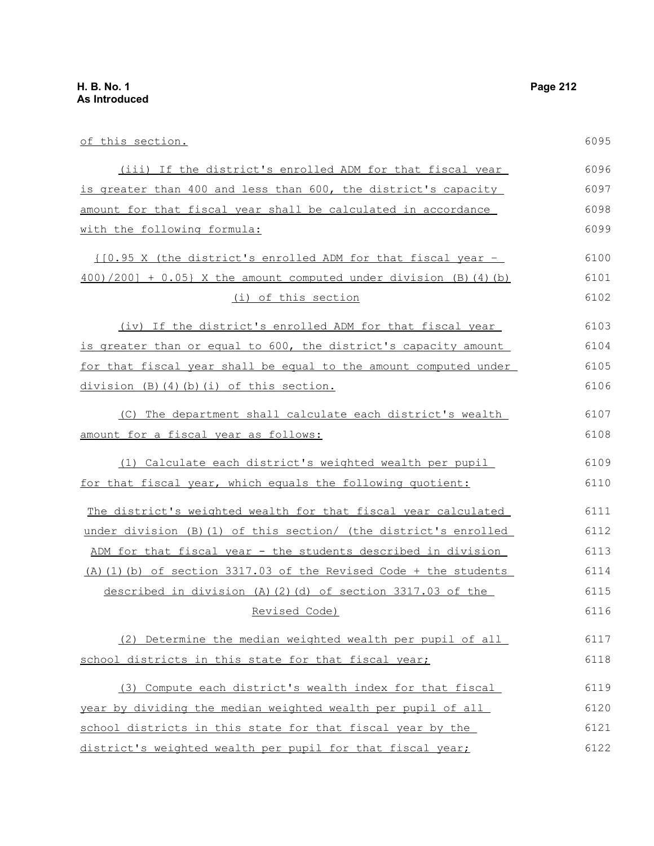of this section. (iii) If the district's enrolled ADM for that fiscal year is greater than 400 and less than 600, the district's capacity amount for that fiscal year shall be calculated in accordance with the following formula: {[0.95 X (the district's enrolled ADM for that fiscal year –  $400)/200$ ] + 0.05} X the amount computed under division (B)(4)(b) (i) of this section (iv) If the district's enrolled ADM for that fiscal year is greater than or equal to 600, the district's capacity amount for that fiscal year shall be equal to the amount computed under division (B)(4)(b)(i) of this section. (C) The department shall calculate each district's wealth amount for a fiscal year as follows: (1) Calculate each district's weighted wealth per pupil for that fiscal year, which equals the following quotient: The district's weighted wealth for that fiscal year calculated under division (B)(1) of this section/ (the district's enrolled ADM for that fiscal year - the students described in division (A)(1)(b) of section 3317.03 of the Revised Code + the students described in division (A)(2)(d) of section 3317.03 of the Revised Code) (2) Determine the median weighted wealth per pupil of all school districts in this state for that fiscal year; (3) Compute each district's wealth index for that fiscal year by dividing the median weighted wealth per pupil of all school districts in this state for that fiscal year by the 6095 6096 6097 6098 6099 6100 6101 6102 6103 6104 6105 6106 6107 6108 6109 6110 6111 6112 6113 6114 6115 6116 6117 6118 6119 6120 6121

district's weighted wealth per pupil for that fiscal year; 6122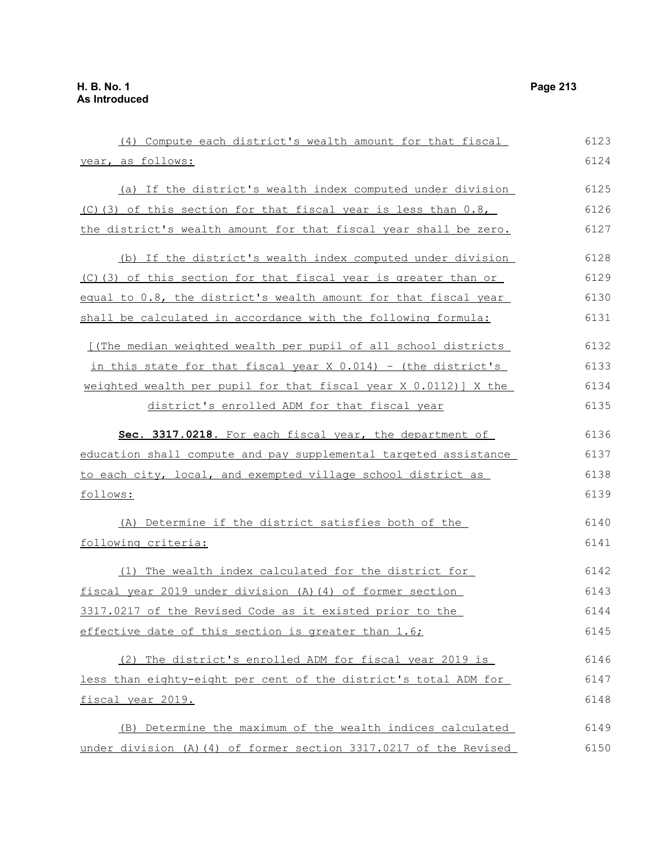(4) Compute each district's wealth amount for that fiscal year, as follows: (a) If the district's wealth index computed under division (C)(3) of this section for that fiscal year is less than  $0.8$ , the district's wealth amount for that fiscal year shall be zero. (b) If the district's wealth index computed under division (C)(3) of this section for that fiscal year is greater than or equal to 0.8, the district's wealth amount for that fiscal year shall be calculated in accordance with the following formula: [(The median weighted wealth per pupil of all school districts in this state for that fiscal year  $X$  0.014) - (the district's weighted wealth per pupil for that fiscal year X 0.0112)] X the district's enrolled ADM for that fiscal year **Sec. 3317.0218.** For each fiscal year, the department of education shall compute and pay supplemental targeted assistance to each city, local, and exempted village school district as follows: (A) Determine if the district satisfies both of the following criteria: (1) The wealth index calculated for the district for fiscal year 2019 under division (A)(4) of former section 3317.0217 of the Revised Code as it existed prior to the effective date of this section is greater than 1.6; (2) The district's enrolled ADM for fiscal year 2019 is less than eighty-eight per cent of the district's total ADM for fiscal year 2019. (B) Determine the maximum of the wealth indices calculated under division (A)(4) of former section 3317.0217 of the Revised 6123 6124 6125 6126 6127 6128 6129 6130 6131 6132 6133 6134 6135 6136 6137 6138 6139 6140 6141 6142 6143 6144 6145 6146 6147 6148 6149 6150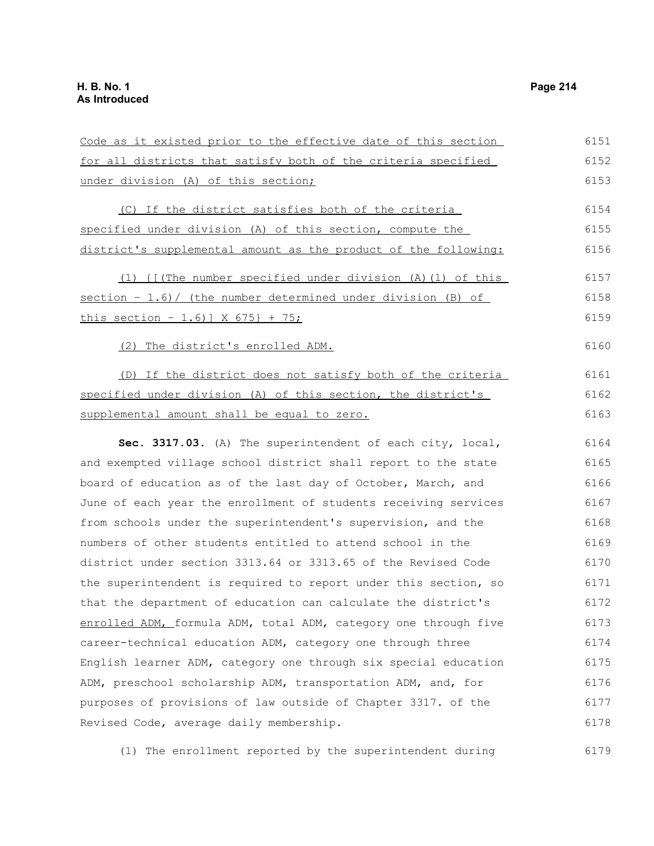| Code as it existed prior to the effective date of this section  | 6151 |
|-----------------------------------------------------------------|------|
| for all districts that satisfy both of the criteria specified   | 6152 |
| under division (A) of this section;                             | 6153 |
| (C) If the district satisfies both of the criteria              | 6154 |
| specified under division (A) of this section, compute the       | 6155 |
| district's supplemental amount as the product of the following: | 6156 |
| (1) { [(The number specified under division (A) (1) of this     | 6157 |
| section - 1.6)/ (the number determined under division (B) of    | 6158 |
| <u>this section - 1.6)] X 675} + 75;</u>                        | 6159 |
| (2) The district's enrolled ADM.                                | 6160 |
| (D) If the district does not satisfy both of the criteria       | 6161 |
| specified under division (A) of this section, the district's    | 6162 |
| supplemental amount shall be equal to zero.                     | 6163 |
| Sec. 3317.03. (A) The superintendent of each city, local,       | 6164 |
| and exempted village school district shall report to the state  | 6165 |
| board of education as of the last day of October, March, and    | 6166 |
| June of each year the enrollment of students receiving services | 6167 |
| from schools under the superintendent's supervision, and the    | 6168 |
| numbers of other students entitled to attend school in the      | 6169 |
| district under section 3313.64 or 3313.65 of the Revised Code   | 6170 |
| the superintendent is required to report under this section, so | 6171 |
| that the department of education can calculate the district's   | 6172 |
| enrolled ADM, formula ADM, total ADM, category one through five | 6173 |
| career-technical education ADM, category one through three      | 6174 |
| English learner ADM, category one through six special education | 6175 |
| ADM, preschool scholarship ADM, transportation ADM, and, for    | 6176 |
| purposes of provisions of law outside of Chapter 3317. of the   | 6177 |
| Revised Code, average daily membership.                         | 6178 |
|                                                                 |      |

(1) The enrollment reported by the superintendent during 6179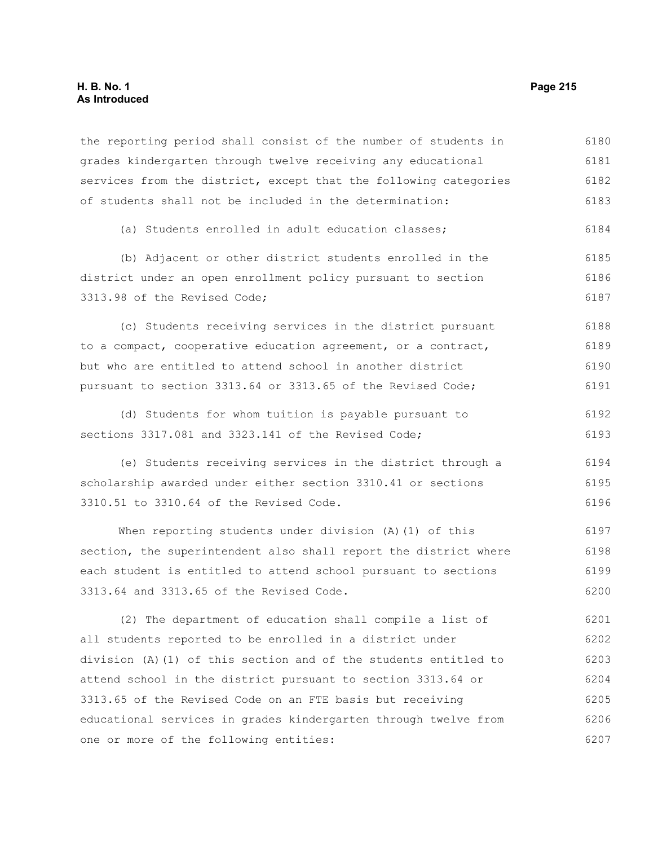## **H. B. No. 1 Page 215 As Introduced**

the reporting period shall consist of the number of students in grades kindergarten through twelve receiving any educational services from the district, except that the following categories of students shall not be included in the determination: 6180 6181 6182 6183

(a) Students enrolled in adult education classes; 6184

(b) Adjacent or other district students enrolled in the district under an open enrollment policy pursuant to section 3313.98 of the Revised Code; 6185 6186 6187

(c) Students receiving services in the district pursuant to a compact, cooperative education agreement, or a contract, but who are entitled to attend school in another district pursuant to section 3313.64 or 3313.65 of the Revised Code; 6188 6189 6190 6191

(d) Students for whom tuition is payable pursuant to sections 3317.081 and 3323.141 of the Revised Code; 6192 6193

(e) Students receiving services in the district through a scholarship awarded under either section 3310.41 or sections 3310.51 to 3310.64 of the Revised Code. 6194 6195 6196

When reporting students under division (A)(1) of this section, the superintendent also shall report the district where each student is entitled to attend school pursuant to sections 3313.64 and 3313.65 of the Revised Code. 6197 6198 6199 6200

(2) The department of education shall compile a list of all students reported to be enrolled in a district under division (A)(1) of this section and of the students entitled to attend school in the district pursuant to section 3313.64 or 3313.65 of the Revised Code on an FTE basis but receiving educational services in grades kindergarten through twelve from one or more of the following entities: 6201 6202 6203 6204 6205 6206 6207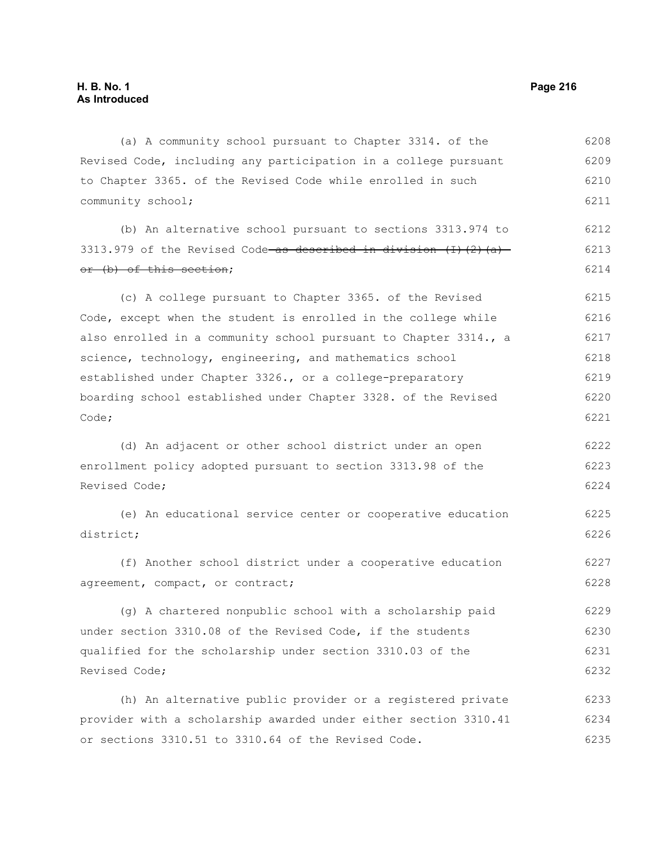(a) A community school pursuant to Chapter 3314. of the Revised Code, including any participation in a college pursuant to Chapter 3365. of the Revised Code while enrolled in such community school; 6208 6209 6210 6211

(b) An alternative school pursuant to sections 3313.974 to 3313.979 of the Revised Code as described in division  $(1)$   $(2)$   $(a)$ or (b) of this section; 6212 6213 6214

(c) A college pursuant to Chapter 3365. of the Revised Code, except when the student is enrolled in the college while also enrolled in a community school pursuant to Chapter 3314., a science, technology, engineering, and mathematics school established under Chapter 3326., or a college-preparatory boarding school established under Chapter 3328. of the Revised Code; 6215 6216 6217 6218 6219 6220 6221

(d) An adjacent or other school district under an open enrollment policy adopted pursuant to section 3313.98 of the Revised Code; 6222 6223 6224

(e) An educational service center or cooperative education district; 6225 6226

(f) Another school district under a cooperative education agreement, compact, or contract; 6227 6228

(g) A chartered nonpublic school with a scholarship paid under section 3310.08 of the Revised Code, if the students qualified for the scholarship under section 3310.03 of the Revised Code; 6229 6230 6231 6232

(h) An alternative public provider or a registered private provider with a scholarship awarded under either section 3310.41 or sections 3310.51 to 3310.64 of the Revised Code. 6233 6234 6235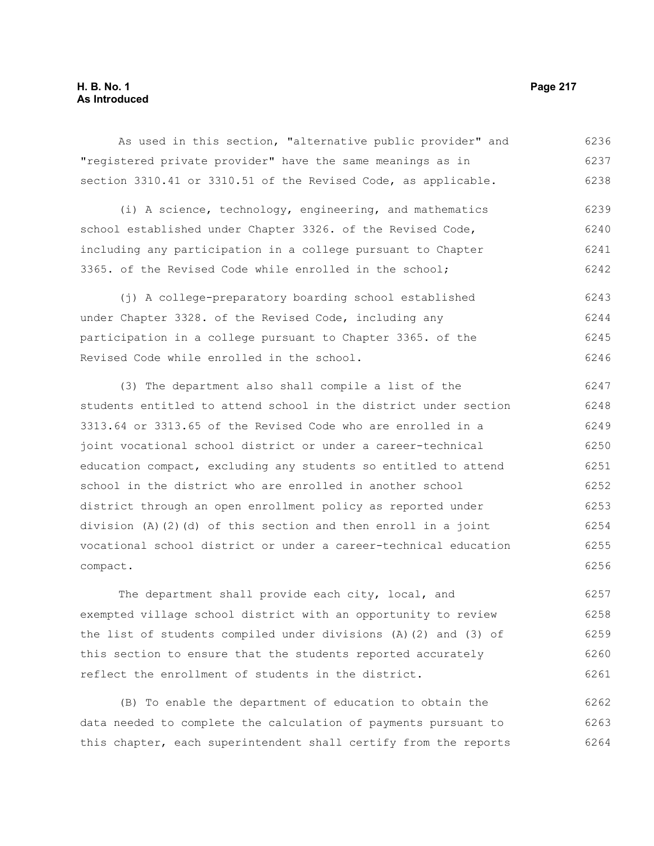## **H. B. No. 1 Page 217 As Introduced**

As used in this section, "alternative public provider" and "registered private provider" have the same meanings as in section 3310.41 or 3310.51 of the Revised Code, as applicable. 6236 6237 6238

(i) A science, technology, engineering, and mathematics school established under Chapter 3326. of the Revised Code, including any participation in a college pursuant to Chapter 3365. of the Revised Code while enrolled in the school; 6239 6240 6241 6242

(j) A college-preparatory boarding school established under Chapter 3328. of the Revised Code, including any participation in a college pursuant to Chapter 3365. of the Revised Code while enrolled in the school. 6243 6244 6245 6246

(3) The department also shall compile a list of the students entitled to attend school in the district under section 3313.64 or 3313.65 of the Revised Code who are enrolled in a joint vocational school district or under a career-technical education compact, excluding any students so entitled to attend school in the district who are enrolled in another school district through an open enrollment policy as reported under division (A)(2)(d) of this section and then enroll in a joint vocational school district or under a career-technical education compact. 6247 6248 6249 6250 6251 6252 6253 6254 6255 6256

The department shall provide each city, local, and exempted village school district with an opportunity to review the list of students compiled under divisions (A)(2) and (3) of this section to ensure that the students reported accurately reflect the enrollment of students in the district. 6257 6258 6259 6260 6261

(B) To enable the department of education to obtain the data needed to complete the calculation of payments pursuant to this chapter, each superintendent shall certify from the reports 6262 6263 6264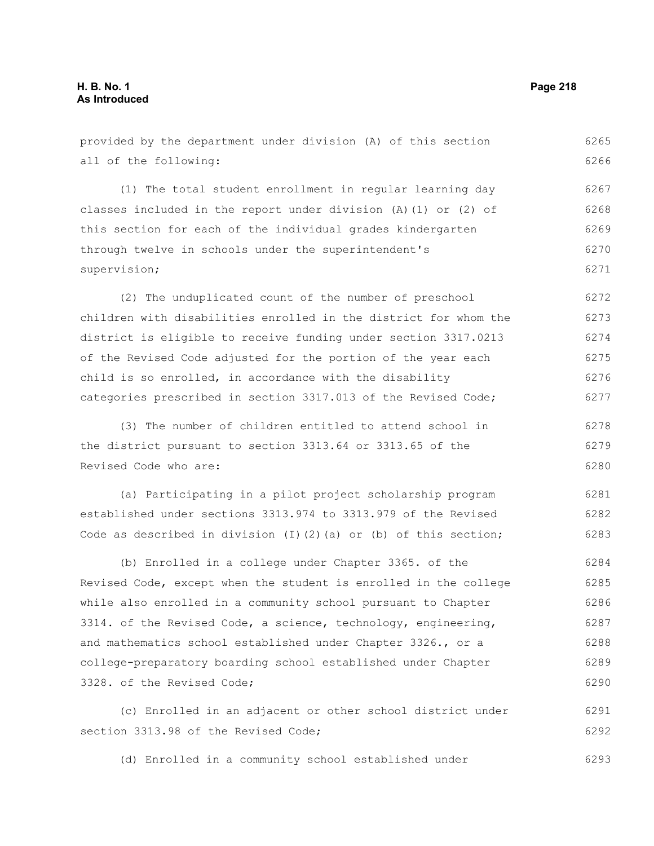| provided by the department under division (A) of this section             | 6265 |
|---------------------------------------------------------------------------|------|
| all of the following:                                                     | 6266 |
| (1) The total student enrollment in regular learning day                  | 6267 |
| classes included in the report under division $(A) (1)$ or $(2)$ of       | 6268 |
| this section for each of the individual grades kindergarten               | 6269 |
| through twelve in schools under the superintendent's                      | 6270 |
| supervision;                                                              | 6271 |
| (2) The unduplicated count of the number of preschool                     | 6272 |
| children with disabilities enrolled in the district for whom the          | 6273 |
| district is eligible to receive funding under section 3317.0213           | 6274 |
| of the Revised Code adjusted for the portion of the year each             | 6275 |
| child is so enrolled, in accordance with the disability                   | 6276 |
| categories prescribed in section 3317.013 of the Revised Code;            | 6277 |
| (3) The number of children entitled to attend school in                   | 6278 |
| the district pursuant to section 3313.64 or 3313.65 of the                | 6279 |
| Revised Code who are:                                                     | 6280 |
| (a) Participating in a pilot project scholarship program                  | 6281 |
| established under sections 3313.974 to 3313.979 of the Revised            | 6282 |
| Code as described in division $(I)$ $(2)$ $(a)$ or $(b)$ of this section; | 6283 |
| (b) Enrolled in a college under Chapter 3365. of the                      | 6284 |
| Revised Code, except when the student is enrolled in the college          | 6285 |
| while also enrolled in a community school pursuant to Chapter             | 6286 |
| 3314. of the Revised Code, a science, technology, engineering,            | 6287 |
| and mathematics school established under Chapter 3326., or a              | 6288 |
| college-preparatory boarding school established under Chapter             | 6289 |
| 3328. of the Revised Code;                                                | 6290 |
| (c) Enrolled in an adjacent or other school district under                | 6291 |
| section 3313.98 of the Revised Code;                                      | 6292 |

(d) Enrolled in a community school established under 6293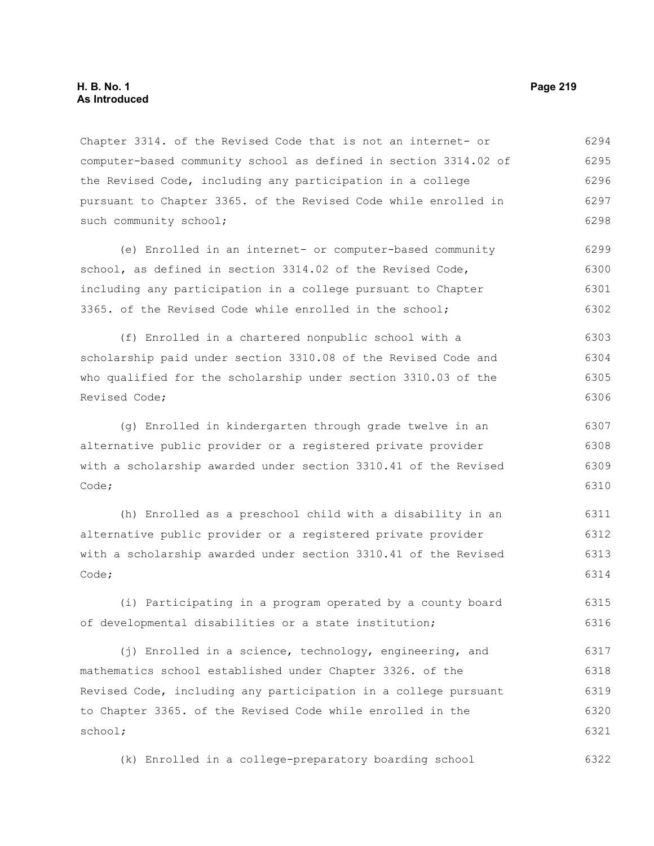Chapter 3314. of the Revised Code that is not an internet- or computer-based community school as defined in section 3314.02 of the Revised Code, including any participation in a college pursuant to Chapter 3365. of the Revised Code while enrolled in such community school; 6294 6295 6296 6297 6298

(e) Enrolled in an internet- or computer-based community school, as defined in section 3314.02 of the Revised Code, including any participation in a college pursuant to Chapter 3365. of the Revised Code while enrolled in the school; 6299 6300 6301 6302

(f) Enrolled in a chartered nonpublic school with a scholarship paid under section 3310.08 of the Revised Code and who qualified for the scholarship under section 3310.03 of the Revised Code; 6303 6304 6305 6306

(g) Enrolled in kindergarten through grade twelve in an alternative public provider or a registered private provider with a scholarship awarded under section 3310.41 of the Revised Code; 6307 6308 6309 6310

(h) Enrolled as a preschool child with a disability in an alternative public provider or a registered private provider with a scholarship awarded under section 3310.41 of the Revised Code; 6311 6312 6313 6314

(i) Participating in a program operated by a county board of developmental disabilities or a state institution; 6315 6316

(j) Enrolled in a science, technology, engineering, and mathematics school established under Chapter 3326. of the Revised Code, including any participation in a college pursuant to Chapter 3365. of the Revised Code while enrolled in the school; 6317 6318 6319 6320 6321

(k) Enrolled in a college-preparatory boarding school 6322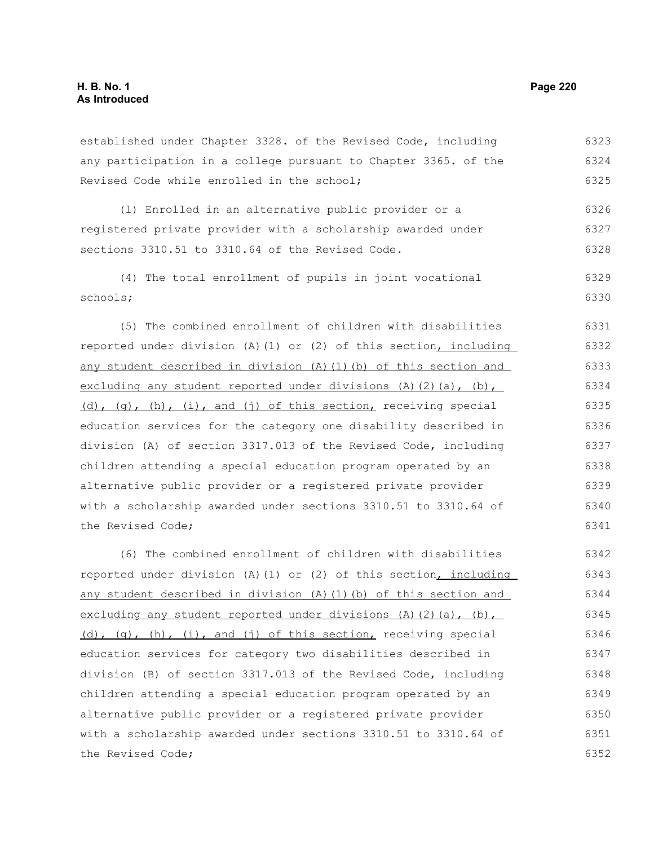#### established under Chapter 3328. of the Revised Code, including any participation in a college pursuant to Chapter 3365. of the Revised Code while enrolled in the school; (l) Enrolled in an alternative public provider or a registered private provider with a scholarship awarded under sections 3310.51 to 3310.64 of the Revised Code. (4) The total enrollment of pupils in joint vocational schools; (5) The combined enrollment of children with disabilities reported under division (A)(1) or (2) of this section, including any student described in division (A)(1)(b) of this section and excluding any student reported under divisions  $(A)$   $(2)$   $(a)$ ,  $(b)$ , (d), (g), (h), (i), and (j) of this section, receiving special education services for the category one disability described in division (A) of section 3317.013 of the Revised Code, including children attending a special education program operated by an alternative public provider or a registered private provider with a scholarship awarded under sections 3310.51 to 3310.64 of the Revised Code; (6) The combined enrollment of children with disabilities reported under division (A)(1) or (2) of this section, including any student described in division (A)(1)(b) of this section and excluding any student reported under divisions  $(A)$   $(2)$   $(a)$ ,  $(b)$ , (d), (g), (h), (i), and (j) of this section, receiving special education services for category two disabilities described in division (B) of section 3317.013 of the Revised Code, including 6323 6324 6325 6326 6327 6328 6329 6330 6331 6332 6333 6334 6335 6336 6337 6338 6339 6340 6341 6342 6343 6344 6345 6346 6347 6348

children attending a special education program operated by an alternative public provider or a registered private provider with a scholarship awarded under sections 3310.51 to 3310.64 of the Revised Code; 6349 6350 6351 6352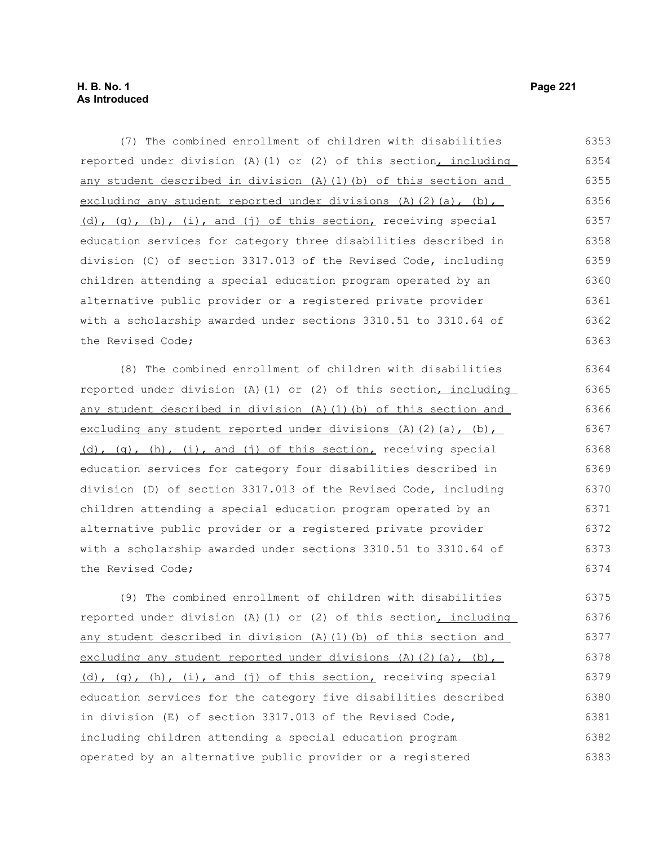(7) The combined enrollment of children with disabilities reported under division (A)(1) or (2) of this section, including any student described in division (A)(1)(b) of this section and excluding any student reported under divisions  $(A)(2)(a)$ ,  $(b)$ , (d), (g), (h), (i), and (j) of this section, receiving special education services for category three disabilities described in division (C) of section 3317.013 of the Revised Code, including children attending a special education program operated by an alternative public provider or a registered private provider with a scholarship awarded under sections 3310.51 to 3310.64 of the Revised Code; 6353 6354 6355 6356 6357 6358 6359 6360 6361 6362 6363

(8) The combined enrollment of children with disabilities reported under division (A)(1) or (2) of this section, including any student described in division (A)(1)(b) of this section and excluding any student reported under divisions (A)(2)(a), (b),  $(d)$ ,  $(q)$ ,  $(h)$ ,  $(i)$ , and  $(j)$  of this section, receiving special education services for category four disabilities described in division (D) of section 3317.013 of the Revised Code, including children attending a special education program operated by an alternative public provider or a registered private provider with a scholarship awarded under sections 3310.51 to 3310.64 of the Revised Code;

(9) The combined enrollment of children with disabilities reported under division (A)(1) or (2) of this section, including any student described in division (A)(1)(b) of this section and excluding any student reported under divisions (A)(2)(a), (b), (d), (g), (h), (i), and (j) of this section, receiving special education services for the category five disabilities described in division (E) of section 3317.013 of the Revised Code, including children attending a special education program operated by an alternative public provider or a registered 6375 6376 6377 6378 6379 6380 6381 6382 6383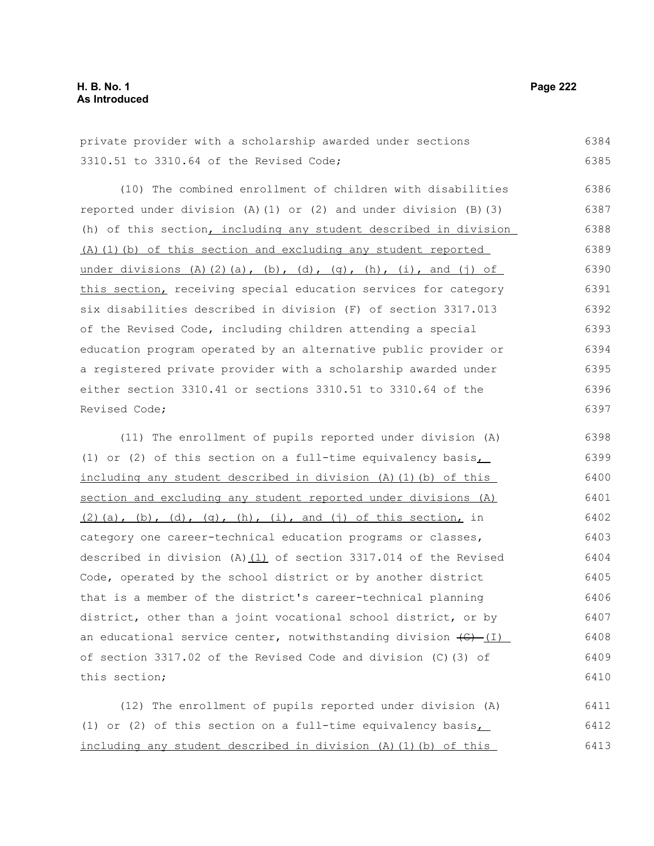$6384$ 

| private provider with a scholarship awarded under sections              | 6384 |
|-------------------------------------------------------------------------|------|
| 3310.51 to 3310.64 of the Revised Code;                                 | 6385 |
| (10) The combined enrollment of children with disabilities              | 6386 |
| reported under division $(A) (1)$ or $(2)$ and under division $(B) (3)$ | 6387 |
| (h) of this section, including any student described in division        | 6388 |
| (A) (1) (b) of this section and excluding any student reported          | 6389 |
| under divisions (A)(2)(a), (b), (d), (q), (h), (i), and (j) of          | 6390 |
| this section, receiving special education services for category         | 6391 |
| six disabilities described in division (F) of section 3317.013          | 6392 |
| of the Revised Code, including children attending a special             | 6393 |
| education program operated by an alternative public provider or         | 6394 |
| a registered private provider with a scholarship awarded under          | 6395 |
| either section 3310.41 or sections 3310.51 to 3310.64 of the            | 6396 |
| Revised Code;                                                           | 6397 |

(11) The enrollment of pupils reported under division (A) (1) or (2) of this section on a full-time equivalency basis, including any student described in division (A)(1)(b) of this section and excluding any student reported under divisions (A)  $(2)$ (a), (b), (d), (q), (h), (i), and (j) of this section, in category one career-technical education programs or classes, described in division (A) $(1)$  of section 3317.014 of the Revised Code, operated by the school district or by another district that is a member of the district's career-technical planning district, other than a joint vocational school district, or by an educational service center, notwithstanding division  $\left(\theta\right)$  (I) of section 3317.02 of the Revised Code and division (C)(3) of this section; 6398 6399 6400 6401 6402 6403 6404 6405 6406 6407 6408 6409 6410

(12) The enrollment of pupils reported under division (A) (1) or (2) of this section on a full-time equivalency basis $\overline{I}$ including any student described in division (A)(1)(b) of this 6411 6412 6413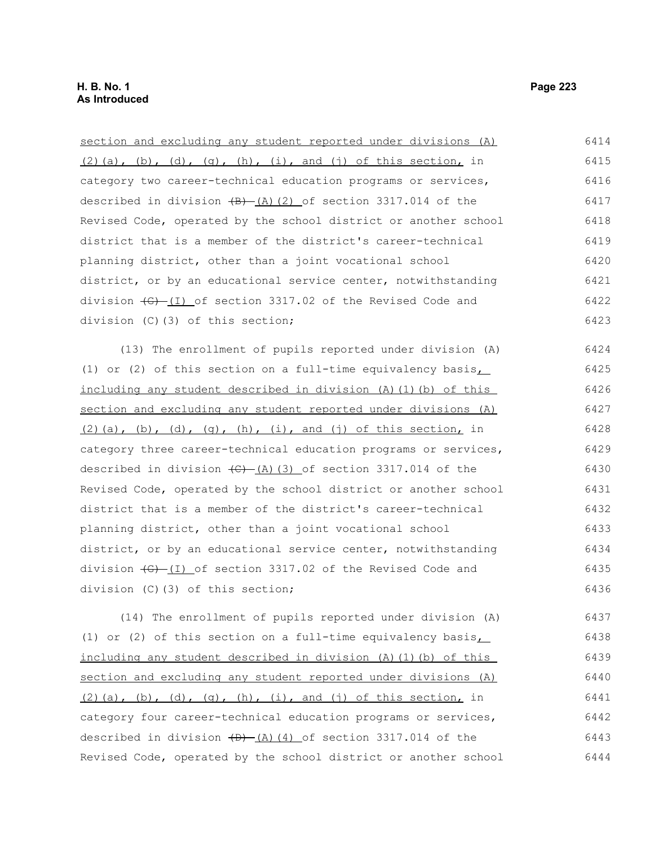| section and excluding any student reported under divisions (A)                     | 6414 |
|------------------------------------------------------------------------------------|------|
| $(2)$ (a), (b), (d), (g), (h), (i), and (j) of this section, in                    | 6415 |
| category two career-technical education programs or services,                      | 6416 |
| described in division $\frac{1}{2}$ (2) of section 3317.014 of the                 | 6417 |
| Revised Code, operated by the school district or another school                    | 6418 |
| district that is a member of the district's career-technical                       | 6419 |
| planning district, other than a joint vocational school                            | 6420 |
| district, or by an educational service center, notwithstanding                     | 6421 |
| division $\left(\frac{1}{2} - 1\right)$ of section 3317.02 of the Revised Code and | 6422 |
| division (C)(3) of this section;                                                   | 6423 |
| (13) The enrollment of pupils reported under division (A)                          | 6424 |
| (1) or (2) of this section on a full-time equivalency basis $\overline{S}$         | 6425 |
| including any student described in division (A) (1) (b) of this                    | 6426 |
| section and excluding any student reported under divisions (A)                     | 6427 |
| $(2)$ (a), (b), (d), (g), (h), (i), and (j) of this section, in                    | 6428 |
| category three career-technical education programs or services,                    | 6429 |
| described in division $\left(\frac{C}{A}\right)$ (3) of section 3317.014 of the    | 6430 |
| Revised Code, operated by the school district or another school                    | 6431 |
| district that is a member of the district's career-technical                       | 6432 |
| planning district, other than a joint vocational school                            | 6433 |
| district, or by an educational service center, notwithstanding                     | 6434 |
| division $\left(\frac{1}{2}\right)$ of section 3317.02 of the Revised Code and     | 6435 |
| division (C)(3) of this section;                                                   | 6436 |
| (14) The enrollment of pupils reported under division (A)                          | 6437 |
| (1) or (2) of this section on a full-time equivalency basis                        | 6438 |
| including any student described in division (A) (1) (b) of this                    | 6439 |

section and excluding any student reported under divisions (A)  $(2)$  (a), (b), (d), (g), (h), (i), and (j) of this section, in category four career-technical education programs or services, described in division  $(D)$   $(A)$   $(4)$  of section 3317.014 of the Revised Code, operated by the school district or another school 6440 6441 6442 6443 6444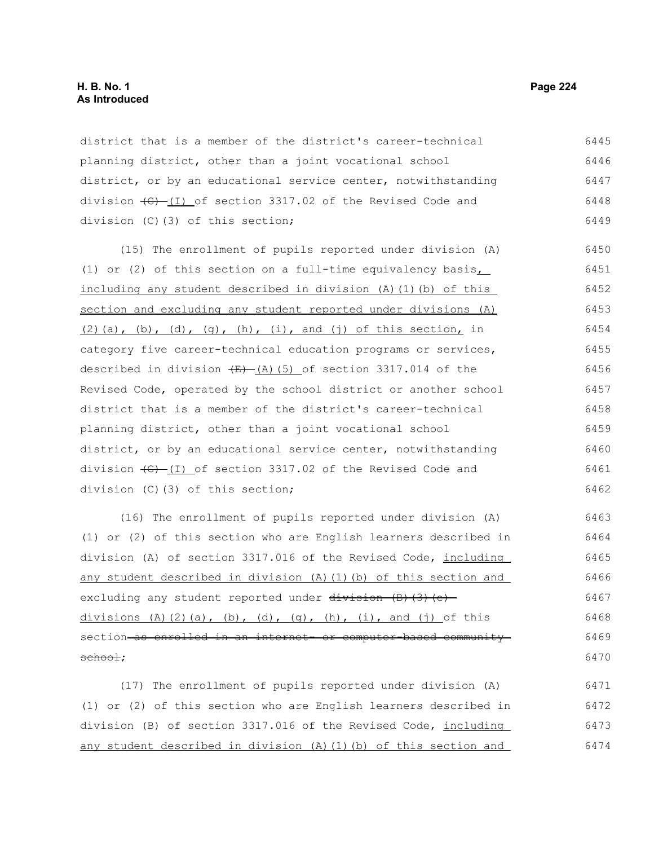district that is a member of the district's career-technical planning district, other than a joint vocational school district, or by an educational service center, notwithstanding division  $\left( \frac{G}{G} \right)$  of section 3317.02 of the Revised Code and division (C)(3) of this section; 6445 6446 6447 6448 6449

(15) The enrollment of pupils reported under division (A) (1) or (2) of this section on a full-time equivalency basis, including any student described in division (A)(1)(b) of this section and excluding any student reported under divisions (A)  $(2)$ (a), (b), (d), (q), (h), (i), and (j) of this section, in category five career-technical education programs or services, described in division  $(E)$  (A)(5) of section 3317.014 of the Revised Code, operated by the school district or another school district that is a member of the district's career-technical planning district, other than a joint vocational school district, or by an educational service center, notwithstanding division  $\left(-\frac{G}{G}\right)$  of section 3317.02 of the Revised Code and division (C)(3) of this section; 6450 6451 6452 6453 6454 6455 6456 6457 6458 6459 6460 6461 6462

(16) The enrollment of pupils reported under division (A) (1) or (2) of this section who are English learners described in division (A) of section 3317.016 of the Revised Code, including any student described in division (A)(1)(b) of this section and excluding any student reported under  $\frac{divission}{(B)(3)(e)}$ divisions (A)(2)(a), (b), (d), (q), (h), (i), and (j) of this section as enrolled in an internet- or computer-based community school; 6463 6464 6465 6466 6467 6468 6469 6470

(17) The enrollment of pupils reported under division (A) (1) or (2) of this section who are English learners described in division (B) of section 3317.016 of the Revised Code, including any student described in division (A)(1)(b) of this section and 6471 6472 6473 6474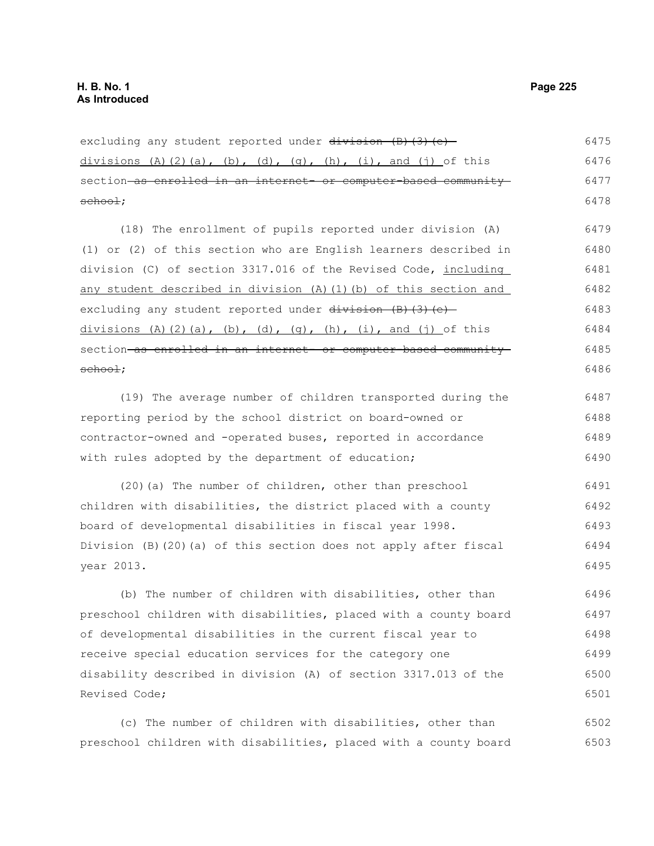excluding any student reported under  $\frac{division}{(B)}$ (e)divisions (A)(2)(a), (b), (d), (q), (h), (i), and (j) of this section as enrolled in an internet- or computer-based community school; 6475 6476 6477 6478

(18) The enrollment of pupils reported under division (A) (1) or (2) of this section who are English learners described in division (C) of section 3317.016 of the Revised Code, including any student described in division (A)(1)(b) of this section and excluding any student reported under  $division$  (B)(3)(e) divisions (A)(2)(a), (b), (d), (q), (h), (i), and (j) of this section as enrolled in an internet- or computer-based communityschool; 6479 6480 6481 6482 6483 6484 6485 6486

(19) The average number of children transported during the reporting period by the school district on board-owned or contractor-owned and -operated buses, reported in accordance with rules adopted by the department of education; 6487 6488 6489 6490

(20)(a) The number of children, other than preschool children with disabilities, the district placed with a county board of developmental disabilities in fiscal year 1998. Division (B)(20)(a) of this section does not apply after fiscal year 2013. 6491 6492 6493 6494 6495

(b) The number of children with disabilities, other than preschool children with disabilities, placed with a county board of developmental disabilities in the current fiscal year to receive special education services for the category one disability described in division (A) of section 3317.013 of the Revised Code; 6496 6497 6498 6499 6500 6501

(c) The number of children with disabilities, other than preschool children with disabilities, placed with a county board 6502 6503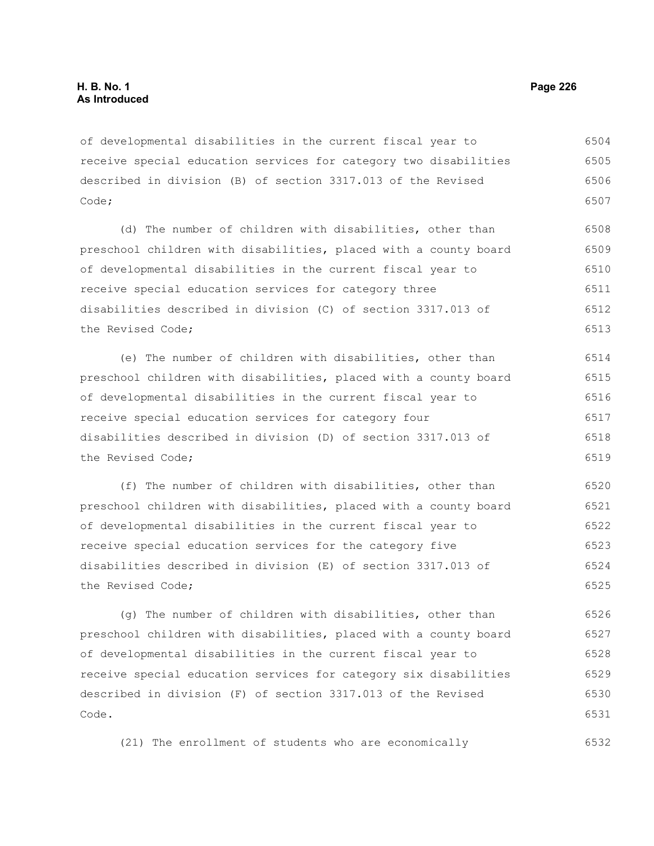of developmental disabilities in the current fiscal year to receive special education services for category two disabilities described in division (B) of section 3317.013 of the Revised Code; 6504 6505 6506 6507

(d) The number of children with disabilities, other than preschool children with disabilities, placed with a county board of developmental disabilities in the current fiscal year to receive special education services for category three disabilities described in division (C) of section 3317.013 of the Revised Code; 6508 6509 6510 6511 6512 6513

(e) The number of children with disabilities, other than preschool children with disabilities, placed with a county board of developmental disabilities in the current fiscal year to receive special education services for category four disabilities described in division (D) of section 3317.013 of the Revised Code; 6514 6515 6516 6517 6518 6519

(f) The number of children with disabilities, other than preschool children with disabilities, placed with a county board of developmental disabilities in the current fiscal year to receive special education services for the category five disabilities described in division (E) of section 3317.013 of the Revised Code; 6520 6521 6522 6523 6524 6525

(g) The number of children with disabilities, other than preschool children with disabilities, placed with a county board of developmental disabilities in the current fiscal year to receive special education services for category six disabilities described in division (F) of section 3317.013 of the Revised Code. 6526 6527 6528 6529 6530 6531

(21) The enrollment of students who are economically 6532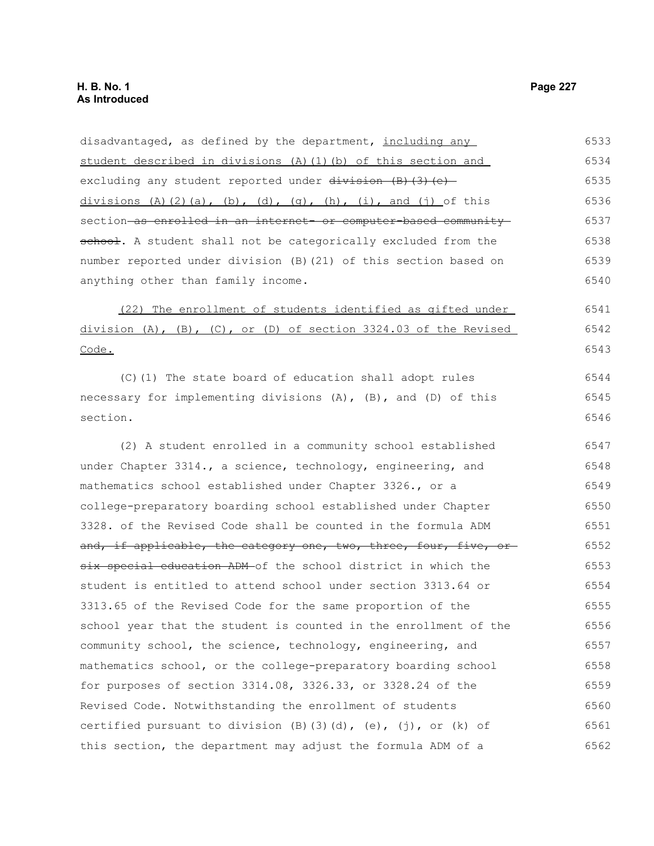disadvantaged, as defined by the department, including any student described in divisions (A)(1)(b) of this section and excluding any student reported under  $division$  (B)(3)(e)divisions (A)(2)(a), (b), (d), (q), (h), (i), and (j) of this section as enrolled in an internet- or computer-based community school. A student shall not be categorically excluded from the number reported under division (B)(21) of this section based on anything other than family income. (22) The enrollment of students identified as gifted under division  $(A)$ ,  $(B)$ ,  $(C)$ , or  $(D)$  of section 3324.03 of the Revised Code. (C)(1) The state board of education shall adopt rules necessary for implementing divisions (A), (B), and (D) of this section. (2) A student enrolled in a community school established under Chapter 3314., a science, technology, engineering, and mathematics school established under Chapter 3326., or a college-preparatory boarding school established under Chapter 3328. of the Revised Code shall be counted in the formula ADM and, if applicable, the category one, two, three, four, five, or six special education ADM of the school district in which the student is entitled to attend school under section 3313.64 or 3313.65 of the Revised Code for the same proportion of the school year that the student is counted in the enrollment of the community school, the science, technology, engineering, and mathematics school, or the college-preparatory boarding school for purposes of section 3314.08, 3326.33, or 3328.24 of the Revised Code. Notwithstanding the enrollment of students certified pursuant to division  $(B)(3)(d)$ ,  $(e)$ ,  $(j)$ , or  $(k)$  of this section, the department may adjust the formula ADM of a 6533 6534 6535 6536 6537 6538 6539 6540 6541 6542 6543 6544 6545 6546 6547 6548 6549 6550 6551 6552 6553 6554 6555 6556 6557 6558 6559 6560 6561 6562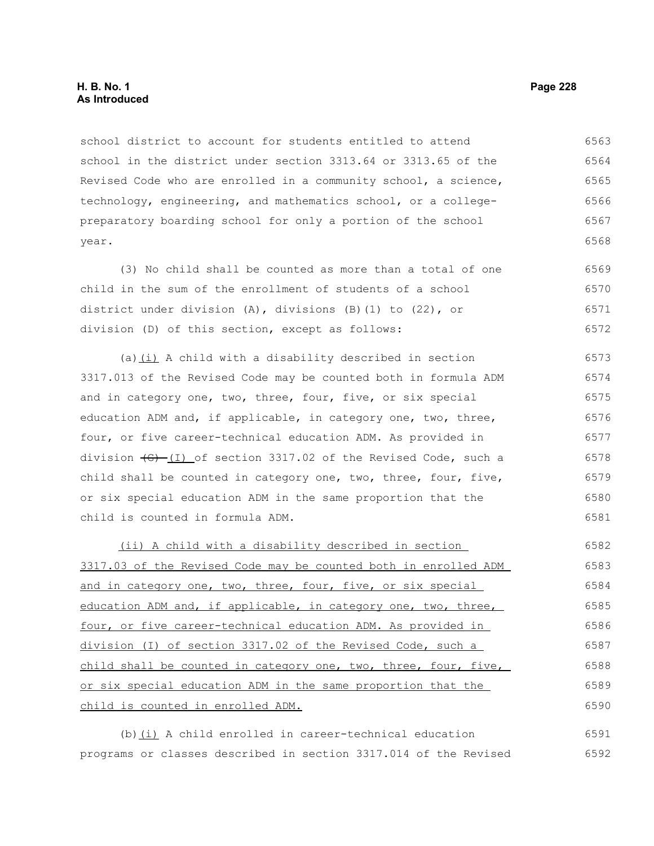## **H. B. No. 1 Page 228 As Introduced**

school district to account for students entitled to attend school in the district under section 3313.64 or 3313.65 of the Revised Code who are enrolled in a community school, a science, technology, engineering, and mathematics school, or a collegepreparatory boarding school for only a portion of the school year. 6563 6564 6565 6566 6567 6568

(3) No child shall be counted as more than a total of one child in the sum of the enrollment of students of a school district under division (A), divisions (B)(1) to (22), or division (D) of this section, except as follows: 6569 6570 6571 6572

(a) $(i)$  A child with a disability described in section 3317.013 of the Revised Code may be counted both in formula ADM and in category one, two, three, four, five, or six special education ADM and, if applicable, in category one, two, three, four, or five career-technical education ADM. As provided in division  $\left(6\right)$  (I) of section 3317.02 of the Revised Code, such a child shall be counted in category one, two, three, four, five, or six special education ADM in the same proportion that the child is counted in formula ADM. 6573 6574 6575 6576 6577 6578 6579 6580 6581

(ii) A child with a disability described in section 3317.03 of the Revised Code may be counted both in enrolled ADM and in category one, two, three, four, five, or six special education ADM and, if applicable, in category one, two, three, four, or five career-technical education ADM. As provided in division (I) of section 3317.02 of the Revised Code, such a child shall be counted in category one, two, three, four, five, or six special education ADM in the same proportion that the child is counted in enrolled ADM. 6582 6583 6584 6585 6586 6587 6588 6589 6590

(b) $(i)$  A child enrolled in career-technical education programs or classes described in section 3317.014 of the Revised 6591 6592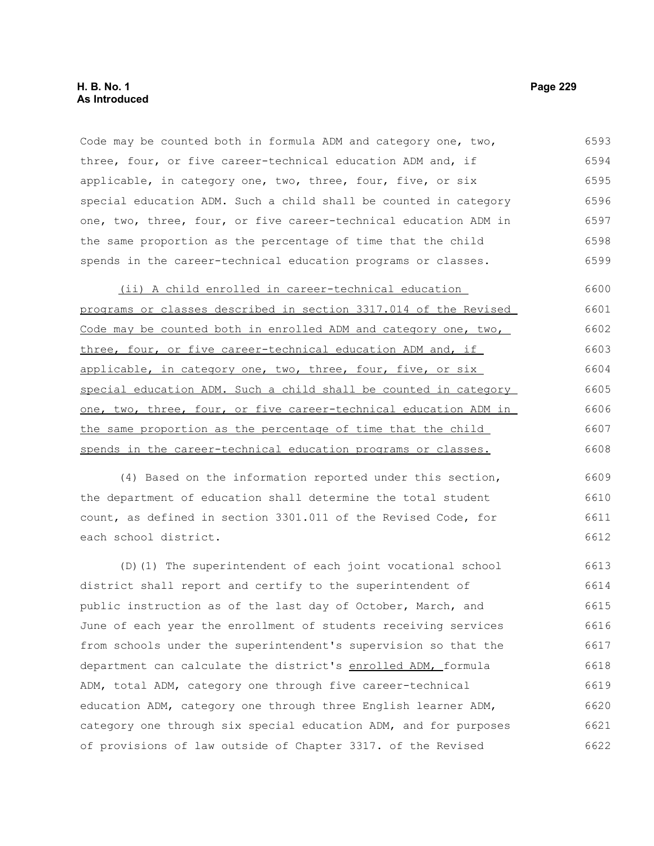## **H. B. No. 1 Page 229 As Introduced**

Code may be counted both in formula ADM and category one, two, three, four, or five career-technical education ADM and, if applicable, in category one, two, three, four, five, or six special education ADM. Such a child shall be counted in category one, two, three, four, or five career-technical education ADM in the same proportion as the percentage of time that the child spends in the career-technical education programs or classes. 6593 6594 6595 6596 6597 6598 6599

(ii) A child enrolled in career-technical education programs or classes described in section 3317.014 of the Revised Code may be counted both in enrolled ADM and category one, two, three, four, or five career-technical education ADM and, if applicable, in category one, two, three, four, five, or six special education ADM. Such a child shall be counted in category one, two, three, four, or five career-technical education ADM in the same proportion as the percentage of time that the child spends in the career-technical education programs or classes. 6600 6601 6602 6603 6604 6605 6606 6607 6608

(4) Based on the information reported under this section, the department of education shall determine the total student count, as defined in section 3301.011 of the Revised Code, for each school district. 6609 6610 6611 6612

(D)(1) The superintendent of each joint vocational school district shall report and certify to the superintendent of public instruction as of the last day of October, March, and June of each year the enrollment of students receiving services from schools under the superintendent's supervision so that the department can calculate the district's enrolled ADM, formula ADM, total ADM, category one through five career-technical education ADM, category one through three English learner ADM, category one through six special education ADM, and for purposes of provisions of law outside of Chapter 3317. of the Revised 6613 6614 6615 6616 6617 6618 6619 6620 6621 6622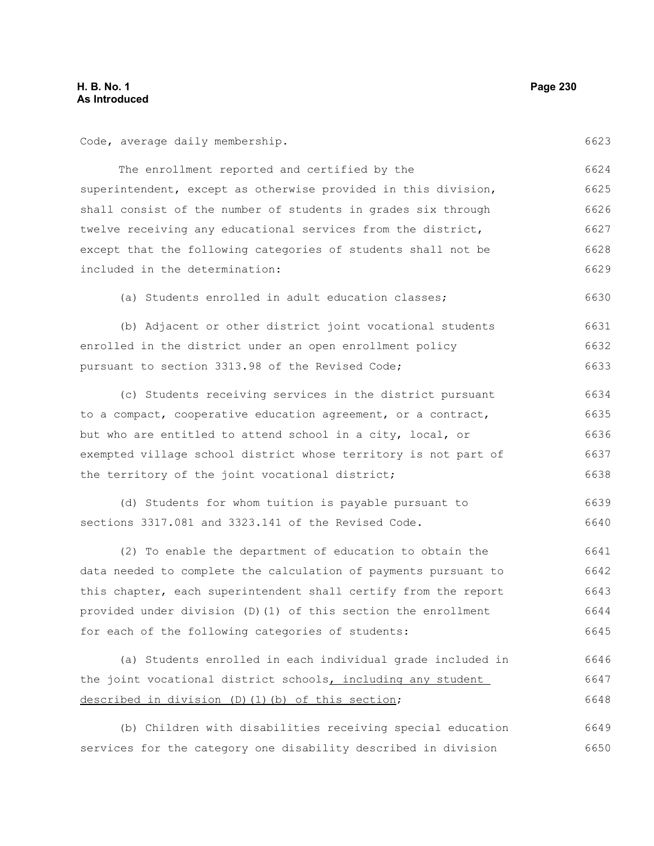Code, average daily membership.

6623

6630

The enrollment reported and certified by the superintendent, except as otherwise provided in this division, shall consist of the number of students in grades six through twelve receiving any educational services from the district, except that the following categories of students shall not be included in the determination: 6624 6625 6626 6627 6628 6629

(a) Students enrolled in adult education classes;

(b) Adjacent or other district joint vocational students enrolled in the district under an open enrollment policy pursuant to section 3313.98 of the Revised Code; 6631 6632 6633

(c) Students receiving services in the district pursuant to a compact, cooperative education agreement, or a contract, but who are entitled to attend school in a city, local, or exempted village school district whose territory is not part of the territory of the joint vocational district; 6634 6635 6636 6637 6638

(d) Students for whom tuition is payable pursuant to sections 3317.081 and 3323.141 of the Revised Code. 6639 6640

(2) To enable the department of education to obtain the data needed to complete the calculation of payments pursuant to this chapter, each superintendent shall certify from the report provided under division (D)(1) of this section the enrollment for each of the following categories of students: 6641 6642 6643 6644 6645

```
(a) Students enrolled in each individual grade included in
the joint vocational district schools, including any student
described in division (D)(1)(b) of this section;
                                                                           6646
                                                                           6647
                                                                           6648
```
(b) Children with disabilities receiving special education services for the category one disability described in division 6649 6650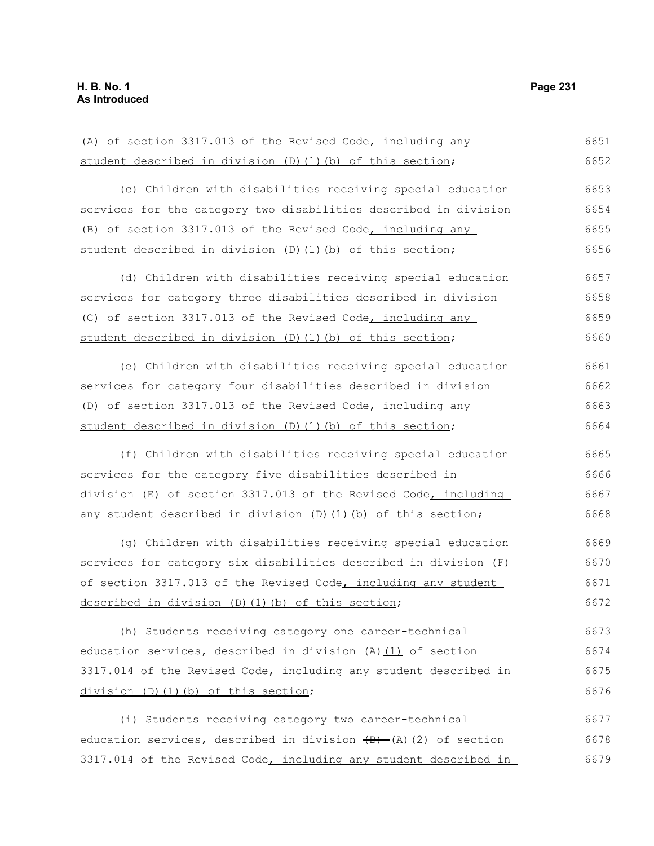(A) of section 3317.013 of the Revised Code, including any student described in division (D)(1)(b) of this section; (c) Children with disabilities receiving special education services for the category two disabilities described in division (B) of section 3317.013 of the Revised Code, including any student described in division (D)(1)(b) of this section; (d) Children with disabilities receiving special education services for category three disabilities described in division (C) of section 3317.013 of the Revised Code, including any student described in division (D)(1)(b) of this section; (e) Children with disabilities receiving special education services for category four disabilities described in division (D) of section 3317.013 of the Revised Code, including any student described in division (D)(1)(b) of this section; (f) Children with disabilities receiving special education services for the category five disabilities described in division (E) of section 3317.013 of the Revised Code, including any student described in division (D)(1)(b) of this section; (g) Children with disabilities receiving special education services for category six disabilities described in division (F) of section 3317.013 of the Revised Code, including any student described in division (D)(1)(b) of this section; (h) Students receiving category one career-technical education services, described in division  $(A)$   $(1)$  of section 3317.014 of the Revised Code, including any student described in division (D)(1)(b) of this section; (i) Students receiving category two career-technical education services, described in division  $\overline{(B) - (A)(2)}$  of section 3317.014 of the Revised Code, including any student described in 6651 6652 6653 6654 6655 6656 6657 6658 6659 6660 6661 6662 6663 6664 6665 6666 6667 6668 6669 6670 6671 6672 6673 6674 6675 6676 6677 6678 6679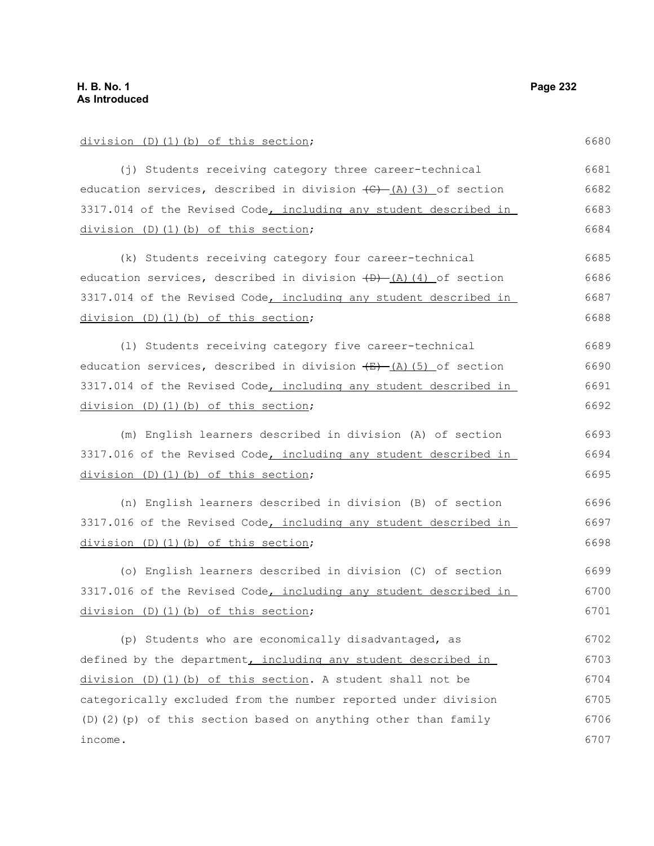| division (D)(1)(b) of this section;                                               | 6680 |
|-----------------------------------------------------------------------------------|------|
| (j) Students receiving category three career-technical                            | 6681 |
| education services, described in division $\overline{(C)}$ $(A)$ $(3)$ of section | 6682 |
| 3317.014 of the Revised Code, including any student described in                  | 6683 |
| division (D)(1)(b) of this section;                                               | 6684 |
| (k) Students receiving category four career-technical                             | 6685 |
| education services, described in division <del>(D) (A) (4)</del> of section       | 6686 |
| 3317.014 of the Revised Code, including any student described in                  | 6687 |
| division (D)(1)(b) of this section;                                               | 6688 |
| (1) Students receiving category five career-technical                             | 6689 |
| education services, described in division $\overline{+B}$ (A) (5) of section      | 6690 |
| 3317.014 of the Revised Code, including any student described in                  | 6691 |
| division (D)(1)(b) of this section;                                               | 6692 |
| (m) English learners described in division (A) of section                         | 6693 |
| 3317.016 of the Revised Code, including any student described in                  | 6694 |
| division (D)(1)(b) of this section;                                               | 6695 |
| (n) English learners described in division (B) of section                         | 6696 |
| 3317.016 of the Revised Code, including any student described in                  | 6697 |
| division (D)(1)(b) of this section;                                               | 6698 |
| (o) English learners described in division (C) of section                         | 6699 |
| 3317.016 of the Revised Code, including any student described in                  | 6700 |
| division (D)(1)(b) of this section;                                               | 6701 |
| (p) Students who are economically disadvantaged, as                               | 6702 |
| defined by the department, including any student described in                     | 6703 |
| division (D)(1)(b) of this section. A student shall not be                        | 6704 |
| categorically excluded from the number reported under division                    | 6705 |
| (D)(2)(p) of this section based on anything other than family                     | 6706 |
| income.                                                                           | 6707 |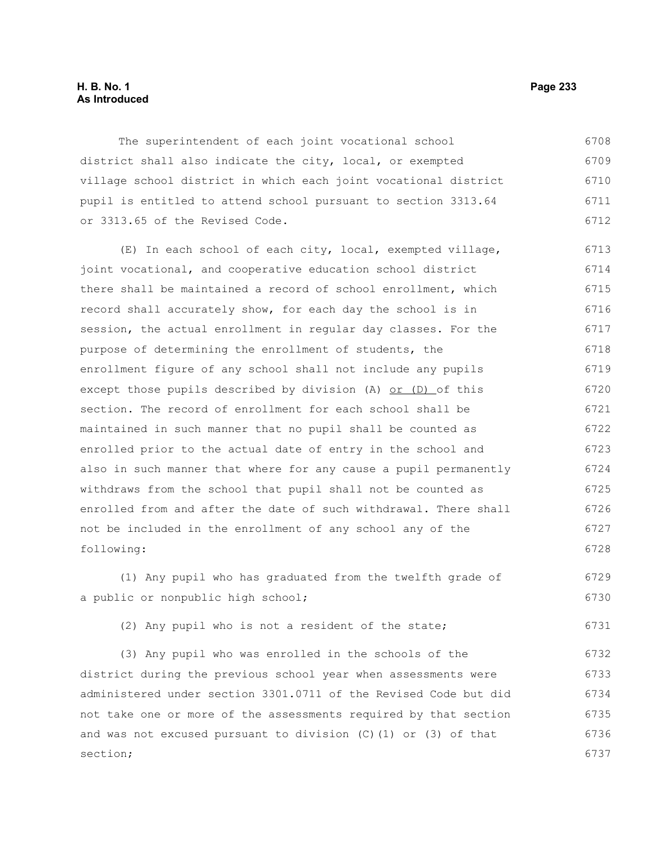#### **H. B. No. 1 Page 233 As Introduced**

The superintendent of each joint vocational school district shall also indicate the city, local, or exempted village school district in which each joint vocational district pupil is entitled to attend school pursuant to section 3313.64 or 3313.65 of the Revised Code. 6708 6709 6710 6711 6712

(E) In each school of each city, local, exempted village, joint vocational, and cooperative education school district there shall be maintained a record of school enrollment, which record shall accurately show, for each day the school is in session, the actual enrollment in regular day classes. For the purpose of determining the enrollment of students, the enrollment figure of any school shall not include any pupils except those pupils described by division (A) or (D) of this section. The record of enrollment for each school shall be maintained in such manner that no pupil shall be counted as enrolled prior to the actual date of entry in the school and also in such manner that where for any cause a pupil permanently withdraws from the school that pupil shall not be counted as enrolled from and after the date of such withdrawal. There shall not be included in the enrollment of any school any of the following: 6713 6714 6715 6716 6717 6718 6719 6720 6721 6722 6723 6724 6725 6726 6727 6728

(1) Any pupil who has graduated from the twelfth grade of a public or nonpublic high school; 6729 6730

(2) Any pupil who is not a resident of the state;

(3) Any pupil who was enrolled in the schools of the district during the previous school year when assessments were administered under section 3301.0711 of the Revised Code but did not take one or more of the assessments required by that section and was not excused pursuant to division (C)(1) or (3) of that section; 6732 6733 6734 6735 6736 6737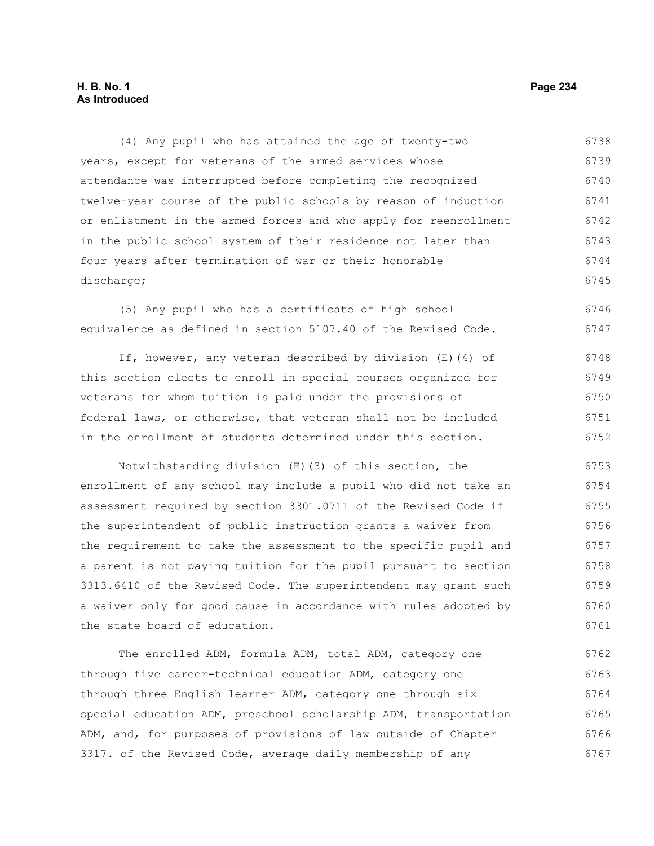#### **H. B. No. 1 Page 234 As Introduced**

(4) Any pupil who has attained the age of twenty-two years, except for veterans of the armed services whose attendance was interrupted before completing the recognized twelve-year course of the public schools by reason of induction or enlistment in the armed forces and who apply for reenrollment in the public school system of their residence not later than four years after termination of war or their honorable discharge; 6738 6739 6740 6741 6742 6743 6744 6745

(5) Any pupil who has a certificate of high school equivalence as defined in section 5107.40 of the Revised Code. 6746 6747

If, however, any veteran described by division (E)(4) of this section elects to enroll in special courses organized for veterans for whom tuition is paid under the provisions of federal laws, or otherwise, that veteran shall not be included in the enrollment of students determined under this section. 6748 6749 6750 6751 6752

Notwithstanding division (E)(3) of this section, the enrollment of any school may include a pupil who did not take an assessment required by section 3301.0711 of the Revised Code if the superintendent of public instruction grants a waiver from the requirement to take the assessment to the specific pupil and a parent is not paying tuition for the pupil pursuant to section 3313.6410 of the Revised Code. The superintendent may grant such a waiver only for good cause in accordance with rules adopted by the state board of education. 6753 6754 6755 6756 6757 6758 6759 6760 6761

The enrolled ADM, formula ADM, total ADM, category one through five career-technical education ADM, category one through three English learner ADM, category one through six special education ADM, preschool scholarship ADM, transportation ADM, and, for purposes of provisions of law outside of Chapter 3317. of the Revised Code, average daily membership of any 6762 6763 6764 6765 6766 6767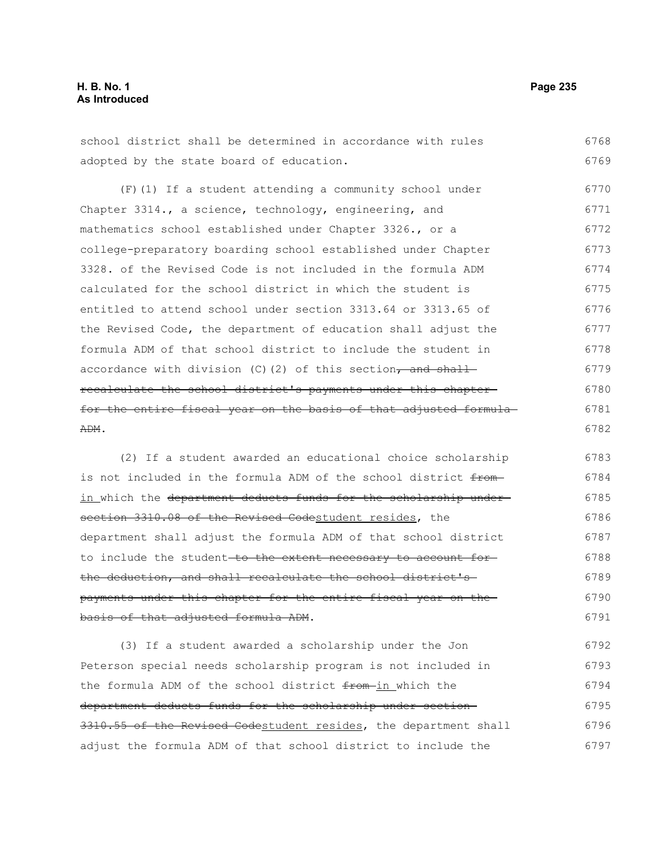## **H. B. No. 1 Page 235 As Introduced**

6768

adopted by the state board of education. (F)(1) If a student attending a community school under Chapter 3314., a science, technology, engineering, and mathematics school established under Chapter 3326., or a college-preparatory boarding school established under Chapter 3328. of the Revised Code is not included in the formula ADM calculated for the school district in which the student is entitled to attend school under section 3313.64 or 3313.65 of the Revised Code, the department of education shall adjust the formula ADM of that school district to include the student in accordance with division  $(C)$  (2) of this section, and shall recalculate the school district's payments under this chapter for the entire fiscal year on the basis of that adjusted formula ADM. 6769 6770 6771 6772 6773 6774 6775 6776 6777 6778 6779 6780 6781 6782

school district shall be determined in accordance with rules

(2) If a student awarded an educational choice scholarship is not included in the formula ADM of the school district fromin which the department deducts funds for the scholarship undersection 3310.08 of the Revised Codestudent resides, the department shall adjust the formula ADM of that school district to include the student-to the extent necessary to account forthe deduction, and shall recalculate the school district's payments under this chapter for the entire fiscal year on the basis of that adjusted formula ADM. 6783 6784 6785 6786 6787 6788 6789 6790 6791

(3) If a student awarded a scholarship under the Jon Peterson special needs scholarship program is not included in the formula ADM of the school district from in which the department deducts funds for the scholarship under section 3310.55 of the Revised Codestudent resides, the department shall adjust the formula ADM of that school district to include the 6792 6793 6794 6795 6796 6797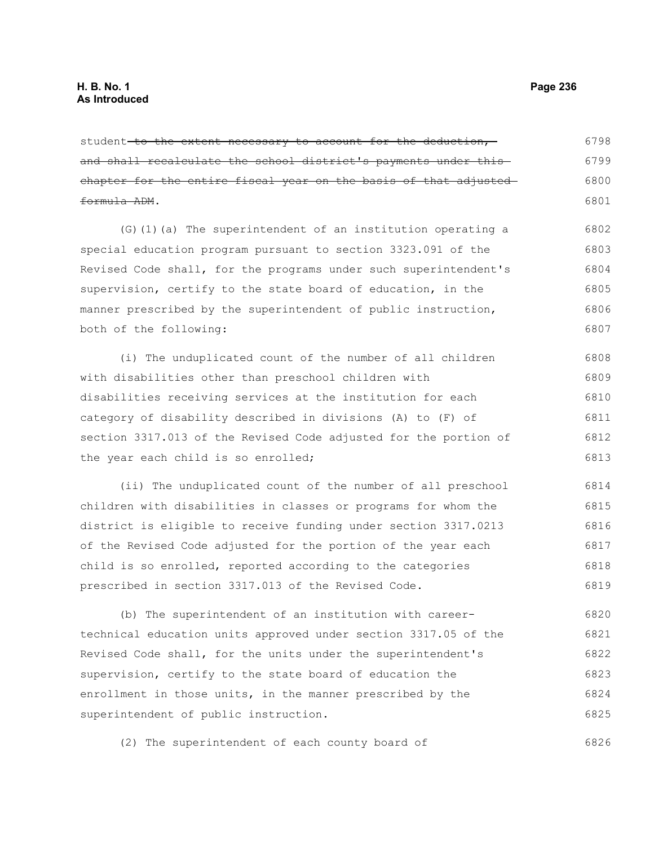student to the extent necessary to account for the deduction, and shall recalculate the school district's payments under thischapter for the entire fiscal year on the basis of that adjusted formula ADM. 6798 6799 6800 6801

(G)(1)(a) The superintendent of an institution operating a special education program pursuant to section 3323.091 of the Revised Code shall, for the programs under such superintendent's supervision, certify to the state board of education, in the manner prescribed by the superintendent of public instruction, both of the following: 6802 6803 6804 6805 6806 6807

(i) The unduplicated count of the number of all children with disabilities other than preschool children with disabilities receiving services at the institution for each category of disability described in divisions (A) to (F) of section 3317.013 of the Revised Code adjusted for the portion of the year each child is so enrolled; 6808 6809 6810 6811 6812 6813

(ii) The unduplicated count of the number of all preschool children with disabilities in classes or programs for whom the district is eligible to receive funding under section 3317.0213 of the Revised Code adjusted for the portion of the year each child is so enrolled, reported according to the categories prescribed in section 3317.013 of the Revised Code. 6814 6815 6816 6817 6818 6819

(b) The superintendent of an institution with careertechnical education units approved under section 3317.05 of the Revised Code shall, for the units under the superintendent's supervision, certify to the state board of education the enrollment in those units, in the manner prescribed by the superintendent of public instruction. 6820 6821 6822 6823 6824 6825

(2) The superintendent of each county board of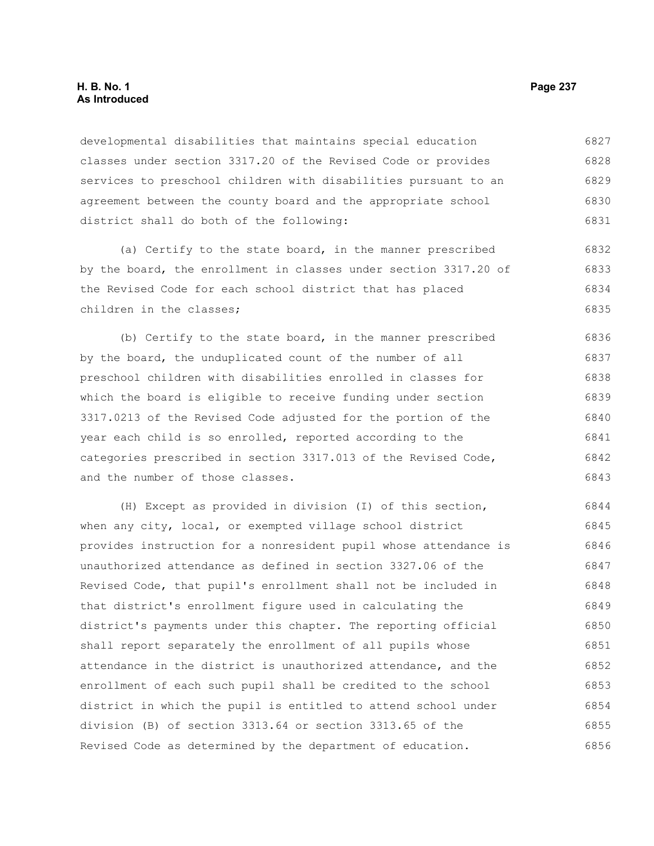#### **H. B. No. 1 Page 237 As Introduced**

developmental disabilities that maintains special education classes under section 3317.20 of the Revised Code or provides services to preschool children with disabilities pursuant to an agreement between the county board and the appropriate school district shall do both of the following: 6827 6828 6829 6830 6831

(a) Certify to the state board, in the manner prescribed by the board, the enrollment in classes under section 3317.20 of the Revised Code for each school district that has placed children in the classes; 6832 6833 6834 6835

(b) Certify to the state board, in the manner prescribed by the board, the unduplicated count of the number of all preschool children with disabilities enrolled in classes for which the board is eligible to receive funding under section 3317.0213 of the Revised Code adjusted for the portion of the year each child is so enrolled, reported according to the categories prescribed in section 3317.013 of the Revised Code, and the number of those classes. 6836 6837 6838 6839 6840 6841 6842 6843

(H) Except as provided in division (I) of this section, when any city, local, or exempted village school district provides instruction for a nonresident pupil whose attendance is unauthorized attendance as defined in section 3327.06 of the Revised Code, that pupil's enrollment shall not be included in that district's enrollment figure used in calculating the district's payments under this chapter. The reporting official shall report separately the enrollment of all pupils whose attendance in the district is unauthorized attendance, and the enrollment of each such pupil shall be credited to the school district in which the pupil is entitled to attend school under division (B) of section 3313.64 or section 3313.65 of the Revised Code as determined by the department of education. 6844 6845 6846 6847 6848 6849 6850 6851 6852 6853 6854 6855 6856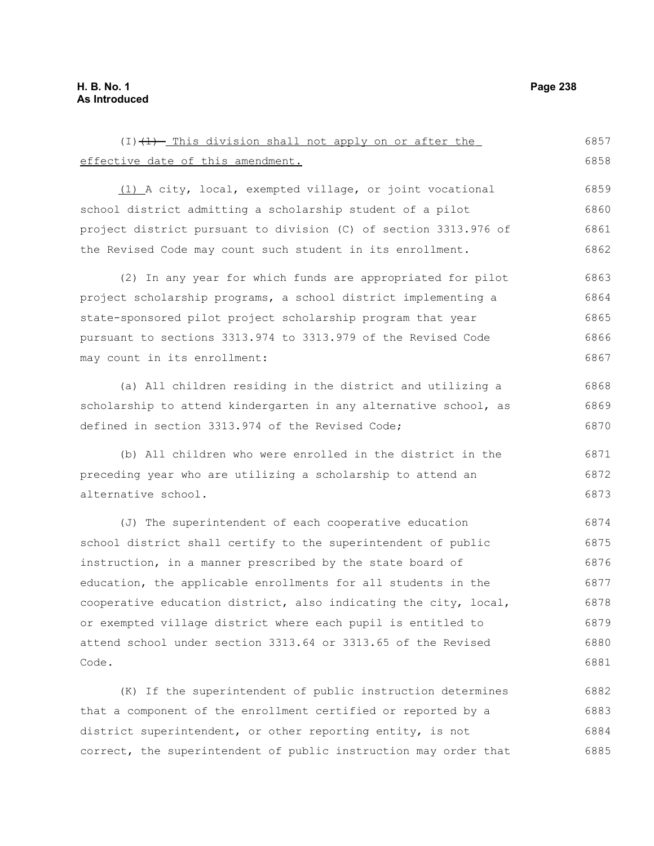| $(1)$ $(1)$ - This division shall not apply on or after the      | 6857 |
|------------------------------------------------------------------|------|
| effective date of this amendment.                                | 6858 |
| (1) A city, local, exempted village, or joint vocational         | 6859 |
| school district admitting a scholarship student of a pilot       | 6860 |
| project district pursuant to division (C) of section 3313.976 of | 6861 |
| the Revised Code may count such student in its enrollment.       | 6862 |
| (2) In any year for which funds are appropriated for pilot       | 6863 |
| project scholarship programs, a school district implementing a   | 6864 |
| state-sponsored pilot project scholarship program that year      | 6865 |
| pursuant to sections 3313.974 to 3313.979 of the Revised Code    | 6866 |
| may count in its enrollment:                                     | 6867 |
| (a) All children residing in the district and utilizing a        | 6868 |
| scholarship to attend kindergarten in any alternative school, as | 6869 |
| defined in section 3313.974 of the Revised Code;                 | 6870 |
| (b) All children who were enrolled in the district in the        | 6871 |
| preceding year who are utilizing a scholarship to attend an      | 6872 |
| alternative school.                                              | 6873 |
| (J) The superintendent of each cooperative education             | 6874 |
| school district shall certify to the superintendent of public    | 6875 |
| instruction, in a manner prescribed by the state board of        | 6876 |
| education, the applicable enrollments for all students in the    | 6877 |
| cooperative education district, also indicating the city, local, | 6878 |
| or exempted village district where each pupil is entitled to     | 6879 |
| attend school under section 3313.64 or 3313.65 of the Revised    | 6880 |
| Code.                                                            | 6881 |
| (K) If the superintendent of public instruction determines       | 6882 |

(K) If the superintendent of public instruction determines that a component of the enrollment certified or reported by a district superintendent, or other reporting entity, is not correct, the superintendent of public instruction may order that 6882 6883 6884 6885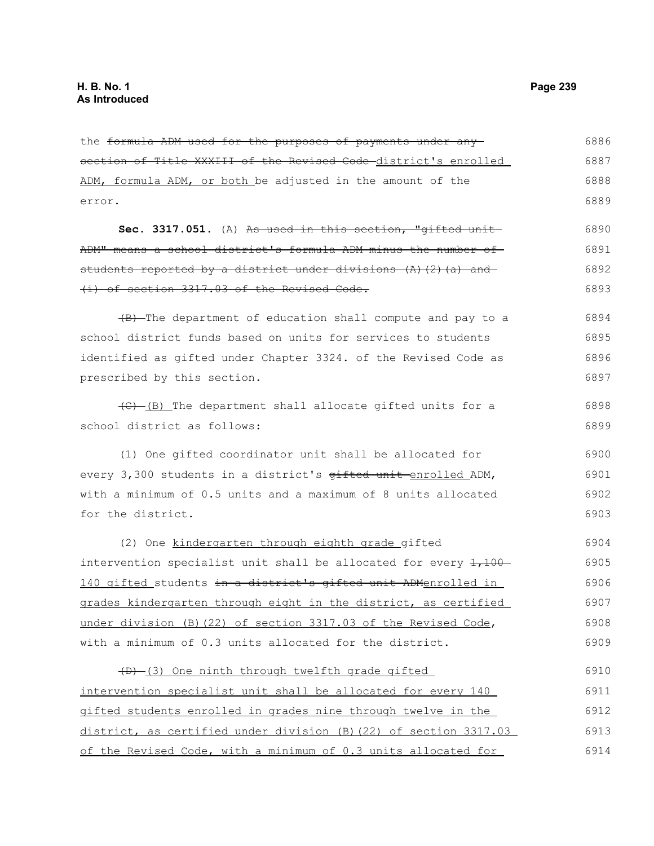| the formula ADM used for the purposes of payments under any                                 | 6886 |
|---------------------------------------------------------------------------------------------|------|
| section of Title XXXIII of the Revised Code district's enrolled                             | 6887 |
| ADM, formula ADM, or both be adjusted in the amount of the                                  | 6888 |
| error.                                                                                      | 6889 |
| Sec. 3317.051. (A) As used in this section, "gifted unit-                                   | 6890 |
| ADM" means a school district's formula ADM minus the number of                              | 6891 |
| students reported by a district under divisions (A) (2) (a) and                             | 6892 |
| (i) of section 3317.03 of the Revised Code.                                                 | 6893 |
| (B) The department of education shall compute and pay to a                                  | 6894 |
| school district funds based on units for services to students                               | 6895 |
| identified as gifted under Chapter 3324. of the Revised Code as                             | 6896 |
| prescribed by this section.                                                                 | 6897 |
| (C)-(B) The department shall allocate gifted units for a                                    | 6898 |
| school district as follows:                                                                 | 6899 |
| (1) One gifted coordinator unit shall be allocated for                                      | 6900 |
| every 3,300 students in a district's gifted unit enrolled ADM,                              | 6901 |
| with a minimum of 0.5 units and a maximum of 8 units allocated                              | 6902 |
| for the district.                                                                           | 6903 |
| (2) One kindergarten through eighth grade gifted                                            | 6904 |
| intervention specialist unit shall be allocated for every $\frac{1}{1}$ , $\frac{100}{100}$ | 6905 |
| 140 gifted students in a district's gifted unit ADMenrolled in                              | 6906 |
| grades kindergarten through eight in the district, as certified                             | 6907 |
| under division (B) (22) of section 3317.03 of the Revised Code,                             | 6908 |
| with a minimum of 0.3 units allocated for the district.                                     | 6909 |
| (D) (3) One ninth through twelfth grade gifted                                              | 6910 |
| intervention specialist unit shall be allocated for every 140                               | 6911 |
| gifted students enrolled in grades nine through twelve in the                               | 6912 |
| district, as certified under division (B) (22) of section 3317.03                           | 6913 |
| of the Revised Code, with a minimum of 0.3 units allocated for                              | 6914 |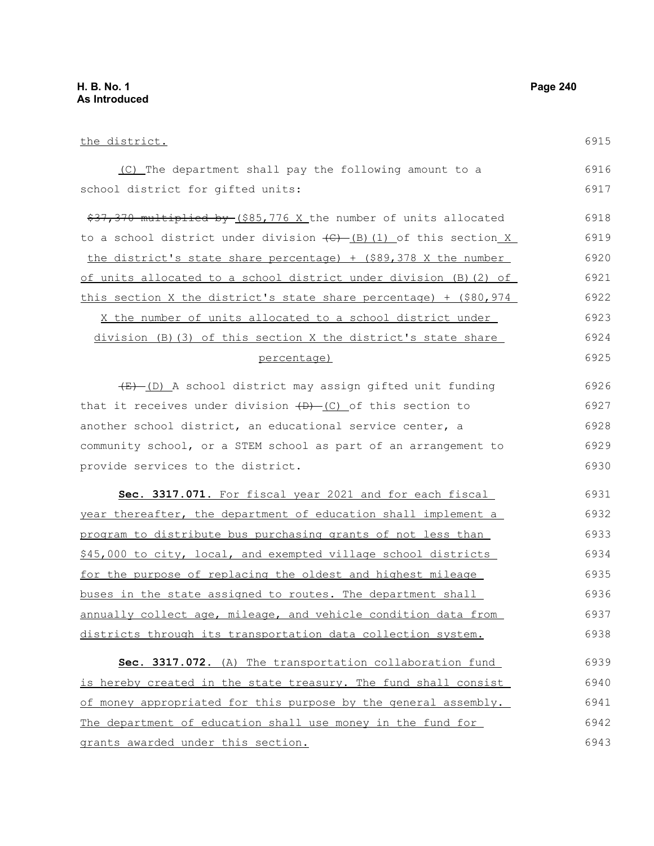the district. (C) The department shall pay the following amount to a school district for gifted units: \$37,370 multiplied by (\$85,776 X the number of units allocated to a school district under division  $\left(\frac{C}{C}\right)$  (1) of this section X the district's state share percentage) + (\$89,378 X the number of units allocated to a school district under division (B)(2) of this section X the district's state share percentage) + (\$80,974 X the number of units allocated to a school district under division (B)(3) of this section X the district's state share percentage) (E) (D) A school district may assign gifted unit funding that it receives under division  $(D)$  (C) of this section to another school district, an educational service center, a community school, or a STEM school as part of an arrangement to provide services to the district. **Sec. 3317.071.** For fiscal year 2021 and for each fiscal year thereafter, the department of education shall implement a program to distribute bus purchasing grants of not less than \$45,000 to city, local, and exempted village school districts for the purpose of replacing the oldest and highest mileage buses in the state assigned to routes. The department shall annually collect age, mileage, and vehicle condition data from districts through its transportation data collection system. Sec. 3317.072. (A) The transportation collaboration fund is hereby created in the state treasury. The fund shall consist of money appropriated for this purpose by the general assembly. The department of education shall use money in the fund for 6915 6916 6917 6918 6919 6920 6921 6922 6923 6924 6925 6926 6927 6928 6929 6930 6931 6932 6933 6934 6935 6936 6937 6938 6939 6940 6941 6942

grants awarded under this section.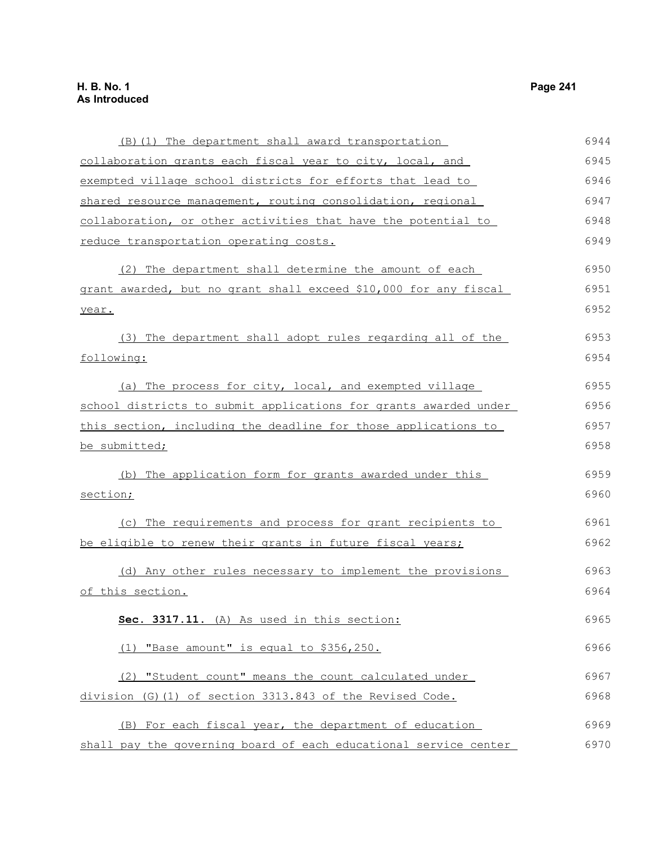| (B) (1) The department shall award transportation                | 6944 |
|------------------------------------------------------------------|------|
| collaboration grants each fiscal year to city, local, and        | 6945 |
| exempted village school districts for efforts that lead to       | 6946 |
| shared resource management, routing consolidation, regional      | 6947 |
| collaboration, or other activities that have the potential to    | 6948 |
| <u>reduce transportation operating costs.</u>                    | 6949 |
| (2) The department shall determine the amount of each            | 6950 |
| grant awarded, but no grant shall exceed \$10,000 for any fiscal | 6951 |
| year.                                                            | 6952 |
| (3) The department shall adopt rules regarding all of the        | 6953 |
| following:                                                       | 6954 |
| (a) The process for city, local, and exempted village            | 6955 |
| school districts to submit applications for grants awarded under | 6956 |
| this section, including the deadline for those applications to   | 6957 |
| be submitted;                                                    | 6958 |
| (b) The application form for grants awarded under this           | 6959 |
| section;                                                         | 6960 |
| (c) The requirements and process for grant recipients to         | 6961 |
| be eligible to renew their grants in future fiscal years;        | 6962 |
| (d) Any other rules necessary to implement the provisions        | 6963 |
| of this section.                                                 | 6964 |
| Sec. 3317.11. (A) As used in this section:                       | 6965 |
| "Base amount" is equal to \$356,250.<br>(1)                      | 6966 |
| (2) "Student count" means the count calculated under             | 6967 |
| division (G) (1) of section 3313.843 of the Revised Code.        | 6968 |
| (B) For each fiscal year, the department of education            | 6969 |
| shall pay the governing board of each educational service center | 6970 |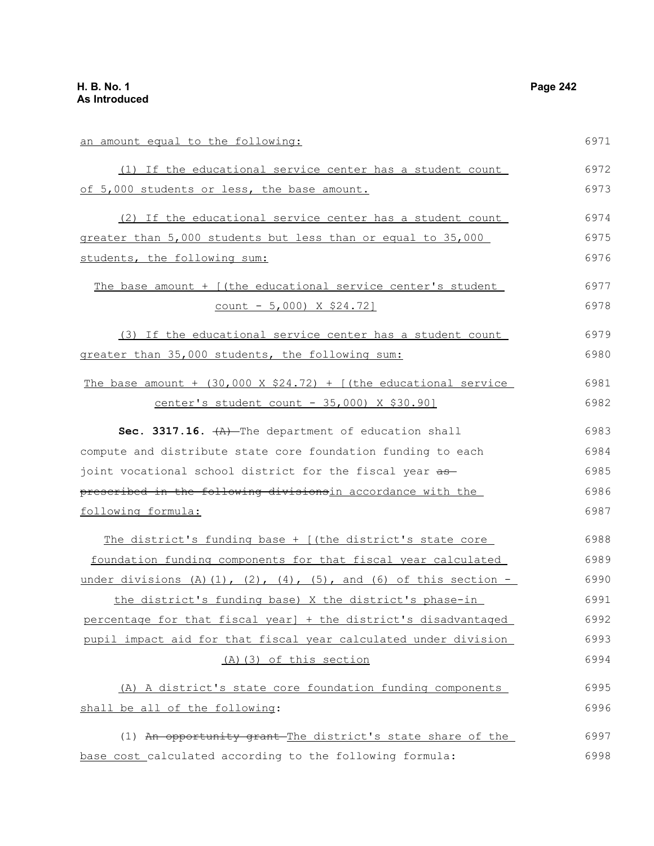an amount equal to the following:

(1) If the educational service center has a student count 6971 6972

| of 5,000 students or less, the base amount.                            | 6973 |
|------------------------------------------------------------------------|------|
| (2) If the educational service center has a student count              | 6974 |
| greater than 5,000 students but less than or equal to 35,000           | 6975 |
| students, the following sum:                                           | 6976 |
| The base amount + [(the educational service center's student           | 6977 |
| $count - 5,000$ $X$ \$24.72]                                           | 6978 |
| (3) If the educational service center has a student count              | 6979 |
| greater than 35,000 students, the following sum:                       | 6980 |
| The base amount + $(30,000 \times $24.72)$ + [(the educational service | 6981 |
| center's student count - 35,000) X \$30.90]                            | 6982 |
| Sec. 3317.16. $+A$ ) The department of education shall                 | 6983 |
| compute and distribute state core foundation funding to each           | 6984 |
| joint vocational school district for the fiscal year as                | 6985 |
| prescribed in the following divisionsin accordance with the            | 6986 |
| following formula:                                                     | 6987 |
| The district's funding base + [(the district's state core              | 6988 |
| foundation funding components for that fiscal year calculated          | 6989 |
| under divisions (A)(1), (2), (4), (5), and (6) of this section -       | 6990 |
| the district's funding base) X the district's phase-in                 | 6991 |
| percentage for that fiscal year] + the district's disadvantaged        | 6992 |
| pupil impact aid for that fiscal year calculated under division        | 6993 |
| (A) (3) of this section                                                | 6994 |
| (A) A district's state core foundation funding components              | 6995 |
| shall be all of the following:                                         | 6996 |
| (1) An opportunity grant The district's state share of the             | 6997 |
| base cost_calculated according to the following formula:               | 6998 |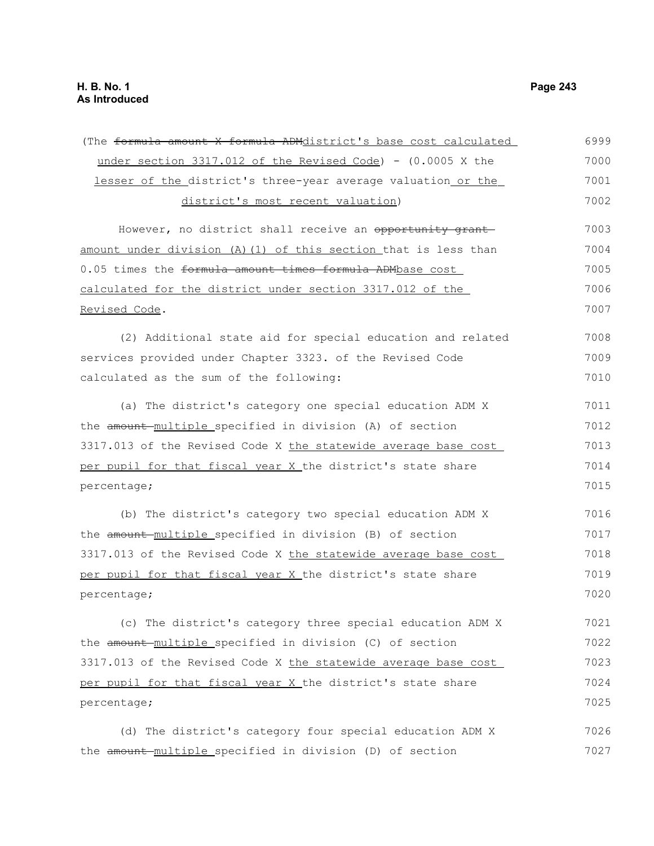| (The formula amount X formula ADMdistrict's base cost calculated      | 6999 |
|-----------------------------------------------------------------------|------|
| under section $3317.012$ of the Revised Code) - $(0.0005 \times the)$ | 7000 |
| lesser of the district's three-year average valuation or the          | 7001 |
| district's most recent valuation)                                     | 7002 |
| However, no district shall receive an opportunity grant               | 7003 |
| amount under division (A)(1) of this section that is less than        | 7004 |
| 0.05 times the formula amount times formula ADMbase cost              | 7005 |
| calculated for the district under section 3317.012 of the             | 7006 |
| <u>Revised Code</u> .                                                 | 7007 |
| (2) Additional state aid for special education and related            | 7008 |
| services provided under Chapter 3323. of the Revised Code             | 7009 |
| calculated as the sum of the following:                               | 7010 |
| (a) The district's category one special education ADM X               | 7011 |
| the amount-multiple_specified in division (A) of section              | 7012 |
| 3317.013 of the Revised Code X the statewide average base cost        | 7013 |
| per pupil for that fiscal year X the district's state share           | 7014 |
| percentage;                                                           | 7015 |
| (b) The district's category two special education ADM X               | 7016 |
| the amount-multiple specified in division (B) of section              | 7017 |
| 3317.013 of the Revised Code X the statewide average base cost        | 7018 |
| per pupil for that fiscal year X the district's state share           | 7019 |
| percentage;                                                           | 7020 |
| (c) The district's category three special education ADM X             | 7021 |
| the amount multiple specified in division (C) of section              | 7022 |
| 3317.013 of the Revised Code X the statewide average base cost        | 7023 |
| per pupil for that fiscal year X the district's state share           | 7024 |
| percentage;                                                           | 7025 |
| (d) The district's category four special education ADM X              | 7026 |
| the amount-multiple_specified in division (D) of section              | 7027 |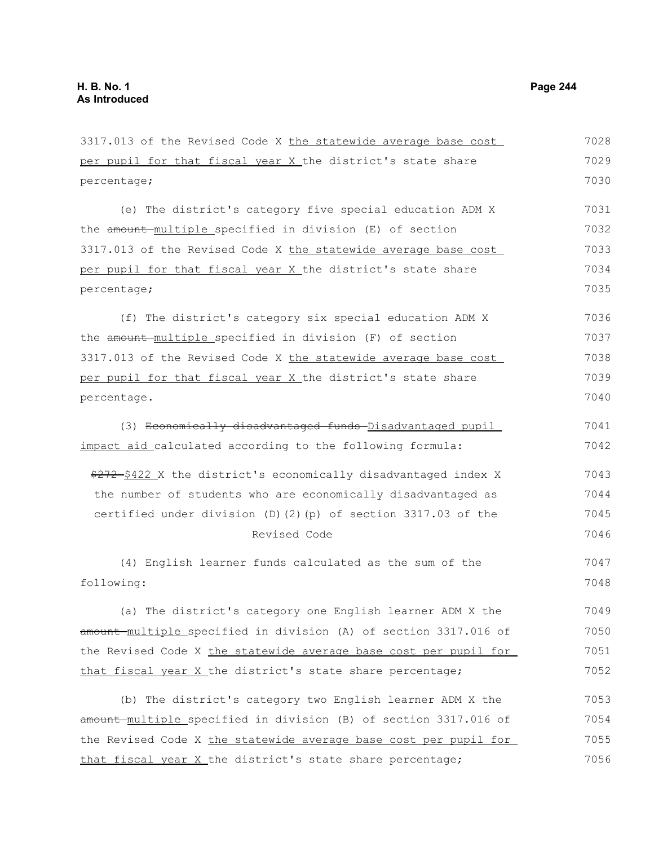3317.013 of the Revised Code X the statewide average base cost per pupil for that fiscal year X the district's state share percentage; (e) The district's category five special education ADM X the amount multiple specified in division (E) of section 3317.013 of the Revised Code X the statewide average base cost per pupil for that fiscal year X the district's state share percentage; (f) The district's category six special education ADM X the amount multiple specified in division (F) of section 3317.013 of the Revised Code X the statewide average base cost per pupil for that fiscal year X the district's state share percentage. (3) Economically disadvantaged funds Disadvantaged pupil impact aid calculated according to the following formula: \$272 \$422 X the district's economically disadvantaged index X the number of students who are economically disadvantaged as certified under division (D)(2)(p) of section 3317.03 of the Revised Code (4) English learner funds calculated as the sum of the following: (a) The district's category one English learner ADM X the amount multiple specified in division (A) of section 3317.016 of the Revised Code X the statewide average base cost per pupil for that fiscal year X the district's state share percentage; (b) The district's category two English learner ADM X the amount-multiple specified in division (B) of section 3317.016 of the Revised Code X the statewide average base cost per pupil for 7028 7029 7030 7031 7032 7033 7034 7035 7036 7037 7038 7039 7040 7041 7042 7043 7044 7045 7046 7047 7048 7049 7050 7051 7052 7053 7054 7055

that fiscal year X the district's state share percentage;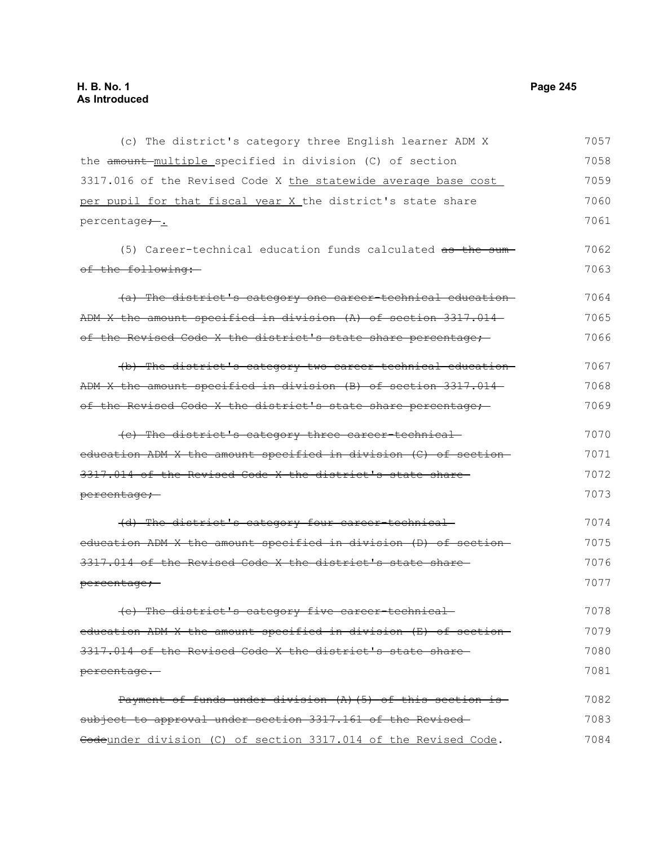(c) The district's category three English learner ADM X the amount multiple specified in division (C) of section 3317.016 of the Revised Code X the statewide average base cost per pupil for that fiscal year X the district's state share percentage<sub>+</sub>. (5) Career-technical education funds calculated as the sum of the following: (a) The district's category one career-technical education ADM X the amount specified in division (A) of section 3317.014 of the Revised Code X the district's state share percentage; (b) The district's category two career-technical education ADM X the amount specified in division (B) of section 3317.014 of the Revised Code X the district's state share percentage; (c) The district's category three career-technical education ADM X the amount specified in division (C) of section 3317.014 of the Revised Code X the district's state share percentage; (d) The district's category four career-technical education ADM X the amount specified in division (D) of section 3317.014 of the Revised Code X the district's state share percentage; (e) The district's category five career-technical education ADM X the amount specified in division (E) of section 3317.014 of the Revised Code X the district's state share percentage. Payment of funds under division (A)(5) of this section is subject to approval under section 3317.161 of the Revised-Codeunder division (C) of section 3317.014 of the Revised Code. 7057 7058 7059 7060 7061 7062 7063 7064 7065 7066 7067 7068 7069 7070 7071 7072 7073 7074 7075 7076 7077 7078 7079 7080 7081 7082 7083 7084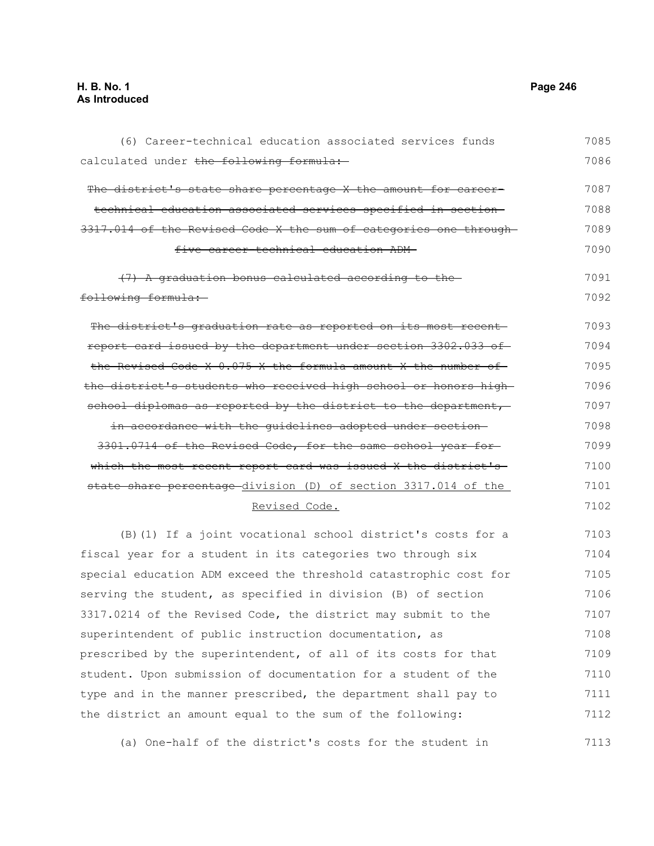calculated under the following formula: The district's state share percentage X the amount for careertechnical education associated services specified in section 3317.014 of the Revised Code X the sum of categories one through five career-technical education ADM (7) A graduation bonus calculated according to the following formula: The district's graduation rate as reported on its most recent report card issued by the department under section 3302.033 of the Revised Code X 0.075 X the formula amount X the number of the district's students who received high school or honors high school diplomas as reported by the district to the department, in accordance with the guidelines adopted under section 3301.0714 of the Revised Code, for the same school year for which the most recent report card was issued X the district's state share percentage division (D) of section 3317.014 of the Revised Code. (B)(1) If a joint vocational school district's costs for a fiscal year for a student in its categories two through six special education ADM exceed the threshold catastrophic cost for serving the student, as specified in division (B) of section 3317.0214 of the Revised Code, the district may submit to the superintendent of public instruction documentation, as prescribed by the superintendent, of all of its costs for that student. Upon submission of documentation for a student of the type and in the manner prescribed, the department shall pay to the district an amount equal to the sum of the following: 7086 7087 7088 7089 7090 7091 7092 7093 7094 7095 7096 7097 7098 7099 7100 7101 7102 7103 7104 7105 7106 7107 7108 7109 7110 7111 7112

(6) Career-technical education associated services funds

(a) One-half of the district's costs for the student in 7113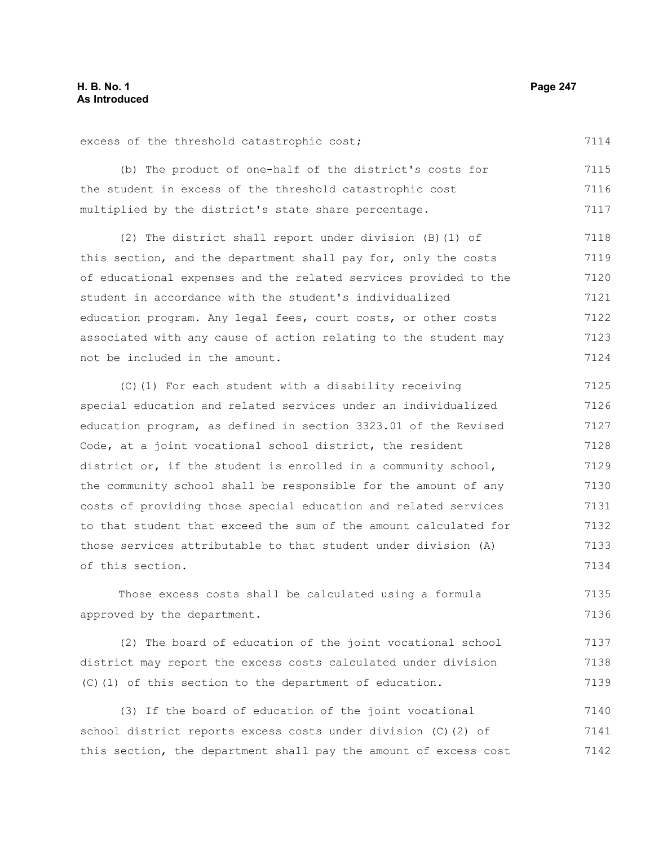#### excess of the threshold catastrophic cost; (b) The product of one-half of the district's costs for the student in excess of the threshold catastrophic cost multiplied by the district's state share percentage. (2) The district shall report under division (B)(1) of this section, and the department shall pay for, only the costs of educational expenses and the related services provided to the student in accordance with the student's individualized education program. Any legal fees, court costs, or other costs associated with any cause of action relating to the student may not be included in the amount. 7114 7115 7116 7117 7118 7119 7120 7121 7122 7123 7124

(C)(1) For each student with a disability receiving special education and related services under an individualized education program, as defined in section 3323.01 of the Revised Code, at a joint vocational school district, the resident district or, if the student is enrolled in a community school, the community school shall be responsible for the amount of any costs of providing those special education and related services to that student that exceed the sum of the amount calculated for those services attributable to that student under division (A) of this section. 7125 7126 7127 7128 7129 7130 7131 7132 7133 7134

Those excess costs shall be calculated using a formula approved by the department. 7135 7136

(2) The board of education of the joint vocational school district may report the excess costs calculated under division (C)(1) of this section to the department of education. 7137 7138 7139

(3) If the board of education of the joint vocational school district reports excess costs under division (C)(2) of this section, the department shall pay the amount of excess cost 7140 7141 7142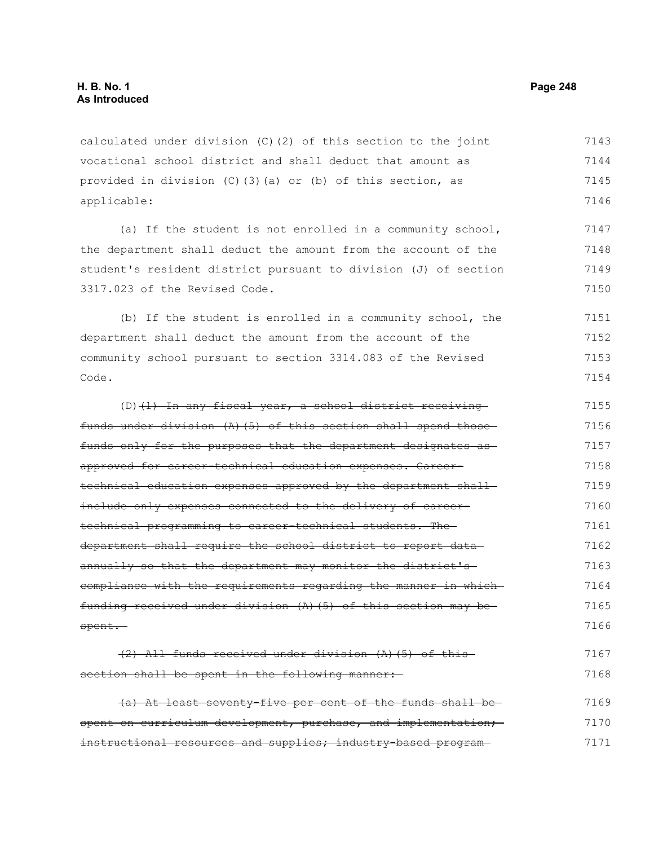calculated under division (C)(2) of this section to the joint vocational school district and shall deduct that amount as provided in division (C)(3)(a) or (b) of this section, as applicable: 7143 7144 7145 7146

(a) If the student is not enrolled in a community school, the department shall deduct the amount from the account of the student's resident district pursuant to division (J) of section 3317.023 of the Revised Code. 7147 7148 7149 7150

(b) If the student is enrolled in a community school, the department shall deduct the amount from the account of the community school pursuant to section 3314.083 of the Revised Code. 7151 7152 7153 7154

 $(D)$  (1) In any fiscal year, a school district receiving funds under division (A)(5) of this section shall spend those funds only for the purposes that the department designates as approved for career-technical education expenses. Careertechnical education expenses approved by the department shallinclude only expenses connected to the delivery of careertechnical programming to career-technical students. The department shall require the school district to report data annually so that the department may monitor the district'scompliance with the requirements regarding the manner in which funding received under division (A)(5) of this section may be spent. 7155 7156 7157 7158 7159 7160 7161 7162 7163 7164 7165 7166

(2) All funds received under division (A)(5) of this section shall be spent in the following manner: 7167 7168

(a) At least seventy-five per cent of the funds shall be spent on curriculum development, purchase, and implementation; instructional resources and supplies; industry-based program-7169 7170 7171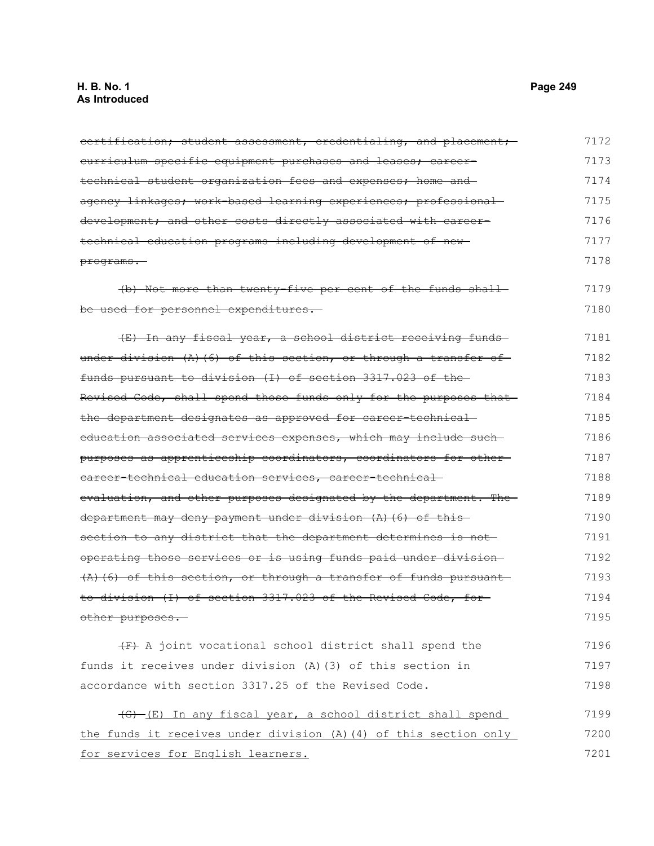# **H. B. No. 1 Page 249 As Introduced**

| certification; student assessment, credentialing, and placement;   | 7172 |
|--------------------------------------------------------------------|------|
| <u>curriculum specific equipment purchases and leases; career-</u> | 7173 |
| technical student organization fees and expenses; home and         | 7174 |
| agency linkages; work-based learning experiences; professional-    | 7175 |
| development; and other costs directly associated with career-      | 7176 |
| technical education programs including development of new-         | 7177 |
| programs.                                                          | 7178 |
| (b) Not more than twenty five per cent of the funds shall-         | 7179 |
| be used for personnel expenditures.                                | 7180 |
| (E) In any fiscal year, a school district receiving funds-         | 7181 |
| under division $(A)$ (6) of this section, or through a transfer of | 7182 |
| funds pursuant to division (I) of section 3317.023 of the-         | 7183 |
| Revised Code, shall spend those funds only for the purposes that   | 7184 |
| the department designates as approved for career-technical-        | 7185 |
| education associated services expenses, which may include such     | 7186 |
| purposes as apprenticeship coordinators, coordinators for other-   | 7187 |
| career technical education services, career technical-             | 7188 |
| evaluation, and other purposes designated by the department. The   | 7189 |
| department may deny payment under division (A) (6) of this         | 7190 |
| section to any district that the department determines is not-     | 7191 |
| operating those services or is using funds paid under division-    | 7192 |
| $(A)$ (6) of this section, or through a transfer of funds pursuant | 7193 |
| to division (I) of section 3317.023 of the Revised Code, for       | 7194 |
| other purposes.                                                    | 7195 |
| (F) A joint vocational school district shall spend the             | 7196 |
| funds it receives under division (A) (3) of this section in        | 7197 |
| accordance with section 3317.25 of the Revised Code.               | 7198 |
| (G) (E) In any fiscal year, a school district shall spend          | 7199 |
| the funds it receives under division (A) (4) of this section only  | 7200 |
| for services for English learners.                                 | 7201 |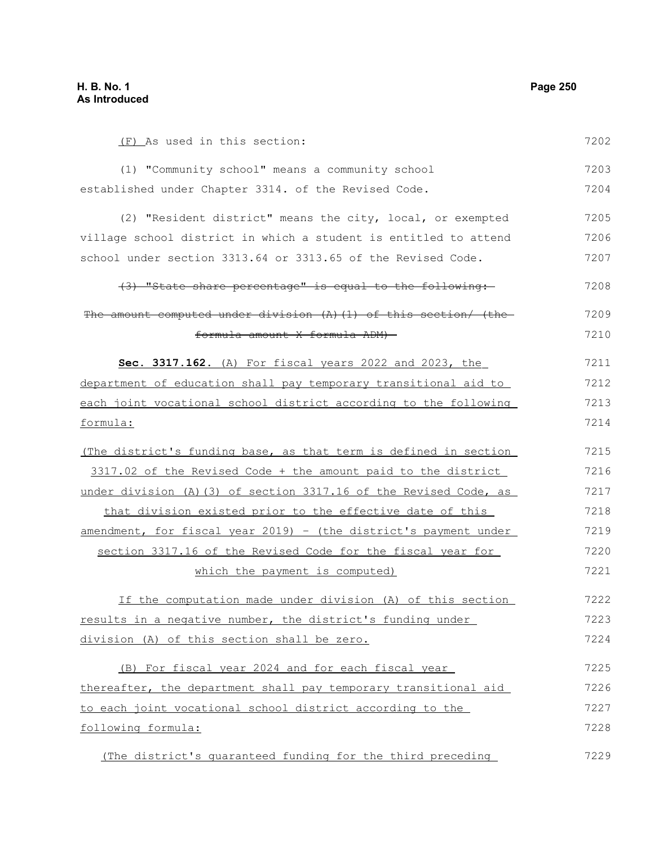| (F) As used in this section:                                      | 7202 |
|-------------------------------------------------------------------|------|
| (1) "Community school" means a community school                   | 7203 |
| established under Chapter 3314. of the Revised Code.              | 7204 |
| (2) "Resident district" means the city, local, or exempted        | 7205 |
| village school district in which a student is entitled to attend  | 7206 |
| school under section 3313.64 or 3313.65 of the Revised Code.      | 7207 |
| (3) "State share percentage" is equal to the following:           | 7208 |
| The amount computed under division (A) (1) of this section/ (the- | 7209 |
| formula amount X formula ADM)-                                    | 7210 |
| Sec. 3317.162. (A) For fiscal years 2022 and 2023, the            | 7211 |
| department of education shall pay temporary transitional aid to   | 7212 |
| each joint vocational school district according to the following  | 7213 |
| formula:                                                          | 7214 |
| (The district's funding base, as that term is defined in section  | 7215 |
| 3317.02 of the Revised Code + the amount paid to the district     | 7216 |
| under division (A) (3) of section 3317.16 of the Revised Code, as | 7217 |
| that division existed prior to the effective date of this         | 7218 |
| amendment, for fiscal year 2019) - (the district's payment under  | 7219 |
| section 3317.16 of the Revised Code for the fiscal year for       | 7220 |
| which the payment is computed)                                    | 7221 |
| If the computation made under division (A) of this section        | 7222 |
| results in a negative number, the district's funding under        | 7223 |
| division (A) of this section shall be zero.                       | 7224 |
| (B) For fiscal year 2024 and for each fiscal year                 | 7225 |
| thereafter, the department shall pay temporary transitional aid   | 7226 |
| to each joint vocational school district according to the         | 7227 |
| following formula:                                                | 7228 |
| (The district's guaranteed funding for the third preceding        | 7229 |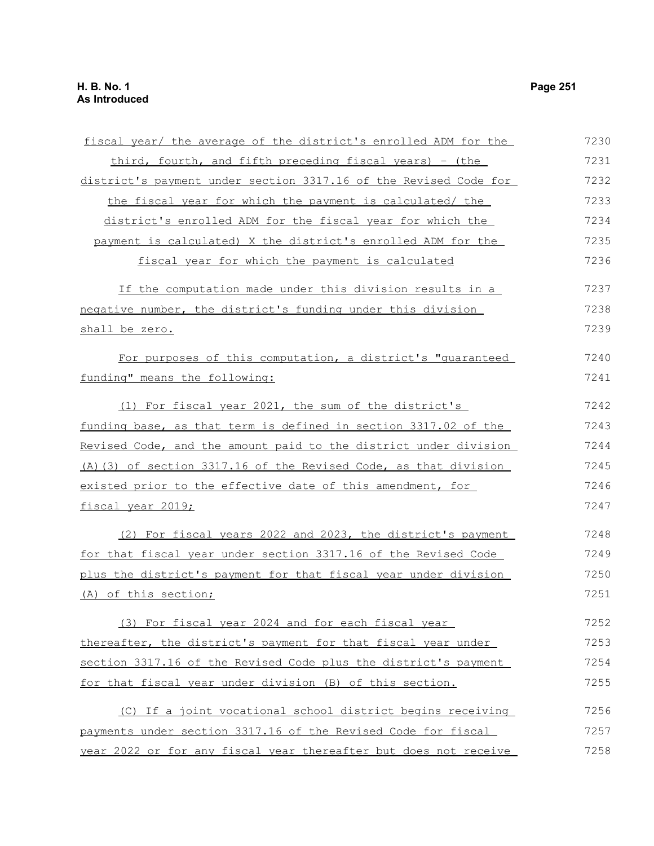| fiscal year/ the average of the district's enrolled ADM for the  | 7230 |
|------------------------------------------------------------------|------|
| third, fourth, and fifth preceding fiscal years) - (the          | 7231 |
| district's payment under section 3317.16 of the Revised Code for | 7232 |
| the fiscal year for which the payment is calculated/ the         | 7233 |
| district's enrolled ADM for the fiscal year for which the        | 7234 |
| payment is calculated) X the district's enrolled ADM for the     | 7235 |
| fiscal year for which the payment is calculated                  | 7236 |
| If the computation made under this division results in a         | 7237 |
| negative number, the district's funding under this division      | 7238 |
| shall be zero.                                                   | 7239 |
| For purposes of this computation, a district's "quaranteed       | 7240 |
| funding" means the following:                                    | 7241 |
| (1) For fiscal year 2021, the sum of the district's              | 7242 |
| funding base, as that term is defined in section 3317.02 of the  | 7243 |
| Revised Code, and the amount paid to the district under division | 7244 |
| (A) (3) of section 3317.16 of the Revised Code, as that division | 7245 |
| existed prior to the effective date of this amendment, for       | 7246 |
| fiscal year 2019;                                                | 7247 |
| (2) For fiscal years 2022 and 2023, the district's payment       | 7248 |
| for that fiscal year under section 3317.16 of the Revised Code   | 7249 |
| plus the district's payment for that fiscal year under division  | 7250 |
| (A) of this section;                                             | 7251 |
| (3) For fiscal year 2024 and for each fiscal year                | 7252 |
| thereafter, the district's payment for that fiscal year under    | 7253 |
| section 3317.16 of the Revised Code plus the district's payment  | 7254 |
| for that fiscal year under division (B) of this section.         | 7255 |
| (C) If a joint vocational school district begins receiving       | 7256 |
| payments under section 3317.16 of the Revised Code for fiscal    | 7257 |
| year 2022 or for any fiscal year thereafter but does not receive | 7258 |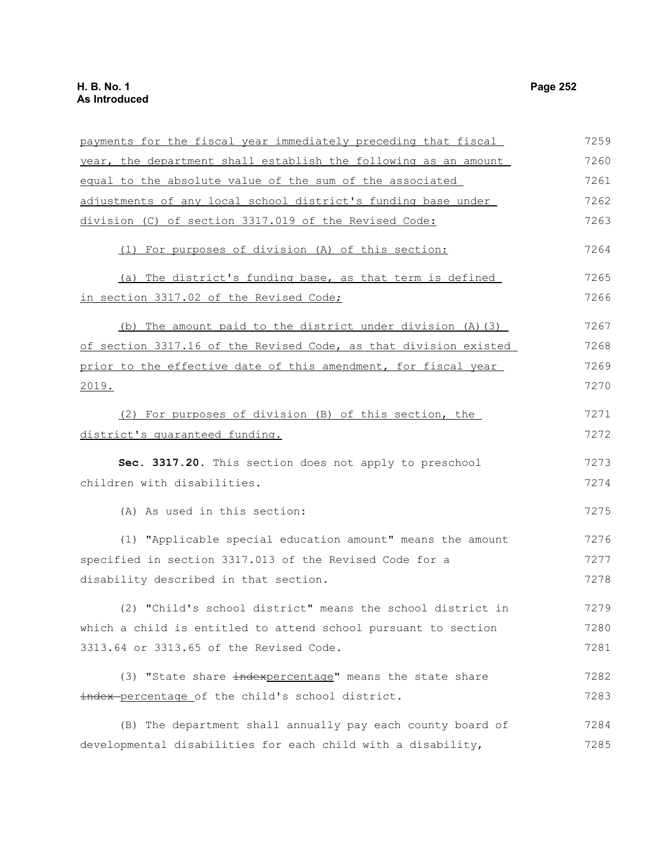| payments for the fiscal year immediately preceding that fiscal   | 7259 |
|------------------------------------------------------------------|------|
| year, the department shall establish the following as an amount  | 7260 |
| equal to the absolute value of the sum of the associated         | 7261 |
| adjustments of any local school district's funding base under    | 7262 |
| division (C) of section 3317.019 of the Revised Code:            | 7263 |
| (1) For purposes of division (A) of this section:                | 7264 |
| (a) The district's funding base, as that term is defined         | 7265 |
| in section 3317.02 of the Revised Code;                          | 7266 |
| (b) The amount paid to the district under division (A) (3)       | 7267 |
| of section 3317.16 of the Revised Code, as that division existed | 7268 |
| prior to the effective date of this amendment, for fiscal year   | 7269 |
| 2019.                                                            | 7270 |
| (2) For purposes of division (B) of this section, the            | 7271 |
| district's quaranteed funding.                                   | 7272 |
| Sec. 3317.20. This section does not apply to preschool           | 7273 |
| children with disabilities.                                      | 7274 |
| (A) As used in this section:                                     | 7275 |
| (1) "Applicable special education amount" means the amount       | 7276 |
| specified in section 3317.013 of the Revised Code for a          | 7277 |
| disability described in that section.                            | 7278 |
| (2) "Child's school district" means the school district in       | 7279 |
| which a child is entitled to attend school pursuant to section   | 7280 |
| 3313.64 or 3313.65 of the Revised Code.                          | 7281 |
| (3) "State share indexpercentage" means the state share          | 7282 |
| index-percentage of the child's school district.                 | 7283 |
| (B) The department shall annually pay each county board of       | 7284 |
| developmental disabilities for each child with a disability,     | 7285 |
|                                                                  |      |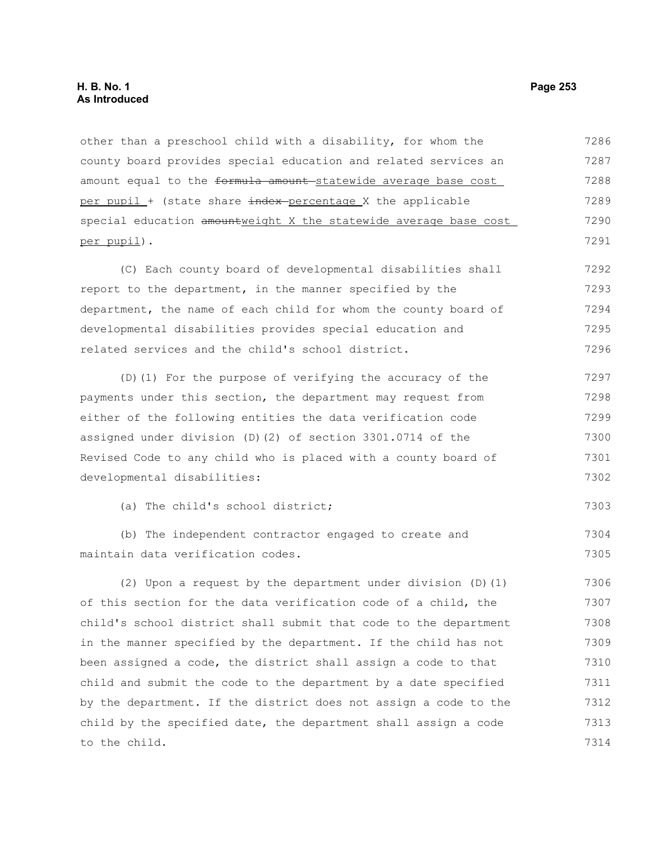other than a preschool child with a disability, for whom the county board provides special education and related services an amount equal to the formula amount statewide average base cost per pupil + (state share index-percentage X the applicable special education amountweight X the statewide average base cost per pupil). 7286 7287 7288 7289 7290 7291

(C) Each county board of developmental disabilities shall report to the department, in the manner specified by the department, the name of each child for whom the county board of developmental disabilities provides special education and related services and the child's school district. 7292 7293 7294 7295 7296

(D)(1) For the purpose of verifying the accuracy of the payments under this section, the department may request from either of the following entities the data verification code assigned under division (D)(2) of section 3301.0714 of the Revised Code to any child who is placed with a county board of developmental disabilities: 7297 7298 7299 7300 7301 7302

(a) The child's school district; 7303

(b) The independent contractor engaged to create and maintain data verification codes. 7304 7305

(2) Upon a request by the department under division (D)(1) of this section for the data verification code of a child, the child's school district shall submit that code to the department in the manner specified by the department. If the child has not been assigned a code, the district shall assign a code to that child and submit the code to the department by a date specified by the department. If the district does not assign a code to the child by the specified date, the department shall assign a code to the child. 7306 7307 7308 7309 7310 7311 7312 7313 7314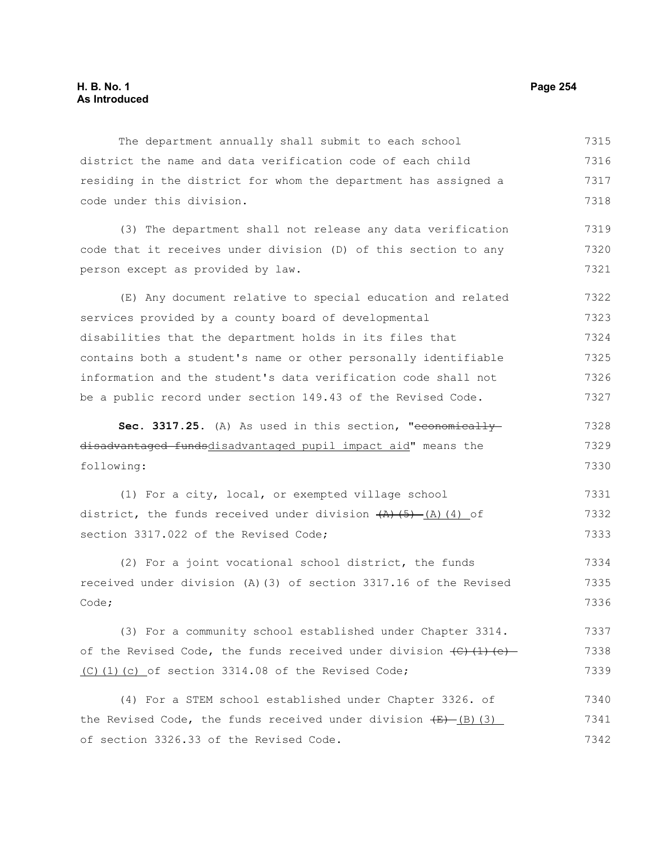The department annually shall submit to each school district the name and data verification code of each child residing in the district for whom the department has assigned a code under this division. 7315 7316 7317 7318

(3) The department shall not release any data verification code that it receives under division (D) of this section to any person except as provided by law. 7319 7320 7321

(E) Any document relative to special education and related services provided by a county board of developmental disabilities that the department holds in its files that contains both a student's name or other personally identifiable information and the student's data verification code shall not be a public record under section 149.43 of the Revised Code. 7322 7323 7324 7325 7326 7327

Sec. 3317.25. (A) As used in this section, "economicallydisadvantaged fundsdisadvantaged pupil impact aid" means the following: 7328 7329 7330

(1) For a city, local, or exempted village school district, the funds received under division  $(A)$  (5) (4) of section 3317.022 of the Revised Code; 7331 7332 7333

(2) For a joint vocational school district, the funds received under division (A)(3) of section 3317.16 of the Revised Code; 7334 7335 7336

(3) For a community school established under Chapter 3314. of the Revised Code, the funds received under division  $\left(\frac{C}{C}\right)\left(\frac{1}{C}\right)$ (C)(1)(c) of section 3314.08 of the Revised Code; 7337 7338 7339

(4) For a STEM school established under Chapter 3326. of the Revised Code, the funds received under division  $(E)$  (B)(3) of section 3326.33 of the Revised Code. 7340 7341 7342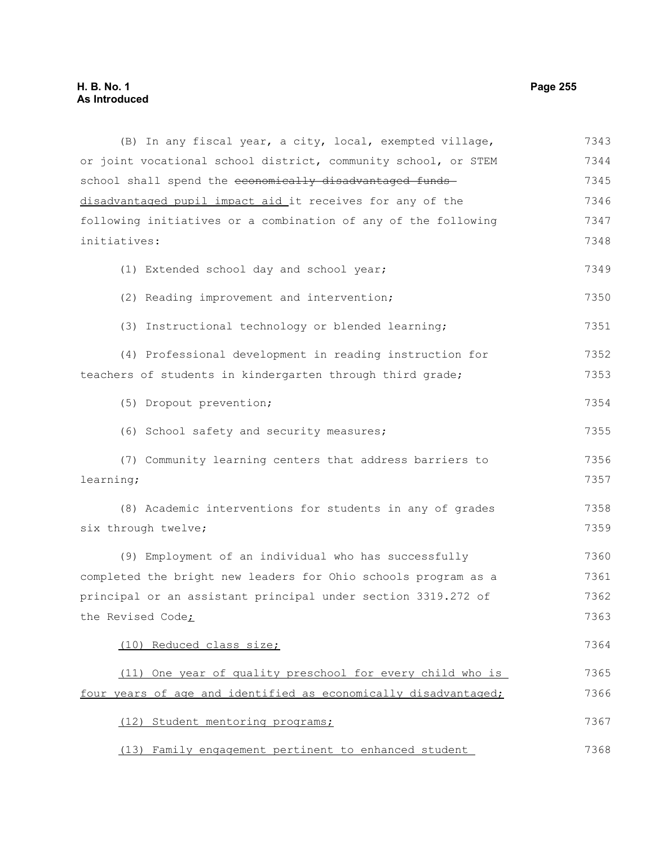### **H. B. No. 1 Page 255 As Introduced**

(B) In any fiscal year, a city, local, exempted village, or joint vocational school district, community school, or STEM school shall spend the economically disadvantaged funds disadvantaged pupil impact aid it receives for any of the following initiatives or a combination of any of the following initiatives: (1) Extended school day and school year; (2) Reading improvement and intervention; (3) Instructional technology or blended learning; (4) Professional development in reading instruction for teachers of students in kindergarten through third grade; (5) Dropout prevention; (6) School safety and security measures; (7) Community learning centers that address barriers to learning; (8) Academic interventions for students in any of grades six through twelve; (9) Employment of an individual who has successfully completed the bright new leaders for Ohio schools program as a principal or an assistant principal under section 3319.272 of the Revised Code; (10) Reduced class size; (11) One year of quality preschool for every child who is four years of age and identified as economically disadvantaged; (12) Student mentoring programs; (13) Family engagement pertinent to enhanced student 7343 7344 7345 7346 7347 7348 7349 7350 7351 7352 7353 7354 7355 7356 7357 7358 7359 7360 7361 7362 7363 7364 7365 7366 7367 7368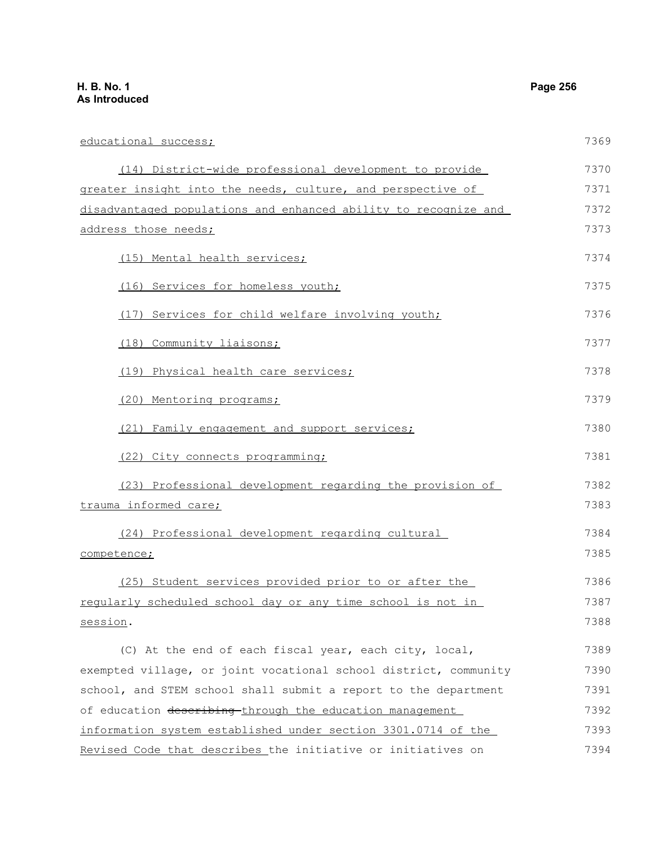educational success; (14) District-wide professional development to provide greater insight into the needs, culture, and perspective of disadvantaged populations and enhanced ability to recognize and address those needs; (15) Mental health services; (16) Services for homeless youth; (17) Services for child welfare involving youth; (18) Community liaisons; (19) Physical health care services; (20) Mentoring programs; (21) Family engagement and support services; (22) City connects programming; (23) Professional development regarding the provision of trauma informed care; (24) Professional development regarding cultural competence; (25) Student services provided prior to or after the regularly scheduled school day or any time school is not in session. (C) At the end of each fiscal year, each city, local, exempted village, or joint vocational school district, community school, and STEM school shall submit a report to the department 7369 7370 7371 7372 7373 7374 7375 7376 7377 7378 7379 7380 7381 7382 7383 7384 7385 7386 7387 7388 7389 7390 7391

of education describing through the education management information system established under section 3301.0714 of the Revised Code that describes the initiative or initiatives on 7392 7393 7394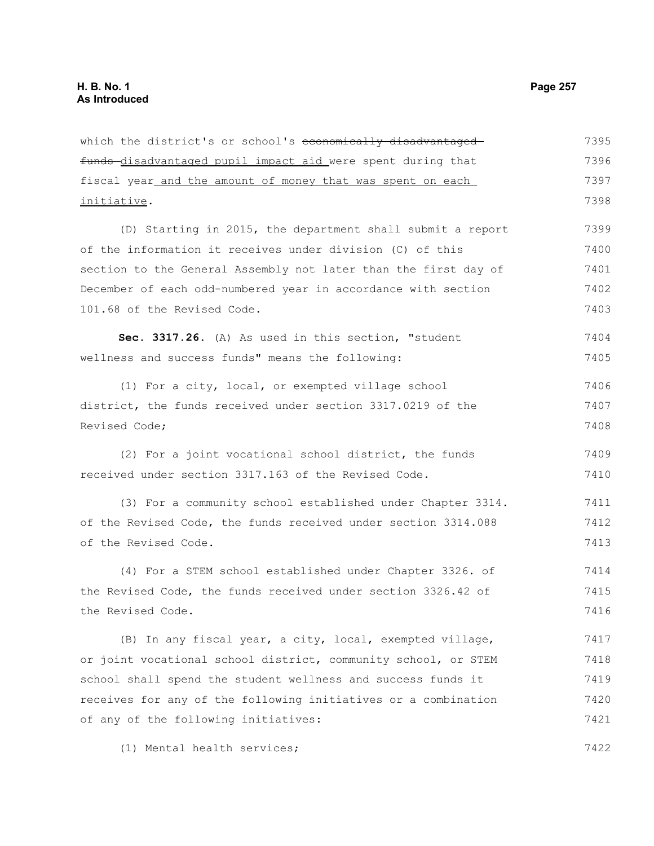funds disadvantaged pupil impact aid were spent during that fiscal year and the amount of money that was spent on each initiative. (D) Starting in 2015, the department shall submit a report of the information it receives under division (C) of this section to the General Assembly not later than the first day of December of each odd-numbered year in accordance with section 101.68 of the Revised Code. **Sec. 3317.26.** (A) As used in this section, "student wellness and success funds" means the following: (1) For a city, local, or exempted village school district, the funds received under section 3317.0219 of the Revised Code; (2) For a joint vocational school district, the funds received under section 3317.163 of the Revised Code. (3) For a community school established under Chapter 3314. of the Revised Code, the funds received under section 3314.088 of the Revised Code. (4) For a STEM school established under Chapter 3326. of the Revised Code, the funds received under section 3326.42 of the Revised Code. 7396 7397 7398 7399 7400 7401 7402 7403 7404 7405 7406 7407 7408 7409 7410 7411 7412 7413 7414 7415 7416

which the district's or school's economically disadvantaged

(B) In any fiscal year, a city, local, exempted village, or joint vocational school district, community school, or STEM school shall spend the student wellness and success funds it receives for any of the following initiatives or a combination of any of the following initiatives: 7417 7418 7419 7420 7421

(1) Mental health services;

7395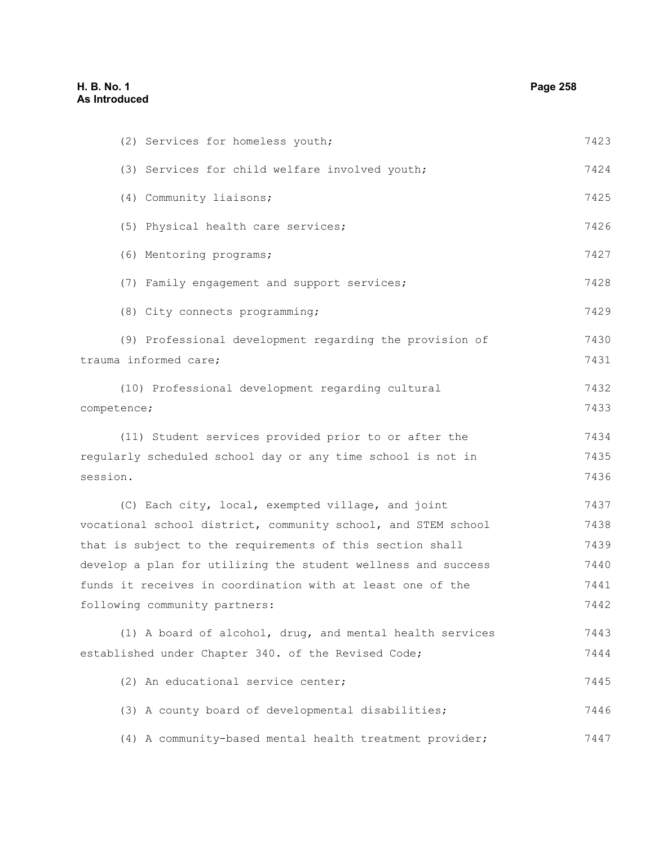(2) Services for homeless youth; (3) Services for child welfare involved youth; (4) Community liaisons; (5) Physical health care services; (6) Mentoring programs; (7) Family engagement and support services; (8) City connects programming; (9) Professional development regarding the provision of trauma informed care; (10) Professional development regarding cultural competence; (11) Student services provided prior to or after the regularly scheduled school day or any time school is not in session. (C) Each city, local, exempted village, and joint vocational school district, community school, and STEM school that is subject to the requirements of this section shall develop a plan for utilizing the student wellness and success funds it receives in coordination with at least one of the following community partners: (1) A board of alcohol, drug, and mental health services established under Chapter 340. of the Revised Code; (2) An educational service center; (3) A county board of developmental disabilities; (4) A community-based mental health treatment provider; 7423 7424 7425 7426 7427 7428 7429 7430 7431 7432 7433 7434 7435 7436 7437 7438 7439 7440 7441 7442 7443 7444 7445 7446 7447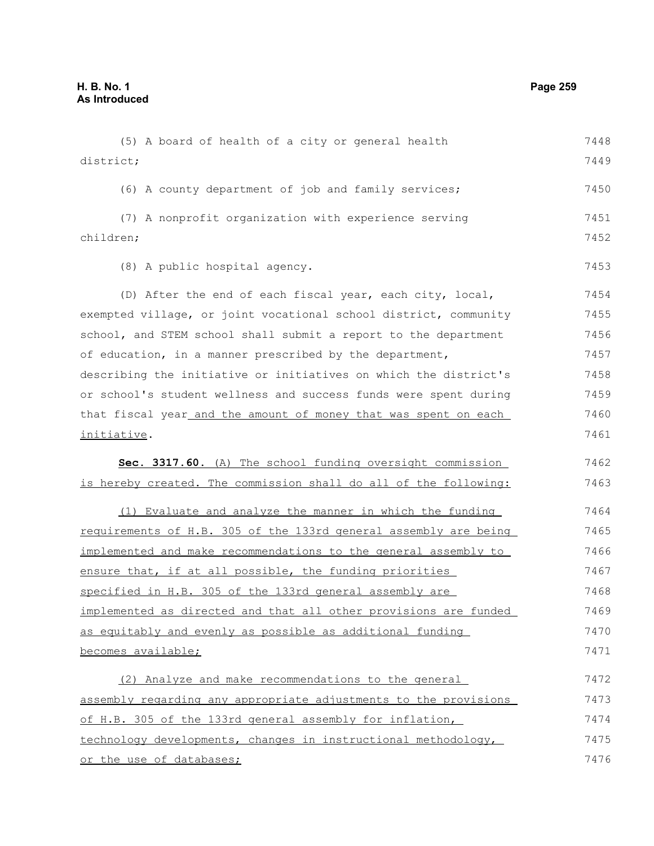(5) A board of health of a city or general health district; (6) A county department of job and family services; (7) A nonprofit organization with experience serving children; (8) A public hospital agency. (D) After the end of each fiscal year, each city, local, exempted village, or joint vocational school district, community school, and STEM school shall submit a report to the department of education, in a manner prescribed by the department, describing the initiative or initiatives on which the district's or school's student wellness and success funds were spent during that fiscal year and the amount of money that was spent on each initiative. **Sec. 3317.60.** (A) The school funding oversight commission is hereby created. The commission shall do all of the following: (1) Evaluate and analyze the manner in which the funding requirements of H.B. 305 of the 133rd general assembly are being implemented and make recommendations to the general assembly to ensure that, if at all possible, the funding priorities specified in H.B. 305 of the 133rd general assembly are implemented as directed and that all other provisions are funded as equitably and evenly as possible as additional funding becomes available; (2) Analyze and make recommendations to the general assembly regarding any appropriate adjustments to the provisions of H.B. 305 of the 133rd general assembly for inflation, technology developments, changes in instructional methodology, 7448 7449 7450 7451 7452 7453 7454 7455 7456 7457 7458 7459 7460 7461 7462 7463 7464 7465 7466 7467 7468 7469 7470 7471 7472 7473 7474 7475

or the use of databases;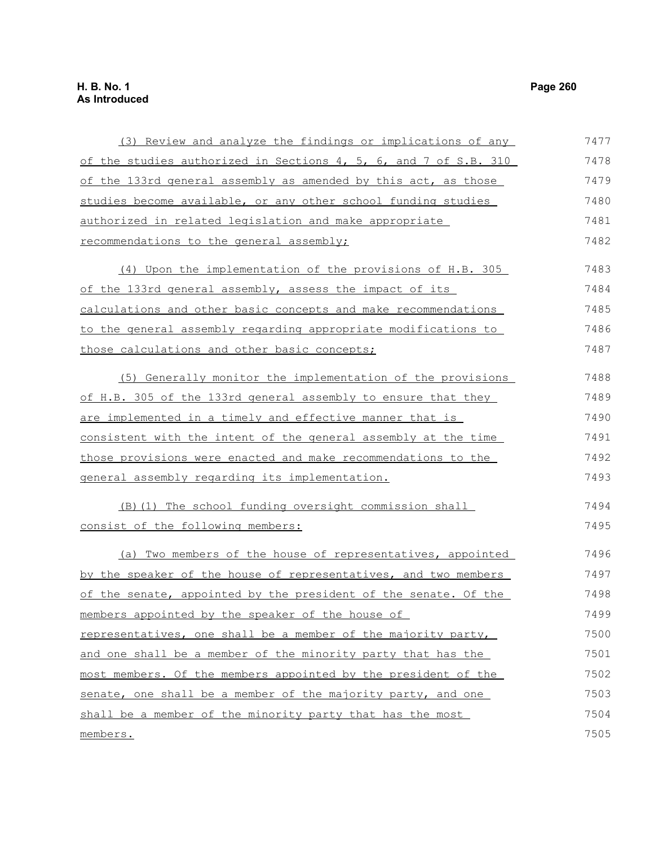# **H. B. No. 1 Page 260 As Introduced**

| (3) Review and analyze the findings or implications of any       | 7477 |
|------------------------------------------------------------------|------|
| of the studies authorized in Sections 4, 5, 6, and 7 of S.B. 310 | 7478 |
| of the 133rd general assembly as amended by this act, as those   | 7479 |
| studies become available, or any other school funding studies    | 7480 |
| authorized in related legislation and make appropriate           | 7481 |
| recommendations to the general assembly;                         | 7482 |
| (4) Upon the implementation of the provisions of H.B. 305        | 7483 |
| of the 133rd general assembly, assess the impact of its          | 7484 |
| calculations and other basic concepts and make recommendations   | 7485 |
| to the general assembly regarding appropriate modifications to   | 7486 |
| those calculations and other basic concepts;                     | 7487 |
| (5) Generally monitor the implementation of the provisions       | 7488 |
| of H.B. 305 of the 133rd general assembly to ensure that they    | 7489 |
| are implemented in a timely and effective manner that is         | 7490 |
| consistent with the intent of the general assembly at the time   | 7491 |
| those provisions were enacted and make recommendations to the    | 7492 |
| general assembly regarding its implementation.                   | 7493 |
| (B) (1) The school funding oversight commission shall            | 7494 |
| consist of the following members:                                | 7495 |
| (a) Two members of the house of representatives, appointed       | 7496 |
| by the speaker of the house of representatives, and two members  | 7497 |
| of the senate, appointed by the president of the senate. Of the  | 7498 |
| members appointed by the speaker of the house of                 | 7499 |
| representatives, one shall be a member of the majority party,    | 7500 |
| and one shall be a member of the minority party that has the     | 7501 |
| most members. Of the members appointed by the president of the   | 7502 |
| senate, one shall be a member of the majority party, and one     | 7503 |
| shall be a member of the minority party that has the most        | 7504 |
| <u>members.</u>                                                  | 7505 |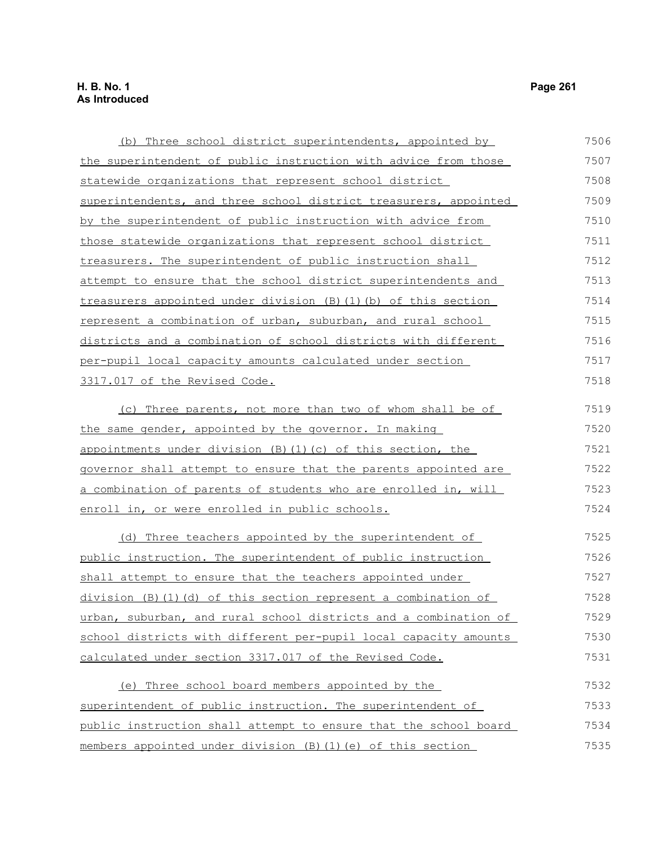| (b) Three school district superintendents, appointed by             | 7506 |
|---------------------------------------------------------------------|------|
| the superintendent of public instruction with advice from those     | 7507 |
| statewide organizations that represent school district              | 7508 |
| superintendents, and three school district treasurers, appointed    | 7509 |
| by the superintendent of public instruction with advice from        | 7510 |
| <u>those statewide organizations that represent school district</u> | 7511 |
| treasurers. The superintendent of public instruction shall          | 7512 |
| attempt to ensure that the school district superintendents and      | 7513 |
| treasurers appointed under division (B) (1) (b) of this section     | 7514 |
| represent a combination of urban, suburban, and rural school        | 7515 |
| districts and a combination of school districts with different      | 7516 |
| per-pupil local capacity amounts calculated under section           | 7517 |
| 3317.017 of the Revised Code.                                       | 7518 |
| (c) Three parents, not more than two of whom shall be of            | 7519 |
| the same gender, appointed by the governor. In making               | 7520 |
| appointments under division (B) (1) (c) of this section, the        | 7521 |
| governor shall attempt to ensure that the parents appointed are     | 7522 |
| a combination of parents of students who are enrolled in, will      | 7523 |
| enroll in, or were enrolled in public schools.                      | 7524 |
|                                                                     |      |
| (d) Three teachers appointed by the superintendent of               | 7525 |
| public instruction. The superintendent of public instruction        | 7526 |
| shall attempt to ensure that the teachers appointed under           | 7527 |
| division (B)(1)(d) of this section represent a combination of       | 7528 |
| urban, suburban, and rural school districts and a combination of    | 7529 |
| school districts with different per-pupil local capacity amounts    | 7530 |
| calculated under section 3317.017 of the Revised Code.              | 7531 |
| (e) Three school board members appointed by the                     | 7532 |
| superintendent of public instruction. The superintendent of         | 7533 |
| public instruction shall attempt to ensure that the school board    | 7534 |
| members appointed under division (B)(1)(e) of this section          | 7535 |
|                                                                     |      |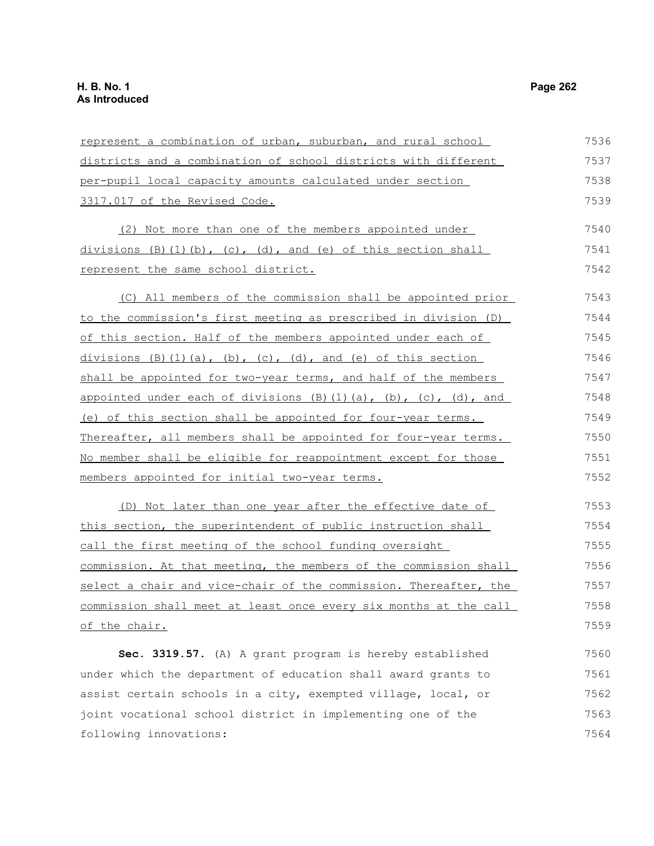represent a combination of urban, suburban, and rural school districts and a combination of school districts with different per-pupil local capacity amounts calculated under section 3317.017 of the Revised Code. (2) Not more than one of the members appointed under divisions  $(B)$  (1)(b), (c), (d), and (e) of this section shall represent the same school district. (C) All members of the commission shall be appointed prior to the commission's first meeting as prescribed in division (D) of this section. Half of the members appointed under each of divisions  $(B)(1)(a)$ ,  $(b)$ ,  $(c)$ ,  $(d)$ , and  $(e)$  of this section shall be appointed for two-year terms, and half of the members appointed under each of divisions  $(B)$   $(1)$   $(a)$ ,  $(b)$ ,  $(c)$ ,  $(d)$ , and (e) of this section shall be appointed for four-year terms. Thereafter, all members shall be appointed for four-year terms. No member shall be eligible for reappointment except for those members appointed for initial two-year terms. (D) Not later than one year after the effective date of this section, the superintendent of public instruction shall call the first meeting of the school funding oversight commission. At that meeting, the members of the commission shall select a chair and vice-chair of the commission. Thereafter, the commission shall meet at least once every six months at the call of the chair. **Sec. 3319.57.** (A) A grant program is hereby established under which the department of education shall award grants to assist certain schools in a city, exempted village, local, or joint vocational school district in implementing one of the 7536 7537 7538 7539 7540 7541 7542 7543 7544 7545 7546 7547 7548 7549 7550 7551 7552 7553 7554 7555 7556 7557 7558 7559 7560 7561 7562 7563

following innovations: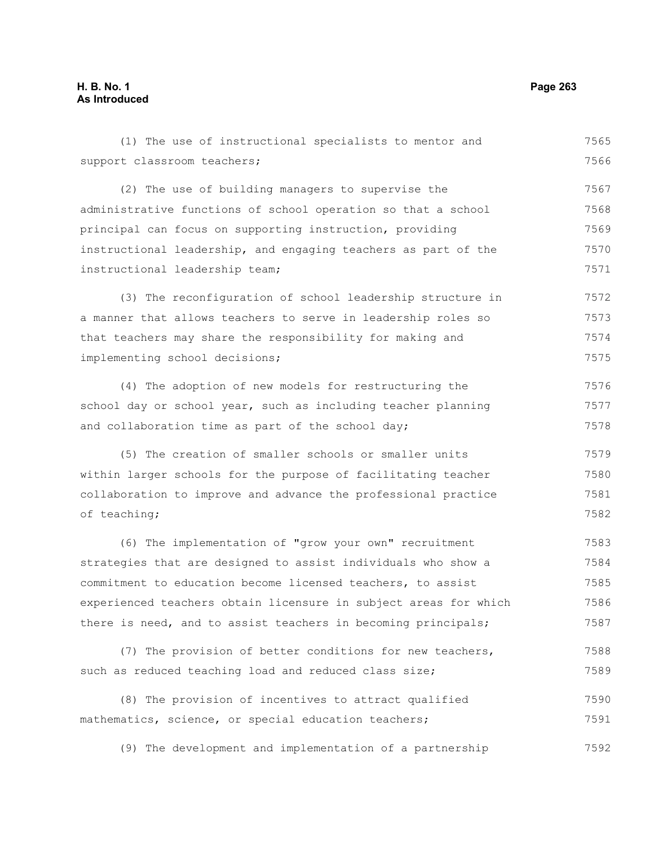## **H. B. No. 1 Page 263 As Introduced**

| (1) The use of instructional specialists to mentor and           | 7565 |
|------------------------------------------------------------------|------|
| support classroom teachers;                                      | 7566 |
| (2) The use of building managers to supervise the                | 7567 |
| administrative functions of school operation so that a school    | 7568 |
| principal can focus on supporting instruction, providing         | 7569 |
| instructional leadership, and engaging teachers as part of the   | 7570 |
| instructional leadership team;                                   | 7571 |
| (3) The reconfiguration of school leadership structure in        | 7572 |
| a manner that allows teachers to serve in leadership roles so    | 7573 |
| that teachers may share the responsibility for making and        | 7574 |
| implementing school decisions;                                   | 7575 |
| (4) The adoption of new models for restructuring the             | 7576 |
| school day or school year, such as including teacher planning    | 7577 |
| and collaboration time as part of the school day;                | 7578 |
| (5) The creation of smaller schools or smaller units             | 7579 |
| within larger schools for the purpose of facilitating teacher    | 7580 |
| collaboration to improve and advance the professional practice   | 7581 |
| of teaching;                                                     | 7582 |
| (6) The implementation of "grow your own" recruitment            | 7583 |
| strategies that are designed to assist individuals who show a    | 7584 |
| commitment to education become licensed teachers, to assist      | 7585 |
| experienced teachers obtain licensure in subject areas for which | 7586 |
| there is need, and to assist teachers in becoming principals;    | 7587 |
| (7) The provision of better conditions for new teachers,         | 7588 |
| such as reduced teaching load and reduced class size;            | 7589 |
| (8) The provision of incentives to attract qualified             | 7590 |
| mathematics, science, or special education teachers;             | 7591 |
|                                                                  |      |

(9) The development and implementation of a partnership 7592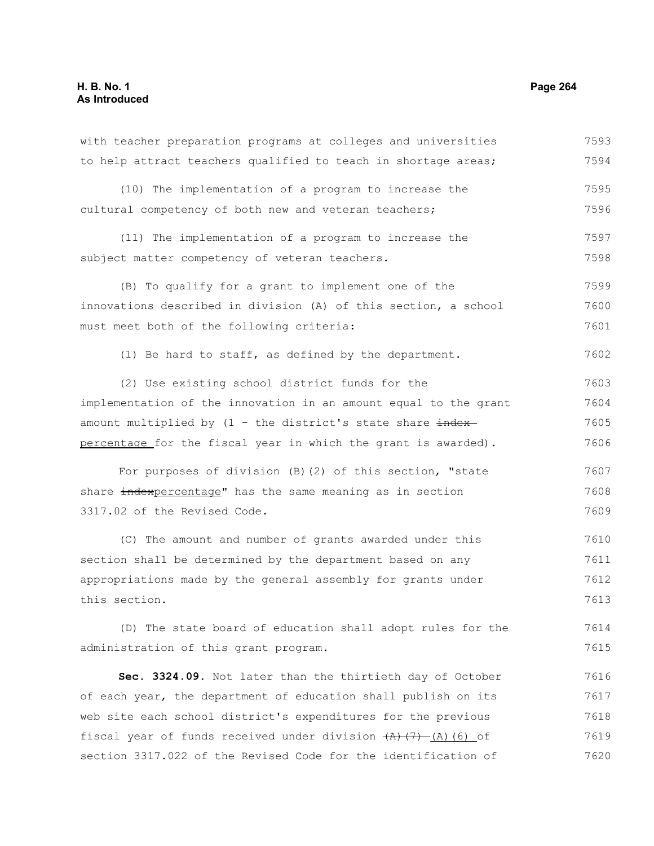to help attract teachers qualified to teach in shortage areas; (10) The implementation of a program to increase the cultural competency of both new and veteran teachers; (11) The implementation of a program to increase the subject matter competency of veteran teachers. (B) To qualify for a grant to implement one of the innovations described in division (A) of this section, a school must meet both of the following criteria: (1) Be hard to staff, as defined by the department. (2) Use existing school district funds for the implementation of the innovation in an amount equal to the grant amount multiplied by  $(1 - the district's state share *index*–$ percentage for the fiscal year in which the grant is awarded). For purposes of division (B)(2) of this section, "state share indexpercentage" has the same meaning as in section 3317.02 of the Revised Code. (C) The amount and number of grants awarded under this section shall be determined by the department based on any appropriations made by the general assembly for grants under this section. (D) The state board of education shall adopt rules for the administration of this grant program. **Sec. 3324.09.** Not later than the thirtieth day of October of each year, the department of education shall publish on its web site each school district's expenditures for the previous fiscal year of funds received under division  $(A)$   $(7)$   $(A)$  (6) of section 3317.022 of the Revised Code for the identification of 7594 7595 7596 7597 7598 7599 7600 7601 7602 7603 7604 7605 7606 7607 7608 7609 7610 7611 7612 7613 7614 7615 7616 7617 7618 7619 7620

with teacher preparation programs at colleges and universities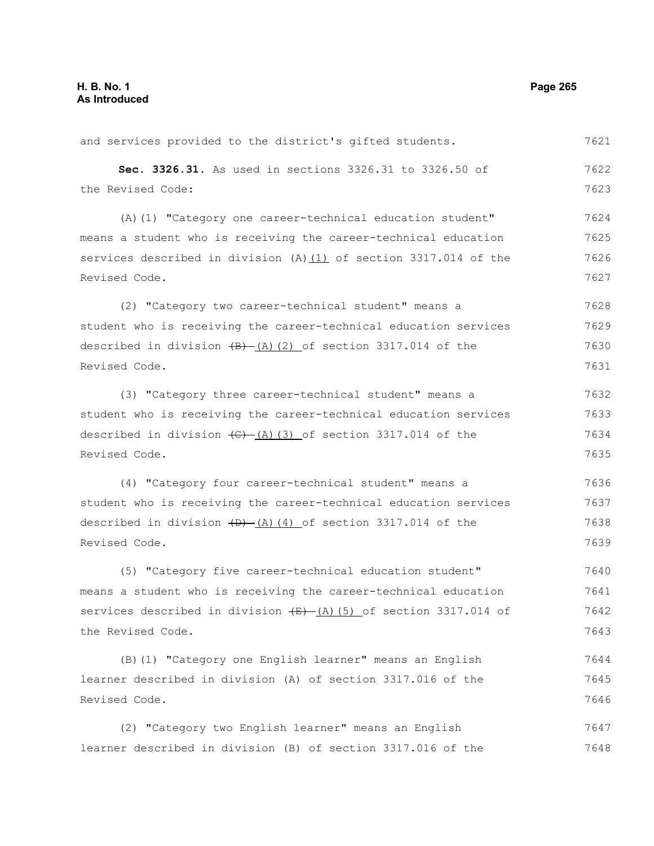and services provided to the district's gifted students. **Sec. 3326.31.** As used in sections 3326.31 to 3326.50 of the Revised Code: (A)(1) "Category one career-technical education student" means a student who is receiving the career-technical education services described in division (A) $(1)$  of section 3317.014 of the Revised Code. (2) "Category two career-technical student" means a student who is receiving the career-technical education services described in division  $(B)$   $(A)$  (2) of section 3317.014 of the Revised Code. (3) "Category three career-technical student" means a student who is receiving the career-technical education services described in division  $\left(\frac{C}{A}\right)$  (3) of section 3317.014 of the Revised Code. (4) "Category four career-technical student" means a student who is receiving the career-technical education services described in division  $(D)$   $(A)$  (4) of section 3317.014 of the Revised Code. (5) "Category five career-technical education student" means a student who is receiving the career-technical education services described in division  $\frac{E}{E}$  (A)(5) of section 3317.014 of the Revised Code. (B)(1) "Category one English learner" means an English learner described in division (A) of section 3317.016 of the Revised Code. (2) "Category two English learner" means an English learner described in division (B) of section 3317.016 of the 7621 7622 7623 7624 7625 7626 7627 7628 7629 7630 7631 7632 7633 7634 7635 7636 7637 7638 7639 7640 7641 7642 7643 7644 7645 7646 7647 7648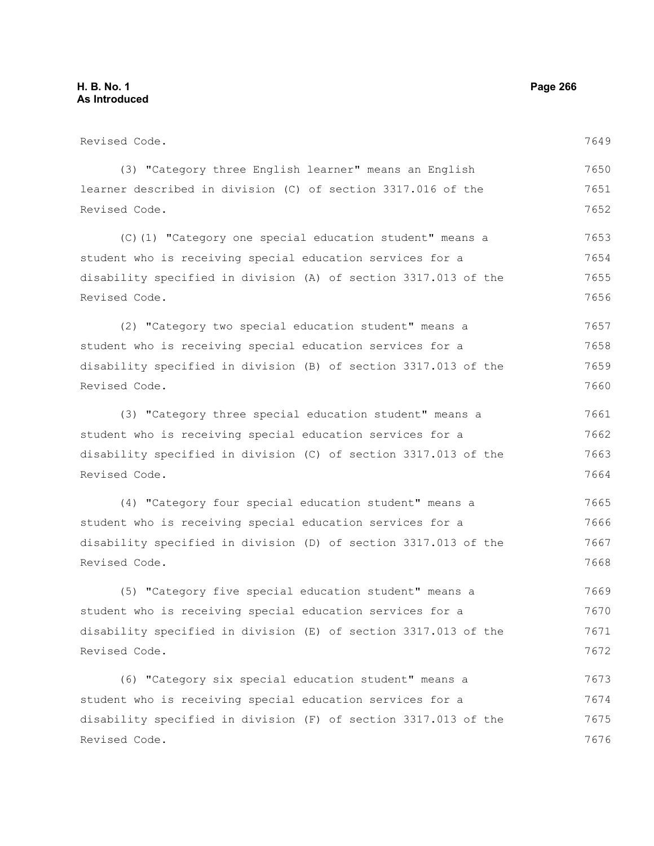Revised Code. (3) "Category three English learner" means an English learner described in division (C) of section 3317.016 of the Revised Code. (C)(1) "Category one special education student" means a student who is receiving special education services for a disability specified in division (A) of section 3317.013 of the Revised Code. (2) "Category two special education student" means a student who is receiving special education services for a disability specified in division (B) of section 3317.013 of the Revised Code. (3) "Category three special education student" means a student who is receiving special education services for a disability specified in division (C) of section 3317.013 of the Revised Code. (4) "Category four special education student" means a student who is receiving special education services for a disability specified in division (D) of section 3317.013 of the Revised Code. (5) "Category five special education student" means a student who is receiving special education services for a disability specified in division (E) of section 3317.013 of the Revised Code. (6) "Category six special education student" means a 7649 7650 7651 7652 7653 7654 7655 7656 7657 7658 7659 7660 7661 7662 7663 7664 7665 7666 7667 7668 7669 7670 7671 7672 7673

student who is receiving special education services for a disability specified in division (F) of section 3317.013 of the Revised Code. 7674 7675 7676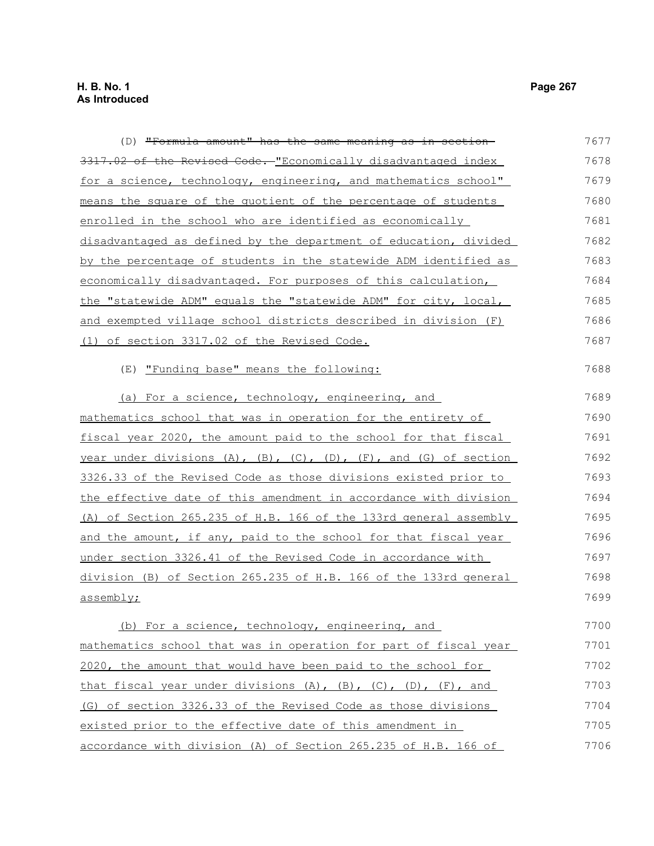(D) "Formula amount" has the same meaning as in section 3317.02 of the Revised Code. "Economically disadvantaged index for a science, technology, engineering, and mathematics school"

| for a science, technology, engineering, and mathematics school"  | 7679 |
|------------------------------------------------------------------|------|
| means the square of the quotient of the percentage of students   | 7680 |
| enrolled in the school who are identified as economically        | 7681 |
| disadvantaged as defined by the department of education, divided | 7682 |
| by the percentage of students in the statewide ADM identified as | 7683 |
| economically disadvantaged. For purposes of this calculation,    | 7684 |
| the "statewide ADM" equals the "statewide ADM" for city, local,  | 7685 |
| and exempted village school districts described in division (F)  | 7686 |
| (1) of section 3317.02 of the Revised Code.                      | 7687 |

## (E) "Funding base" means the following:

(a) For a science, technology, engineering, and mathematics school that was in operation for the entirety of fiscal year 2020, the amount paid to the school for that fiscal year under divisions (A), (B), (C), (D), (F), and (G) of section 3326.33 of the Revised Code as those divisions existed prior to the effective date of this amendment in accordance with division (A) of Section 265.235 of H.B. 166 of the 133rd general assembly and the amount, if any, paid to the school for that fiscal year under section 3326.41 of the Revised Code in accordance with division (B) of Section 265.235 of H.B. 166 of the 133rd general assembly; 7689 7690 7691 7692 7693 7694 7695 7696 7697 7698 7699

(b) For a science, technology, engineering, and mathematics school that was in operation for part of fiscal year 2020, the amount that would have been paid to the school for that fiscal year under divisions  $(A)$ ,  $(B)$ ,  $(C)$ ,  $(D)$ ,  $(F)$ , and (G) of section 3326.33 of the Revised Code as those divisions existed prior to the effective date of this amendment in accordance with division (A) of Section 265.235 of H.B. 166 of 7700 7701 7702 7703 7704 7705 7706

7677 7678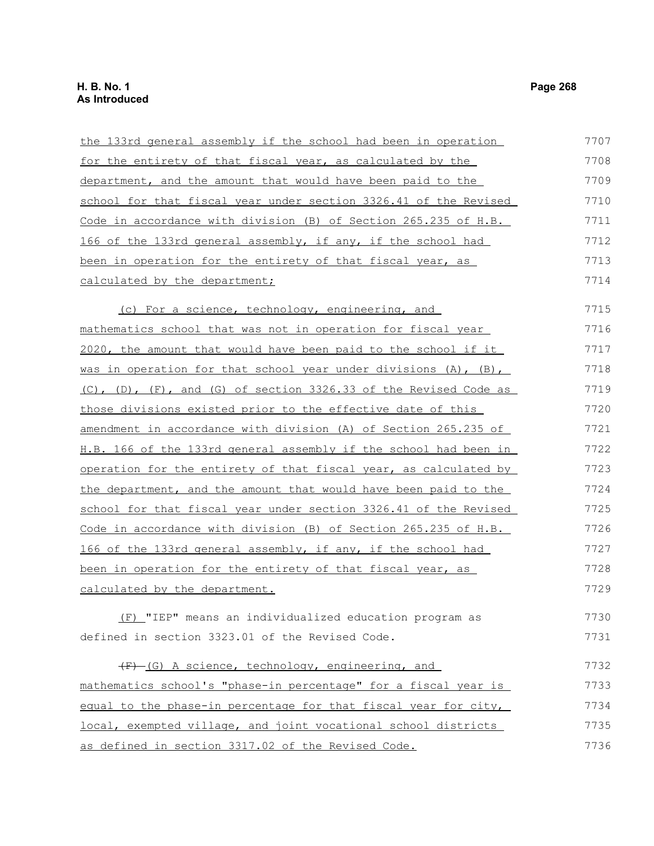| the 133rd general assembly if the school had been in operation              | 7707 |
|-----------------------------------------------------------------------------|------|
| for the entirety of that fiscal year, as calculated by the                  | 7708 |
| department, and the amount that would have been paid to the                 | 7709 |
| school for that fiscal year under section 3326.41 of the Revised            | 7710 |
| Code in accordance with division (B) of Section 265.235 of H.B.             | 7711 |
| 166 of the 133rd general assembly, if any, if the school had                | 7712 |
| been in operation for the entirety of that fiscal year, as                  | 7713 |
| calculated by the department;                                               | 7714 |
| (c) For a science, technology, engineering, and                             | 7715 |
| mathematics school that was not in operation for fiscal year                | 7716 |
| 2020, the amount that would have been paid to the school if it              | 7717 |
| was in operation for that school year under divisions $(A)$ , $(B)$ ,       | 7718 |
| $(C)$ , $(D)$ , $(F)$ , and $(G)$ of section 3326.33 of the Revised Code as | 7719 |
| those divisions existed prior to the effective date of this                 | 7720 |
| amendment in accordance with division (A) of Section 265.235 of             | 7721 |
| H.B. 166 of the 133rd general assembly if the school had been in            | 7722 |
| operation for the entirety of that fiscal year, as calculated by            | 7723 |
| the department, and the amount that would have been paid to the             | 7724 |
| school for that fiscal year under section 3326.41 of the Revised            | 7725 |
| Code in accordance with division (B) of Section 265.235 of H.B.             | 7726 |
| 166 of the 133rd general assembly, if any, if the school had                | 7727 |
| <u>been in operation for the entirety of that fiscal year, as</u>           | 7728 |
| calculated by the department.                                               | 7729 |
| (F) "IEP" means an individualized education program as                      | 7730 |
| defined in section 3323.01 of the Revised Code.                             | 7731 |
| (F) (G) A science, technology, engineering, and                             | 7732 |
| mathematics school's "phase-in percentage" for a fiscal year is             | 7733 |
| equal to the phase-in percentage for that fiscal year for city,             | 7734 |
| local, exempted village, and joint vocational school districts              | 7735 |
| as defined in section 3317.02 of the Revised Code.                          | 7736 |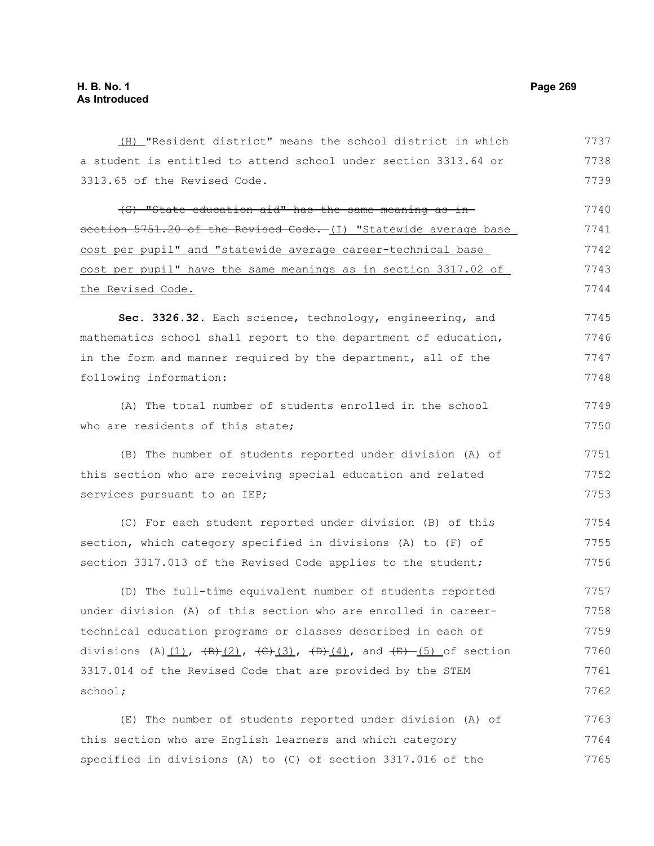(H) "Resident district" means the school district in which a student is entitled to attend school under section 3313.64 or 3313.65 of the Revised Code. (G) "State education aid" has the same meaning as in section 5751.20 of the Revised Code. (I) "Statewide average base cost per pupil" and "statewide average career-technical base cost per pupil" have the same meanings as in section 3317.02 of the Revised Code. **Sec. 3326.32.** Each science, technology, engineering, and mathematics school shall report to the department of education, in the form and manner required by the department, all of the following information: (A) The total number of students enrolled in the school who are residents of this state; (B) The number of students reported under division (A) of this section who are receiving special education and related services pursuant to an IEP; (C) For each student reported under division (B) of this section, which category specified in divisions (A) to (F) of section 3317.013 of the Revised Code applies to the student; (D) The full-time equivalent number of students reported under division (A) of this section who are enrolled in careertechnical education programs or classes described in each of divisions (A) $(1)$ ,  $(B)$  $(2)$ ,  $(C)$  $(3)$ ,  $(D)$  $(4)$ , and  $(E)$   $(5)$  of section 3317.014 of the Revised Code that are provided by the STEM school; (E) The number of students reported under division (A) of 7737 7738 7739 7740 7741 7742 7743 7744 7745 7746 7747 7748 7749 7750 7751 7752 7753 7754 7755 7756 7757 7758 7759 7760 7761 7762 7763

this section who are English learners and which category specified in divisions (A) to (C) of section 3317.016 of the 7764 7765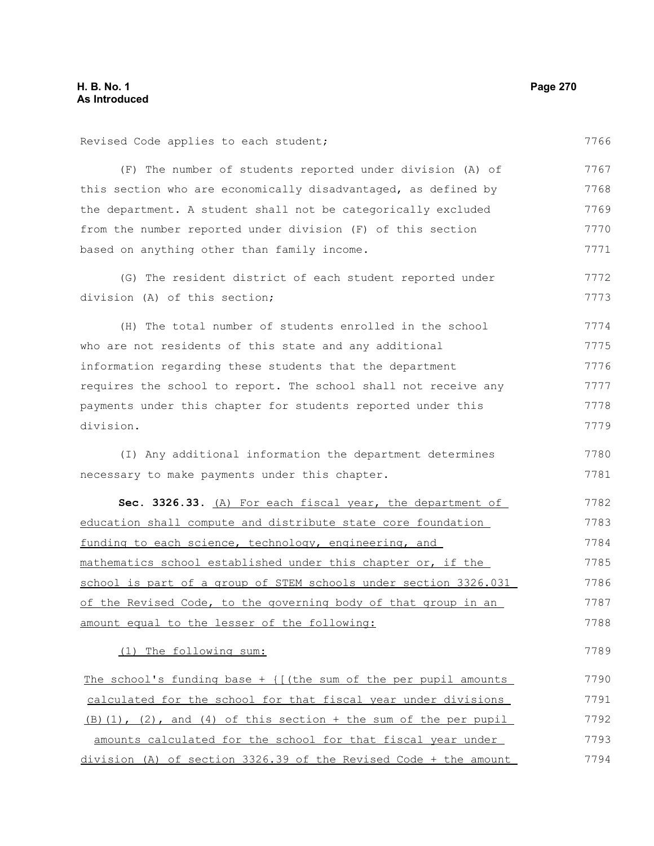Revised Code applies to each student;

(F) The number of students reported under division (A) of this section who are economically disadvantaged, as defined by the department. A student shall not be categorically excluded from the number reported under division (F) of this section based on anything other than family income. (G) The resident district of each student reported under division (A) of this section; (H) The total number of students enrolled in the school who are not residents of this state and any additional information regarding these students that the department requires the school to report. The school shall not receive any payments under this chapter for students reported under this division. (I) Any additional information the department determines necessary to make payments under this chapter. Sec. 3326.33. (A) For each fiscal year, the department of education shall compute and distribute state core foundation funding to each science, technology, engineering, and mathematics school established under this chapter or, if the school is part of a group of STEM schools under section 3326.031 of the Revised Code, to the governing body of that group in an amount equal to the lesser of the following: (1) The following sum: The school's funding base  $+$  { [(the sum of the per pupil amounts calculated for the school for that fiscal year under divisions  $(B)$ (1), (2), and (4) of this section + the sum of the per pupil amounts calculated for the school for that fiscal year under 7767 7768 7769 7770 7771 7772 7773 7774 7775 7776 7777 7778 7779 7780 7781 7782 7783 7784 7785 7786 7787 7788 7789 7790 7791 7792 7793

division (A) of section 3326.39 of the Revised Code + the amount 7794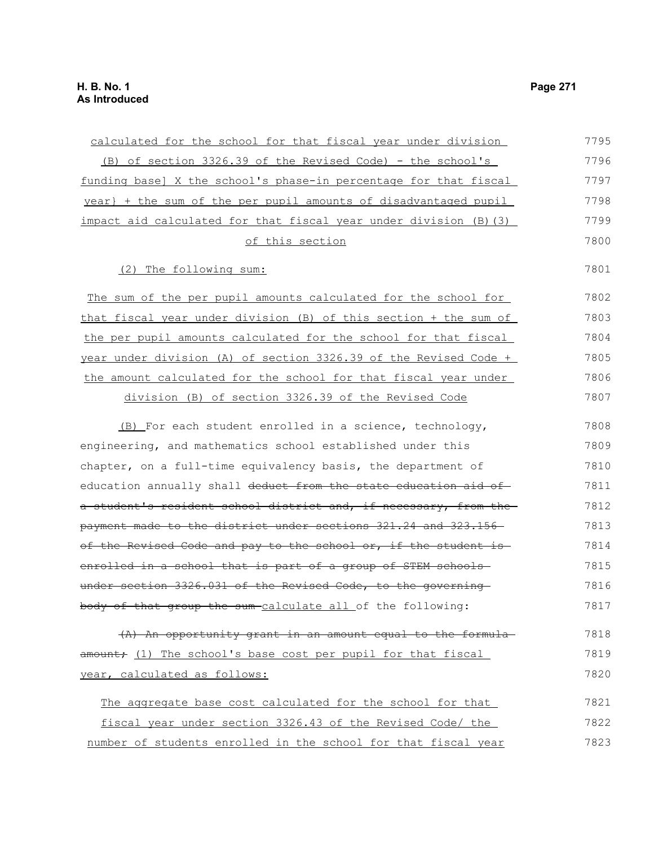| calculated for the school for that fiscal year under division     | 7795 |
|-------------------------------------------------------------------|------|
| (B) of section 3326.39 of the Revised Code) - the school's        | 7796 |
| funding base] X the school's phase-in percentage for that fiscal  | 7797 |
| year} + the sum of the per pupil amounts of disadvantaged pupil   | 7798 |
| impact aid calculated for that fiscal year under division (B) (3) | 7799 |
| of this section                                                   | 7800 |
| (2) The following sum:                                            | 7801 |
| The sum of the per pupil amounts calculated for the school for    | 7802 |
| that fiscal year under division (B) of this section + the sum of  | 7803 |
| the per pupil amounts calculated for the school for that fiscal   | 7804 |
| year under division (A) of section 3326.39 of the Revised Code +  | 7805 |
| the amount calculated for the school for that fiscal year under   | 7806 |
| division (B) of section 3326.39 of the Revised Code               | 7807 |
| (B) For each student enrolled in a science, technology,           | 7808 |
| engineering, and mathematics school established under this        | 7809 |
| chapter, on a full-time equivalency basis, the department of      | 7810 |
| education annually shall deduct from the state education aid of   | 7811 |
| a student's resident school district and, if necessary, from the  | 7812 |
| payment made to the district under sections 321.24 and 323.156    | 7813 |
| of the Revised Code and pay to the school or, if the student is-  | 7814 |
| enrolled in a school that is part of a group of STEM schools-     | 7815 |
| under section 3326.031 of the Revised Code, to the governing      | 7816 |
| body of that group the sum-calculate all of the following:        | 7817 |
| (A) An opportunity grant in an amount equal to the formula-       | 7818 |
| amount; (1) The school's base cost per pupil for that fiscal      | 7819 |
| year, calculated as follows:                                      | 7820 |
| The aggregate base cost calculated for the school for that        | 7821 |
| fiscal year under section 3326.43 of the Revised Code/ the        | 7822 |
| number of students enrolled in the school for that fiscal year    | 7823 |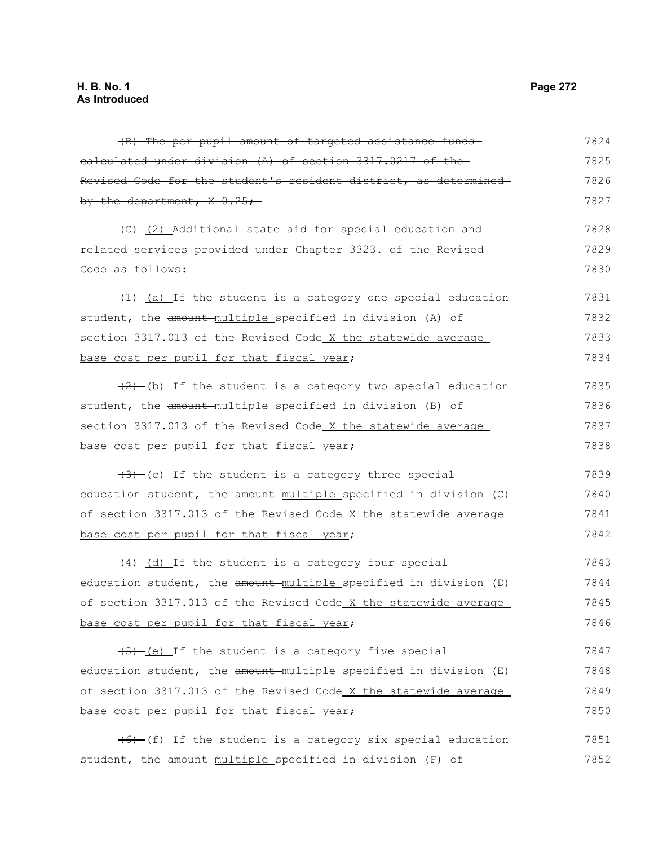(B) The per pupil amount of targeted assistance funds calculated under division (A) of section 3317.0217 of the Revised Code for the student's resident district, as determined by the department,  $X = 0.25$ ; (C) (2) Additional state aid for special education and related services provided under Chapter 3323. of the Revised Code as follows:  $(1)$   $(a)$  If the student is a category one special education student, the amount multiple specified in division (A) of section 3317.013 of the Revised Code X the statewide average base cost per pupil for that fiscal year;  $(2)$  (b) If the student is a category two special education student, the amount multiple specified in division (B) of section 3317.013 of the Revised Code X the statewide average base cost per pupil for that fiscal year;  $(3)$  (c) If the student is a category three special education student, the amount multiple specified in division (C) of section 3317.013 of the Revised Code X the statewide average base cost per pupil for that fiscal year; (4) (d) If the student is a category four special education student, the amount multiple specified in division (D) of section 3317.013 of the Revised Code X the statewide average base cost per pupil for that fiscal year;  $(5)$  (e) If the student is a category five special education student, the amount multiple specified in division (E) of section 3317.013 of the Revised Code X the statewide average base cost per pupil for that fiscal year;  $(6)$  (f) If the student is a category six special education student, the amount multiple specified in division (F) of 7824 7825 7826 7827 7828 7829 7830 7831 7832 7833 7834 7835 7836 7837 7838 7839 7840 7841 7842 7843 7844 7845 7846 7847 7848 7849 7850 7851 7852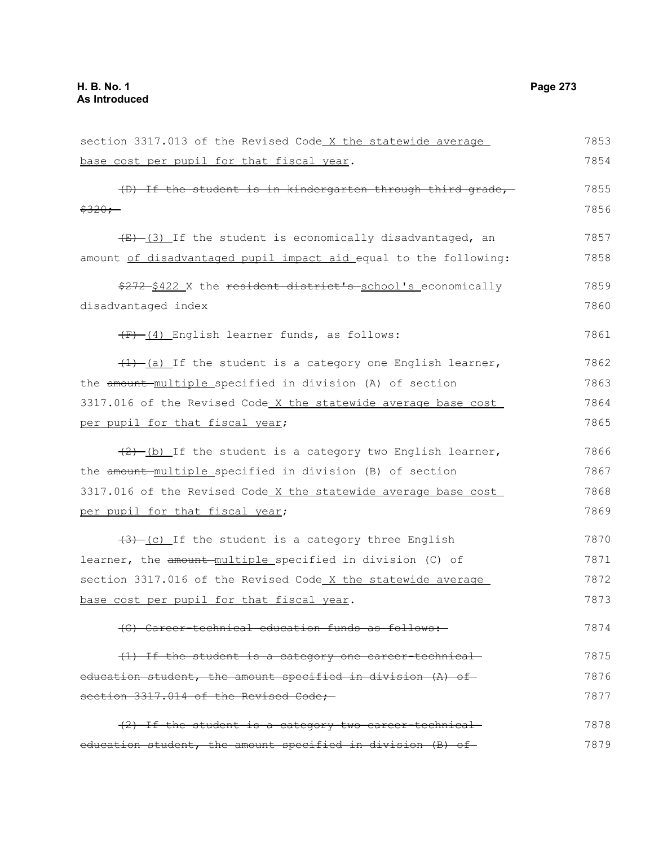section 3317.013 of the Revised Code X the statewide average base cost per pupil for that fiscal year. (D) If the student is in kindergarten through third grade,  $$320;$  $(E)$  (3) If the student is economically disadvantaged, an amount of disadvantaged pupil impact aid equal to the following: \$272 \$422 X the resident district's school's economically disadvantaged index (F) (4) English learner funds, as follows:  $(1)$  (a) If the student is a category one English learner, the amount multiple specified in division (A) of section 3317.016 of the Revised Code X the statewide average base cost per pupil for that fiscal year;  $(2)$  (b) If the student is a category two English learner, the amount multiple specified in division (B) of section 3317.016 of the Revised Code X the statewide average base cost per pupil for that fiscal year;  $(3)$  (c) If the student is a category three English learner, the amount-multiple specified in division (C) of section 3317.016 of the Revised Code X the statewide average base cost per pupil for that fiscal year. (G) Career-technical education funds as follows: (1) If the student is a category one career-technical education student, the amount specified in division (A) of section 3317.014 of the Revised Code; (2) If the student is a category two career-technical 7853 7854 7855 7856 7857 7858 7859 7860 7861 7862 7863 7864 7865 7866 7867 7868 7869 7870 7871 7872 7873 7874 7875 7876 7877 7878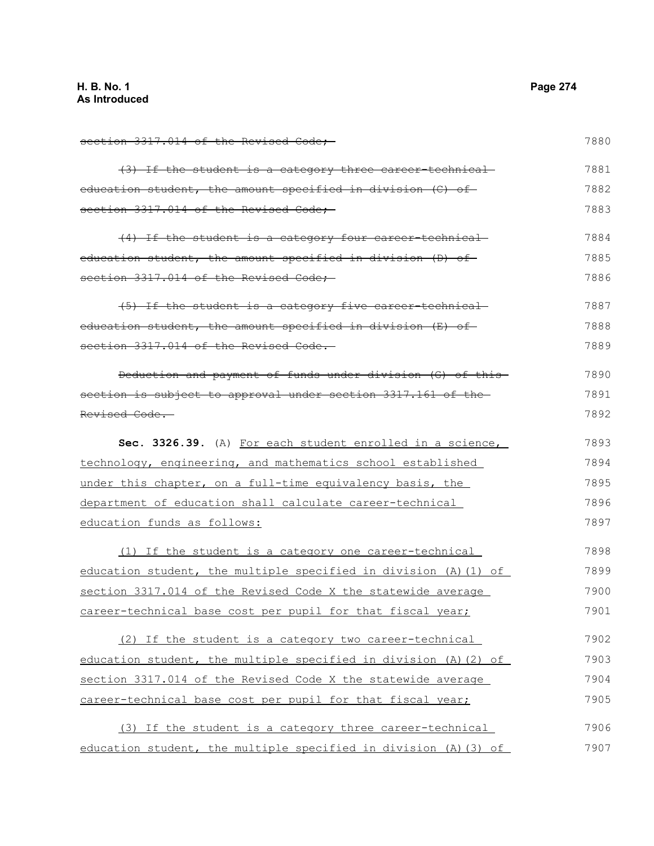section 3317.014 of the Revised Code; (3) If the student is a category three career-technical education student, the amount specified in division (C) of section 3317.014 of the Revised Code; (4) If the student is a category four career-technical education student, the amount specified in division (D) of section 3317.014 of the Revised Code; (5) If the student is a category five career-technical education student, the amount specified in division (E) of section 3317.014 of the Revised Code. Deduction and payment of funds under division (G) of this section is subject to approval under section 3317.161 of the Revised Code. **Sec. 3326.39.** (A) For each student enrolled in a science, technology, engineering, and mathematics school established under this chapter, on a full-time equivalency basis, the department of education shall calculate career-technical education funds as follows: (1) If the student is a category one career-technical education student, the multiple specified in division (A)(1) of section 3317.014 of the Revised Code X the statewide average career-technical base cost per pupil for that fiscal year; (2) If the student is a category two career-technical education student, the multiple specified in division (A)(2) of section 3317.014 of the Revised Code X the statewide average career-technical base cost per pupil for that fiscal year; (3) If the student is a category three career-technical education student, the multiple specified in division (A)(3) of 7880 7881 7882 7883 7884 7885 7886 7887 7888 7889 7890 7891 7892 7893 7894 7895 7896 7897 7898 7899 7900 7901 7902 7903 7904 7905 7906 7907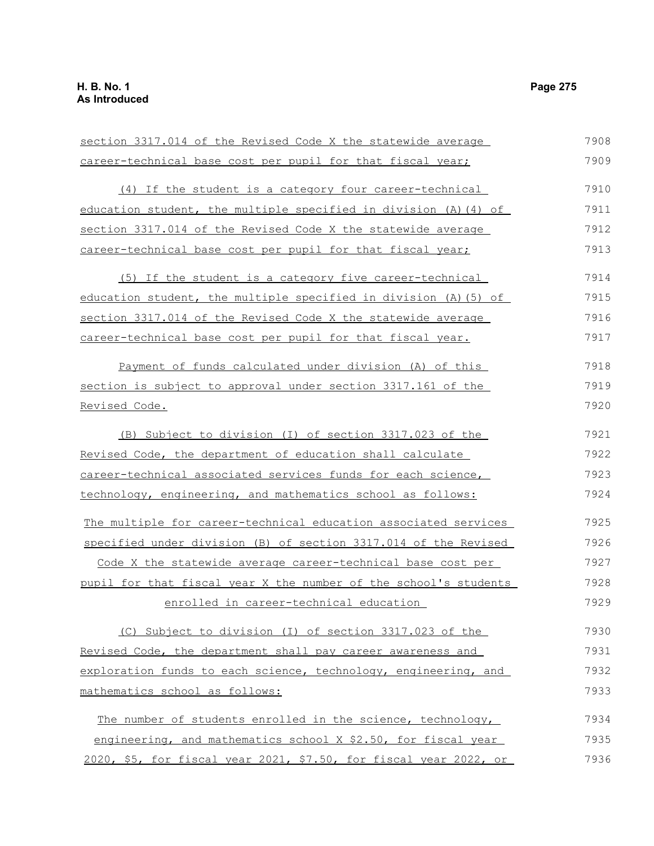section 3317.014 of the Revised Code X the statewide average career-technical base cost per pupil for that fiscal year; (4) If the student is a category four career-technical education student, the multiple specified in division (A)(4) of section 3317.014 of the Revised Code X the statewide average career-technical base cost per pupil for that fiscal year; (5) If the student is a category five career-technical education student, the multiple specified in division (A)(5) of section 3317.014 of the Revised Code X the statewide average career-technical base cost per pupil for that fiscal year. Payment of funds calculated under division (A) of this section is subject to approval under section 3317.161 of the Revised Code. (B) Subject to division (I) of section 3317.023 of the Revised Code, the department of education shall calculate career-technical associated services funds for each science, technology, engineering, and mathematics school as follows: The multiple for career-technical education associated services specified under division (B) of section 3317.014 of the Revised Code X the statewide average career-technical base cost per pupil for that fiscal year X the number of the school's students enrolled in career-technical education (C) Subject to division (I) of section 3317.023 of the Revised Code, the department shall pay career awareness and exploration funds to each science, technology, engineering, and mathematics school as follows: The number of students enrolled in the science, technology, engineering, and mathematics school X \$2.50, for fiscal year 2020, \$5, for fiscal year 2021, \$7.50, for fiscal year 2022, or 7908 7909 7910 7911 7912 7913 7914 7915 7916 7917 7918 7919 7920 7921 7922 7923 7924 7925 7926 7927 7928 7929 7930 7931 7932 7933 7934 7935 7936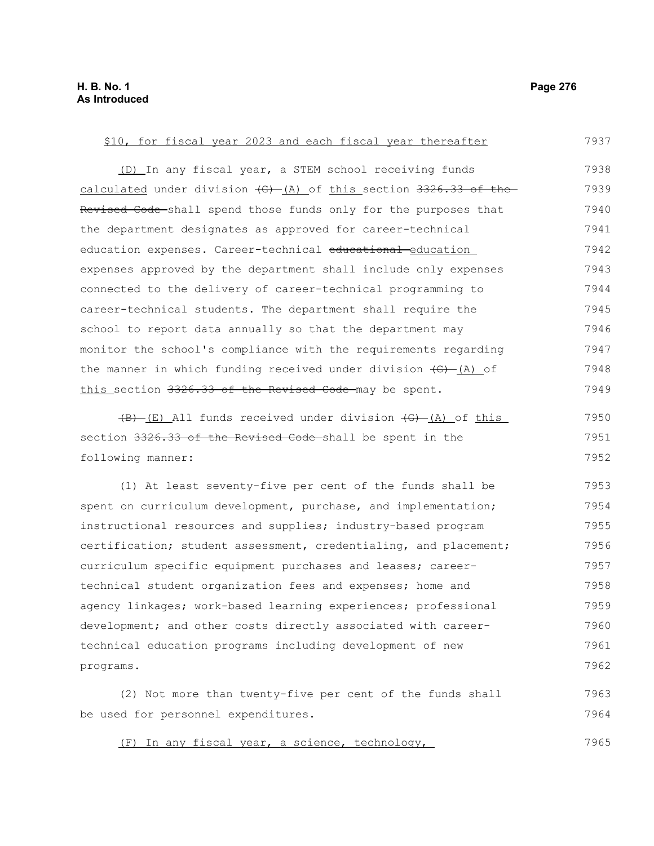(D) In any fiscal year, a STEM school receiving funds calculated under division  $\left( G \right)$  (A) of this section 3326.33 of the Revised Code shall spend those funds only for the purposes that the department designates as approved for career-technical education expenses. Career-technical educational education expenses approved by the department shall include only expenses connected to the delivery of career-technical programming to career-technical students. The department shall require the school to report data annually so that the department may monitor the school's compliance with the requirements regarding the manner in which funding received under division  $\overline{(G)}$   $\underline{(A)}$  of this section 3326.33 of the Revised Code may be spent.  $(B)$  (E) All funds received under division  $(G)$  (A) of this section 3326.33 of the Revised Code shall be spent in the following manner: (1) At least seventy-five per cent of the funds shall be spent on curriculum development, purchase, and implementation; instructional resources and supplies; industry-based program certification; student assessment, credentialing, and placement; curriculum specific equipment purchases and leases; careertechnical student organization fees and expenses; home and agency linkages; work-based learning experiences; professional development; and other costs directly associated with careertechnical education programs including development of new programs. 7938 7939 7940 7941 7942 7943 7944 7945 7946 7947 7948 7949 7950 7951 7952 7953 7954 7955 7956 7957 7958 7959 7960 7961 7962

\$10, for fiscal year 2023 and each fiscal year thereafter

(2) Not more than twenty-five per cent of the funds shall be used for personnel expenditures. 7963 7964

(F) In any fiscal year, a science, technology, 7965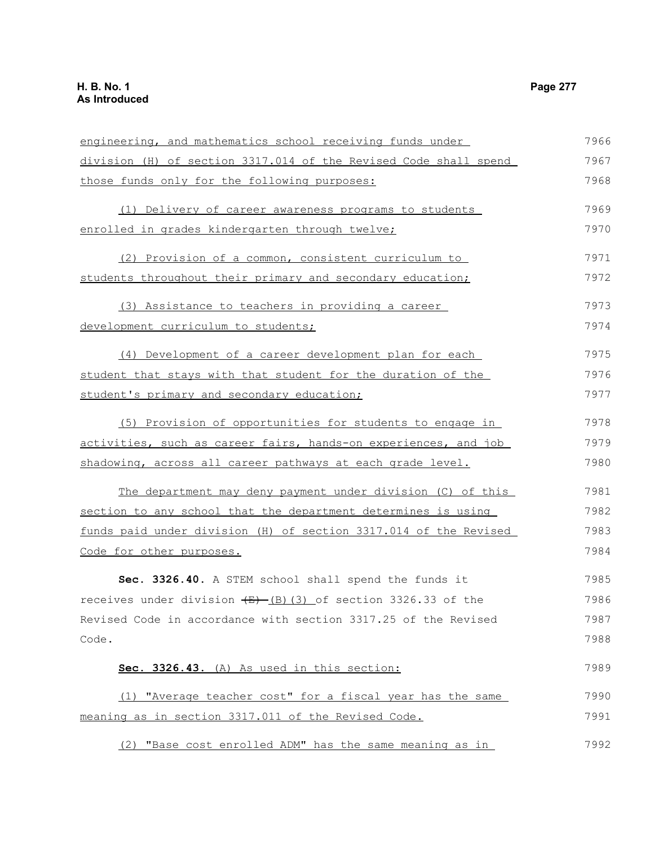engineering, and mathematics school receiving funds under division (H) of section 3317.014 of the Revised Code shall spend those funds only for the following purposes: (1) Delivery of career awareness programs to students enrolled in grades kindergarten through twelve; (2) Provision of a common, consistent curriculum to students throughout their primary and secondary education; (3) Assistance to teachers in providing a career development curriculum to students; (4) Development of a career development plan for each student that stays with that student for the duration of the student's primary and secondary education; (5) Provision of opportunities for students to engage in activities, such as career fairs, hands-on experiences, and job shadowing, across all career pathways at each grade level. The department may deny payment under division (C) of this section to any school that the department determines is using funds paid under division (H) of section 3317.014 of the Revised Code for other purposes. **Sec. 3326.40.** A STEM school shall spend the funds it receives under division  $\frac{E}{E}$  (3)(3) of section 3326.33 of the Revised Code in accordance with section 3317.25 of the Revised Code. **Sec. 3326.43.** (A) As used in this section: (1) "Average teacher cost" for a fiscal year has the same meaning as in section 3317.011 of the Revised Code. (2) "Base cost enrolled ADM" has the same meaning as in 7966 7967 7968 7969 7970 7971 7972 7973 7974 7975 7976 7977 7978 7979 7980 7981 7982 7983 7984 7985 7986 7987 7988 7989 7990 7991 7992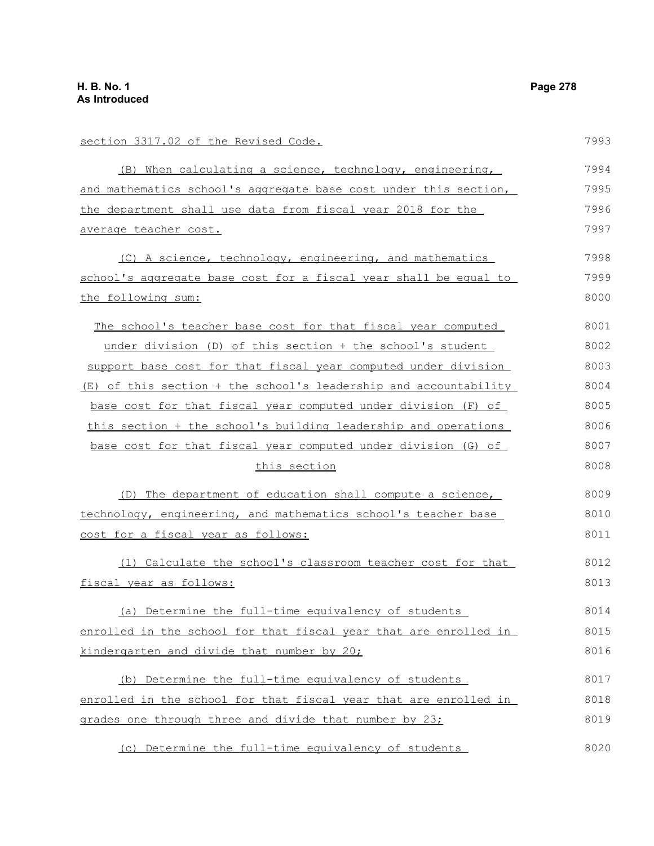section 3317.02 of the Revised Code. (B) When calculating a science, technology, engineering, and mathematics school's aggregate base cost under this section, the department shall use data from fiscal year 2018 for the average teacher cost. (C) A science, technology, engineering, and mathematics school's aggregate base cost for a fiscal year shall be equal to the following sum: The school's teacher base cost for that fiscal year computed under division (D) of this section + the school's student support base cost for that fiscal year computed under division (E) of this section + the school's leadership and accountability base cost for that fiscal year computed under division (F) of this section + the school's building leadership and operations base cost for that fiscal year computed under division (G) of this section (D) The department of education shall compute a science, technology, engineering, and mathematics school's teacher base cost for a fiscal year as follows: (1) Calculate the school's classroom teacher cost for that fiscal year as follows: (a) Determine the full-time equivalency of students enrolled in the school for that fiscal year that are enrolled in kindergarten and divide that number by 20; (b) Determine the full-time equivalency of students enrolled in the school for that fiscal year that are enrolled in grades one through three and divide that number by 23; 7993 7994 7995 7996 7997 7998 7999 8000 8001 8002 8003 8004 8005 8006 8007 8008 8009 8010 8011 8012 8013 8014 8015 8016 8017 8018 8019

(c) Determine the full-time equivalency of students 8020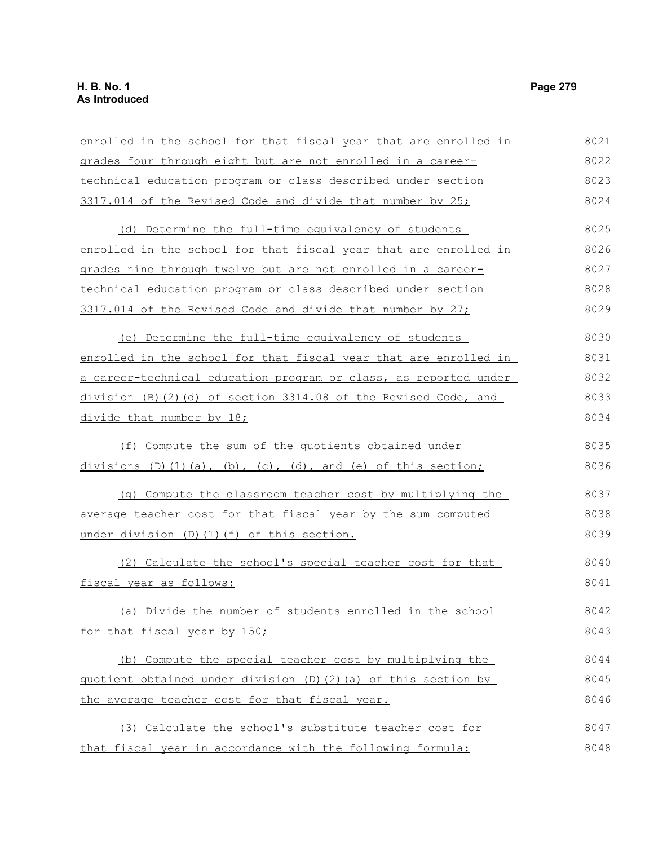| enrolled in the school for that fiscal year that are enrolled in                 | 8021 |
|----------------------------------------------------------------------------------|------|
| grades four through eight but are not enrolled in a career-                      | 8022 |
| technical education program or class described under section                     | 8023 |
| 3317.014 of the Revised Code and divide that number by 25;                       | 8024 |
| (d) Determine the full-time equivalency of students                              | 8025 |
| enrolled in the school for that fiscal year that are enrolled in                 | 8026 |
| grades nine through twelve but are not enrolled in a career-                     | 8027 |
| technical education program or class described under section                     | 8028 |
| 3317.014 of the Revised Code and divide that number by 27;                       | 8029 |
| (e) Determine the full-time equivalency of students                              | 8030 |
| enrolled in the school for that fiscal year that are enrolled in                 | 8031 |
| a career-technical education program or class, as reported under                 | 8032 |
| division (B)(2)(d) of section 3314.08 of the Revised Code, and                   | 8033 |
| divide that number by 18;                                                        | 8034 |
| (f) Compute the sum of the quotients obtained under                              | 8035 |
| divisions $(D)$ $(1)$ $(a)$ , $(b)$ , $(c)$ , $(d)$ , and $(e)$ of this section; | 8036 |
| (g) Compute the classroom teacher cost by multiplying the                        | 8037 |
| average teacher cost for that fiscal year by the sum computed                    | 8038 |
| under division (D)(1)(f) of this section.                                        | 8039 |
| (2) Calculate the school's special teacher cost for that                         | 8040 |
| fiscal year as follows:                                                          | 8041 |
| (a) Divide the number of students enrolled in the school                         | 8042 |
| for that fiscal year by 150;                                                     | 8043 |
| (b) Compute the special teacher cost by multiplying the                          | 8044 |
| quotient obtained under division (D)(2)(a) of this section by                    | 8045 |
| the average teacher cost for that fiscal year.                                   | 8046 |
| (3) Calculate the school's substitute teacher cost for                           | 8047 |
| that fiscal year in accordance with the following formula:                       | 8048 |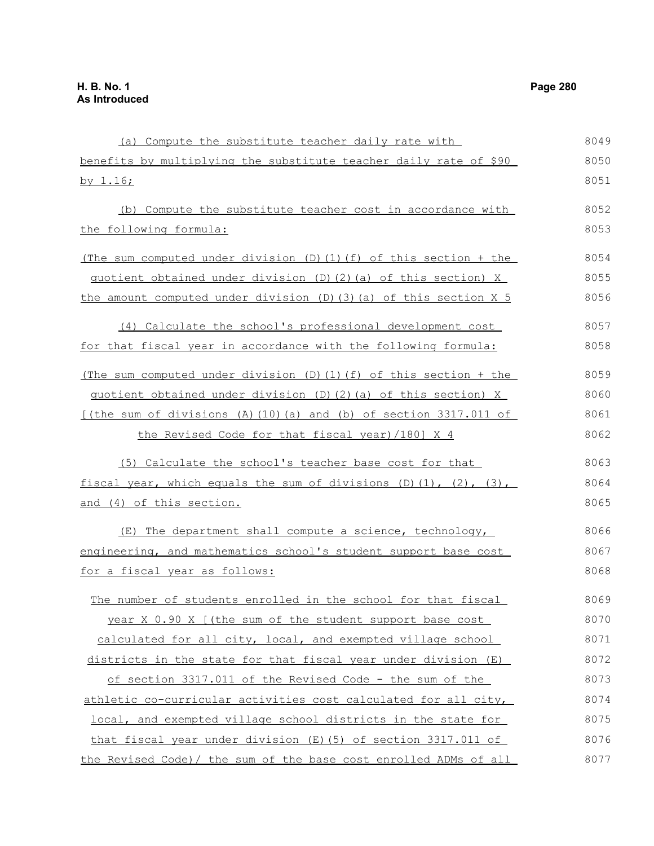by 1.16;

the following formula:

(a) Compute the substitute teacher daily rate with benefits by multiplying the substitute teacher daily rate of \$90 (b) Compute the substitute teacher cost in accordance with (The sum computed under division (D)(1)(f) of this section + the quotient obtained under division (D)(2)(a) of this section) X the amount computed under division  $(D)$  (3)(a) of this section X 5 8049 8050 8051 8052 8053 8054 8055 8056

- (4) Calculate the school's professional development cost for that fiscal year in accordance with the following formula: 8057 8058
- (The sum computed under division (D)(1)(f) of this section + the quotient obtained under division (D)(2)(a) of this section) X [(the sum of divisions  $(A)$  (10)(a) and (b) of section 3317.011 of 8059 8060 8061

the Revised Code for that fiscal year)/180] X 4

(5) Calculate the school's teacher base cost for that fiscal year, which equals the sum of divisions  $(D)(1)$ ,  $(2)$ ,  $(3)$ , and (4) of this section. 8063 8064 8065

(E) The department shall compute a science, technology, engineering, and mathematics school's student support base cost for a fiscal year as follows:

The number of students enrolled in the school for that fiscal year X 0.90 X [(the sum of the student support base cost calculated for all city, local, and exempted village school districts in the state for that fiscal year under division (E) of section 3317.011 of the Revised Code - the sum of the athletic co-curricular activities cost calculated for all city, local, and exempted village school districts in the state for that fiscal year under division (E)(5) of section 3317.011 of the Revised Code)/ the sum of the base cost enrolled ADMs of all 8069 8070 8071 8072 8073 8074 8075 8076 8077

8062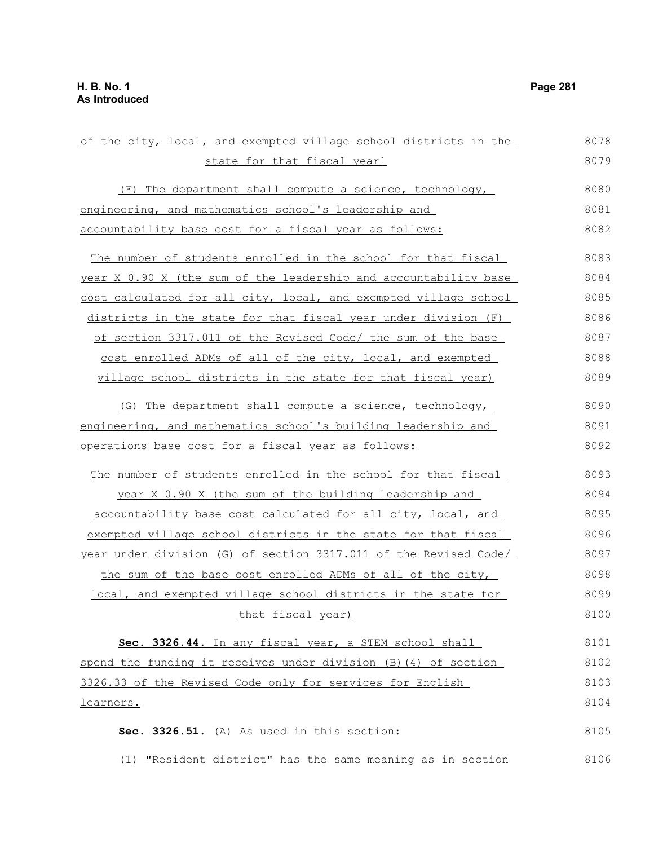of the city, local, and exempted village school districts in the state for that fiscal year] (F) The department shall compute a science, technology, engineering, and mathematics school's leadership and accountability base cost for a fiscal year as follows: The number of students enrolled in the school for that fiscal year X 0.90 X (the sum of the leadership and accountability base cost calculated for all city, local, and exempted village school districts in the state for that fiscal year under division (F) of section 3317.011 of the Revised Code/ the sum of the base cost enrolled ADMs of all of the city, local, and exempted village school districts in the state for that fiscal year) (G) The department shall compute a science, technology, engineering, and mathematics school's building leadership and operations base cost for a fiscal year as follows: The number of students enrolled in the school for that fiscal year X 0.90 X (the sum of the building leadership and accountability base cost calculated for all city, local, and exempted village school districts in the state for that fiscal year under division (G) of section 3317.011 of the Revised Code/ the sum of the base cost enrolled ADMs of all of the city, local, and exempted village school districts in the state for that fiscal year) **Sec. 3326.44.** In any fiscal year, a STEM school shall spend the funding it receives under division (B)(4) of section 3326.33 of the Revised Code only for services for English learners. **Sec. 3326.51.** (A) As used in this section: (1) "Resident district" has the same meaning as in section 8078 8079 8080 8081 8082 8083 8084 8085 8086 8087 8088 8089 8090 8091 8092 8093 8094 8095 8096 8097 8098 8099 8100 8101 8102 8103 8104 8105 8106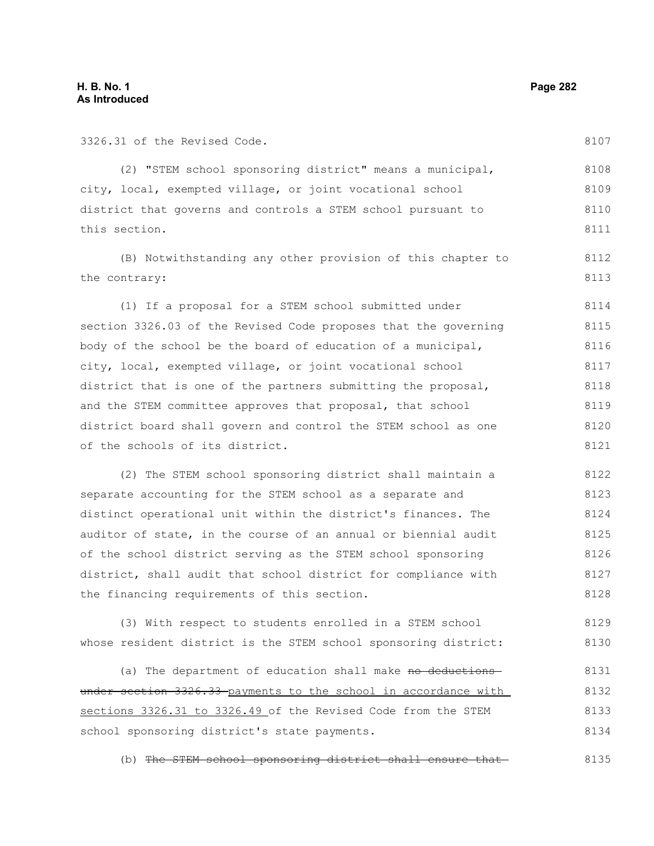3326.31 of the Revised Code.

| (2) "STEM school sponsoring district" means a municipal,        | 8108 |
|-----------------------------------------------------------------|------|
| city, local, exempted village, or joint vocational school       | 8109 |
| district that governs and controls a STEM school pursuant to    | 8110 |
| this section.                                                   | 8111 |
| (B) Notwithstanding any other provision of this chapter to      | 8112 |
| the contrary:                                                   | 8113 |
| (1) If a proposal for a STEM school submitted under             | 8114 |
| section 3326.03 of the Revised Code proposes that the governing | 8115 |
| body of the school be the board of education of a municipal,    | 8116 |
| city, local, exempted village, or joint vocational school       | 8117 |
| district that is one of the partners submitting the proposal,   | 8118 |
| and the STEM committee approves that proposal, that school      | 8119 |
| district board shall govern and control the STEM school as one  | 8120 |
| of the schools of its district.                                 | 8121 |
| (2) The STEM school sponsoring district shall maintain a        | 8122 |

separate accounting for the STEM school as a separate and distinct operational unit within the district's finances. The auditor of state, in the course of an annual or biennial audit of the school district serving as the STEM school sponsoring district, shall audit that school district for compliance with the financing requirements of this section. 8123 8124 8125 8126 8127 8128

(3) With respect to students enrolled in a STEM school whose resident district is the STEM school sponsoring district: 8129 8130

(a) The department of education shall make no deductions under section 3326.33 payments to the school in accordance with sections 3326.31 to 3326.49 of the Revised Code from the STEM school sponsoring district's state payments. 8131 8132 8133 8134

(b) The STEM school sponsoring district shall ensure that 8135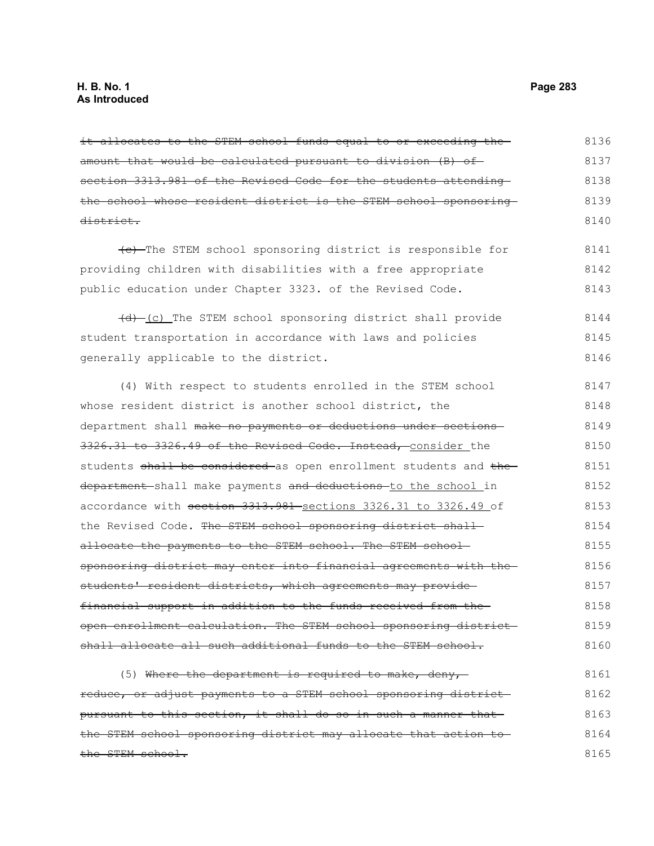it allocates to the STEM school funds equal to or exceeding theamount that would be calculated pursuant to division (B) of section 3313.981 of the Revised Code for the students attending the school whose resident district is the STEM school sponsoring district. 8136 8137 8138 8139 8140

(c) The STEM school sponsoring district is responsible for providing children with disabilities with a free appropriate public education under Chapter 3323. of the Revised Code. 8141 8142 8143

(d) (c) The STEM school sponsoring district shall provide student transportation in accordance with laws and policies generally applicable to the district. 8144 8145 8146

(4) With respect to students enrolled in the STEM school whose resident district is another school district, the department shall make no payments or deductions under sections 3326.31 to 3326.49 of the Revised Code. Instead, consider the students shall be considered as open enrollment students and the department shall make payments and deductions to the school in accordance with section 3313.981 sections 3326.31 to 3326.49 of the Revised Code. The STEM school sponsoring district shallallocate the payments to the STEM school. The STEM schoolsponsoring district may enter into financial agreements with the students' resident districts, which agreements may providefinancial support in addition to the funds received from the open enrollment calculation. The STEM school sponsoring district shall allocate all such additional funds to the STEM school. 8147 8148 8149 8150 8151 8152 8153 8154 8155 8156 8157 8158 8159 8160

(5) Where the department is required to make, deny, reduce, or adjust payments to a STEM school sponsoring district pursuant to this section, it shall do so in such a manner that the STEM school sponsoring district may allocate that action to the STEM school. 8161 8162 8163 8164 8165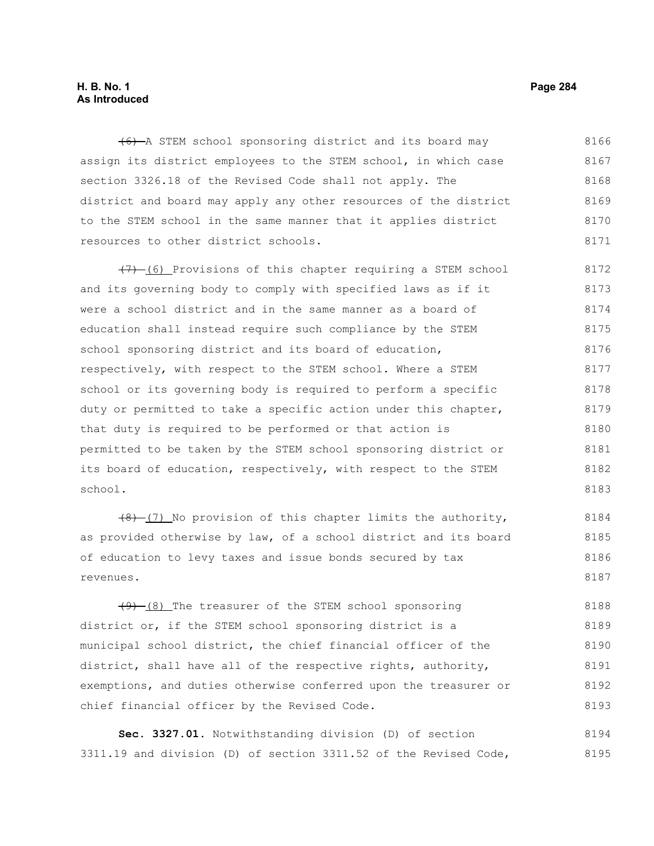### **H. B. No. 1 Page 284 As Introduced**

(6) A STEM school sponsoring district and its board may assign its district employees to the STEM school, in which case section 3326.18 of the Revised Code shall not apply. The district and board may apply any other resources of the district to the STEM school in the same manner that it applies district resources to other district schools. 8166 8167 8168 8169 8170 8171

 $(7)$  (6) Provisions of this chapter requiring a STEM school and its governing body to comply with specified laws as if it were a school district and in the same manner as a board of education shall instead require such compliance by the STEM school sponsoring district and its board of education, respectively, with respect to the STEM school. Where a STEM school or its governing body is required to perform a specific duty or permitted to take a specific action under this chapter, that duty is required to be performed or that action is permitted to be taken by the STEM school sponsoring district or its board of education, respectively, with respect to the STEM school. 8172 8173 8174 8175 8176 8177 8178 8179 8180 8181 8182 8183

 $(8)$  (7) No provision of this chapter limits the authority, as provided otherwise by law, of a school district and its board of education to levy taxes and issue bonds secured by tax revenues. 8184 8185 8186 8187

 $(9)$  (8) The treasurer of the STEM school sponsoring district or, if the STEM school sponsoring district is a municipal school district, the chief financial officer of the district, shall have all of the respective rights, authority, exemptions, and duties otherwise conferred upon the treasurer or chief financial officer by the Revised Code. 8188 8189 8190 8191 8192 8193

**Sec. 3327.01.** Notwithstanding division (D) of section 3311.19 and division (D) of section 3311.52 of the Revised Code, 8194 8195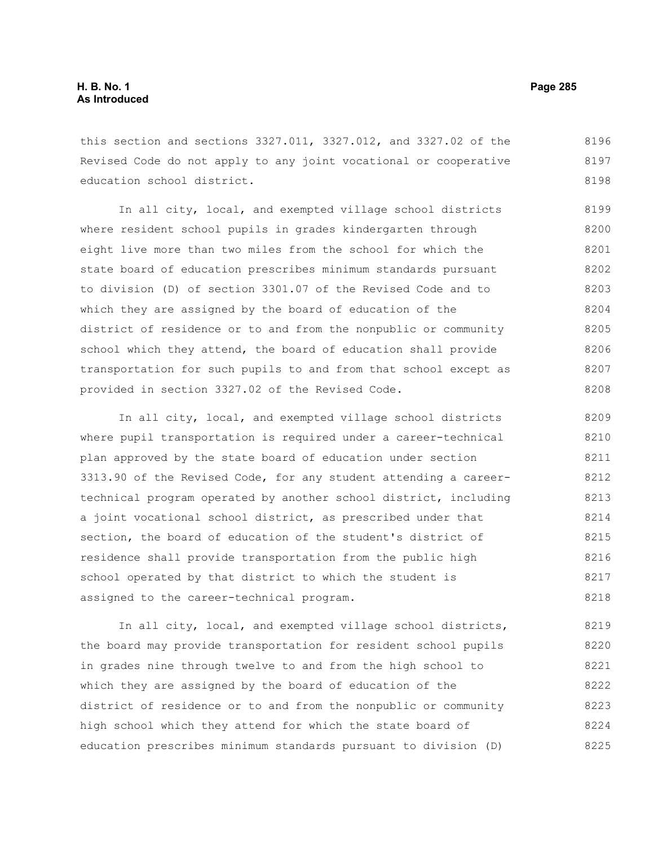this section and sections 3327.011, 3327.012, and 3327.02 of the Revised Code do not apply to any joint vocational or cooperative education school district. 8196 8197 8198

In all city, local, and exempted village school districts where resident school pupils in grades kindergarten through eight live more than two miles from the school for which the state board of education prescribes minimum standards pursuant to division (D) of section 3301.07 of the Revised Code and to which they are assigned by the board of education of the district of residence or to and from the nonpublic or community school which they attend, the board of education shall provide transportation for such pupils to and from that school except as provided in section 3327.02 of the Revised Code. 8199 8200 8201 8202 8203 8204 8205 8206 8207 8208

In all city, local, and exempted village school districts where pupil transportation is required under a career-technical plan approved by the state board of education under section 3313.90 of the Revised Code, for any student attending a careertechnical program operated by another school district, including a joint vocational school district, as prescribed under that section, the board of education of the student's district of residence shall provide transportation from the public high school operated by that district to which the student is assigned to the career-technical program. 8209 8210 8211 8212 8213 8214 8215 8216 8217 8218

In all city, local, and exempted village school districts, the board may provide transportation for resident school pupils in grades nine through twelve to and from the high school to which they are assigned by the board of education of the district of residence or to and from the nonpublic or community high school which they attend for which the state board of education prescribes minimum standards pursuant to division (D) 8219 8220 8221 8222 8223 8224 8225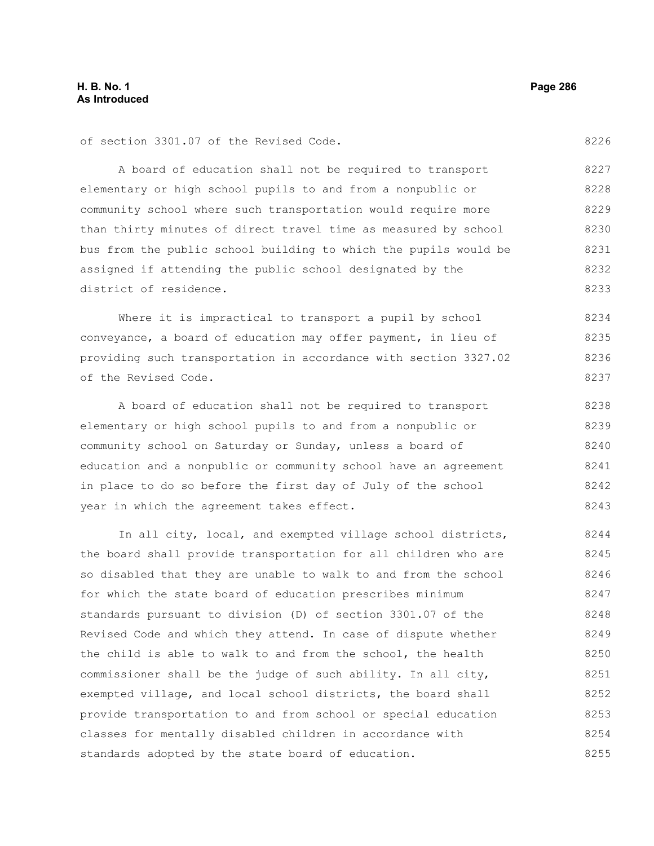8226

of section 3301.07 of the Revised Code.

A board of education shall not be required to transport elementary or high school pupils to and from a nonpublic or community school where such transportation would require more than thirty minutes of direct travel time as measured by school bus from the public school building to which the pupils would be assigned if attending the public school designated by the district of residence. 8227 8228 8229 8230 8231 8232 8233

Where it is impractical to transport a pupil by school conveyance, a board of education may offer payment, in lieu of providing such transportation in accordance with section 3327.02 of the Revised Code. 8234 8235 8236 8237

A board of education shall not be required to transport elementary or high school pupils to and from a nonpublic or community school on Saturday or Sunday, unless a board of education and a nonpublic or community school have an agreement in place to do so before the first day of July of the school year in which the agreement takes effect. 8238 8239 8240 8241 8242 8243

In all city, local, and exempted village school districts, the board shall provide transportation for all children who are so disabled that they are unable to walk to and from the school for which the state board of education prescribes minimum standards pursuant to division (D) of section 3301.07 of the Revised Code and which they attend. In case of dispute whether the child is able to walk to and from the school, the health commissioner shall be the judge of such ability. In all city, exempted village, and local school districts, the board shall provide transportation to and from school or special education classes for mentally disabled children in accordance with standards adopted by the state board of education. 8244 8245 8246 8247 8248 8249 8250 8251 8252 8253 8254 8255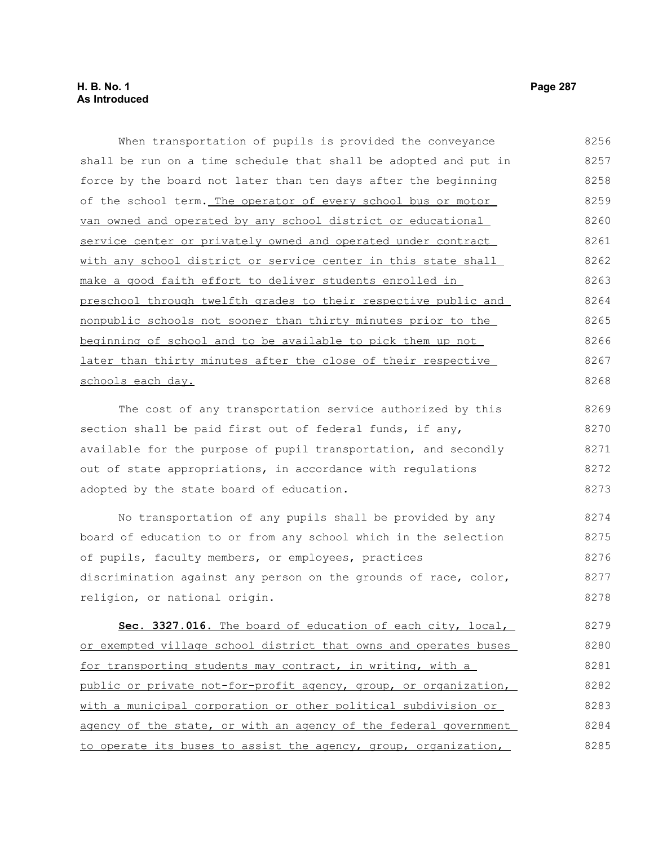When transportation of pupils is provided the conveyance shall be run on a time schedule that shall be adopted and put in force by the board not later than ten days after the beginning of the school term. The operator of every school bus or motor van owned and operated by any school district or educational service center or privately owned and operated under contract with any school district or service center in this state shall make a good faith effort to deliver students enrolled in preschool through twelfth grades to their respective public and nonpublic schools not sooner than thirty minutes prior to the beginning of school and to be available to pick them up not later than thirty minutes after the close of their respective schools each day. The cost of any transportation service authorized by this section shall be paid first out of federal funds, if any, available for the purpose of pupil transportation, and secondly 8256 8257 8258 8259 8260 8261 8262 8263 8264 8265 8266 8267 8268 8269 8270 8271

out of state appropriations, in accordance with regulations adopted by the state board of education. 8272 8273

No transportation of any pupils shall be provided by any board of education to or from any school which in the selection of pupils, faculty members, or employees, practices discrimination against any person on the grounds of race, color, religion, or national origin. 8274 8275 8276 8277 8278

 **Sec. 3327.016.** The board of education of each city, local, or exempted village school district that owns and operates buses for transporting students may contract, in writing, with a public or private not-for-profit agency, group, or organization, with a municipal corporation or other political subdivision or agency of the state, or with an agency of the federal government to operate its buses to assist the agency, group, organization, 8279 8280 8281 8282 8283 8284 8285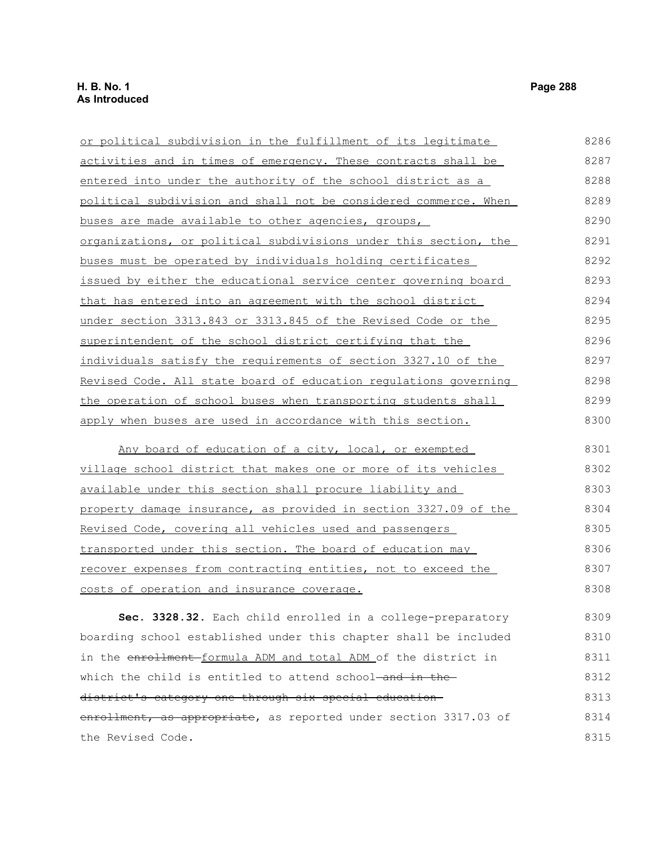| or political subdivision in the fulfillment of its legitimate            | 8286 |
|--------------------------------------------------------------------------|------|
| activities and in times of emergency. These contracts shall be           | 8287 |
| entered into under the authority of the school district as a             | 8288 |
| political subdivision and shall not be considered commerce. When         | 8289 |
| buses are made available to other agencies, groups,                      | 8290 |
| organizations, or political subdivisions under this section, the         | 8291 |
| buses must be operated by individuals holding certificates               | 8292 |
| issued by either the educational service center governing board          | 8293 |
| that has entered into an agreement with the school district              | 8294 |
| under section 3313.843 or 3313.845 of the Revised Code or the            | 8295 |
| superintendent of the school district certifying that the                | 8296 |
| individuals satisfy the requirements of section 3327.10 of the           | 8297 |
| Revised Code. All state board of education regulations governing         | 8298 |
| the operation of school buses when transporting students shall           | 8299 |
| apply when buses are used in accordance with this section.               | 8300 |
| Any board of education of a city, local, or exempted                     | 8301 |
| village school district that makes one or more of its vehicles           | 8302 |
| available under this section shall procure liability and                 | 8303 |
| <u>property damage insurance, as provided in section 3327.09 of the </u> | 8304 |
| Revised Code, covering all vehicles used and passengers                  | 8305 |
| transported under this section. The board of education may               | 8306 |
| recover expenses from contracting entities, not to exceed the            | 8307 |
| costs of operation and insurance coverage.                               | 8308 |
| Sec. 3328.32. Each child enrolled in a college-preparatory               | 8309 |
| boarding school established under this chapter shall be included         | 8310 |
| in the enrollment formula ADM and total ADM of the district in           | 8311 |

district's category one through six special education enrollment, as appropriate, as reported under section 3317.03 of the Revised Code. 8313 8314 8315

which the child is entitled to attend school-and in the-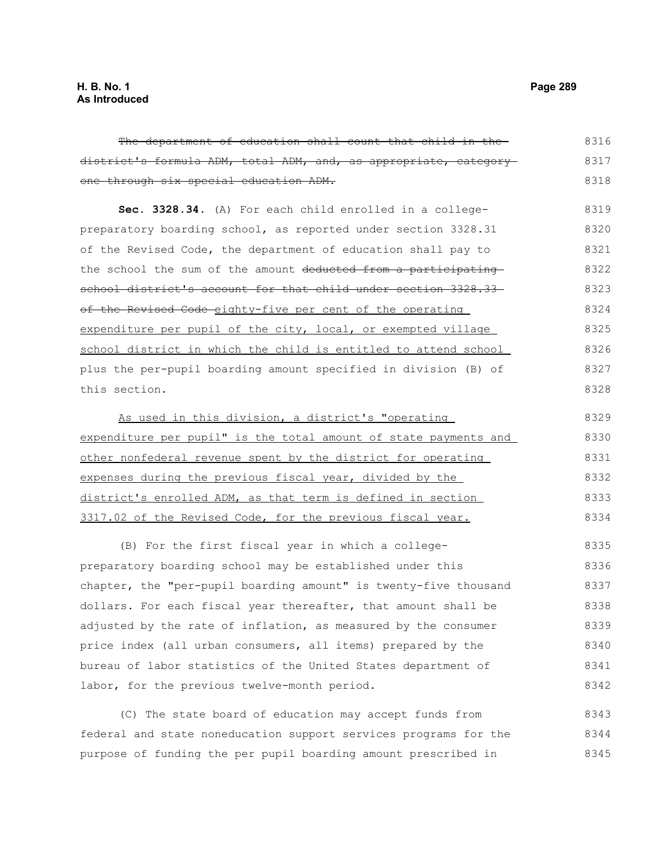The department of education shall count that child in the district's formula ADM, total ADM, and, as appropriate, category one through six special education ADM. **Sec. 3328.34.** (A) For each child enrolled in a collegepreparatory boarding school, as reported under section 3328.31 of the Revised Code, the department of education shall pay to the school the sum of the amount deducted from a participating school district's account for that child under section 3328.33of the Revised Code-eighty-five per cent of the operating expenditure per pupil of the city, local, or exempted village school district in which the child is entitled to attend school plus the per-pupil boarding amount specified in division (B) of this section. As used in this division, a district's "operating expenditure per pupil" is the total amount of state payments and other nonfederal revenue spent by the district for operating expenses during the previous fiscal year, divided by the district's enrolled ADM, as that term is defined in section 3317.02 of the Revised Code, for the previous fiscal year. 8316 8317 8318 8319 8320 8321 8322 8323 8324 8325 8326 8327 8328 8329 8330 8331 8332 8333 8334

(B) For the first fiscal year in which a collegepreparatory boarding school may be established under this chapter, the "per-pupil boarding amount" is twenty-five thousand dollars. For each fiscal year thereafter, that amount shall be adjusted by the rate of inflation, as measured by the consumer price index (all urban consumers, all items) prepared by the bureau of labor statistics of the United States department of labor, for the previous twelve-month period. 8335 8336 8337 8338 8339 8340 8341 8342

(C) The state board of education may accept funds from federal and state noneducation support services programs for the purpose of funding the per pupil boarding amount prescribed in 8343 8344 8345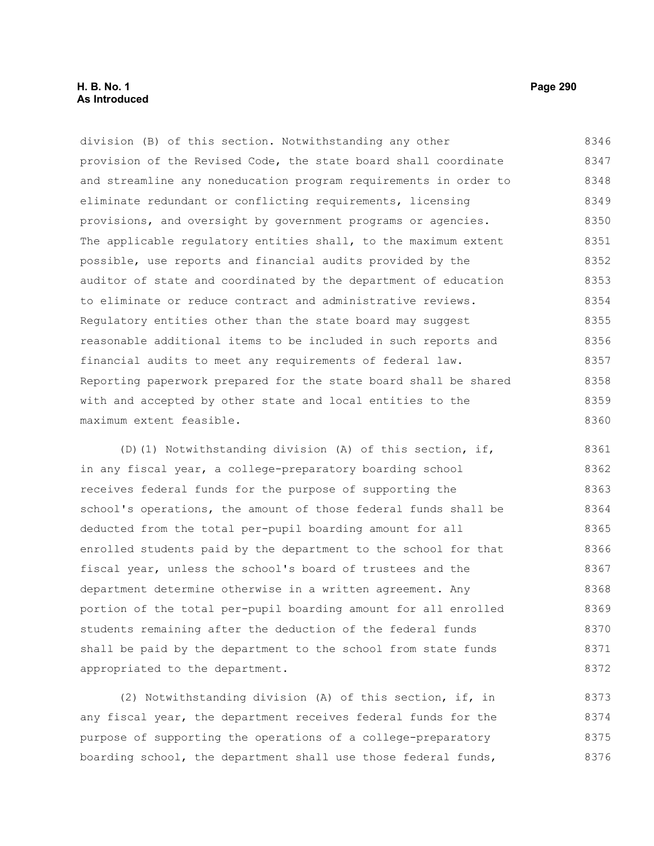# **H. B. No. 1 Page 290 As Introduced**

division (B) of this section. Notwithstanding any other provision of the Revised Code, the state board shall coordinate and streamline any noneducation program requirements in order to eliminate redundant or conflicting requirements, licensing provisions, and oversight by government programs or agencies. The applicable regulatory entities shall, to the maximum extent possible, use reports and financial audits provided by the auditor of state and coordinated by the department of education to eliminate or reduce contract and administrative reviews. Regulatory entities other than the state board may suggest reasonable additional items to be included in such reports and financial audits to meet any requirements of federal law. Reporting paperwork prepared for the state board shall be shared with and accepted by other state and local entities to the maximum extent feasible. 8346 8347 8348 8349 8350 8351 8352 8353 8354 8355 8356 8357 8358 8359 8360

(D)(1) Notwithstanding division (A) of this section, if, in any fiscal year, a college-preparatory boarding school receives federal funds for the purpose of supporting the school's operations, the amount of those federal funds shall be deducted from the total per-pupil boarding amount for all enrolled students paid by the department to the school for that fiscal year, unless the school's board of trustees and the department determine otherwise in a written agreement. Any portion of the total per-pupil boarding amount for all enrolled students remaining after the deduction of the federal funds shall be paid by the department to the school from state funds appropriated to the department. 8361 8362 8363 8364 8365 8366 8367 8368 8369 8370 8371 8372

(2) Notwithstanding division (A) of this section, if, in any fiscal year, the department receives federal funds for the purpose of supporting the operations of a college-preparatory boarding school, the department shall use those federal funds, 8373 8374 8375 8376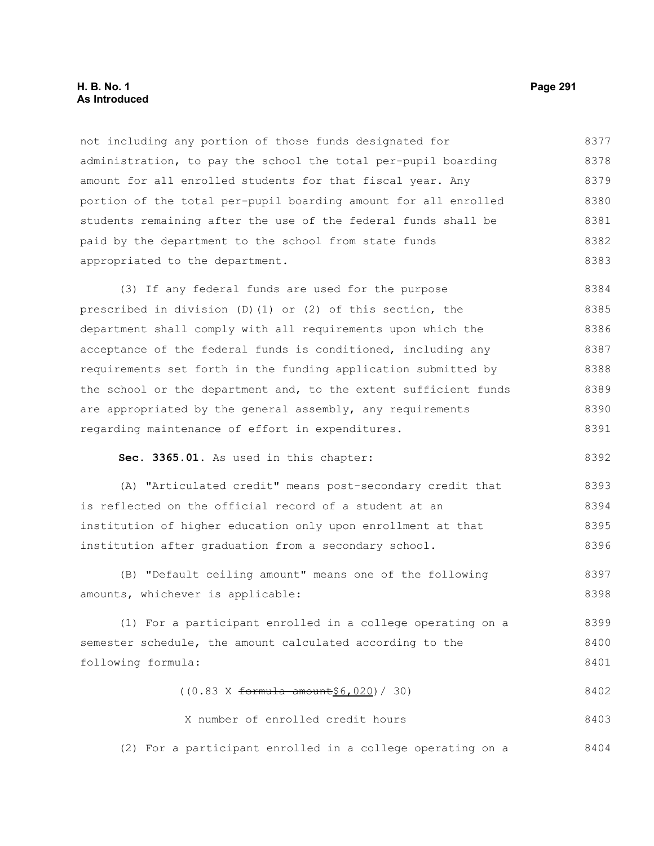# **H. B. No. 1 Page 291 As Introduced**

not including any portion of those funds designated for administration, to pay the school the total per-pupil boarding amount for all enrolled students for that fiscal year. Any portion of the total per-pupil boarding amount for all enrolled students remaining after the use of the federal funds shall be paid by the department to the school from state funds appropriated to the department. 8377 8378 8379 8380 8381 8382 8383

(3) If any federal funds are used for the purpose prescribed in division (D)(1) or (2) of this section, the department shall comply with all requirements upon which the acceptance of the federal funds is conditioned, including any requirements set forth in the funding application submitted by the school or the department and, to the extent sufficient funds are appropriated by the general assembly, any requirements regarding maintenance of effort in expenditures. 8384 8385 8386 8387 8388 8389 8390 8391

**Sec. 3365.01.** As used in this chapter:

(A) "Articulated credit" means post-secondary credit that is reflected on the official record of a student at an institution of higher education only upon enrollment at that institution after graduation from a secondary school. 8393 8394 8395 8396

(B) "Default ceiling amount" means one of the following amounts, whichever is applicable: 8397 8398

(1) For a participant enrolled in a college operating on a semester schedule, the amount calculated according to the following formula: 8399 8400 8401

> $((0.83 \times ~~formula amount~~ $6,020) / 30)$ 8402

X number of enrolled credit hours 8403

(2) For a participant enrolled in a college operating on a 8404

8392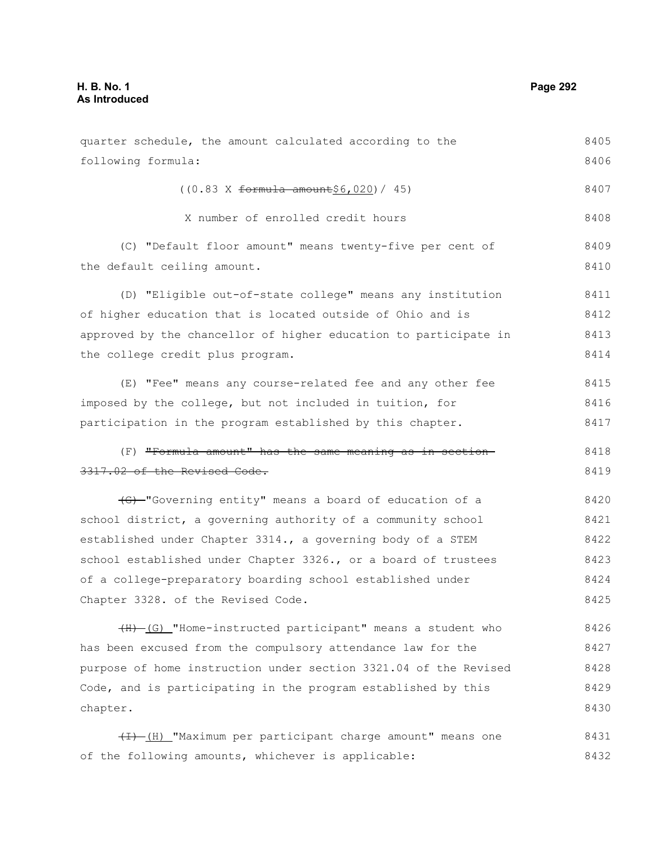following formula:

the default ceiling amount.

quarter schedule, the amount calculated according to the  $((0.83 \times ~~formula amount~~ $6,020) / 45)$ X number of enrolled credit hours (C) "Default floor amount" means twenty-five per cent of (D) "Eligible out-of-state college" means any institution 8405 8406 8407 8408 8409 8410 8411

of higher education that is located outside of Ohio and is approved by the chancellor of higher education to participate in the college credit plus program. 8412 8413 8414

(E) "Fee" means any course-related fee and any other fee imposed by the college, but not included in tuition, for participation in the program established by this chapter. 8415 8416 8417

### (F) "Formula amount" has the same meaning as in section 3317.02 of the Revised Code. 8418 8419

(G) "Governing entity" means a board of education of a school district, a governing authority of a community school established under Chapter 3314., a governing body of a STEM school established under Chapter 3326., or a board of trustees of a college-preparatory boarding school established under Chapter 3328. of the Revised Code. 8420 8421 8422 8423 8424 8425

(H) (G) "Home-instructed participant" means a student who has been excused from the compulsory attendance law for the purpose of home instruction under section 3321.04 of the Revised Code, and is participating in the program established by this chapter. 8426 8427 8428 8429 8430

 $(H)$  "Maximum per participant charge amount" means one of the following amounts, whichever is applicable: 8431 8432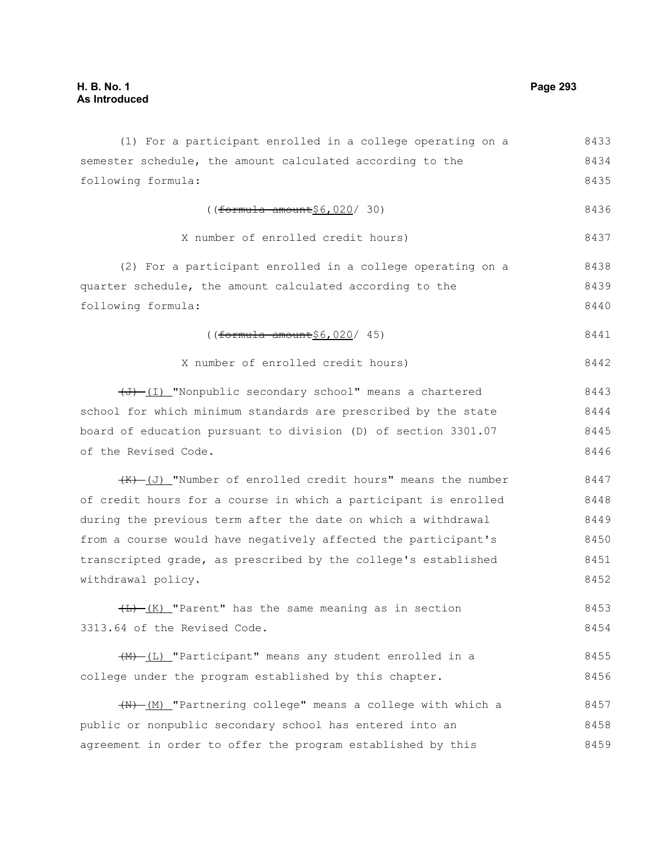(1) For a participant enrolled in a college operating on a semester schedule, the amount calculated according to the following formula:  $((formula-amount§6,020/30))$ X number of enrolled credit hours) (2) For a participant enrolled in a college operating on a quarter schedule, the amount calculated according to the following formula: ((formula amount\$6,020/ 45) X number of enrolled credit hours)  $(\overline{J} + \overline{I})$  "Nonpublic secondary school" means a chartered school for which minimum standards are prescribed by the state board of education pursuant to division (D) of section 3301.07 of the Revised Code.  $(K)$  (J) "Number of enrolled credit hours" means the number of credit hours for a course in which a participant is enrolled during the previous term after the date on which a withdrawal from a course would have negatively affected the participant's transcripted grade, as prescribed by the college's established withdrawal policy.  $\overline{(L) - (K)}$  "Parent" has the same meaning as in section 3313.64 of the Revised Code. (M) (L) "Participant" means any student enrolled in a college under the program established by this chapter. (N) (M) "Partnering college" means a college with which a public or nonpublic secondary school has entered into an agreement in order to offer the program established by this 8433 8434 8435 8436 8437 8438 8439 8440 8441 8442 8443 8444 8445 8446 8447 8448 8449 8450 8451 8452 8453 8454 8455 8456 8457 8458 8459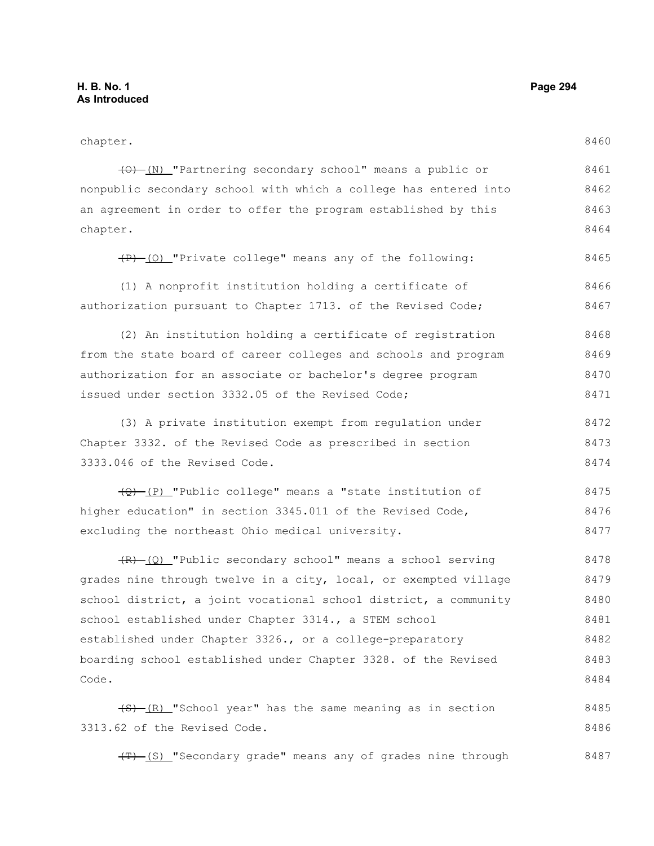| chapter.                                                         | 8460 |
|------------------------------------------------------------------|------|
|                                                                  |      |
| (0) (N) "Partnering secondary school" means a public or          | 8461 |
| nonpublic secondary school with which a college has entered into | 8462 |
| an agreement in order to offer the program established by this   | 8463 |
| chapter.                                                         | 8464 |
| (P) (0) "Private college" means any of the following:            | 8465 |
| (1) A nonprofit institution holding a certificate of             | 8466 |
| authorization pursuant to Chapter 1713. of the Revised Code;     | 8467 |
| (2) An institution holding a certificate of registration         | 8468 |
| from the state board of career colleges and schools and program  | 8469 |
| authorization for an associate or bachelor's degree program      | 8470 |
| issued under section 3332.05 of the Revised Code;                | 8471 |
| (3) A private institution exempt from regulation under           | 8472 |
| Chapter 3332. of the Revised Code as prescribed in section       | 8473 |
| 3333.046 of the Revised Code.                                    | 8474 |
| (P) [P] "Public college" means a "state institution of           | 8475 |
| higher education" in section 3345.011 of the Revised Code,       | 8476 |
| excluding the northeast Ohio medical university.                 | 8477 |
| $(R)$ (Q) "Public secondary school" means a school serving       | 8478 |
| grades nine through twelve in a city, local, or exempted village | 8479 |
| school district, a joint vocational school district, a community | 8480 |
| school established under Chapter 3314., a STEM school            | 8481 |
| established under Chapter 3326., or a college-preparatory        | 8482 |
| boarding school established under Chapter 3328. of the Revised   | 8483 |
| Code.                                                            | 8484 |
| $(5)$ (R) "School year" has the same meaning as in section       | 8485 |
| 3313.62 of the Revised Code.                                     | 8486 |

(T) (S) "Secondary grade" means any of grades nine through 8487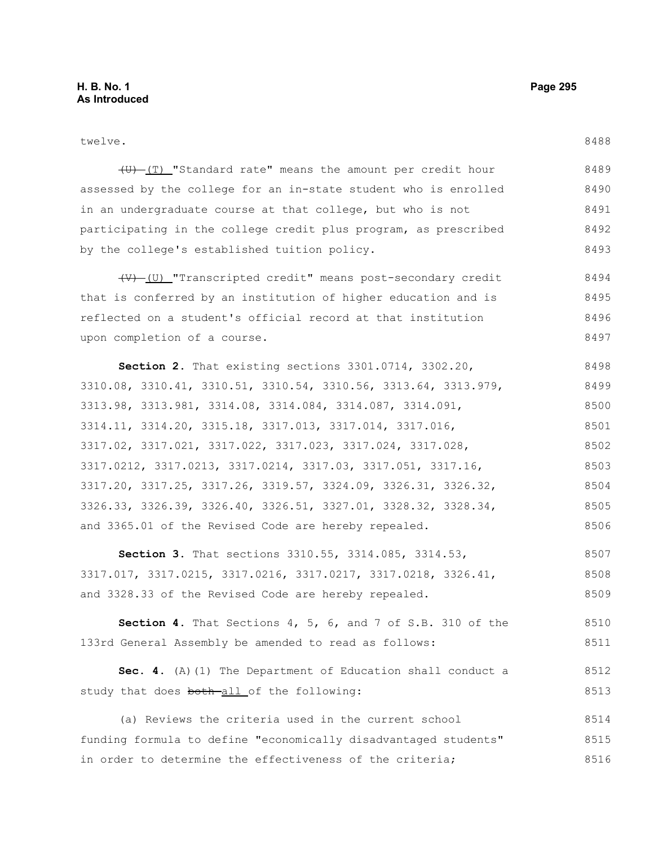twelve.

(U) (T) "Standard rate" means the amount per credit hour assessed by the college for an in-state student who is enrolled in an undergraduate course at that college, but who is not participating in the college credit plus program, as prescribed by the college's established tuition policy. 8489 8490 8491 8492 8493

(V) (U) "Transcripted credit" means post-secondary credit that is conferred by an institution of higher education and is reflected on a student's official record at that institution upon completion of a course. 8494 8495 8496 8497

**Section 2.** That existing sections 3301.0714, 3302.20, 3310.08, 3310.41, 3310.51, 3310.54, 3310.56, 3313.64, 3313.979, 3313.98, 3313.981, 3314.08, 3314.084, 3314.087, 3314.091, 3314.11, 3314.20, 3315.18, 3317.013, 3317.014, 3317.016, 3317.02, 3317.021, 3317.022, 3317.023, 3317.024, 3317.028, 3317.0212, 3317.0213, 3317.0214, 3317.03, 3317.051, 3317.16, 3317.20, 3317.25, 3317.26, 3319.57, 3324.09, 3326.31, 3326.32, 3326.33, 3326.39, 3326.40, 3326.51, 3327.01, 3328.32, 3328.34, and 3365.01 of the Revised Code are hereby repealed. 8498 8499 8500 8501 8502 8503 8504 8505 8506

**Section 3.** That sections 3310.55, 3314.085, 3314.53, 3317.017, 3317.0215, 3317.0216, 3317.0217, 3317.0218, 3326.41, and 3328.33 of the Revised Code are hereby repealed. 8507 8508 8509

**Section 4.** That Sections 4, 5, 6, and 7 of S.B. 310 of the 133rd General Assembly be amended to read as follows: 8510 8511

**Sec. 4.** (A)(1) The Department of Education shall conduct a study that does both-all of the following: 8512 8513

(a) Reviews the criteria used in the current school funding formula to define "economically disadvantaged students" in order to determine the effectiveness of the criteria; 8514 8515 8516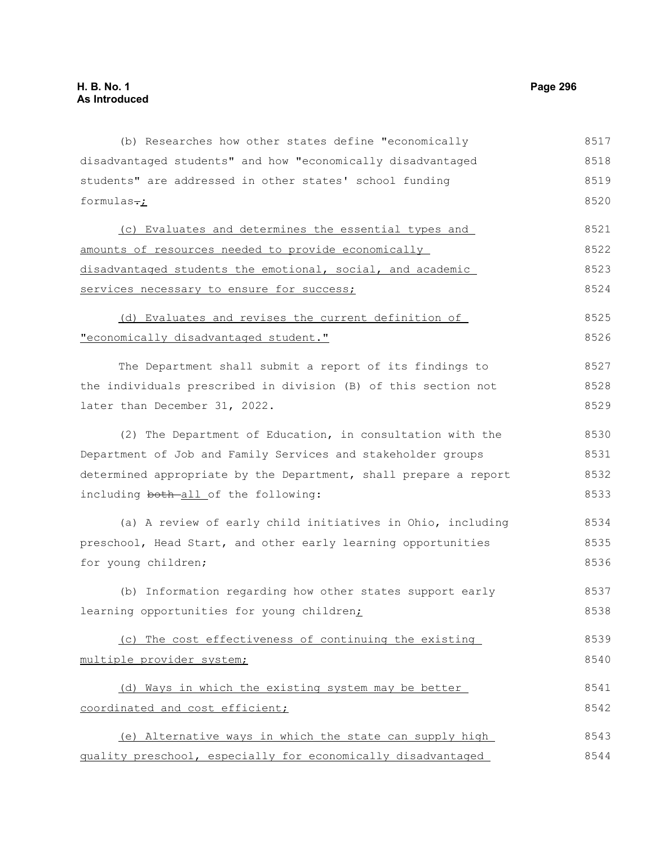(b) Researches how other states define "economically disadvantaged students" and how "economically disadvantaged students" are addressed in other states' school funding formulas $\div$ (c) Evaluates and determines the essential types and amounts of resources needed to provide economically disadvantaged students the emotional, social, and academic services necessary to ensure for success; (d) Evaluates and revises the current definition of "economically disadvantaged student." The Department shall submit a report of its findings to the individuals prescribed in division (B) of this section not later than December 31, 2022. (2) The Department of Education, in consultation with the Department of Job and Family Services and stakeholder groups determined appropriate by the Department, shall prepare a report including both-all of the following: (a) A review of early child initiatives in Ohio, including preschool, Head Start, and other early learning opportunities for young children; (b) Information regarding how other states support early learning opportunities for young children; (c) The cost effectiveness of continuing the existing multiple provider system; (d) Ways in which the existing system may be better coordinated and cost efficient; (e) Alternative ways in which the state can supply high quality preschool, especially for economically disadvantaged 8517 8518 8519 8520 8521 8522 8523 8524 8525 8526 8527 8528 8529 8530 8531 8532 8533 8534 8535 8536 8537 8538 8539 8540 8541 8542 8543 8544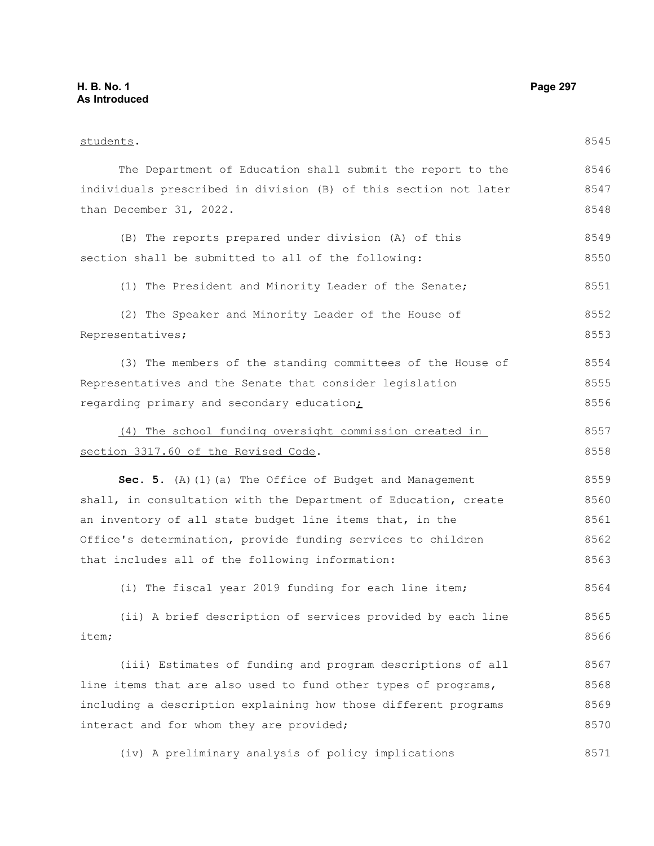| students.                                                        | 8545 |
|------------------------------------------------------------------|------|
| The Department of Education shall submit the report to the       | 8546 |
| individuals prescribed in division (B) of this section not later | 8547 |
| than December 31, 2022.                                          | 8548 |
| (B) The reports prepared under division (A) of this              | 8549 |
| section shall be submitted to all of the following:              | 8550 |
| (1) The President and Minority Leader of the Senate;             | 8551 |
| (2) The Speaker and Minority Leader of the House of              | 8552 |
| Representatives;                                                 | 8553 |
| (3) The members of the standing committees of the House of       | 8554 |
| Representatives and the Senate that consider legislation         | 8555 |
| regarding primary and secondary education;                       | 8556 |
| (4) The school funding oversight commission created in           | 8557 |
| section 3317.60 of the Revised Code.                             | 8558 |
| Sec. 5. (A) (1) (a) The Office of Budget and Management          | 8559 |
| shall, in consultation with the Department of Education, create  | 8560 |
| an inventory of all state budget line items that, in the         | 8561 |
| Office's determination, provide funding services to children     | 8562 |
| that includes all of the following information:                  | 8563 |
| (i) The fiscal year 2019 funding for each line item;             | 8564 |
| (ii) A brief description of services provided by each line       | 8565 |
| item;                                                            | 8566 |
| (iii) Estimates of funding and program descriptions of all       | 8567 |
| line items that are also used to fund other types of programs,   | 8568 |
| including a description explaining how those different programs  | 8569 |
| interact and for whom they are provided;                         | 8570 |
| (iv) A preliminary analysis of policy implications               | 8571 |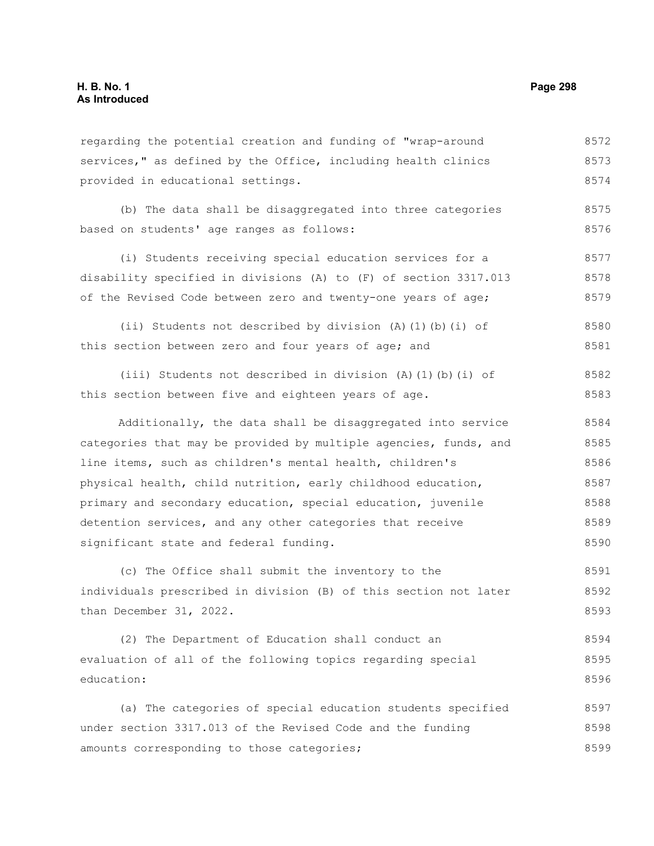regarding the potential creation and funding of "wrap-around services," as defined by the Office, including health clinics provided in educational settings. 8572 8573 8574

(b) The data shall be disaggregated into three categories based on students' age ranges as follows: 8575 8576

(i) Students receiving special education services for a disability specified in divisions (A) to (F) of section 3317.013 of the Revised Code between zero and twenty-one years of age; 8577 8578 8579

(ii) Students not described by division (A)(1)(b)(i) of this section between zero and four years of age; and 8580 8581

(iii) Students not described in division (A)(1)(b)(i) of this section between five and eighteen years of age. 8582 8583

Additionally, the data shall be disaggregated into service categories that may be provided by multiple agencies, funds, and line items, such as children's mental health, children's physical health, child nutrition, early childhood education, primary and secondary education, special education, juvenile detention services, and any other categories that receive significant state and federal funding. 8584 8585 8586 8587 8588 8589 8590

(c) The Office shall submit the inventory to the individuals prescribed in division (B) of this section not later than December 31, 2022. 8591 8592 8593

(2) The Department of Education shall conduct an evaluation of all of the following topics regarding special education: 8594 8595 8596

(a) The categories of special education students specified under section 3317.013 of the Revised Code and the funding amounts corresponding to those categories; 8597 8598 8599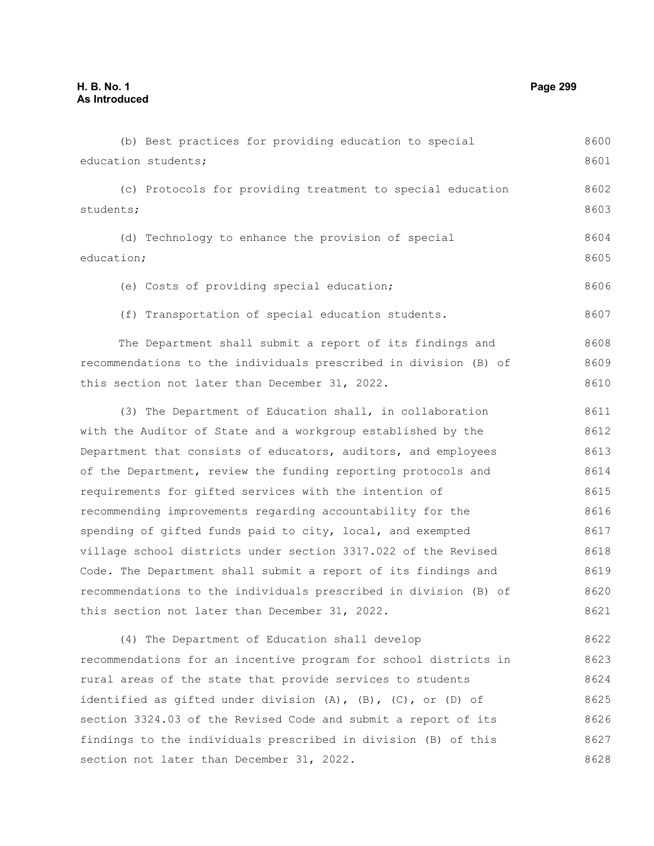education students; (c) Protocols for providing treatment to special education students; (d) Technology to enhance the provision of special education; (e) Costs of providing special education; (f) Transportation of special education students. The Department shall submit a report of its findings and recommendations to the individuals prescribed in division (B) of this section not later than December 31, 2022. (3) The Department of Education shall, in collaboration with the Auditor of State and a workgroup established by the Department that consists of educators, auditors, and employees of the Department, review the funding reporting protocols and requirements for gifted services with the intention of recommending improvements regarding accountability for the spending of gifted funds paid to city, local, and exempted village school districts under section 3317.022 of the Revised Code. The Department shall submit a report of its findings and recommendations to the individuals prescribed in division (B) of this section not later than December 31, 2022. (4) The Department of Education shall develop recommendations for an incentive program for school districts in rural areas of the state that provide services to students identified as gifted under division  $(A)$ ,  $(B)$ ,  $(C)$ , or  $(D)$  of section 3324.03 of the Revised Code and submit a report of its findings to the individuals prescribed in division (B) of this section not later than December 31, 2022. 8601 8602 8603 8604 8605 8606 8607 8608 8609 8610 8611 8612 8613 8614 8615 8616 8617 8618 8619 8620 8621 8622 8623 8624 8625 8626 8627 8628

(b) Best practices for providing education to special

8600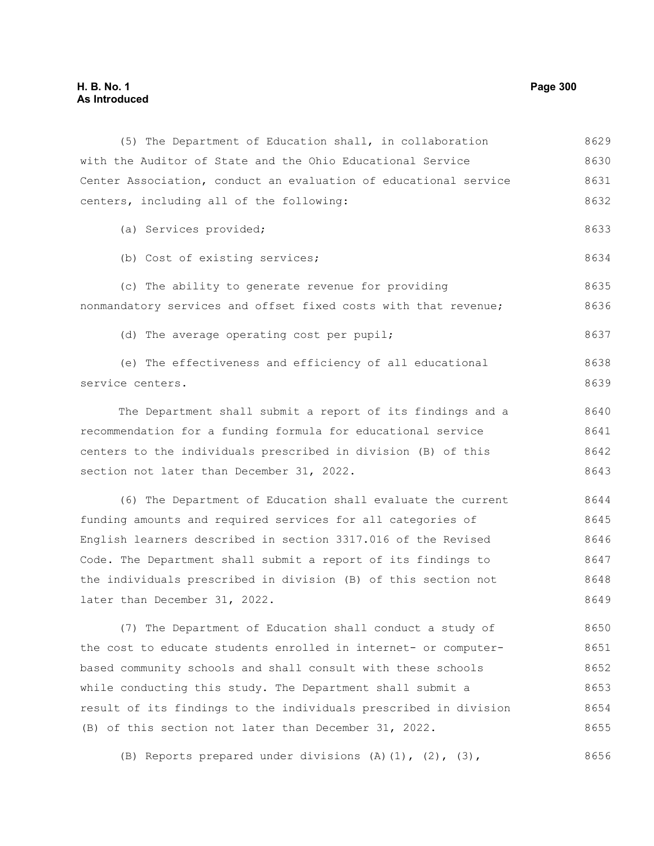# **H. B. No. 1 Page 300 As Introduced**

(5) The Department of Education shall, in collaboration with the Auditor of State and the Ohio Educational Service Center Association, conduct an evaluation of educational service centers, including all of the following: (a) Services provided; (b) Cost of existing services; (c) The ability to generate revenue for providing nonmandatory services and offset fixed costs with that revenue; (d) The average operating cost per pupil; (e) The effectiveness and efficiency of all educational service centers. The Department shall submit a report of its findings and a recommendation for a funding formula for educational service centers to the individuals prescribed in division (B) of this section not later than December 31, 2022. (6) The Department of Education shall evaluate the current funding amounts and required services for all categories of English learners described in section 3317.016 of the Revised Code. The Department shall submit a report of its findings to the individuals prescribed in division (B) of this section not later than December 31, 2022. (7) The Department of Education shall conduct a study of the cost to educate students enrolled in internet- or computerbased community schools and shall consult with these schools while conducting this study. The Department shall submit a result of its findings to the individuals prescribed in division (B) of this section not later than December 31, 2022. 8629 8630 8631 8632 8633 8634 8635 8636 8637 8638 8639 8640 8641 8642 8643 8644 8645 8646 8647 8648 8649 8650 8651 8652 8653 8654 8655

(B) Reports prepared under divisions  $(A)$   $(1)$ ,  $(2)$ ,  $(3)$ , 8656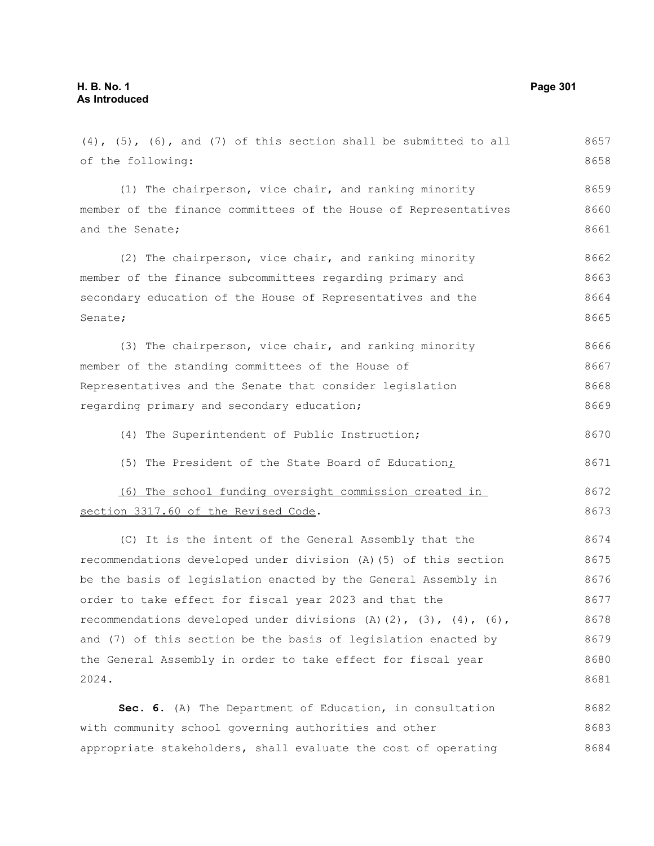## $(4)$ ,  $(5)$ ,  $(6)$ , and  $(7)$  of this section shall be submitted to all of the following: (1) The chairperson, vice chair, and ranking minority member of the finance committees of the House of Representatives and the Senate; (2) The chairperson, vice chair, and ranking minority member of the finance subcommittees regarding primary and secondary education of the House of Representatives and the Senate; (3) The chairperson, vice chair, and ranking minority member of the standing committees of the House of Representatives and the Senate that consider legislation regarding primary and secondary education; (4) The Superintendent of Public Instruction; (5) The President of the State Board of Education; (6) The school funding oversight commission created in section 3317.60 of the Revised Code. (C) It is the intent of the General Assembly that the recommendations developed under division (A)(5) of this section be the basis of legislation enacted by the General Assembly in order to take effect for fiscal year 2023 and that the recommendations developed under divisions  $(A)$   $(2)$ ,  $(3)$ ,  $(4)$ ,  $(6)$ , and (7) of this section be the basis of legislation enacted by the General Assembly in order to take effect for fiscal year 2024. **Sec. 6.** (A) The Department of Education, in consultation with community school governing authorities and other appropriate stakeholders, shall evaluate the cost of operating 8657 8658 8659 8660 8661 8662 8663 8664 8665 8666 8667 8668 8669 8670 8671 8672 8673 8674 8675 8676 8677 8678 8679 8680 8681 8682 8683 8684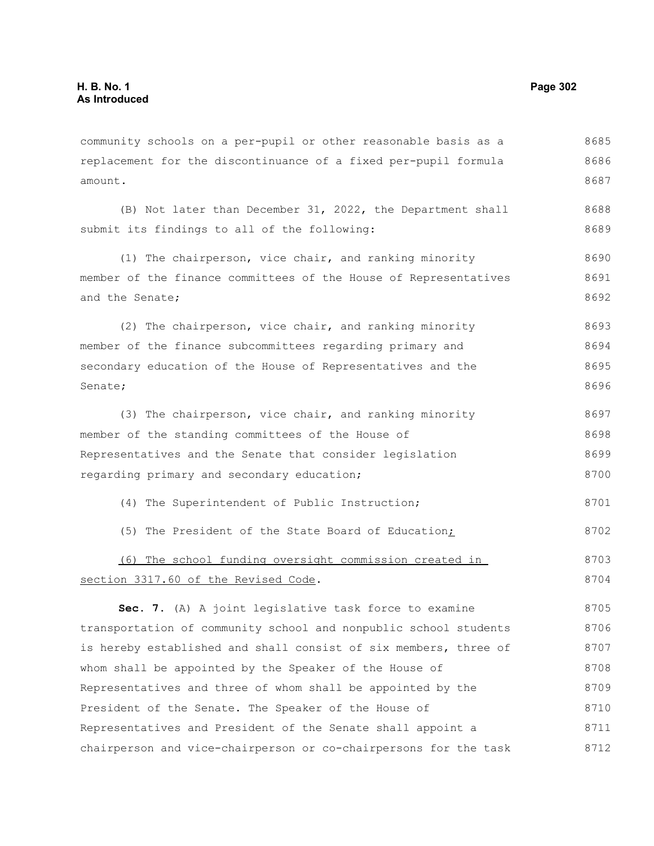community schools on a per-pupil or other reasonable basis as a replacement for the discontinuance of a fixed per-pupil formula amount. 8685 8686 8687

(B) Not later than December 31, 2022, the Department shall submit its findings to all of the following: 8688 8689

(1) The chairperson, vice chair, and ranking minority member of the finance committees of the House of Representatives and the Senate; 8690 8691 8692

(2) The chairperson, vice chair, and ranking minority member of the finance subcommittees regarding primary and secondary education of the House of Representatives and the Senate; 8693 8694 8695 8696

(3) The chairperson, vice chair, and ranking minority member of the standing committees of the House of Representatives and the Senate that consider legislation regarding primary and secondary education; 8697 8698 8699 8700

- (4) The Superintendent of Public Instruction;
- (5) The President of the State Board of Education; 8702

(6) The school funding oversight commission created in section 3317.60 of the Revised Code. 8703 8704

**Sec. 7.** (A) A joint legislative task force to examine transportation of community school and nonpublic school students is hereby established and shall consist of six members, three of whom shall be appointed by the Speaker of the House of Representatives and three of whom shall be appointed by the President of the Senate. The Speaker of the House of Representatives and President of the Senate shall appoint a chairperson and vice-chairperson or co-chairpersons for the task 8705 8706 8707 8708 8709 8710 8711 8712

8701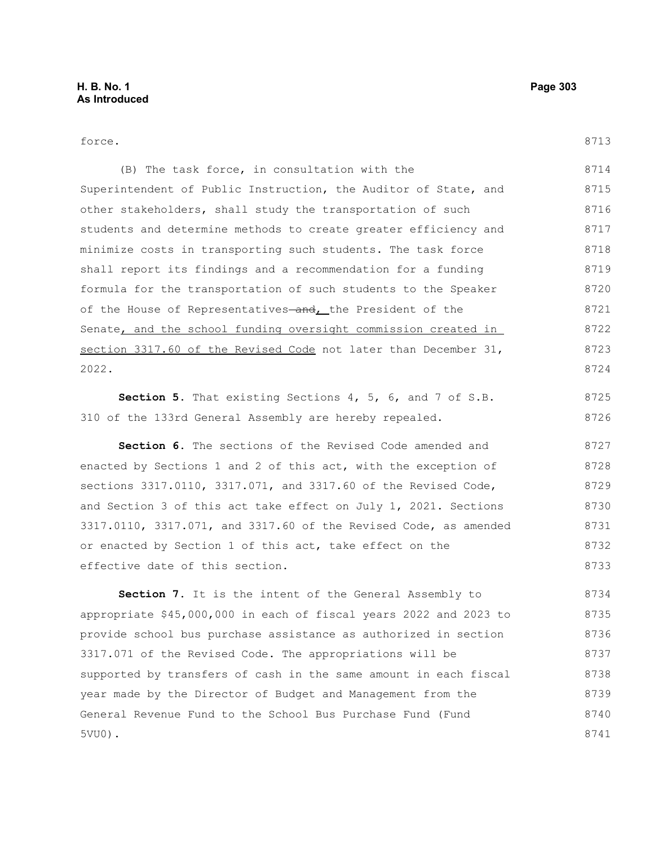# force. (B) The task force, in consultation with the Superintendent of Public Instruction, the Auditor of State, and other stakeholders, shall study the transportation of such students and determine methods to create greater efficiency and minimize costs in transporting such students. The task force shall report its findings and a recommendation for a funding formula for the transportation of such students to the Speaker of the House of Representatives-and, the President of the Senate, and the school funding oversight commission created in section 3317.60 of the Revised Code not later than December 31, 2022. **Section 5.** That existing Sections 4, 5, 6, and 7 of S.B. 310 of the 133rd General Assembly are hereby repealed. **Section 6.** The sections of the Revised Code amended and sections 3317.0110, 3317.071, and 3317.60 of the Revised Code, 8713 8714 8715 8716 8717 8718 8719 8720 8721 8722 8723 8724 8725 8726 8727 8728 8729

enacted by Sections 1 and 2 of this act, with the exception of

and Section 3 of this act take effect on July 1, 2021. Sections 3317.0110, 3317.071, and 3317.60 of the Revised Code, as amended or enacted by Section 1 of this act, take effect on the effective date of this section. 8730 8731 8732 8733

**Section 7.** It is the intent of the General Assembly to appropriate \$45,000,000 in each of fiscal years 2022 and 2023 to provide school bus purchase assistance as authorized in section 3317.071 of the Revised Code. The appropriations will be supported by transfers of cash in the same amount in each fiscal year made by the Director of Budget and Management from the General Revenue Fund to the School Bus Purchase Fund (Fund 5VU0). 8734 8735 8736 8737 8738 8739 8740 8741